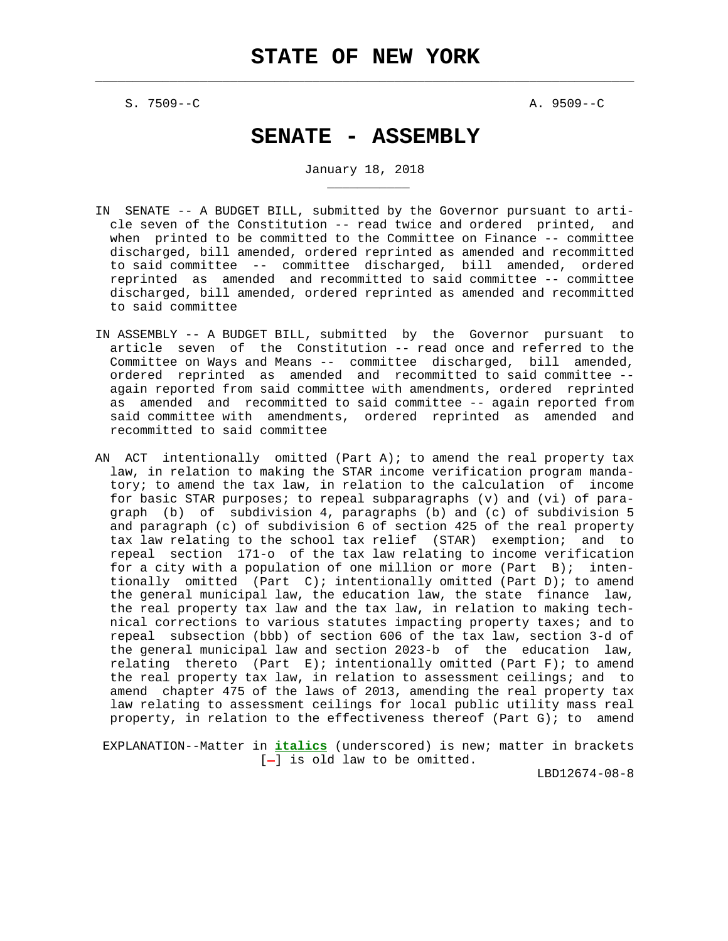$\mathcal{L}_\text{max} = \frac{1}{2} \sum_{i=1}^{n} \frac{1}{2} \sum_{i=1}^{n} \frac{1}{2} \sum_{i=1}^{n} \frac{1}{2} \sum_{i=1}^{n} \frac{1}{2} \sum_{i=1}^{n} \frac{1}{2} \sum_{i=1}^{n} \frac{1}{2} \sum_{i=1}^{n} \frac{1}{2} \sum_{i=1}^{n} \frac{1}{2} \sum_{i=1}^{n} \frac{1}{2} \sum_{i=1}^{n} \frac{1}{2} \sum_{i=1}^{n} \frac{1}{2} \sum_{i=1}^{n} \frac{1$ 

S. 7509--C A. 9509--C

\_\_\_\_\_\_\_\_\_\_\_

# **SENATE - ASSEMBLY**

January 18, 2018

- IN SENATE -- A BUDGET BILL, submitted by the Governor pursuant to arti cle seven of the Constitution -- read twice and ordered printed, and when printed to be committed to the Committee on Finance -- committee discharged, bill amended, ordered reprinted as amended and recommitted to said committee -- committee discharged, bill amended, ordered reprinted as amended and recommitted to said committee -- committee discharged, bill amended, ordered reprinted as amended and recommitted to said committee
- IN ASSEMBLY -- A BUDGET BILL, submitted by the Governor pursuant to article seven of the Constitution -- read once and referred to the Committee on Ways and Means -- committee discharged, bill amended, ordered reprinted as amended and recommitted to said committee - again reported from said committee with amendments, ordered reprinted as amended and recommitted to said committee -- again reported from said committee with amendments, ordered reprinted as amended and recommitted to said committee
- AN ACT intentionally omitted (Part A); to amend the real property tax law, in relation to making the STAR income verification program manda tory; to amend the tax law, in relation to the calculation of income for basic STAR purposes; to repeal subparagraphs (v) and (vi) of para graph (b) of subdivision 4, paragraphs (b) and (c) of subdivision 5 and paragraph (c) of subdivision 6 of section 425 of the real property tax law relating to the school tax relief (STAR) exemption; and to repeal section 171-o of the tax law relating to income verification for a city with a population of one million or more (Part B); inten tionally omitted (Part C); intentionally omitted (Part D); to amend the general municipal law, the education law, the state finance law, the real property tax law and the tax law, in relation to making tech nical corrections to various statutes impacting property taxes; and to repeal subsection (bbb) of section 606 of the tax law, section 3-d of the general municipal law and section 2023-b of the education law, relating thereto (Part E); intentionally omitted (Part F); to amend the real property tax law, in relation to assessment ceilings; and to amend chapter 475 of the laws of 2013, amending the real property tax law relating to assessment ceilings for local public utility mass real property, in relation to the effectiveness thereof (Part G); to amend

 EXPLANATION--Matter in **italics** (underscored) is new; matter in brackets  $[-]$  is old law to be omitted.

LBD12674-08-8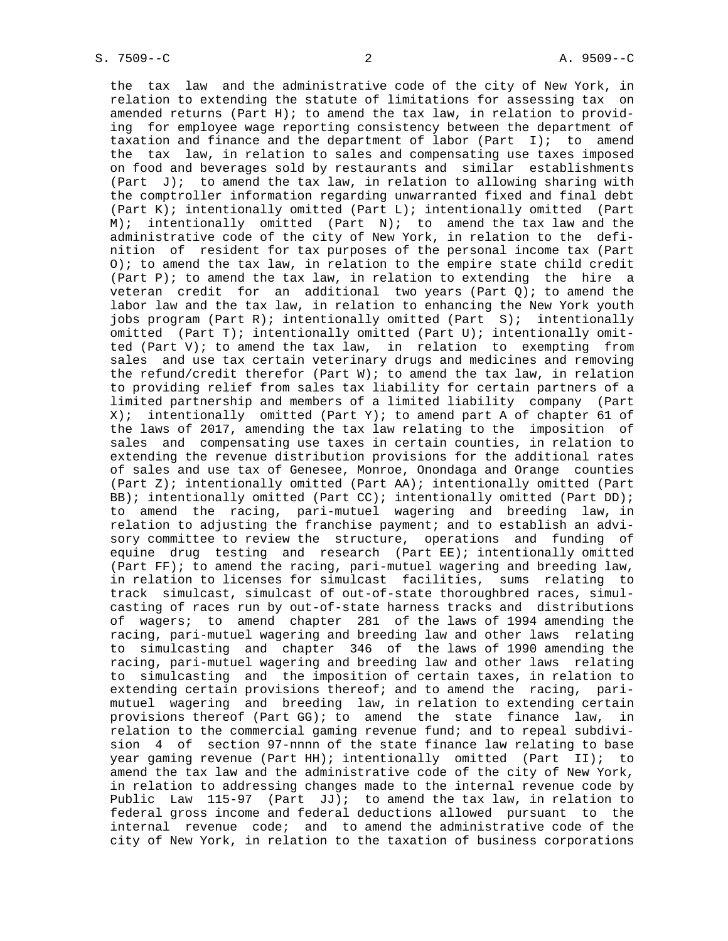the tax law and the administrative code of the city of New York, in relation to extending the statute of limitations for assessing tax on amended returns (Part H); to amend the tax law, in relation to provid ing for employee wage reporting consistency between the department of taxation and finance and the department of labor (Part I); to amend the tax law, in relation to sales and compensating use taxes imposed on food and beverages sold by restaurants and similar establishments (Part  $J$ ); to amend the tax law, in relation to allowing sharing with the comptroller information regarding unwarranted fixed and final debt (Part K); intentionally omitted (Part L); intentionally omitted (Part M); intentionally omitted (Part N); to amend the tax law and the administrative code of the city of New York, in relation to the defi nition of resident for tax purposes of the personal income tax (Part O); to amend the tax law, in relation to the empire state child credit (Part P); to amend the tax law, in relation to extending the hire a veteran credit for an additional two years (Part Q); to amend the labor law and the tax law, in relation to enhancing the New York youth jobs program (Part R); intentionally omitted (Part S); intentionally omitted (Part T); intentionally omitted (Part U); intentionally omit ted (Part V); to amend the tax law, in relation to exempting from sales and use tax certain veterinary drugs and medicines and removing the refund/credit therefor (Part W); to amend the tax law, in relation to providing relief from sales tax liability for certain partners of a limited partnership and members of a limited liability company (Part X); intentionally omitted (Part Y); to amend part A of chapter 61 of the laws of 2017, amending the tax law relating to the imposition of sales and compensating use taxes in certain counties, in relation to extending the revenue distribution provisions for the additional rates of sales and use tax of Genesee, Monroe, Onondaga and Orange counties (Part Z); intentionally omitted (Part AA); intentionally omitted (Part BB); intentionally omitted (Part CC); intentionally omitted (Part DD); to amend the racing, pari-mutuel wagering and breeding law, in relation to adjusting the franchise payment; and to establish an advi sory committee to review the structure, operations and funding of equine drug testing and research (Part EE); intentionally omitted (Part FF); to amend the racing, pari-mutuel wagering and breeding law, in relation to licenses for simulcast facilities, sums relating to track simulcast, simulcast of out-of-state thoroughbred races, simul casting of races run by out-of-state harness tracks and distributions of wagers; to amend chapter 281 of the laws of 1994 amending the racing, pari-mutuel wagering and breeding law and other laws relating to simulcasting and chapter 346 of the laws of 1990 amending the racing, pari-mutuel wagering and breeding law and other laws relating to simulcasting and the imposition of certain taxes, in relation to extending certain provisions thereof; and to amend the racing, pari mutuel wagering and breeding law, in relation to extending certain provisions thereof (Part GG); to amend the state finance law, in relation to the commercial gaming revenue fund; and to repeal subdivi sion 4 of section 97-nnnn of the state finance law relating to base year gaming revenue (Part HH); intentionally omitted (Part II); to amend the tax law and the administrative code of the city of New York, in relation to addressing changes made to the internal revenue code by Public Law 115-97 (Part JJ); to amend the tax law, in relation to federal gross income and federal deductions allowed pursuant to the internal revenue code; and to amend the administrative code of the city of New York, in relation to the taxation of business corporations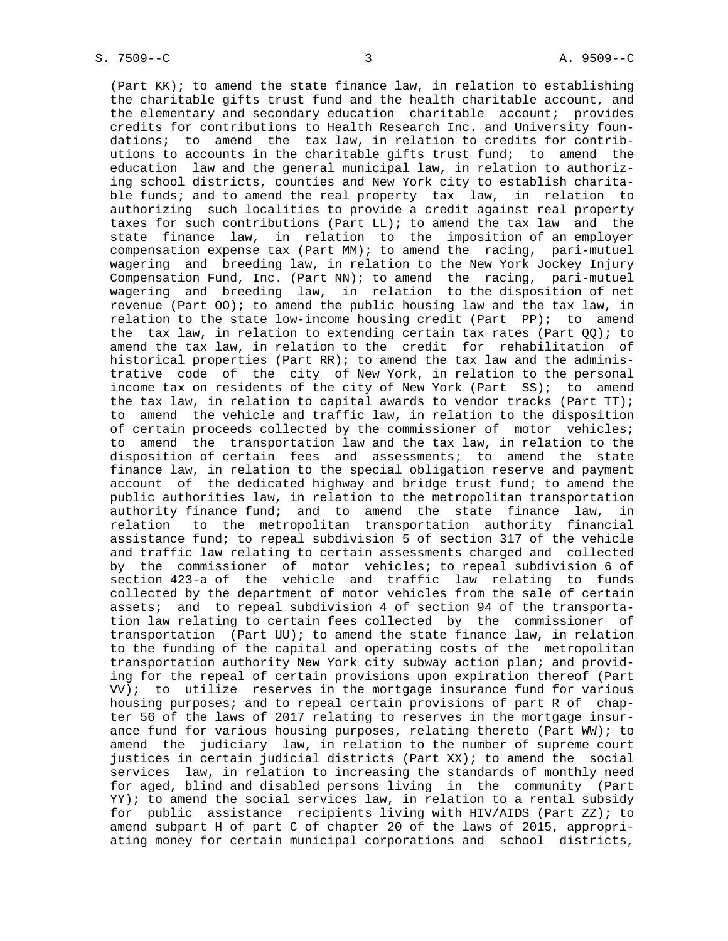(Part KK); to amend the state finance law, in relation to establishing the charitable gifts trust fund and the health charitable account, and the elementary and secondary education charitable account; provides credits for contributions to Health Research Inc. and University foun dations; to amend the tax law, in relation to credits for contrib utions to accounts in the charitable gifts trust fund; to amend the education law and the general municipal law, in relation to authoriz ing school districts, counties and New York city to establish charita ble funds; and to amend the real property tax law, in relation to authorizing such localities to provide a credit against real property taxes for such contributions (Part LL); to amend the tax law and the state finance law, in relation to the imposition of an employer compensation expense tax (Part MM); to amend the racing, pari-mutuel wagering and breeding law, in relation to the New York Jockey Injury Compensation Fund, Inc. (Part NN); to amend the racing, pari-mutuel wagering and breeding law, in relation to the disposition of net revenue (Part OO); to amend the public housing law and the tax law, in relation to the state low-income housing credit (Part PP); to amend the tax law, in relation to extending certain tax rates (Part  $QQ$ ); to amend the tax law, in relation to the credit for rehabilitation of historical properties (Part RR); to amend the tax law and the adminis trative code of the city of New York, in relation to the personal income tax on residents of the city of New York (Part SS); to amend the tax law, in relation to capital awards to vendor tracks (Part TT); to amend the vehicle and traffic law, in relation to the disposition of certain proceeds collected by the commissioner of motor vehicles; to amend the transportation law and the tax law, in relation to the disposition of certain fees and assessments; to amend the state finance law, in relation to the special obligation reserve and payment account of the dedicated highway and bridge trust fund; to amend the public authorities law, in relation to the metropolitan transportation authority finance fund; and to amend the state finance law, in relation to the metropolitan transportation authority financial assistance fund; to repeal subdivision 5 of section 317 of the vehicle and traffic law relating to certain assessments charged and collected by the commissioner of motor vehicles; to repeal subdivision 6 of section 423-a of the vehicle and traffic law relating to funds collected by the department of motor vehicles from the sale of certain assets; and to repeal subdivision 4 of section 94 of the transporta tion law relating to certain fees collected by the commissioner of transportation (Part UU); to amend the state finance law, in relation to the funding of the capital and operating costs of the metropolitan transportation authority New York city subway action plan; and provid ing for the repeal of certain provisions upon expiration thereof (Part VV); to utilize reserves in the mortgage insurance fund for various housing purposes; and to repeal certain provisions of part R of chap ter 56 of the laws of 2017 relating to reserves in the mortgage insur ance fund for various housing purposes, relating thereto (Part WW); to amend the judiciary law, in relation to the number of supreme court justices in certain judicial districts (Part XX); to amend the social services law, in relation to increasing the standards of monthly need for aged, blind and disabled persons living in the community (Part YY); to amend the social services law, in relation to a rental subsidy for public assistance recipients living with HIV/AIDS (Part ZZ); to amend subpart H of part C of chapter 20 of the laws of 2015, appropri ating money for certain municipal corporations and school districts,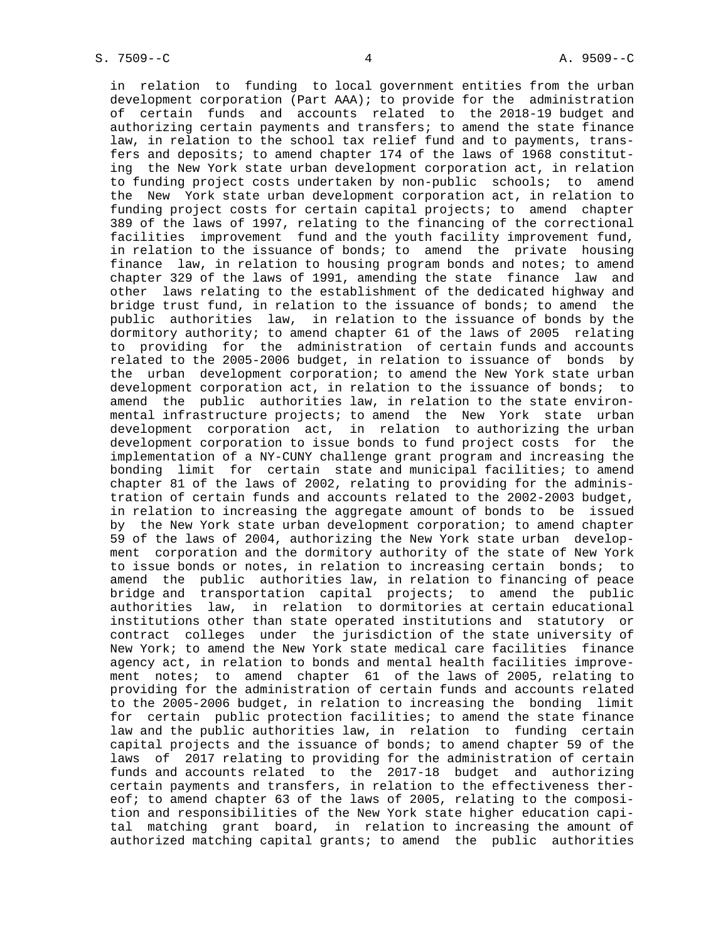in relation to funding to local government entities from the urban development corporation (Part AAA); to provide for the administration of certain funds and accounts related to the 2018-19 budget and authorizing certain payments and transfers; to amend the state finance law, in relation to the school tax relief fund and to payments, trans fers and deposits; to amend chapter 174 of the laws of 1968 constitut ing the New York state urban development corporation act, in relation to funding project costs undertaken by non-public schools; to amend the New York state urban development corporation act, in relation to funding project costs for certain capital projects; to amend chapter 389 of the laws of 1997, relating to the financing of the correctional facilities improvement fund and the youth facility improvement fund, in relation to the issuance of bonds; to amend the private housing finance law, in relation to housing program bonds and notes; to amend chapter 329 of the laws of 1991, amending the state finance law and other laws relating to the establishment of the dedicated highway and bridge trust fund, in relation to the issuance of bonds; to amend the public authorities law, in relation to the issuance of bonds by the dormitory authority; to amend chapter 61 of the laws of 2005 relating to providing for the administration of certain funds and accounts related to the 2005-2006 budget, in relation to issuance of bonds by the urban development corporation; to amend the New York state urban development corporation act, in relation to the issuance of bonds; to amend the public authorities law, in relation to the state environ mental infrastructure projects; to amend the New York state urban development corporation act, in relation to authorizing the urban development corporation to issue bonds to fund project costs for the implementation of a NY-CUNY challenge grant program and increasing the bonding limit for certain state and municipal facilities; to amend chapter 81 of the laws of 2002, relating to providing for the adminis tration of certain funds and accounts related to the 2002-2003 budget, in relation to increasing the aggregate amount of bonds to be issued by the New York state urban development corporation; to amend chapter 59 of the laws of 2004, authorizing the New York state urban develop ment corporation and the dormitory authority of the state of New York to issue bonds or notes, in relation to increasing certain bonds; to amend the public authorities law, in relation to financing of peace bridge and transportation capital projects; to amend the public authorities law, in relation to dormitories at certain educational institutions other than state operated institutions and statutory or contract colleges under the jurisdiction of the state university of New York; to amend the New York state medical care facilities finance agency act, in relation to bonds and mental health facilities improve ment notes; to amend chapter 61 of the laws of 2005, relating to providing for the administration of certain funds and accounts related to the 2005-2006 budget, in relation to increasing the bonding limit for certain public protection facilities; to amend the state finance law and the public authorities law, in relation to funding certain capital projects and the issuance of bonds; to amend chapter 59 of the laws of 2017 relating to providing for the administration of certain funds and accounts related to the 2017-18 budget and authorizing certain payments and transfers, in relation to the effectiveness ther eof; to amend chapter 63 of the laws of 2005, relating to the composi tion and responsibilities of the New York state higher education capi tal matching grant board, in relation to increasing the amount of authorized matching capital grants; to amend the public authorities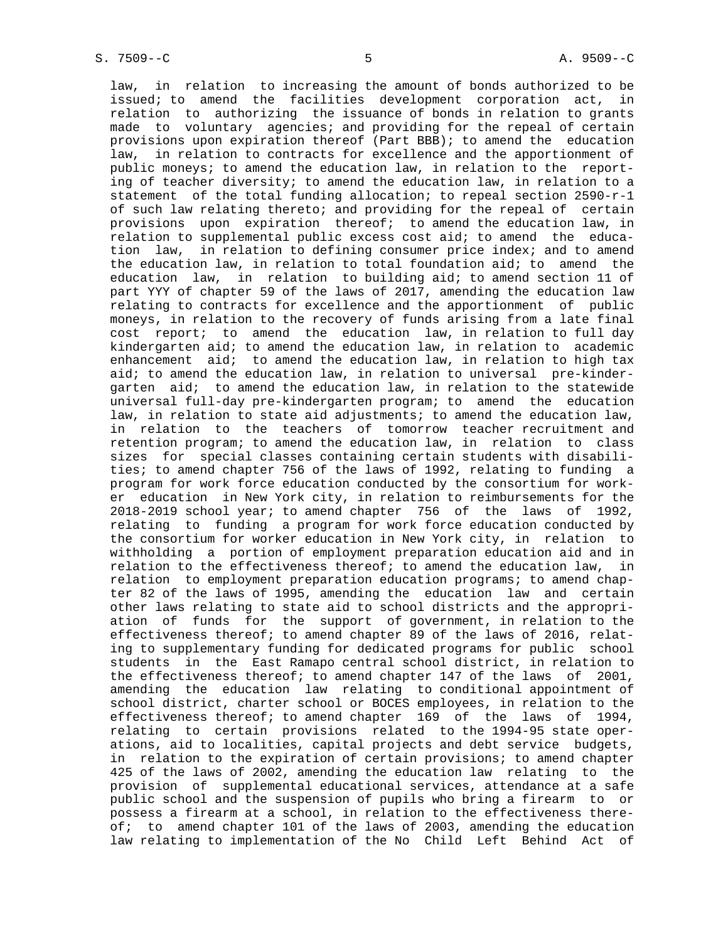law, in relation to increasing the amount of bonds authorized to be issued; to amend the facilities development corporation act, in relation to authorizing the issuance of bonds in relation to grants made to voluntary agencies; and providing for the repeal of certain provisions upon expiration thereof (Part BBB); to amend the education law, in relation to contracts for excellence and the apportionment of public moneys; to amend the education law, in relation to the report ing of teacher diversity; to amend the education law, in relation to a statement of the total funding allocation; to repeal section 2590-r-1 of such law relating thereto; and providing for the repeal of certain provisions upon expiration thereof; to amend the education law, in relation to supplemental public excess cost aid; to amend the educa tion law, in relation to defining consumer price index; and to amend the education law, in relation to total foundation aid; to amend the education law, in relation to building aid; to amend section 11 of part YYY of chapter 59 of the laws of 2017, amending the education law relating to contracts for excellence and the apportionment of public moneys, in relation to the recovery of funds arising from a late final cost report; to amend the education law, in relation to full day kindergarten aid; to amend the education law, in relation to academic enhancement aid; to amend the education law, in relation to high tax aid; to amend the education law, in relation to universal pre-kinder garten aid; to amend the education law, in relation to the statewide universal full-day pre-kindergarten program; to amend the education law, in relation to state aid adjustments; to amend the education law, in relation to the teachers of tomorrow teacher recruitment and retention program; to amend the education law, in relation to class sizes for special classes containing certain students with disabili ties; to amend chapter 756 of the laws of 1992, relating to funding a program for work force education conducted by the consortium for work er education in New York city, in relation to reimbursements for the 2018-2019 school year; to amend chapter 756 of the laws of 1992, relating to funding a program for work force education conducted by the consortium for worker education in New York city, in relation to withholding a portion of employment preparation education aid and in relation to the effectiveness thereof; to amend the education law, in relation to employment preparation education programs; to amend chap ter 82 of the laws of 1995, amending the education law and certain other laws relating to state aid to school districts and the appropri ation of funds for the support of government, in relation to the effectiveness thereof; to amend chapter 89 of the laws of 2016, relat ing to supplementary funding for dedicated programs for public school students in the East Ramapo central school district, in relation to the effectiveness thereof; to amend chapter 147 of the laws of 2001, amending the education law relating to conditional appointment of school district, charter school or BOCES employees, in relation to the effectiveness thereof; to amend chapter 169 of the laws of 1994, relating to certain provisions related to the 1994-95 state oper ations, aid to localities, capital projects and debt service budgets, in relation to the expiration of certain provisions; to amend chapter 425 of the laws of 2002, amending the education law relating to the provision of supplemental educational services, attendance at a safe public school and the suspension of pupils who bring a firearm to or possess a firearm at a school, in relation to the effectiveness there of; to amend chapter 101 of the laws of 2003, amending the education law relating to implementation of the No Child Left Behind Act of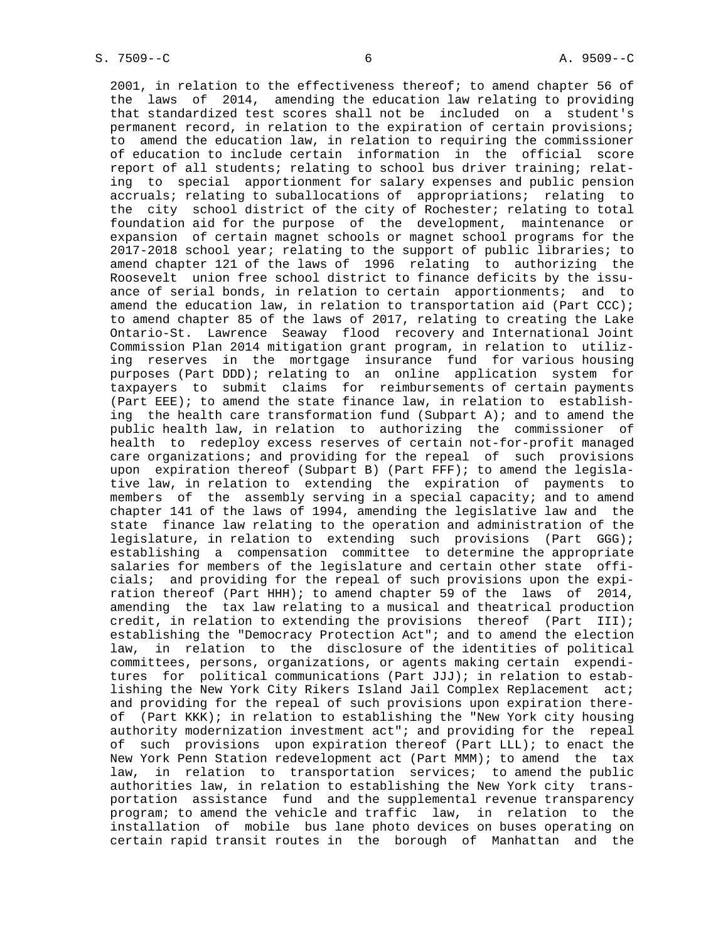2001, in relation to the effectiveness thereof; to amend chapter 56 of the laws of 2014, amending the education law relating to providing that standardized test scores shall not be included on a student's permanent record, in relation to the expiration of certain provisions; to amend the education law, in relation to requiring the commissioner of education to include certain information in the official score report of all students; relating to school bus driver training; relat ing to special apportionment for salary expenses and public pension accruals; relating to suballocations of appropriations; relating to the city school district of the city of Rochester; relating to total foundation aid for the purpose of the development, maintenance or expansion of certain magnet schools or magnet school programs for the 2017-2018 school year; relating to the support of public libraries; to amend chapter 121 of the laws of 1996 relating to authorizing the Roosevelt union free school district to finance deficits by the issu ance of serial bonds, in relation to certain apportionments; and to amend the education law, in relation to transportation aid (Part CCC); to amend chapter 85 of the laws of 2017, relating to creating the Lake Ontario-St. Lawrence Seaway flood recovery and International Joint Commission Plan 2014 mitigation grant program, in relation to utiliz ing reserves in the mortgage insurance fund for various housing purposes (Part DDD); relating to an online application system for taxpayers to submit claims for reimbursements of certain payments (Part EEE); to amend the state finance law, in relation to establish ing the health care transformation fund (Subpart A); and to amend the public health law, in relation to authorizing the commissioner of health to redeploy excess reserves of certain not-for-profit managed care organizations; and providing for the repeal of such provisions upon expiration thereof (Subpart B) (Part FFF); to amend the legisla tive law, in relation to extending the expiration of payments to members of the assembly serving in a special capacity; and to amend chapter 141 of the laws of 1994, amending the legislative law and the state finance law relating to the operation and administration of the legislature, in relation to extending such provisions (Part GGG); establishing a compensation committee to determine the appropriate salaries for members of the legislature and certain other state offi cials; and providing for the repeal of such provisions upon the expi ration thereof (Part HHH); to amend chapter 59 of the laws of 2014, amending the tax law relating to a musical and theatrical production credit, in relation to extending the provisions thereof (Part III); establishing the "Democracy Protection Act"; and to amend the election law, in relation to the disclosure of the identities of political committees, persons, organizations, or agents making certain expendi tures for political communications (Part JJJ); in relation to estab lishing the New York City Rikers Island Jail Complex Replacement act; and providing for the repeal of such provisions upon expiration there of (Part KKK); in relation to establishing the "New York city housing authority modernization investment act"; and providing for the repeal of such provisions upon expiration thereof (Part LLL); to enact the New York Penn Station redevelopment act (Part MMM); to amend the tax law, in relation to transportation services; to amend the public authorities law, in relation to establishing the New York city trans portation assistance fund and the supplemental revenue transparency program; to amend the vehicle and traffic law, in relation to the installation of mobile bus lane photo devices on buses operating on certain rapid transit routes in the borough of Manhattan and the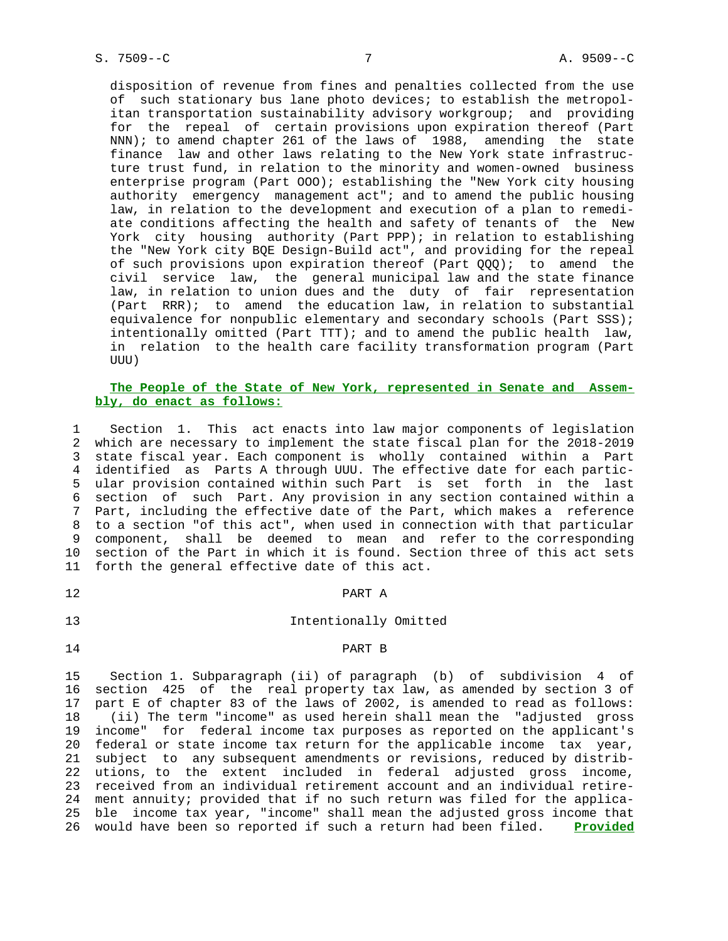disposition of revenue from fines and penalties collected from the use of such stationary bus lane photo devices; to establish the metropol itan transportation sustainability advisory workgroup; and providing for the repeal of certain provisions upon expiration thereof (Part NNN); to amend chapter 261 of the laws of 1988, amending the state finance law and other laws relating to the New York state infrastruc ture trust fund, in relation to the minority and women-owned business enterprise program (Part OOO); establishing the "New York city housing authority emergency management act"; and to amend the public housing law, in relation to the development and execution of a plan to remedi ate conditions affecting the health and safety of tenants of the New York city housing authority (Part PPP); in relation to establishing the "New York city BQE Design-Build act", and providing for the repeal of such provisions upon expiration thereof (Part QQQ); to amend the civil service law, the general municipal law and the state finance law, in relation to union dues and the duty of fair representation (Part RRR); to amend the education law, in relation to substantial equivalence for nonpublic elementary and secondary schools (Part SSS); intentionally omitted (Part TTT); and to amend the public health law, in relation to the health care facility transformation program (Part UUU)

## **The People of the State of New York, represented in Senate and Assem bly, do enact as follows:**

 1 Section 1. This act enacts into law major components of legislation 2 which are necessary to implement the state fiscal plan for the 2018-2019 3 state fiscal year. Each component is wholly contained within a Part 4 identified as Parts A through UUU. The effective date for each partic- 5 ular provision contained within such Part is set forth in the last 6 section of such Part. Any provision in any section contained within a 7 Part, including the effective date of the Part, which makes a reference 8 to a section "of this act", when used in connection with that particular 9 component, shall be deemed to mean and refer to the corresponding 10 section of the Part in which it is found. Section three of this act sets 11 forth the general effective date of this act.

## 12 PART A

# 13 Intentionally Omitted

#### 14 PART B

 15 Section 1. Subparagraph (ii) of paragraph (b) of subdivision 4 of 16 section 425 of the real property tax law, as amended by section 3 of 17 part E of chapter 83 of the laws of 2002, is amended to read as follows: 18 (ii) The term "income" as used herein shall mean the "adjusted gross 19 income" for federal income tax purposes as reported on the applicant's 20 federal or state income tax return for the applicable income tax year, 21 subject to any subsequent amendments or revisions, reduced by distrib- 22 utions, to the extent included in federal adjusted gross income, 23 received from an individual retirement account and an individual retire- 24 ment annuity; provided that if no such return was filed for the applica- 25 ble income tax year, "income" shall mean the adjusted gross income that 26 would have been so reported if such a return had been filed. **Provided**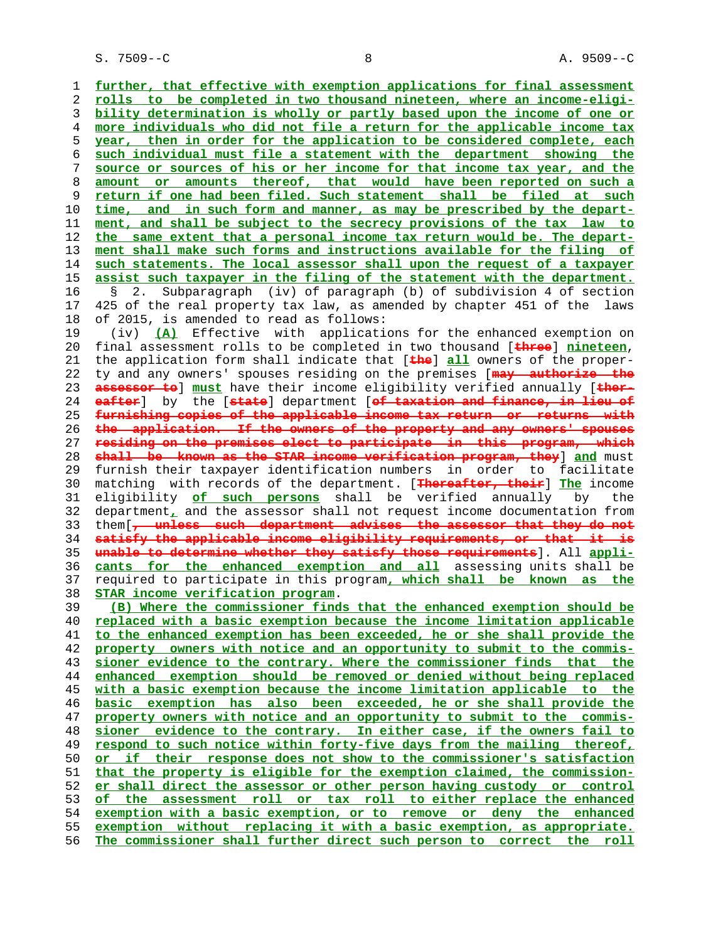S. 7509--C 8 A. 9509--C

**further, that effective with exemption applications for final assessment rolls to be completed in two thousand nineteen, where an income-eligi- bility determination is wholly or partly based upon the income of one or more individuals who did not file a return for the applicable income tax year, then in order for the application to be considered complete, each such individual must file a statement with the department showing the source or sources of his or her income for that income tax year, and the amount or amounts thereof, that would have been reported on such a return if one had been filed. Such statement shall be filed at such time, and in such form and manner, as may be prescribed by the depart- ment, and shall be subject to the secrecy provisions of the tax law to the same extent that a personal income tax return would be. The depart- ment shall make such forms and instructions available for the filing of such statements. The local assessor shall upon the request of a taxpayer assist such taxpayer in the filing of the statement with the department.** 16 § 2. Subparagraph (iv) of paragraph (b) of subdivision 4 of section 17 425 of the real property tax law, as amended by chapter 451 of the laws 18 of 2015, is amended to read as follows: 19 (iv) **(A)** Effective with applications for the enhanced exemption on 20 final assessment rolls to be completed in two thousand [**three**] **nineteen**, 21 the application form shall indicate that [**the**] **all** owners of the proper- 22 ty and any owners' spouses residing on the premises [**may authorize the assessor to**] **must** have their income eligibility verified annually [**ther- eafter**] by the [**state**] department [**of taxation and finance, in lieu of furnishing copies of the applicable income tax return or returns with the application. If the owners of the property and any owners' spouses residing on the premises elect to participate in this program, which shall be known as the STAR income verification program, they**] **and** must 29 furnish their taxpayer identification numbers in order to facilitate 30 matching with records of the department. [**Thereafter, their**] **The** income 31 eligibility **of such persons** shall be verified annually by the 32 department**,** and the assessor shall not request income documentation from 33 them[**, unless such department advises the assessor that they do not satisfy the applicable income eligibility requirements, or that it is unable to determine whether they satisfy those requirements**]. All **appli- cants for the enhanced exemption and all** assessing units shall be 37 required to participate in this program**, which shall be known as the STAR income verification program**. **(B) Where the commissioner finds that the enhanced exemption should be replaced with a basic exemption because the income limitation applicable to the enhanced exemption has been exceeded, he or she shall provide the property owners with notice and an opportunity to submit to the commis- sioner evidence to the contrary. Where the commissioner finds that the enhanced exemption should be removed or denied without being replaced with a basic exemption because the income limitation applicable to the basic exemption has also been exceeded, he or she shall provide the property owners with notice and an opportunity to submit to the commis- sioner evidence to the contrary. In either case, if the owners fail to respond to such notice within forty-five days from the mailing thereof, or if their response does not show to the commissioner's satisfaction that the property is eligible for the exemption claimed, the commission- er shall direct the assessor or other person having custody or control of the assessment roll or tax roll to either replace the enhanced exemption with a basic exemption, or to remove or deny the enhanced exemption without replacing it with a basic exemption, as appropriate. The commissioner shall further direct such person to correct the roll**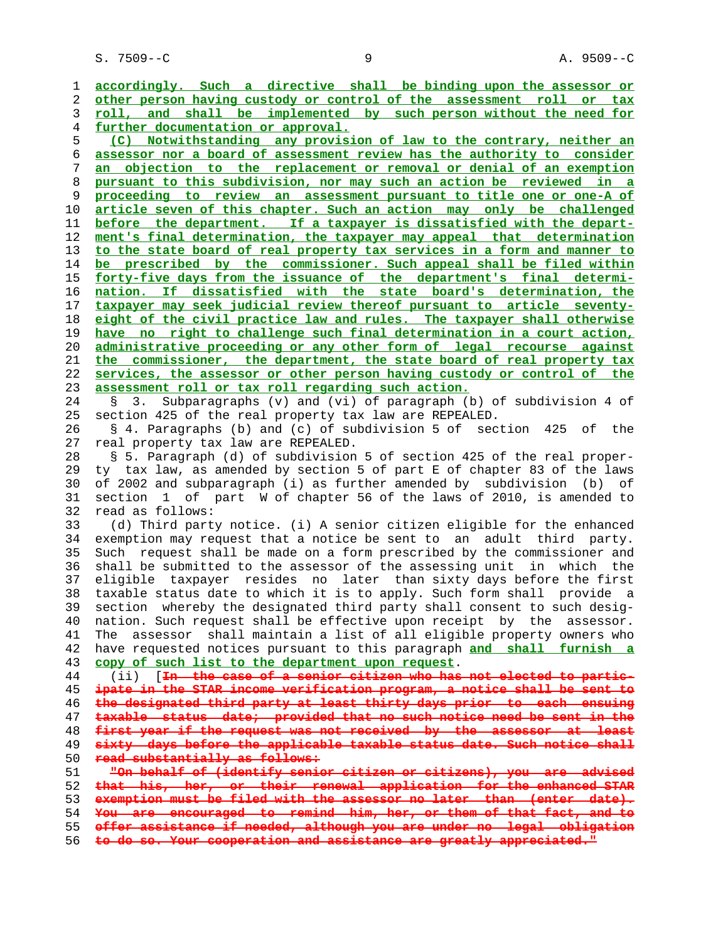S. 7509--C 9 A. 9509--C

**accordingly. Such a directive shall be binding upon the assessor or other person having custody or control of the assessment roll or tax roll, and shall be implemented by such person without the need for further documentation or approval. (C) Notwithstanding any provision of law to the contrary, neither an assessor nor a board of assessment review has the authority to consider an objection to the replacement or removal or denial of an exemption pursuant to this subdivision, nor may such an action be reviewed in a proceeding to review an assessment pursuant to title one or one-A of article seven of this chapter. Such an action may only be challenged before the department. If a taxpayer is dissatisfied with the depart- ment's final determination, the taxpayer may appeal that determination to the state board of real property tax services in a form and manner to be prescribed by the commissioner. Such appeal shall be filed within forty-five days from the issuance of the department's final determi- nation. If dissatisfied with the state board's determination, the taxpayer may seek judicial review thereof pursuant to article seventy- eight of the civil practice law and rules. The taxpayer shall otherwise have no right to challenge such final determination in a court action, administrative proceeding or any other form of legal recourse against the commissioner, the department, the state board of real property tax services, the assessor or other person having custody or control of the assessment roll or tax roll regarding such action.** 24 § 3. Subparagraphs (v) and (vi) of paragraph (b) of subdivision 4 of 25 section 425 of the real property tax law are REPEALED. 26 § 4. Paragraphs (b) and (c) of subdivision 5 of section 425 of the 27 real property tax law are REPEALED. 28 § 5. Paragraph (d) of subdivision 5 of section 425 of the real proper- 29 ty tax law, as amended by section 5 of part E of chapter 83 of the laws 30 of 2002 and subparagraph (i) as further amended by subdivision (b) of 31 section 1 of part W of chapter 56 of the laws of 2010, is amended to 32 read as follows: 33 (d) Third party notice. (i) A senior citizen eligible for the enhanced 34 exemption may request that a notice be sent to an adult third party. 35 Such request shall be made on a form prescribed by the commissioner and 36 shall be submitted to the assessor of the assessing unit in which the 37 eligible taxpayer resides no later than sixty days before the first 38 taxable status date to which it is to apply. Such form shall provide a 39 section whereby the designated third party shall consent to such desig- 40 nation. Such request shall be effective upon receipt by the assessor. 41 The assessor shall maintain a list of all eligible property owners who 42 have requested notices pursuant to this paragraph **and shall furnish a copy of such list to the department upon request**. 44 (ii) [**In the case of a senior citizen who has not elected to partic- ipate in the STAR income verification program, a notice shall be sent to the designated third party at least thirty days prior to each ensuing taxable status date; provided that no such notice need be sent in the first year if the request was not received by the assessor at least sixty days before the applicable taxable status date. Such notice shall read substantially as follows: "On behalf of (identify senior citizen or citizens), you are advised that his, her, or their renewal application for the enhanced STAR exemption must be filed with the assessor no later than (enter date). You are encouraged to remind him, her, or them of that fact, and to offer assistance if needed, although you are under no legal obligation**

**to do so. Your cooperation and assistance are greatly appreciated."**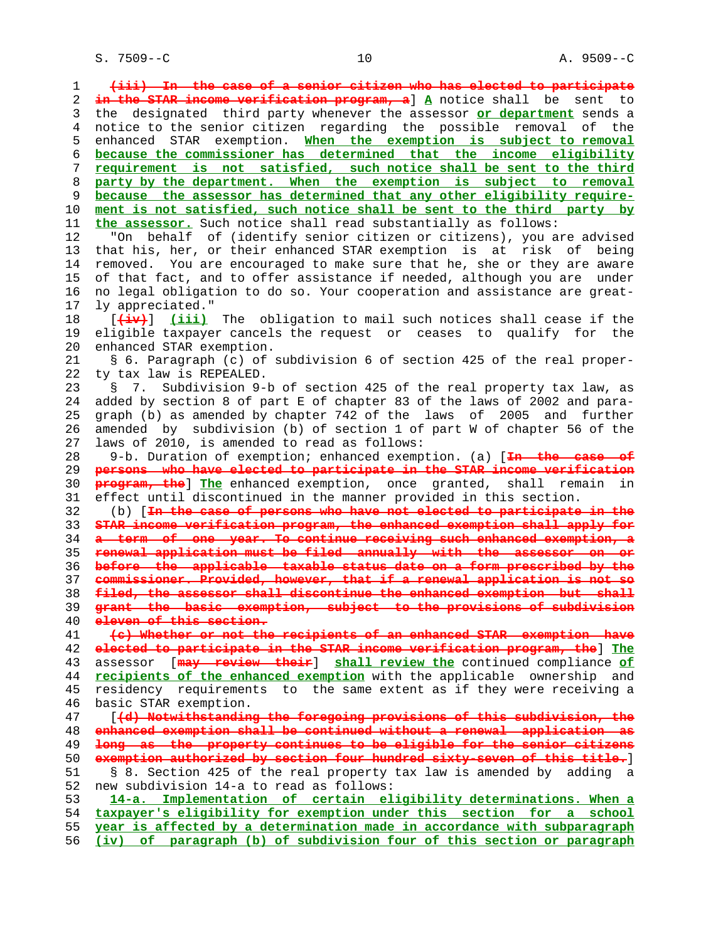S. 7509--C 10 A. 9509--C

 1 **(iii) In the case of a senior citizen who has elected to participate** 2 **in the STAR income verification program, a**] **A** notice shall be sent to 3 the designated third party whenever the assessor **or department** sends a 4 notice to the senior citizen regarding the possible removal of the 5 enhanced STAR exemption. **When the exemption is subject to removal** 6 **because the commissioner has determined that the income eligibility** 7 **requirement is not satisfied, such notice shall be sent to the third** 8 **party by the department. When the exemption is subject to removal** 9 **because the assessor has determined that any other eligibility require-** 10 **ment is not satisfied, such notice shall be sent to the third party by** 11 **the assessor.** Such notice shall read substantially as follows: 12 "On behalf of (identify senior citizen or citizens), you are advised 13 that his, her, or their enhanced STAR exemption is at risk of being 14 removed. You are encouraged to make sure that he, she or they are aware 15 of that fact, and to offer assistance if needed, although you are under 16 no legal obligation to do so. Your cooperation and assistance are great- 17 ly appreciated." 18 [**(iv)**] **(iii)** The obligation to mail such notices shall cease if the 19 eligible taxpayer cancels the request or ceases to qualify for the 20 enhanced STAR exemption. 21 § 6. Paragraph (c) of subdivision 6 of section 425 of the real proper- 22 ty tax law is REPEALED. 23 § 7. Subdivision 9-b of section 425 of the real property tax law, as 24 added by section 8 of part E of chapter 83 of the laws of 2002 and para- 25 graph (b) as amended by chapter 742 of the laws of 2005 and further 26 amended by subdivision (b) of section 1 of part W of chapter 56 of the 27 laws of 2010, is amended to read as follows: 28 9-b. Duration of exemption; enhanced exemption. (a) [**In the case of** 29 **persons who have elected to participate in the STAR income verification** 30 **program, the**] **The** enhanced exemption, once granted, shall remain in 31 effect until discontinued in the manner provided in this section. 32 (b) [**In the case of persons who have not elected to participate in the** 33 **STAR income verification program, the enhanced exemption shall apply for** 34 **a term of one year. To continue receiving such enhanced exemption, a** 35 **renewal application must be filed annually with the assessor on or** 36 **before the applicable taxable status date on a form prescribed by the** 37 **commissioner. Provided, however, that if a renewal application is not so** 38 **filed, the assessor shall discontinue the enhanced exemption but shall** 39 **grant the basic exemption, subject to the provisions of subdivision** 40 **eleven of this section.** 41 **(c) Whether or not the recipients of an enhanced STAR exemption have** 42 **elected to participate in the STAR income verification program, the**] **The** 43 assessor [**may review their**] **shall review the** continued compliance **of** 44 **recipients of the enhanced exemption** with the applicable ownership and 45 residency requirements to the same extent as if they were receiving a 46 basic STAR exemption. 47 [**(d) Notwithstanding the foregoing provisions of this subdivision, the** 48 **enhanced exemption shall be continued without a renewal application as** 49 **long as the property continues to be eligible for the senior citizens** 50 **exemption authorized by section four hundred sixty-seven of this title.**] 51 § 8. Section 425 of the real property tax law is amended by adding a 52 new subdivision 14-a to read as follows: 53 **14-a. Implementation of certain eligibility determinations. When a** 54 **taxpayer's eligibility for exemption under this section for a school** 55 **year is affected by a determination made in accordance with subparagraph** 56 **(iv) of paragraph (b) of subdivision four of this section or paragraph**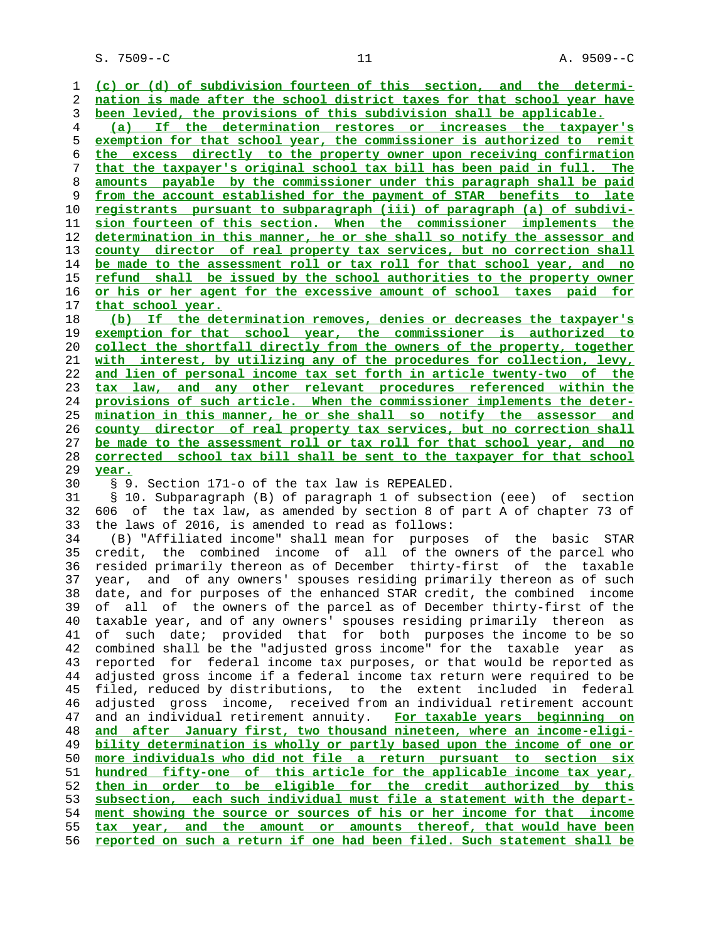S. 7509--C 11 A. 9509--C

**(c) or (d) of subdivision fourteen of this section, and the determi- nation is made after the school district taxes for that school year have been levied, the provisions of this subdivision shall be applicable. (a) If the determination restores or increases the taxpayer's exemption for that school year, the commissioner is authorized to remit the excess directly to the property owner upon receiving confirmation that the taxpayer's original school tax bill has been paid in full. The amounts payable by the commissioner under this paragraph shall be paid from the account established for the payment of STAR benefits to late registrants pursuant to subparagraph (iii) of paragraph (a) of subdivi- sion fourteen of this section. When the commissioner implements the determination in this manner, he or she shall so notify the assessor and county director of real property tax services, but no correction shall be made to the assessment roll or tax roll for that school year, and no refund shall be issued by the school authorities to the property owner or his or her agent for the excessive amount of school taxes paid for that school year. (b) If the determination removes, denies or decreases the taxpayer's exemption for that school year, the commissioner is authorized to collect the shortfall directly from the owners of the property, together with interest, by utilizing any of the procedures for collection, levy, and lien of personal income tax set forth in article twenty-two of the tax law, and any other relevant procedures referenced within the provisions of such article. When the commissioner implements the deter- mination in this manner, he or she shall so notify the assessor and county director of real property tax services, but no correction shall be made to the assessment roll or tax roll for that school year, and no corrected school tax bill shall be sent to the taxpayer for that school year.** 30 § 9. Section 171-o of the tax law is REPEALED. 31 § 10. Subparagraph (B) of paragraph 1 of subsection (eee) of section 32 606 of the tax law, as amended by section 8 of part A of chapter 73 of 33 the laws of 2016, is amended to read as follows: 34 (B) "Affiliated income" shall mean for purposes of the basic STAR 35 credit, the combined income of all of the owners of the parcel who 36 resided primarily thereon as of December thirty-first of the taxable 37 year, and of any owners' spouses residing primarily thereon as of such 38 date, and for purposes of the enhanced STAR credit, the combined income 39 of all of the owners of the parcel as of December thirty-first of the 40 taxable year, and of any owners' spouses residing primarily thereon as 41 of such date; provided that for both purposes the income to be so 42 combined shall be the "adjusted gross income" for the taxable year as 43 reported for federal income tax purposes, or that would be reported as 44 adjusted gross income if a federal income tax return were required to be 45 filed, reduced by distributions, to the extent included in federal 46 adjusted gross income, received from an individual retirement account 47 and an individual retirement annuity. **For taxable years beginning on and after January first, two thousand nineteen, where an income-eligi- bility determination is wholly or partly based upon the income of one or more individuals who did not file a return pursuant to section six hundred fifty-one of this article for the applicable income tax year, then in order to be eligible for the credit authorized by this subsection, each such individual must file a statement with the depart- ment showing the source or sources of his or her income for that income tax year, and the amount or amounts thereof, that would have been reported on such a return if one had been filed. Such statement shall be**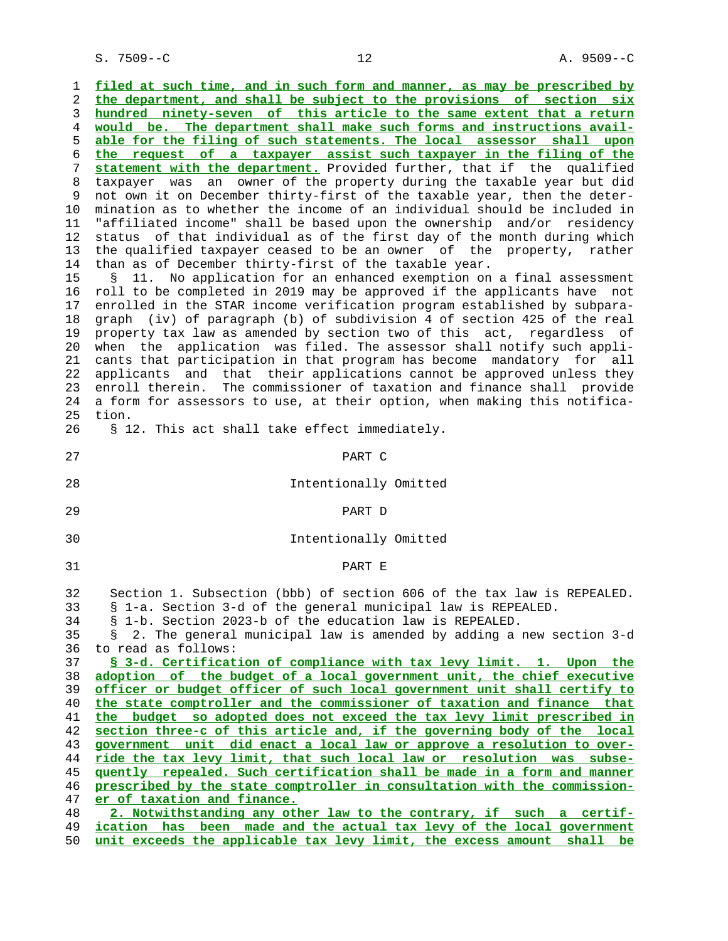S. 7509--C 12 A. 9509--C

 1 **filed at such time, and in such form and manner, as may be prescribed by** 2 **the department, and shall be subject to the provisions of section six** 3 **hundred ninety-seven of this article to the same extent that a return** 4 **would be. The department shall make such forms and instructions avail-** 5 **able for the filing of such statements. The local assessor shall upon** 6 **the request of a taxpayer assist such taxpayer in the filing of the** 7 **statement with the department.** Provided further, that if the qualified 8 taxpayer was an owner of the property during the taxable year but did not own it on December thirty-first of the taxable year, then the deter- 10 mination as to whether the income of an individual should be included in 11 "affiliated income" shall be based upon the ownership and/or residency 12 status of that individual as of the first day of the month during which 13 the qualified taxpayer ceased to be an owner of the property, rather 14 than as of December thirty-first of the taxable year. 15 § 11. No application for an enhanced exemption on a final assessment 16 roll to be completed in 2019 may be approved if the applicants have not 17 enrolled in the STAR income verification program established by subpara- 18 graph (iv) of paragraph (b) of subdivision 4 of section 425 of the real 19 property tax law as amended by section two of this act, regardless of 20 when the application was filed. The assessor shall notify such appli- 21 cants that participation in that program has become mandatory for all 22 applicants and that their applications cannot be approved unless they 23 enroll therein. The commissioner of taxation and finance shall provide 24 a form for assessors to use, at their option, when making this notifica- 25 tion. 26 § 12. This act shall take effect immediately. 27 PART C 28 Intentionally Omitted

29 PART D

30 Intentionally Omitted

31 PART E

 32 Section 1. Subsection (bbb) of section 606 of the tax law is REPEALED. 33 § 1-a. Section 3-d of the general municipal law is REPEALED. 34 § 1-b. Section 2023-b of the education law is REPEALED. 35 § 2. The general municipal law is amended by adding a new section 3-d 36 to read as follows: **§ 3-d. Certification of compliance with tax levy limit. 1. Upon the adoption of the budget of a local government unit, the chief executive officer or budget officer of such local government unit shall certify to the state comptroller and the commissioner of taxation and finance that the budget so adopted does not exceed the tax levy limit prescribed in section three-c of this article and, if the governing body of the local government unit did enact a local law or approve a resolution to over- ride the tax levy limit, that such local law or resolution was subse- quently repealed. Such certification shall be made in a form and manner prescribed by the state comptroller in consultation with the commission- er of taxation and finance. 2. Notwithstanding any other law to the contrary, if such a certif- ication has been made and the actual tax levy of the local government**

50 **unit exceeds the applicable tax levy limit, the excess amount shall be**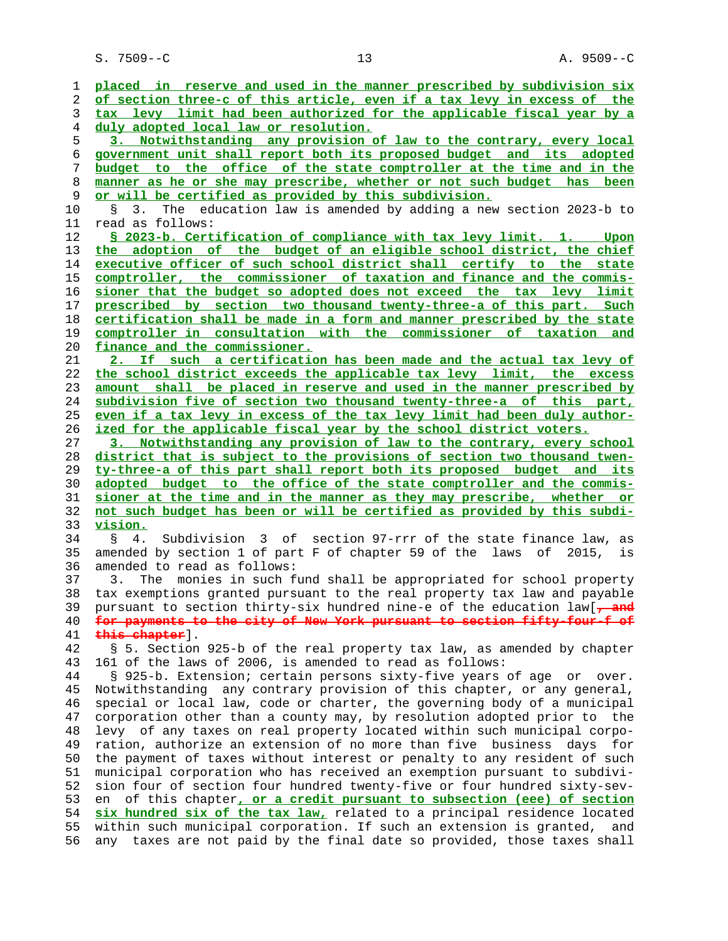S. 7509--C 13 A. 9509--C

 1 **placed in reserve and used in the manner prescribed by subdivision six** 2 **of section three-c of this article, even if a tax levy in excess of the** 3 **tax levy limit had been authorized for the applicable fiscal year by a** 4 **duly adopted local law or resolution.** 5 **3. Notwithstanding any provision of law to the contrary, every local** 6 **government unit shall report both its proposed budget and its adopted** 7 **budget to the office of the state comptroller at the time and in the** 8 **manner as he or she may prescribe, whether or not such budget has been** 9 **or will be certified as provided by this subdivision.** 10 § 3. The education law is amended by adding a new section 2023-b to 11 read as follows: 12 **§ 2023-b. Certification of compliance with tax levy limit. 1. Upon** 13 **the adoption of the budget of an eligible school district, the chief** 14 **executive officer of such school district shall certify to the state** 15 **comptroller, the commissioner of taxation and finance and the commis-** 16 **sioner that the budget so adopted does not exceed the tax levy limit** 17 **prescribed by section two thousand twenty-three-a of this part. Such** 18 **certification shall be made in a form and manner prescribed by the state** 19 **comptroller in consultation with the commissioner of taxation and** 20 **finance and the commissioner.** 21 **2. If such a certification has been made and the actual tax levy of** 22 **the school district exceeds the applicable tax levy limit, the excess** 23 **amount shall be placed in reserve and used in the manner prescribed by** 24 **subdivision five of section two thousand twenty-three-a of this part,** 25 **even if a tax levy in excess of the tax levy limit had been duly author-** 26 **ized for the applicable fiscal year by the school district voters.** 27 **3. Notwithstanding any provision of law to the contrary, every school** 28 **district that is subject to the provisions of section two thousand twen-** 29 **ty-three-a of this part shall report both its proposed budget and its** 30 **adopted budget to the office of the state comptroller and the commis-** 31 **sioner at the time and in the manner as they may prescribe, whether or** 32 **not such budget has been or will be certified as provided by this subdi-** 33 **vision.** 34 § 4. Subdivision 3 of section 97-rrr of the state finance law, as 35 amended by section 1 of part F of chapter 59 of the laws of 2015, is 36 amended to read as follows: 37 3. The monies in such fund shall be appropriated for school property 38 tax exemptions granted pursuant to the real property tax law and payable 39 pursuant to section thirty-six hundred nine-e of the education law[**, and** 40 **for payments to the city of New York pursuant to section fifty-four-f of** 41 **this chapter**]. 42 § 5. Section 925-b of the real property tax law, as amended by chapter 43 161 of the laws of 2006, is amended to read as follows: 44 § 925-b. Extension; certain persons sixty-five years of age or over. 45 Notwithstanding any contrary provision of this chapter, or any general, 46 special or local law, code or charter, the governing body of a municipal 47 corporation other than a county may, by resolution adopted prior to the 48 levy of any taxes on real property located within such municipal corpo- 49 ration, authorize an extension of no more than five business days for 50 the payment of taxes without interest or penalty to any resident of such 51 municipal corporation who has received an exemption pursuant to subdivi- 52 sion four of section four hundred twenty-five or four hundred sixty-sev- 53 en of this chapter**, or a credit pursuant to subsection (eee) of section** 54 **six hundred six of the tax law,** related to a principal residence located 55 within such municipal corporation. If such an extension is granted, and 56 any taxes are not paid by the final date so provided, those taxes shall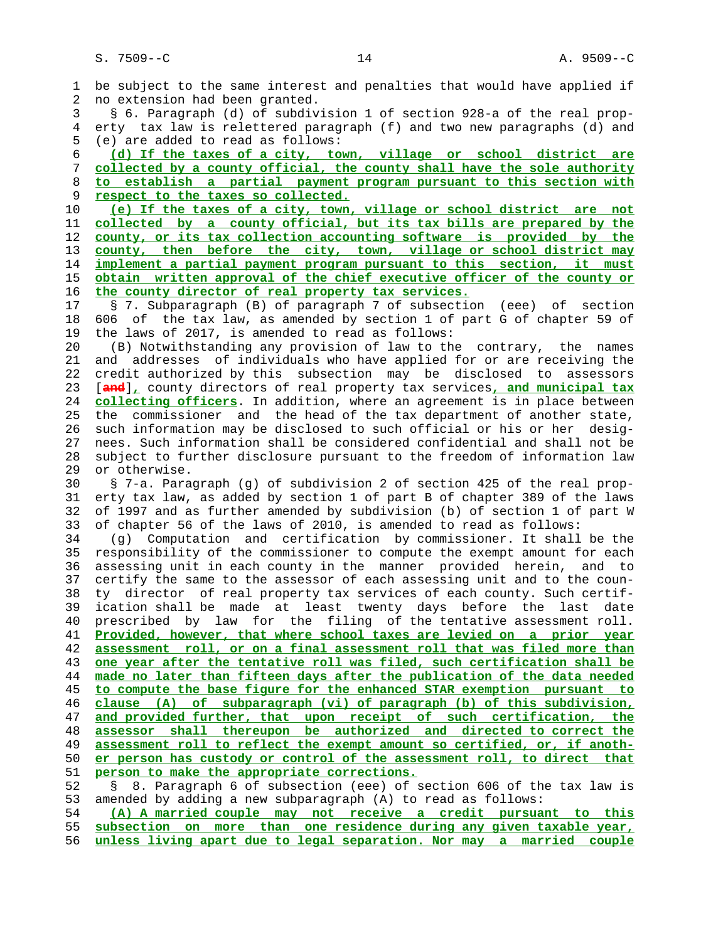1 be subject to the same interest and penalties that would have applied if 2 no extension had been granted. 3 § 6. Paragraph (d) of subdivision 1 of section 928-a of the real prop- 4 erty tax law is relettered paragraph (f) and two new paragraphs (d) and 5 (e) are added to read as follows: 6 **(d) If the taxes of a city, town, village or school district are** 7 **collected by a county official, the county shall have the sole authority** 8 **to establish a partial payment program pursuant to this section with** 9 **respect to the taxes so collected.** 10 **(e) If the taxes of a city, town, village or school district are not** 11 **collected by a county official, but its tax bills are prepared by the** 12 **county, or its tax collection accounting software is provided by the** 13 **county, then before the city, town, village or school district may** 14 **implement a partial payment program pursuant to this section, it must** 15 **obtain written approval of the chief executive officer of the county or** 16 **the county director of real property tax services.** 17 § 7. Subparagraph (B) of paragraph 7 of subsection (eee) of section 18 606 of the tax law, as amended by section 1 of part G of chapter 59 of 19 the laws of 2017, is amended to read as follows: 20 (B) Notwithstanding any provision of law to the contrary, the names 21 and addresses of individuals who have applied for or are receiving the 22 credit authorized by this subsection may be disclosed to assessors 23 [**and**]**,** county directors of real property tax services**, and municipal tax** 24 **collecting officers**. In addition, where an agreement is in place between 25 the commissioner and the head of the tax department of another state, 26 such information may be disclosed to such official or his or her desig- 27 nees. Such information shall be considered confidential and shall not be 28 subject to further disclosure pursuant to the freedom of information law 29 or otherwise. 30 § 7-a. Paragraph (g) of subdivision 2 of section 425 of the real prop- 31 erty tax law, as added by section 1 of part B of chapter 389 of the laws 32 of 1997 and as further amended by subdivision (b) of section 1 of part W 33 of chapter 56 of the laws of 2010, is amended to read as follows: 34 (g) Computation and certification by commissioner. It shall be the 35 responsibility of the commissioner to compute the exempt amount for each 36 assessing unit in each county in the manner provided herein, and to 37 certify the same to the assessor of each assessing unit and to the coun- 38 ty director of real property tax services of each county. Such certif- 39 ication shall be made at least twenty days before the last date 40 prescribed by law for the filing of the tentative assessment roll. 41 **Provided, however, that where school taxes are levied on a prior year** 42 **assessment roll, or on a final assessment roll that was filed more than** 43 **one year after the tentative roll was filed, such certification shall be** 44 **made no later than fifteen days after the publication of the data needed** 45 **to compute the base figure for the enhanced STAR exemption pursuant to** 46 **clause (A) of subparagraph (vi) of paragraph (b) of this subdivision,** 47 **and provided further, that upon receipt of such certification, the** 48 **assessor shall thereupon be authorized and directed to correct the** 49 **assessment roll to reflect the exempt amount so certified, or, if anoth-** 50 **er person has custody or control of the assessment roll, to direct that** 51 **person to make the appropriate corrections.** 52 § 8. Paragraph 6 of subsection (eee) of section 606 of the tax law is 53 amended by adding a new subparagraph (A) to read as follows: 54 **(A) A married couple may not receive a credit pursuant to this** 55 **subsection on more than one residence during any given taxable year,** 56 **unless living apart due to legal separation. Nor may a married couple**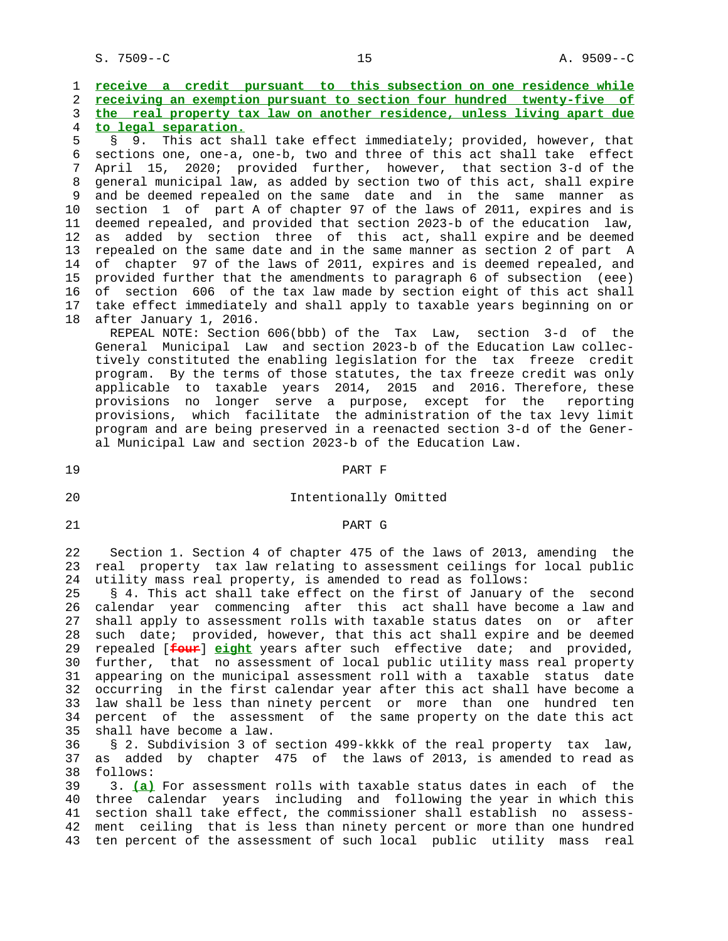S. 7509--C 25 A. 9509--C

**receive a credit pursuant to this subsection on one residence while receiving an exemption pursuant to section four hundred twenty-five of the real property tax law on another residence, unless living apart due to legal separation.**

 5 § 9. This act shall take effect immediately; provided, however, that 6 sections one, one-a, one-b, two and three of this act shall take effect 7 April 15, 2020; provided further, however, that section 3-d of the 8 general municipal law, as added by section two of this act, shall expire 9 and be deemed repealed on the same date and in the same manner as 10 section 1 of part A of chapter 97 of the laws of 2011, expires and is 11 deemed repealed, and provided that section 2023-b of the education law, 12 as added by section three of this act, shall expire and be deemed 13 repealed on the same date and in the same manner as section 2 of part A 14 of chapter 97 of the laws of 2011, expires and is deemed repealed, and 15 provided further that the amendments to paragraph 6 of subsection (eee) 16 of section 606 of the tax law made by section eight of this act shall 17 take effect immediately and shall apply to taxable years beginning on or 18 after January 1, 2016.

 REPEAL NOTE: Section 606(bbb) of the Tax Law, section 3-d of the General Municipal Law and section 2023-b of the Education Law collec tively constituted the enabling legislation for the tax freeze credit program. By the terms of those statutes, the tax freeze credit was only applicable to taxable years 2014, 2015 and 2016. Therefore, these provisions no longer serve a purpose, except for the reporting provisions, which facilitate the administration of the tax levy limit program and are being preserved in a reenacted section 3-d of the Gener al Municipal Law and section 2023-b of the Education Law.

19 PART F

### 20 Intentionally Omitted

#### 21 PART G

 22 Section 1. Section 4 of chapter 475 of the laws of 2013, amending the 23 real property tax law relating to assessment ceilings for local public 24 utility mass real property, is amended to read as follows:

 25 § 4. This act shall take effect on the first of January of the second 26 calendar year commencing after this act shall have become a law and 27 shall apply to assessment rolls with taxable status dates on or after 28 such date; provided, however, that this act shall expire and be deemed 29 repealed [**four**] **eight** years after such effective date; and provided, 30 further, that no assessment of local public utility mass real property 31 appearing on the municipal assessment roll with a taxable status date 32 occurring in the first calendar year after this act shall have become a 33 law shall be less than ninety percent or more than one hundred ten 34 percent of the assessment of the same property on the date this act 35 shall have become a law.

 36 § 2. Subdivision 3 of section 499-kkkk of the real property tax law, 37 as added by chapter 475 of the laws of 2013, is amended to read as 38 follows:

 39 3. **(a)** For assessment rolls with taxable status dates in each of the 40 three calendar years including and following the year in which this 41 section shall take effect, the commissioner shall establish no assess- 42 ment ceiling that is less than ninety percent or more than one hundred 43 ten percent of the assessment of such local public utility mass real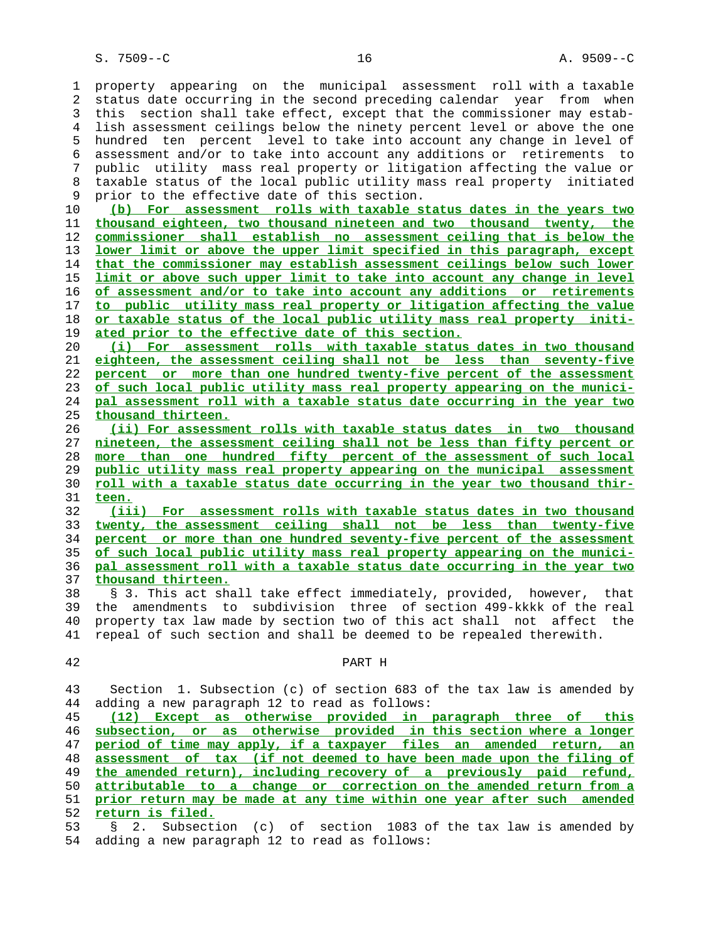1 property appearing on the municipal assessment roll with a taxable 2 status date occurring in the second preceding calendar year from when 3 this section shall take effect, except that the commissioner may estab- 4 lish assessment ceilings below the ninety percent level or above the one 5 hundred ten percent level to take into account any change in level of 6 assessment and/or to take into account any additions or retirements to 7 public utility mass real property or litigation affecting the value or 8 taxable status of the local public utility mass real property initiated<br>9 prior to the effective date of this section. prior to the effective date of this section. **(b) For assessment rolls with taxable status dates in the years two thousand eighteen, two thousand nineteen and two thousand twenty, the**

**commissioner shall establish no assessment ceiling that is below the lower limit or above the upper limit specified in this paragraph, except that the commissioner may establish assessment ceilings below such lower limit or above such upper limit to take into account any change in level of assessment and/or to take into account any additions or retirements to public utility mass real property or litigation affecting the value or taxable status of the local public utility mass real property initi- ated prior to the effective date of this section.**

**(i) For assessment rolls with taxable status dates in two thousand eighteen, the assessment ceiling shall not be less than seventy-five percent or more than one hundred twenty-five percent of the assessment of such local public utility mass real property appearing on the munici- pal assessment roll with a taxable status date occurring in the year two thousand thirteen.**

**(ii) For assessment rolls with taxable status dates in two thousand nineteen, the assessment ceiling shall not be less than fifty percent or more than one hundred fifty percent of the assessment of such local public utility mass real property appearing on the municipal assessment roll with a taxable status date occurring in the year two thousand thir- teen.**

**(iii) For assessment rolls with taxable status dates in two thousand twenty, the assessment ceiling shall not be less than twenty-five percent or more than one hundred seventy-five percent of the assessment of such local public utility mass real property appearing on the munici- pal assessment roll with a taxable status date occurring in the year two thousand thirteen.**

 38 § 3. This act shall take effect immediately, provided, however, that 39 the amendments to subdivision three of section 499-kkkk of the real 40 property tax law made by section two of this act shall not affect the 41 repeal of such section and shall be deemed to be repealed therewith.

| ۹ |
|---|

PART H

 43 Section 1. Subsection (c) of section 683 of the tax law is amended by 44 adding a new paragraph 12 to read as follows:

**(12) Except as otherwise provided in paragraph three of this subsection, or as otherwise provided in this section where a longer period of time may apply, if a taxpayer files an amended return, an assessment of tax (if not deemed to have been made upon the filing of the amended return), including recovery of a previously paid refund, attributable to a change or correction on the amended return from a prior return may be made at any time within one year after such amended return is filed.**

 53 § 2. Subsection (c) of section 1083 of the tax law is amended by 54 adding a new paragraph 12 to read as follows: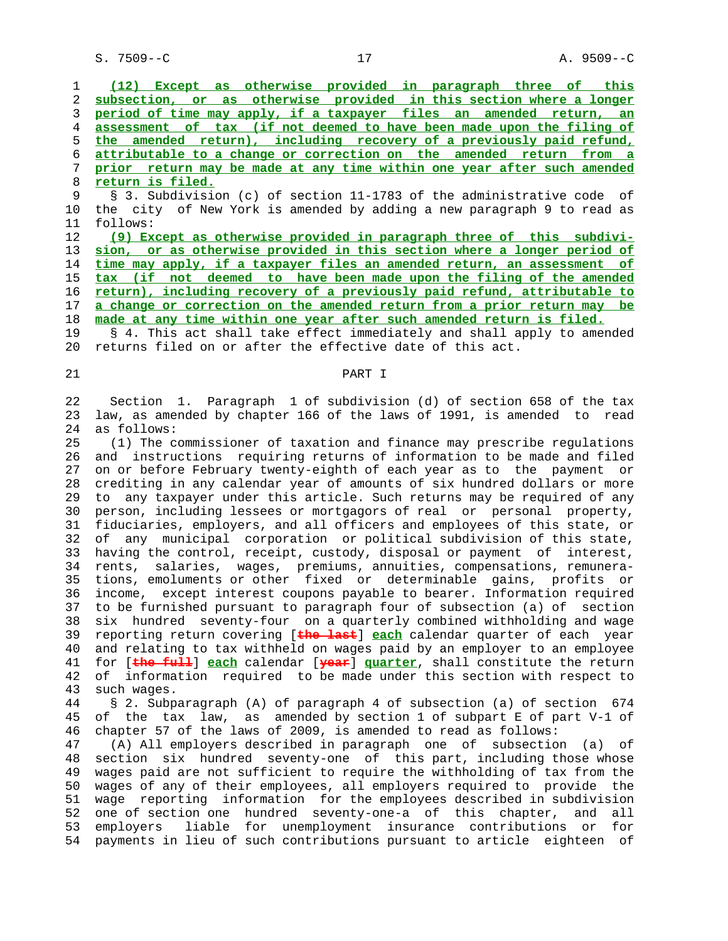S. 7509--C 27 27 A. 9509--C

**(12) Except as otherwise provided in paragraph three of this subsection, or as otherwise provided in this section where a longer period of time may apply, if a taxpayer files an amended return, an assessment of tax (if not deemed to have been made upon the filing of the amended return), including recovery of a previously paid refund, attributable to a change or correction on the amended return from a prior return may be made at any time within one year after such amended return is filed.** 9 § 3. Subdivision (c) of section 11-1783 of the administrative code of

 10 the city of New York is amended by adding a new paragraph 9 to read as 11 follows:

**(9) Except as otherwise provided in paragraph three of this subdivi- sion, or as otherwise provided in this section where a longer period of time may apply, if a taxpayer files an amended return, an assessment of tax (if not deemed to have been made upon the filing of the amended return), including recovery of a previously paid refund, attributable to a change or correction on the amended return from a prior return may be made at any time within one year after such amended return is filed.**

 19 § 4. This act shall take effect immediately and shall apply to amended 20 returns filed on or after the effective date of this act.

## 21 PART I

 22 Section 1. Paragraph 1 of subdivision (d) of section 658 of the tax 23 law, as amended by chapter 166 of the laws of 1991, is amended to read 24 as follows:

 25 (1) The commissioner of taxation and finance may prescribe regulations 26 and instructions requiring returns of information to be made and filed 27 on or before February twenty-eighth of each year as to the payment or 28 crediting in any calendar year of amounts of six hundred dollars or more 29 to any taxpayer under this article. Such returns may be required of any 30 person, including lessees or mortgagors of real or personal property, 31 fiduciaries, employers, and all officers and employees of this state, or 32 of any municipal corporation or political subdivision of this state, 33 having the control, receipt, custody, disposal or payment of interest, 34 rents, salaries, wages, premiums, annuities, compensations, remunera- 35 tions, emoluments or other fixed or determinable gains, profits or 36 income, except interest coupons payable to bearer. Information required 37 to be furnished pursuant to paragraph four of subsection (a) of section 38 six hundred seventy-four on a quarterly combined withholding and wage 39 reporting return covering [**the last**] **each** calendar quarter of each year 40 and relating to tax withheld on wages paid by an employer to an employee 41 for [**the full**] **each** calendar [**year**] **quarter**, shall constitute the return 42 of information required to be made under this section with respect to 43 such wages.

 44 § 2. Subparagraph (A) of paragraph 4 of subsection (a) of section 674 45 of the tax law, as amended by section 1 of subpart E of part V-1 of 46 chapter 57 of the laws of 2009, is amended to read as follows:

 47 (A) All employers described in paragraph one of subsection (a) of 48 section six hundred seventy-one of this part, including those whose 49 wages paid are not sufficient to require the withholding of tax from the 50 wages of any of their employees, all employers required to provide the 51 wage reporting information for the employees described in subdivision 52 one of section one hundred seventy-one-a of this chapter, and all 53 employers liable for unemployment insurance contributions or for 54 payments in lieu of such contributions pursuant to article eighteen of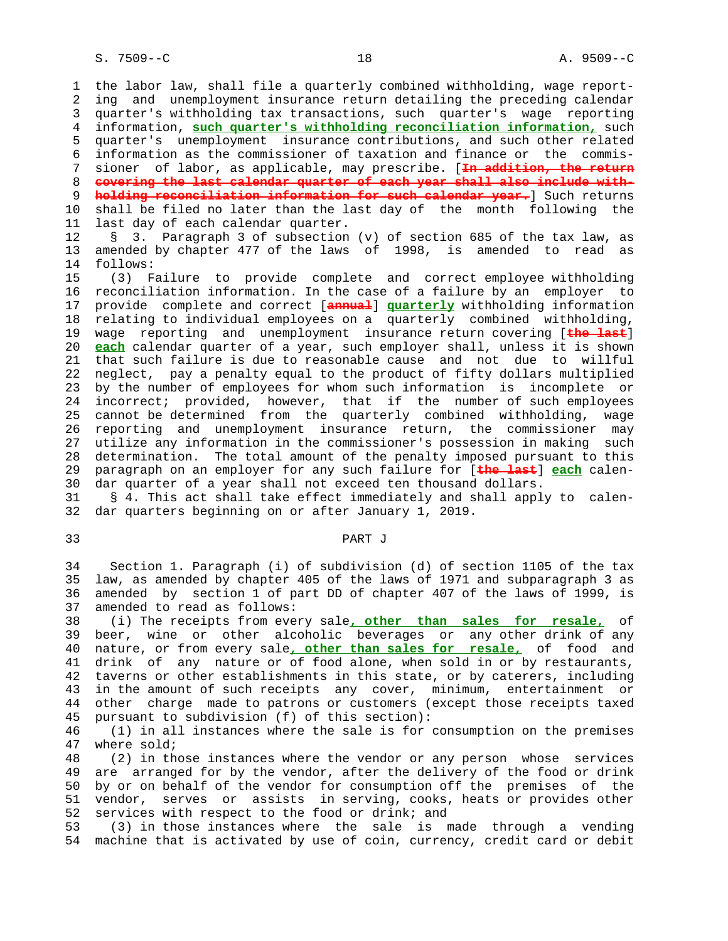1 the labor law, shall file a quarterly combined withholding, wage report- 2 ing and unemployment insurance return detailing the preceding calendar 3 quarter's withholding tax transactions, such quarter's wage reporting 4 information, **such quarter's withholding reconciliation information,** such 5 quarter's unemployment insurance contributions, and such other related 6 information as the commissioner of taxation and finance or the commis- 7 sioner of labor, as applicable, may prescribe. [**In addition, the return** 8 **covering the last calendar quarter of each year shall also include with-** 9 **holding reconciliation information for such calendar year.**] Such returns 10 shall be filed no later than the last day of the month following the 11 last day of each calendar quarter.

 12 § 3. Paragraph 3 of subsection (v) of section 685 of the tax law, as 13 amended by chapter 477 of the laws of 1998, is amended to read as 14 follows:

 15 (3) Failure to provide complete and correct employee withholding 16 reconciliation information. In the case of a failure by an employer to 17 provide complete and correct [**annual**] **quarterly** withholding information 18 relating to individual employees on a quarterly combined withholding, 19 wage reporting and unemployment insurance return covering [**the last**] 20 **each** calendar quarter of a year, such employer shall, unless it is shown 21 that such failure is due to reasonable cause and not due to willful 22 neglect, pay a penalty equal to the product of fifty dollars multiplied 23 by the number of employees for whom such information is incomplete or 24 incorrect; provided, however, that if the number of such employees 25 cannot be determined from the quarterly combined withholding, wage 26 reporting and unemployment insurance return, the commissioner may 27 utilize any information in the commissioner's possession in making such 28 determination. The total amount of the penalty imposed pursuant to this 29 paragraph on an employer for any such failure for [**the last**] **each** calen- 30 dar quarter of a year shall not exceed ten thousand dollars.

 31 § 4. This act shall take effect immediately and shall apply to calen- 32 dar quarters beginning on or after January 1, 2019.

#### 33 PART J

 34 Section 1. Paragraph (i) of subdivision (d) of section 1105 of the tax 35 law, as amended by chapter 405 of the laws of 1971 and subparagraph 3 as 36 amended by section 1 of part DD of chapter 407 of the laws of 1999, is 37 amended to read as follows:

 38 (i) The receipts from every sale**, other than sales for resale,** of 39 beer, wine or other alcoholic beverages or any other drink of any 40 nature, or from every sale**, other than sales for resale,** of food and 41 drink of any nature or of food alone, when sold in or by restaurants, 42 taverns or other establishments in this state, or by caterers, including 43 in the amount of such receipts any cover, minimum, entertainment or 44 other charge made to patrons or customers (except those receipts taxed 45 pursuant to subdivision (f) of this section):

46 (1) in all instances where the sale is for consumption on the premises 47 where sold; where sold;

 48 (2) in those instances where the vendor or any person whose services 49 are arranged for by the vendor, after the delivery of the food or drink 50 by or on behalf of the vendor for consumption off the premises of the 51 vendor, serves or assists in serving, cooks, heats or provides other 52 services with respect to the food or drink; and

 53 (3) in those instances where the sale is made through a vending 54 machine that is activated by use of coin, currency, credit card or debit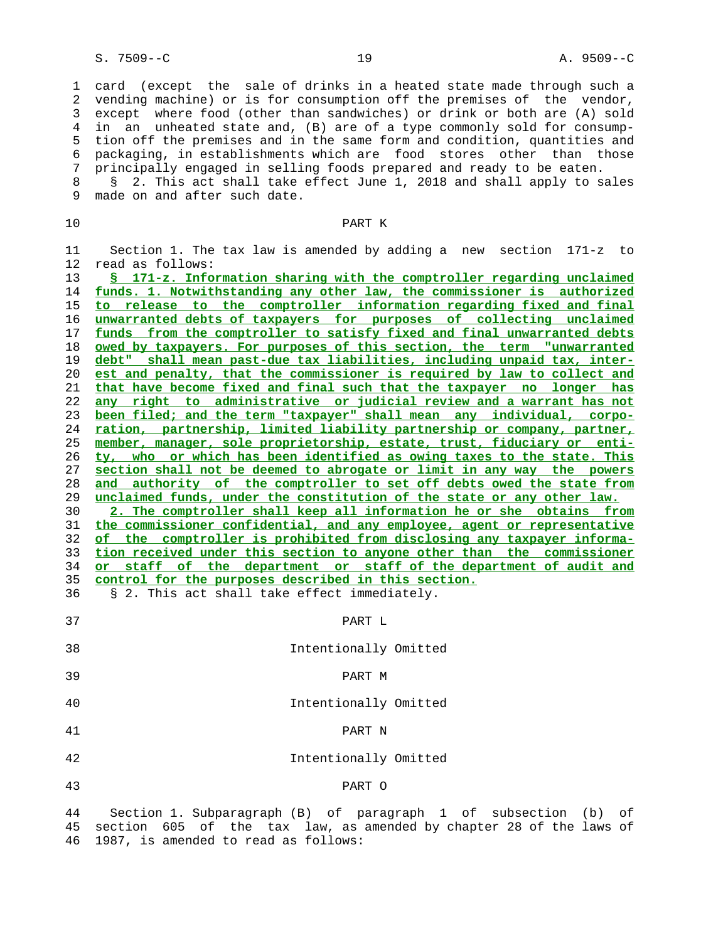1 card (except the sale of drinks in a heated state made through such a 2 vending machine) or is for consumption off the premises of the vendor, 3 except where food (other than sandwiches) or drink or both are (A) sold 4 in an unheated state and, (B) are of a type commonly sold for consump- 5 tion off the premises and in the same form and condition, quantities and 6 packaging, in establishments which are food stores other than those 7 principally engaged in selling foods prepared and ready to be eaten.

8 § 2. This act shall take effect June 1, 2018 and shall apply to sales<br>9 made on and after such date. made on and after such date.

## 10 PART K

 11 Section 1. The tax law is amended by adding a new section 171-z to 12 read as follows:

**§ 171-z. Information sharing with the comptroller regarding unclaimed funds. 1. Notwithstanding any other law, the commissioner is authorized to release to the comptroller information regarding fixed and final unwarranted debts of taxpayers for purposes of collecting unclaimed funds from the comptroller to satisfy fixed and final unwarranted debts owed by taxpayers. For purposes of this section, the term "unwarranted debt" shall mean past-due tax liabilities, including unpaid tax, inter- est and penalty, that the commissioner is required by law to collect and that have become fixed and final such that the taxpayer no longer has any right to administrative or judicial review and a warrant has not been filed; and the term "taxpayer" shall mean any individual, corpo- ration, partnership, limited liability partnership or company, partner, member, manager, sole proprietorship, estate, trust, fiduciary or enti- ty, who or which has been identified as owing taxes to the state. This section shall not be deemed to abrogate or limit in any way the powers and authority of the comptroller to set off debts owed the state from unclaimed funds, under the constitution of the state or any other law. 2. The comptroller shall keep all information he or she obtains from the commissioner confidential, and any employee, agent or representative of the comptroller is prohibited from disclosing any taxpayer informa- tion received under this section to anyone other than the commissioner**

 34 **or staff of the department or staff of the department of audit and** 35 **control for the purposes described in this section.**

36 § 2. This act shall take effect immediately.

 37 PART L 38 Intentionally Omitted 39 PART M 40 Intentionally Omitted 41 PART N 42 Intentionally Omitted 43 PART O

 44 Section 1. Subparagraph (B) of paragraph 1 of subsection (b) of 45 section 605 of the tax law, as amended by chapter 28 of the laws of 46 1987, is amended to read as follows: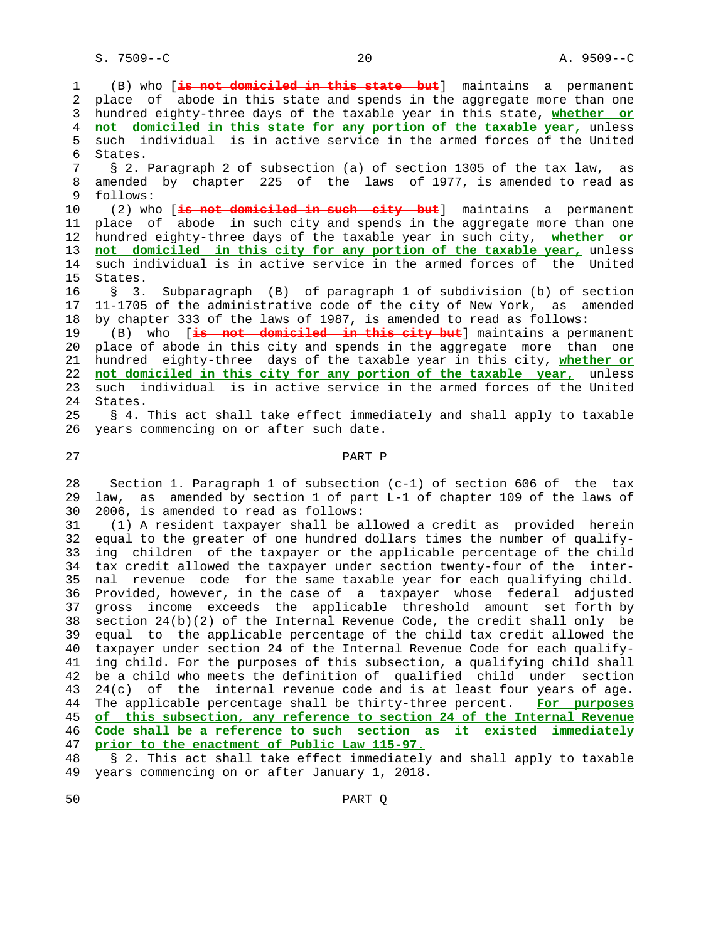1 (B) who [**is not domiciled in this state but**] maintains a permanent 2 place of abode in this state and spends in the aggregate more than one 3 hundred eighty-three days of the taxable year in this state, **whether or** 4 **not domiciled in this state for any portion of the taxable year,** unless 5 such individual is in active service in the armed forces of the United 6 States. 7 § 2. Paragraph 2 of subsection (a) of section 1305 of the tax law, as 8 amended by chapter 225 of the laws of 1977, is amended to read as follows: follows: 10 (2) who [**is not domiciled in such city but**] maintains a permanent 11 place of abode in such city and spends in the aggregate more than one 12 hundred eighty-three days of the taxable year in such city, **whether or** 13 **not domiciled in this city for any portion of the taxable year,** unless 14 such individual is in active service in the armed forces of the United 15 States. 16 § 3. Subparagraph (B) of paragraph 1 of subdivision (b) of section 17 11-1705 of the administrative code of the city of New York, as amended 18 by chapter 333 of the laws of 1987, is amended to read as follows: 19 (B) who [**is not domiciled in this city but**] maintains a permanent 20 place of abode in this city and spends in the aggregate more than one 21 hundred eighty-three days of the taxable year in this city, **whether or** 22 **not domiciled in this city for any portion of the taxable year,** unless 23 such individual is in active service in the armed forces of the United 24 States. 25 § 4. This act shall take effect immediately and shall apply to taxable 26 years commencing on or after such date.

## 27 PART P

 28 Section 1. Paragraph 1 of subsection (c-1) of section 606 of the tax 29 law, as amended by section 1 of part L-1 of chapter 109 of the laws of 30 2006, is amended to read as follows:

 31 (1) A resident taxpayer shall be allowed a credit as provided herein 32 equal to the greater of one hundred dollars times the number of qualify- 33 ing children of the taxpayer or the applicable percentage of the child 34 tax credit allowed the taxpayer under section twenty-four of the inter- 35 nal revenue code for the same taxable year for each qualifying child. 36 Provided, however, in the case of a taxpayer whose federal adjusted 37 gross income exceeds the applicable threshold amount set forth by 38 section 24(b)(2) of the Internal Revenue Code, the credit shall only be 39 equal to the applicable percentage of the child tax credit allowed the 40 taxpayer under section 24 of the Internal Revenue Code for each qualify- 41 ing child. For the purposes of this subsection, a qualifying child shall 42 be a child who meets the definition of qualified child under section 43 24(c) of the internal revenue code and is at least four years of age. 44 The applicable percentage shall be thirty-three percent. **For purposes** 45 **of this subsection, any reference to section 24 of the Internal Revenue** 46 **Code shall be a reference to such section as it existed immediately** 47 **prior to the enactment of Public Law 115-97.**

 48 § 2. This act shall take effect immediately and shall apply to taxable 49 years commencing on or after January 1, 2018.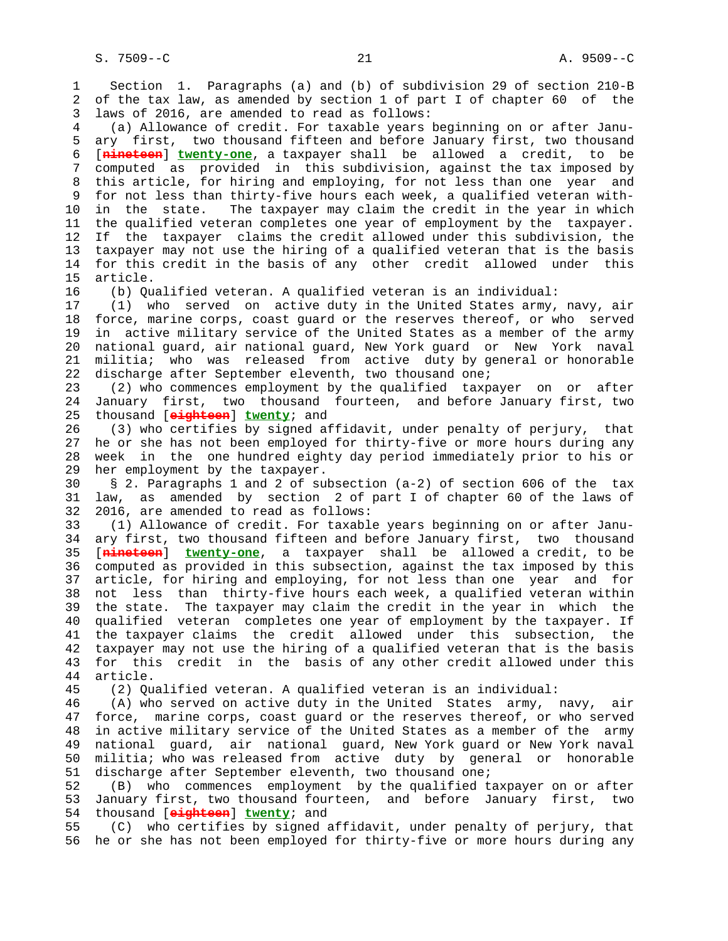1 Section 1. Paragraphs (a) and (b) of subdivision 29 of section 210-B 2 of the tax law, as amended by section 1 of part I of chapter 60 of the 3 laws of 2016, are amended to read as follows: 4 (a) Allowance of credit. For taxable years beginning on or after Janu- 5 ary first, two thousand fifteen and before January first, two thousand 6 [**nineteen**] **twenty-one**, a taxpayer shall be allowed a credit, to be 7 computed as provided in this subdivision, against the tax imposed by 8 this article, for hiring and employing, for not less than one year and 9 for not less than thirty-five hours each week, a qualified veteran with- 10 in the state. The taxpayer may claim the credit in the year in which 11 the qualified veteran completes one year of employment by the taxpayer. 12 If the taxpayer claims the credit allowed under this subdivision, the 13 taxpayer may not use the hiring of a qualified veteran that is the basis 14 for this credit in the basis of any other credit allowed under this 15 article. 16 (b) Qualified veteran. A qualified veteran is an individual: 17 (1) who served on active duty in the United States army, navy, air 18 force, marine corps, coast guard or the reserves thereof, or who served 19 in active military service of the United States as a member of the army 20 national guard, air national guard, New York guard or New York naval 21 militia; who was released from active duty by general or honorable 22 discharge after September eleventh, two thousand one; 23 (2) who commences employment by the qualified taxpayer on or after 24 January first, two thousand fourteen, and before January first, two 25 thousand [**eighteen**] **twenty**; and 26 (3) who certifies by signed affidavit, under penalty of perjury, that 27 he or she has not been employed for thirty-five or more hours during any 28 week in the one hundred eighty day period immediately prior to his or 29 her employment by the taxpayer. 30 § 2. Paragraphs 1 and 2 of subsection (a-2) of section 606 of the tax 31 law, as amended by section 2 of part I of chapter 60 of the laws of 32 2016, are amended to read as follows: 33 (1) Allowance of credit. For taxable years beginning on or after Janu- 34 ary first, two thousand fifteen and before January first, two thousand 35 [**nineteen**] **twenty-one**, a taxpayer shall be allowed a credit, to be 36 computed as provided in this subsection, against the tax imposed by this 37 article, for hiring and employing, for not less than one year and for 38 not less than thirty-five hours each week, a qualified veteran within 39 the state. The taxpayer may claim the credit in the year in which the 40 qualified veteran completes one year of employment by the taxpayer. If 41 the taxpayer claims the credit allowed under this subsection, the 42 taxpayer may not use the hiring of a qualified veteran that is the basis 43 for this credit in the basis of any other credit allowed under this 44 article. 45 (2) Qualified veteran. A qualified veteran is an individual: 46 (A) who served on active duty in the United States army, navy, air 47 force, marine corps, coast guard or the reserves thereof, or who served 48 in active military service of the United States as a member of the army 49 national guard, air national guard, New York guard or New York naval 50 militia; who was released from active duty by general or honorable 51 discharge after September eleventh, two thousand one; 52 (B) who commences employment by the qualified taxpayer on or after 53 January first, two thousand fourteen, and before January first, two 54 thousand [**eighteen**] **twenty**; and 55 (C) who certifies by signed affidavit, under penalty of perjury, that 56 he or she has not been employed for thirty-five or more hours during any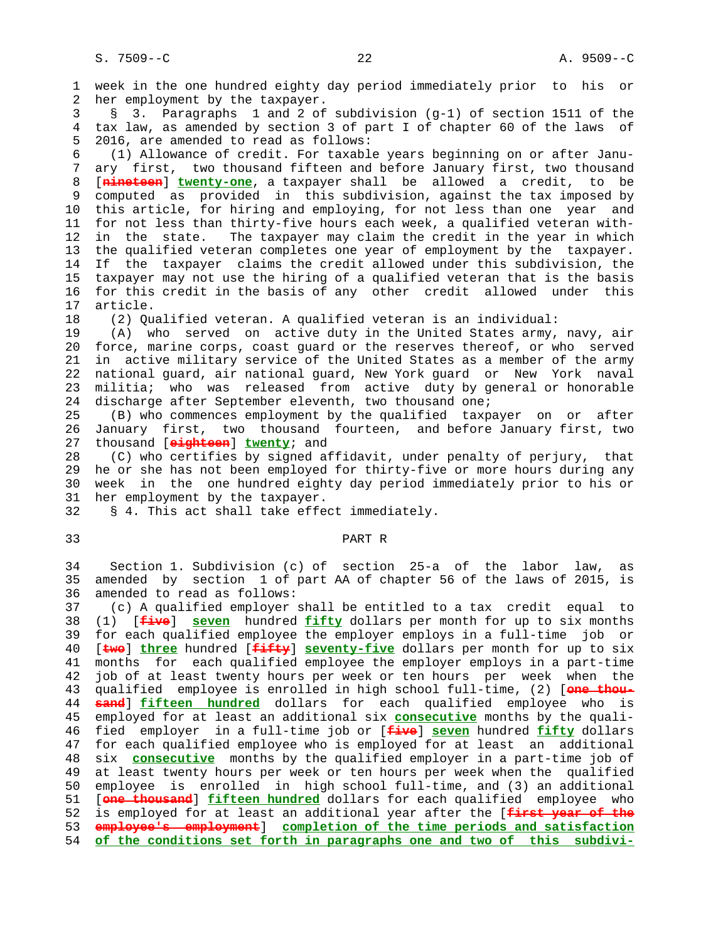1 week in the one hundred eighty day period immediately prior to his or 2 her employment by the taxpayer. 3 § 3. Paragraphs 1 and 2 of subdivision (g-1) of section 1511 of the 4 tax law, as amended by section 3 of part I of chapter 60 of the laws of 5 2016, are amended to read as follows: 6 (1) Allowance of credit. For taxable years beginning on or after Janu- 7 ary first, two thousand fifteen and before January first, two thousand 8 [**nineteen**] **twenty-one**, a taxpayer shall be allowed a credit, to be 9 computed as provided in this subdivision, against the tax imposed by 10 this article, for hiring and employing, for not less than one year and 11 for not less than thirty-five hours each week, a qualified veteran with- 12 in the state. The taxpayer may claim the credit in the year in which 13 the qualified veteran completes one year of employment by the taxpayer. 14 If the taxpayer claims the credit allowed under this subdivision, the 15 taxpayer may not use the hiring of a qualified veteran that is the basis 16 for this credit in the basis of any other credit allowed under this 17 article. 18 (2) Qualified veteran. A qualified veteran is an individual: 19 (A) who served on active duty in the United States army, navy, air 20 force, marine corps, coast guard or the reserves thereof, or who served 21 in active military service of the United States as a member of the army 22 national guard, air national guard, New York guard or New York naval 23 militia; who was released from active duty by general or honorable 24 discharge after September eleventh, two thousand one; 25 (B) who commences employment by the qualified taxpayer on or after 26 January first, two thousand fourteen, and before January first, two 27 thousand [**eighteen**] **twenty**; and 28 (C) who certifies by signed affidavit, under penalty of perjury, that 29 he or she has not been employed for thirty-five or more hours during any 30 week in the one hundred eighty day period immediately prior to his or 31 her employment by the taxpayer. 32 § 4. This act shall take effect immediately. 33 PART R 34 Section 1. Subdivision (c) of section 25-a of the labor law, as 35 amended by section 1 of part AA of chapter 56 of the laws of 2015, is 36 amended to read as follows: 37 (c) A qualified employer shall be entitled to a tax credit equal to 38 (1) [**five**] **seven** hundred **fifty** dollars per month for up to six months

 39 for each qualified employee the employer employs in a full-time job or 40 [**two**] **three** hundred [**fifty**] **seventy-five** dollars per month for up to six 41 months for each qualified employee the employer employs in a part-time 42 job of at least twenty hours per week or ten hours per week when the 43 qualified employee is enrolled in high school full-time, (2) [**one thou-** 44 **sand**] **fifteen hundred** dollars for each qualified employee who is 45 employed for at least an additional six **consecutive** months by the quali- 46 fied employer in a full-time job or [**five**] **seven** hundred **fifty** dollars 47 for each qualified employee who is employed for at least an additional 48 six **consecutive** months by the qualified employer in a part-time job of 49 at least twenty hours per week or ten hours per week when the qualified 50 employee is enrolled in high school full-time, and (3) an additional 51 [**one thousand**] **fifteen hundred** dollars for each qualified employee who 52 is employed for at least an additional year after the [**first year of the** 53 **employee's employment**] **completion of the time periods and satisfaction** 54 **of the conditions set forth in paragraphs one and two of this subdivi-**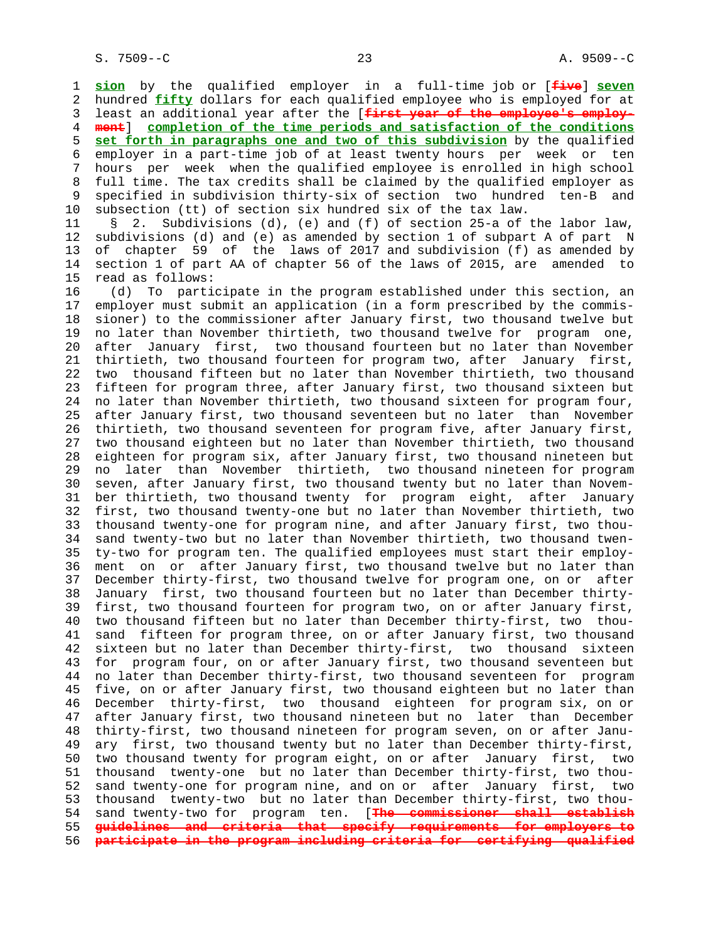1 **sion** by the qualified employer in a full-time job or [**five**] **seven** 2 hundred **fifty** dollars for each qualified employee who is employed for at 3 least an additional year after the [**first year of the employee's employ-** 4 **ment**] **completion of the time periods and satisfaction of the conditions** 5 **set forth in paragraphs one and two of this subdivision** by the qualified 6 employer in a part-time job of at least twenty hours per week or ten 7 hours per week when the qualified employee is enrolled in high school 8 full time. The tax credits shall be claimed by the qualified employer as<br>9 specified in subdivision thirty-six of section two hundred ten-B and 9 specified in subdivision thirty-six of section two hundred ten-B and 10 subsection (tt) of section six hundred six of the tax law.

 11 § 2. Subdivisions (d), (e) and (f) of section 25-a of the labor law, 12 subdivisions (d) and (e) as amended by section 1 of subpart A of part N 13 of chapter 59 of the laws of 2017 and subdivision (f) as amended by 14 section 1 of part AA of chapter 56 of the laws of 2015, are amended to 15 read as follows:

 16 (d) To participate in the program established under this section, an 17 employer must submit an application (in a form prescribed by the commis- 18 sioner) to the commissioner after January first, two thousand twelve but 19 no later than November thirtieth, two thousand twelve for program one, 20 after January first, two thousand fourteen but no later than November 21 thirtieth, two thousand fourteen for program two, after January first, 22 two thousand fifteen but no later than November thirtieth, two thousand 23 fifteen for program three, after January first, two thousand sixteen but 24 no later than November thirtieth, two thousand sixteen for program four, 25 after January first, two thousand seventeen but no later than November 26 thirtieth, two thousand seventeen for program five, after January first, 27 two thousand eighteen but no later than November thirtieth, two thousand 28 eighteen for program six, after January first, two thousand nineteen but 29 no later than November thirtieth, two thousand nineteen for program 30 seven, after January first, two thousand twenty but no later than Novem- 31 ber thirtieth, two thousand twenty for program eight, after January 32 first, two thousand twenty-one but no later than November thirtieth, two 33 thousand twenty-one for program nine, and after January first, two thou- 34 sand twenty-two but no later than November thirtieth, two thousand twen- 35 ty-two for program ten. The qualified employees must start their employ- 36 ment on or after January first, two thousand twelve but no later than 37 December thirty-first, two thousand twelve for program one, on or after 38 January first, two thousand fourteen but no later than December thirty- 39 first, two thousand fourteen for program two, on or after January first, 40 two thousand fifteen but no later than December thirty-first, two thou- 41 sand fifteen for program three, on or after January first, two thousand 42 sixteen but no later than December thirty-first, two thousand sixteen 43 for program four, on or after January first, two thousand seventeen but 44 no later than December thirty-first, two thousand seventeen for program 45 five, on or after January first, two thousand eighteen but no later than 46 December thirty-first, two thousand eighteen for program six, on or 47 after January first, two thousand nineteen but no later than December 48 thirty-first, two thousand nineteen for program seven, on or after Janu- 49 ary first, two thousand twenty but no later than December thirty-first, 50 two thousand twenty for program eight, on or after January first, two 51 thousand twenty-one but no later than December thirty-first, two thou- 52 sand twenty-one for program nine, and on or after January first, two 53 thousand twenty-two but no later than December thirty-first, two thou- 54 sand twenty-two for program ten. [**The commissioner shall establish** 55 **guidelines and criteria that specify requirements for employers to** 56 **participate in the program including criteria for certifying qualified**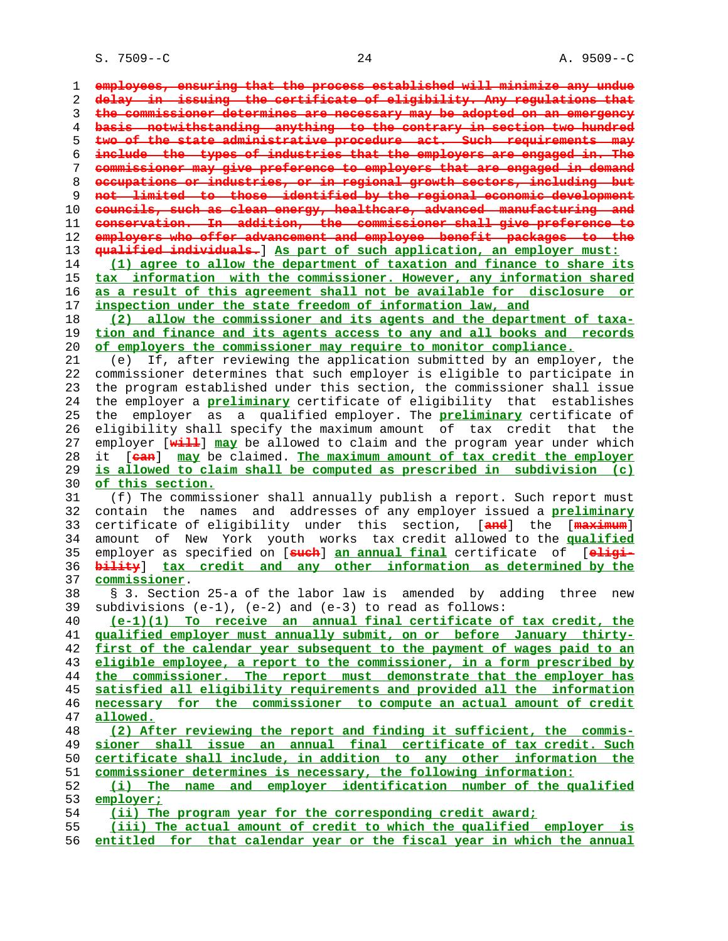S. 7509--C 24 A. 9509--C

**employees, ensuring that the process established will minimize any undue delay in issuing the certificate of eligibility. Any regulations that the commissioner determines are necessary may be adopted on an emergency basis notwithstanding anything to the contrary in section two hundred two of the state administrative procedure act. Such requirements may include the types of industries that the employers are engaged in. The commissioner may give preference to employers that are engaged in demand occupations or industries, or in regional growth sectors, including but not limited to those identified by the regional economic development councils, such as clean energy, healthcare, advanced manufacturing and conservation. In addition, the commissioner shall give preference to employers who offer advancement and employee benefit packages to the qualified individuals.**] **As part of such application, an employer must: (1) agree to allow the department of taxation and finance to share its tax information with the commissioner. However, any information shared as a result of this agreement shall not be available for disclosure or inspection under the state freedom of information law, and (2) allow the commissioner and its agents and the department of taxa- tion and finance and its agents access to any and all books and records of employers the commissioner may require to monitor compliance.** 21 (e) If, after reviewing the application submitted by an employer, the 22 commissioner determines that such employer is eligible to participate in 23 the program established under this section, the commissioner shall issue 24 the employer a **preliminary** certificate of eligibility that establishes 25 the employer as a qualified employer. The **preliminary** certificate of 26 eligibility shall specify the maximum amount of tax credit that the 27 employer [**will**] **may** be allowed to claim and the program year under which 28 it [**can**] **may** be claimed. **The maximum amount of tax credit the employer is allowed to claim shall be computed as prescribed in subdivision (c) of this section.** 31 (f) The commissioner shall annually publish a report. Such report must 32 contain the names and addresses of any employer issued a **preliminary** 33 certificate of eligibility under this section, [**and**] the [**maximum**] 34 amount of New York youth works tax credit allowed to the **qualified** 35 employer as specified on [**such**] **an annual final** certificate of [**eligi- bility**] **tax credit and any other information as determined by the commissioner**. 38 § 3. Section 25-a of the labor law is amended by adding three new 39 subdivisions (e-1), (e-2) and (e-3) to read as follows: **(e-1)(1) To receive an annual final certificate of tax credit, the qualified employer must annually submit, on or before January thirty- first of the calendar year subsequent to the payment of wages paid to an eligible employee, a report to the commissioner, in a form prescribed by the commissioner. The report must demonstrate that the employer has satisfied all eligibility requirements and provided all the information necessary for the commissioner to compute an actual amount of credit allowed. (2) After reviewing the report and finding it sufficient, the commis- sioner shall issue an annual final certificate of tax credit. Such certificate shall include, in addition to any other information the commissioner determines is necessary, the following information: (i) The name and employer identification number of the qualified employer; (ii) The program year for the corresponding credit award; (iii) The actual amount of credit to which the qualified employer is entitled for that calendar year or the fiscal year in which the annual**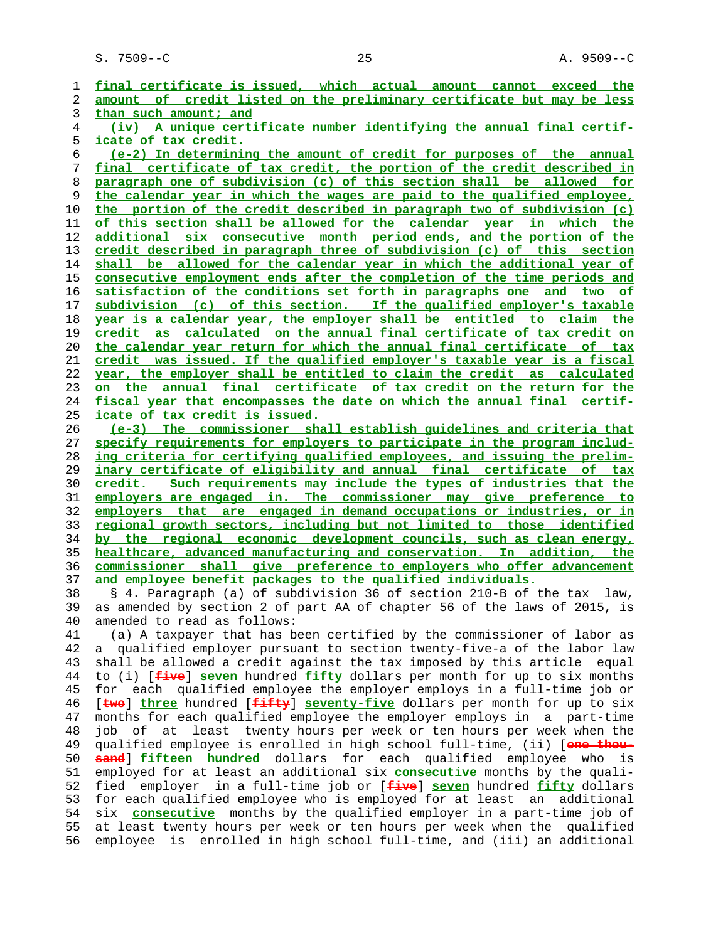**final certificate is issued, which actual amount cannot exceed the amount of credit listed on the preliminary certificate but may be less than such amount; and (iv) A unique certificate number identifying the annual final certif- icate of tax credit. (e-2) In determining the amount of credit for purposes of the annual final certificate of tax credit, the portion of the credit described in paragraph one of subdivision (c) of this section shall be allowed for the calendar year in which the wages are paid to the qualified employee, the portion of the credit described in paragraph two of subdivision (c) of this section shall be allowed for the calendar year in which the additional six consecutive month period ends, and the portion of the credit described in paragraph three of subdivision (c) of this section shall be allowed for the calendar year in which the additional year of consecutive employment ends after the completion of the time periods and satisfaction of the conditions set forth in paragraphs one and two of subdivision (c) of this section. If the qualified employer's taxable year is a calendar year, the employer shall be entitled to claim the credit as calculated on the annual final certificate of tax credit on the calendar year return for which the annual final certificate of tax credit was issued. If the qualified employer's taxable year is a fiscal year, the employer shall be entitled to claim the credit as calculated on the annual final certificate of tax credit on the return for the fiscal year that encompasses the date on which the annual final certif- icate of tax credit is issued. (e-3) The commissioner shall establish guidelines and criteria that specify requirements for employers to participate in the program includ- ing criteria for certifying qualified employees, and issuing the prelim- inary certificate of eligibility and annual final certificate of tax credit. Such requirements may include the types of industries that the employers are engaged in. The commissioner may give preference to employers that are engaged in demand occupations or industries, or in regional growth sectors, including but not limited to those identified by the regional economic development councils, such as clean energy, healthcare, advanced manufacturing and conservation. In addition, the commissioner shall give preference to employers who offer advancement and employee benefit packages to the qualified individuals.** 38 § 4. Paragraph (a) of subdivision 36 of section 210-B of the tax law, 39 as amended by section 2 of part AA of chapter 56 of the laws of 2015, is 40 amended to read as follows: 41 (a) A taxpayer that has been certified by the commissioner of labor as 42 a qualified employer pursuant to section twenty-five-a of the labor law 43 shall be allowed a credit against the tax imposed by this article equal 44 to (i) [**five**] **seven** hundred **fifty** dollars per month for up to six months 45 for each qualified employee the employer employs in a full-time job or 46 [**two**] **three** hundred [**fifty**] **seventy-five** dollars per month for up to six 47 months for each qualified employee the employer employs in a part-time 48 job of at least twenty hours per week or ten hours per week when the 49 qualified employee is enrolled in high school full-time, (ii) [**one thou- sand**] **fifteen hundred** dollars for each qualified employee who is 51 employed for at least an additional six **consecutive** months by the quali- 52 fied employer in a full-time job or [**five**] **seven** hundred **fifty** dollars 53 for each qualified employee who is employed for at least an additional 54 six **consecutive** months by the qualified employer in a part-time job of 55 at least twenty hours per week or ten hours per week when the qualified 56 employee is enrolled in high school full-time, and (iii) an additional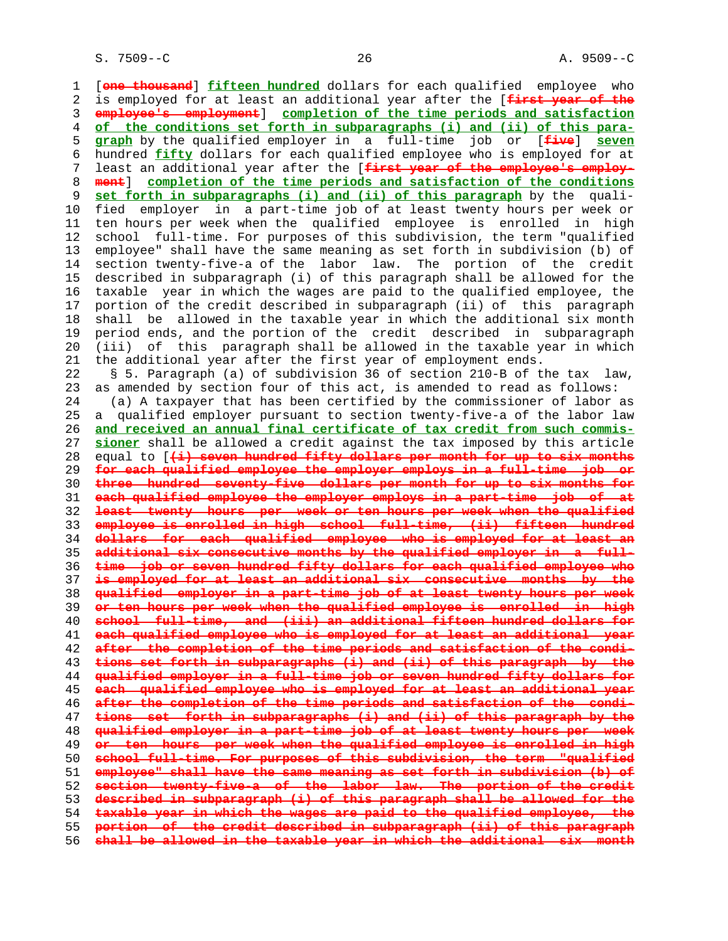1 [**one thousand**] **fifteen hundred** dollars for each qualified employee who 2 is employed for at least an additional year after the [**first year of the employee's employment**] **completion of the time periods and satisfaction of the conditions set forth in subparagraphs (i) and (ii) of this para- graph** by the qualified employer in a full-time job or [**five**] **seven** 6 hundred **fifty** dollars for each qualified employee who is employed for at 7 least an additional year after the [**first year of the employee's employ- ment**] **completion of the time periods and satisfaction of the conditions set forth in subparagraphs (i) and (ii) of this paragraph** by the quali- 10 fied employer in a part-time job of at least twenty hours per week or 11 ten hours per week when the qualified employee is enrolled in high 12 school full-time. For purposes of this subdivision, the term "qualified 13 employee" shall have the same meaning as set forth in subdivision (b) of 14 section twenty-five-a of the labor law. The portion of the credit 15 described in subparagraph (i) of this paragraph shall be allowed for the 16 taxable year in which the wages are paid to the qualified employee, the 17 portion of the credit described in subparagraph (ii) of this paragraph 18 shall be allowed in the taxable year in which the additional six month 19 period ends, and the portion of the credit described in subparagraph 20 (iii) of this paragraph shall be allowed in the taxable year in which 21 the additional year after the first year of employment ends. 22 § 5. Paragraph (a) of subdivision 36 of section 210-B of the tax law, 23 as amended by section four of this act, is amended to read as follows: 24 (a) A taxpayer that has been certified by the commissioner of labor as 25 a qualified employer pursuant to section twenty-five-a of the labor law **and received an annual final certificate of tax credit from such commis- sioner** shall be allowed a credit against the tax imposed by this article 28 equal to [**(i) seven hundred fifty dollars per month for up to six months for each qualified employee the employer employs in a full-time job or three hundred seventy-five dollars per month for up to six months for each qualified employee the employer employs in a part-time job of at least twenty hours per week or ten hours per week when the qualified employee is enrolled in high school full-time, (ii) fifteen hundred dollars for each qualified employee who is employed for at least an additional six consecutive months by the qualified employer in a full- time job or seven hundred fifty dollars for each qualified employee who is employed for at least an additional six consecutive months by the qualified employer in a part-time job of at least twenty hours per week or ten hours per week when the qualified employee is enrolled in high school full-time, and (iii) an additional fifteen hundred dollars for each qualified employee who is employed for at least an additional year after the completion of the time periods and satisfaction of the condi- tions set forth in subparagraphs (i) and (ii) of this paragraph by the qualified employer in a full-time job or seven hundred fifty dollars for each qualified employee who is employed for at least an additional year after the completion of the time periods and satisfaction of the condi- tions set forth in subparagraphs (i) and (ii) of this paragraph by the qualified employer in a part-time job of at least twenty hours per week or ten hours per week when the qualified employee is enrolled in high school full-time. For purposes of this subdivision, the term "qualified employee" shall have the same meaning as set forth in subdivision (b) of section twenty-five-a of the labor law. The portion of the credit described in subparagraph (i) of this paragraph shall be allowed for the taxable year in which the wages are paid to the qualified employee, the portion of the credit described in subparagraph (ii) of this paragraph shall be allowed in the taxable year in which the additional six month**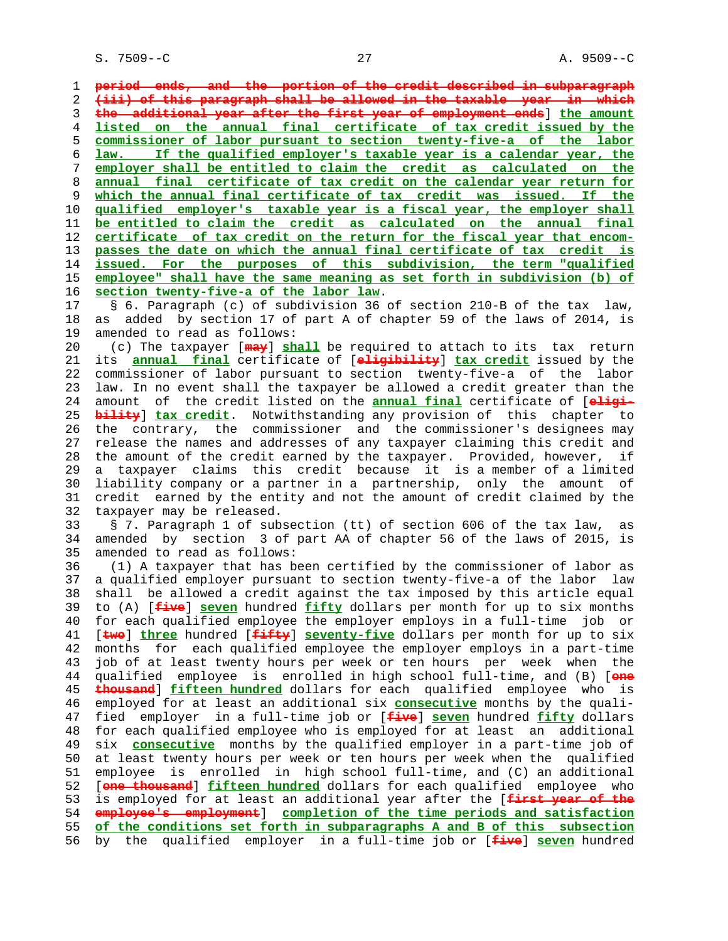**period ends, and the portion of the credit described in subparagraph (iii) of this paragraph shall be allowed in the taxable year in which the additional year after the first year of employment ends**] **the amount listed on the annual final certificate of tax credit issued by the commissioner of labor pursuant to section twenty-five-a of the labor law. If the qualified employer's taxable year is a calendar year, the employer shall be entitled to claim the credit as calculated on the annual final certificate of tax credit on the calendar year return for which the annual final certificate of tax credit was issued. If the qualified employer's taxable year is a fiscal year, the employer shall be entitled to claim the credit as calculated on the annual final certificate of tax credit on the return for the fiscal year that encom- passes the date on which the annual final certificate of tax credit is issued. For the purposes of this subdivision, the term "qualified employee" shall have the same meaning as set forth in subdivision (b) of section twenty-five-a of the labor law**.

 17 § 6. Paragraph (c) of subdivision 36 of section 210-B of the tax law, 18 as added by section 17 of part A of chapter 59 of the laws of 2014, is 19 amended to read as follows:

 20 (c) The taxpayer [**may**] **shall** be required to attach to its tax return 21 its **annual final** certificate of [**eligibility**] **tax credit** issued by the 22 commissioner of labor pursuant to section twenty-five-a of the labor 23 law. In no event shall the taxpayer be allowed a credit greater than the 24 amount of the credit listed on the **annual final** certificate of [**eligi-** 25 **bility**] **tax credit**. Notwithstanding any provision of this chapter to 26 the contrary, the commissioner and the commissioner's designees may 27 release the names and addresses of any taxpayer claiming this credit and 28 the amount of the credit earned by the taxpayer. Provided, however, if 29 a taxpayer claims this credit because it is a member of a limited 30 liability company or a partner in a partnership, only the amount of 31 credit earned by the entity and not the amount of credit claimed by the 32 taxpayer may be released.

 33 § 7. Paragraph 1 of subsection (tt) of section 606 of the tax law, as 34 amended by section 3 of part AA of chapter 56 of the laws of 2015, is 35 amended to read as follows:

 36 (1) A taxpayer that has been certified by the commissioner of labor as 37 a qualified employer pursuant to section twenty-five-a of the labor law 38 shall be allowed a credit against the tax imposed by this article equal 39 to (A) [**five**] **seven** hundred **fifty** dollars per month for up to six months 40 for each qualified employee the employer employs in a full-time job or 41 [**two**] **three** hundred [**fifty**] **seventy-five** dollars per month for up to six 42 months for each qualified employee the employer employs in a part-time 43 job of at least twenty hours per week or ten hours per week when the 44 qualified employee is enrolled in high school full-time, and (B) [**one** 45 **thousand**] **fifteen hundred** dollars for each qualified employee who is 46 employed for at least an additional six **consecutive** months by the quali- 47 fied employer in a full-time job or [**five**] **seven** hundred **fifty** dollars 48 for each qualified employee who is employed for at least an additional 49 six **consecutive** months by the qualified employer in a part-time job of 50 at least twenty hours per week or ten hours per week when the qualified 51 employee is enrolled in high school full-time, and (C) an additional 52 [**one thousand**] **fifteen hundred** dollars for each qualified employee who 53 is employed for at least an additional year after the [**first year of the** 54 **employee's employment**] **completion of the time periods and satisfaction** 55 **of the conditions set forth in subparagraphs A and B of this subsection** 56 by the qualified employer in a full-time job or [**five**] **seven** hundred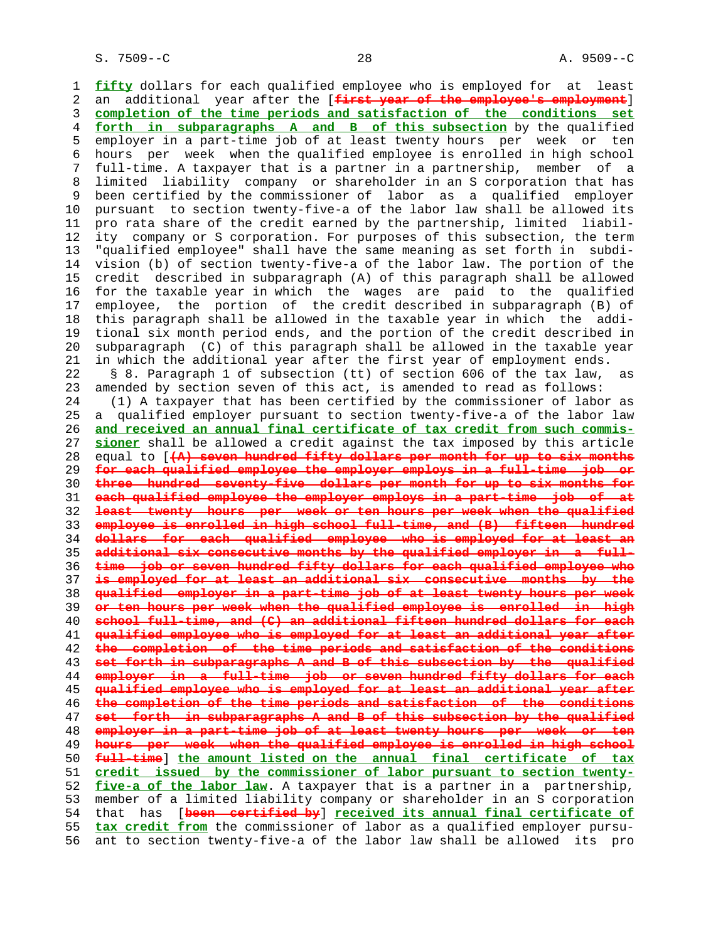1 **fifty** dollars for each qualified employee who is employed for at least 2 an additional year after the [**first year of the employee's employment**] 3 **completion of the time periods and satisfaction of the conditions set** 4 **forth in subparagraphs A and B of this subsection** by the qualified 5 employer in a part-time job of at least twenty hours per week or ten 6 hours per week when the qualified employee is enrolled in high school 7 full-time. A taxpayer that is a partner in a partnership, member of a 8 limited liability company or shareholder in an S corporation that has 9 been certified by the commissioner of labor as a qualified employer 10 pursuant to section twenty-five-a of the labor law shall be allowed its 11 pro rata share of the credit earned by the partnership, limited liabil- 12 ity company or S corporation. For purposes of this subsection, the term 13 "qualified employee" shall have the same meaning as set forth in subdi- 14 vision (b) of section twenty-five-a of the labor law. The portion of the 15 credit described in subparagraph (A) of this paragraph shall be allowed 16 for the taxable year in which the wages are paid to the qualified 17 employee, the portion of the credit described in subparagraph (B) of 18 this paragraph shall be allowed in the taxable year in which the addi- 19 tional six month period ends, and the portion of the credit described in 20 subparagraph (C) of this paragraph shall be allowed in the taxable year 21 in which the additional year after the first year of employment ends. 22 § 8. Paragraph 1 of subsection (tt) of section 606 of the tax law, as 23 amended by section seven of this act, is amended to read as follows: 24 (1) A taxpayer that has been certified by the commissioner of labor as 25 a qualified employer pursuant to section twenty-five-a of the labor law 26 **and received an annual final certificate of tax credit from such commis-** 27 **sioner** shall be allowed a credit against the tax imposed by this article 28 equal to [**(A) seven hundred fifty dollars per month for up to six months** 29 **for each qualified employee the employer employs in a full-time job or** 30 **three hundred seventy-five dollars per month for up to six months for** 31 **each qualified employee the employer employs in a part-time job of at** 32 **least twenty hours per week or ten hours per week when the qualified** 33 **employee is enrolled in high school full-time, and (B) fifteen hundred** 34 **dollars for each qualified employee who is employed for at least an** 35 **additional six consecutive months by the qualified employer in a full-** 36 **time job or seven hundred fifty dollars for each qualified employee who** 37 **is employed for at least an additional six consecutive months by the** 38 **qualified employer in a part-time job of at least twenty hours per week** 39 **or ten hours per week when the qualified employee is enrolled in high** 40 **school full-time, and (C) an additional fifteen hundred dollars for each** 41 **qualified employee who is employed for at least an additional year after** 42 **the completion of the time periods and satisfaction of the conditions** 43 **set forth in subparagraphs A and B of this subsection by the qualified** 44 **employer in a full-time job or seven hundred fifty dollars for each** 45 **qualified employee who is employed for at least an additional year after** 46 **the completion of the time periods and satisfaction of the conditions** 47 **set forth in subparagraphs A and B of this subsection by the qualified** 48 **employer in a part-time job of at least twenty hours per week or ten** 49 **hours per week when the qualified employee is enrolled in high school** 50 **full-time**] **the amount listed on the annual final certificate of tax** 51 **credit issued by the commissioner of labor pursuant to section twenty-** 52 **five-a of the labor law**. A taxpayer that is a partner in a partnership, 53 member of a limited liability company or shareholder in an S corporation 54 that has [**been certified by**] **received its annual final certificate of** 55 **tax credit from** the commissioner of labor as a qualified employer pursu- 56 ant to section twenty-five-a of the labor law shall be allowed its pro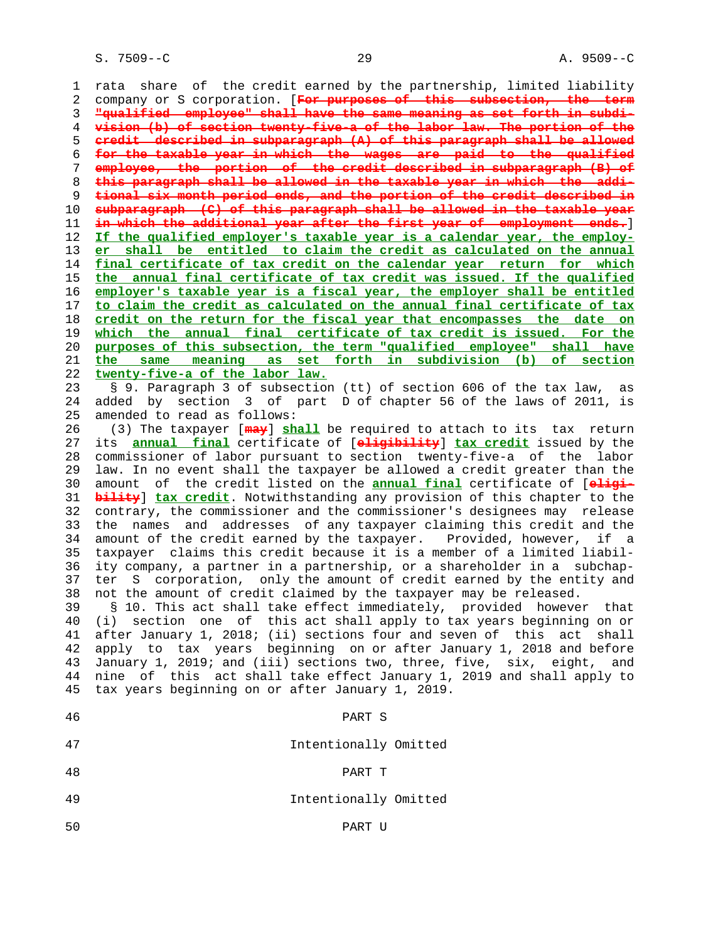S. 7509--C 29 A. 9509--C

 1 rata share of the credit earned by the partnership, limited liability 2 company or S corporation. [**For purposes of this subsection, the term** 3 **"qualified employee" shall have the same meaning as set forth in subdi-** 4 **vision (b) of section twenty-five-a of the labor law. The portion of the** 5 **credit described in subparagraph (A) of this paragraph shall be allowed** 6 **for the taxable year in which the wages are paid to the qualified** 7 **employee, the portion of the credit described in subparagraph (B) of** 8 **this paragraph shall be allowed in the taxable year in which the addi-** 9 **tional six month period ends, and the portion of the credit described in** 10 **subparagraph (C) of this paragraph shall be allowed in the taxable year** 11 **in which the additional year after the first year of employment ends.**] 12 **If the qualified employer's taxable year is a calendar year, the employ-** 13 **er shall be entitled to claim the credit as calculated on the annual** 14 **final certificate of tax credit on the calendar year return for which** 15 **the annual final certificate of tax credit was issued. If the qualified** 16 **employer's taxable year is a fiscal year, the employer shall be entitled** 17 **to claim the credit as calculated on the annual final certificate of tax** 18 **credit on the return for the fiscal year that encompasses the date on** 19 **which the annual final certificate of tax credit is issued. For the** 20 **purposes of this subsection, the term "qualified employee" shall have** 21 **the same meaning as set forth in subdivision (b) of section** 22 **twenty-five-a of the labor law.** 23 § 9. Paragraph 3 of subsection (tt) of section 606 of the tax law, as 24 added by section 3 of part D of chapter 56 of the laws of 2011, is 25 amended to read as follows: 26 (3) The taxpayer [**may**] **shall** be required to attach to its tax return 27 its **annual final** certificate of [**eligibility**] **tax credit** issued by the 28 commissioner of labor pursuant to section twenty-five-a of the labor 29 law. In no event shall the taxpayer be allowed a credit greater than the 30 amount of the credit listed on the **annual final** certificate of [**eligi-** 31 **bility**] **tax credit**. Notwithstanding any provision of this chapter to the 32 contrary, the commissioner and the commissioner's designees may release 33 the names and addresses of any taxpayer claiming this credit and the 34 amount of the credit earned by the taxpayer. Provided, however, if a 35 taxpayer claims this credit because it is a member of a limited liabil- 36 ity company, a partner in a partnership, or a shareholder in a subchap- 37 ter S corporation, only the amount of credit earned by the entity and 38 not the amount of credit claimed by the taxpayer may be released. 39 § 10. This act shall take effect immediately, provided however that 40 (i) section one of this act shall apply to tax years beginning on or 41 after January 1, 2018; (ii) sections four and seven of this act shall 42 apply to tax years beginning on or after January 1, 2018 and before 43 January 1, 2019; and (iii) sections two, three, five, six, eight, and 44 nine of this act shall take effect January 1, 2019 and shall apply to 45 tax years beginning on or after January 1, 2019. 46 PART S 47 Intentionally Omitted 48 PART T

49 Intentionally Omitted

50 PART U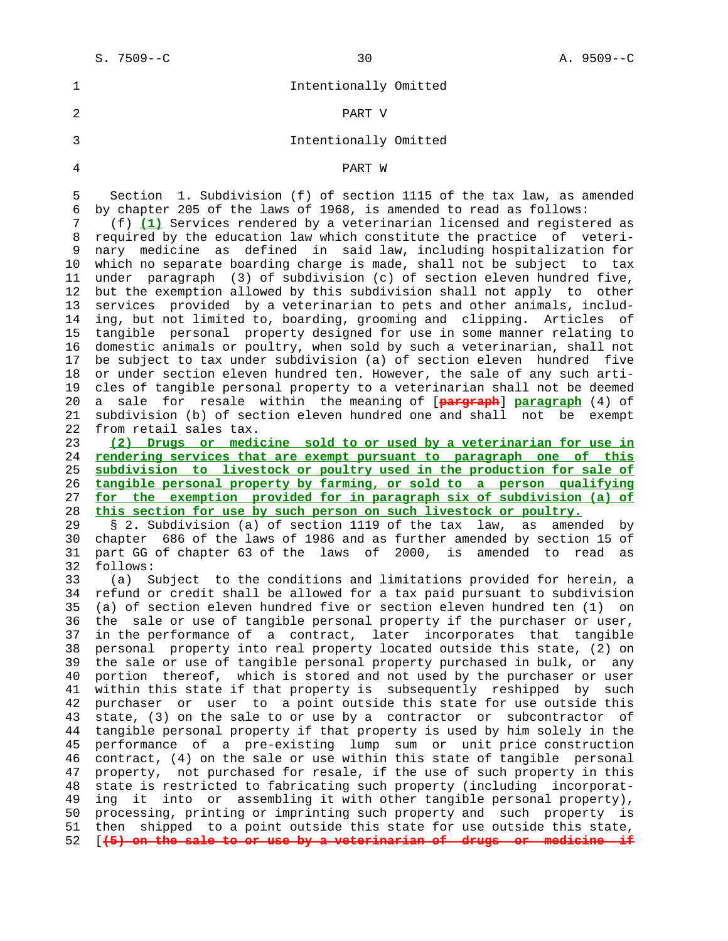| Intentionally Omitted |
|-----------------------|
| PART V                |
| Intentionally Omitted |

4 PART W

 5 Section 1. Subdivision (f) of section 1115 of the tax law, as amended 6 by chapter 205 of the laws of 1968, is amended to read as follows:

 7 (f) **(1)** Services rendered by a veterinarian licensed and registered as 8 required by the education law which constitute the practice of veteri- 9 nary medicine as defined in said law, including hospitalization for 10 which no separate boarding charge is made, shall not be subject to tax 11 under paragraph (3) of subdivision (c) of section eleven hundred five, 12 but the exemption allowed by this subdivision shall not apply to other 13 services provided by a veterinarian to pets and other animals, includ- 14 ing, but not limited to, boarding, grooming and clipping. Articles of 15 tangible personal property designed for use in some manner relating to 16 domestic animals or poultry, when sold by such a veterinarian, shall not 17 be subject to tax under subdivision (a) of section eleven hundred five 18 or under section eleven hundred ten. However, the sale of any such arti- 19 cles of tangible personal property to a veterinarian shall not be deemed 20 a sale for resale within the meaning of [**pargraph**] **paragraph** (4) of 21 subdivision (b) of section eleven hundred one and shall not be exempt 22 from retail sales tax.

**(2) Drugs or medicine sold to or used by a veterinarian for use in rendering services that are exempt pursuant to paragraph one of this subdivision to livestock or poultry used in the production for sale of tangible personal property by farming, or sold to a person qualifying for the exemption provided for in paragraph six of subdivision (a) of this section for use by such person on such livestock or poultry.**

 29 § 2. Subdivision (a) of section 1119 of the tax law, as amended by 30 chapter 686 of the laws of 1986 and as further amended by section 15 of 31 part GG of chapter 63 of the laws of 2000, is amended to read as 32 follows:

 33 (a) Subject to the conditions and limitations provided for herein, a 34 refund or credit shall be allowed for a tax paid pursuant to subdivision 35 (a) of section eleven hundred five or section eleven hundred ten (1) on 36 the sale or use of tangible personal property if the purchaser or user, 37 in the performance of a contract, later incorporates that tangible 38 personal property into real property located outside this state, (2) on 39 the sale or use of tangible personal property purchased in bulk, or any 40 portion thereof, which is stored and not used by the purchaser or user 41 within this state if that property is subsequently reshipped by such 42 purchaser or user to a point outside this state for use outside this 43 state, (3) on the sale to or use by a contractor or subcontractor of 44 tangible personal property if that property is used by him solely in the 45 performance of a pre-existing lump sum or unit price construction 46 contract, (4) on the sale or use within this state of tangible personal 47 property, not purchased for resale, if the use of such property in this 48 state is restricted to fabricating such property (including incorporat- 49 ing it into or assembling it with other tangible personal property), 50 processing, printing or imprinting such property and such property is 51 then shipped to a point outside this state for use outside this state, 52 [**(5) on the sale to or use by a veterinarian of drugs or medicine if**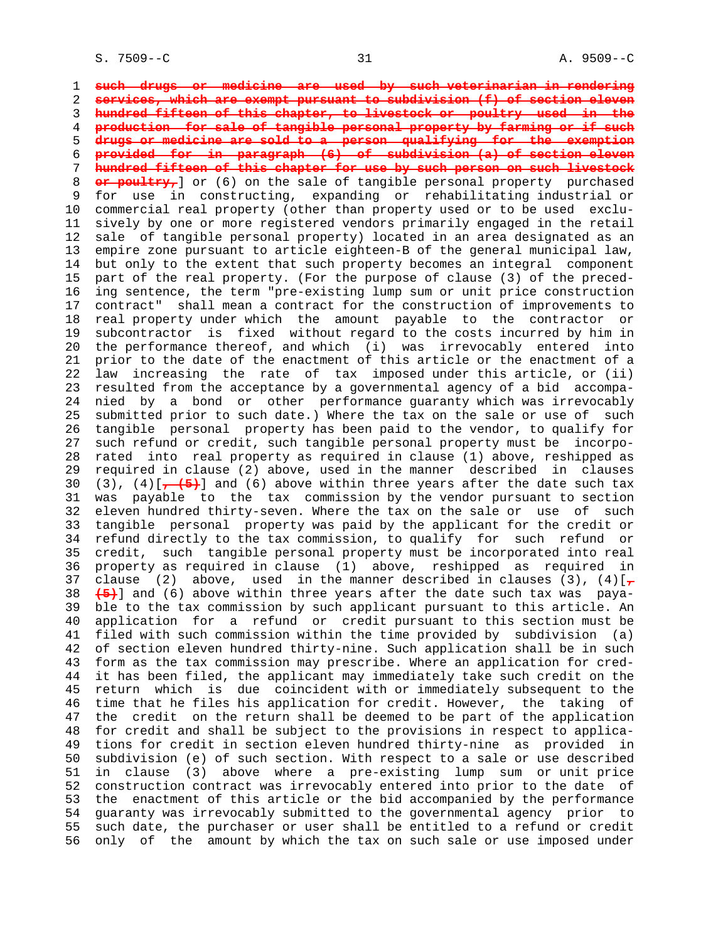1 **such drugs or medicine are used by such veterinarian in rendering** 2 **services, which are exempt pursuant to subdivision (f) of section eleven** 3 **hundred fifteen of this chapter, to livestock or poultry used in the** 4 **production for sale of tangible personal property by farming or if such** 5 **drugs or medicine are sold to a person qualifying for the exemption** 6 **provided for in paragraph (6) of subdivision (a) of section eleven** 7 **hundred fifteen of this chapter for use by such person on such livestock** 8 **or poultry,** or (6) on the sale of tangible personal property purchased<br>9 for use in constructing, expanding or rehabilitating industrial or for use in constructing, expanding or rehabilitating industrial or 10 commercial real property (other than property used or to be used exclu- 11 sively by one or more registered vendors primarily engaged in the retail 12 sale of tangible personal property) located in an area designated as an 13 empire zone pursuant to article eighteen-B of the general municipal law, 14 but only to the extent that such property becomes an integral component 15 part of the real property. (For the purpose of clause (3) of the preced- 16 ing sentence, the term "pre-existing lump sum or unit price construction 17 contract" shall mean a contract for the construction of improvements to 18 real property under which the amount payable to the contractor or 19 subcontractor is fixed without regard to the costs incurred by him in 20 the performance thereof, and which (i) was irrevocably entered into 21 prior to the date of the enactment of this article or the enactment of a 22 law increasing the rate of tax imposed under this article, or (ii) 23 resulted from the acceptance by a governmental agency of a bid accompa- 24 nied by a bond or other performance guaranty which was irrevocably 25 submitted prior to such date.) Where the tax on the sale or use of such 26 tangible personal property has been paid to the vendor, to qualify for 27 such refund or credit, such tangible personal property must be incorpo- 28 rated into real property as required in clause (1) above, reshipped as 29 required in clause (2) above, used in the manner described in clauses 30  $(3)$ ,  $(4)[$  $\rightarrow$  (5) and (6) above within three years after the date such tax 31 was payable to the tax commission by the vendor pursuant to section 32 eleven hundred thirty-seven. Where the tax on the sale or use of such 33 tangible personal property was paid by the applicant for the credit or 34 refund directly to the tax commission, to qualify for such refund or 35 credit, such tangible personal property must be incorporated into real 36 property as required in clause (1) above, reshipped as required in 37 clause (2) above, used in the manner described in clauses  $(3)$ ,  $(4)[7]$  38 **(5)**] and (6) above within three years after the date such tax was paya- 39 ble to the tax commission by such applicant pursuant to this article. An 40 application for a refund or credit pursuant to this section must be 41 filed with such commission within the time provided by subdivision (a) 42 of section eleven hundred thirty-nine. Such application shall be in such 43 form as the tax commission may prescribe. Where an application for cred- 44 it has been filed, the applicant may immediately take such credit on the 45 return which is due coincident with or immediately subsequent to the 46 time that he files his application for credit. However, the taking of 47 the credit on the return shall be deemed to be part of the application 48 for credit and shall be subject to the provisions in respect to applica- 49 tions for credit in section eleven hundred thirty-nine as provided in 50 subdivision (e) of such section. With respect to a sale or use described 51 in clause (3) above where a pre-existing lump sum or unit price 52 construction contract was irrevocably entered into prior to the date of 53 the enactment of this article or the bid accompanied by the performance 54 guaranty was irrevocably submitted to the governmental agency prior to 55 such date, the purchaser or user shall be entitled to a refund or credit 56 only of the amount by which the tax on such sale or use imposed under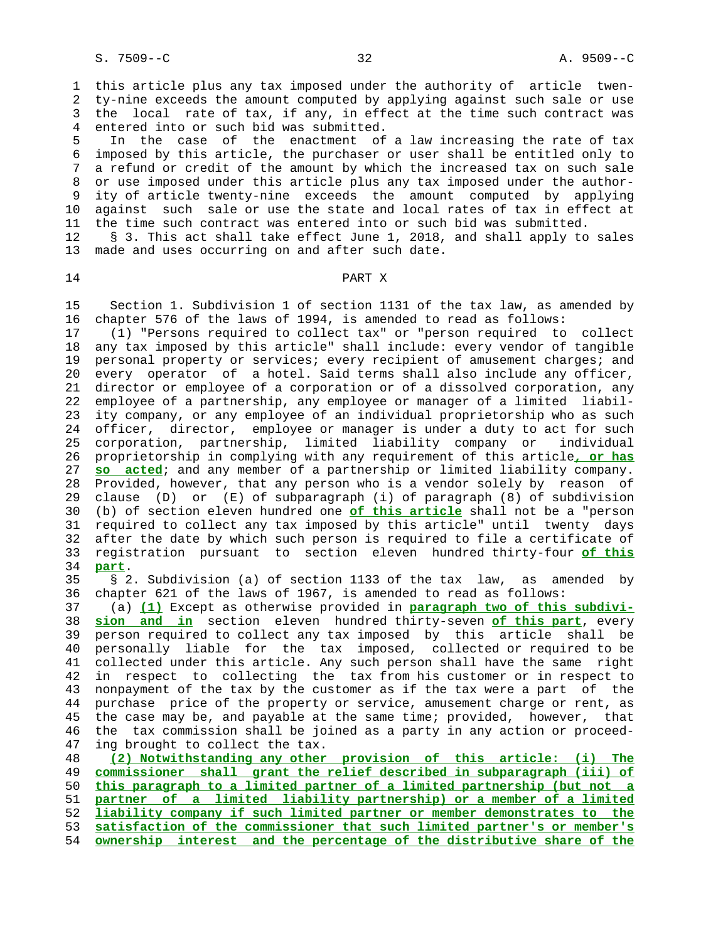1 this article plus any tax imposed under the authority of article twen- 2 ty-nine exceeds the amount computed by applying against such sale or use 3 the local rate of tax, if any, in effect at the time such contract was 4 entered into or such bid was submitted.

 5 In the case of the enactment of a law increasing the rate of tax 6 imposed by this article, the purchaser or user shall be entitled only to 7 a refund or credit of the amount by which the increased tax on such sale 8 or use imposed under this article plus any tax imposed under the author- 9 ity of article twenty-nine exceeds the amount computed by applying 10 against such sale or use the state and local rates of tax in effect at 11 the time such contract was entered into or such bid was submitted.

 12 § 3. This act shall take effect June 1, 2018, and shall apply to sales 13 made and uses occurring on and after such date.

#### 14 **PART X**

 15 Section 1. Subdivision 1 of section 1131 of the tax law, as amended by 16 chapter 576 of the laws of 1994, is amended to read as follows:

 17 (1) "Persons required to collect tax" or "person required to collect 18 any tax imposed by this article" shall include: every vendor of tangible 19 personal property or services; every recipient of amusement charges; and 20 every operator of a hotel. Said terms shall also include any officer, 21 director or employee of a corporation or of a dissolved corporation, any 22 employee of a partnership, any employee or manager of a limited liabil- 23 ity company, or any employee of an individual proprietorship who as such 24 officer, director, employee or manager is under a duty to act for such 25 corporation, partnership, limited liability company or individual 26 proprietorship in complying with any requirement of this article**, or has** 27 **so acted**; and any member of a partnership or limited liability company. 28 Provided, however, that any person who is a vendor solely by reason of 29 clause (D) or (E) of subparagraph (i) of paragraph (8) of subdivision 30 (b) of section eleven hundred one **of this article** shall not be a "person 31 required to collect any tax imposed by this article" until twenty days 32 after the date by which such person is required to file a certificate of 33 registration pursuant to section eleven hundred thirty-four **of this** 34 **part**.

 35 § 2. Subdivision (a) of section 1133 of the tax law, as amended by 36 chapter 621 of the laws of 1967, is amended to read as follows:

 37 (a) **(1)** Except as otherwise provided in **paragraph two of this subdivi-** 38 **sion and in** section eleven hundred thirty-seven **of this part**, every 39 person required to collect any tax imposed by this article shall be 40 personally liable for the tax imposed, collected or required to be 41 collected under this article. Any such person shall have the same right 42 in respect to collecting the tax from his customer or in respect to 43 nonpayment of the tax by the customer as if the tax were a part of the 44 purchase price of the property or service, amusement charge or rent, as 45 the case may be, and payable at the same time; provided, however, that 46 the tax commission shall be joined as a party in any action or proceed- 47 ing brought to collect the tax.

**(2) Notwithstanding any other provision of this article: (i) The commissioner shall grant the relief described in subparagraph (iii) of this paragraph to a limited partner of a limited partnership (but not a partner of a limited liability partnership) or a member of a limited liability company if such limited partner or member demonstrates to the satisfaction of the commissioner that such limited partner's or member's ownership interest and the percentage of the distributive share of the**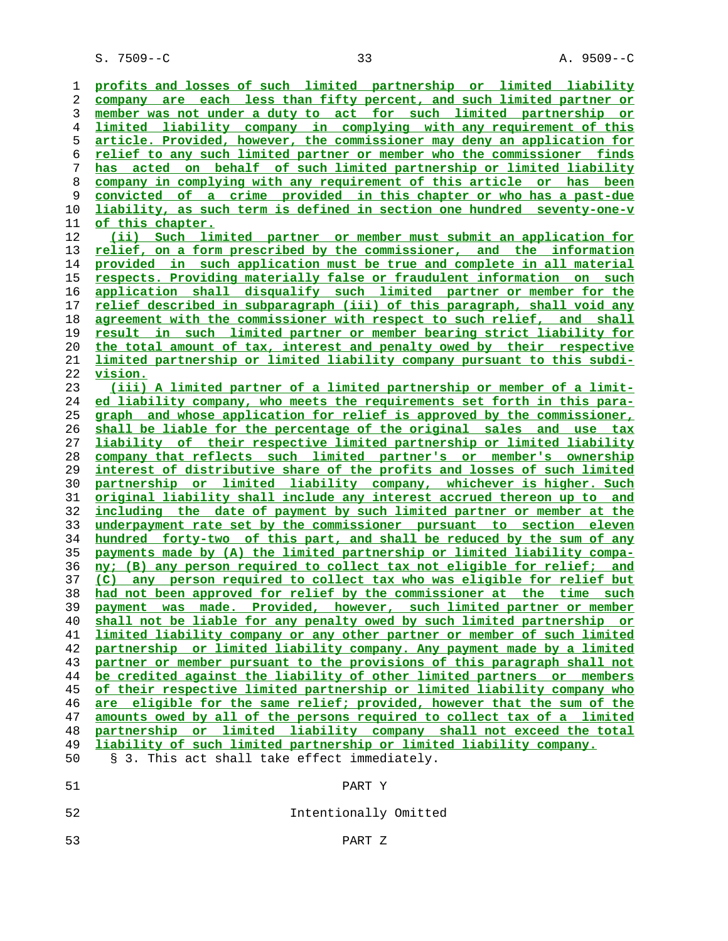S. 7509--C 33 A. 9509--C

**profits and losses of such limited partnership or limited liability company are each less than fifty percent, and such limited partner or member was not under a duty to act for such limited partnership or limited liability company in complying with any requirement of this article. Provided, however, the commissioner may deny an application for relief to any such limited partner or member who the commissioner finds has acted on behalf of such limited partnership or limited liability company in complying with any requirement of this article or has been convicted of a crime provided in this chapter or who has a past-due liability, as such term is defined in section one hundred seventy-one-v of this chapter. (ii) Such limited partner or member must submit an application for relief, on a form prescribed by the commissioner, and the information provided in such application must be true and complete in all material respects. Providing materially false or fraudulent information on such application shall disqualify such limited partner or member for the relief described in subparagraph (iii) of this paragraph, shall void any agreement with the commissioner with respect to such relief, and shall result in such limited partner or member bearing strict liability for the total amount of tax, interest and penalty owed by their respective limited partnership or limited liability company pursuant to this subdi- vision. (iii) A limited partner of a limited partnership or member of a limit- ed liability company, who meets the requirements set forth in this para- graph and whose application for relief is approved by the commissioner, shall be liable for the percentage of the original sales and use tax liability of their respective limited partnership or limited liability company that reflects such limited partner's or member's ownership interest of distributive share of the profits and losses of such limited partnership or limited liability company, whichever is higher. Such original liability shall include any interest accrued thereon up to and including the date of payment by such limited partner or member at the underpayment rate set by the commissioner pursuant to section eleven hundred forty-two of this part, and shall be reduced by the sum of any payments made by (A) the limited partnership or limited liability compa- ny; (B) any person required to collect tax not eligible for relief; and (C) any person required to collect tax who was eligible for relief but had not been approved for relief by the commissioner at the time such payment was made. Provided, however, such limited partner or member shall not be liable for any penalty owed by such limited partnership or limited liability company or any other partner or member of such limited partnership or limited liability company. Any payment made by a limited partner or member pursuant to the provisions of this paragraph shall not be credited against the liability of other limited partners or members of their respective limited partnership or limited liability company who are eligible for the same relief; provided, however that the sum of the amounts owed by all of the persons required to collect tax of a limited partnership or limited liability company shall not exceed the total liability of such limited partnership or limited liability company.** 50 § 3. This act shall take effect immediately. 51 PART Y 52 Intentionally Omitted

53 PART Z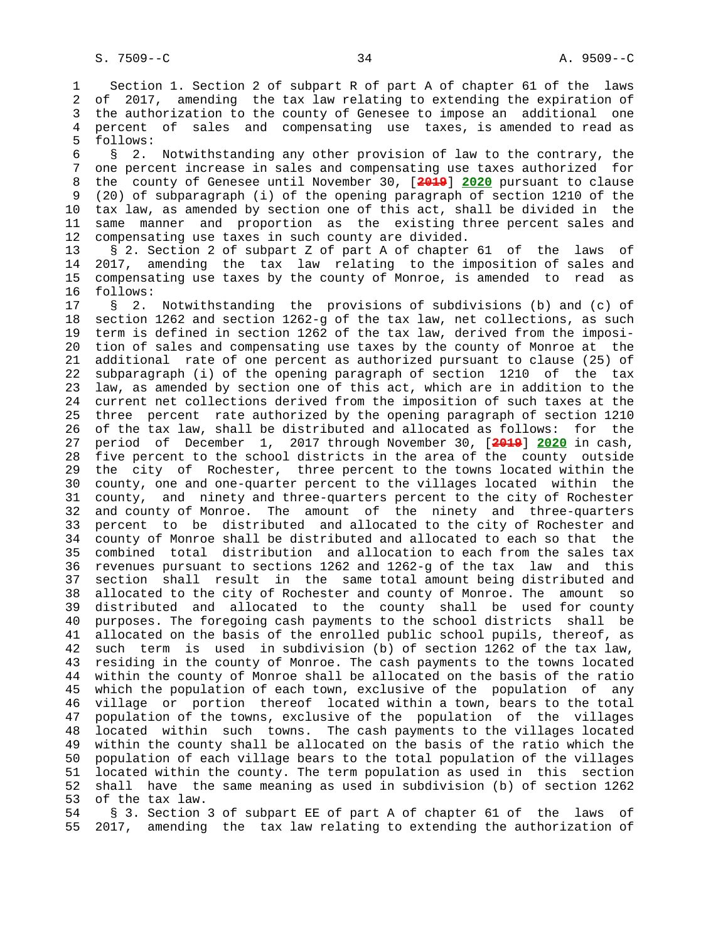1 Section 1. Section 2 of subpart R of part A of chapter 61 of the laws 2 of 2017, amending the tax law relating to extending the expiration of 3 the authorization to the county of Genesee to impose an additional one 4 percent of sales and compensating use taxes, is amended to read as 5 follows:

 6 § 2. Notwithstanding any other provision of law to the contrary, the 7 one percent increase in sales and compensating use taxes authorized for 8 the county of Genesee until November 30, [**2019**] **2020** pursuant to clause 9 (20) of subparagraph (i) of the opening paragraph of section 1210 of the 10 tax law, as amended by section one of this act, shall be divided in the 11 same manner and proportion as the existing three percent sales and 12 compensating use taxes in such county are divided.

 13 § 2. Section 2 of subpart Z of part A of chapter 61 of the laws of 14 2017, amending the tax law relating to the imposition of sales and 15 compensating use taxes by the county of Monroe, is amended to read as 16 follows:

 17 § 2. Notwithstanding the provisions of subdivisions (b) and (c) of 18 section 1262 and section 1262-g of the tax law, net collections, as such 19 term is defined in section 1262 of the tax law, derived from the imposi- 20 tion of sales and compensating use taxes by the county of Monroe at the 21 additional rate of one percent as authorized pursuant to clause (25) of 22 subparagraph (i) of the opening paragraph of section 1210 of the tax 23 law, as amended by section one of this act, which are in addition to the 24 current net collections derived from the imposition of such taxes at the 25 three percent rate authorized by the opening paragraph of section 1210 26 of the tax law, shall be distributed and allocated as follows: for the 27 period of December 1, 2017 through November 30, [**2019**] **2020** in cash, 28 five percent to the school districts in the area of the county outside 29 the city of Rochester, three percent to the towns located within the 30 county, one and one-quarter percent to the villages located within the 31 county, and ninety and three-quarters percent to the city of Rochester 32 and county of Monroe. The amount of the ninety and three-quarters 33 percent to be distributed and allocated to the city of Rochester and 34 county of Monroe shall be distributed and allocated to each so that the 35 combined total distribution and allocation to each from the sales tax 36 revenues pursuant to sections 1262 and 1262-g of the tax law and this 37 section shall result in the same total amount being distributed and 38 allocated to the city of Rochester and county of Monroe. The amount so 39 distributed and allocated to the county shall be used for county 40 purposes. The foregoing cash payments to the school districts shall be 41 allocated on the basis of the enrolled public school pupils, thereof, as 42 such term is used in subdivision (b) of section 1262 of the tax law, 43 residing in the county of Monroe. The cash payments to the towns located 44 within the county of Monroe shall be allocated on the basis of the ratio 45 which the population of each town, exclusive of the population of any 46 village or portion thereof located within a town, bears to the total 47 population of the towns, exclusive of the population of the villages 48 located within such towns. The cash payments to the villages located 49 within the county shall be allocated on the basis of the ratio which the 50 population of each village bears to the total population of the villages 51 located within the county. The term population as used in this section 52 shall have the same meaning as used in subdivision (b) of section 1262 53 of the tax law.

 54 § 3. Section 3 of subpart EE of part A of chapter 61 of the laws of 55 2017, amending the tax law relating to extending the authorization of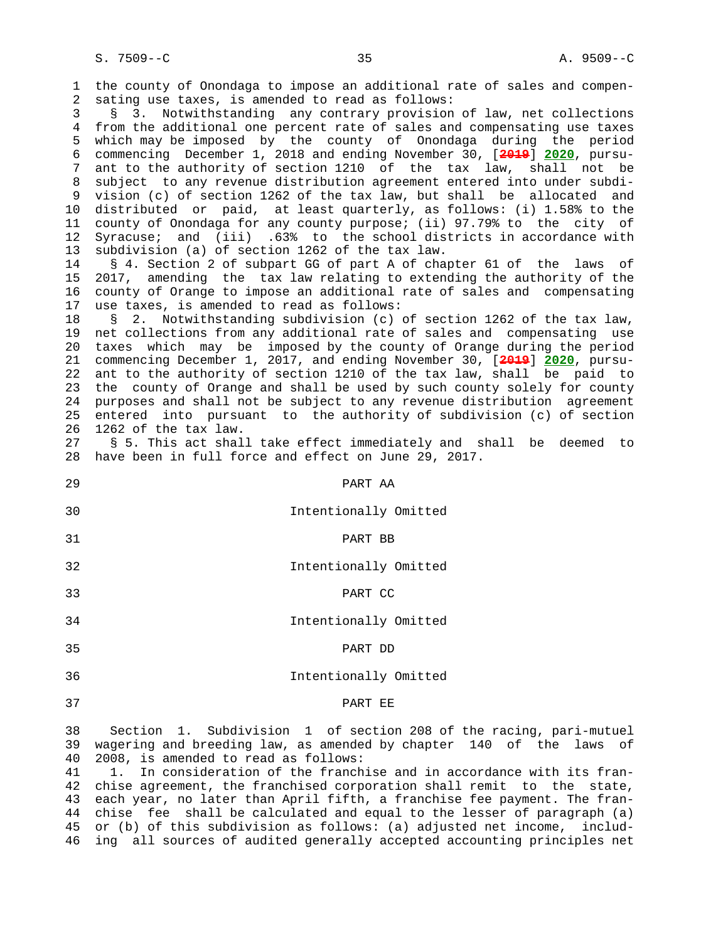1 the county of Onondaga to impose an additional rate of sales and compen- 2 sating use taxes, is amended to read as follows: 3 § 3. Notwithstanding any contrary provision of law, net collections 4 from the additional one percent rate of sales and compensating use taxes 5 which may be imposed by the county of Onondaga during the period 6 commencing December 1, 2018 and ending November 30, [**2019**] **2020**, pursu- 7 ant to the authority of section 1210 of the tax law, shall not be 8 subject to any revenue distribution agreement entered into under subdi- 9 vision (c) of section 1262 of the tax law, but shall be allocated and 10 distributed or paid, at least quarterly, as follows: (i) 1.58% to the 11 county of Onondaga for any county purpose; (ii) 97.79% to the city of 12 Syracuse; and (iii) .63% to the school districts in accordance with 13 subdivision (a) of section 1262 of the tax law. 14 § 4. Section 2 of subpart GG of part A of chapter 61 of the laws of 15 2017, amending the tax law relating to extending the authority of the 16 county of Orange to impose an additional rate of sales and compensating 17 use taxes, is amended to read as follows: 18 § 2. Notwithstanding subdivision (c) of section 1262 of the tax law, 19 net collections from any additional rate of sales and compensating use 20 taxes which may be imposed by the county of Orange during the period 21 commencing December 1, 2017, and ending November 30, [**2019**] **2020**, pursu- 22 ant to the authority of section 1210 of the tax law, shall be paid to 23 the county of Orange and shall be used by such county solely for county 24 purposes and shall not be subject to any revenue distribution agreement 25 entered into pursuant to the authority of subdivision (c) of section 26 1262 of the tax law. 27 § 5. This act shall take effect immediately and shall be deemed to 28 have been in full force and effect on June 29, 2017. 29 PART AA 30 Intentionally Omitted 31 PART BB 32 Intentionally Omitted 33 PART CC 34 Intentionally Omitted 35 PART DD 36 Intentionally Omitted 37 PART EE

 38 Section 1. Subdivision 1 of section 208 of the racing, pari-mutuel 39 wagering and breeding law, as amended by chapter 140 of the laws of 40 2008, is amended to read as follows:

 41 1. In consideration of the franchise and in accordance with its fran- 42 chise agreement, the franchised corporation shall remit to the state, 43 each year, no later than April fifth, a franchise fee payment. The fran- 44 chise fee shall be calculated and equal to the lesser of paragraph (a) 45 or (b) of this subdivision as follows: (a) adjusted net income, includ- 46 ing all sources of audited generally accepted accounting principles net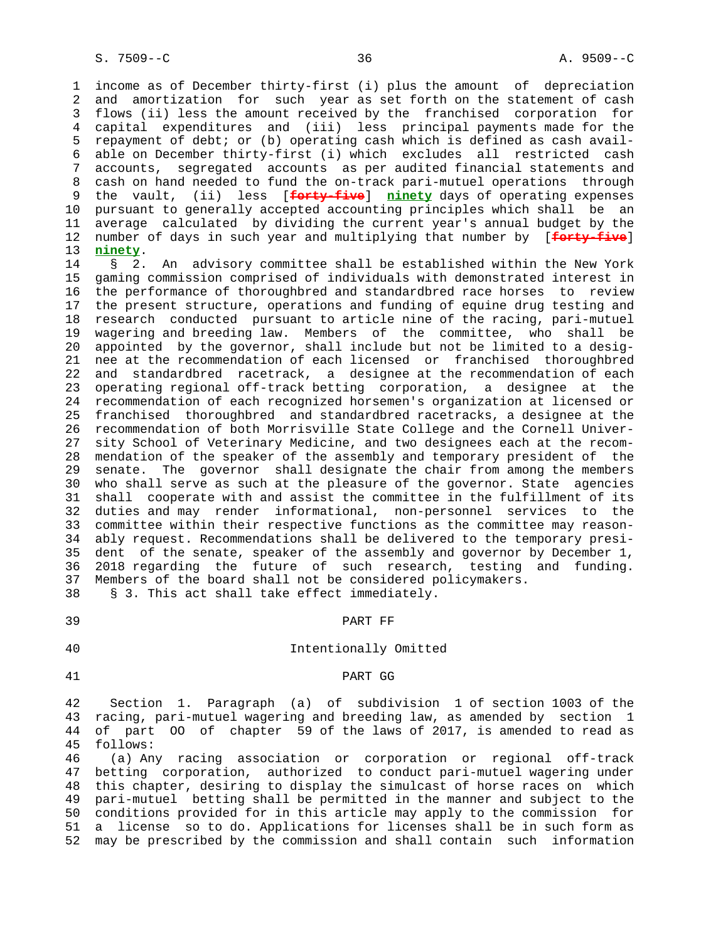1 income as of December thirty-first (i) plus the amount of depreciation 2 and amortization for such year as set forth on the statement of cash 3 flows (ii) less the amount received by the franchised corporation for 4 capital expenditures and (iii) less principal payments made for the 5 repayment of debt; or (b) operating cash which is defined as cash avail- 6 able on December thirty-first (i) which excludes all restricted cash 7 accounts, segregated accounts as per audited financial statements and 8 cash on hand needed to fund the on-track pari-mutuel operations through<br>9 the vault, (ii) less [<del>forty-five</del>] ninety days of operating expenses 9 the vault, (ii) less [**forty-five**] **ninety** days of operating expenses 10 pursuant to generally accepted accounting principles which shall be an 11 average calculated by dividing the current year's annual budget by the 12 number of days in such year and multiplying that number by [**forty-five**] 13 **ninety**.

 14 § 2. An advisory committee shall be established within the New York 15 gaming commission comprised of individuals with demonstrated interest in 16 the performance of thoroughbred and standardbred race horses to review 17 the present structure, operations and funding of equine drug testing and 18 research conducted pursuant to article nine of the racing, pari-mutuel 19 wagering and breeding law. Members of the committee, who shall be 20 appointed by the governor, shall include but not be limited to a desig- 21 nee at the recommendation of each licensed or franchised thoroughbred 22 and standardbred racetrack, a designee at the recommendation of each 23 operating regional off-track betting corporation, a designee at the 24 recommendation of each recognized horsemen's organization at licensed or 25 franchised thoroughbred and standardbred racetracks, a designee at the 26 recommendation of both Morrisville State College and the Cornell Univer- 27 sity School of Veterinary Medicine, and two designees each at the recom- 28 mendation of the speaker of the assembly and temporary president of the 29 senate. The governor shall designate the chair from among the members 30 who shall serve as such at the pleasure of the governor. State agencies 31 shall cooperate with and assist the committee in the fulfillment of its 32 duties and may render informational, non-personnel services to the 33 committee within their respective functions as the committee may reason- 34 ably request. Recommendations shall be delivered to the temporary presi- 35 dent of the senate, speaker of the assembly and governor by December 1, 36 2018 regarding the future of such research, testing and funding. 37 Members of the board shall not be considered policymakers. 38 § 3. This act shall take effect immediately.

#### 39 PART FF

## 40 Intentionally Omitted

#### 41 PART GG

 42 Section 1. Paragraph (a) of subdivision 1 of section 1003 of the 43 racing, pari-mutuel wagering and breeding law, as amended by section 1 44 of part OO of chapter 59 of the laws of 2017, is amended to read as 45 follows:

 46 (a) Any racing association or corporation or regional off-track 47 betting corporation, authorized to conduct pari-mutuel wagering under 48 this chapter, desiring to display the simulcast of horse races on which 49 pari-mutuel betting shall be permitted in the manner and subject to the 50 conditions provided for in this article may apply to the commission for 51 a license so to do. Applications for licenses shall be in such form as 52 may be prescribed by the commission and shall contain such information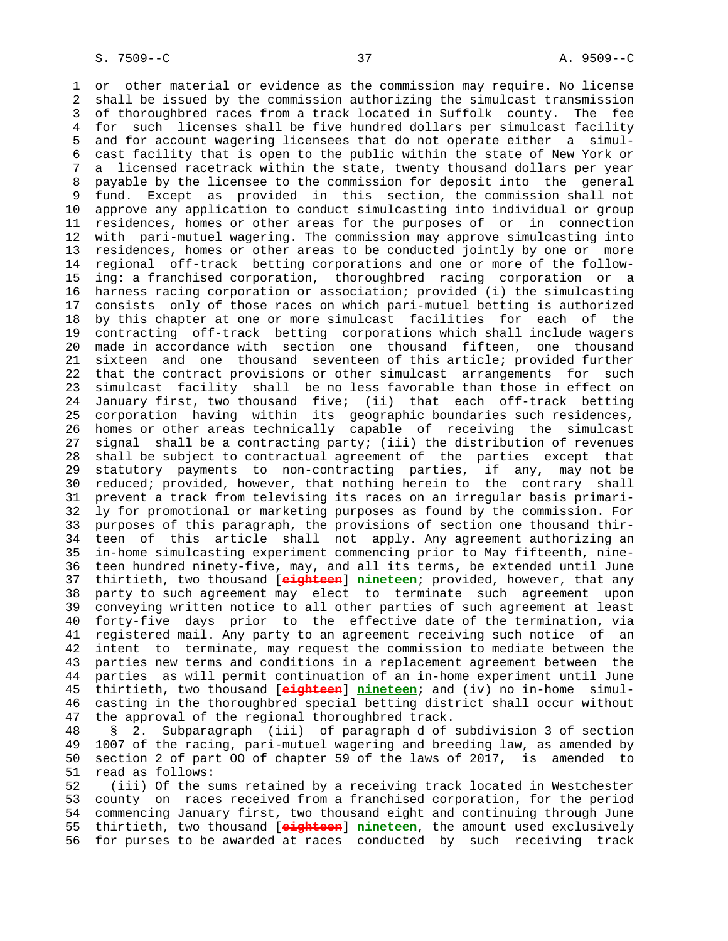1 or other material or evidence as the commission may require. No license 2 shall be issued by the commission authorizing the simulcast transmission 3 of thoroughbred races from a track located in Suffolk county. The fee 4 for such licenses shall be five hundred dollars per simulcast facility 5 and for account wagering licensees that do not operate either a simul- 6 cast facility that is open to the public within the state of New York or 7 a licensed racetrack within the state, twenty thousand dollars per year 8 payable by the licensee to the commission for deposit into the general<br>9 fund. Except as provided in this section, the commission shall not fund. Except as provided in this section, the commission shall not 10 approve any application to conduct simulcasting into individual or group 11 residences, homes or other areas for the purposes of or in connection 12 with pari-mutuel wagering. The commission may approve simulcasting into 13 residences, homes or other areas to be conducted jointly by one or more 14 regional off-track betting corporations and one or more of the follow- 15 ing: a franchised corporation, thoroughbred racing corporation or a 16 harness racing corporation or association; provided (i) the simulcasting 17 consists only of those races on which pari-mutuel betting is authorized 18 by this chapter at one or more simulcast facilities for each of the 19 contracting off-track betting corporations which shall include wagers 20 made in accordance with section one thousand fifteen, one thousand 21 sixteen and one thousand seventeen of this article; provided further 22 that the contract provisions or other simulcast arrangements for such 23 simulcast facility shall be no less favorable than those in effect on 24 January first, two thousand five; (ii) that each off-track betting 25 corporation having within its geographic boundaries such residences, 26 homes or other areas technically capable of receiving the simulcast 27 signal shall be a contracting party; (iii) the distribution of revenues 28 shall be subject to contractual agreement of the parties except that 29 statutory payments to non-contracting parties, if any, may not be 30 reduced; provided, however, that nothing herein to the contrary shall 31 prevent a track from televising its races on an irregular basis primari- 32 ly for promotional or marketing purposes as found by the commission. For 33 purposes of this paragraph, the provisions of section one thousand thir- 34 teen of this article shall not apply. Any agreement authorizing an 35 in-home simulcasting experiment commencing prior to May fifteenth, nine- 36 teen hundred ninety-five, may, and all its terms, be extended until June 37 thirtieth, two thousand [**eighteen**] **nineteen**; provided, however, that any 38 party to such agreement may elect to terminate such agreement upon 39 conveying written notice to all other parties of such agreement at least 40 forty-five days prior to the effective date of the termination, via 41 registered mail. Any party to an agreement receiving such notice of an 42 intent to terminate, may request the commission to mediate between the 43 parties new terms and conditions in a replacement agreement between the 44 parties as will permit continuation of an in-home experiment until June 45 thirtieth, two thousand [**eighteen**] **nineteen**; and (iv) no in-home simul- 46 casting in the thoroughbred special betting district shall occur without 47 the approval of the regional thoroughbred track.

 48 § 2. Subparagraph (iii) of paragraph d of subdivision 3 of section 49 1007 of the racing, pari-mutuel wagering and breeding law, as amended by 50 section 2 of part OO of chapter 59 of the laws of 2017, is amended to 51 read as follows:

 52 (iii) Of the sums retained by a receiving track located in Westchester 53 county on races received from a franchised corporation, for the period 54 commencing January first, two thousand eight and continuing through June 55 thirtieth, two thousand [**eighteen**] **nineteen**, the amount used exclusively 56 for purses to be awarded at races conducted by such receiving track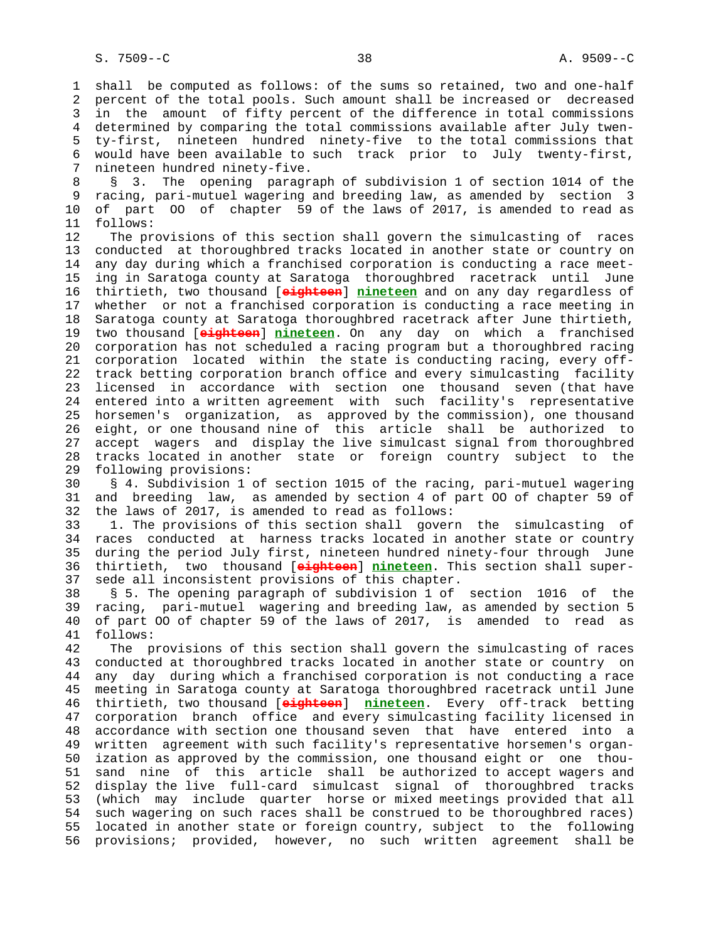1 shall be computed as follows: of the sums so retained, two and one-half 2 percent of the total pools. Such amount shall be increased or decreased 3 in the amount of fifty percent of the difference in total commissions 4 determined by comparing the total commissions available after July twen- 5 ty-first, nineteen hundred ninety-five to the total commissions that 6 would have been available to such track prior to July twenty-first, 7 nineteen hundred ninety-five.

8 § 3. The opening paragraph of subdivision 1 of section 1014 of the<br>9 racing, pari-mutuel wagering and breeding law, as amended by section 3 9 racing, pari-mutuel wagering and breeding law, as amended by section 3 10 of part OO of chapter 59 of the laws of 2017, is amended to read as 11 follows:

 12 The provisions of this section shall govern the simulcasting of races 13 conducted at thoroughbred tracks located in another state or country on 14 any day during which a franchised corporation is conducting a race meet- 15 ing in Saratoga county at Saratoga thoroughbred racetrack until June 16 thirtieth, two thousand [**eighteen**] **nineteen** and on any day regardless of 17 whether or not a franchised corporation is conducting a race meeting in 18 Saratoga county at Saratoga thoroughbred racetrack after June thirtieth, 19 two thousand [**eighteen**] **nineteen**. On any day on which a franchised 20 corporation has not scheduled a racing program but a thoroughbred racing 21 corporation located within the state is conducting racing, every off- 22 track betting corporation branch office and every simulcasting facility 23 licensed in accordance with section one thousand seven (that have 24 entered into a written agreement with such facility's representative 25 horsemen's organization, as approved by the commission), one thousand 26 eight, or one thousand nine of this article shall be authorized to 27 accept wagers and display the live simulcast signal from thoroughbred 28 tracks located in another state or foreign country subject to the 29 following provisions:

 30 § 4. Subdivision 1 of section 1015 of the racing, pari-mutuel wagering 31 and breeding law, as amended by section 4 of part OO of chapter 59 of 32 the laws of 2017, is amended to read as follows:

 33 1. The provisions of this section shall govern the simulcasting of 34 races conducted at harness tracks located in another state or country 35 during the period July first, nineteen hundred ninety-four through June 36 thirtieth, two thousand [**eighteen**] **nineteen**. This section shall super- 37 sede all inconsistent provisions of this chapter.

 38 § 5. The opening paragraph of subdivision 1 of section 1016 of the 39 racing, pari-mutuel wagering and breeding law, as amended by section 5 40 of part OO of chapter 59 of the laws of 2017, is amended to read as 41 follows:

 42 The provisions of this section shall govern the simulcasting of races 43 conducted at thoroughbred tracks located in another state or country on 44 any day during which a franchised corporation is not conducting a race 45 meeting in Saratoga county at Saratoga thoroughbred racetrack until June 46 thirtieth, two thousand [**eighteen**] **nineteen**. Every off-track betting 47 corporation branch office and every simulcasting facility licensed in 48 accordance with section one thousand seven that have entered into a 49 written agreement with such facility's representative horsemen's organ- 50 ization as approved by the commission, one thousand eight or one thou- 51 sand nine of this article shall be authorized to accept wagers and 52 display the live full-card simulcast signal of thoroughbred tracks 53 (which may include quarter horse or mixed meetings provided that all 54 such wagering on such races shall be construed to be thoroughbred races) 55 located in another state or foreign country, subject to the following 56 provisions; provided, however, no such written agreement shall be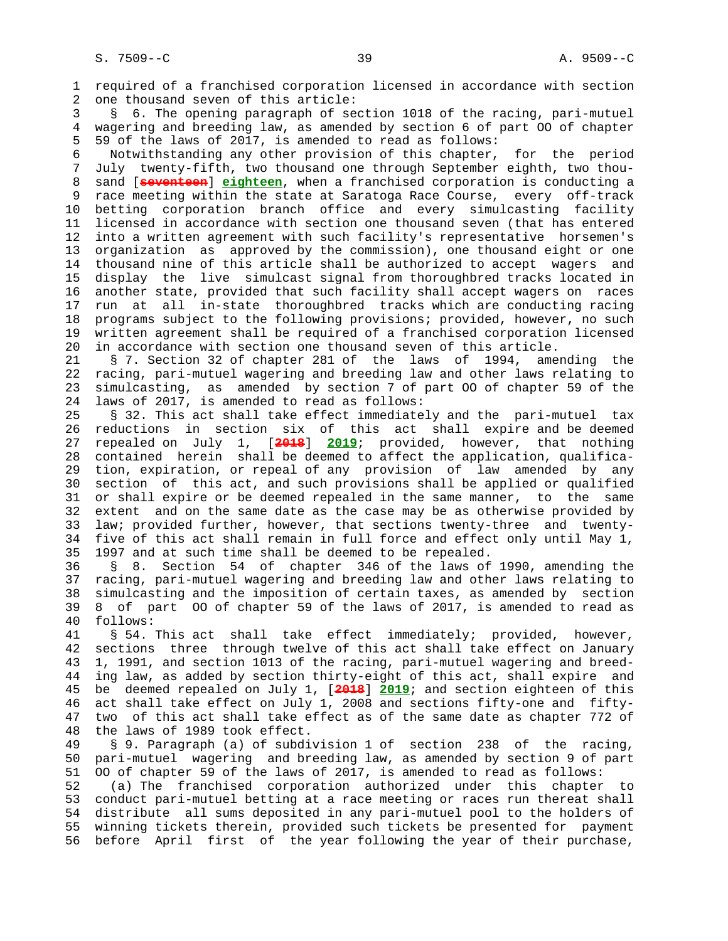1 required of a franchised corporation licensed in accordance with section 2 one thousand seven of this article:

 3 § 6. The opening paragraph of section 1018 of the racing, pari-mutuel 4 wagering and breeding law, as amended by section 6 of part OO of chapter 5 59 of the laws of 2017, is amended to read as follows:

 6 Notwithstanding any other provision of this chapter, for the period 7 July twenty-fifth, two thousand one through September eighth, two thou- 8 sand [**seventeen**] **eighteen**, when a franchised corporation is conducting a 9 race meeting within the state at Saratoga Race Course, every off-track 10 betting corporation branch office and every simulcasting facility 11 licensed in accordance with section one thousand seven (that has entered 12 into a written agreement with such facility's representative horsemen's 13 organization as approved by the commission), one thousand eight or one 14 thousand nine of this article shall be authorized to accept wagers and 15 display the live simulcast signal from thoroughbred tracks located in 16 another state, provided that such facility shall accept wagers on races 17 run at all in-state thoroughbred tracks which are conducting racing 18 programs subject to the following provisions; provided, however, no such 19 written agreement shall be required of a franchised corporation licensed 20 in accordance with section one thousand seven of this article.

 21 § 7. Section 32 of chapter 281 of the laws of 1994, amending the 22 racing, pari-mutuel wagering and breeding law and other laws relating to 23 simulcasting, as amended by section 7 of part OO of chapter 59 of the 24 laws of 2017, is amended to read as follows:

 25 § 32. This act shall take effect immediately and the pari-mutuel tax 26 reductions in section six of this act shall expire and be deemed 27 repealed on July 1, [**2018**] **2019**; provided, however, that nothing 28 contained herein shall be deemed to affect the application, qualifica- 29 tion, expiration, or repeal of any provision of law amended by any 30 section of this act, and such provisions shall be applied or qualified 31 or shall expire or be deemed repealed in the same manner, to the same 32 extent and on the same date as the case may be as otherwise provided by 33 law; provided further, however, that sections twenty-three and twenty- 34 five of this act shall remain in full force and effect only until May 1, 35 1997 and at such time shall be deemed to be repealed.

 36 § 8. Section 54 of chapter 346 of the laws of 1990, amending the 37 racing, pari-mutuel wagering and breeding law and other laws relating to 38 simulcasting and the imposition of certain taxes, as amended by section 39 8 of part OO of chapter 59 of the laws of 2017, is amended to read as 40 follows:

 41 § 54. This act shall take effect immediately; provided, however, 42 sections three through twelve of this act shall take effect on January 43 1, 1991, and section 1013 of the racing, pari-mutuel wagering and breed- 44 ing law, as added by section thirty-eight of this act, shall expire and 45 be deemed repealed on July 1, [**2018**] **2019**; and section eighteen of this 46 act shall take effect on July 1, 2008 and sections fifty-one and fifty- 47 two of this act shall take effect as of the same date as chapter 772 of 48 the laws of 1989 took effect.

 49 § 9. Paragraph (a) of subdivision 1 of section 238 of the racing, 50 pari-mutuel wagering and breeding law, as amended by section 9 of part 51 OO of chapter 59 of the laws of 2017, is amended to read as follows:

 52 (a) The franchised corporation authorized under this chapter to 53 conduct pari-mutuel betting at a race meeting or races run thereat shall 54 distribute all sums deposited in any pari-mutuel pool to the holders of 55 winning tickets therein, provided such tickets be presented for payment 56 before April first of the year following the year of their purchase,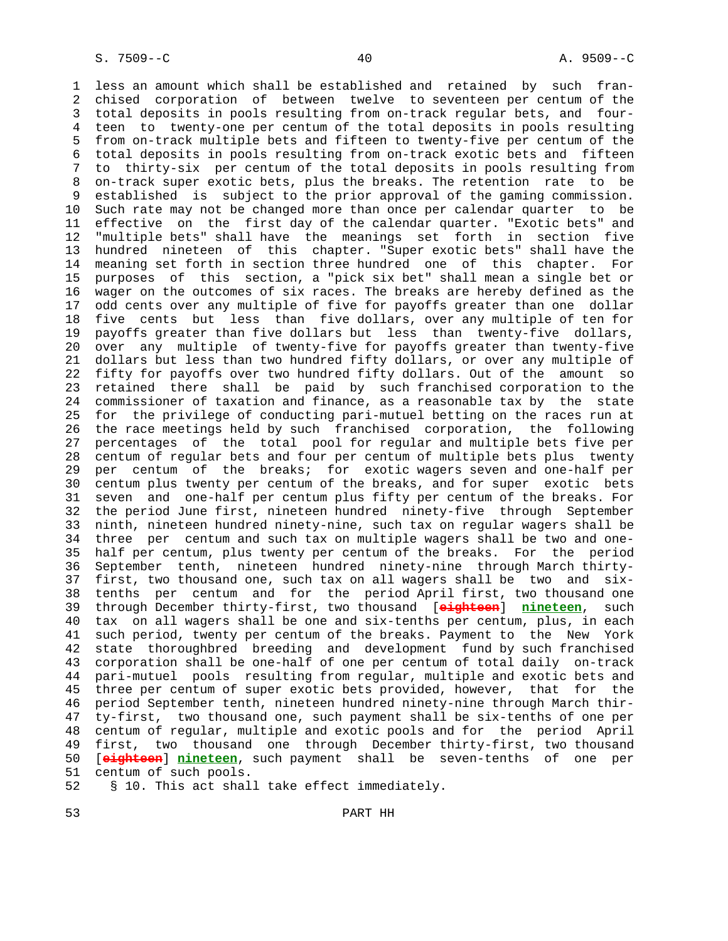1 less an amount which shall be established and retained by such fran- 2 chised corporation of between twelve to seventeen per centum of the 3 total deposits in pools resulting from on-track regular bets, and four- 4 teen to twenty-one per centum of the total deposits in pools resulting 5 from on-track multiple bets and fifteen to twenty-five per centum of the 6 total deposits in pools resulting from on-track exotic bets and fifteen 7 to thirty-six per centum of the total deposits in pools resulting from 8 on-track super exotic bets, plus the breaks. The retention rate to be<br>9 established is subject to the prior approval of the gaming commission. established is subject to the prior approval of the gaming commission. 10 Such rate may not be changed more than once per calendar quarter to be 11 effective on the first day of the calendar quarter. "Exotic bets" and 12 "multiple bets" shall have the meanings set forth in section five 13 hundred nineteen of this chapter. "Super exotic bets" shall have the 14 meaning set forth in section three hundred one of this chapter. For 15 purposes of this section, a "pick six bet" shall mean a single bet or 16 wager on the outcomes of six races. The breaks are hereby defined as the 17 odd cents over any multiple of five for payoffs greater than one dollar 18 five cents but less than five dollars, over any multiple of ten for 19 payoffs greater than five dollars but less than twenty-five dollars, 20 over any multiple of twenty-five for payoffs greater than twenty-five 21 dollars but less than two hundred fifty dollars, or over any multiple of 22 fifty for payoffs over two hundred fifty dollars. Out of the amount so 23 retained there shall be paid by such franchised corporation to the 24 commissioner of taxation and finance, as a reasonable tax by the state 25 for the privilege of conducting pari-mutuel betting on the races run at 26 the race meetings held by such franchised corporation, the following 27 percentages of the total pool for regular and multiple bets five per 28 centum of regular bets and four per centum of multiple bets plus twenty 29 per centum of the breaks; for exotic wagers seven and one-half per 30 centum plus twenty per centum of the breaks, and for super exotic bets 31 seven and one-half per centum plus fifty per centum of the breaks. For 32 the period June first, nineteen hundred ninety-five through September 33 ninth, nineteen hundred ninety-nine, such tax on regular wagers shall be 34 three per centum and such tax on multiple wagers shall be two and one- 35 half per centum, plus twenty per centum of the breaks. For the period 36 September tenth, nineteen hundred ninety-nine through March thirty- 37 first, two thousand one, such tax on all wagers shall be two and six- 38 tenths per centum and for the period April first, two thousand one 39 through December thirty-first, two thousand [**eighteen**] **nineteen**, such 40 tax on all wagers shall be one and six-tenths per centum, plus, in each 41 such period, twenty per centum of the breaks. Payment to the New York 42 state thoroughbred breeding and development fund by such franchised 43 corporation shall be one-half of one per centum of total daily on-track 44 pari-mutuel pools resulting from regular, multiple and exotic bets and 45 three per centum of super exotic bets provided, however, that for the 46 period September tenth, nineteen hundred ninety-nine through March thir- 47 ty-first, two thousand one, such payment shall be six-tenths of one per 48 centum of regular, multiple and exotic pools and for the period April 49 first, two thousand one through December thirty-first, two thousand 50 [**eighteen**] **nineteen**, such payment shall be seven-tenths of one per 51 centum of such pools.

52 § 10. This act shall take effect immediately.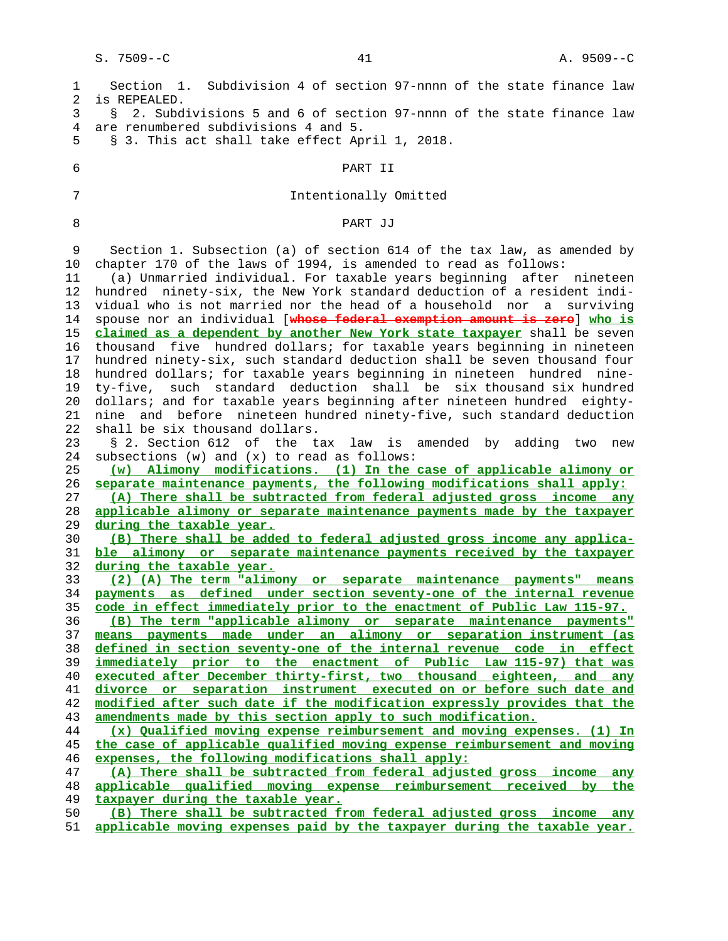| 1<br>2   | Section 1. Subdivision 4 of section 97-nnnn of the state finance law<br>is REPEALED.                                                       |
|----------|--------------------------------------------------------------------------------------------------------------------------------------------|
| 3        | 2. Subdivisions 5 and 6 of section 97-nnnn of the state finance law<br>S.                                                                  |
| 4        | are renumbered subdivisions 4 and 5.                                                                                                       |
| 5        | § 3. This act shall take effect April 1, 2018.                                                                                             |
|          |                                                                                                                                            |
| 6        | PART II                                                                                                                                    |
| 7        | Intentionally Omitted                                                                                                                      |
| 8        | PART JJ                                                                                                                                    |
|          |                                                                                                                                            |
| 9        | Section 1. Subsection (a) of section 614 of the tax law, as amended by                                                                     |
| 10       | chapter 170 of the laws of 1994, is amended to read as follows:                                                                            |
| 11       | (a) Unmarried individual. For taxable years beginning after nineteen                                                                       |
| 12       | hundred ninety-six, the New York standard deduction of a resident indi-                                                                    |
| 13       | vidual who is not married nor the head of a household nor a surviving                                                                      |
| 14       | spouse nor an individual [whose federal exemption amount is zero] who is                                                                   |
| 15       | claimed as a dependent by another New York state taxpayer shall be seven                                                                   |
| 16       | thousand five hundred dollars; for taxable years beginning in nineteen                                                                     |
| 17       | hundred ninety-six, such standard deduction shall be seven thousand four                                                                   |
| 18       | hundred dollars; for taxable years beginning in nineteen hundred nine-                                                                     |
| 19       | ty-five, such standard deduction shall be six thousand six hundred                                                                         |
| 20       | dollars; and for taxable years beginning after nineteen hundred eighty-                                                                    |
| 21       | nine and before nineteen hundred ninety-five, such standard deduction                                                                      |
| 22       | shall be six thousand dollars.                                                                                                             |
| 23       | § 2. Section 612 of the tax law<br>is amended by adding two<br>new                                                                         |
| 24       | subsections (w) and (x) to read as follows:                                                                                                |
| 25       | (w) Alimony modifications. (1) In the case of applicable alimony or                                                                        |
| 26       | separate maintenance payments, the following modifications shall apply:                                                                    |
| 27       | (A) There shall be subtracted from federal adjusted gross income any                                                                       |
| 28       | applicable alimony or separate maintenance payments made by the taxpayer                                                                   |
| 29       | during the taxable year.                                                                                                                   |
| 30       | (B) There shall be added to federal adjusted gross income any applica-                                                                     |
| 31       | ble alimony or separate maintenance payments received by the taxpayer                                                                      |
| 32       | during the taxable year.                                                                                                                   |
| 33<br>34 | (2) (A) The term "alimony or separate maintenance payments" means<br>payments as defined under section seventy-one of the internal revenue |
| 35       | code in effect immediately prior to the enactment of Public Law 115-97.                                                                    |
| 36       | (B) The term "applicable alimony or separate maintenance payments"                                                                         |
| 37       | means payments made under an alimony or separation instrument (as                                                                          |
| 38       | defined in section seventy-one of the internal revenue code in effect                                                                      |
| 39       | immediately prior to the enactment of Public Law 115-97) that was                                                                          |
| 40       | executed after December thirty-first, two thousand eighteen, and any                                                                       |
| 41       | divorce or separation instrument executed on or before such date and                                                                       |
| 42       | modified after such date if the modification expressly provides that the                                                                   |
| 43       | amendments made by this section apply to such modification.                                                                                |
| 44       | $(x)$ Qualified moving expense reimbursement and moving expenses. (1) In                                                                   |
| 45       | the case of applicable qualified moving expense reimbursement and moving                                                                   |
| 46       | expenses, the following modifications shall apply:                                                                                         |
| 47       | (A) There shall be subtracted from federal adjusted gross income any                                                                       |
| 48       | applicable qualified moving expense reimbursement received by the                                                                          |
| 49       | taxpayer during the taxable year.                                                                                                          |
| 50       | (B) There shall be subtracted from federal adjusted gross income any                                                                       |
| 51       | applicable moving expenses paid by the taxpayer during the taxable year.                                                                   |
|          |                                                                                                                                            |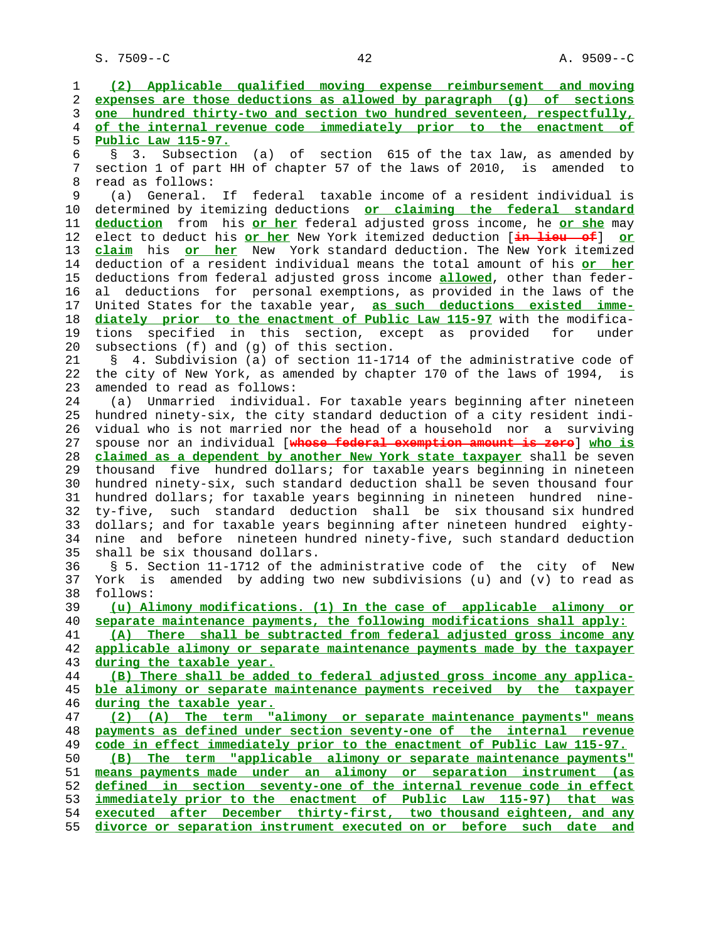S. 7509--C 42 A. 9509--C

 1 **(2) Applicable qualified moving expense reimbursement and moving** 2 **expenses are those deductions as allowed by paragraph (g) of sections** 3 **one hundred thirty-two and section two hundred seventeen, respectfully,** 4 **of the internal revenue code immediately prior to the enactment of** 5 **Public Law 115-97.** 6 § 3. Subsection (a) of section 615 of the tax law, as amended by 7 section 1 of part HH of chapter 57 of the laws of 2010, is amended to 8 read as follows:<br>9 (a) General. 9 (a) General. If federal taxable income of a resident individual is 10 determined by itemizing deductions **or claiming the federal standard** 11 **deduction** from his **or her** federal adjusted gross income, he **or she** may 12 elect to deduct his **or her** New York itemized deduction [**in lieu of**] **or** 13 **claim** his **or her** New York standard deduction. The New York itemized 14 deduction of a resident individual means the total amount of his **or her** 15 deductions from federal adjusted gross income **allowed**, other than feder- 16 al deductions for personal exemptions, as provided in the laws of the 17 United States for the taxable year, **as such deductions existed imme-** 18 **diately prior to the enactment of Public Law 115-97** with the modifica- 19 tions specified in this section, except as provided for under 20 subsections (f) and (g) of this section. 21 § 4. Subdivision (a) of section 11-1714 of the administrative code of 22 the city of New York, as amended by chapter 170 of the laws of 1994, is 23 amended to read as follows: 24 (a) Unmarried individual. For taxable years beginning after nineteen 25 hundred ninety-six, the city standard deduction of a city resident indi- 26 vidual who is not married nor the head of a household nor a surviving 27 spouse nor an individual [**whose federal exemption amount is zero**] **who is** 28 **claimed as a dependent by another New York state taxpayer** shall be seven 29 thousand five hundred dollars; for taxable years beginning in nineteen 30 hundred ninety-six, such standard deduction shall be seven thousand four 31 hundred dollars; for taxable years beginning in nineteen hundred nine- 32 ty-five, such standard deduction shall be six thousand six hundred 33 dollars; and for taxable years beginning after nineteen hundred eighty- 34 nine and before nineteen hundred ninety-five, such standard deduction 35 shall be six thousand dollars. 36 § 5. Section 11-1712 of the administrative code of the city of New 37 York is amended by adding two new subdivisions (u) and (v) to read as 38 follows: 39 **(u) Alimony modifications. (1) In the case of applicable alimony or** 40 **separate maintenance payments, the following modifications shall apply:** 41 **(A) There shall be subtracted from federal adjusted gross income any** 42 **applicable alimony or separate maintenance payments made by the taxpayer** 43 **during the taxable year.** 44 **(B) There shall be added to federal adjusted gross income any applica-** 45 **ble alimony or separate maintenance payments received by the taxpayer** 46 **during the taxable year.** 47 **(2) (A) The term "alimony or separate maintenance payments" means** 48 **payments as defined under section seventy-one of the internal revenue** 49 **code in effect immediately prior to the enactment of Public Law 115-97.** 50 **(B) The term "applicable alimony or separate maintenance payments"** 51 **means payments made under an alimony or separation instrument (as** 52 **defined in section seventy-one of the internal revenue code in effect** 53 **immediately prior to the enactment of Public Law 115-97) that was** 54 **executed after December thirty-first, two thousand eighteen, and any** 55 **divorce or separation instrument executed on or before such date and**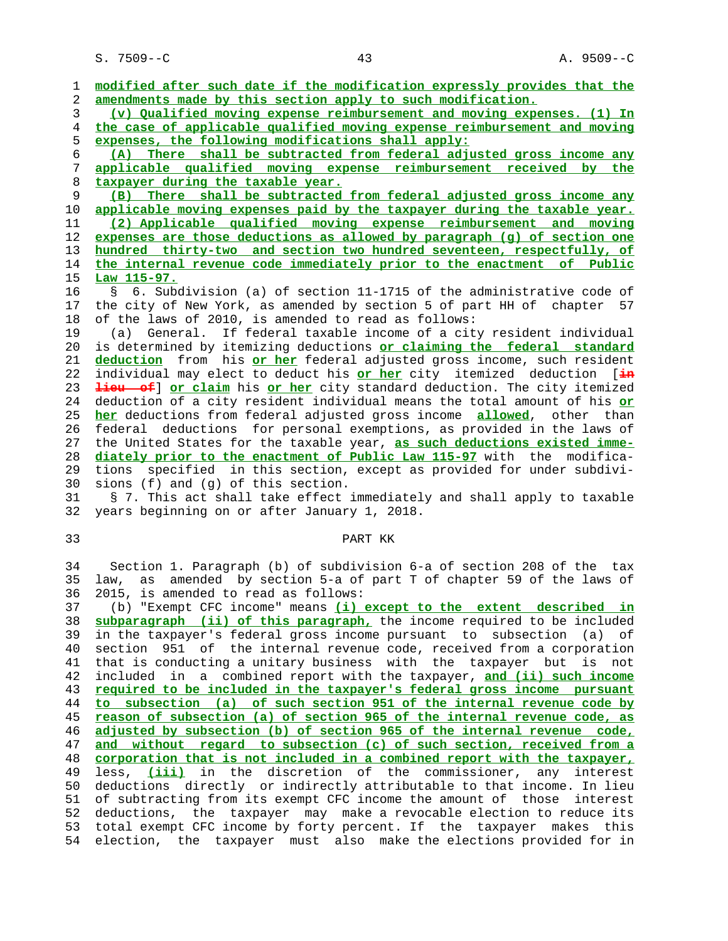S. 7509--C 43 A. 9509--C

 1 **modified after such date if the modification expressly provides that the** 2 **amendments made by this section apply to such modification.** 3 **(v) Qualified moving expense reimbursement and moving expenses. (1) In** 4 **the case of applicable qualified moving expense reimbursement and moving** 5 **expenses, the following modifications shall apply:** 6 **(A) There shall be subtracted from federal adjusted gross income any** 7 **applicable qualified moving expense reimbursement received by the** 8 **taxpayer during the taxable year.** 9 **(B) There shall be subtracted from federal adjusted gross income any** 10 **applicable moving expenses paid by the taxpayer during the taxable year.** 11 **(2) Applicable qualified moving expense reimbursement and moving** 12 **expenses are those deductions as allowed by paragraph (g) of section one** 13 **hundred thirty-two and section two hundred seventeen, respectfully, of** 14 **the internal revenue code immediately prior to the enactment of Public** 15 **Law 115-97.** 16 § 6. Subdivision (a) of section 11-1715 of the administrative code of 17 the city of New York, as amended by section 5 of part HH of chapter 57 18 of the laws of 2010, is amended to read as follows: 19 (a) General. If federal taxable income of a city resident individual 20 is determined by itemizing deductions **or claiming the federal standard** 21 **deduction** from his **or her** federal adjusted gross income, such resident 22 individual may elect to deduct his **or her** city itemized deduction [**in** 23 **lieu of**] **or claim** his **or her** city standard deduction. The city itemized 24 deduction of a city resident individual means the total amount of his **or** 25 **her** deductions from federal adjusted gross income **allowed**, other than 26 federal deductions for personal exemptions, as provided in the laws of 27 the United States for the taxable year, **as such deductions existed imme-** 28 **diately prior to the enactment of Public Law 115-97** with the modifica- 29 tions specified in this section, except as provided for under subdivi- 30 sions (f) and (g) of this section. 31 § 7. This act shall take effect immediately and shall apply to taxable 32 years beginning on or after January 1, 2018. 33 PART KK

 34 Section 1. Paragraph (b) of subdivision 6-a of section 208 of the tax 35 law, as amended by section 5-a of part T of chapter 59 of the laws of 36 2015, is amended to read as follows:

 37 (b) "Exempt CFC income" means **(i) except to the extent described in** 38 **subparagraph (ii) of this paragraph,** the income required to be included 39 in the taxpayer's federal gross income pursuant to subsection (a) of 40 section 951 of the internal revenue code, received from a corporation 41 that is conducting a unitary business with the taxpayer but is not 42 included in a combined report with the taxpayer, **and (ii) such income** 43 **required to be included in the taxpayer's federal gross income pursuant** 44 **to subsection (a) of such section 951 of the internal revenue code by** 45 **reason of subsection (a) of section 965 of the internal revenue code, as** 46 **adjusted by subsection (b) of section 965 of the internal revenue code,** 47 **and without regard to subsection (c) of such section, received from a** 48 **corporation that is not included in a combined report with the taxpayer,** 49 less, **(iii)** in the discretion of the commissioner, any interest 50 deductions directly or indirectly attributable to that income. In lieu 51 of subtracting from its exempt CFC income the amount of those interest 52 deductions, the taxpayer may make a revocable election to reduce its 53 total exempt CFC income by forty percent. If the taxpayer makes this 54 election, the taxpayer must also make the elections provided for in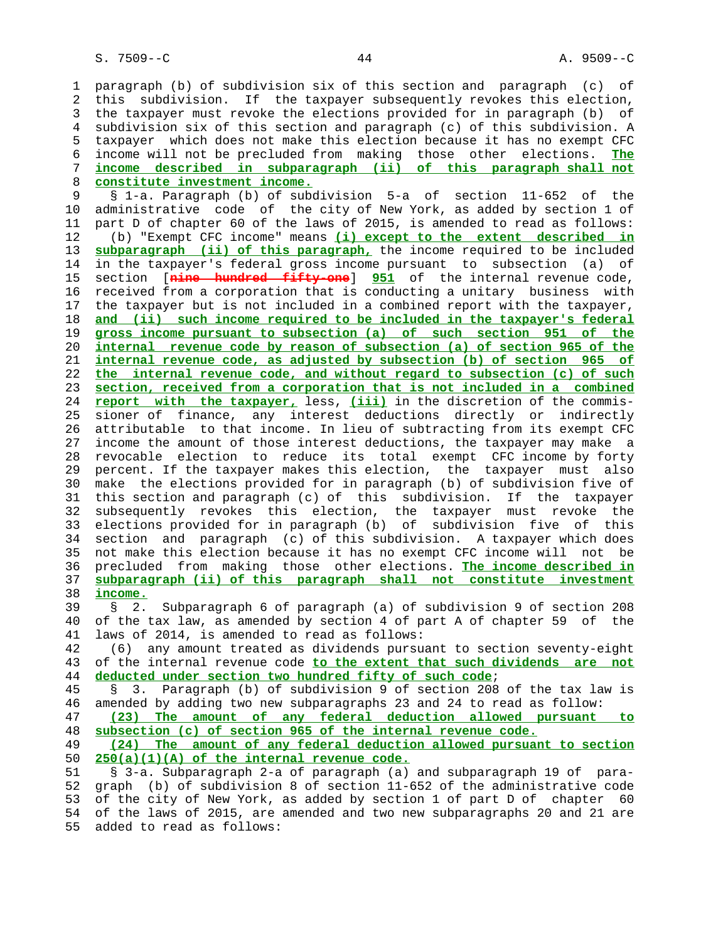1 paragraph (b) of subdivision six of this section and paragraph (c) of 2 this subdivision. If the taxpayer subsequently revokes this election, 3 the taxpayer must revoke the elections provided for in paragraph (b) of 4 subdivision six of this section and paragraph (c) of this subdivision. A 5 taxpayer which does not make this election because it has no exempt CFC 6 income will not be precluded from making those other elections. **The** 7 **income described in subparagraph (ii) of this paragraph shall not** 8 **constitute investment income.** 9 § 1-a. Paragraph (b) of subdivision 5-a of section 11-652 of the 10 administrative code of the city of New York, as added by section 1 of 11 part D of chapter 60 of the laws of 2015, is amended to read as follows: 12 (b) "Exempt CFC income" means **(i) except to the extent described in** 13 **subparagraph (ii) of this paragraph,** the income required to be included 14 in the taxpayer's federal gross income pursuant to subsection (a) of 15 section [**nine hundred fifty-one**] **951** of the internal revenue code, 16 received from a corporation that is conducting a unitary business with 17 the taxpayer but is not included in a combined report with the taxpayer, 18 **and (ii) such income required to be included in the taxpayer's federal** 19 **gross income pursuant to subsection (a) of such section 951 of the** 20 **internal revenue code by reason of subsection (a) of section 965 of the** 21 **internal revenue code, as adjusted by subsection (b) of section 965 of** 22 **the internal revenue code, and without regard to subsection (c) of such** 23 **section, received from a corporation that is not included in a combined** 24 **report with the taxpayer,** less, **(iii)** in the discretion of the commis- 25 sioner of finance, any interest deductions directly or indirectly 26 attributable to that income. In lieu of subtracting from its exempt CFC 27 income the amount of those interest deductions, the taxpayer may make a 28 revocable election to reduce its total exempt CFC income by forty 29 percent. If the taxpayer makes this election, the taxpayer must also 30 make the elections provided for in paragraph (b) of subdivision five of 31 this section and paragraph (c) of this subdivision. If the taxpayer 32 subsequently revokes this election, the taxpayer must revoke the 33 elections provided for in paragraph (b) of subdivision five of this 34 section and paragraph (c) of this subdivision. A taxpayer which does 35 not make this election because it has no exempt CFC income will not be 36 precluded from making those other elections. **The income described in** 37 **subparagraph (ii) of this paragraph shall not constitute investment** 38 **income.** 39 § 2. Subparagraph 6 of paragraph (a) of subdivision 9 of section 208 40 of the tax law, as amended by section 4 of part A of chapter 59 of the 41 laws of 2014, is amended to read as follows: 42 (6) any amount treated as dividends pursuant to section seventy-eight 43 of the internal revenue code **to the extent that such dividends are not** 44 **deducted under section two hundred fifty of such code**; 45 § 3. Paragraph (b) of subdivision 9 of section 208 of the tax law is 46 amended by adding two new subparagraphs 23 and 24 to read as follow: 47 **(23) The amount of any federal deduction allowed pursuant to** 48 **subsection (c) of section 965 of the internal revenue code.** 49 **(24) The amount of any federal deduction allowed pursuant to section** 50 **250(a)(1)(A) of the internal revenue code.** 51 § 3-a. Subparagraph 2-a of paragraph (a) and subparagraph 19 of para- 52 graph (b) of subdivision 8 of section 11-652 of the administrative code 53 of the city of New York, as added by section 1 of part D of chapter 60 54 of the laws of 2015, are amended and two new subparagraphs 20 and 21 are 55 added to read as follows: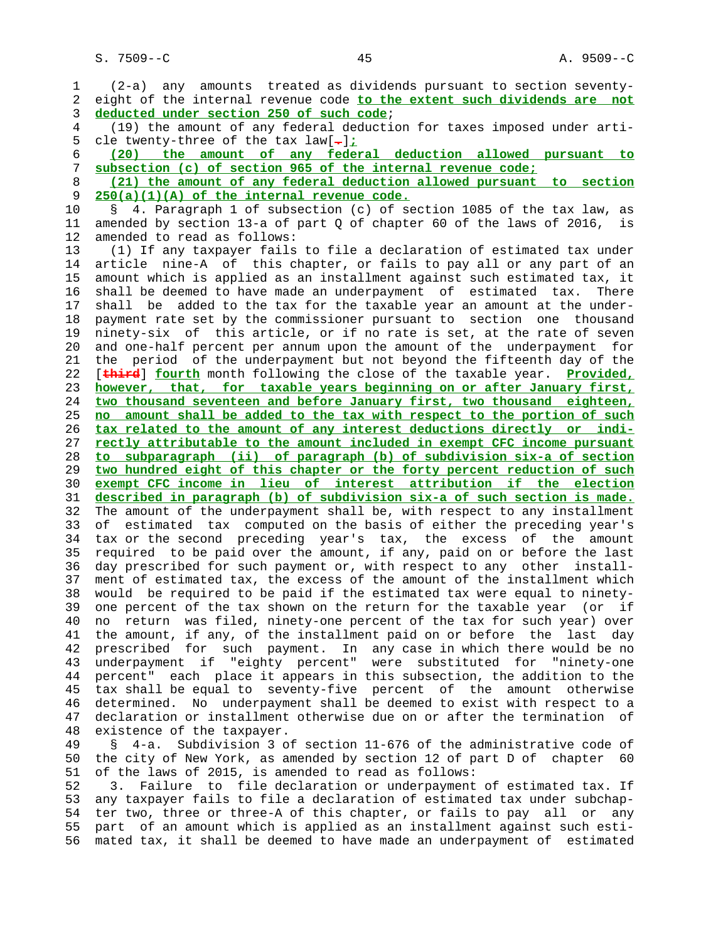1 (2-a) any amounts treated as dividends pursuant to section seventy- 2 eight of the internal revenue code **to the extent such dividends are not** 3 **deducted under section 250 of such code**; 4 (19) the amount of any federal deduction for taxes imposed under arti- 5 cle twenty-three of the tax law[**.**]**;** 6 **(20) the amount of any federal deduction allowed pursuant to** 7 **subsection (c) of section 965 of the internal revenue code;** 8 **(21) the amount of any federal deduction allowed pursuant to section** 9 **250(a)(1)(A) of the internal revenue code.** 10 § 4. Paragraph 1 of subsection (c) of section 1085 of the tax law, as 11 amended by section 13-a of part Q of chapter 60 of the laws of 2016, is 12 amended to read as follows: 13 (1) If any taxpayer fails to file a declaration of estimated tax under 14 article nine-A of this chapter, or fails to pay all or any part of an 15 amount which is applied as an installment against such estimated tax, it 16 shall be deemed to have made an underpayment of estimated tax. There 17 shall be added to the tax for the taxable year an amount at the under- 18 payment rate set by the commissioner pursuant to section one thousand 19 ninety-six of this article, or if no rate is set, at the rate of seven 20 and one-half percent per annum upon the amount of the underpayment for 21 the period of the underpayment but not beyond the fifteenth day of the 22 [**third**] **fourth** month following the close of the taxable year. **Provided,** 23 **however, that, for taxable years beginning on or after January first,** 24 **two thousand seventeen and before January first, two thousand eighteen,** 25 **no amount shall be added to the tax with respect to the portion of such** 26 **tax related to the amount of any interest deductions directly or indi-** 27 **rectly attributable to the amount included in exempt CFC income pursuant** 28 **to subparagraph (ii) of paragraph (b) of subdivision six-a of section** 29 **two hundred eight of this chapter or the forty percent reduction of such** 30 **exempt CFC income in lieu of interest attribution if the election** 31 **described in paragraph (b) of subdivision six-a of such section is made.** 32 The amount of the underpayment shall be, with respect to any installment 33 of estimated tax computed on the basis of either the preceding year's 34 tax or the second preceding year's tax, the excess of the amount 35 required to be paid over the amount, if any, paid on or before the last 36 day prescribed for such payment or, with respect to any other install- 37 ment of estimated tax, the excess of the amount of the installment which 38 would be required to be paid if the estimated tax were equal to ninety- 39 one percent of the tax shown on the return for the taxable year (or if 40 no return was filed, ninety-one percent of the tax for such year) over 41 the amount, if any, of the installment paid on or before the last day 42 prescribed for such payment. In any case in which there would be no 43 underpayment if "eighty percent" were substituted for "ninety-one 44 percent" each place it appears in this subsection, the addition to the 45 tax shall be equal to seventy-five percent of the amount otherwise 46 determined. No underpayment shall be deemed to exist with respect to a 47 declaration or installment otherwise due on or after the termination of 48 existence of the taxpayer. 49 § 4-a. Subdivision 3 of section 11-676 of the administrative code of 50 the city of New York, as amended by section 12 of part D of chapter 60 51 of the laws of 2015, is amended to read as follows: 52 3. Failure to file declaration or underpayment of estimated tax. If 53 any taxpayer fails to file a declaration of estimated tax under subchap-

 54 ter two, three or three-A of this chapter, or fails to pay all or any 55 part of an amount which is applied as an installment against such esti- 56 mated tax, it shall be deemed to have made an underpayment of estimated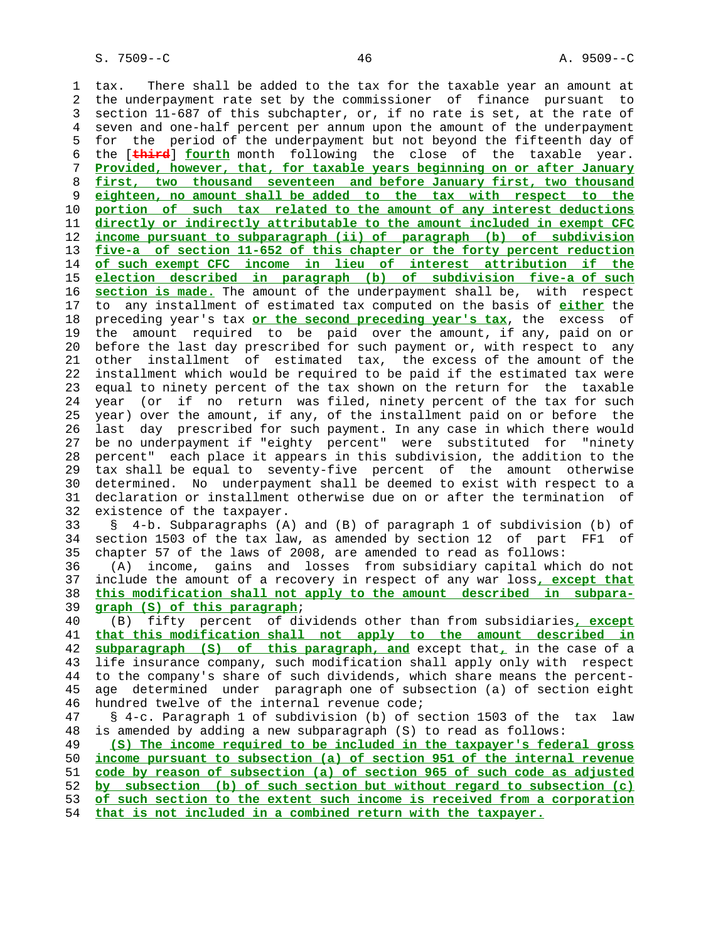1 tax. There shall be added to the tax for the taxable year an amount at 2 the underpayment rate set by the commissioner of finance pursuant to 3 section 11-687 of this subchapter, or, if no rate is set, at the rate of 4 seven and one-half percent per annum upon the amount of the underpayment 5 for the period of the underpayment but not beyond the fifteenth day of 6 the [**third**] **fourth** month following the close of the taxable year. 7 **Provided, however, that, for taxable years beginning on or after January** 8 **first, two thousand seventeen and before January first, two thousand** 9 **eighteen, no amount shall be added to the tax with respect to the** 10 **portion of such tax related to the amount of any interest deductions** 11 **directly or indirectly attributable to the amount included in exempt CFC** 12 **income pursuant to subparagraph (ii) of paragraph (b) of subdivision** 13 **five-a of section 11-652 of this chapter or the forty percent reduction** 14 **of such exempt CFC income in lieu of interest attribution if the** 15 **election described in paragraph (b) of subdivision five-a of such** 16 **section is made.** The amount of the underpayment shall be, with respect 17 to any installment of estimated tax computed on the basis of **either** the 18 preceding year's tax **or the second preceding year's tax**, the excess of 19 the amount required to be paid over the amount, if any, paid on or 20 before the last day prescribed for such payment or, with respect to any 21 other installment of estimated tax, the excess of the amount of the 22 installment which would be required to be paid if the estimated tax were 23 equal to ninety percent of the tax shown on the return for the taxable 24 year (or if no return was filed, ninety percent of the tax for such 25 year) over the amount, if any, of the installment paid on or before the 26 last day prescribed for such payment. In any case in which there would 27 be no underpayment if "eighty percent" were substituted for "ninety 28 percent" each place it appears in this subdivision, the addition to the 29 tax shall be equal to seventy-five percent of the amount otherwise 30 determined. No underpayment shall be deemed to exist with respect to a 31 declaration or installment otherwise due on or after the termination of 32 existence of the taxpayer. 33 § 4-b. Subparagraphs (A) and (B) of paragraph 1 of subdivision (b) of 34 section 1503 of the tax law, as amended by section 12 of part FF1 of 35 chapter 57 of the laws of 2008, are amended to read as follows: 36 (A) income, gains and losses from subsidiary capital which do not 37 include the amount of a recovery in respect of any war loss**, except that** 38 **this modification shall not apply to the amount described in subpara-** 39 **graph (S) of this paragraph**; 40 (B) fifty percent of dividends other than from subsidiaries**, except** 41 **that this modification shall not apply to the amount described in** 42 **subparagraph (S) of this paragraph, and** except that**,** in the case of a 43 life insurance company, such modification shall apply only with respect 44 to the company's share of such dividends, which share means the percent- 45 age determined under paragraph one of subsection (a) of section eight 46 hundred twelve of the internal revenue code; 47 § 4-c. Paragraph 1 of subdivision (b) of section 1503 of the tax law 48 is amended by adding a new subparagraph (S) to read as follows: 49 **(S) The income required to be included in the taxpayer's federal gross** 50 **income pursuant to subsection (a) of section 951 of the internal revenue** 51 **code by reason of subsection (a) of section 965 of such code as adjusted** 52 **by subsection (b) of such section but without regard to subsection (c)** 53 **of such section to the extent such income is received from a corporation** 54 **that is not included in a combined return with the taxpayer.**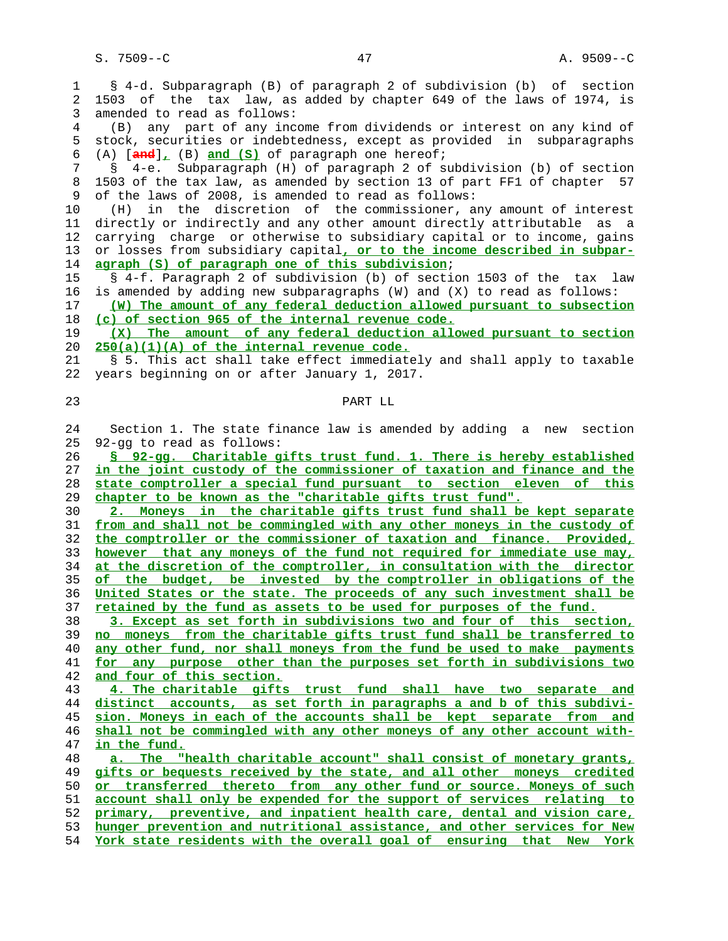S. 7509--C 47 A. 9509--C

 1 § 4-d. Subparagraph (B) of paragraph 2 of subdivision (b) of section 2 1503 of the tax law, as added by chapter 649 of the laws of 1974, is 3 amended to read as follows: 4 (B) any part of any income from dividends or interest on any kind of 5 stock, securities or indebtedness, except as provided in subparagraphs 6 (A) [**and**]**,** (B) **and (S)** of paragraph one hereof; 7 § 4-e. Subparagraph (H) of paragraph 2 of subdivision (b) of section 8 1503 of the tax law, as amended by section 13 of part FF1 of chapter 57<br>9 of the laws of 2008, is amended to read as follows: of the laws of 2008, is amended to read as follows: 10 (H) in the discretion of the commissioner, any amount of interest 11 directly or indirectly and any other amount directly attributable as a 12 carrying charge or otherwise to subsidiary capital or to income, gains 13 or losses from subsidiary capital**, or to the income described in subpar- agraph (S) of paragraph one of this subdivision**; 15 § 4-f. Paragraph 2 of subdivision (b) of section 1503 of the tax law 16 is amended by adding new subparagraphs (W) and (X) to read as follows: **(W) The amount of any federal deduction allowed pursuant to subsection (c) of section 965 of the internal revenue code. (X) The amount of any federal deduction allowed pursuant to section 250(a)(1)(A) of the internal revenue code.** 21 § 5. This act shall take effect immediately and shall apply to taxable 22 years beginning on or after January 1, 2017. 23 PART LL 24 Section 1. The state finance law is amended by adding a new section 25 92-gg to read as follows: **§ 92-gg. Charitable gifts trust fund. 1. There is hereby established in the joint custody of the commissioner of taxation and finance and the state comptroller a special fund pursuant to section eleven of this chapter to be known as the "charitable gifts trust fund". 2. Moneys in the charitable gifts trust fund shall be kept separate from and shall not be commingled with any other moneys in the custody of the comptroller or the commissioner of taxation and finance. Provided, however that any moneys of the fund not required for immediate use may, at the discretion of the comptroller, in consultation with the director of the budget, be invested by the comptroller in obligations of the United States or the state. The proceeds of any such investment shall be retained by the fund as assets to be used for purposes of the fund. 3. Except as set forth in subdivisions two and four of this section, no moneys from the charitable gifts trust fund shall be transferred to any other fund, nor shall moneys from the fund be used to make payments for any purpose other than the purposes set forth in subdivisions two and four of this section. 4. The charitable gifts trust fund shall have two separate and distinct accounts, as set forth in paragraphs a and b of this subdivi- sion. Moneys in each of the accounts shall be kept separate from and shall not be commingled with any other moneys of any other account with** in the fund. **a. The "health charitable account" shall consist of monetary grants, gifts or bequests received by the state, and all other moneys credited or transferred thereto from any other fund or source. Moneys of such account shall only be expended for the support of services relating to primary, preventive, and inpatient health care, dental and vision care, hunger prevention and nutritional assistance, and other services for New York state residents with the overall goal of ensuring that New York**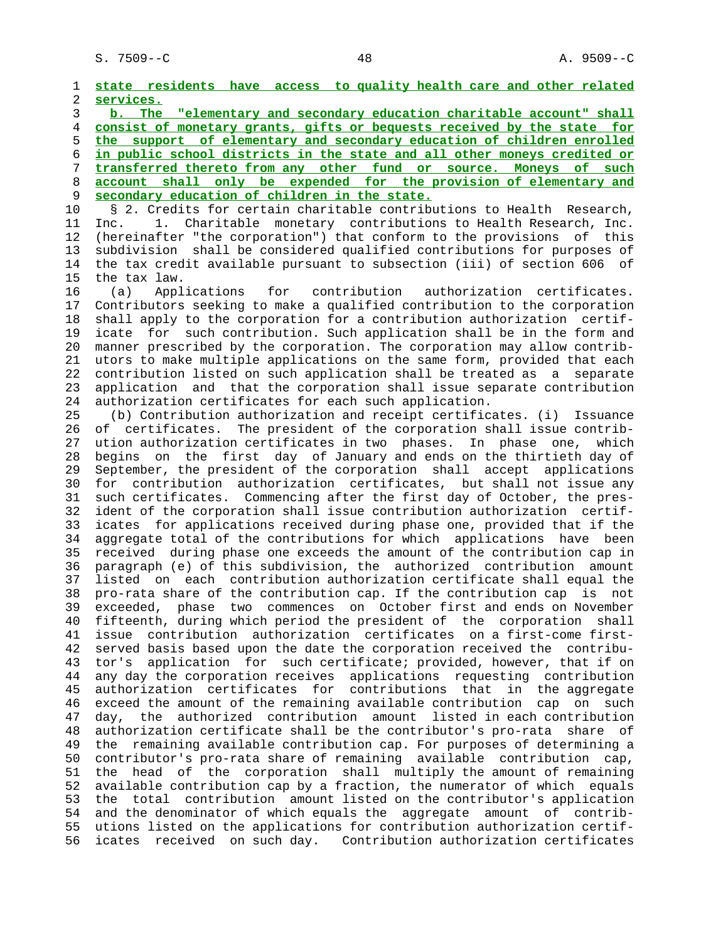1 **state residents have access to quality health care and other related** 2 **services.** 3 **b. The "elementary and secondary education charitable account" shall** 4 **consist of monetary grants, gifts or bequests received by the state for** 5 **the support of elementary and secondary education of children enrolled** 6 **in public school districts in the state and all other moneys credited or** 7 **transferred thereto from any other fund or source. Moneys of such** 8 **account shall only be expended for the provision of elementary and** 9 **secondary education of children in the state.** 10 § 2. Credits for certain charitable contributions to Health Research, 11 Inc. 1. Charitable monetary contributions to Health Research, Inc. 12 (hereinafter "the corporation") that conform to the provisions of this 13 subdivision shall be considered qualified contributions for purposes of 14 the tax credit available pursuant to subsection (iii) of section 606 of 15 the tax law. 16 (a) Applications for contribution authorization certificates. 17 Contributors seeking to make a qualified contribution to the corporation 18 shall apply to the corporation for a contribution authorization certif- 19 icate for such contribution. Such application shall be in the form and 20 manner prescribed by the corporation. The corporation may allow contrib- 21 utors to make multiple applications on the same form, provided that each 22 contribution listed on such application shall be treated as a separate 23 application and that the corporation shall issue separate contribution 24 authorization certificates for each such application. 25 (b) Contribution authorization and receipt certificates. (i) Issuance 26 of certificates. The president of the corporation shall issue contrib- 27 ution authorization certificates in two phases. In phase one, which 28 begins on the first day of January and ends on the thirtieth day of 29 September, the president of the corporation shall accept applications 30 for contribution authorization certificates, but shall not issue any 31 such certificates. Commencing after the first day of October, the pres- 32 ident of the corporation shall issue contribution authorization certif- 33 icates for applications received during phase one, provided that if the 34 aggregate total of the contributions for which applications have been 35 received during phase one exceeds the amount of the contribution cap in 36 paragraph (e) of this subdivision, the authorized contribution amount 37 listed on each contribution authorization certificate shall equal the 38 pro-rata share of the contribution cap. If the contribution cap is not 39 exceeded, phase two commences on October first and ends on November 40 fifteenth, during which period the president of the corporation shall 41 issue contribution authorization certificates on a first-come first- 42 served basis based upon the date the corporation received the contribu- 43 tor's application for such certificate; provided, however, that if on 44 any day the corporation receives applications requesting contribution 45 authorization certificates for contributions that in the aggregate 46 exceed the amount of the remaining available contribution cap on such 47 day, the authorized contribution amount listed in each contribution 48 authorization certificate shall be the contributor's pro-rata share of 49 the remaining available contribution cap. For purposes of determining a 50 contributor's pro-rata share of remaining available contribution cap, 51 the head of the corporation shall multiply the amount of remaining 52 available contribution cap by a fraction, the numerator of which equals 53 the total contribution amount listed on the contributor's application 54 and the denominator of which equals the aggregate amount of contrib- 55 utions listed on the applications for contribution authorization certif- 56 icates received on such day. Contribution authorization certificates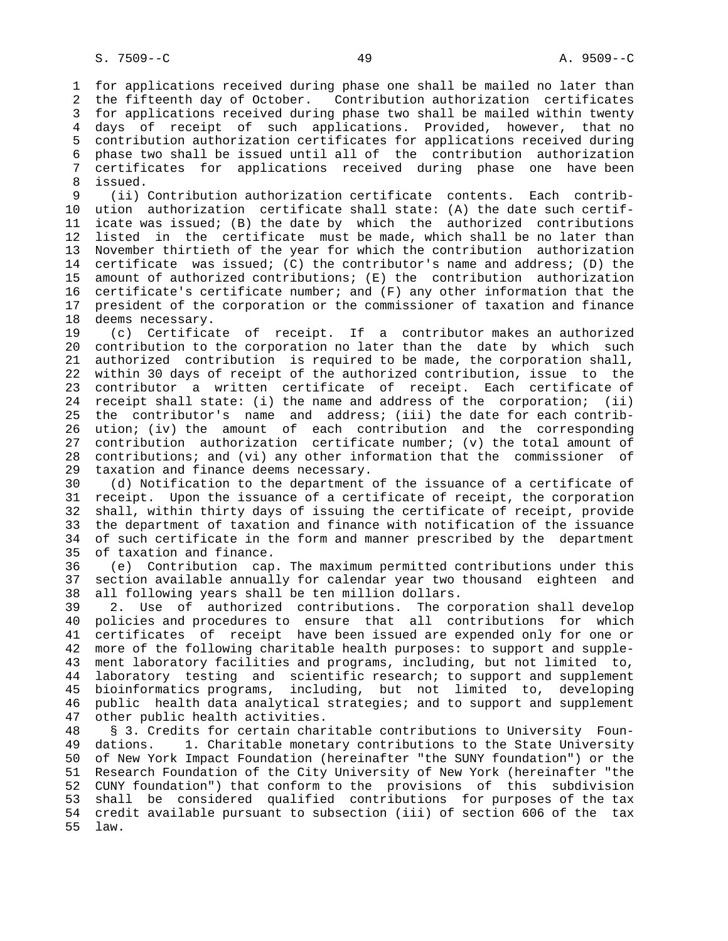1 for applications received during phase one shall be mailed no later than 2 the fifteenth day of October. Contribution authorization certificates 3 for applications received during phase two shall be mailed within twenty 4 days of receipt of such applications. Provided, however, that no 5 contribution authorization certificates for applications received during 6 phase two shall be issued until all of the contribution authorization 7 certificates for applications received during phase one have been 8 issued.<br>9 (ii)

(ii) Contribution authorization certificate contents. Each contrib- 10 ution authorization certificate shall state: (A) the date such certif- 11 icate was issued; (B) the date by which the authorized contributions 12 listed in the certificate must be made, which shall be no later than 13 November thirtieth of the year for which the contribution authorization 14 certificate was issued; (C) the contributor's name and address; (D) the 15 amount of authorized contributions; (E) the contribution authorization 16 certificate's certificate number; and (F) any other information that the 17 president of the corporation or the commissioner of taxation and finance 18 deems necessary.

 19 (c) Certificate of receipt. If a contributor makes an authorized 20 contribution to the corporation no later than the date by which such 21 authorized contribution is required to be made, the corporation shall, 22 within 30 days of receipt of the authorized contribution, issue to the 23 contributor a written certificate of receipt. Each certificate of 24 receipt shall state: (i) the name and address of the corporation; (ii) 25 the contributor's name and address; (iii) the date for each contrib- 26 ution; (iv) the amount of each contribution and the corresponding 27 contribution authorization certificate number; (v) the total amount of 28 contributions; and (vi) any other information that the commissioner of 29 taxation and finance deems necessary.

 30 (d) Notification to the department of the issuance of a certificate of 31 receipt. Upon the issuance of a certificate of receipt, the corporation 32 shall, within thirty days of issuing the certificate of receipt, provide 33 the department of taxation and finance with notification of the issuance 34 of such certificate in the form and manner prescribed by the department 35 of taxation and finance.

 36 (e) Contribution cap. The maximum permitted contributions under this 37 section available annually for calendar year two thousand eighteen and 38 all following years shall be ten million dollars.

 39 2. Use of authorized contributions. The corporation shall develop 40 policies and procedures to ensure that all contributions for which 41 certificates of receipt have been issued are expended only for one or 42 more of the following charitable health purposes: to support and supple- 43 ment laboratory facilities and programs, including, but not limited to, 44 laboratory testing and scientific research; to support and supplement 45 bioinformatics programs, including, but not limited to, developing 46 public health data analytical strategies; and to support and supplement 47 other public health activities.

 48 § 3. Credits for certain charitable contributions to University Foun- 49 dations. 1. Charitable monetary contributions to the State University 50 of New York Impact Foundation (hereinafter "the SUNY foundation") or the 51 Research Foundation of the City University of New York (hereinafter "the 52 CUNY foundation") that conform to the provisions of this subdivision 53 shall be considered qualified contributions for purposes of the tax 54 credit available pursuant to subsection (iii) of section 606 of the tax 55 law.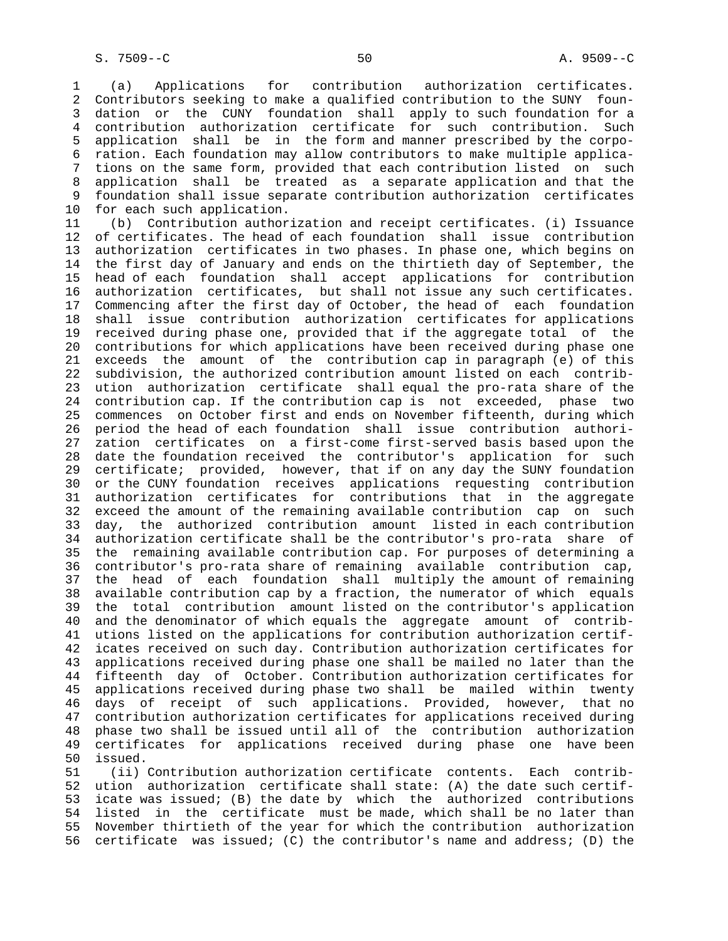1 (a) Applications for contribution authorization certificates. 2 Contributors seeking to make a qualified contribution to the SUNY foun- 3 dation or the CUNY foundation shall apply to such foundation for a 4 contribution authorization certificate for such contribution. Such 5 application shall be in the form and manner prescribed by the corpo- 6 ration. Each foundation may allow contributors to make multiple applica- 7 tions on the same form, provided that each contribution listed on such 8 application shall be treated as a separate application and that the foundation shall issue separate contribution authorization certificates 10 for each such application.

 11 (b) Contribution authorization and receipt certificates. (i) Issuance 12 of certificates. The head of each foundation shall issue contribution 13 authorization certificates in two phases. In phase one, which begins on 14 the first day of January and ends on the thirtieth day of September, the 15 head of each foundation shall accept applications for contribution 16 authorization certificates, but shall not issue any such certificates. 17 Commencing after the first day of October, the head of each foundation 18 shall issue contribution authorization certificates for applications 19 received during phase one, provided that if the aggregate total of the 20 contributions for which applications have been received during phase one 21 exceeds the amount of the contribution cap in paragraph (e) of this 22 subdivision, the authorized contribution amount listed on each contrib- 23 ution authorization certificate shall equal the pro-rata share of the 24 contribution cap. If the contribution cap is not exceeded, phase two 25 commences on October first and ends on November fifteenth, during which 26 period the head of each foundation shall issue contribution authori- 27 zation certificates on a first-come first-served basis based upon the 28 date the foundation received the contributor's application for such 29 certificate; provided, however, that if on any day the SUNY foundation 30 or the CUNY foundation receives applications requesting contribution 31 authorization certificates for contributions that in the aggregate 32 exceed the amount of the remaining available contribution cap on such 33 day, the authorized contribution amount listed in each contribution 34 authorization certificate shall be the contributor's pro-rata share of 35 the remaining available contribution cap. For purposes of determining a 36 contributor's pro-rata share of remaining available contribution cap, 37 the head of each foundation shall multiply the amount of remaining 38 available contribution cap by a fraction, the numerator of which equals 39 the total contribution amount listed on the contributor's application 40 and the denominator of which equals the aggregate amount of contrib- 41 utions listed on the applications for contribution authorization certif- 42 icates received on such day. Contribution authorization certificates for 43 applications received during phase one shall be mailed no later than the 44 fifteenth day of October. Contribution authorization certificates for 45 applications received during phase two shall be mailed within twenty 46 days of receipt of such applications. Provided, however, that no 47 contribution authorization certificates for applications received during 48 phase two shall be issued until all of the contribution authorization<br>49 certificates for applications received during phase one have been certificates for applications received during phase one have-been 50 issued.

 51 (ii) Contribution authorization certificate contents. Each contrib- 52 ution authorization certificate shall state: (A) the date such certif- 53 icate was issued; (B) the date by which the authorized contributions 54 listed in the certificate must be made, which shall be no later than 55 November thirtieth of the year for which the contribution authorization 56 certificate was issued; (C) the contributor's name and address; (D) the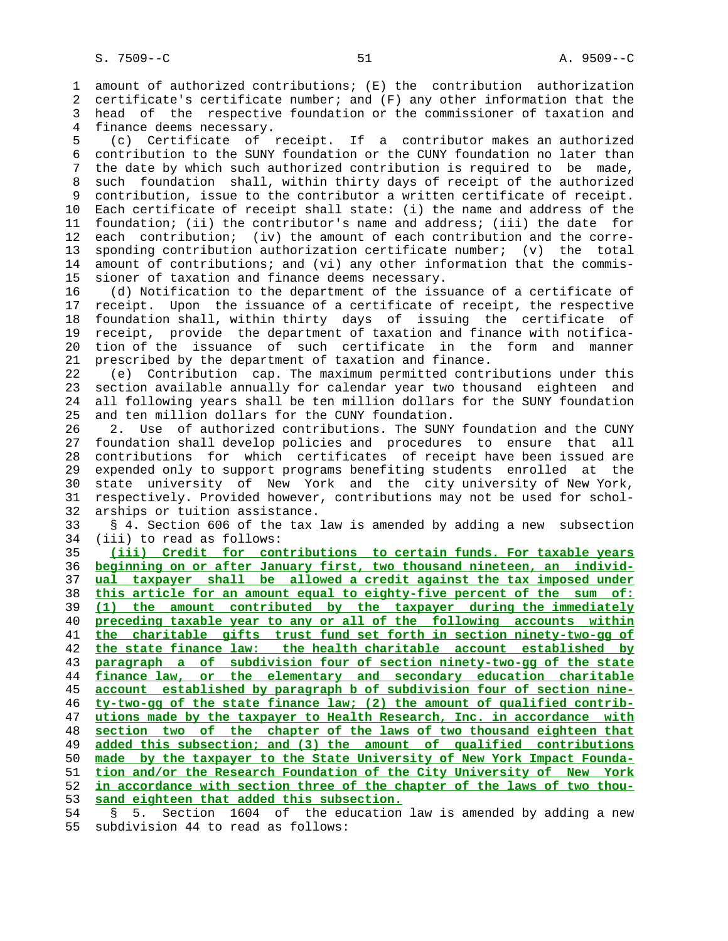1 amount of authorized contributions; (E) the contribution authorization 2 certificate's certificate number; and (F) any other information that the 3 head of the respective foundation or the commissioner of taxation and 4 finance deems necessary.

 5 (c) Certificate of receipt. If a contributor makes an authorized 6 contribution to the SUNY foundation or the CUNY foundation no later than 7 the date by which such authorized contribution is required to be made, 8 such foundation shall, within thirty days of receipt of the authorized 9 contribution, issue to the contributor a written certificate of receipt. 10 Each certificate of receipt shall state: (i) the name and address of the 11 foundation; (ii) the contributor's name and address; (iii) the date for 12 each contribution; (iv) the amount of each contribution and the corre- 13 sponding contribution authorization certificate number; (v) the total 14 amount of contributions; and (vi) any other information that the commis- 15 sioner of taxation and finance deems necessary.

 16 (d) Notification to the department of the issuance of a certificate of 17 receipt. Upon the issuance of a certificate of receipt, the respective 18 foundation shall, within thirty days of issuing the certificate of 19 receipt, provide the department of taxation and finance with notifica- 20 tion of the issuance of such certificate in the form and manner 21 prescribed by the department of taxation and finance.

 22 (e) Contribution cap. The maximum permitted contributions under this 23 section available annually for calendar year two thousand eighteen and 24 all following years shall be ten million dollars for the SUNY foundation 25 and ten million dollars for the CUNY foundation.

 26 2. Use of authorized contributions. The SUNY foundation and the CUNY 27 foundation shall develop policies and procedures to ensure that all 28 contributions for which certificates of receipt have been issued are 29 expended only to support programs benefiting students enrolled at the 30 state university of New York and the city university of New York, 31 respectively. Provided however, contributions may not be used for schol- 32 arships or tuition assistance.

 33 § 4. Section 606 of the tax law is amended by adding a new subsection 34 (iii) to read as follows:

**(iii) Credit for contributions to certain funds. For taxable years beginning on or after January first, two thousand nineteen, an individ- ual taxpayer shall be allowed a credit against the tax imposed under this article for an amount equal to eighty-five percent of the sum of: (1) the amount contributed by the taxpayer during the immediately preceding taxable year to any or all of the following accounts within the charitable gifts trust fund set forth in section ninety-two-gg of the state finance law: the health charitable account established by paragraph a of subdivision four of section ninety-two-gg of the state finance law, or the elementary and secondary education charitable account established by paragraph b of subdivision four of section nine- ty-two-gg of the state finance law; (2) the amount of qualified contrib- utions made by the taxpayer to Health Research, Inc. in accordance with section two of the chapter of the laws of two thousand eighteen that added this subsection; and (3) the amount of qualified contributions made by the taxpayer to the State University of New York Impact Founda- tion and/or the Research Foundation of the City University of New York in accordance with section three of the chapter of the laws of two thou- sand eighteen that added this subsection.**

 54 § 5. Section 1604 of the education law is amended by adding a new 55 subdivision 44 to read as follows: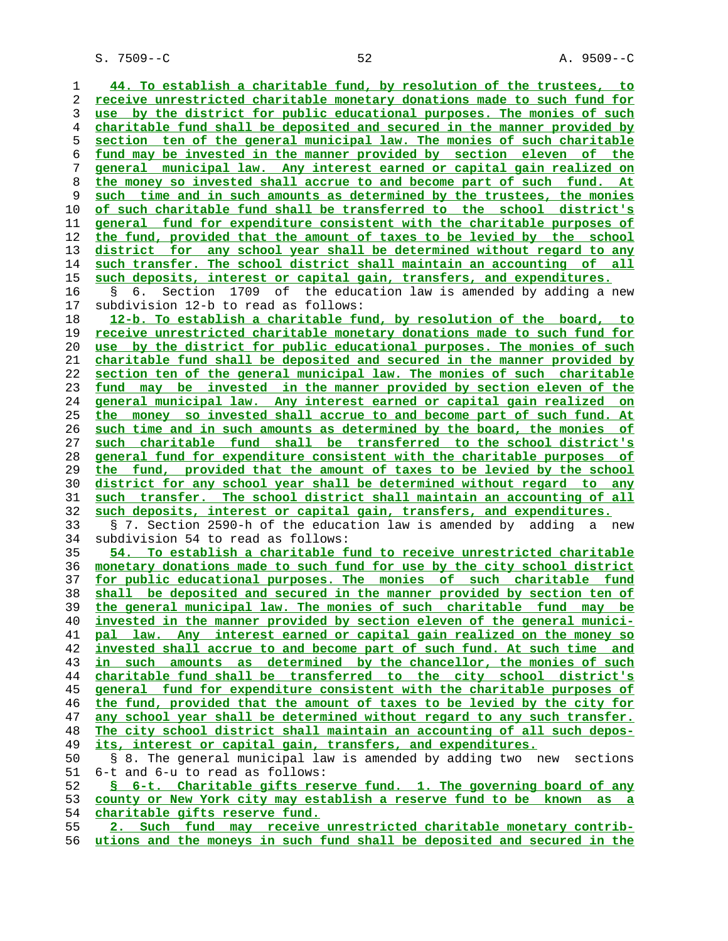S. 7509--C 52 A. 9509--C

**44. To establish a charitable fund, by resolution of the trustees, to receive unrestricted charitable monetary donations made to such fund for use by the district for public educational purposes. The monies of such charitable fund shall be deposited and secured in the manner provided by section ten of the general municipal law. The monies of such charitable fund may be invested in the manner provided by section eleven of the general municipal law. Any interest earned or capital gain realized on the money so invested shall accrue to and become part of such fund. At such time and in such amounts as determined by the trustees, the monies of such charitable fund shall be transferred to the school district's general fund for expenditure consistent with the charitable purposes of the fund, provided that the amount of taxes to be levied by the school district for any school year shall be determined without regard to any such transfer. The school district shall maintain an accounting of all such deposits, interest or capital gain, transfers, and expenditures.** 16 § 6. Section 1709 of the education law is amended by adding a new 17 subdivision 12-b to read as follows: **12-b. To establish a charitable fund, by resolution of the board, to receive unrestricted charitable monetary donations made to such fund for use by the district for public educational purposes. The monies of such charitable fund shall be deposited and secured in the manner provided by section ten of the general municipal law. The monies of such charitable fund may be invested in the manner provided by section eleven of the general municipal law. Any interest earned or capital gain realized on the money so invested shall accrue to and become part of such fund. At such time and in such amounts as determined by the board, the monies of such charitable fund shall be transferred to the school district's general fund for expenditure consistent with the charitable purposes of the fund, provided that the amount of taxes to be levied by the school district for any school year shall be determined without regard to any such transfer. The school district shall maintain an accounting of all such deposits, interest or capital gain, transfers, and expenditures.** 33 § 7. Section 2590-h of the education law is amended by adding a new 34 subdivision 54 to read as follows: **54. To establish a charitable fund to receive unrestricted charitable monetary donations made to such fund for use by the city school district for public educational purposes. The monies of such charitable fund shall be deposited and secured in the manner provided by section ten of the general municipal law. The monies of such charitable fund may be invested in the manner provided by section eleven of the general munici- pal law. Any interest earned or capital gain realized on the money so invested shall accrue to and become part of such fund. At such time and in such amounts as determined by the chancellor, the monies of such charitable fund shall be transferred to the city school district's general fund for expenditure consistent with the charitable purposes of the fund, provided that the amount of taxes to be levied by the city for any school year shall be determined without regard to any such transfer. The city school district shall maintain an accounting of all such depos** its, interest or capital gain, transfers, and expenditures. 50 § 8. The general municipal law is amended by adding two new sections 51 6-t and 6-u to read as follows: **§ 6-t. Charitable gifts reserve fund. 1. The governing board of any county or New York city may establish a reserve fund to be known as a charitable gifts reserve fund. 2. Such fund may receive unrestricted charitable monetary contrib- utions and the moneys in such fund shall be deposited and secured in the**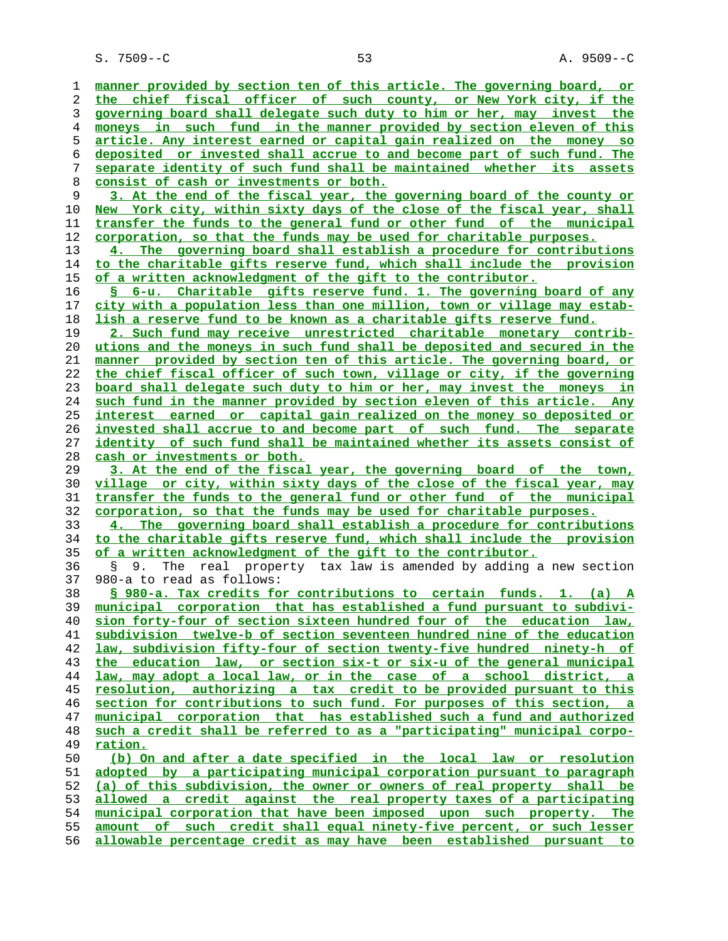S. 7509--C 53 A. 9509--C

**manner provided by section ten of this article. The governing board, or the chief fiscal officer of such county, or New York city, if the governing board shall delegate such duty to him or her, may invest the moneys in such fund in the manner provided by section eleven of this article. Any interest earned or capital gain realized on the money so deposited or invested shall accrue to and become part of such fund. The separate identity of such fund shall be maintained whether its assets consist of cash or investments or both. 3. At the end of the fiscal year, the governing board of the county or New York city, within sixty days of the close of the fiscal year, shall transfer the funds to the general fund or other fund of the municipal corporation, so that the funds may be used for charitable purposes. 4. The governing board shall establish a procedure for contributions to the charitable gifts reserve fund, which shall include the provision of a written acknowledgment of the gift to the contributor. § 6-u. Charitable gifts reserve fund. 1. The governing board of any city with a population less than one million, town or village may estab- lish a reserve fund to be known as a charitable gifts reserve fund. 2. Such fund may receive unrestricted charitable monetary contrib- utions and the moneys in such fund shall be deposited and secured in the manner provided by section ten of this article. The governing board, or the chief fiscal officer of such town, village or city, if the governing board shall delegate such duty to him or her, may invest the moneys in such fund in the manner provided by section eleven of this article. Any interest earned or capital gain realized on the money so deposited or invested shall accrue to and become part of such fund. The separate identity of such fund shall be maintained whether its assets consist of cash or investments or both. 3. At the end of the fiscal year, the governing board of the town, village or city, within sixty days of the close of the fiscal year, may transfer the funds to the general fund or other fund of the municipal corporation, so that the funds may be used for charitable purposes. 4. The governing board shall establish a procedure for contributions to the charitable gifts reserve fund, which shall include the provision of a written acknowledgment of the gift to the contributor.** 36 § 9. The real property tax law is amended by adding a new section 37 980-a to read as follows: **§ 980-a. Tax credits for contributions to certain funds. 1. (a) A municipal corporation that has established a fund pursuant to subdivi- sion forty-four of section sixteen hundred four of the education law, subdivision twelve-b of section seventeen hundred nine of the education law, subdivision fifty-four of section twenty-five hundred ninety-h of the education law, or section six-t or six-u of the general municipal law, may adopt a local law, or in the case of a school district, a resolution, authorizing a tax credit to be provided pursuant to this section for contributions to such fund. For purposes of this section, a municipal corporation that has established such a fund and authorized such a credit shall be referred to as a "participating" municipal corpo- ration. (b) On and after a date specified in the local law or resolution adopted by a participating municipal corporation pursuant to paragraph (a) of this subdivision, the owner or owners of real property shall be allowed a credit against the real property taxes of a participating municipal corporation that have been imposed upon such property. The amount of such credit shall equal ninety-five percent, or such lesser allowable percentage credit as may have been established pursuant to**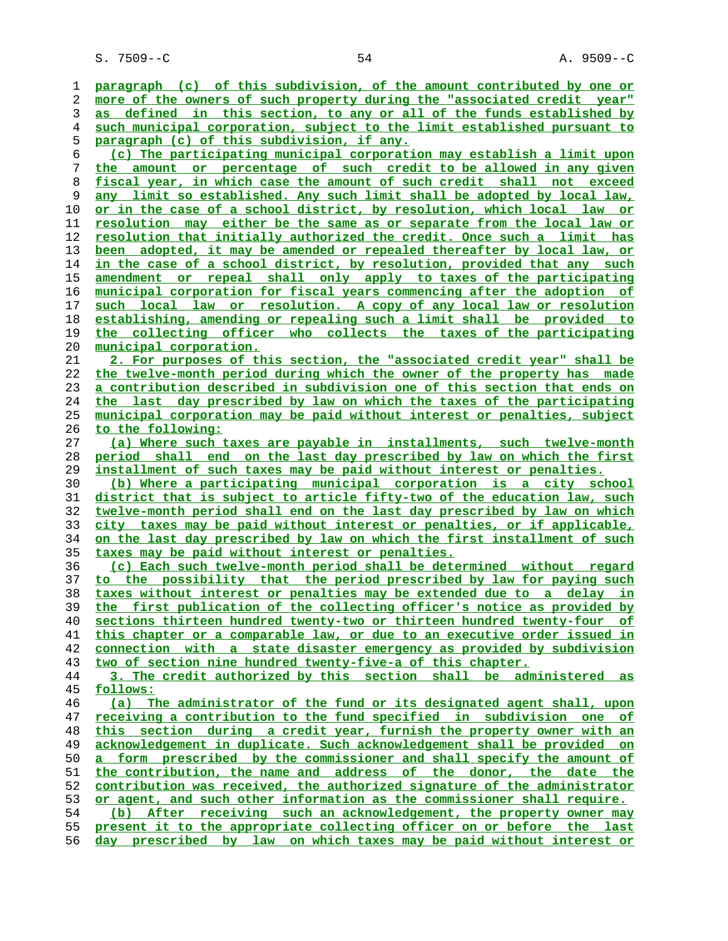S. 7509--C 54 A. 9509--C

**paragraph (c) of this subdivision, of the amount contributed by one or more of the owners of such property during the "associated credit year" as defined in this section, to any or all of the funds established by such municipal corporation, subject to the limit established pursuant to paragraph (c) of this subdivision, if any. (c) The participating municipal corporation may establish a limit upon the amount or percentage of such credit to be allowed in any given fiscal year, in which case the amount of such credit shall not exceed any limit so established. Any such limit shall be adopted by local law, or in the case of a school district, by resolution, which local law or resolution may either be the same as or separate from the local law or resolution that initially authorized the credit. Once such a limit has been adopted, it may be amended or repealed thereafter by local law, or in the case of a school district, by resolution, provided that any such amendment or repeal shall only apply to taxes of the participating municipal corporation for fiscal years commencing after the adoption of such local law or resolution. A copy of any local law or resolution establishing, amending or repealing such a limit shall be provided to the collecting officer who collects the taxes of the participating municipal corporation. 2. For purposes of this section, the "associated credit year" shall be the twelve-month period during which the owner of the property has made a contribution described in subdivision one of this section that ends on the last day prescribed by law on which the taxes of the participating municipal corporation may be paid without interest or penalties, subject to the following: (a) Where such taxes are payable in installments, such twelve-month period shall end on the last day prescribed by law on which the first installment of such taxes may be paid without interest or penalties. (b) Where a participating municipal corporation is a city school district that is subject to article fifty-two of the education law, such twelve-month period shall end on the last day prescribed by law on which city taxes may be paid without interest or penalties, or if applicable, on the last day prescribed by law on which the first installment of such taxes may be paid without interest or penalties. (c) Each such twelve-month period shall be determined without regard to the possibility that the period prescribed by law for paying such taxes without interest or penalties may be extended due to a delay in the first publication of the collecting officer's notice as provided by sections thirteen hundred twenty-two or thirteen hundred twenty-four of this chapter or a comparable law, or due to an executive order issued in connection with a state disaster emergency as provided by subdivision two of section nine hundred twenty-five-a of this chapter. 3. The credit authorized by this section shall be administered as follows: (a) The administrator of the fund or its designated agent shall, upon receiving a contribution to the fund specified in subdivision one of this section during a credit year, furnish the property owner with an acknowledgement in duplicate. Such acknowledgement shall be provided on a form prescribed by the commissioner and shall specify the amount of the contribution, the name and address of the donor, the date the contribution was received, the authorized signature of the administrator or agent, and such other information as the commissioner shall require. (b) After receiving such an acknowledgement, the property owner may present it to the appropriate collecting officer on or before the last day prescribed by law on which taxes may be paid without interest or**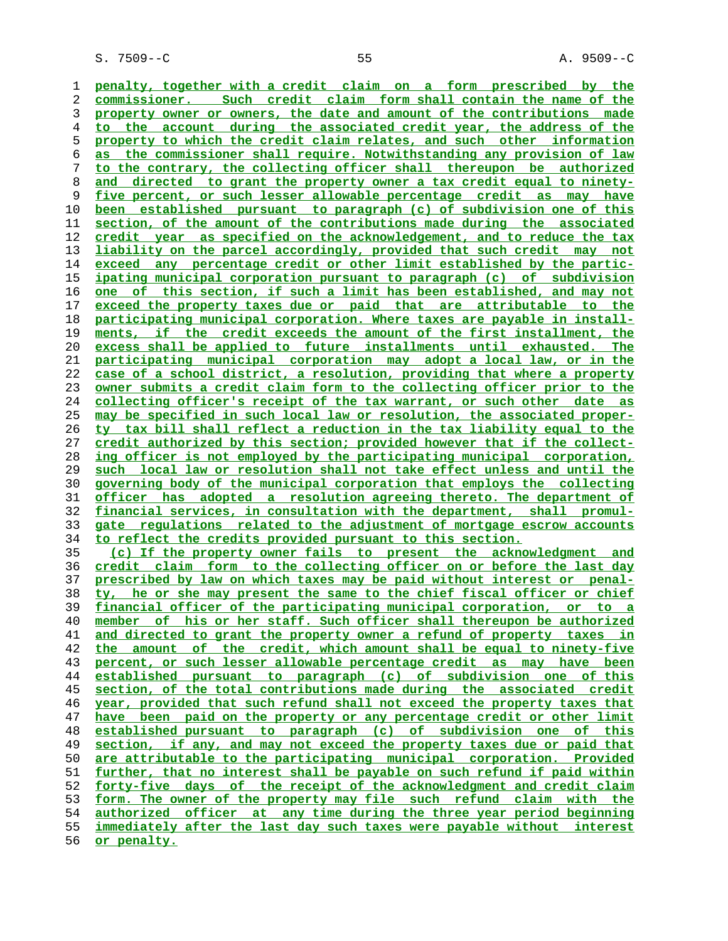**penalty, together with a credit claim on a form prescribed by the commissioner. Such credit claim form shall contain the name of the property owner or owners, the date and amount of the contributions made to the account during the associated credit year, the address of the property to which the credit claim relates, and such other information as the commissioner shall require. Notwithstanding any provision of law to the contrary, the collecting officer shall thereupon be authorized and directed to grant the property owner a tax credit equal to ninety- five percent, or such lesser allowable percentage credit as may have been established pursuant to paragraph (c) of subdivision one of this section, of the amount of the contributions made during the associated credit year as specified on the acknowledgement, and to reduce the tax liability on the parcel accordingly, provided that such credit may not exceed any percentage credit or other limit established by the partic- ipating municipal corporation pursuant to paragraph (c) of subdivision one of this section, if such a limit has been established, and may not exceed the property taxes due or paid that are attributable to the participating municipal corporation. Where taxes are payable in install- ments, if the credit exceeds the amount of the first installment, the excess shall be applied to future installments until exhausted. The participating municipal corporation may adopt a local law, or in the case of a school district, a resolution, providing that where a property owner submits a credit claim form to the collecting officer prior to the collecting officer's receipt of the tax warrant, or such other date as may be specified in such local law or resolution, the associated proper- ty tax bill shall reflect a reduction in the tax liability equal to the credit authorized by this section; provided however that if the collect- ing officer is not employed by the participating municipal corporation, such local law or resolution shall not take effect unless and until the governing body of the municipal corporation that employs the collecting officer has adopted a resolution agreeing thereto. The department of financial services, in consultation with the department, shall promul- gate regulations related to the adjustment of mortgage escrow accounts to reflect the credits provided pursuant to this section. (c) If the property owner fails to present the acknowledgment and credit claim form to the collecting officer on or before the last day prescribed by law on which taxes may be paid without interest or penal- ty, he or she may present the same to the chief fiscal officer or chief financial officer of the participating municipal corporation, or to a member of his or her staff. Such officer shall thereupon be authorized and directed to grant the property owner a refund of property taxes in the amount of the credit, which amount shall be equal to ninety-five percent, or such lesser allowable percentage credit as may have been established pursuant to paragraph (c) of subdivision one of this section, of the total contributions made during the associated credit year, provided that such refund shall not exceed the property taxes that have been paid on the property or any percentage credit or other limit established pursuant to paragraph (c) of subdivision one of this section, if any, and may not exceed the property taxes due or paid that are attributable to the participating municipal corporation. Provided**

**further, that no interest shall be payable on such refund if paid within forty-five days of the receipt of the acknowledgment and credit claim form. The owner of the property may file such refund claim with the authorized officer at any time during the three year period beginning immediately after the last day such taxes were payable without interest**

**or penalty.**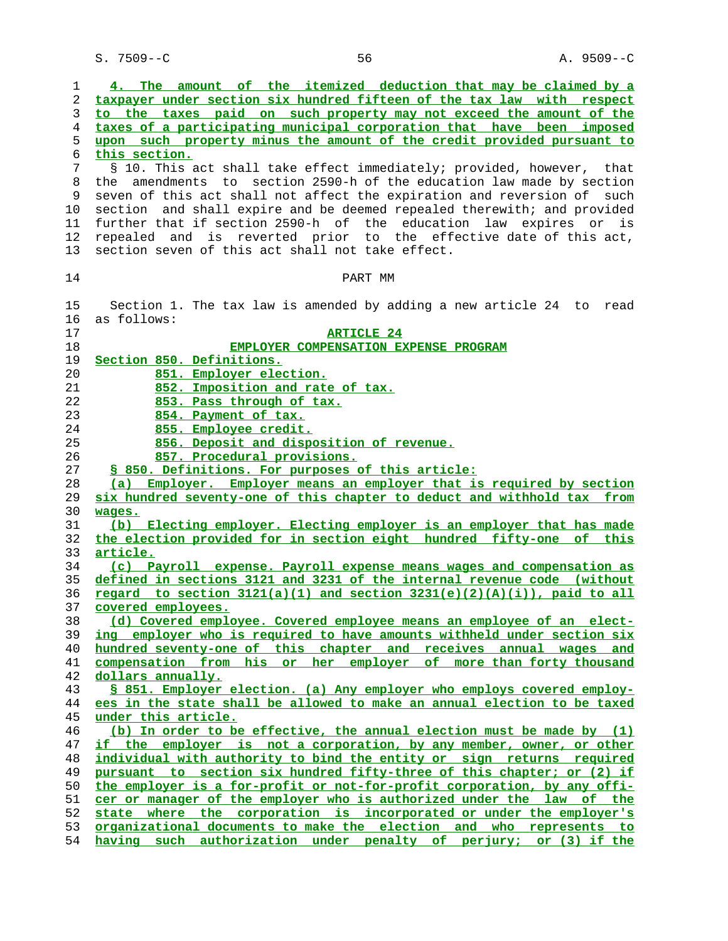S. 7509--C 56 56 A. 9509--C

| $\mathbf 1$ | The amount of the itemized deduction that may be claimed by a<br>4.                                                                           |
|-------------|-----------------------------------------------------------------------------------------------------------------------------------------------|
| 2<br>3      | taxpayer under section six hundred fifteen of the tax law with respect<br>to the taxes paid on such property may not exceed the amount of the |
| 4           | taxes of a participating municipal corporation that have been imposed                                                                         |
| 5           | upon such property minus the amount of the credit provided pursuant to                                                                        |
| 6           | this section.                                                                                                                                 |
| 7           | § 10. This act shall take effect immediately; provided, however, that                                                                         |
| 8           | the amendments to section 2590-h of the education law made by section                                                                         |
| 9           | seven of this act shall not affect the expiration and reversion of such                                                                       |
| 10          | section and shall expire and be deemed repealed therewith; and provided                                                                       |
| 11          | further that if section 2590-h of the education law expires or is                                                                             |
| 12          | repealed and is reverted prior to the effective date of this act,                                                                             |
| 13          | section seven of this act shall not take effect.                                                                                              |
|             |                                                                                                                                               |
| 14          | PART MM                                                                                                                                       |
| 15          | Section 1. The tax law is amended by adding a new article 24 to read                                                                          |
| 16          | as follows:                                                                                                                                   |
| 17          | <b>ARTICLE 24</b>                                                                                                                             |
| 18          | EMPLOYER COMPENSATION EXPENSE PROGRAM                                                                                                         |
| 19          | Section 850. Definitions.                                                                                                                     |
| 20          | 851. Employer election.                                                                                                                       |
| 21          | 852. Imposition and rate of tax.                                                                                                              |
| 22          | 853. Pass through of tax.                                                                                                                     |
| 23          | 854. Payment of tax.                                                                                                                          |
| 24          | 855. Employee credit.                                                                                                                         |
| 25          | 856. Deposit and disposition of revenue.                                                                                                      |
| 26          | 857. Procedural provisions.                                                                                                                   |
| 27          | § 850. Definitions. For purposes of this article:                                                                                             |
| 28          | (a) Employer. Employer means an employer that is required by section                                                                          |
| 29          | six hundred seventy-one of this chapter to deduct and withhold tax from                                                                       |
| 30          | wages.                                                                                                                                        |
| 31          | (b) Electing employer. Electing employer is an employer that has made                                                                         |
| 32          | the election provided for in section eight hundred fifty-one of this                                                                          |
| 33          | article.                                                                                                                                      |
| 34          | (c) Payroll expense. Payroll expense means wages and compensation as                                                                          |
| 35          | defined in sections 3121 and 3231 of the internal revenue code (without                                                                       |
| 36          | regard to section $3121(a)(1)$ and section $3231(e)(2)(A)(i))$ , paid to all                                                                  |
| 37          | covered employees.                                                                                                                            |
| 38          | (d) Covered employee. Covered employee means an employee of an elect-                                                                         |
| 39          | ing employer who is required to have amounts withheld under section six                                                                       |
| 40          | hundred seventy-one of this chapter and receives annual wages and                                                                             |
| 41          | compensation from his or her employer of more than forty thousand                                                                             |
| 42          | dollars annually.                                                                                                                             |
| 43          | S 851. Employer election. (a) Any employer who employs covered employ-                                                                        |
| 44          | ees in the state shall be allowed to make an annual election to be taxed                                                                      |
| 45          | under this article.                                                                                                                           |
| 46          | (b) In order to be effective, the annual election must be made by (1)                                                                         |
| 47          | if the employer is not a corporation, by any member, owner, or other                                                                          |
| 48          | individual with authority to bind the entity or sign returns required                                                                         |
| 49          | pursuant to section six hundred fifty-three of this chapter; or (2) if                                                                        |
| 50          | the employer is a for-profit or not-for-profit corporation, by any offi-                                                                      |
| 51          | cer or manager of the employer who is authorized under the law of the                                                                         |
| 52          | state where the corporation is incorporated or under the employer's                                                                           |
| 53<br>54    | organizational documents to make the election and who represents to<br>having such authorization under penalty of perjury; or (3) if the      |
|             |                                                                                                                                               |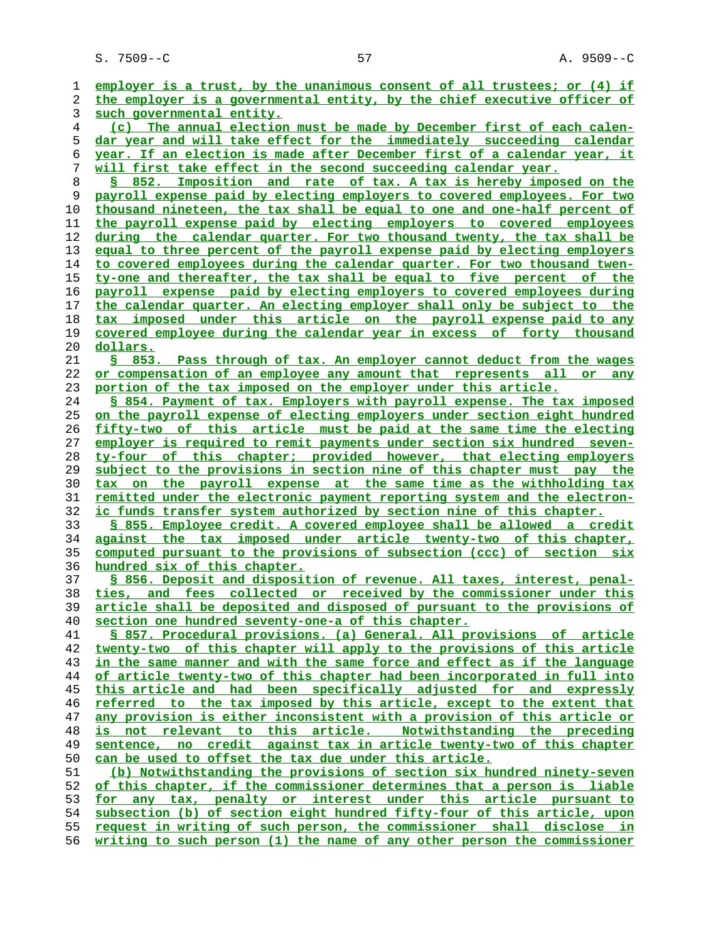S. 7509--C 57 A. 9509--C

**employer is a trust, by the unanimous consent of all trustees; or (4) if the employer is a governmental entity, by the chief executive officer of such governmental entity. (c) The annual election must be made by December first of each calen- dar year and will take effect for the immediately succeeding calendar year. If an election is made after December first of a calendar year, it will first take effect in the second succeeding calendar year. § 852. Imposition and rate of tax. A tax is hereby imposed on the payroll expense paid by electing employers to covered employees. For two thousand nineteen, the tax shall be equal to one and one-half percent of the payroll expense paid by electing employers to covered employees during the calendar quarter. For two thousand twenty, the tax shall be equal to three percent of the payroll expense paid by electing employers to covered employees during the calendar quarter. For two thousand twen- ty-one and thereafter, the tax shall be equal to five percent of the payroll expense paid by electing employers to covered employees during the calendar quarter. An electing employer shall only be subject to the tax imposed under this article on the payroll expense paid to any covered employee during the calendar year in excess of forty thousand dollars. § 853. Pass through of tax. An employer cannot deduct from the wages or compensation of an employee any amount that represents all or any portion of the tax imposed on the employer under this article. § 854. Payment of tax. Employers with payroll expense. The tax imposed on the payroll expense of electing employers under section eight hundred fifty-two of this article must be paid at the same time the electing employer is required to remit payments under section six hundred seven- ty-four of this chapter; provided however, that electing employers subject to the provisions in section nine of this chapter must pay the tax on the payroll expense at the same time as the withholding tax remitted under the electronic payment reporting system and the electron- ic funds transfer system authorized by section nine of this chapter. § 855. Employee credit. A covered employee shall be allowed a credit against the tax imposed under article twenty-two of this chapter, computed pursuant to the provisions of subsection (ccc) of section six hundred six of this chapter. § 856. Deposit and disposition of revenue. All taxes, interest, penal- ties, and fees collected or received by the commissioner under this article shall be deposited and disposed of pursuant to the provisions of section one hundred seventy-one-a of this chapter. § 857. Procedural provisions. (a) General. All provisions of article twenty-two of this chapter will apply to the provisions of this article in the same manner and with the same force and effect as if the language of article twenty-two of this chapter had been incorporated in full into this article and had been specifically adjusted for and expressly referred to the tax imposed by this article, except to the extent that any provision is either inconsistent with a provision of this article or is not relevant to this article. Notwithstanding the preceding sentence, no credit against tax in article twenty-two of this chapter can be used to offset the tax due under this article. (b) Notwithstanding the provisions of section six hundred ninety-seven of this chapter, if the commissioner determines that a person is liable for any tax, penalty or interest under this article pursuant to subsection (b) of section eight hundred fifty-four of this article, upon request in writing of such person, the commissioner shall disclose in writing to such person (1) the name of any other person the commissioner**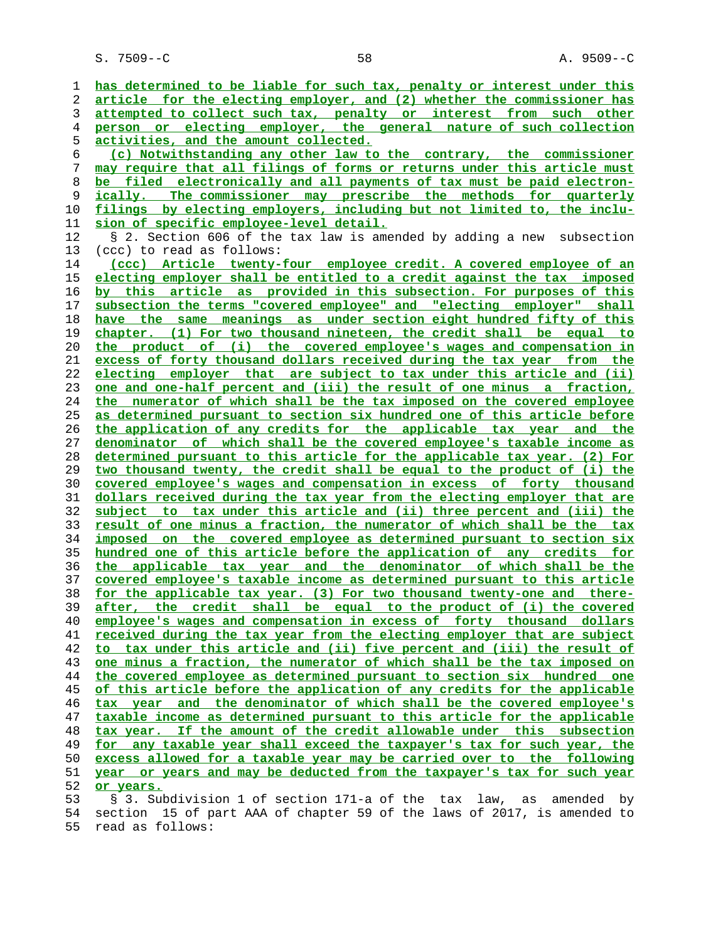**has determined to be liable for such tax, penalty or interest under this article for the electing employer, and (2) whether the commissioner has attempted to collect such tax, penalty or interest from such other person or electing employer, the general nature of such collection activities, and the amount collected. (c) Notwithstanding any other law to the contrary, the commissioner may require that all filings of forms or returns under this article must be filed electronically and all payments of tax must be paid electron- ically. The commissioner may prescribe the methods for quarterly filings by electing employers, including but not limited to, the inclu- sion of specific employee-level detail.** 12 § 2. Section 606 of the tax law is amended by adding a new subsection 13 (ccc) to read as follows: **(ccc) Article twenty-four employee credit. A covered employee of an electing employer shall be entitled to a credit against the tax imposed by this article as provided in this subsection. For purposes of this subsection the terms "covered employee" and "electing employer" shall have the same meanings as under section eight hundred fifty of this chapter. (1) For two thousand nineteen, the credit shall be equal to the product of (i) the covered employee's wages and compensation in excess of forty thousand dollars received during the tax year from the electing employer that are subject to tax under this article and (ii) one and one-half percent and (iii) the result of one minus a fraction, the numerator of which shall be the tax imposed on the covered employee as determined pursuant to section six hundred one of this article before the application of any credits for the applicable tax year and the denominator of which shall be the covered employee's taxable income as determined pursuant to this article for the applicable tax year. (2) For two thousand twenty, the credit shall be equal to the product of (i) the covered employee's wages and compensation in excess of forty thousand dollars received during the tax year from the electing employer that are subject to tax under this article and (ii) three percent and (iii) the result of one minus a fraction, the numerator of which shall be the tax imposed on the covered employee as determined pursuant to section six hundred one of this article before the application of any credits for the applicable tax year and the denominator of which shall be the covered employee's taxable income as determined pursuant to this article for the applicable tax year. (3) For two thousand twenty-one and there- after, the credit shall be equal to the product of (i) the covered employee's wages and compensation in excess of forty thousand dollars received during the tax year from the electing employer that are subject to tax under this article and (ii) five percent and (iii) the result of one minus a fraction, the numerator of which shall be the tax imposed on the covered employee as determined pursuant to section six hundred one of this article before the application of any credits for the applicable tax year and the denominator of which shall be the covered employee's taxable income as determined pursuant to this article for the applicable tax year. If the amount of the credit allowable under this subsection for any taxable year shall exceed the taxpayer's tax for such year, the excess allowed for a taxable year may be carried over to the following year or years and may be deducted from the taxpayer's tax for such year or years.** 53 § 3. Subdivision 1 of section 171-a of the tax law, as amended by 54 section 15 of part AAA of chapter 59 of the laws of 2017, is amended to

55 read as follows: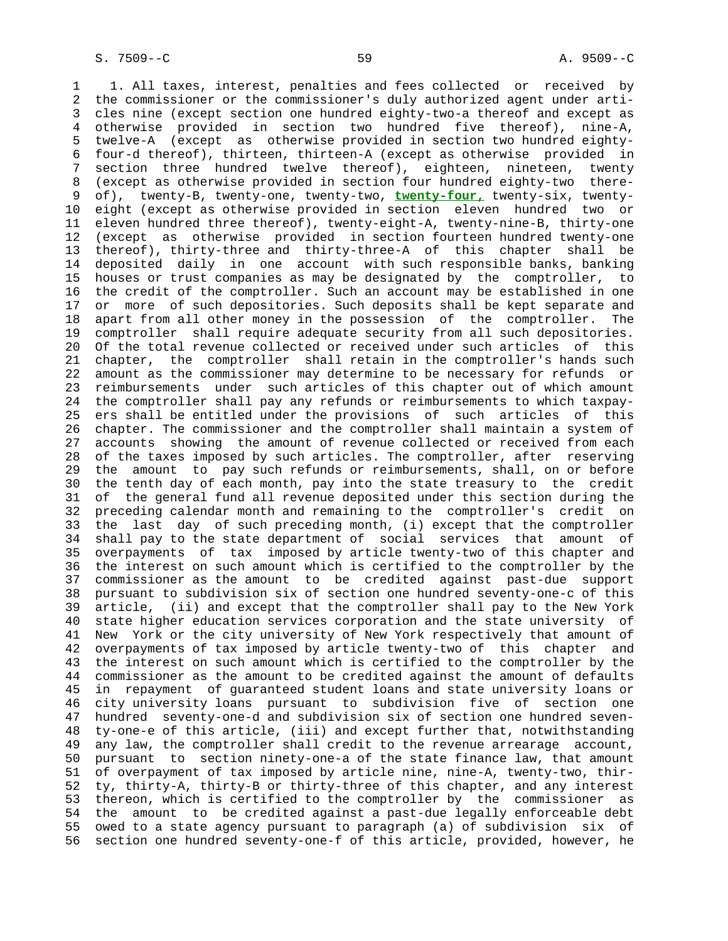1 1. All taxes, interest, penalties and fees collected or received by 2 the commissioner or the commissioner's duly authorized agent under arti- 3 cles nine (except section one hundred eighty-two-a thereof and except as 4 otherwise provided in section two hundred five thereof), nine-A, 5 twelve-A (except as otherwise provided in section two hundred eighty- 6 four-d thereof), thirteen, thirteen-A (except as otherwise provided in 7 section three hundred twelve thereof), eighteen, nineteen, twenty 8 (except as otherwise provided in section four hundred eighty-two there-<br>9 of), twenty-B, twenty-one, twenty-two, twenty-four, twenty-six, twenty- 9 of), twenty-B, twenty-one, twenty-two, **twenty-four,** twenty-six, twenty- 10 eight (except as otherwise provided in section eleven hundred two or 11 eleven hundred three thereof), twenty-eight-A, twenty-nine-B, thirty-one 12 (except as otherwise provided in section fourteen hundred twenty-one 13 thereof), thirty-three and thirty-three-A of this chapter shall be 14 deposited daily in one account with such responsible banks, banking 15 houses or trust companies as may be designated by the comptroller, to 16 the credit of the comptroller. Such an account may be established in one 17 or more of such depositories. Such deposits shall be kept separate and 18 apart from all other money in the possession of the comptroller. The 19 comptroller shall require adequate security from all such depositories. 20 Of the total revenue collected or received under such articles of this 21 chapter, the comptroller shall retain in the comptroller's hands such 22 amount as the commissioner may determine to be necessary for refunds or 23 reimbursements under such articles of this chapter out of which amount 24 the comptroller shall pay any refunds or reimbursements to which taxpay- 25 ers shall be entitled under the provisions of such articles of this 26 chapter. The commissioner and the comptroller shall maintain a system of 27 accounts showing the amount of revenue collected or received from each 28 of the taxes imposed by such articles. The comptroller, after reserving 29 the amount to pay such refunds or reimbursements, shall, on or before 30 the tenth day of each month, pay into the state treasury to the credit 31 of the general fund all revenue deposited under this section during the 32 preceding calendar month and remaining to the comptroller's credit on 33 the last day of such preceding month, (i) except that the comptroller 34 shall pay to the state department of social services that amount of 35 overpayments of tax imposed by article twenty-two of this chapter and 36 the interest on such amount which is certified to the comptroller by the 37 commissioner as the amount to be credited against past-due support 38 pursuant to subdivision six of section one hundred seventy-one-c of this 39 article, (ii) and except that the comptroller shall pay to the New York 40 state higher education services corporation and the state university of 41 New York or the city university of New York respectively that amount of 42 overpayments of tax imposed by article twenty-two of this chapter and 43 the interest on such amount which is certified to the comptroller by the 44 commissioner as the amount to be credited against the amount of defaults 45 in repayment of guaranteed student loans and state university loans or 46 city university loans pursuant to subdivision five of section one 47 hundred seventy-one-d and subdivision six of section one hundred seven- 48 ty-one-e of this article, (iii) and except further that, notwithstanding 49 any law, the comptroller shall credit to the revenue arrearage account, 50 pursuant to section ninety-one-a of the state finance law, that amount 51 of overpayment of tax imposed by article nine, nine-A, twenty-two, thir- 52 ty, thirty-A, thirty-B or thirty-three of this chapter, and any interest 53 thereon, which is certified to the comptroller by the commissioner as 54 the amount to be credited against a past-due legally enforceable debt 55 owed to a state agency pursuant to paragraph (a) of subdivision six of 56 section one hundred seventy-one-f of this article, provided, however, he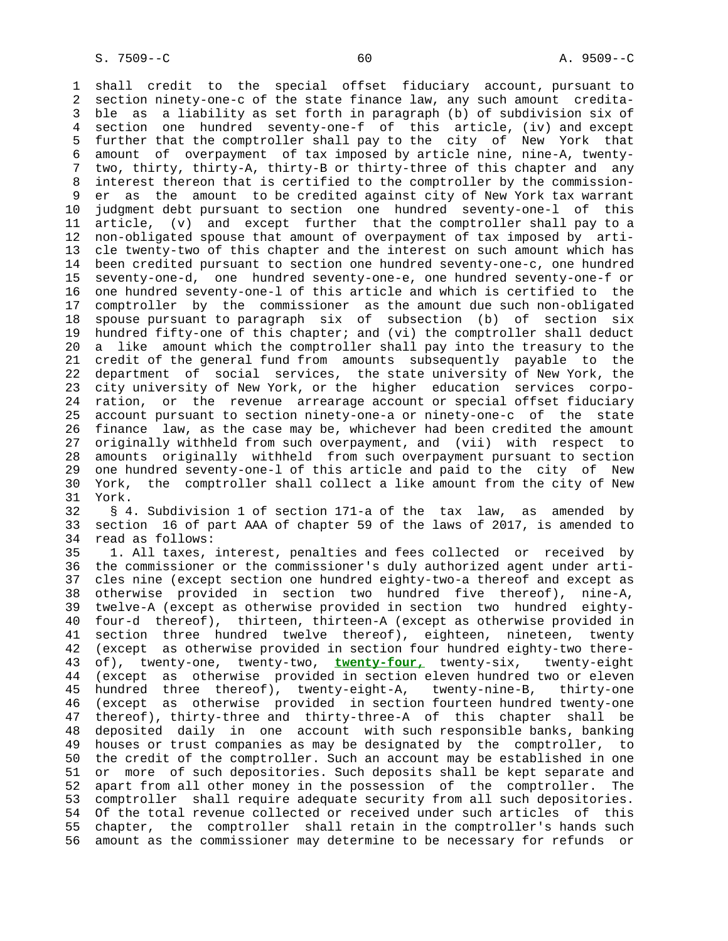1 shall credit to the special offset fiduciary account, pursuant to 2 section ninety-one-c of the state finance law, any such amount credita- 3 ble as a liability as set forth in paragraph (b) of subdivision six of 4 section one hundred seventy-one-f of this article, (iv) and except 5 further that the comptroller shall pay to the city of New York that 6 amount of overpayment of tax imposed by article nine, nine-A, twenty- 7 two, thirty, thirty-A, thirty-B or thirty-three of this chapter and any 8 interest thereon that is certified to the comptroller by the commission-<br>9 er as the amount to be credited against city of New York tax warrant 9 er as the amount to be credited against city of New York tax warrant 10 judgment debt pursuant to section one hundred seventy-one-l of this 11 article, (v) and except further that the comptroller shall pay to a 12 non-obligated spouse that amount of overpayment of tax imposed by arti- 13 cle twenty-two of this chapter and the interest on such amount which has 14 been credited pursuant to section one hundred seventy-one-c, one hundred 15 seventy-one-d, one hundred seventy-one-e, one hundred seventy-one-f or 16 one hundred seventy-one-l of this article and which is certified to the 17 comptroller by the commissioner as the amount due such non-obligated 18 spouse pursuant to paragraph six of subsection (b) of section six 19 hundred fifty-one of this chapter; and (vi) the comptroller shall deduct 20 a like amount which the comptroller shall pay into the treasury to the 21 credit of the general fund from amounts subsequently payable to the 22 department of social services, the state university of New York, the 23 city university of New York, or the higher education services corpo- 24 ration, or the revenue arrearage account or special offset fiduciary 25 account pursuant to section ninety-one-a or ninety-one-c of the state 26 finance law, as the case may be, whichever had been credited the amount 27 originally withheld from such overpayment, and (vii) with respect to 28 amounts originally withheld from such overpayment pursuant to section 29 one hundred seventy-one-l of this article and paid to the city of New 30 York, the comptroller shall collect a like amount from the city of New 31 York.

 32 § 4. Subdivision 1 of section 171-a of the tax law, as amended by 33 section 16 of part AAA of chapter 59 of the laws of 2017, is amended to 34 read as follows:

 35 1. All taxes, interest, penalties and fees collected or received by 36 the commissioner or the commissioner's duly authorized agent under arti- 37 cles nine (except section one hundred eighty-two-a thereof and except as 38 otherwise provided in section two hundred five thereof), nine-A, 39 twelve-A (except as otherwise provided in section two hundred eighty- 40 four-d thereof), thirteen, thirteen-A (except as otherwise provided in 41 section three hundred twelve thereof), eighteen, nineteen, twenty 42 (except as otherwise provided in section four hundred eighty-two there- 43 of), twenty-one, twenty-two, **twenty-four,** twenty-six, twenty-eight 44 (except as otherwise provided in section eleven hundred two or eleven 45 hundred three thereof), twenty-eight-A, twenty-nine-B, thirty-one 46 (except as otherwise provided in section fourteen hundred twenty-one 47 thereof), thirty-three and thirty-three-A of this chapter shall be 48 deposited daily in one account with such responsible banks, banking 49 houses or trust companies as may be designated by the comptroller, to 50 the credit of the comptroller. Such an account may be established in one 51 or more of such depositories. Such deposits shall be kept separate and 52 apart from all other money in the possession of the comptroller. The 53 comptroller shall require adequate security from all such depositories. 54 Of the total revenue collected or received under such articles of this 55 chapter, the comptroller shall retain in the comptroller's hands such 56 amount as the commissioner may determine to be necessary for refunds or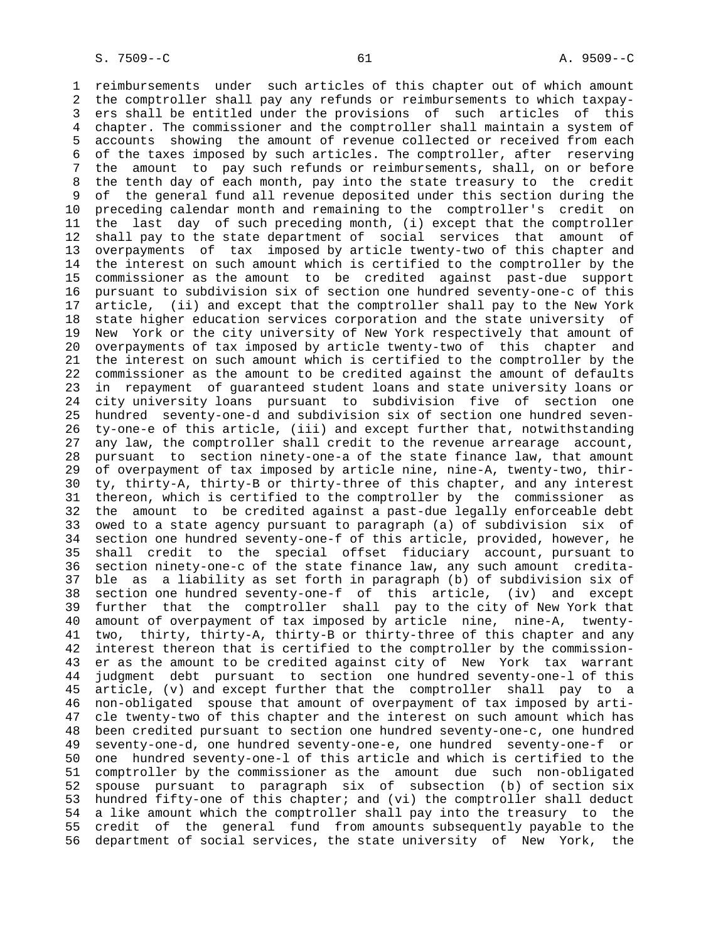1 reimbursements under such articles of this chapter out of which amount 2 the comptroller shall pay any refunds or reimbursements to which taxpay- 3 ers shall be entitled under the provisions of such articles of this 4 chapter. The commissioner and the comptroller shall maintain a system of 5 accounts showing the amount of revenue collected or received from each 6 of the taxes imposed by such articles. The comptroller, after reserving 7 the amount to pay such refunds or reimbursements, shall, on or before 8 the tenth day of each month, pay into the state treasury to the credit 9 of the general fund all revenue deposited under this section during the 10 preceding calendar month and remaining to the comptroller's credit on 11 the last day of such preceding month, (i) except that the comptroller 12 shall pay to the state department of social services that amount of 13 overpayments of tax imposed by article twenty-two of this chapter and 14 the interest on such amount which is certified to the comptroller by the 15 commissioner as the amount to be credited against past-due support 16 pursuant to subdivision six of section one hundred seventy-one-c of this 17 article, (ii) and except that the comptroller shall pay to the New York 18 state higher education services corporation and the state university of 19 New York or the city university of New York respectively that amount of 20 overpayments of tax imposed by article twenty-two of this chapter and 21 the interest on such amount which is certified to the comptroller by the 22 commissioner as the amount to be credited against the amount of defaults 23 in repayment of guaranteed student loans and state university loans or 24 city university loans pursuant to subdivision five of section one 25 hundred seventy-one-d and subdivision six of section one hundred seven- 26 ty-one-e of this article, (iii) and except further that, notwithstanding 27 any law, the comptroller shall credit to the revenue arrearage account, 28 pursuant to section ninety-one-a of the state finance law, that amount 29 of overpayment of tax imposed by article nine, nine-A, twenty-two, thir- 30 ty, thirty-A, thirty-B or thirty-three of this chapter, and any interest 31 thereon, which is certified to the comptroller by the commissioner as 32 the amount to be credited against a past-due legally enforceable debt 33 owed to a state agency pursuant to paragraph (a) of subdivision six of 34 section one hundred seventy-one-f of this article, provided, however, he 35 shall credit to the special offset fiduciary account, pursuant to 36 section ninety-one-c of the state finance law, any such amount credita- 37 ble as a liability as set forth in paragraph (b) of subdivision six of 38 section one hundred seventy-one-f of this article, (iv) and except 39 further that the comptroller shall pay to the city of New York that 40 amount of overpayment of tax imposed by article nine, nine-A, twenty- 41 two, thirty, thirty-A, thirty-B or thirty-three of this chapter and any 42 interest thereon that is certified to the comptroller by the commission- 43 er as the amount to be credited against city of New York tax warrant 44 judgment debt pursuant to section one hundred seventy-one-l of this 45 article, (v) and except further that the comptroller shall pay to a 46 non-obligated spouse that amount of overpayment of tax imposed by arti- 47 cle twenty-two of this chapter and the interest on such amount which has 48 been credited pursuant to section one hundred seventy-one-c, one hundred 49 seventy-one-d, one hundred seventy-one-e, one hundred seventy-one-f or 50 one hundred seventy-one-l of this article and which is certified to the 51 comptroller by the commissioner as the amount due such non-obligated 52 spouse pursuant to paragraph six of subsection (b) of section six 53 hundred fifty-one of this chapter; and (vi) the comptroller shall deduct 54 a like amount which the comptroller shall pay into the treasury to the 55 credit of the general fund from amounts subsequently payable to the 56 department of social services, the state university of New York, the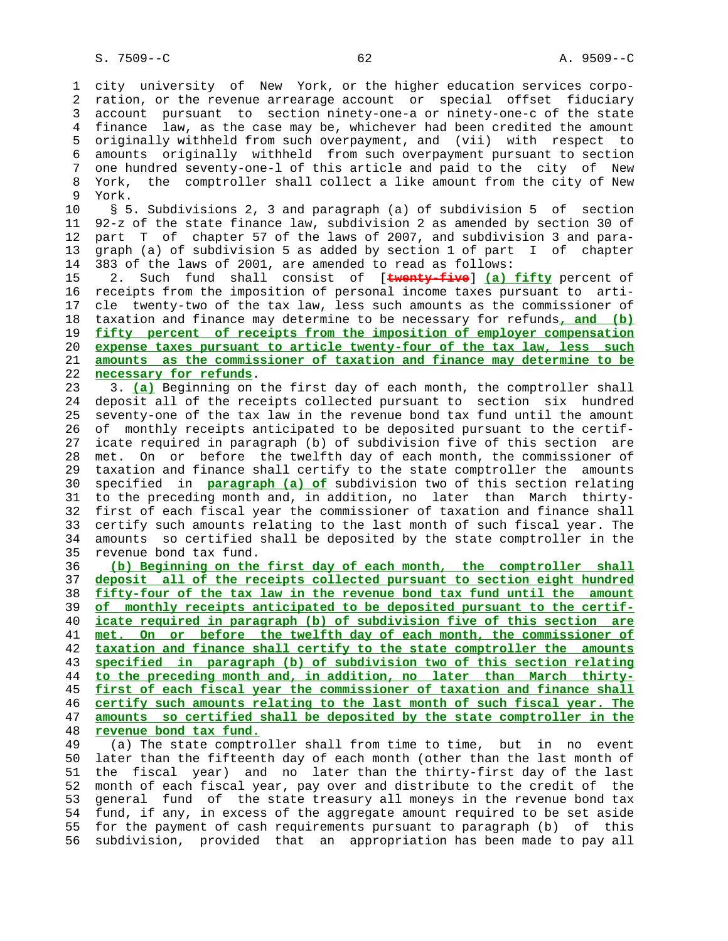1 city university of New York, or the higher education services corpo- 2 ration, or the revenue arrearage account or special offset fiduciary 3 account pursuant to section ninety-one-a or ninety-one-c of the state 4 finance law, as the case may be, whichever had been credited the amount 5 originally withheld from such overpayment, and (vii) with respect to 6 amounts originally withheld from such overpayment pursuant to section 7 one hundred seventy-one-l of this article and paid to the city of New 8 York, the comptroller shall collect a like amount from the city of New<br>9 York. York. 10 § 5. Subdivisions 2, 3 and paragraph (a) of subdivision 5 of section 11 92-z of the state finance law, subdivision 2 as amended by section 30 of 12 part T of chapter 57 of the laws of 2007, and subdivision 3 and para- 13 graph (a) of subdivision 5 as added by section 1 of part I of chapter 14 383 of the laws of 2001, are amended to read as follows: 15 2. Such fund shall consist of [**twenty-five**] **(a) fifty** percent of 16 receipts from the imposition of personal income taxes pursuant to arti- 17 cle twenty-two of the tax law, less such amounts as the commissioner of 18 taxation and finance may determine to be necessary for refunds**, and (b)** 19 **fifty percent of receipts from the imposition of employer compensation** 20 **expense taxes pursuant to article twenty-four of the tax law, less such** 21 **amounts as the commissioner of taxation and finance may determine to be** 22 **necessary for refunds**. 23 3. **(a)** Beginning on the first day of each month, the comptroller shall 24 deposit all of the receipts collected pursuant to section six hundred 25 seventy-one of the tax law in the revenue bond tax fund until the amount 26 of monthly receipts anticipated to be deposited pursuant to the certif- 27 icate required in paragraph (b) of subdivision five of this section are 28 met. On or before the twelfth day of each month, the commissioner of 29 taxation and finance shall certify to the state comptroller the amounts 30 specified in **paragraph (a) of** subdivision two of this section relating 31 to the preceding month and, in addition, no later than March thirty- 32 first of each fiscal year the commissioner of taxation and finance shall 33 certify such amounts relating to the last month of such fiscal year. The 34 amounts so certified shall be deposited by the state comptroller in the 35 revenue bond tax fund. 36 **(b) Beginning on the first day of each month, the comptroller shall** 37 **deposit all of the receipts collected pursuant to section eight hundred** 38 **fifty-four of the tax law in the revenue bond tax fund until the amount** 39 **of monthly receipts anticipated to be deposited pursuant to the certif-** 40 **icate required in paragraph (b) of subdivision five of this section are** 41 **met. On or before the twelfth day of each month, the commissioner of** 42 **taxation and finance shall certify to the state comptroller the amounts** 43 **specified in paragraph (b) of subdivision two of this section relating** 44 **to the preceding month and, in addition, no later than March thirty-** 45 **first of each fiscal year the commissioner of taxation and finance shall** 46 **certify such amounts relating to the last month of such fiscal year. The** 47 **amounts so certified shall be deposited by the state comptroller in the** 48 **revenue bond tax fund.** 49 (a) The state comptroller shall from time to time, but in no event

 50 later than the fifteenth day of each month (other than the last month of 51 the fiscal year) and no later than the thirty-first day of the last 52 month of each fiscal year, pay over and distribute to the credit of the 53 general fund of the state treasury all moneys in the revenue bond tax 54 fund, if any, in excess of the aggregate amount required to be set aside 55 for the payment of cash requirements pursuant to paragraph (b) of this 56 subdivision, provided that an appropriation has been made to pay all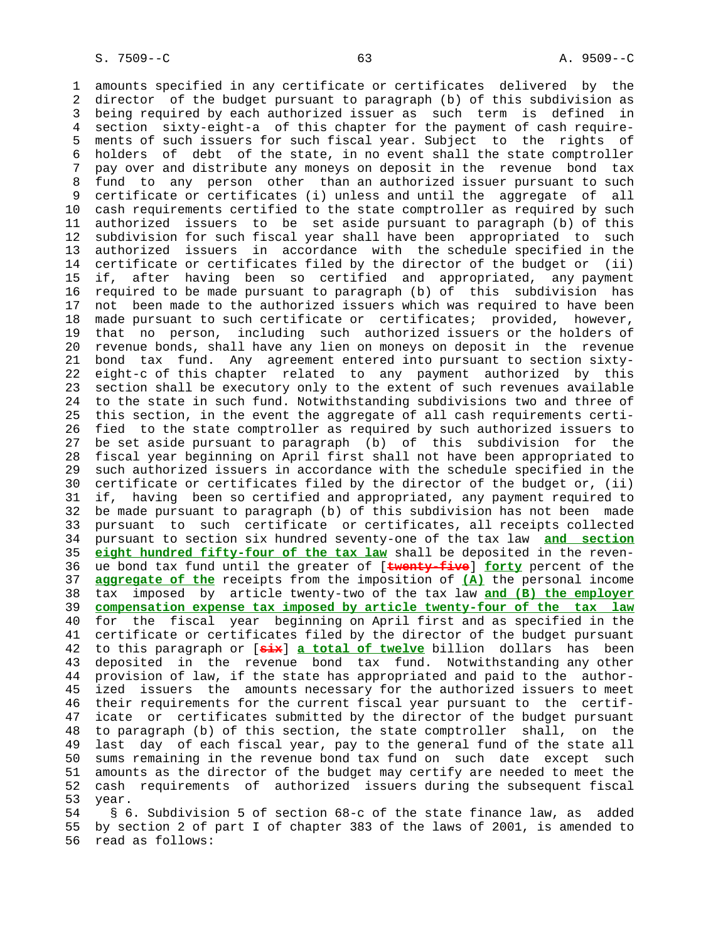1 amounts specified in any certificate or certificates delivered by the 2 director of the budget pursuant to paragraph (b) of this subdivision as 3 being required by each authorized issuer as such term is defined in 4 section sixty-eight-a of this chapter for the payment of cash require- 5 ments of such issuers for such fiscal year. Subject to the rights of 6 holders of debt of the state, in no event shall the state comptroller 7 pay over and distribute any moneys on deposit in the revenue bond tax 8 fund to any person other than an authorized issuer pursuant to such<br>9 certificate or certificates (i) unless and until the aggregate of all 9 certificate or certificates (i) unless and until the aggregate of all 10 cash requirements certified to the state comptroller as required by such 11 authorized issuers to be set aside pursuant to paragraph (b) of this 12 subdivision for such fiscal year shall have been appropriated to such 13 authorized issuers in accordance with the schedule specified in the 14 certificate or certificates filed by the director of the budget or (ii) 15 if, after having been so certified and appropriated, any payment 16 required to be made pursuant to paragraph (b) of this subdivision has 17 not been made to the authorized issuers which was required to have been 18 made pursuant to such certificate or certificates; provided, however, 19 that no person, including such authorized issuers or the holders of 20 revenue bonds, shall have any lien on moneys on deposit in the revenue 21 bond tax fund. Any agreement entered into pursuant to section sixty- 22 eight-c of this chapter related to any payment authorized by this 23 section shall be executory only to the extent of such revenues available 24 to the state in such fund. Notwithstanding subdivisions two and three of 25 this section, in the event the aggregate of all cash requirements certi- 26 fied to the state comptroller as required by such authorized issuers to 27 be set aside pursuant to paragraph (b) of this subdivision for the 28 fiscal year beginning on April first shall not have been appropriated to 29 such authorized issuers in accordance with the schedule specified in the 30 certificate or certificates filed by the director of the budget or, (ii) 31 if, having been so certified and appropriated, any payment required to 32 be made pursuant to paragraph (b) of this subdivision has not been made 33 pursuant to such certificate or certificates, all receipts collected 34 pursuant to section six hundred seventy-one of the tax law **and section** 35 **eight hundred fifty-four of the tax law** shall be deposited in the reven- 36 ue bond tax fund until the greater of [**twenty-five**] **forty** percent of the 37 **aggregate of the** receipts from the imposition of **(A)** the personal income 38 tax imposed by article twenty-two of the tax law **and (B) the employer** 39 **compensation expense tax imposed by article twenty-four of the tax law** 40 for the fiscal year beginning on April first and as specified in the 41 certificate or certificates filed by the director of the budget pursuant 42 to this paragraph or [**six**] **a total of twelve** billion dollars has been 43 deposited in the revenue bond tax fund. Notwithstanding any other 44 provision of law, if the state has appropriated and paid to the author- 45 ized issuers the amounts necessary for the authorized issuers to meet 46 their requirements for the current fiscal year pursuant to the certif- 47 icate or certificates submitted by the director of the budget pursuant 48 to paragraph (b) of this section, the state comptroller shall, on the 49 last day of each fiscal year, pay to the general fund of the state all 50 sums remaining in the revenue bond tax fund on such date except such 51 amounts as the director of the budget may certify are needed to meet the 52 cash requirements of authorized issuers during the subsequent fiscal 53 year. 54 § 6. Subdivision 5 of section 68-c of the state finance law, as added

 55 by section 2 of part I of chapter 383 of the laws of 2001, is amended to 56 read as follows: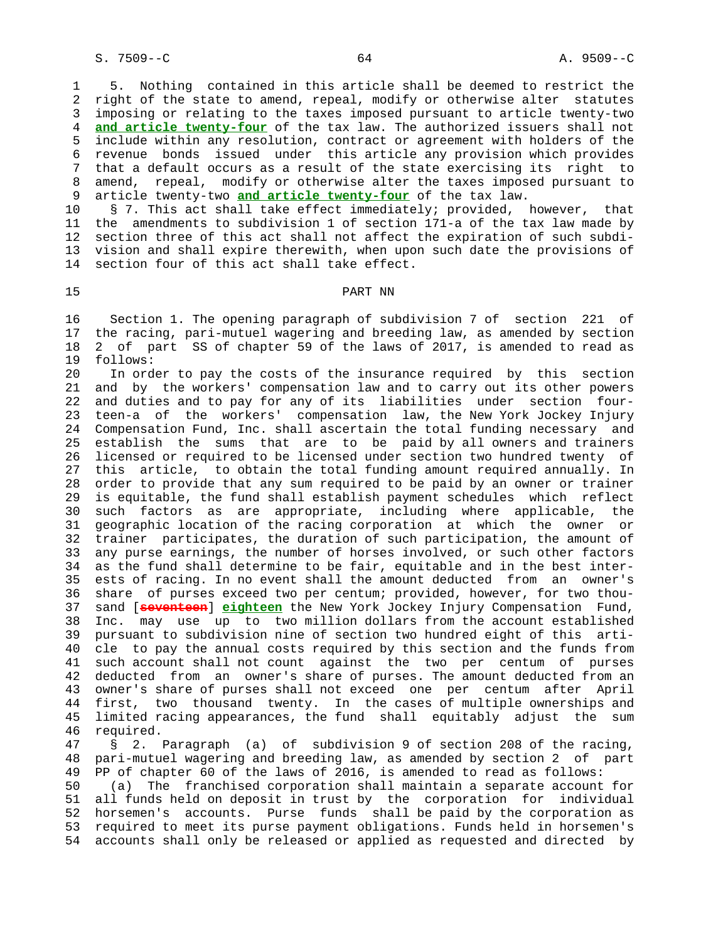1 5. Nothing contained in this article shall be deemed to restrict the 2 right of the state to amend, repeal, modify or otherwise alter statutes 3 imposing or relating to the taxes imposed pursuant to article twenty-two 4 **and article twenty-four** of the tax law. The authorized issuers shall not 5 include within any resolution, contract or agreement with holders of the 6 revenue bonds issued under this article any provision which provides 7 that a default occurs as a result of the state exercising its right to 8 amend, repeal, modify or otherwise alter the taxes imposed pursuant to<br>9 article twenty-two and article twenty-four of the tax law. article twenty-two **and article twenty-four** of the tax law.

 10 § 7. This act shall take effect immediately; provided, however, that 11 the amendments to subdivision 1 of section 171-a of the tax law made by 12 section three of this act shall not affect the expiration of such subdi- 13 vision and shall expire therewith, when upon such date the provisions of 14 section four of this act shall take effect.

# 15 PART NN

 16 Section 1. The opening paragraph of subdivision 7 of section 221 of 17 the racing, pari-mutuel wagering and breeding law, as amended by section 18 2 of part SS of chapter 59 of the laws of 2017, is amended to read as 19 follows:

 20 In order to pay the costs of the insurance required by this section 21 and by the workers' compensation law and to carry out its other powers 22 and duties and to pay for any of its liabilities under section four- 23 teen-a of the workers' compensation law, the New York Jockey Injury 24 Compensation Fund, Inc. shall ascertain the total funding necessary and 25 establish the sums that are to be paid by all owners and trainers 26 licensed or required to be licensed under section two hundred twenty of 27 this article, to obtain the total funding amount required annually. In 28 order to provide that any sum required to be paid by an owner or trainer 29 is equitable, the fund shall establish payment schedules which reflect 30 such factors as are appropriate, including where applicable, the 31 geographic location of the racing corporation at which the owner or 32 trainer participates, the duration of such participation, the amount of 33 any purse earnings, the number of horses involved, or such other factors 34 as the fund shall determine to be fair, equitable and in the best inter- 35 ests of racing. In no event shall the amount deducted from an owner's 36 share of purses exceed two per centum; provided, however, for two thou- 37 sand [**seventeen**] **eighteen** the New York Jockey Injury Compensation Fund, 38 Inc. may use up to two million dollars from the account established 39 pursuant to subdivision nine of section two hundred eight of this arti- 40 cle to pay the annual costs required by this section and the funds from 41 such account shall not count against the two per centum of purses 42 deducted from an owner's share of purses. The amount deducted from an 43 owner's share of purses shall not exceed one per centum after April 44 first, two thousand twenty. In the cases of multiple ownerships and 45 limited racing appearances, the fund shall equitably adjust the sum

46 required.<br>47 § 2. § 2. Paragraph (a) of subdivision 9 of section 208 of the racing, 48 pari-mutuel wagering and breeding law, as amended by section 2 of part 49 PP of chapter 60 of the laws of 2016, is amended to read as follows: 50 (a) The franchised corporation shall maintain a separate account for

 51 all funds held on deposit in trust by the corporation for individual 52 horsemen's accounts. Purse funds shall be paid by the corporation as 53 required to meet its purse payment obligations. Funds held in horsemen's 54 accounts shall only be released or applied as requested and directed by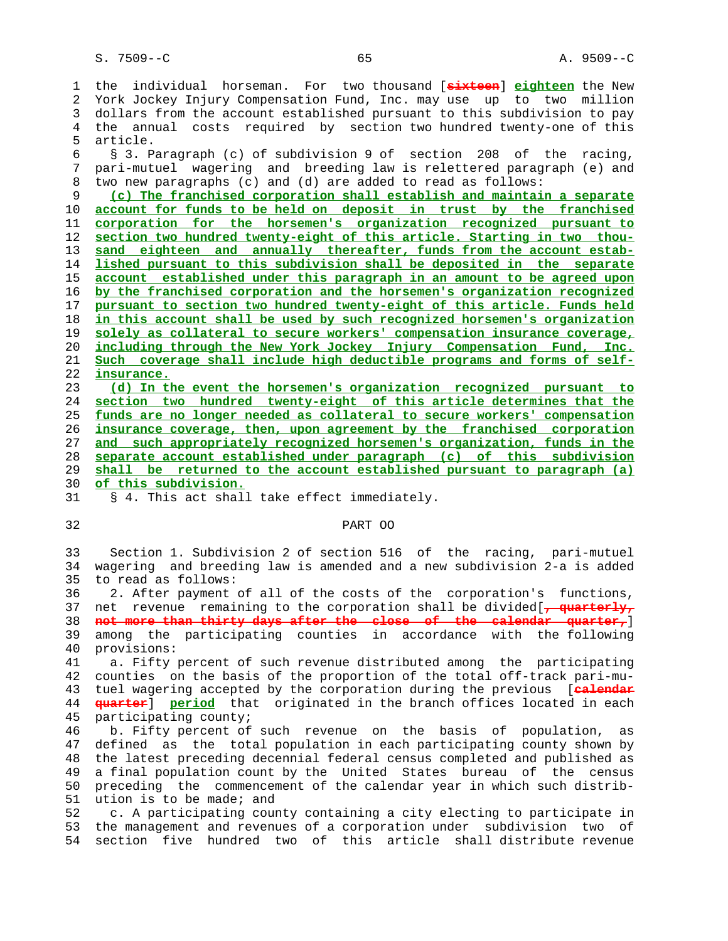1 the individual horseman. For two thousand [**sixteen**] **eighteen** the New 2 York Jockey Injury Compensation Fund, Inc. may use up to two million 3 dollars from the account established pursuant to this subdivision to pay 4 the annual costs required by section two hundred twenty-one of this 5 article.

 6 § 3. Paragraph (c) of subdivision 9 of section 208 of the racing, 7 pari-mutuel wagering and breeding law is relettered paragraph (e) and 8 two new paragraphs (c) and (d) are added to read as follows:<br>9 (c) The franchised corporation shall establish and maintai

**(c) The franchised corporation shall establish and maintain a separate account for funds to be held on deposit in trust by the franchised corporation for the horsemen's organization recognized pursuant to section two hundred twenty-eight of this article. Starting in two thou- sand eighteen and annually thereafter, funds from the account estab- lished pursuant to this subdivision shall be deposited in the separate account established under this paragraph in an amount to be agreed upon by the franchised corporation and the horsemen's organization recognized pursuant to section two hundred twenty-eight of this article. Funds held in this account shall be used by such recognized horsemen's organization solely as collateral to secure workers' compensation insurance coverage, including through the New York Jockey Injury Compensation Fund, Inc. Such coverage shall include high deductible programs and forms of self- insurance.**

**(d) In the event the horsemen's organization recognized pursuant to section two hundred twenty-eight of this article determines that the funds are no longer needed as collateral to secure workers' compensation insurance coverage, then, upon agreement by the franchised corporation and such appropriately recognized horsemen's organization, funds in the separate account established under paragraph (c) of this subdivision shall be returned to the account established pursuant to paragraph (a) of this subdivision.**

31 § 4. This act shall take effect immediately.

# 32 PART OO

 33 Section 1. Subdivision 2 of section 516 of the racing, pari-mutuel 34 wagering and breeding law is amended and a new subdivision 2-a is added 35 to read as follows:

 36 2. After payment of all of the costs of the corporation's functions, 37 net revenue remaining to the corporation shall be divided[**, quarterly,** 38 **not more than thirty days after the close of the calendar quarter,**] 39 among the participating counties in accordance with the following 40 provisions:

 41 a. Fifty percent of such revenue distributed among the participating 42 counties on the basis of the proportion of the total off-track pari-mu- 43 tuel wagering accepted by the corporation during the previous [**calendar** 44 **quarter**] **period** that originated in the branch offices located in each 45 participating county;

 46 b. Fifty percent of such revenue on the basis of population, as 47 defined as the total population in each participating county shown by 48 the latest preceding decennial federal census completed and published as 49 a final population count by the United States bureau of the census 50 preceding the commencement of the calendar year in which such distrib- 51 ution is to be made; and

 52 c. A participating county containing a city electing to participate in 53 the management and revenues of a corporation under subdivision two of 54 section five hundred two of this article shall distribute revenue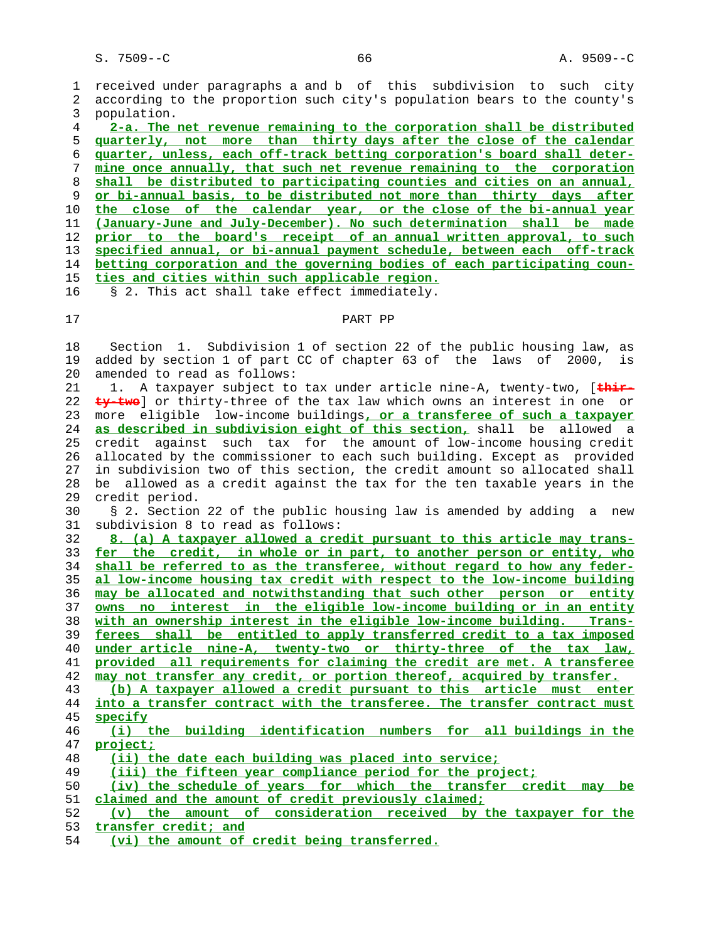1 received under paragraphs a and b of this subdivision to such city 2 according to the proportion such city's population bears to the county's 3 population.

**2-a. The net revenue remaining to the corporation shall be distributed quarterly, not more than thirty days after the close of the calendar quarter, unless, each off-track betting corporation's board shall deter- mine once annually, that such net revenue remaining to the corporation shall be distributed to participating counties and cities on an annual, or bi-annual basis, to be distributed not more than thirty days after the close of the calendar year, or the close of the bi-annual year (January-June and July-December). No such determination shall be made prior to the board's receipt of an annual written approval, to such specified annual, or bi-annual payment schedule, between each off-track betting corporation and the governing bodies of each participating coun- ties and cities within such applicable region.**

- 16 § 2. This act shall take effect immediately.
- 

### 17 PART PP

 18 Section 1. Subdivision 1 of section 22 of the public housing law, as 19 added by section 1 of part CC of chapter 63 of the laws of 2000, is 20 amended to read as follows:

 21 1. A taxpayer subject to tax under article nine-A, twenty-two, [**thir- ty-two**] or thirty-three of the tax law which owns an interest in one or 23 more eligible low-income buildings**, or a transferee of such a taxpayer as described in subdivision eight of this section,** shall be allowed a 25 credit against such tax for the amount of low-income housing credit 26 allocated by the commissioner to each such building. Except as provided 27 in subdivision two of this section, the credit amount so allocated shall 28 be allowed as a credit against the tax for the ten taxable years in the 29 credit period.

 30 § 2. Section 22 of the public housing law is amended by adding a new 31 subdivision 8 to read as follows:

**8. (a) A taxpayer allowed a credit pursuant to this article may trans- fer the credit, in whole or in part, to another person or entity, who shall be referred to as the transferee, without regard to how any feder- al low-income housing tax credit with respect to the low-income building may be allocated and notwithstanding that such other person or entity owns no interest in the eligible low-income building or in an entity with an ownership interest in the eligible low-income building. Trans- ferees shall be entitled to apply transferred credit to a tax imposed under article nine-A, twenty-two or thirty-three of the tax law, provided all requirements for claiming the credit are met. A transferee may not transfer any credit, or portion thereof, acquired by transfer. (b) A taxpayer allowed a credit pursuant to this article must enter into a transfer contract with the transferee. The transfer contract must specify (i) the building identification numbers for all buildings in the project; (ii) the date each building was placed into service; (iii) the fifteen year compliance period for the project;**

(iv) the schedule of years for which the transfer credit may be **claimed and the amount of credit previously claimed;**

- **(v) the amount of consideration received by the taxpayer for the transfer credit; and**
- **(vi) the amount of credit being transferred.**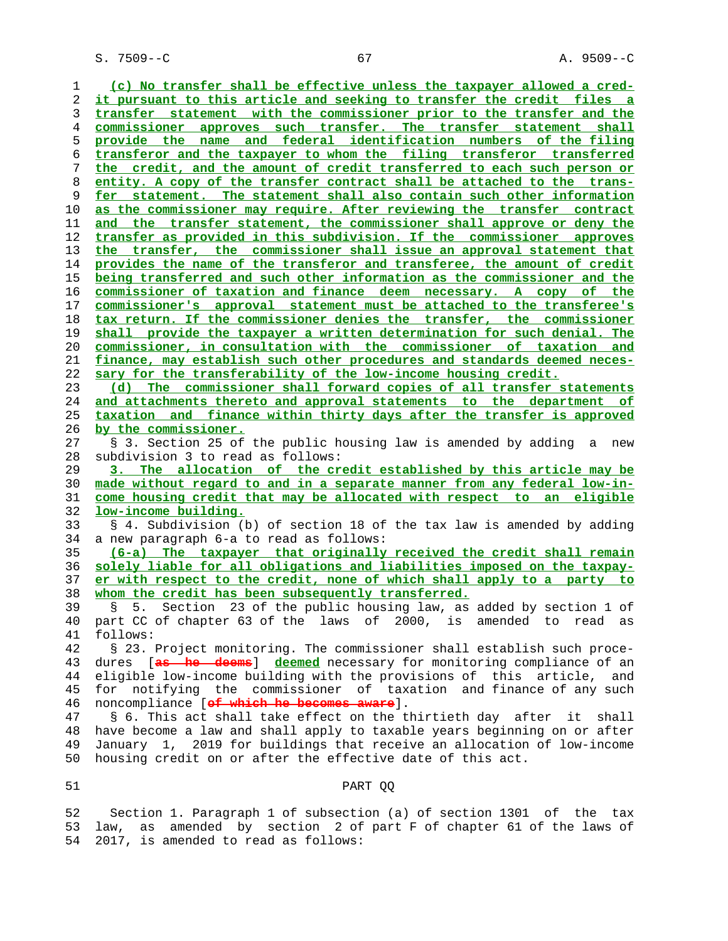S. 7509--C 67 A. 9509--C

**(c) No transfer shall be effective unless the taxpayer allowed a cred- it pursuant to this article and seeking to transfer the credit files a transfer statement with the commissioner prior to the transfer and the commissioner approves such transfer. The transfer statement shall provide the name and federal identification numbers of the filing transferor and the taxpayer to whom the filing transferor transferred the credit, and the amount of credit transferred to each such person or entity. A copy of the transfer contract shall be attached to the trans- fer statement. The statement shall also contain such other information as the commissioner may require. After reviewing the transfer contract and the transfer statement, the commissioner shall approve or deny the transfer as provided in this subdivision. If the commissioner approves the transfer, the commissioner shall issue an approval statement that provides the name of the transferor and transferee, the amount of credit being transferred and such other information as the commissioner and the commissioner of taxation and finance deem necessary. A copy of the commissioner's approval statement must be attached to the transferee's tax return. If the commissioner denies the transfer, the commissioner shall provide the taxpayer a written determination for such denial. The commissioner, in consultation with the commissioner of taxation and finance, may establish such other procedures and standards deemed neces- sary for the transferability of the low-income housing credit. (d) The commissioner shall forward copies of all transfer statements and attachments thereto and approval statements to the department of taxation and finance within thirty days after the transfer is approved by the commissioner.** 27 § 3. Section 25 of the public housing law is amended by adding a new 28 subdivision 3 to read as follows: **3. The allocation of the credit established by this article may be made without regard to and in a separate manner from any federal low-in- come housing credit that may be allocated with respect to an eligible low-income building.** 33 § 4. Subdivision (b) of section 18 of the tax law is amended by adding 34 a new paragraph 6-a to read as follows: **(6-a) The taxpayer that originally received the credit shall remain solely liable for all obligations and liabilities imposed on the taxpay- er with respect to the credit, none of which shall apply to a party to whom the credit has been subsequently transferred.** 39 § 5. Section 23 of the public housing law, as added by section 1 of 40 part CC of chapter 63 of the laws of 2000, is amended to read as 41 follows: 42 § 23. Project monitoring. The commissioner shall establish such proce- 43 dures [**as he deems**] **deemed** necessary for monitoring compliance of an 44 eligible low-income building with the provisions of this article, and 45 for notifying the commissioner of taxation and finance of any such 46 noncompliance [**of which he becomes aware**]. 47 § 6. This act shall take effect on the thirtieth day after it shall 48 have become a law and shall apply to taxable years beginning on or after 49 January 1, 2019 for buildings that receive an allocation of low-income 50 housing credit on or after the effective date of this act. 51 PART QQ

 52 Section 1. Paragraph 1 of subsection (a) of section 1301 of the tax 53 law, as amended by section 2 of part F of chapter 61 of the laws of 54 2017, is amended to read as follows: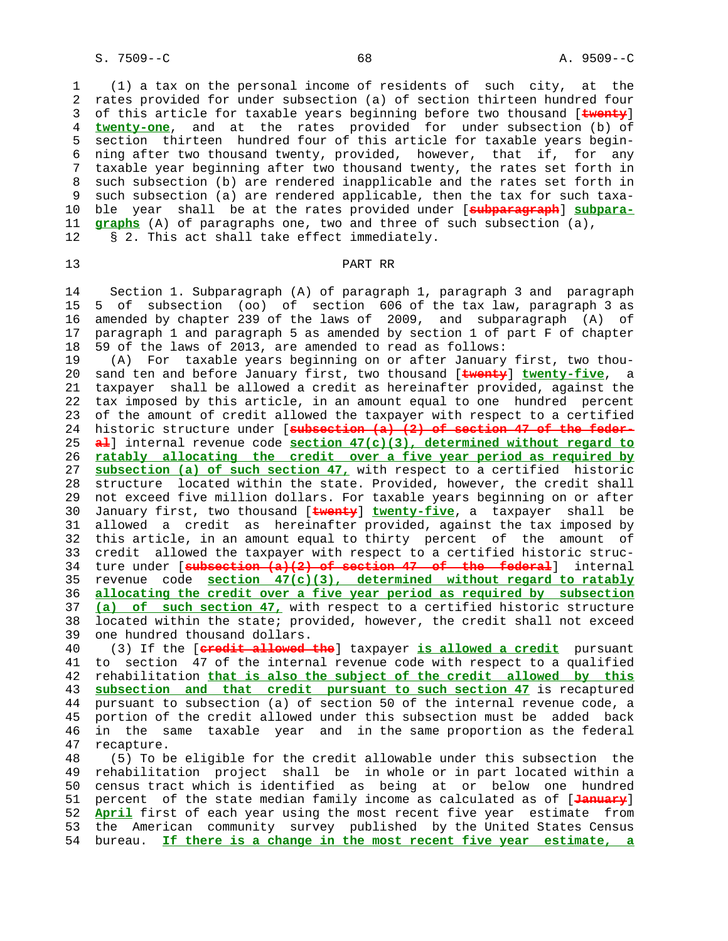1 (1) a tax on the personal income of residents of such city, at the 2 rates provided for under subsection (a) of section thirteen hundred four 3 of this article for taxable years beginning before two thousand [**twenty**] 4 **twenty-one**, and at the rates provided for under subsection (b) of 5 section thirteen hundred four of this article for taxable years begin- 6 ning after two thousand twenty, provided, however, that if, for any 7 taxable year beginning after two thousand twenty, the rates set forth in 8 such subsection (b) are rendered inapplicable and the rates set forth in<br>9 such subsection (a) are rendered applicable, then the tax for such taxasuch subsection (a) are rendered applicable, then the tax for such taxa- 10 ble year shall be at the rates provided under [**subparagraph**] **subpara-** 11 **graphs** (A) of paragraphs one, two and three of such subsection (a), 12 § 2. This act shall take effect immediately.

# 13 PART RR

 14 Section 1. Subparagraph (A) of paragraph 1, paragraph 3 and paragraph 15 5 of subsection (oo) of section 606 of the tax law, paragraph 3 as 16 amended by chapter 239 of the laws of 2009, and subparagraph (A) of 17 paragraph 1 and paragraph 5 as amended by section 1 of part F of chapter 18 59 of the laws of 2013, are amended to read as follows:

 19 (A) For taxable years beginning on or after January first, two thou- 20 sand ten and before January first, two thousand [**twenty**] **twenty-five**, a 21 taxpayer shall be allowed a credit as hereinafter provided, against the 22 tax imposed by this article, in an amount equal to one hundred percent 23 of the amount of credit allowed the taxpayer with respect to a certified 24 historic structure under [**subsection (a) (2) of section 47 of the feder-** 25 **al**] internal revenue code **section 47(c)(3), determined without regard to** 26 **ratably allocating the credit over a five year period as required by** 27 **subsection (a) of such section 47,** with respect to a certified historic 28 structure located within the state. Provided, however, the credit shall 29 not exceed five million dollars. For taxable years beginning on or after 30 January first, two thousand [**twenty**] **twenty-five**, a taxpayer shall be 31 allowed a credit as hereinafter provided, against the tax imposed by 32 this article, in an amount equal to thirty percent of the amount of 33 credit allowed the taxpayer with respect to a certified historic struc- 34 ture under [**subsection (a)(2) of section 47 of the federal**] internal 35 revenue code **section 47(c)(3), determined without regard to ratably** 36 **allocating the credit over a five year period as required by subsection** 37 **(a) of such section 47,** with respect to a certified historic structure 38 located within the state; provided, however, the credit shall not exceed 39 one hundred thousand dollars.

 40 (3) If the [**credit allowed the**] taxpayer **is allowed a credit** pursuant 41 to section 47 of the internal revenue code with respect to a qualified 42 rehabilitation **that is also the subject of the credit allowed by this** 43 **subsection and that credit pursuant to such section 47** is recaptured 44 pursuant to subsection (a) of section 50 of the internal revenue code, a 45 portion of the credit allowed under this subsection must be added back 46 in the same taxable year and in the same proportion as the federal<br>47 recapture. recapture.

 48 (5) To be eligible for the credit allowable under this subsection the 49 rehabilitation project shall be in whole or in part located within a 50 census tract which is identified as being at or below one hundred 51 percent of the state median family income as calculated as of [**January**] 52 **April** first of each year using the most recent five year estimate from 53 the American community survey published by the United States Census 54 bureau. **If there is a change in the most recent five year estimate, a**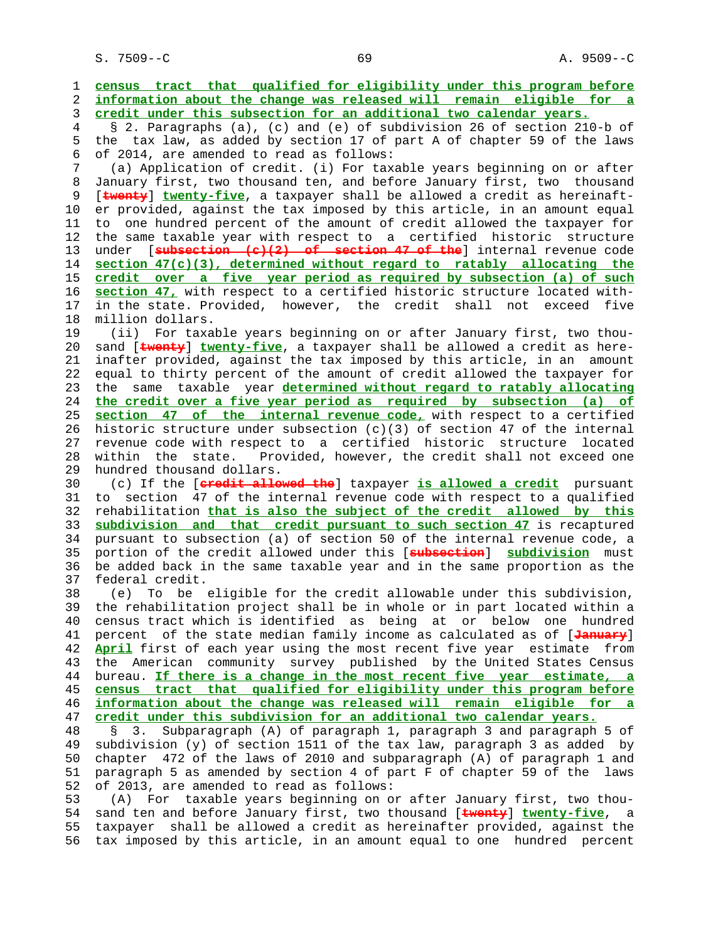S. 7509--C 69 A. 9509--C

 1 **census tract that qualified for eligibility under this program before** 2 **information about the change was released will remain eligible for a** 3 **credit under this subsection for an additional two calendar years.** 4 § 2. Paragraphs (a), (c) and (e) of subdivision 26 of section 210-b of 5 the tax law, as added by section 17 of part A of chapter 59 of the laws 6 of 2014, are amended to read as follows: 7 (a) Application of credit. (i) For taxable years beginning on or after 8 January first, two thousand ten, and before January first, two thousand<br>9 [twenty] twenty-five, a taxpayer shall be allowed a credit as hereinaft-[**twenty**] **twenty-five**, a taxpayer shall be allowed a credit as hereinaft- 10 er provided, against the tax imposed by this article, in an amount equal 11 to one hundred percent of the amount of credit allowed the taxpayer for 12 the same taxable year with respect to a certified historic structure 13 under [**subsection (c)(2) of section 47 of the**] internal revenue code 14 **section 47(c)(3), determined without regard to ratably allocating the** 15 **credit over a five year period as required by subsection (a) of such** 16 **section 47,** with respect to a certified historic structure located with- 17 in the state. Provided, however, the credit shall not exceed five 18 million dollars. 19 (ii) For taxable years beginning on or after January first, two thou- 20 sand [**twenty**] **twenty-five**, a taxpayer shall be allowed a credit as here- 21 inafter provided, against the tax imposed by this article, in an amount 22 equal to thirty percent of the amount of credit allowed the taxpayer for 23 the same taxable year **determined without regard to ratably allocating** 24 **the credit over a five year period as required by subsection (a) of** 25 **section 47 of the internal revenue code,** with respect to a certified 26 historic structure under subsection  $(c)(3)$  of section 47 of the internal 27 revenue code with respect to a certified historic structure located 28 within the state. Provided, however, the credit shall not exceed one 29 hundred thousand dollars. 30 (c) If the [**credit allowed the**] taxpayer **is allowed a credit** pursuant 31 to section 47 of the internal revenue code with respect to a qualified 32 rehabilitation **that is also the subject of the credit allowed by this** 33 **subdivision and that credit pursuant to such section 47** is recaptured 34 pursuant to subsection (a) of section 50 of the internal revenue code, a 35 portion of the credit allowed under this [**subsection**] **subdivision** must 36 be added back in the same taxable year and in the same proportion as the 37 federal credit. 38 (e) To be eligible for the credit allowable under this subdivision, 39 the rehabilitation project shall be in whole or in part located within a 40 census tract which is identified as being at or below one hundred 41 percent of the state median family income as calculated as of [**January**] 42 **April** first of each year using the most recent five year estimate from 43 the American community survey published by the United States Census 44 bureau. **If there is a change in the most recent five year estimate, a** 45 **census tract that qualified for eligibility under this program before** 46 **information about the change was released will remain eligible for a** 47 **credit under this subdivision for an additional two calendar years.** 48 § 3. Subparagraph (A) of paragraph 1, paragraph 3 and paragraph 5 of 49 subdivision (y) of section 1511 of the tax law, paragraph 3 as added by 50 chapter 472 of the laws of 2010 and subparagraph (A) of paragraph 1 and 51 paragraph 5 as amended by section 4 of part F of chapter 59 of the laws 52 of 2013, are amended to read as follows: 53 (A) For taxable years beginning on or after January first, two thou- 54 sand ten and before January first, two thousand [**twenty**] **twenty-five**, a 55 taxpayer shall be allowed a credit as hereinafter provided, against the 56 tax imposed by this article, in an amount equal to one hundred percent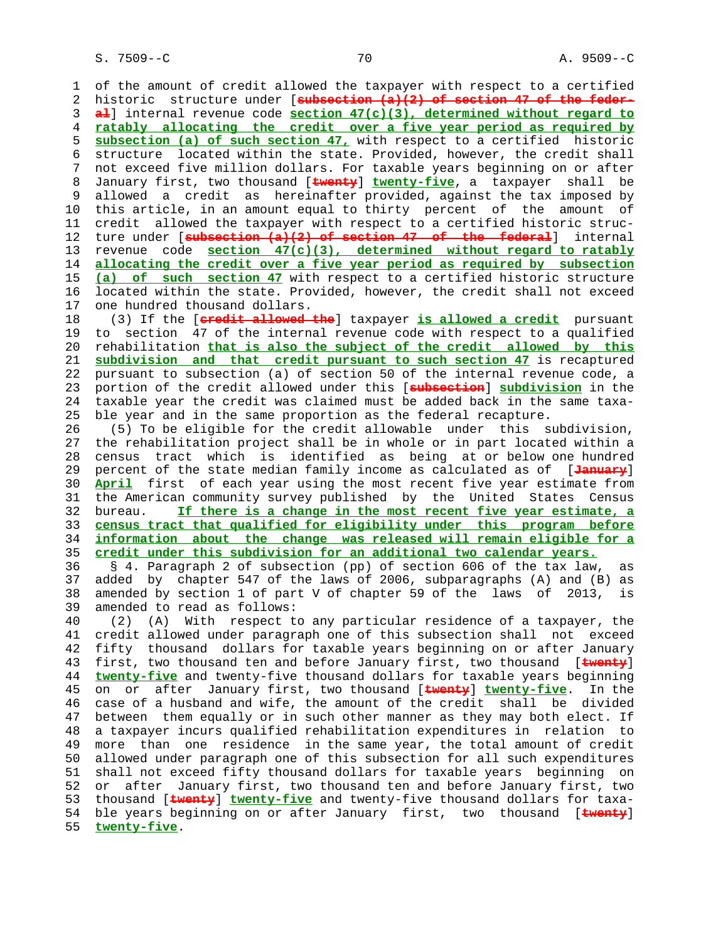1 of the amount of credit allowed the taxpayer with respect to a certified 2 historic structure under [**subsection (a)(2) of section 47 of the feder-** 3 **al**] internal revenue code **section 47(c)(3), determined without regard to** 4 **ratably allocating the credit over a five year period as required by** 5 **subsection (a) of such section 47,** with respect to a certified historic 6 structure located within the state. Provided, however, the credit shall 7 not exceed five million dollars. For taxable years beginning on or after 8 January first, two thousand [**twenty**] **twenty-five**, a taxpayer shall be allowed a credit as hereinafter provided, against the tax imposed by 10 this article, in an amount equal to thirty percent of the amount of 11 credit allowed the taxpayer with respect to a certified historic struc- 12 ture under [**subsection (a)(2) of section 47 of the federal**] internal 13 revenue code **section 47(c)(3), determined without regard to ratably** 14 **allocating the credit over a five year period as required by subsection** 15 **(a) of such section 47** with respect to a certified historic structure 16 located within the state. Provided, however, the credit shall not exceed 17 one hundred thousand dollars. 18 (3) If the [**credit allowed the**] taxpayer **is allowed a credit** pursuant 19 to section 47 of the internal revenue code with respect to a qualified 20 rehabilitation **that is also the subject of the credit allowed by this** 21 **subdivision and that credit pursuant to such section 47** is recaptured 22 pursuant to subsection (a) of section 50 of the internal revenue code, a 23 portion of the credit allowed under this [**subsection**] **subdivision** in the 24 taxable year the credit was claimed must be added back in the same taxa- 25 ble year and in the same proportion as the federal recapture. 26 (5) To be eligible for the credit allowable under this subdivision, 27 the rehabilitation project shall be in whole or in part located within a 28 census tract which is identified as being at or below one hundred 29 percent of the state median family income as calculated as of [**January**] 30 **April** first of each year using the most recent five year estimate from 31 the American community survey published by the United States Census 32 bureau. **If there is a change in the most recent five year estimate, a** 33 **census tract that qualified for eligibility under this program before** 34 **information about the change was released will remain eligible for a** 35 **credit under this subdivision for an additional two calendar years.** 36 § 4. Paragraph 2 of subsection (pp) of section 606 of the tax law, as 37 added by chapter 547 of the laws of 2006, subparagraphs (A) and (B) as 38 amended by section 1 of part V of chapter 59 of the laws of 2013, is 39 amended to read as follows: 40 (2) (A) With respect to any particular residence of a taxpayer, the 41 credit allowed under paragraph one of this subsection shall not exceed 42 fifty thousand dollars for taxable years beginning on or after January 43 first, two thousand ten and before January first, two thousand [**twenty**] 44 **twenty-five** and twenty-five thousand dollars for taxable years beginning 45 on or after January first, two thousand [**twenty**] **twenty-five**. In the 46 case of a husband and wife, the amount of the credit shall be divided 47 between them equally or in such other manner as they may both elect. If 48 a taxpayer incurs qualified rehabilitation expenditures in relation to 49 more than one residence in the same year, the total amount of credit 50 allowed under paragraph one of this subsection for all such expenditures 51 shall not exceed fifty thousand dollars for taxable years beginning on 52 or after January first, two thousand ten and before January first, two 53 thousand [**twenty**] **twenty-five** and twenty-five thousand dollars for taxa- 54 ble years beginning on or after January first, two thousand [**twenty**] 55 **twenty-five**.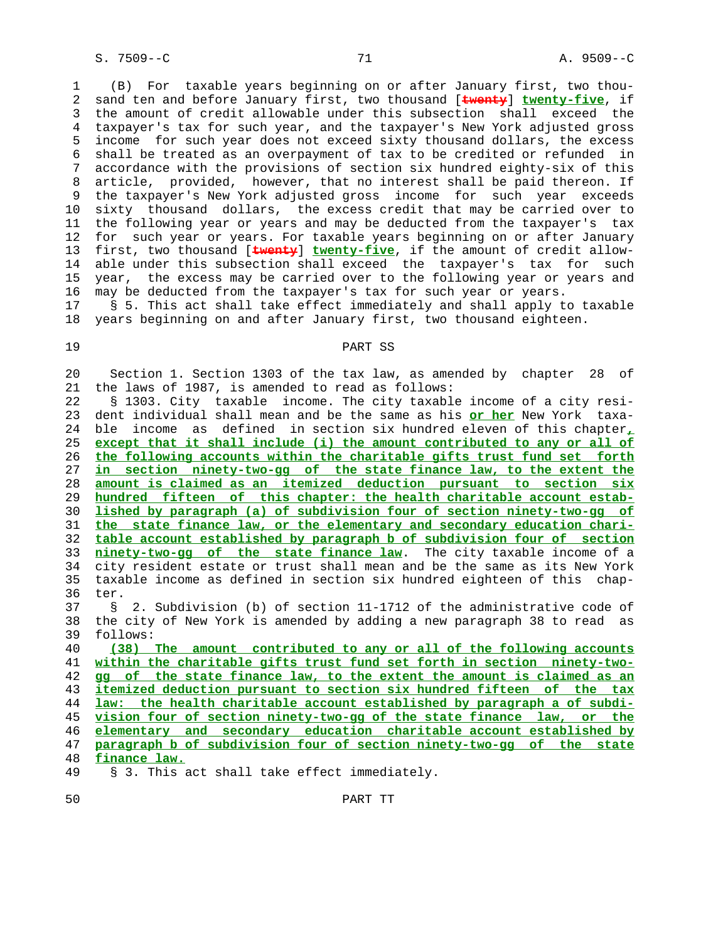1 (B) For taxable years beginning on or after January first, two thou- 2 sand ten and before January first, two thousand [**twenty**] **twenty-five**, if 3 the amount of credit allowable under this subsection shall exceed the 4 taxpayer's tax for such year, and the taxpayer's New York adjusted gross 5 income for such year does not exceed sixty thousand dollars, the excess 6 shall be treated as an overpayment of tax to be credited or refunded in 7 accordance with the provisions of section six hundred eighty-six of this 8 article, provided, however, that no interest shall be paid thereon. If 9 the taxpayer's New York adjusted gross income for such year exceeds 10 sixty thousand dollars, the excess credit that may be carried over to 11 the following year or years and may be deducted from the taxpayer's tax 12 for such year or years. For taxable years beginning on or after January 13 first, two thousand [**twenty**] **twenty-five**, if the amount of credit allow- 14 able under this subsection shall exceed the taxpayer's tax for such 15 year, the excess may be carried over to the following year or years and 16 may be deducted from the taxpayer's tax for such year or years. 17 § 5. This act shall take effect immediately and shall apply to taxable

18 years beginning on and after January first, two thousand eighteen.

# 19 PART SS

 20 Section 1. Section 1303 of the tax law, as amended by chapter 28 of 21 the laws of 1987, is amended to read as follows:

 22 § 1303. City taxable income. The city taxable income of a city resi- 23 dent individual shall mean and be the same as his **or her** New York taxa- 24 ble income as defined in section six hundred eleven of this chapter**,** 25 **except that it shall include (i) the amount contributed to any or all of** 26 **the following accounts within the charitable gifts trust fund set forth** 27 **in section ninety-two-gg of the state finance law, to the extent the** 28 **amount is claimed as an itemized deduction pursuant to section six** 29 **hundred fifteen of this chapter: the health charitable account estab-** 30 **lished by paragraph (a) of subdivision four of section ninety-two-gg of** 31 **the state finance law, or the elementary and secondary education chari-** 32 **table account established by paragraph b of subdivision four of section** 33 **ninety-two-gg of the state finance law**. The city taxable income of a 34 city resident estate or trust shall mean and be the same as its New York 35 taxable income as defined in section six hundred eighteen of this chap- 36 ter.

 37 § 2. Subdivision (b) of section 11-1712 of the administrative code of 38 the city of New York is amended by adding a new paragraph 38 to read as 39 follows:

**(38) The amount contributed to any or all of the following accounts within the charitable gifts trust fund set forth in section ninety-two- gg of the state finance law, to the extent the amount is claimed as an itemized deduction pursuant to section six hundred fifteen of the tax law: the health charitable account established by paragraph a of subdi- vision four of section ninety-two-gg of the state finance law, or the elementary and secondary education charitable account established by paragraph b of subdivision four of section ninety-two-gg of the state finance law.**

49 § 3. This act shall take effect immediately.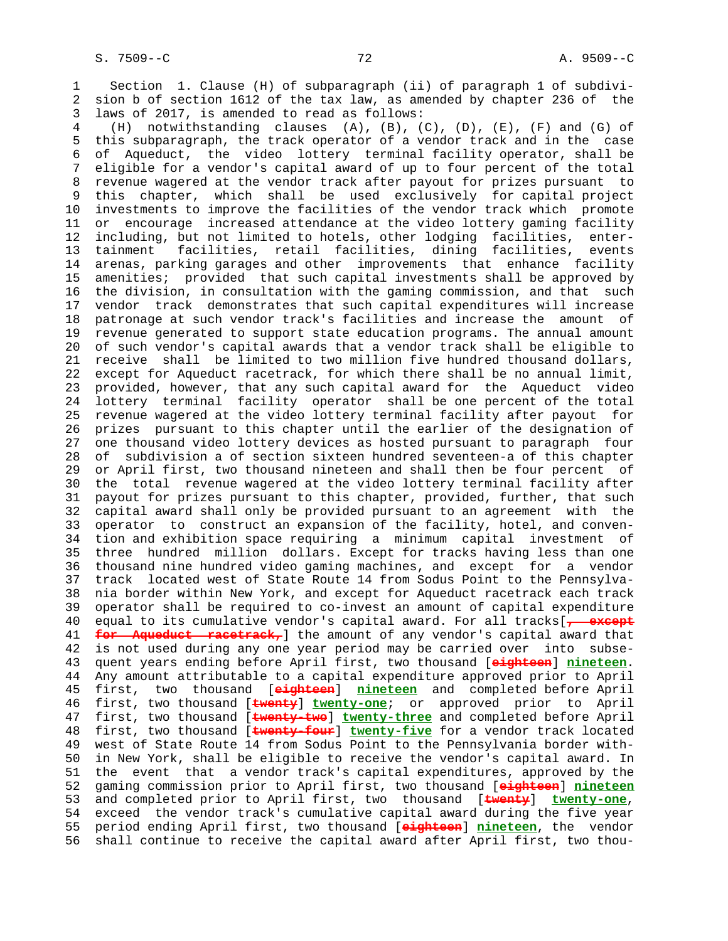1 Section 1. Clause (H) of subparagraph (ii) of paragraph 1 of subdivi- 2 sion b of section 1612 of the tax law, as amended by chapter 236 of the 3 laws of 2017, is amended to read as follows:

 4 (H) notwithstanding clauses (A), (B), (C), (D), (E), (F) and (G) of 5 this subparagraph, the track operator of a vendor track and in the case 6 of Aqueduct, the video lottery terminal facility operator, shall be 7 eligible for a vendor's capital award of up to four percent of the total 8 revenue wagered at the vendor track after payout for prizes pursuant to<br>9 this chapter, which shall be used exclusively for capital project this chapter, which shall be used exclusively for capital project 10 investments to improve the facilities of the vendor track which promote 11 or encourage increased attendance at the video lottery gaming facility 12 including, but not limited to hotels, other lodging facilities, enter- 13 tainment facilities, retail facilities, dining facilities, events 14 arenas, parking garages and other improvements that enhance facility 15 amenities; provided that such capital investments shall be approved by 16 the division, in consultation with the gaming commission, and that such 17 vendor track demonstrates that such capital expenditures will increase 18 patronage at such vendor track's facilities and increase the amount of 19 revenue generated to support state education programs. The annual amount 20 of such vendor's capital awards that a vendor track shall be eligible to 21 receive shall be limited to two million five hundred thousand dollars, 22 except for Aqueduct racetrack, for which there shall be no annual limit, 23 provided, however, that any such capital award for the Aqueduct video 24 lottery terminal facility operator shall be one percent of the total 25 revenue wagered at the video lottery terminal facility after payout for 26 prizes pursuant to this chapter until the earlier of the designation of 27 one thousand video lottery devices as hosted pursuant to paragraph four 28 of subdivision a of section sixteen hundred seventeen-a of this chapter 29 or April first, two thousand nineteen and shall then be four percent of 30 the total revenue wagered at the video lottery terminal facility after 31 payout for prizes pursuant to this chapter, provided, further, that such 32 capital award shall only be provided pursuant to an agreement with the 33 operator to construct an expansion of the facility, hotel, and conven- 34 tion and exhibition space requiring a minimum capital investment of 35 three hundred million dollars. Except for tracks having less than one 36 thousand nine hundred video gaming machines, and except for a vendor 37 track located west of State Route 14 from Sodus Point to the Pennsylva- 38 nia border within New York, and except for Aqueduct racetrack each track 39 operator shall be required to co-invest an amount of capital expenditure 40 equal to its cumulative vendor's capital award. For all tracks[**, except** 41 **for Aqueduct racetrack,**] the amount of any vendor's capital award that 42 is not used during any one year period may be carried over into subse- 43 quent years ending before April first, two thousand [**eighteen**] **nineteen**. 44 Any amount attributable to a capital expenditure approved prior to April 45 first, two thousand [**eighteen**] **nineteen** and completed before April 46 first, two thousand [**twenty**] **twenty-one**; or approved prior to April 47 first, two thousand [**twenty-two**] **twenty-three** and completed before April 48 first, two thousand [**twenty-four**] **twenty-five** for a vendor track located 49 west of State Route 14 from Sodus Point to the Pennsylvania border with- 50 in New York, shall be eligible to receive the vendor's capital award. In 51 the event that a vendor track's capital expenditures, approved by the 52 gaming commission prior to April first, two thousand [**eighteen**] **nineteen** 53 and completed prior to April first, two thousand [**twenty**] **twenty-one**, 54 exceed the vendor track's cumulative capital award during the five year 55 period ending April first, two thousand [**eighteen**] **nineteen**, the vendor 56 shall continue to receive the capital award after April first, two thou-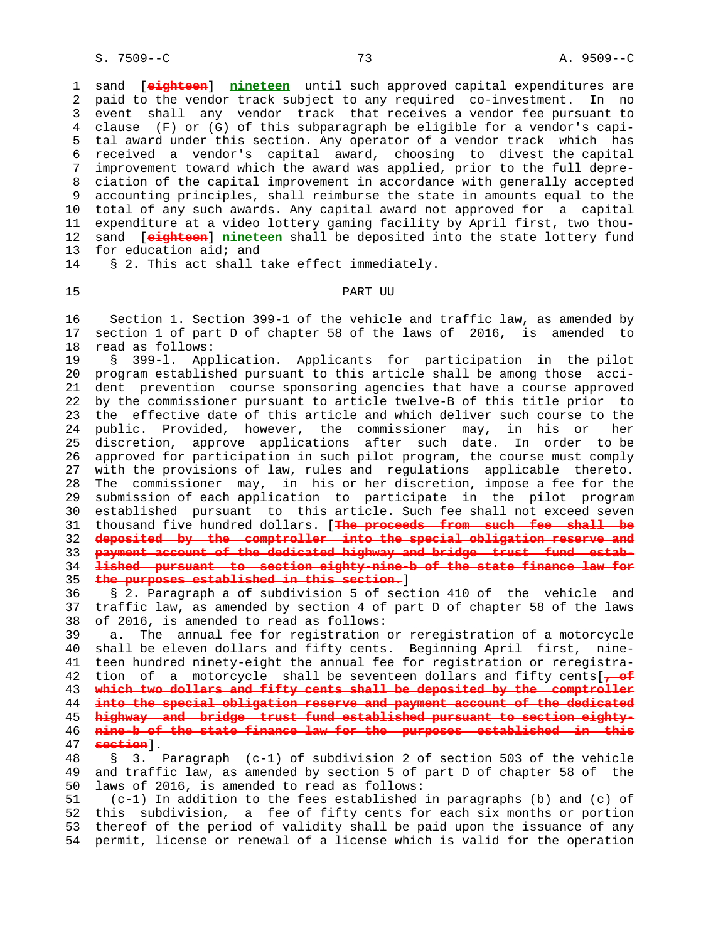1 sand [**eighteen**] **nineteen** until such approved capital expenditures are 2 paid to the vendor track subject to any required co-investment. In no 3 event shall any vendor track that receives a vendor fee pursuant to 4 clause (F) or (G) of this subparagraph be eligible for a vendor's capi- 5 tal award under this section. Any operator of a vendor track which has 6 received a vendor's capital award, choosing to divest the capital 7 improvement toward which the award was applied, prior to the full depre- 8 ciation of the capital improvement in accordance with generally accepted 9 accounting principles, shall reimburse the state in amounts equal to the 10 total of any such awards. Any capital award not approved for a capital 11 expenditure at a video lottery gaming facility by April first, two thou- 12 sand [**eighteen**] **nineteen** shall be deposited into the state lottery fund 13 for education aid; and

14 § 2. This act shall take effect immediately.

# 15 PART UU

 16 Section 1. Section 399-1 of the vehicle and traffic law, as amended by 17 section 1 of part D of chapter 58 of the laws of 2016, is amended to 18 read as follows:

 19 § 399-l. Application. Applicants for participation in the pilot 20 program established pursuant to this article shall be among those acci- 21 dent prevention course sponsoring agencies that have a course approved 22 by the commissioner pursuant to article twelve-B of this title prior to 23 the effective date of this article and which deliver such course to the 24 public. Provided, however, the commissioner may, in his or her 25 discretion, approve applications after such date. In order to be 26 approved for participation in such pilot program, the course must comply 27 with the provisions of law, rules and regulations applicable thereto. 28 The commissioner may, in his or her discretion, impose a fee for the 29 submission of each application to participate in the pilot program 30 established pursuant to this article. Such fee shall not exceed seven 31 thousand five hundred dollars. [**The proceeds from such fee shall be** 32 **deposited by the comptroller into the special obligation reserve and** 33 **payment account of the dedicated highway and bridge trust fund estab-** 34 **lished pursuant to section eighty-nine-b of the state finance law for** 35 **the purposes established in this section.**]

 36 § 2. Paragraph a of subdivision 5 of section 410 of the vehicle and 37 traffic law, as amended by section 4 of part D of chapter 58 of the laws 38 of 2016, is amended to read as follows:

 39 a. The annual fee for registration or reregistration of a motorcycle 40 shall be eleven dollars and fifty cents. Beginning April first, nine- 41 teen hundred ninety-eight the annual fee for registration or reregistra- 42 tion of a motorcycle shall be seventeen dollars and fifty cents[**, of** 43 **which two dollars and fifty cents shall be deposited by the comptroller** 44 **into the special obligation reserve and payment account of the dedicated** 45 **highway and bridge trust fund established pursuant to section eighty-** 46 **nine-b of the state finance law for the purposes established in this** 47 **section**]. 48 § 3. Paragraph (c-1) of subdivision 2 of section 503 of the vehicle

 49 and traffic law, as amended by section 5 of part D of chapter 58 of the 50 laws of 2016, is amended to read as follows:

 51 (c-1) In addition to the fees established in paragraphs (b) and (c) of 52 this subdivision, a fee of fifty cents for each six months or portion 53 thereof of the period of validity shall be paid upon the issuance of any 54 permit, license or renewal of a license which is valid for the operation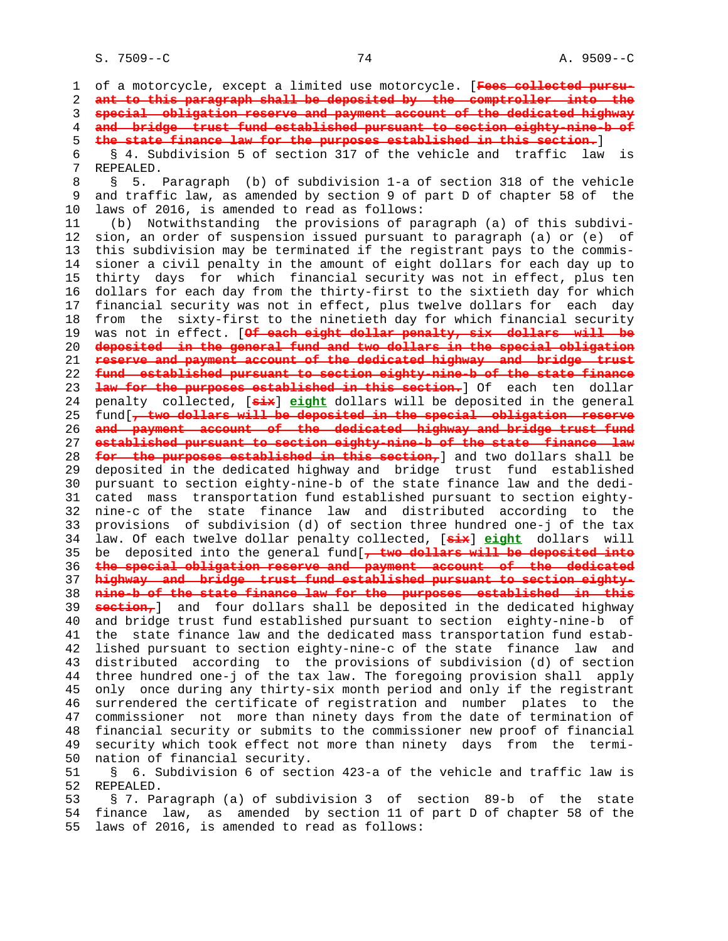1 of a motorcycle, except a limited use motorcycle. [**Fees collected pursu-** 2 **ant to this paragraph shall be deposited by the comptroller into the** 3 **special obligation reserve and payment account of the dedicated highway** 4 **and bridge trust fund established pursuant to section eighty-nine-b of** 5 **the state finance law for the purposes established in this section.**] 6 § 4. Subdivision 5 of section 317 of the vehicle and traffic law is 7 REPEALED. 8 § 5. Paragraph (b) of subdivision 1-a of section 318 of the vehicle<br>9 and traffic law, as amended by section 9 of part D of chapter 58 of the and traffic law, as amended by section 9 of part D of chapter 58 of the 10 laws of 2016, is amended to read as follows: 11 (b) Notwithstanding the provisions of paragraph (a) of this subdivi- 12 sion, an order of suspension issued pursuant to paragraph (a) or (e) of 13 this subdivision may be terminated if the registrant pays to the commis- 14 sioner a civil penalty in the amount of eight dollars for each day up to 15 thirty days for which financial security was not in effect, plus ten 16 dollars for each day from the thirty-first to the sixtieth day for which 17 financial security was not in effect, plus twelve dollars for each day 18 from the sixty-first to the ninetieth day for which financial security 19 was not in effect. [**Of each eight dollar penalty, six dollars will be** 20 **deposited in the general fund and two dollars in the special obligation** 21 **reserve and payment account of the dedicated highway and bridge trust** 22 **fund established pursuant to section eighty-nine-b of the state finance** 23 **law for the purposes established in this section.**] Of each ten dollar 24 penalty collected, [**six**] **eight** dollars will be deposited in the general 25 fund[**, two dollars will be deposited in the special obligation reserve** 26 **and payment account of the dedicated highway and bridge trust fund** 27 **established pursuant to section eighty-nine-b of the state finance law** 28 **for the purposes established in this section,**] and two dollars shall be 29 deposited in the dedicated highway and bridge trust fund established 30 pursuant to section eighty-nine-b of the state finance law and the dedi- 31 cated mass transportation fund established pursuant to section eighty- 32 nine-c of the state finance law and distributed according to the 33 provisions of subdivision (d) of section three hundred one-j of the tax 34 law. Of each twelve dollar penalty collected, [**six**] **eight** dollars will 35 be deposited into the general fund[**, two dollars will be deposited into** 36 **the special obligation reserve and payment account of the dedicated** 37 **highway and bridge trust fund established pursuant to section eighty-** 38 **nine-b of the state finance law for the purposes established in this** 39 **section,**] and four dollars shall be deposited in the dedicated highway 40 and bridge trust fund established pursuant to section eighty-nine-b of 41 the state finance law and the dedicated mass transportation fund estab- 42 lished pursuant to section eighty-nine-c of the state finance law and 43 distributed according to the provisions of subdivision (d) of section 44 three hundred one-j of the tax law. The foregoing provision shall apply 45 only once during any thirty-six month period and only if the registrant 46 surrendered the certificate of registration and number plates to the 47 commissioner not more than ninety days from the date of termination of 48 financial security or submits to the commissioner new proof of financial 49 security which took effect not more than ninety days from the termi- 50 nation of financial security. 51 § 6. Subdivision 6 of section 423-a of the vehicle and traffic law is 52 REPEALED.

 53 § 7. Paragraph (a) of subdivision 3 of section 89-b of the state 54 finance law, as amended by section 11 of part D of chapter 58 of the 55 laws of 2016, is amended to read as follows: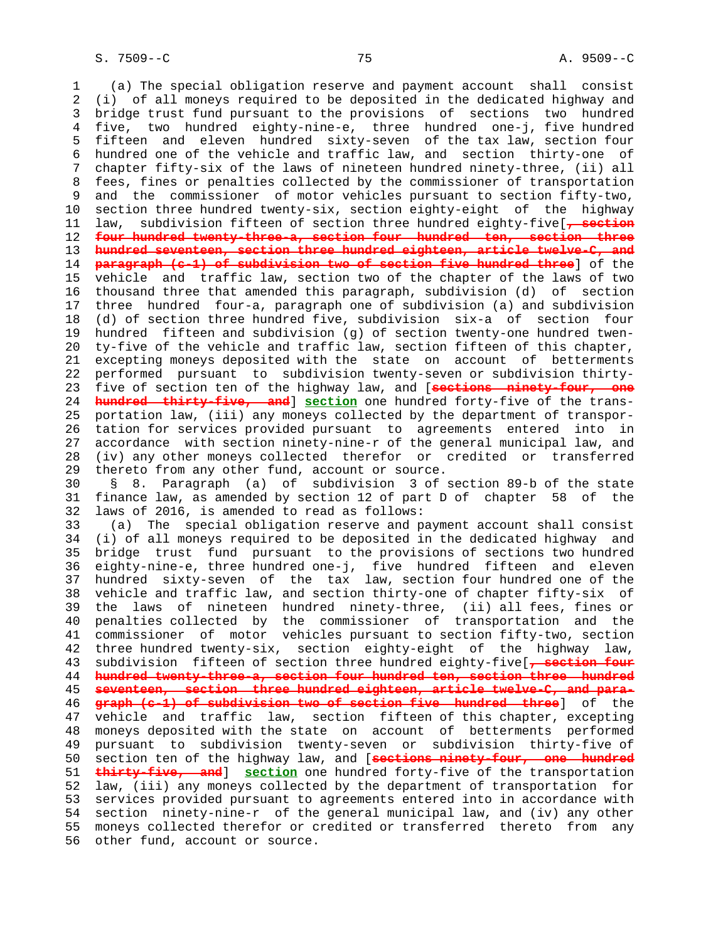1 (a) The special obligation reserve and payment account shall consist 2 (i) of all moneys required to be deposited in the dedicated highway and 3 bridge trust fund pursuant to the provisions of sections two hundred 4 five, two hundred eighty-nine-e, three hundred one-j, five hundred 5 fifteen and eleven hundred sixty-seven of the tax law, section four 6 hundred one of the vehicle and traffic law, and section thirty-one of 7 chapter fifty-six of the laws of nineteen hundred ninety-three, (ii) all 8 fees, fines or penalties collected by the commissioner of transportation<br>9 and the commissioner of motor vehicles pursuant to section fiftv-two, and the commissioner of motor vehicles pursuant to section fifty-two, 10 section three hundred twenty-six, section eighty-eight of the highway 11 law, subdivision fifteen of section three hundred eighty-five[**, section** 12 **four hundred twenty-three-a, section four hundred ten, section three** 13 **hundred seventeen, section three hundred eighteen, article twelve-C, and** 14 **paragraph (c-1) of subdivision two of section five hundred three**] of the 15 vehicle and traffic law, section two of the chapter of the laws of two 16 thousand three that amended this paragraph, subdivision (d) of section 17 three hundred four-a, paragraph one of subdivision (a) and subdivision 18 (d) of section three hundred five, subdivision six-a of section four 19 hundred fifteen and subdivision (g) of section twenty-one hundred twen- 20 ty-five of the vehicle and traffic law, section fifteen of this chapter, 21 excepting moneys deposited with the state on account of betterments 22 performed pursuant to subdivision twenty-seven or subdivision thirty- 23 five of section ten of the highway law, and [**sections ninety-four, one** 24 **hundred thirty-five, and**] **section** one hundred forty-five of the trans- 25 portation law, (iii) any moneys collected by the department of transpor- 26 tation for services provided pursuant to agreements entered into in 27 accordance with section ninety-nine-r of the general municipal law, and 28 (iv) any other moneys collected therefor or credited or transferred 29 thereto from any other fund, account or source. 30 § 8. Paragraph (a) of subdivision 3 of section 89-b of the state 31 finance law, as amended by section 12 of part D of chapter 58 of the 32 laws of 2016, is amended to read as follows: 33 (a) The special obligation reserve and payment account shall consist 34 (i) of all moneys required to be deposited in the dedicated highway and 35 bridge trust fund pursuant to the provisions of sections two hundred 36 eighty-nine-e, three hundred one-j, five hundred fifteen and eleven 37 hundred sixty-seven of the tax law, section four hundred one of the 38 vehicle and traffic law, and section thirty-one of chapter fifty-six of 39 the laws of nineteen hundred ninety-three, (ii) all fees, fines or 40 penalties collected by the commissioner of transportation and the 41 commissioner of motor vehicles pursuant to section fifty-two, section 42 three hundred twenty-six, section eighty-eight of the highway law, 43 subdivision fifteen of section three hundred eighty-five[**, section four** 44 **hundred twenty-three-a, section four hundred ten, section three hundred** 45 **seventeen, section three hundred eighteen, article twelve-C, and para-** 46 **graph (c-1) of subdivision two of section five hundred three**] of the 47 vehicle and traffic law, section fifteen of this chapter, excepting 48 moneys deposited with the state on account of betterments performed 49 pursuant to subdivision twenty-seven or subdivision thirty-five of 50 section ten of the highway law, and [**sections ninety-four, one hundred** 51 **thirty-five, and**] **section** one hundred forty-five of the transportation 52 law, (iii) any moneys collected by the department of transportation for 53 services provided pursuant to agreements entered into in accordance with 54 section ninety-nine-r of the general municipal law, and (iv) any other 55 moneys collected therefor or credited or transferred thereto from any 56 other fund, account or source.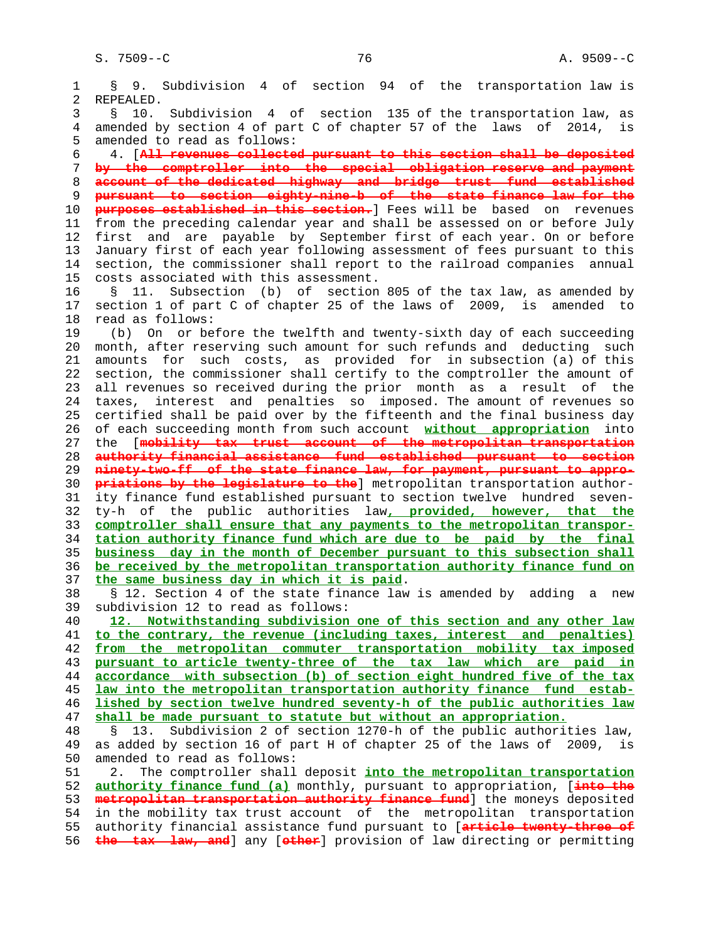1 § 9. Subdivision 4 of section 94 of the transportation law is 2 REPEALED. 3 § 10. Subdivision 4 of section 135 of the transportation law, as 4 amended by section 4 of part C of chapter 57 of the laws of 2014, is 5 amended to read as follows: 6 4. [**All revenues collected pursuant to this section shall be deposited** 7 **by the comptroller into the special obligation reserve and payment** 8 **account of the dedicated highway and bridge trust fund established** 9 **pursuant to section eighty-nine-b of the state finance law for the** 10 **purposes established in this section.**] Fees will be based on revenues 11 from the preceding calendar year and shall be assessed on or before July 12 first and are payable by September first of each year. On or before 13 January first of each year following assessment of fees pursuant to this 14 section, the commissioner shall report to the railroad companies annual 15 costs associated with this assessment. 16 § 11. Subsection (b) of section 805 of the tax law, as amended by 17 section 1 of part C of chapter 25 of the laws of 2009, is amended to 18 read as follows: 19 (b) On or before the twelfth and twenty-sixth day of each succeeding 20 month, after reserving such amount for such refunds and deducting such 21 amounts for such costs, as provided for in subsection (a) of this 22 section, the commissioner shall certify to the comptroller the amount of 23 all revenues so received during the prior month as a result of the 24 taxes, interest and penalties so imposed. The amount of revenues so 25 certified shall be paid over by the fifteenth and the final business day 26 of each succeeding month from such account **without appropriation** into 27 the [**mobility tax trust account of the metropolitan transportation** 28 **authority financial assistance fund established pursuant to section** 29 **ninety-two-ff of the state finance law, for payment, pursuant to appro-** 30 **priations by the legislature to the**] metropolitan transportation author- 31 ity finance fund established pursuant to section twelve hundred seven- 32 ty-h of the public authorities law**, provided, however, that the** 33 **comptroller shall ensure that any payments to the metropolitan transpor-** 34 **tation authority finance fund which are due to be paid by the final** 35 **business day in the month of December pursuant to this subsection shall** 36 **be received by the metropolitan transportation authority finance fund on** 37 **the same business day in which it is paid**. 38 § 12. Section 4 of the state finance law is amended by adding a new 39 subdivision 12 to read as follows: 40 **12. Notwithstanding subdivision one of this section and any other law** 41 **to the contrary, the revenue (including taxes, interest and penalties)** 42 **from the metropolitan commuter transportation mobility tax imposed** 43 **pursuant to article twenty-three of the tax law which are paid in** 44 **accordance with subsection (b) of section eight hundred five of the tax** 45 **law into the metropolitan transportation authority finance fund estab-** 46 **lished by section twelve hundred seventy-h of the public authorities law** 47 **shall be made pursuant to statute but without an appropriation.** 48 § 13. Subdivision 2 of section 1270-h of the public authorities law, as added by section 16 of part H of chapter 25 of the laws of 2009, is 50 amended to read as follows: 51 2. The comptroller shall deposit **into the metropolitan transportation** 52 **authority finance fund (a)** monthly, pursuant to appropriation, [**into the** 53 **metropolitan transportation authority finance fund**] the moneys deposited 54 in the mobility tax trust account of the metropolitan transportation 55 authority financial assistance fund pursuant to [**article twenty-three of** 56 **the tax law, and**] any [**other**] provision of law directing or permitting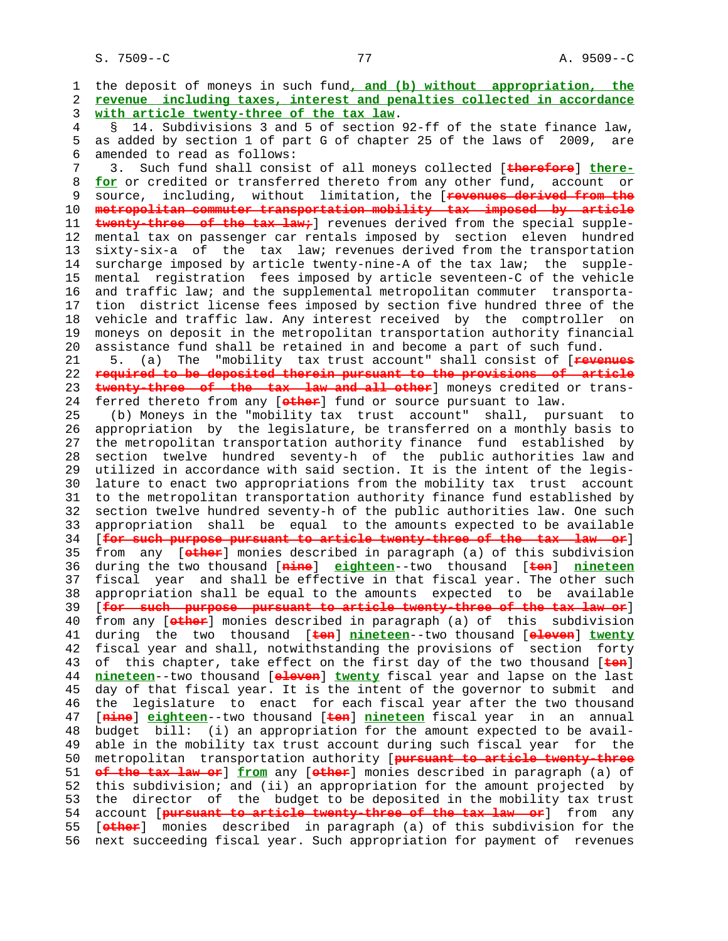S. 7509--C 77 A. 9509--C

 1 the deposit of moneys in such fund**, and (b) without appropriation, the** 2 **revenue including taxes, interest and penalties collected in accordance** 3 **with article twenty-three of the tax law**. 4 § 14. Subdivisions 3 and 5 of section 92-ff of the state finance law, 5 as added by section 1 of part G of chapter 25 of the laws of 2009, are 6 amended to read as follows: 7 3. Such fund shall consist of all moneys collected [**therefore**] **there-** 8 **<u>for</u>** or credited or transferred thereto from any other fund, account or<br>9 source, including, without limitation, the [xevenues derived from the source, including, without limitation, the [**revenues derived from the**  10 **metropolitan commuter transportation mobility tax imposed by article** 11 **twenty-three of the tax law;**] revenues derived from the special supple- 12 mental tax on passenger car rentals imposed by section eleven hundred 13 sixty-six-a of the tax law; revenues derived from the transportation 14 surcharge imposed by article twenty-nine-A of the tax law; the supple- 15 mental registration fees imposed by article seventeen-C of the vehicle 16 and traffic law; and the supplemental metropolitan commuter transporta- 17 tion district license fees imposed by section five hundred three of the 18 vehicle and traffic law. Any interest received by the comptroller on 19 moneys on deposit in the metropolitan transportation authority financial 20 assistance fund shall be retained in and become a part of such fund. 21 5. (a) The "mobility tax trust account" shall consist of [**revenues** 22 **required to be deposited therein pursuant to the provisions of article** 23 **twenty-three of the tax law and all other**] moneys credited or trans- 24 ferred thereto from any [**other**] fund or source pursuant to law. 25 (b) Moneys in the "mobility tax trust account" shall, pursuant to 26 appropriation by the legislature, be transferred on a monthly basis to 27 the metropolitan transportation authority finance fund established by 28 section twelve hundred seventy-h of the public authorities law and 29 utilized in accordance with said section. It is the intent of the legis- 30 lature to enact two appropriations from the mobility tax trust account 31 to the metropolitan transportation authority finance fund established by 32 section twelve hundred seventy-h of the public authorities law. One such 33 appropriation shall be equal to the amounts expected to be available 34 [**for such purpose pursuant to article twenty-three of the tax law or**] 35 from any [**other**] monies described in paragraph (a) of this subdivision 36 during the two thousand [**nine**] **eighteen**--two thousand [**ten**] **nineteen** 37 fiscal year and shall be effective in that fiscal year. The other such 38 appropriation shall be equal to the amounts expected to be available 39 [**for such purpose pursuant to article twenty-three of the tax law or**] 40 from any [**other**] monies described in paragraph (a) of this subdivision 41 during the two thousand [**ten**] **nineteen**--two thousand [**eleven**] **twenty** 42 fiscal year and shall, notwithstanding the provisions of section forty 43 of this chapter, take effect on the first day of the two thousand [**ten**] 44 **nineteen**--two thousand [**eleven**] **twenty** fiscal year and lapse on the last 45 day of that fiscal year. It is the intent of the governor to submit and 46 the legislature to enact for each fiscal year after the two thousand 47 [**nine**] **eighteen**--two thousand [**ten**] **nineteen** fiscal year in an annual 48 budget bill: (i) an appropriation for the amount expected to be avail- 49 able in the mobility tax trust account during such fiscal year for the 50 metropolitan transportation authority [**pursuant to article twenty-three** 51 **of the tax law or**] **from** any [**other**] monies described in paragraph (a) of 52 this subdivision; and (ii) an appropriation for the amount projected by 53 the director of the budget to be deposited in the mobility tax trust 54 account [**pursuant to article twenty-three of the tax law or**] from any 55 [**other**] monies described in paragraph (a) of this subdivision for the 56 next succeeding fiscal year. Such appropriation for payment of revenues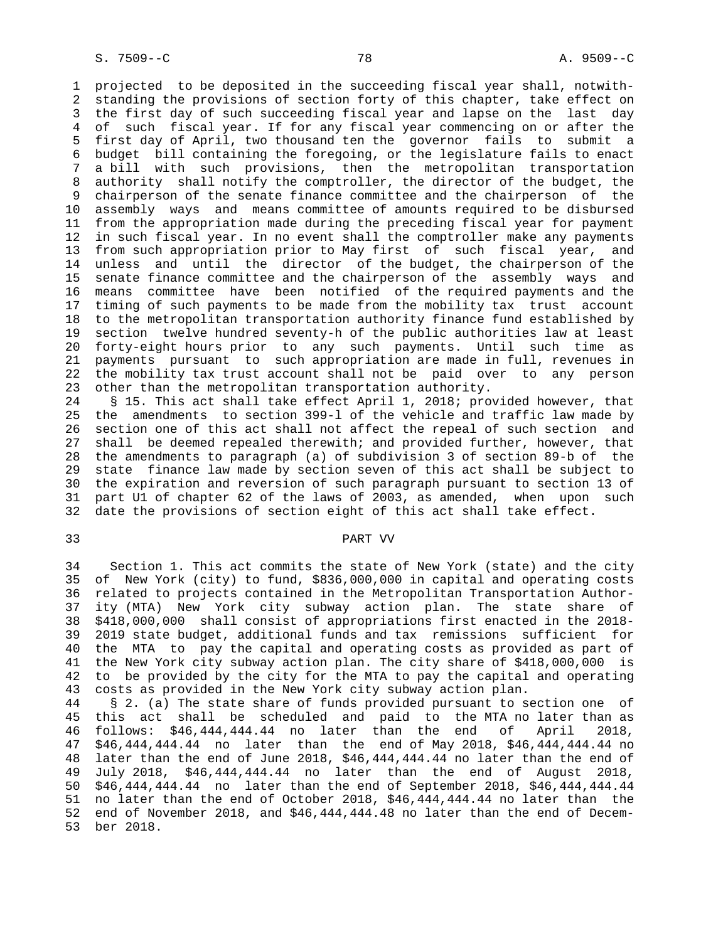1 projected to be deposited in the succeeding fiscal year shall, notwith- 2 standing the provisions of section forty of this chapter, take effect on 3 the first day of such succeeding fiscal year and lapse on the last day 4 of such fiscal year. If for any fiscal year commencing on or after the 5 first day of April, two thousand ten the governor fails to submit a 6 budget bill containing the foregoing, or the legislature fails to enact 7 a bill with such provisions, then the metropolitan transportation 8 authority shall notify the comptroller, the director of the budget, the 9 chairperson of the senate finance committee and the chairperson of the 10 assembly ways and means committee of amounts required to be disbursed 11 from the appropriation made during the preceding fiscal year for payment 12 in such fiscal year. In no event shall the comptroller make any payments 13 from such appropriation prior to May first of such fiscal year, and 14 unless and until the director of the budget, the chairperson of the 15 senate finance committee and the chairperson of the assembly ways and 16 means committee have been notified of the required payments and the 17 timing of such payments to be made from the mobility tax trust account 18 to the metropolitan transportation authority finance fund established by 19 section twelve hundred seventy-h of the public authorities law at least 20 forty-eight hours prior to any such payments. Until such time as 21 payments pursuant to such appropriation are made in full, revenues in 22 the mobility tax trust account shall not be paid over to any person 23 other than the metropolitan transportation authority.

 24 § 15. This act shall take effect April 1, 2018; provided however, that 25 the amendments to section 399-l of the vehicle and traffic law made by 26 section one of this act shall not affect the repeal of such section and 27 shall be deemed repealed therewith; and provided further, however, that 28 the amendments to paragraph (a) of subdivision 3 of section 89-b of the 29 state finance law made by section seven of this act shall be subject to 30 the expiration and reversion of such paragraph pursuant to section 13 of 31 part U1 of chapter 62 of the laws of 2003, as amended, when upon such 32 date the provisions of section eight of this act shall take effect.

#### 33 PART VV

 34 Section 1. This act commits the state of New York (state) and the city 35 of New York (city) to fund, \$836,000,000 in capital and operating costs 36 related to projects contained in the Metropolitan Transportation Author- 37 ity (MTA) New York city subway action plan. The state share of 38 \$418,000,000 shall consist of appropriations first enacted in the 2018- 39 2019 state budget, additional funds and tax remissions sufficient for 40 the MTA to pay the capital and operating costs as provided as part of 41 the New York city subway action plan. The city share of \$418,000,000 is 42 to be provided by the city for the MTA to pay the capital and operating 43 costs as provided in the New York city subway action plan.

 44 § 2. (a) The state share of funds provided pursuant to section one of 45 this act shall be scheduled and paid to the MTA no later than as 46 follows: \$46,444,444.44 no later than the end of April 2018, 47 \$46,444,444.44 no later than the end of May 2018, \$46,444,444.44 no 48 later than the end of June 2018, \$46,444,444.44 no later than the end of 49 July 2018, \$46,444,444.44 no later than the end of August 2018, 50 \$46,444,444.44 no later than the end of September 2018, \$46,444,444.44 51 no later than the end of October 2018, \$46,444,444.44 no later than the 52 end of November 2018, and \$46,444,444.48 no later than the end of Decem- 53 ber 2018.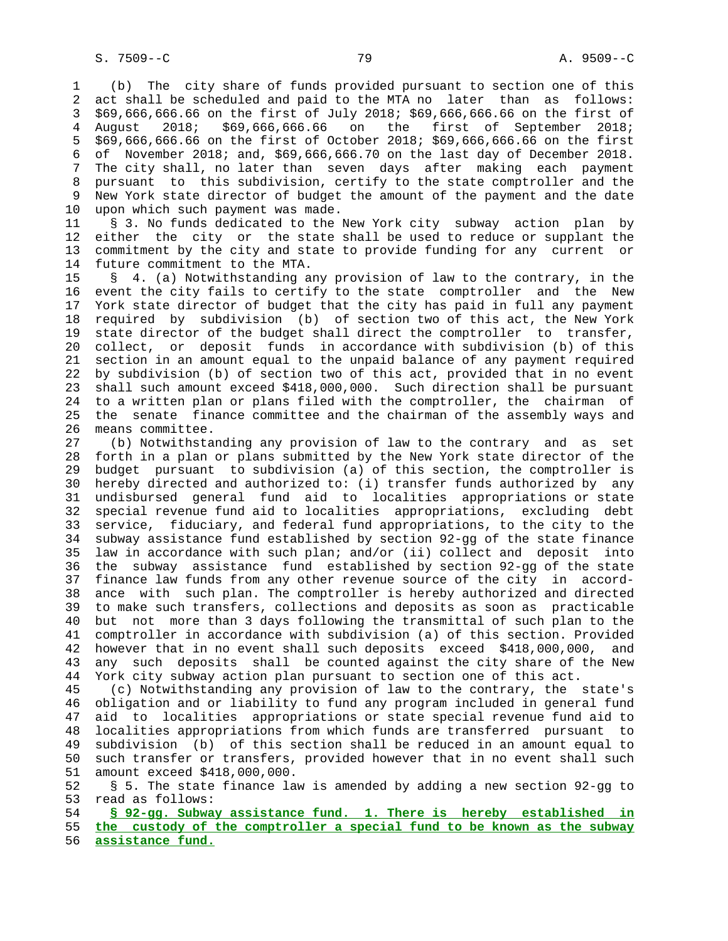1 (b) The city share of funds provided pursuant to section one of this 2 act shall be scheduled and paid to the MTA no later than as follows: 3 \$69,666,666.66 on the first of July 2018; \$69,666,666.66 on the first of 4 August 2018; \$69,666,666.66 on the first of September 2018; 5 \$69,666,666.66 on the first of October 2018; \$69,666,666.66 on the first 6 of November 2018; and, \$69,666,666.70 on the last day of December 2018. 7 The city shall, no later than seven days after making each payment 8 pursuant to this subdivision, certify to the state comptroller and the New York state director of budget the amount of the payment and the date 10 upon which such payment was made.

 11 § 3. No funds dedicated to the New York city subway action plan by 12 either the city or the state shall be used to reduce or supplant the 13 commitment by the city and state to provide funding for any current or 14 future commitment to the MTA.

 15 § 4. (a) Notwithstanding any provision of law to the contrary, in the 16 event the city fails to certify to the state comptroller and the New 17 York state director of budget that the city has paid in full any payment 18 required by subdivision (b) of section two of this act, the New York 19 state director of the budget shall direct the comptroller to transfer, 20 collect, or deposit funds in accordance with subdivision (b) of this 21 section in an amount equal to the unpaid balance of any payment required 22 by subdivision (b) of section two of this act, provided that in no event 23 shall such amount exceed \$418,000,000. Such direction shall be pursuant 24 to a written plan or plans filed with the comptroller, the chairman of 25 the senate finance committee and the chairman of the assembly ways and 26 means committee.

 27 (b) Notwithstanding any provision of law to the contrary and as set 28 forth in a plan or plans submitted by the New York state director of the 29 budget pursuant to subdivision (a) of this section, the comptroller is 30 hereby directed and authorized to: (i) transfer funds authorized by any 31 undisbursed general fund aid to localities appropriations or state 32 special revenue fund aid to localities appropriations, excluding debt 33 service, fiduciary, and federal fund appropriations, to the city to the 34 subway assistance fund established by section 92-gg of the state finance 35 law in accordance with such plan; and/or (ii) collect and deposit into 36 the subway assistance fund established by section 92-gg of the state 37 finance law funds from any other revenue source of the city in accord- 38 ance with such plan. The comptroller is hereby authorized and directed 39 to make such transfers, collections and deposits as soon as practicable 40 but not more than 3 days following the transmittal of such plan to the 41 comptroller in accordance with subdivision (a) of this section. Provided 42 however that in no event shall such deposits exceed \$418,000,000, and 43 any such deposits shall be counted against the city share of the New 44 York city subway action plan pursuant to section one of this act.

 45 (c) Notwithstanding any provision of law to the contrary, the state's 46 obligation and or liability to fund any program included in general fund 47 aid to localities appropriations or state special revenue fund aid to 48 localities appropriations from which funds are transferred pursuant to 49 subdivision (b) of this section shall be reduced in an amount equal to 50 such transfer or transfers, provided however that in no event shall such 51 amount exceed \$418,000,000.

 52 § 5. The state finance law is amended by adding a new section 92-gg to 53 read as follows:

 54 **§ 92-gg. Subway assistance fund. 1. There is hereby established in** 55 **the custody of the comptroller a special fund to be known as the subway** 56 **assistance fund.**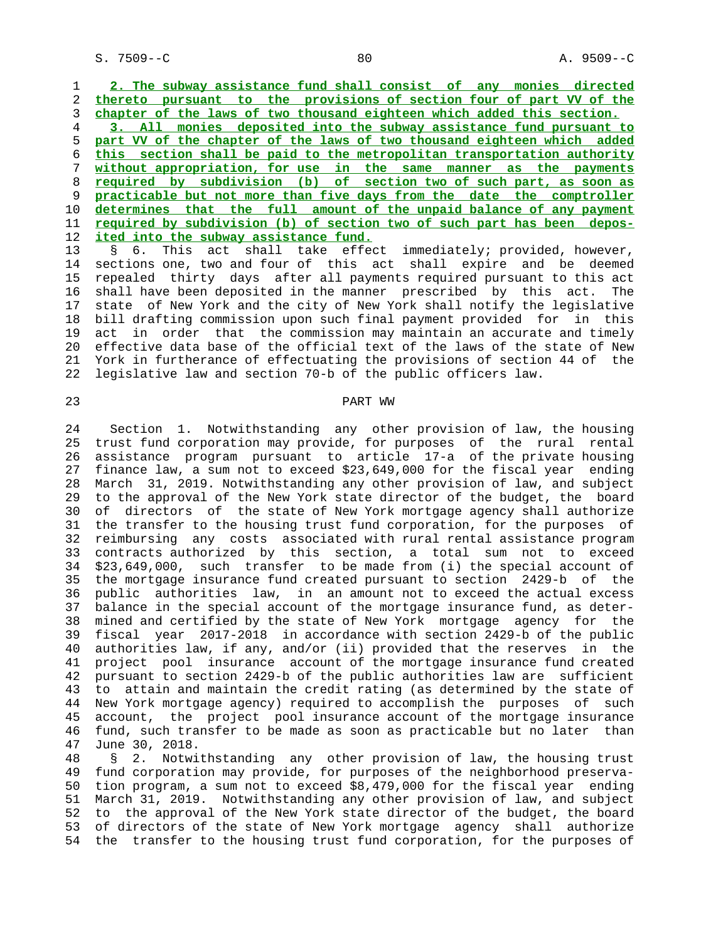S. 7509--C 80 A. 9509--C

 1 **2. The subway assistance fund shall consist of any monies directed** 2 **thereto pursuant to the provisions of section four of part VV of the** 3 **chapter of the laws of two thousand eighteen which added this section.**

**3. All monies deposited into the subway assistance fund pursuant to part VV of the chapter of the laws of two thousand eighteen which added this section shall be paid to the metropolitan transportation authority without appropriation, for use in the same manner as the payments required by subdivision (b) of section two of such part, as soon as practicable but not more than five days from the date the comptroller determines that the full amount of the unpaid balance of any payment required by subdivision (b) of section two of such part has been depos- ited into the subway assistance fund.**

 13 § 6. This act shall take effect immediately; provided, however, 14 sections one, two and four of this act shall expire and be deemed 15 repealed thirty days after all payments required pursuant to this act 16 shall have been deposited in the manner prescribed by this act. The 17 state of New York and the city of New York shall notify the legislative 18 bill drafting commission upon such final payment provided for in this 19 act in order that the commission may maintain an accurate and timely 20 effective data base of the official text of the laws of the state of New 21 York in furtherance of effectuating the provisions of section 44 of the 22 legislative law and section 70-b of the public officers law.

# 23 PART WW

 24 Section 1. Notwithstanding any other provision of law, the housing 25 trust fund corporation may provide, for purposes of the rural rental 26 assistance program pursuant to article 17-a of the private housing 27 finance law, a sum not to exceed \$23,649,000 for the fiscal year ending 28 March 31, 2019. Notwithstanding any other provision of law, and subject 29 to the approval of the New York state director of the budget, the board 30 of directors of the state of New York mortgage agency shall authorize 31 the transfer to the housing trust fund corporation, for the purposes of 32 reimbursing any costs associated with rural rental assistance program 33 contracts authorized by this section, a total sum not to exceed 34 \$23,649,000, such transfer to be made from (i) the special account of 35 the mortgage insurance fund created pursuant to section 2429-b of the 36 public authorities law, in an amount not to exceed the actual excess 37 balance in the special account of the mortgage insurance fund, as deter- 38 mined and certified by the state of New York mortgage agency for the 39 fiscal year 2017-2018 in accordance with section 2429-b of the public 40 authorities law, if any, and/or (ii) provided that the reserves in the 41 project pool insurance account of the mortgage insurance fund created 42 pursuant to section 2429-b of the public authorities law are sufficient 43 to attain and maintain the credit rating (as determined by the state of 44 New York mortgage agency) required to accomplish the purposes of such 45 account, the project pool insurance account of the mortgage insurance 46 fund, such transfer to be made as soon as practicable but no later than 47 June 30, 2018.

 48 § 2. Notwithstanding any other provision of law, the housing trust 49 fund corporation may provide, for purposes of the neighborhood preserva- 50 tion program, a sum not to exceed \$8,479,000 for the fiscal year ending 51 March 31, 2019. Notwithstanding any other provision of law, and subject 52 to the approval of the New York state director of the budget, the board 53 of directors of the state of New York mortgage agency shall authorize 54 the transfer to the housing trust fund corporation, for the purposes of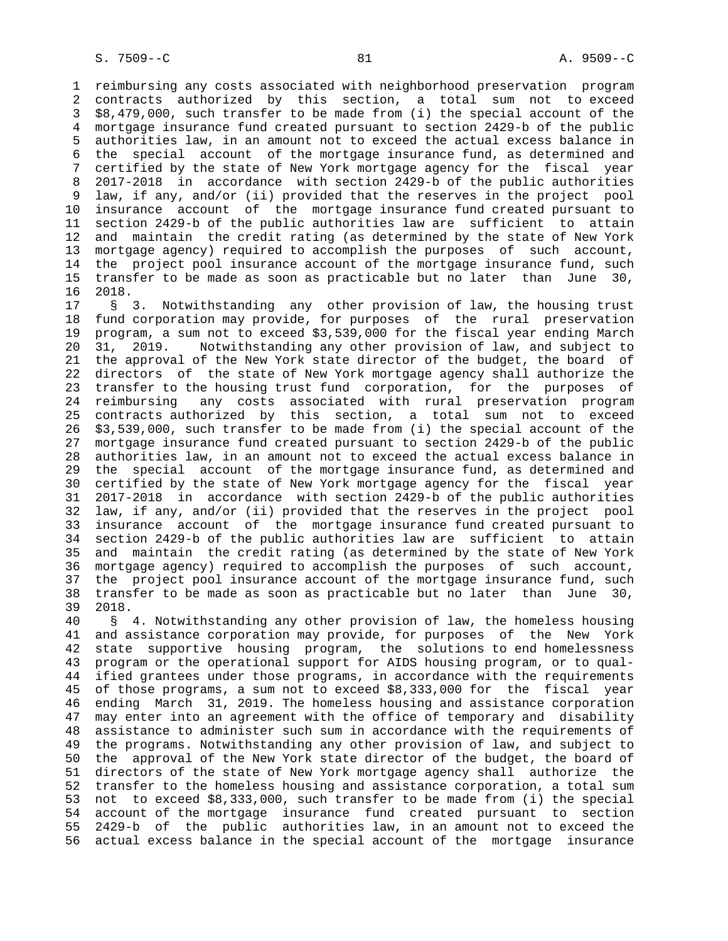1 reimbursing any costs associated with neighborhood preservation program 2 contracts authorized by this section, a total sum not to exceed 3 \$8,479,000, such transfer to be made from (i) the special account of the 4 mortgage insurance fund created pursuant to section 2429-b of the public 5 authorities law, in an amount not to exceed the actual excess balance in 6 the special account of the mortgage insurance fund, as determined and 7 certified by the state of New York mortgage agency for the fiscal year 8 2017-2018 in accordance with section 2429-b of the public authorities 9 law, if any, and/or (ii) provided that the reserves in the project pool 10 insurance account of the mortgage insurance fund created pursuant to 11 section 2429-b of the public authorities law are sufficient to attain 12 and maintain the credit rating (as determined by the state of New York 13 mortgage agency) required to accomplish the purposes of such account, 14 the project pool insurance account of the mortgage insurance fund, such 15 transfer to be made as soon as practicable but no later than June 30, 16 2018.

 17 § 3. Notwithstanding any other provision of law, the housing trust 18 fund corporation may provide, for purposes of the rural preservation 19 program, a sum not to exceed \$3,539,000 for the fiscal year ending March 20 31, 2019. Notwithstanding any other provision of law, and subject to 21 the approval of the New York state director of the budget, the board of 22 directors of the state of New York mortgage agency shall authorize the 23 transfer to the housing trust fund corporation, for the purposes of 24 reimbursing any costs associated with rural preservation program 25 contracts authorized by this section, a total sum not to exceed 26 \$3,539,000, such transfer to be made from (i) the special account of the 27 mortgage insurance fund created pursuant to section 2429-b of the public 28 authorities law, in an amount not to exceed the actual excess balance in 29 the special account of the mortgage insurance fund, as determined and 30 certified by the state of New York mortgage agency for the fiscal year 31 2017-2018 in accordance with section 2429-b of the public authorities 32 law, if any, and/or (ii) provided that the reserves in the project pool 33 insurance account of the mortgage insurance fund created pursuant to 34 section 2429-b of the public authorities law are sufficient to attain 35 and maintain the credit rating (as determined by the state of New York 36 mortgage agency) required to accomplish the purposes of such account, 37 the project pool insurance account of the mortgage insurance fund, such 38 transfer to be made as soon as practicable but no later than June 30, 39 2018.

 40 § 4. Notwithstanding any other provision of law, the homeless housing 41 and assistance corporation may provide, for purposes of the New York 42 state supportive housing program, the solutions to end homelessness 43 program or the operational support for AIDS housing program, or to qual- 44 ified grantees under those programs, in accordance with the requirements 45 of those programs, a sum not to exceed \$8,333,000 for the fiscal year 46 ending March 31, 2019. The homeless housing and assistance corporation 47 may enter into an agreement with the office of temporary and disability 48 assistance to administer such sum in accordance with the requirements of 49 the programs. Notwithstanding any other provision of law, and subject to 50 the approval of the New York state director of the budget, the board of 51 directors of the state of New York mortgage agency shall authorize the 52 transfer to the homeless housing and assistance corporation, a total sum 53 not to exceed \$8,333,000, such transfer to be made from (i) the special 54 account of the mortgage insurance fund created pursuant to section 55 2429-b of the public authorities law, in an amount not to exceed the 56 actual excess balance in the special account of the mortgage insurance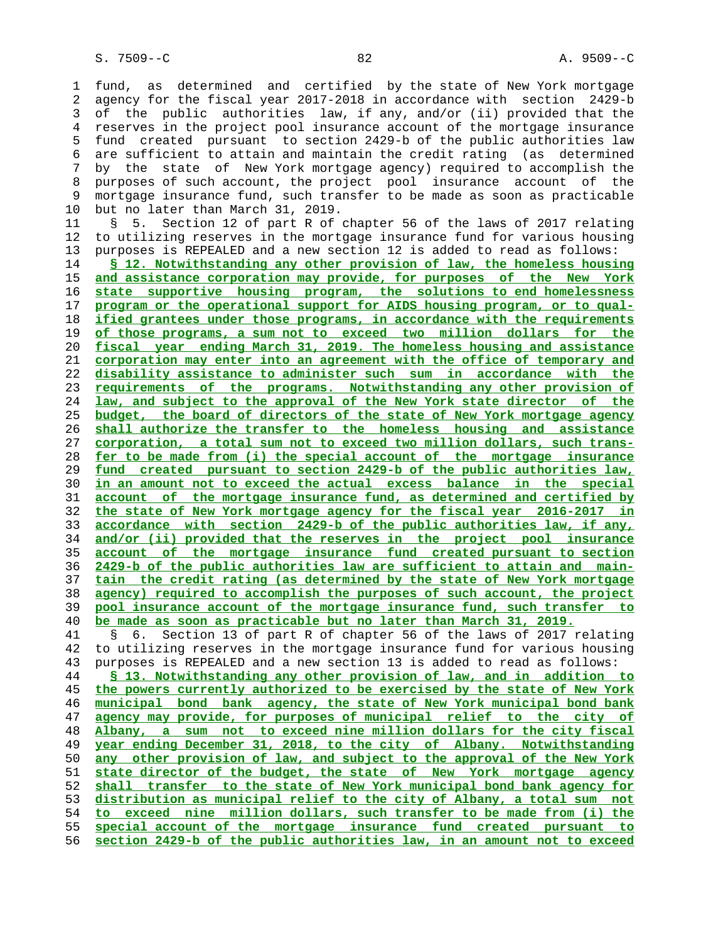1 fund, as determined and certified by the state of New York mortgage 2 agency for the fiscal year 2017-2018 in accordance with section 2429-b 3 of the public authorities law, if any, and/or (ii) provided that the 4 reserves in the project pool insurance account of the mortgage insurance 5 fund created pursuant to section 2429-b of the public authorities law 6 are sufficient to attain and maintain the credit rating (as determined 7 by the state of New York mortgage agency) required to accomplish the 8 purposes of such account, the project pool insurance account of the 9 mortgage insurance fund, such transfer to be made as soon as practicable 10 but no later than March 31, 2019.

 11 § 5. Section 12 of part R of chapter 56 of the laws of 2017 relating 12 to utilizing reserves in the mortgage insurance fund for various housing 13 purposes is REPEALED and a new section 12 is added to read as follows:

**§ 12. Notwithstanding any other provision of law, the homeless housing and assistance corporation may provide, for purposes of the New York state supportive housing program, the solutions to end homelessness program or the operational support for AIDS housing program, or to qual- ified grantees under those programs, in accordance with the requirements of those programs, a sum not to exceed two million dollars for the fiscal year ending March 31, 2019. The homeless housing and assistance corporation may enter into an agreement with the office of temporary and disability assistance to administer such sum in accordance with the requirements of the programs. Notwithstanding any other provision of law, and subject to the approval of the New York state director of the budget, the board of directors of the state of New York mortgage agency shall authorize the transfer to the homeless housing and assistance corporation, a total sum not to exceed two million dollars, such trans- fer to be made from (i) the special account of the mortgage insurance fund created pursuant to section 2429-b of the public authorities law, in an amount not to exceed the actual excess balance in the special account of the mortgage insurance fund, as determined and certified by the state of New York mortgage agency for the fiscal year 2016-2017 in accordance with section 2429-b of the public authorities law, if any, and/or (ii) provided that the reserves in the project pool insurance account of the mortgage insurance fund created pursuant to section 2429-b of the public authorities law are sufficient to attain and main- tain the credit rating (as determined by the state of New York mortgage agency) required to accomplish the purposes of such account, the project pool insurance account of the mortgage insurance fund, such transfer to be made as soon as practicable but no later than March 31, 2019.**

 41 § 6. Section 13 of part R of chapter 56 of the laws of 2017 relating 42 to utilizing reserves in the mortgage insurance fund for various housing 43 purposes is REPEALED and a new section 13 is added to read as follows:

**§ 13. Notwithstanding any other provision of law, and in addition to the powers currently authorized to be exercised by the state of New York municipal bond bank agency, the state of New York municipal bond bank agency may provide, for purposes of municipal relief to the city of Albany, a sum not to exceed nine million dollars for the city fiscal year ending December 31, 2018, to the city of Albany. Notwithstanding any other provision of law, and subject to the approval of the New York state director of the budget, the state of New York mortgage agency shall transfer to the state of New York municipal bond bank agency for distribution as municipal relief to the city of Albany, a total sum not to exceed nine million dollars, such transfer to be made from (i) the special account of the mortgage insurance fund created pursuant to section 2429-b of the public authorities law, in an amount not to exceed**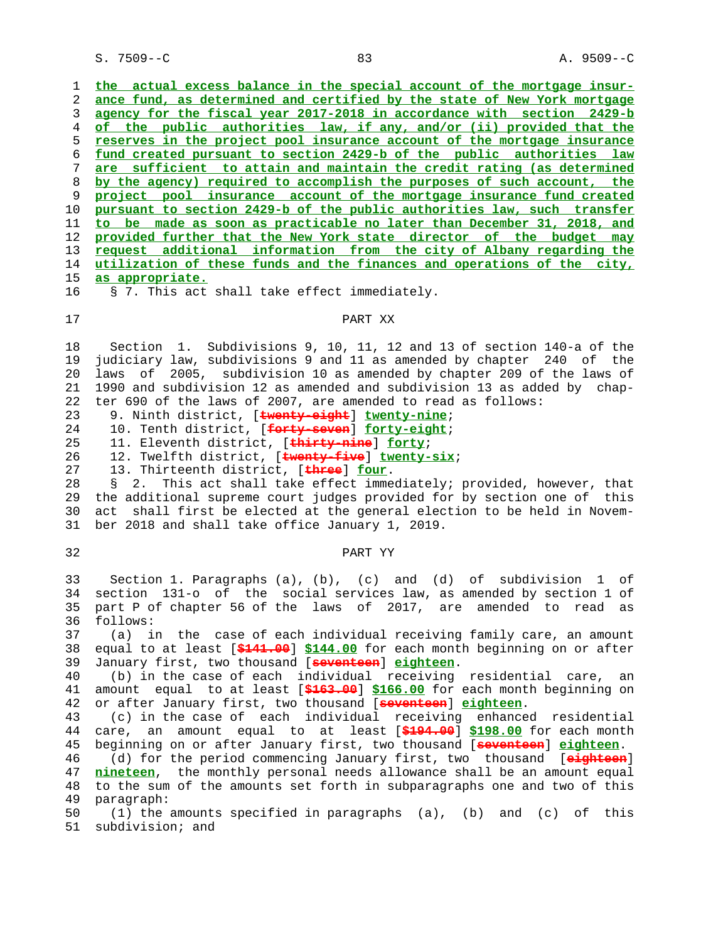S. 7509--C 83 A. 9509--C

**the actual excess balance in the special account of the mortgage insur- ance fund, as determined and certified by the state of New York mortgage agency for the fiscal year 2017-2018 in accordance with section 2429-b of the public authorities law, if any, and/or (ii) provided that the reserves in the project pool insurance account of the mortgage insurance fund created pursuant to section 2429-b of the public authorities law are sufficient to attain and maintain the credit rating (as determined by the agency) required to accomplish the purposes of such account, the project pool insurance account of the mortgage insurance fund created pursuant to section 2429-b of the public authorities law, such transfer to be made as soon as practicable no later than December 31, 2018, and provided further that the New York state director of the budget may request additional information from the city of Albany regarding the utilization of these funds and the finances and operations of the city, as appropriate.**

### 17 PART XX

 18 Section 1. Subdivisions 9, 10, 11, 12 and 13 of section 140-a of the 19 judiciary law, subdivisions 9 and 11 as amended by chapter 240 of the 20 laws of 2005, subdivision 10 as amended by chapter 209 of the laws of 21 1990 and subdivision 12 as amended and subdivision 13 as added by chap- 22 ter 690 of the laws of 2007, are amended to read as follows:

23 9. Ninth district, [**twenty-eight**] **twenty-nine**;

16 § 7. This act shall take effect immediately.

24 10. Tenth district, [**forty-seven**] **forty-eight**;

25 11. Eleventh district, [**thirty-nine**] **forty**;

26 12. Twelfth district, [**twenty-five**] **twenty-six**;

27 13. Thirteenth district, [**three**] **four**.

 28 § 2. This act shall take effect immediately; provided, however, that 29 the additional supreme court judges provided for by section one of this 30 act shall first be elected at the general election to be held in Novem- 31 ber 2018 and shall take office January 1, 2019.

# 32 PART YY

 33 Section 1. Paragraphs (a), (b), (c) and (d) of subdivision 1 of 34 section 131-o of the social services law, as amended by section 1 of 35 part P of chapter 56 of the laws of 2017, are amended to read as 36 follows:

 37 (a) in the case of each individual receiving family care, an amount 38 equal to at least [**\$141.00**] **\$144.00** for each month beginning on or after 39 January first, two thousand [**seventeen**] **eighteen**.

 40 (b) in the case of each individual receiving residential care, an 41 amount equal to at least [**\$163.00**] **\$166.00** for each month beginning on 42 or after January first, two thousand [**seventeen**] **eighteen**.

 43 (c) in the case of each individual receiving enhanced residential 44 care, an amount equal to at least [**\$194.00**] **\$198.00** for each month 45 beginning on or after January first, two thousand [**seventeen**] **eighteen**. 46 (d) for the period commencing January first, two thousand [**eighteen**] 47 **nineteen**, the monthly personal needs allowance shall be an amount equal 48 to the sum of the amounts set forth in subparagraphs one and two of this 49 paragraph:

 50 (1) the amounts specified in paragraphs (a), (b) and (c) of this 51 subdivision; and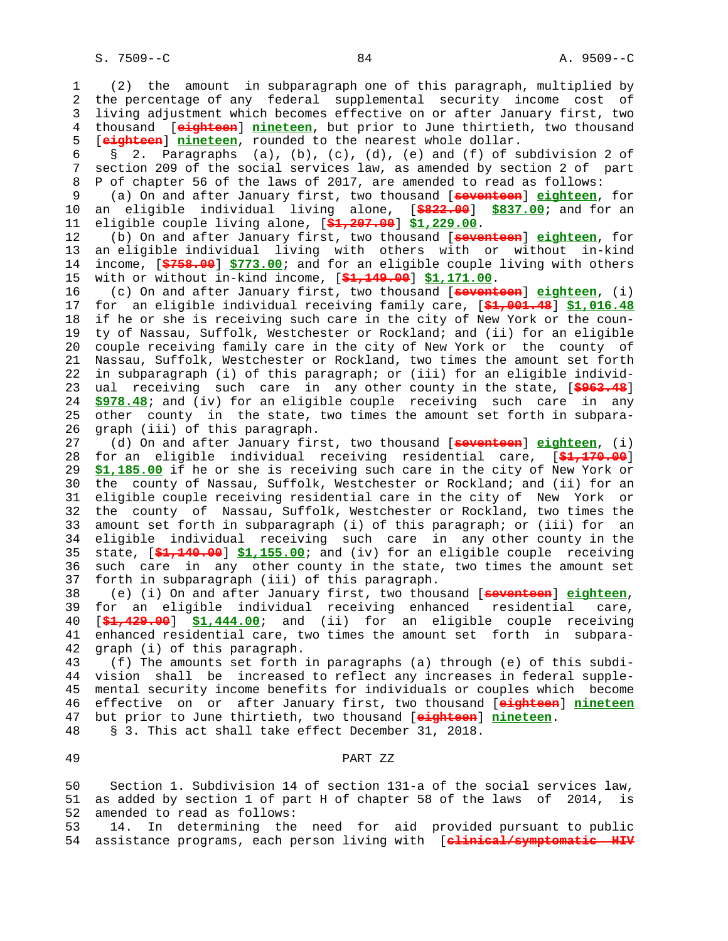1 (2) the amount in subparagraph one of this paragraph, multiplied by 2 the percentage of any federal supplemental security income cost of 3 living adjustment which becomes effective on or after January first, two 4 thousand [**eighteen**] **nineteen**, but prior to June thirtieth, two thousand 5 [**eighteen**] **nineteen**, rounded to the nearest whole dollar. 6 § 2. Paragraphs (a), (b), (c), (d), (e) and (f) of subdivision 2 of 7 section 209 of the social services law, as amended by section 2 of part 8 P of chapter 56 of the laws of 2017, are amended to read as follows: 9 (a) On and after January first, two thousand [**seventeen**] **eighteen**, for 10 an eligible individual living alone, [**\$822.00**] **\$837.00**; and for an 11 eligible couple living alone, [**\$1,207.00**] **\$1,229.00**. 12 (b) On and after January first, two thousand [**seventeen**] **eighteen**, for 13 an eligible individual living with others with or without in-kind 14 income, [**\$758.00**] **\$773.00**; and for an eligible couple living with others 15 with or without in-kind income, [**\$1,149.00**] **\$1,171.00**. 16 (c) On and after January first, two thousand [**seventeen**] **eighteen**, (i) 17 for an eligible individual receiving family care, [**\$1,001.48**] **\$1,016.48** 18 if he or she is receiving such care in the city of New York or the coun- 19 ty of Nassau, Suffolk, Westchester or Rockland; and (ii) for an eligible 20 couple receiving family care in the city of New York or the county of 21 Nassau, Suffolk, Westchester or Rockland, two times the amount set forth 22 in subparagraph (i) of this paragraph; or (iii) for an eligible individ- 23 ual receiving such care in any other county in the state, [**\$963.48**] 24 **\$978.48**; and (iv) for an eligible couple receiving such care in any 25 other county in the state, two times the amount set forth in subpara- 26 graph (iii) of this paragraph. 27 (d) On and after January first, two thousand [**seventeen**] **eighteen**, (i) 28 for an eligible individual receiving residential care, [**\$1,170.00**] 29 **\$1,185.00** if he or she is receiving such care in the city of New York or 30 the county of Nassau, Suffolk, Westchester or Rockland; and (ii) for an 31 eligible couple receiving residential care in the city of New York or 32 the county of Nassau, Suffolk, Westchester or Rockland, two times the 33 amount set forth in subparagraph (i) of this paragraph; or (iii) for an 34 eligible individual receiving such care in any other county in the 35 state, [**\$1,140.00**] **\$1,155.00**; and (iv) for an eligible couple receiving 36 such care in any other county in the state, two times the amount set 37 forth in subparagraph (iii) of this paragraph. 38 (e) (i) On and after January first, two thousand [**seventeen**] **eighteen**, 39 for an eligible individual receiving enhanced residential care, 40 [**\$1,429.00**] **\$1,444.00**; and (ii) for an eligible couple receiving 41 enhanced residential care, two times the amount set forth in subpara- 42 graph (i) of this paragraph.

 43 (f) The amounts set forth in paragraphs (a) through (e) of this subdi- 44 vision shall be increased to reflect any increases in federal supple- 45 mental security income benefits for individuals or couples which become 46 effective on or after January first, two thousand [**eighteen**] **nineteen** 47 but prior to June thirtieth, two thousand [**eighteen**] **nineteen**. 48 § 3. This act shall take effect December 31, 2018.

49 PART ZZ

 50 Section 1. Subdivision 14 of section 131-a of the social services law, 51 as added by section 1 of part H of chapter 58 of the laws of 2014, is 52 amended to read as follows:

 53 14. In determining the need for aid provided pursuant to public 54 assistance programs, each person living with [**clinical/symptomatic HIV**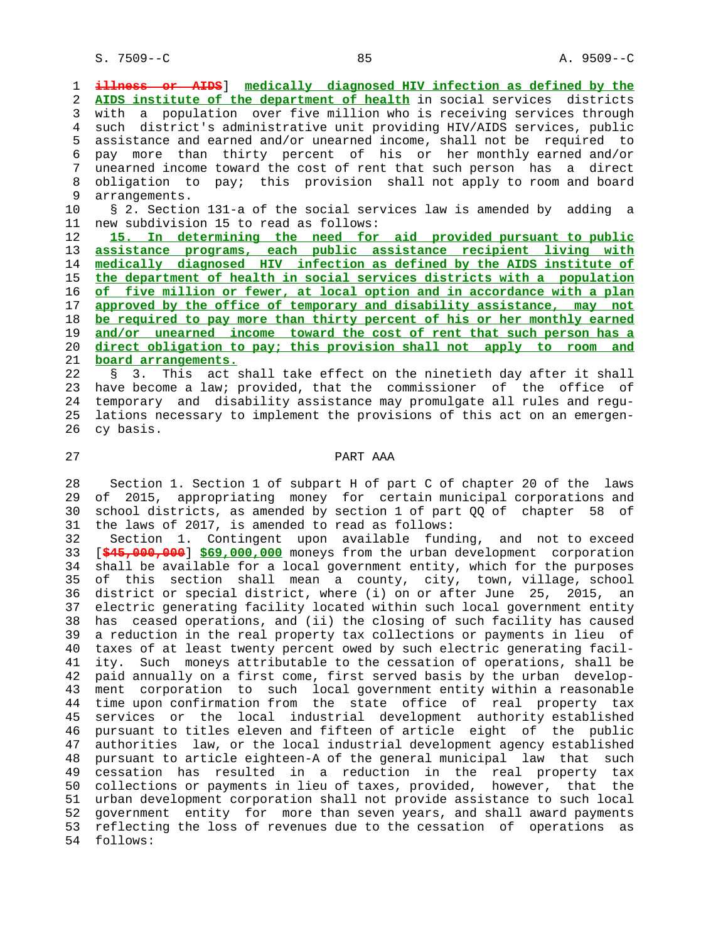1 **illness or AIDS**] **medically diagnosed HIV infection as defined by the** 2 **AIDS institute of the department of health** in social services districts 3 with a population over five million who is receiving services through 4 such district's administrative unit providing HIV/AIDS services, public 5 assistance and earned and/or unearned income, shall not be required to 6 pay more than thirty percent of his or her monthly earned and/or 7 unearned income toward the cost of rent that such person has a direct 8 obligation to pay; this provision shall not apply to room and board<br>9 arrangements. arrangements.

 10 § 2. Section 131-a of the social services law is amended by adding a 11 new subdivision 15 to read as follows:

**15. In determining the need for aid provided pursuant to public assistance programs, each public assistance recipient living with medically diagnosed HIV infection as defined by the AIDS institute of the department of health in social services districts with a population of five million or fewer, at local option and in accordance with a plan approved by the office of temporary and disability assistance, may not be required to pay more than thirty percent of his or her monthly earned and/or unearned income toward the cost of rent that such person has a direct obligation to pay; this provision shall not apply to room and board arrangements.**

 22 § 3. This act shall take effect on the ninetieth day after it shall 23 have become a law; provided, that the commissioner of the office of 24 temporary and disability assistance may promulgate all rules and regu- 25 lations necessary to implement the provisions of this act on an emergen- 26 cy basis.

# 27 PART AAA

 28 Section 1. Section 1 of subpart H of part C of chapter 20 of the laws 29 of 2015, appropriating money for certain municipal corporations and 30 school districts, as amended by section 1 of part QQ of chapter 58 of 31 the laws of 2017, is amended to read as follows:

 32 Section 1. Contingent upon available funding, and not to exceed 33 [**\$45,000,000**] **\$69,000,000** moneys from the urban development corporation 34 shall be available for a local government entity, which for the purposes 35 of this section shall mean a county, city, town, village, school 36 district or special district, where (i) on or after June 25, 2015, an 37 electric generating facility located within such local government entity 38 has ceased operations, and (ii) the closing of such facility has caused 39 a reduction in the real property tax collections or payments in lieu of 40 taxes of at least twenty percent owed by such electric generating facil- 41 ity. Such moneys attributable to the cessation of operations, shall be 42 paid annually on a first come, first served basis by the urban develop- 43 ment corporation to such local government entity within a reasonable 44 time upon confirmation from the state office of real property tax 45 services or the local industrial development authority established 46 pursuant to titles eleven and fifteen of article eight of the public 47 authorities law, or the local industrial development agency established 48 pursuant to article eighteen-A of the general municipal law that such 49 cessation has resulted in a reduction in the real property tax 50 collections or payments in lieu of taxes, provided, however, that the 51 urban development corporation shall not provide assistance to such local 52 government entity for more than seven years, and shall award payments 53 reflecting the loss of revenues due to the cessation of operations as 54 follows: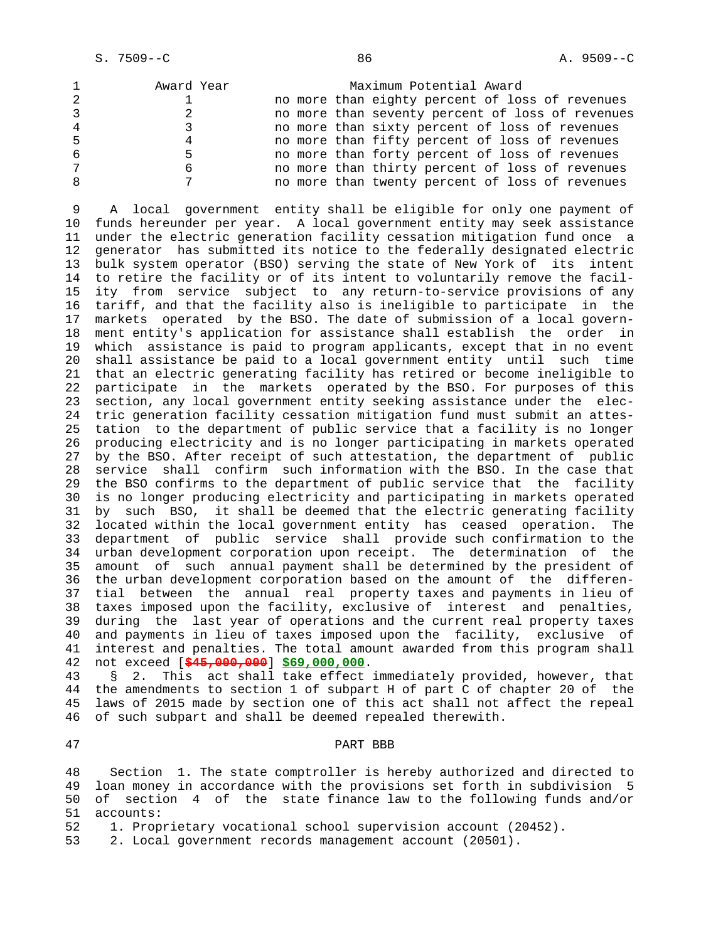| $\mathbf{1}$ | Award Year | Maximum Potential Award                          |
|--------------|------------|--------------------------------------------------|
| 2            |            | no more than eighty percent of loss of revenues  |
| 3            |            | no more than seventy percent of loss of revenues |
| 4            |            | no more than sixty percent of loss of revenues   |
| 5            | 4          | no more than fifty percent of loss of revenues   |
| 6            |            | no more than forty percent of loss of revenues   |
| 7            |            | no more than thirty percent of loss of revenues  |
| 8            |            | no more than twenty percent of loss of revenues  |

 9 A local government entity shall be eligible for only one payment of 10 funds hereunder per year. A local government entity may seek assistance 11 under the electric generation facility cessation mitigation fund once a 12 generator has submitted its notice to the federally designated electric 13 bulk system operator (BSO) serving the state of New York of its intent 14 to retire the facility or of its intent to voluntarily remove the facil- 15 ity from service subject to any return-to-service provisions of any 16 tariff, and that the facility also is ineligible to participate in the 17 markets operated by the BSO. The date of submission of a local govern- 18 ment entity's application for assistance shall establish the order in 19 which assistance is paid to program applicants, except that in no event 20 shall assistance be paid to a local government entity until such time 21 that an electric generating facility has retired or become ineligible to 22 participate in the markets operated by the BSO. For purposes of this 23 section, any local government entity seeking assistance under the elec- 24 tric generation facility cessation mitigation fund must submit an attes- 25 tation to the department of public service that a facility is no longer 26 producing electricity and is no longer participating in markets operated 27 by the BSO. After receipt of such attestation, the department of public 28 service shall confirm such information with the BSO. In the case that 29 the BSO confirms to the department of public service that the facility 30 is no longer producing electricity and participating in markets operated 31 by such BSO, it shall be deemed that the electric generating facility 32 located within the local government entity has ceased operation. The 33 department of public service shall provide such confirmation to the 34 urban development corporation upon receipt. The determination of the 35 amount of such annual payment shall be determined by the president of 36 the urban development corporation based on the amount of the differen- 37 tial between the annual real property taxes and payments in lieu of 38 taxes imposed upon the facility, exclusive of interest and penalties, 39 during the last year of operations and the current real property taxes 40 and payments in lieu of taxes imposed upon the facility, exclusive of 41 interest and penalties. The total amount awarded from this program shall 42 not exceed [**\$45,000,000**] **\$69,000,000**.

 43 § 2. This act shall take effect immediately provided, however, that 44 the amendments to section 1 of subpart H of part C of chapter 20 of the 45 laws of 2015 made by section one of this act shall not affect the repeal 46 of such subpart and shall be deemed repealed therewith.

# 47 PART BBB

 48 Section 1. The state comptroller is hereby authorized and directed to 49 loan money in accordance with the provisions set forth in subdivision 5 50 of section 4 of the state finance law to the following funds and/or 51 accounts:

52 1. Proprietary vocational school supervision account (20452).

53 2. Local government records management account (20501).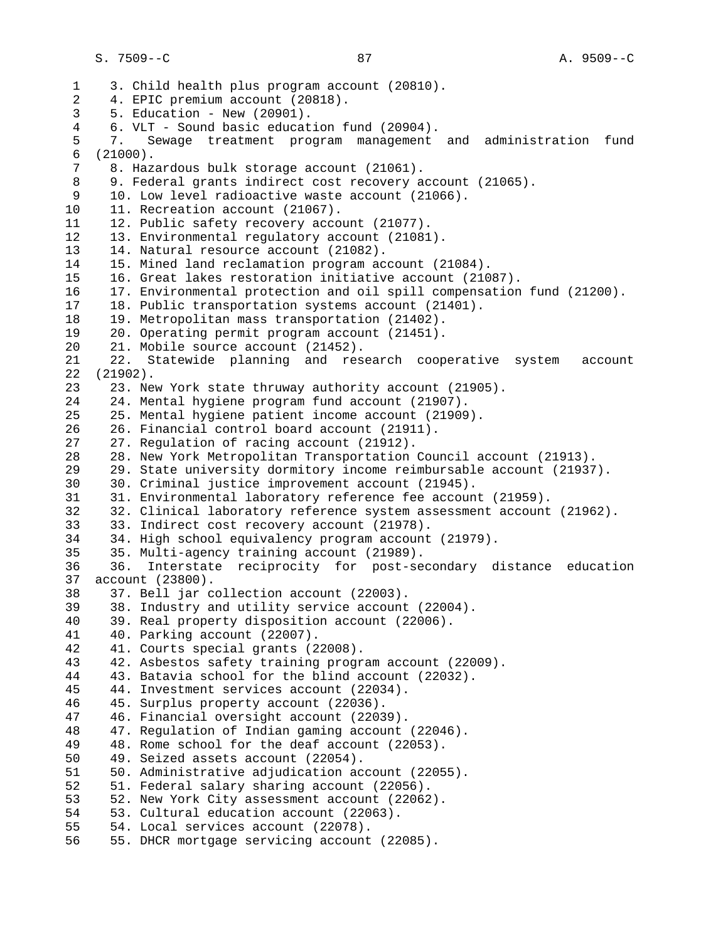1 3. Child health plus program account (20810). 2 4. EPIC premium account (20818). 3 5. Education - New (20901). 4 6. VLT - Sound basic education fund (20904). 5 7. Sewage treatment program management and administration fund 6 (21000). 8. Hazardous bulk storage account (21061). 8 9. Federal grants indirect cost recovery account (21065).<br>9 10. Low level radioactive waste account (21066). 10. Low level radioactive waste account (21066). 10 11. Recreation account (21067). 11 12. Public safety recovery account (21077). 12 13. Environmental regulatory account (21081). 13 14. Natural resource account (21082). 14 15. Mined land reclamation program account (21084). 15 16. Great lakes restoration initiative account (21087). 16 17. Environmental protection and oil spill compensation fund (21200). 17 18. Public transportation systems account (21401). 18 19. Metropolitan mass transportation (21402).<br>19 20. Operating permit program account (21451). 19 20. Operating permit program account (21451). 20 21. Mobile source account (21452). 21 22. Statewide planning and research cooperative system account 22 (21902). 23 23. New York state thruway authority account (21905). 24 24. Mental hygiene program fund account (21907). 25 25. Mental hygiene patient income account (21909). 26 26. Financial control board account (21911). 27 27. Regulation of racing account (21912). 28 28. New York Metropolitan Transportation Council account (21913). 29 29. State university dormitory income reimbursable account (21937). 30 30. Criminal justice improvement account (21945). 31 31. Environmental laboratory reference fee account (21959). 32 32. Clinical laboratory reference system assessment account (21962). 33 33. Indirect cost recovery account (21978). 34 34. High school equivalency program account (21979). 35 35. Multi-agency training account (21989). 36 36. Interstate reciprocity for post-secondary distance education 37 account (23800). 38 37. Bell jar collection account (22003). 39 38. Industry and utility service account (22004). 40 39. Real property disposition account (22006). 41 40. Parking account (22007). 42 41. Courts special grants (22008). 43 42. Asbestos safety training program account (22009). 44 43. Batavia school for the blind account (22032). 45 44. Investment services account (22034). 46 45. Surplus property account (22036). 47 46. Financial oversight account (22039). 48 47. Regulation of Indian gaming account (22046).<br>49 48. Rome school for the deaf account (22053). 48. Rome school for the deaf account (22053). 50 49. Seized assets account (22054). 51 50. Administrative adjudication account (22055). 52 51. Federal salary sharing account (22056). 53 52. New York City assessment account (22062). 54 53. Cultural education account (22063). 55 54. Local services account (22078). 56 55. DHCR mortgage servicing account (22085).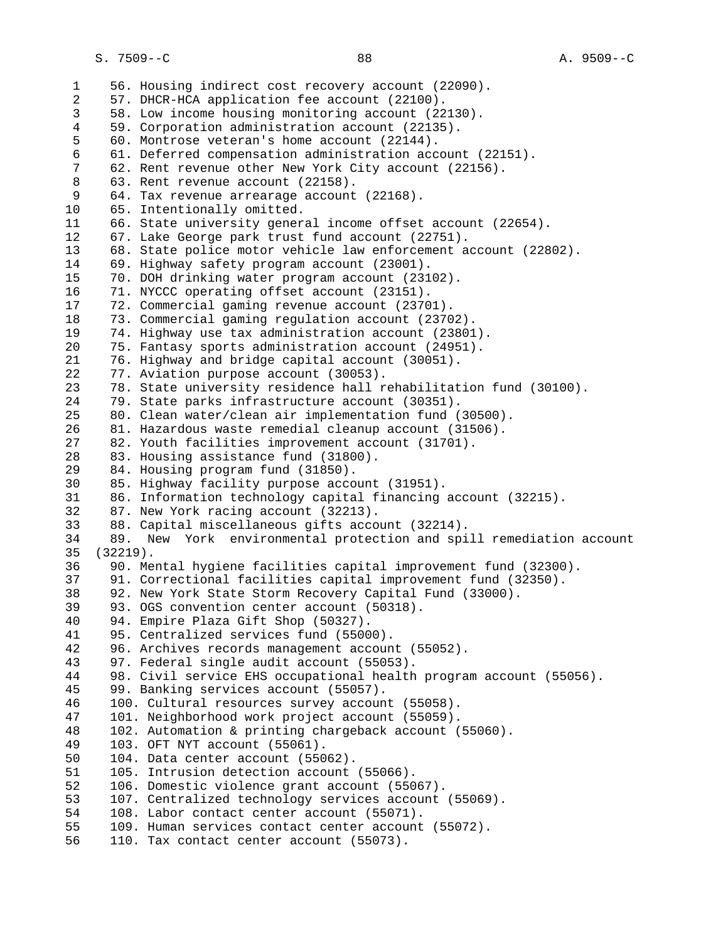1 56. Housing indirect cost recovery account (22090). 2 57. DHCR-HCA application fee account (22100). 3 58. Low income housing monitoring account (22130). 4 59. Corporation administration account (22135). 5 60. Montrose veteran's home account (22144). 6 61. Deferred compensation administration account (22151). 62. Rent revenue other New York City account (22156). 8 63. Rent revenue account (22158). 64. Tax revenue arrearage account (22168). 10 65. Intentionally omitted. 11 66. State university general income offset account (22654). 12 67. Lake George park trust fund account (22751). 13 68. State police motor vehicle law enforcement account (22802). 14 69. Highway safety program account (23001). 15 70. DOH drinking water program account (23102). 16 71. NYCCC operating offset account (23151). 17 72. Commercial gaming revenue account (23701). 18 73. Commercial gaming regulation account (23702). 19 74. Highway use tax administration account (23801). 20 75. Fantasy sports administration account (24951). 21 76. Highway and bridge capital account (30051). 22 77. Aviation purpose account (30053). 23 78. State university residence hall rehabilitation fund (30100). 24 79. State parks infrastructure account (30351). 25 80. Clean water/clean air implementation fund (30500). 26 81. Hazardous waste remedial cleanup account (31506). 27 82. Youth facilities improvement account (31701). 28 83. Housing assistance fund (31800). 29 84. Housing program fund (31850). 30 85. Highway facility purpose account (31951). 31 86. Information technology capital financing account (32215). 32 87. New York racing account (32213). 33 88. Capital miscellaneous gifts account (32214). 34 89. New York environmental protection and spill remediation account 35 (32219). 36 90. Mental hygiene facilities capital improvement fund (32300). 37 91. Correctional facilities capital improvement fund (32350). 38 92. New York State Storm Recovery Capital Fund (33000). 39 93. OGS convention center account (50318). 40 94. Empire Plaza Gift Shop (50327). 41 95. Centralized services fund (55000). 42 96. Archives records management account (55052). 43 97. Federal single audit account (55053). 44 98. Civil service EHS occupational health program account (55056). 45 99. Banking services account (55057). 46 100. Cultural resources survey account (55058). 47 101. Neighborhood work project account (55059). 48 102. Automation & printing chargeback account (55060). 103. OFT NYT account (55061). 50 104. Data center account (55062). 51 105. Intrusion detection account (55066). 52 106. Domestic violence grant account (55067). 53 107. Centralized technology services account (55069). 54 108. Labor contact center account (55071). 55 109. Human services contact center account (55072). 56 110. Tax contact center account (55073).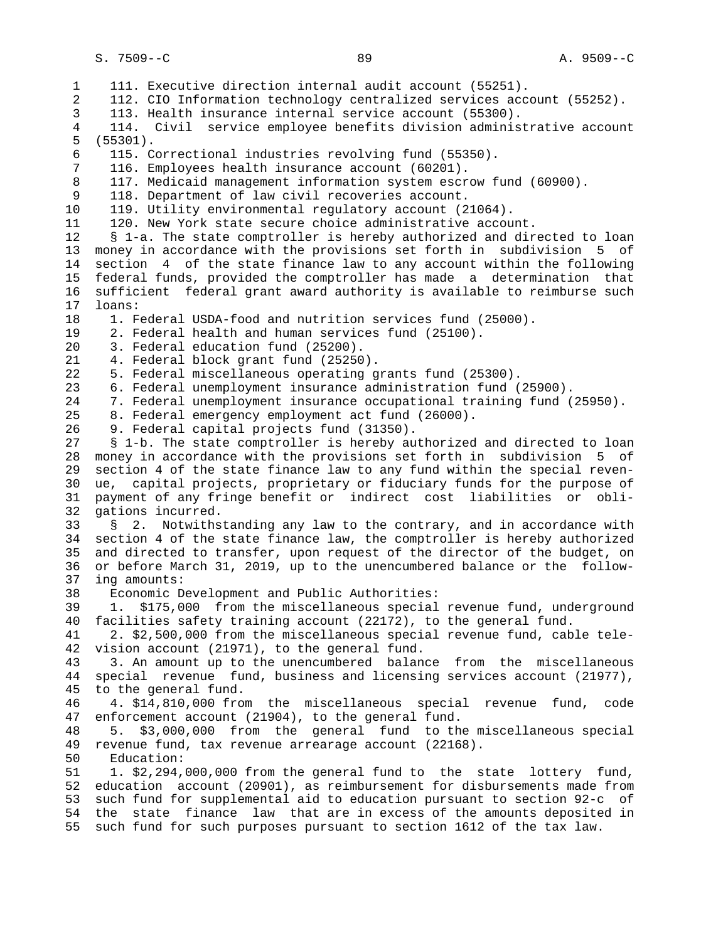1 111. Executive direction internal audit account (55251). 2 112. CIO Information technology centralized services account (55252). 3 113. Health insurance internal service account (55300). 4 114. Civil service employee benefits division administrative account 5 (55301). 6 115. Correctional industries revolving fund (55350). 7 116. Employees health insurance account (60201). 8 117. Medicaid management information system escrow fund (60900).<br>9 118. Department of law civil recoveries account. 118. Department of law civil recoveries account. 10 119. Utility environmental regulatory account (21064). 11 120. New York state secure choice administrative account. 12 § 1-a. The state comptroller is hereby authorized and directed to loan 13 money in accordance with the provisions set forth in subdivision 5 of 14 section 4 of the state finance law to any account within the following 15 federal funds, provided the comptroller has made a determination that 16 sufficient federal grant award authority is available to reimburse such 17 loans: 18 1. Federal USDA-food and nutrition services fund (25000). 19 2. Federal health and human services fund (25100). 20 3. Federal education fund (25200). 21 4. Federal block grant fund (25250). 22 5. Federal miscellaneous operating grants fund (25300). 23 6. Federal unemployment insurance administration fund (25900). 24 7. Federal unemployment insurance occupational training fund (25950). 25 8. Federal emergency employment act fund (26000). 26 9. Federal capital projects fund (31350). 27 § 1-b. The state comptroller is hereby authorized and directed to loan 28 money in accordance with the provisions set forth in subdivision 5 of 29 section 4 of the state finance law to any fund within the special reven- 30 ue, capital projects, proprietary or fiduciary funds for the purpose of 31 payment of any fringe benefit or indirect cost liabilities or obli- 32 gations incurred. 33 § 2. Notwithstanding any law to the contrary, and in accordance with 34 section 4 of the state finance law, the comptroller is hereby authorized 35 and directed to transfer, upon request of the director of the budget, on 36 or before March 31, 2019, up to the unencumbered balance or the follow- 37 ing amounts: 38 Economic Development and Public Authorities: 39 1. \$175,000 from the miscellaneous special revenue fund, underground 40 facilities safety training account (22172), to the general fund. 41 2. \$2,500,000 from the miscellaneous special revenue fund, cable tele- 42 vision account (21971), to the general fund. 43 3. An amount up to the unencumbered balance from the miscellaneous 44 special revenue fund, business and licensing services account (21977), 45 to the general fund. 46 4. \$14,810,000 from the miscellaneous special revenue fund, code 47 enforcement account (21904), to the general fund. 48 5. \$3,000,000 from the general fund to the miscellaneous special revenue fund, tax revenue arrearage account (22168). 50 Education: 51 1. \$2,294,000,000 from the general fund to the state lottery fund, 52 education account (20901), as reimbursement for disbursements made from 53 such fund for supplemental aid to education pursuant to section 92-c of 54 the state finance law that are in excess of the amounts deposited in 55 such fund for such purposes pursuant to section 1612 of the tax law.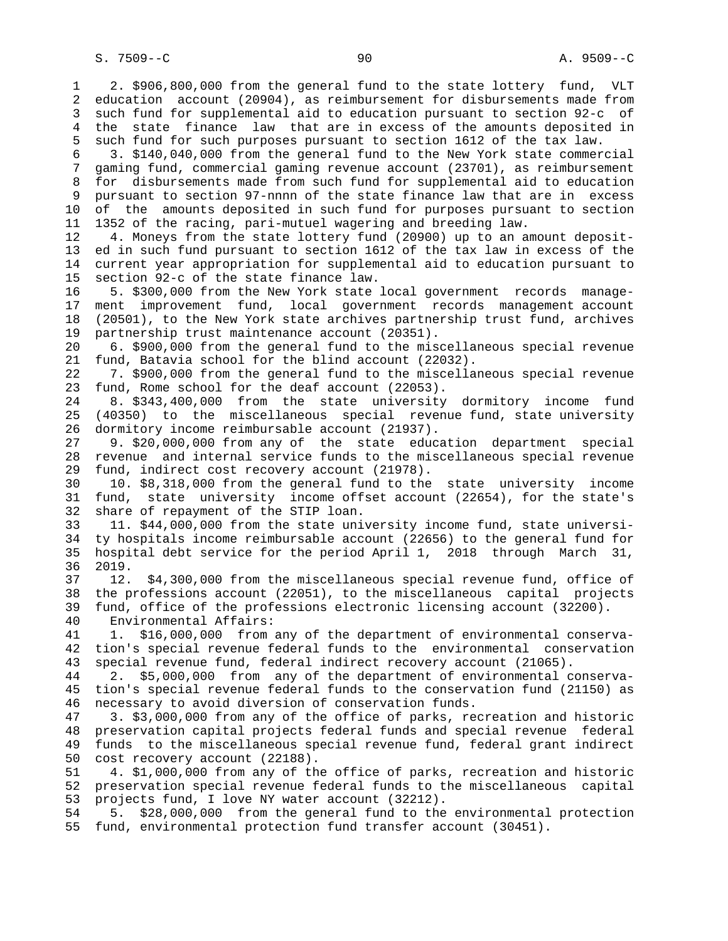1 2. \$906,800,000 from the general fund to the state lottery fund, VLT 2 education account (20904), as reimbursement for disbursements made from 3 such fund for supplemental aid to education pursuant to section 92-c of 4 the state finance law that are in excess of the amounts deposited in 5 such fund for such purposes pursuant to section 1612 of the tax law. 6 3. \$140,040,000 from the general fund to the New York state commercial 7 gaming fund, commercial gaming revenue account (23701), as reimbursement 8 for disbursements made from such fund for supplemental aid to education 9 pursuant to section 97-nnnn of the state finance law that are in excess 10 of the amounts deposited in such fund for purposes pursuant to section 11 1352 of the racing, pari-mutuel wagering and breeding law. 12 4. Moneys from the state lottery fund (20900) up to an amount deposit- 13 ed in such fund pursuant to section 1612 of the tax law in excess of the 14 current year appropriation for supplemental aid to education pursuant to 15 section 92-c of the state finance law. 16 5. \$300,000 from the New York state local government records manage- 17 ment improvement fund, local government records management account 18 (20501), to the New York state archives partnership trust fund, archives 19 partnership trust maintenance account (20351). 20 6. \$900,000 from the general fund to the miscellaneous special revenue 21 fund, Batavia school for the blind account (22032). 22 7. \$900,000 from the general fund to the miscellaneous special revenue 23 fund, Rome school for the deaf account (22053). 24 8. \$343,400,000 from the state university dormitory income fund 25 (40350) to the miscellaneous special revenue fund, state university 26 dormitory income reimbursable account (21937). 27 9. \$20,000,000 from any of the state education department special 28 revenue and internal service funds to the miscellaneous special revenue 29 fund, indirect cost recovery account (21978). 30 10. \$8,318,000 from the general fund to the state university income 31 fund, state university income offset account (22654), for the state's 32 share of repayment of the STIP loan. 33 11. \$44,000,000 from the state university income fund, state universi- 34 ty hospitals income reimbursable account (22656) to the general fund for 35 hospital debt service for the period April 1, 2018 through March 31, 36 2019. 37 12. \$4,300,000 from the miscellaneous special revenue fund, office of 38 the professions account (22051), to the miscellaneous capital projects 39 fund, office of the professions electronic licensing account (32200). 40 Environmental Affairs: 41 1. \$16,000,000 from any of the department of environmental conserva- 42 tion's special revenue federal funds to the environmental conservation 43 special revenue fund, federal indirect recovery account (21065). 44 2. \$5,000,000 from any of the department of environmental conserva- 45 tion's special revenue federal funds to the conservation fund (21150) as 46 necessary to avoid diversion of conservation funds. 47 3. \$3,000,000 from any of the office of parks, recreation and historic 48 preservation capital projects federal funds and special revenue federal 49 funds to the miscellaneous special revenue fund, federal grant indirect 50 cost recovery account (22188). 51 4. \$1,000,000 from any of the office of parks, recreation and historic

 52 preservation special revenue federal funds to the miscellaneous capital 53 projects fund, I love NY water account (32212).

 54 5. \$28,000,000 from the general fund to the environmental protection 55 fund, environmental protection fund transfer account (30451).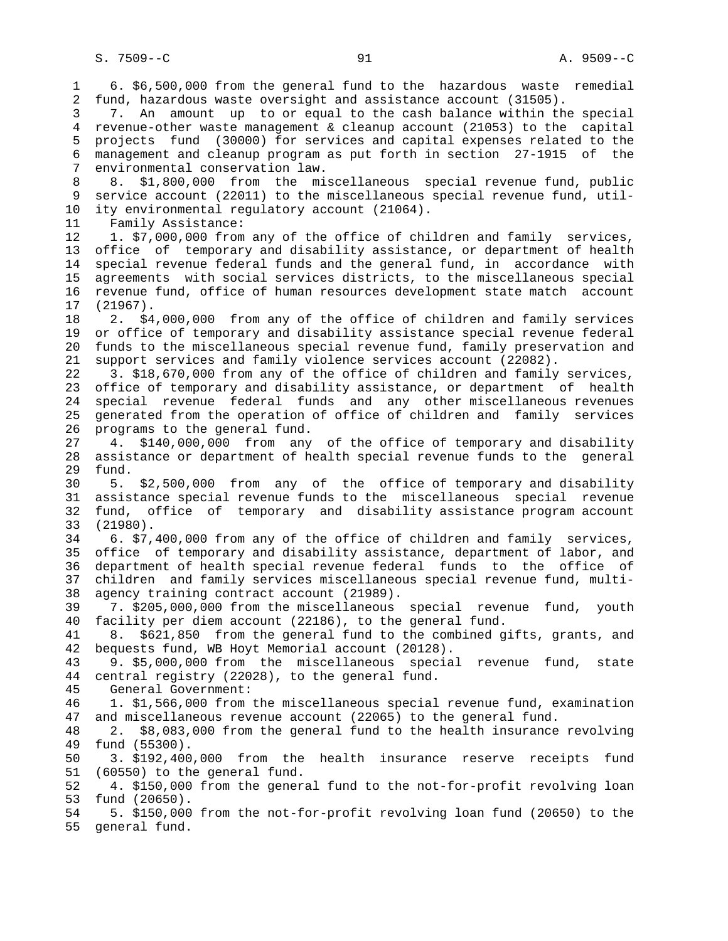1 6. \$6,500,000 from the general fund to the hazardous waste remedial 2 fund, hazardous waste oversight and assistance account (31505). 3 7. An amount up to or equal to the cash balance within the special 4 revenue-other waste management & cleanup account (21053) to the capital 5 projects fund (30000) for services and capital expenses related to the 6 management and cleanup program as put forth in section 27-1915 of the 7 environmental conservation law. 8 8. \$1,800,000 from the miscellaneous special revenue fund, public<br>9 service account (22011) to the miscellaneous special revenue fund, utilservice account (22011) to the miscellaneous special revenue fund, util- 10 ity environmental regulatory account (21064). 11 Family Assistance: 12 1. \$7,000,000 from any of the office of children and family services, 13 office of temporary and disability assistance, or department of health 14 special revenue federal funds and the general fund, in accordance with 15 agreements with social services districts, to the miscellaneous special 16 revenue fund, office of human resources development state match account 17 (21967). 18 2. \$4,000,000 from any of the office of children and family services 19 or office of temporary and disability assistance special revenue federal 20 funds to the miscellaneous special revenue fund, family preservation and 21 support services and family violence services account (22082). 22 3. \$18,670,000 from any of the office of children and family services, 23 office of temporary and disability assistance, or department of health 24 special revenue federal funds and any other miscellaneous revenues 25 generated from the operation of office of children and family services 26 programs to the general fund. 27 4. \$140,000,000 from any of the office of temporary and disability 28 assistance or department of health special revenue funds to the general 29 fund. 30 5. \$2,500,000 from any of the office of temporary and disability 31 assistance special revenue funds to the miscellaneous special revenue 32 fund, office of temporary and disability assistance program account 33 (21980). 34 6. \$7,400,000 from any of the office of children and family services, 35 office of temporary and disability assistance, department of labor, and 36 department of health special revenue federal funds to the office of 37 children and family services miscellaneous special revenue fund, multi- 38 agency training contract account (21989). 39 7. \$205,000,000 from the miscellaneous special revenue fund, youth 40 facility per diem account (22186), to the general fund. 41 8. \$621,850 from the general fund to the combined gifts, grants, and 42 bequests fund, WB Hoyt Memorial account (20128). 43 9. \$5,000,000 from the miscellaneous special revenue fund, state 44 central registry (22028), to the general fund. 45 General Government: 46 1. \$1,566,000 from the miscellaneous special revenue fund, examination 47 and miscellaneous revenue account (22065) to the general fund. 48 2. \$8,083,000 from the general fund to the health insurance revolving 49 fund (55300). 50 3. \$192,400,000 from the health insurance reserve receipts fund 51 (60550) to the general fund. 52 4. \$150,000 from the general fund to the not-for-profit revolving loan 53 fund (20650). 54 5. \$150,000 from the not-for-profit revolving loan fund (20650) to the 55 general fund.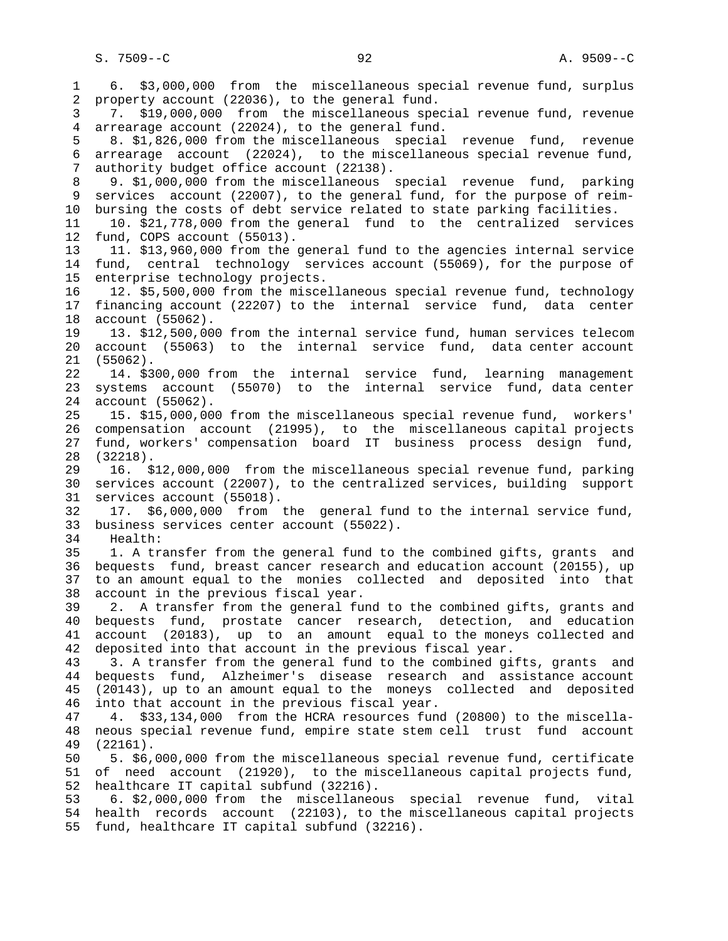S. 7509--C 92 A. 9509--C

 1 6. \$3,000,000 from the miscellaneous special revenue fund, surplus 2 property account (22036), to the general fund. 3 7. \$19,000,000 from the miscellaneous special revenue fund, revenue 4 arrearage account (22024), to the general fund. 5 8. \$1,826,000 from the miscellaneous special revenue fund, revenue 6 arrearage account (22024), to the miscellaneous special revenue fund, 7 authority budget office account (22138). 8 9. \$1,000,000 from the miscellaneous special revenue fund, parking<br>9 services account (22007), to the general fund, for the purpose of reimservices account (22007), to the general fund, for the purpose of reim- 10 bursing the costs of debt service related to state parking facilities. 11 10. \$21,778,000 from the general fund to the centralized services 12 fund, COPS account (55013). 13 11. \$13,960,000 from the general fund to the agencies internal service 14 fund, central technology services account (55069), for the purpose of 15 enterprise technology projects. 16 12. \$5,500,000 from the miscellaneous special revenue fund, technology 17 financing account (22207) to the internal service fund, data center 18 account (55062). 19 13. \$12,500,000 from the internal service fund, human services telecom 20 account (55063) to the internal service fund, data center account 21 (55062). 22 14. \$300,000 from the internal service fund, learning management 23 systems account (55070) to the internal service fund, data center 24 account (55062). 25 15. \$15,000,000 from the miscellaneous special revenue fund, workers' 26 compensation account (21995), to the miscellaneous capital projects 27 fund, workers' compensation board IT business process design fund, 28 (32218). 29 16. \$12,000,000 from the miscellaneous special revenue fund, parking 30 services account (22007), to the centralized services, building support 31 services account (55018). 32 17. \$6,000,000 from the general fund to the internal service fund, 33 business services center account (55022). 34 Health: 35 1. A transfer from the general fund to the combined gifts, grants and 36 bequests fund, breast cancer research and education account (20155), up 37 to an amount equal to the monies collected and deposited into that 38 account in the previous fiscal year. 39 2. A transfer from the general fund to the combined gifts, grants and 40 bequests fund, prostate cancer research, detection, and education 41 account (20183), up to an amount equal to the moneys collected and 42 deposited into that account in the previous fiscal year. 43 3. A transfer from the general fund to the combined gifts, grants and 44 bequests fund, Alzheimer's disease research and assistance account 45 (20143), up to an amount equal to the moneys collected and deposited 46 into that account in the previous fiscal year. 47 4. \$33,134,000 from the HCRA resources fund (20800) to the miscella- 48 neous special revenue fund, empire state stem cell trust fund account 49 (22161). 50 5. \$6,000,000 from the miscellaneous special revenue fund, certificate 51 of need account (21920), to the miscellaneous capital projects fund, 52 healthcare IT capital subfund (32216). 53 6. \$2,000,000 from the miscellaneous special revenue fund, vital 54 health records account (22103), to the miscellaneous capital projects 55 fund, healthcare IT capital subfund (32216).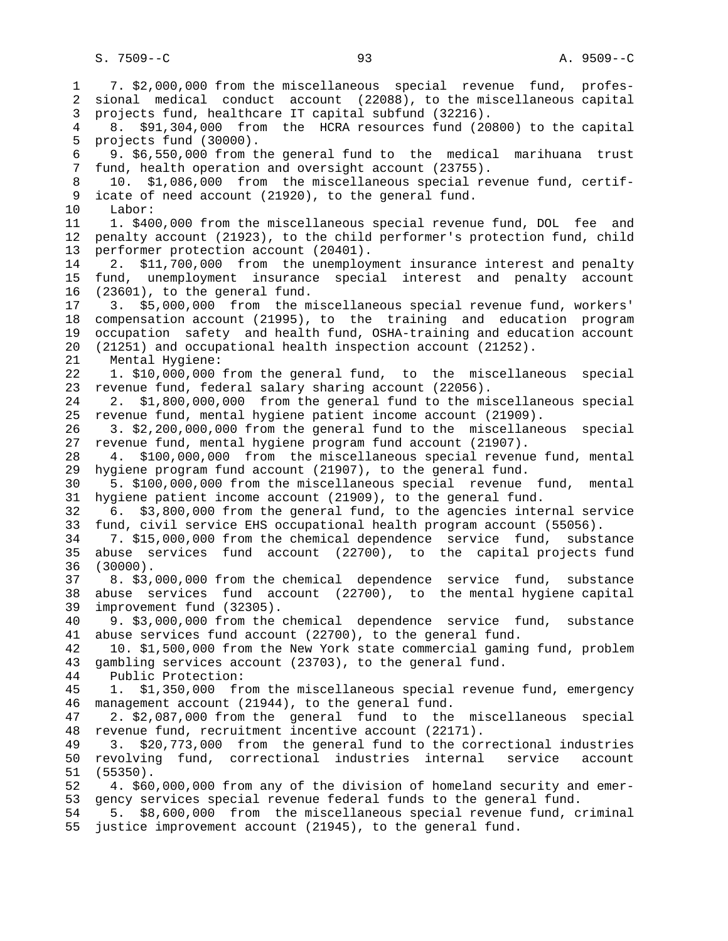1 7. \$2,000,000 from the miscellaneous special revenue fund, profes- 2 sional medical conduct account (22088), to the miscellaneous capital 3 projects fund, healthcare IT capital subfund (32216). 4 8. \$91,304,000 from the HCRA resources fund (20800) to the capital 5 projects fund (30000). 6 9. \$6,550,000 from the general fund to the medical marihuana trust 7 fund, health operation and oversight account (23755). 8 10. \$1,086,000 from the miscellaneous special revenue fund, certif-<br>9 icate of need account (21920), to the general fund. icate of need account (21920), to the general fund. 10 Labor: 11 1. \$400,000 from the miscellaneous special revenue fund, DOL fee and 12 penalty account (21923), to the child performer's protection fund, child 13 performer protection account (20401). 14 2. \$11,700,000 from the unemployment insurance interest and penalty 15 fund, unemployment insurance special interest and penalty account 16 (23601), to the general fund. 17 3. \$5,000,000 from the miscellaneous special revenue fund, workers' 18 compensation account (21995), to the training and education program 19 occupation safety and health fund, OSHA-training and education account 20 (21251) and occupational health inspection account (21252). 21 Mental Hygiene: 22 1. \$10,000,000 from the general fund, to the miscellaneous special 23 revenue fund, federal salary sharing account (22056). 24 2. \$1,800,000,000 from the general fund to the miscellaneous special 25 revenue fund, mental hygiene patient income account (21909). 26 3. \$2,200,000,000 from the general fund to the miscellaneous special 27 revenue fund, mental hygiene program fund account (21907). 28 4. \$100,000,000 from the miscellaneous special revenue fund, mental 29 hygiene program fund account (21907), to the general fund. 30 5. \$100,000,000 from the miscellaneous special revenue fund, mental 31 hygiene patient income account (21909), to the general fund. 32 6. \$3,800,000 from the general fund, to the agencies internal service 33 fund, civil service EHS occupational health program account (55056). 34 7. \$15,000,000 from the chemical dependence service fund, substance 35 abuse services fund account (22700), to the capital projects fund 36 (30000). 37 8. \$3,000,000 from the chemical dependence service fund, substance 38 abuse services fund account (22700), to the mental hygiene capital 39 improvement fund (32305). 40 9. \$3,000,000 from the chemical dependence service fund, substance 41 abuse services fund account (22700), to the general fund. 42 10. \$1,500,000 from the New York state commercial gaming fund, problem 43 gambling services account (23703), to the general fund. 44 Public Protection: 45 1. \$1,350,000 from the miscellaneous special revenue fund, emergency 46 management account (21944), to the general fund. 47 2. \$2,087,000 from the general fund to the miscellaneous special 48 revenue fund, recruitment incentive account (22171). 49 3. \$20,773,000 from the general fund to the correctional industries 50 revolving fund, correctional industries internal service account 51 (55350). 52 4. \$60,000,000 from any of the division of homeland security and emer- 53 gency services special revenue federal funds to the general fund. 54 5. \$8,600,000 from the miscellaneous special revenue fund, criminal 55 justice improvement account (21945), to the general fund.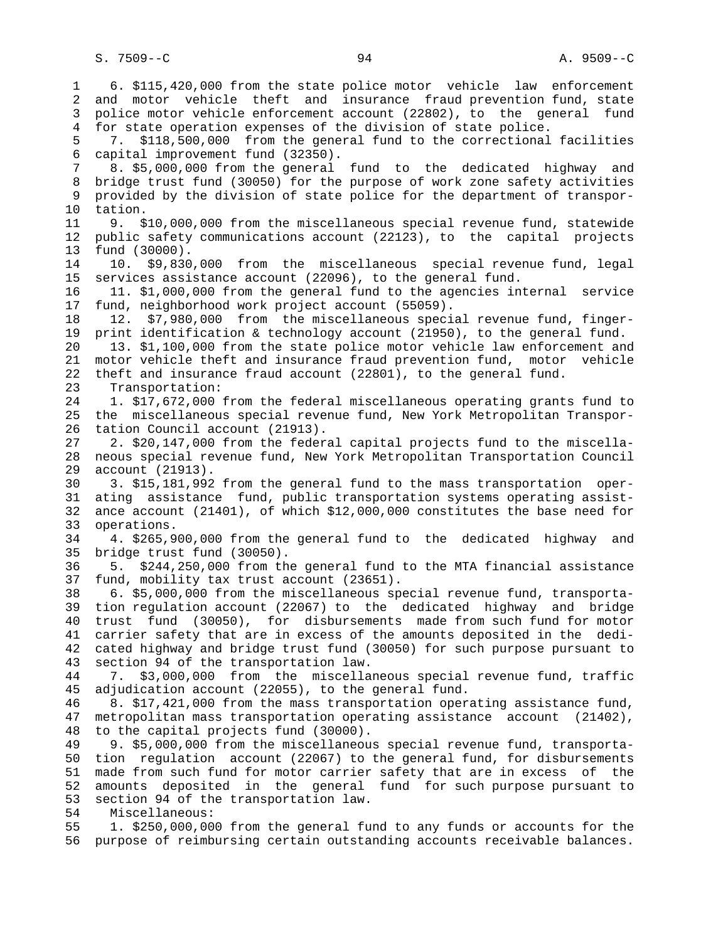1 6. \$115,420,000 from the state police motor vehicle law enforcement 2 and motor vehicle theft and insurance fraud prevention fund, state 3 police motor vehicle enforcement account (22802), to the general fund 4 for state operation expenses of the division of state police. 5 7. \$118,500,000 from the general fund to the correctional facilities 6 capital improvement fund (32350). 7 8. \$5,000,000 from the general fund to the dedicated highway and 8 bridge trust fund (30050) for the purpose of work zone safety activities<br>9 provided by the division of state police for the department of transpor- 9 provided by the division of state police for the department of transpor- 10 tation. 11 9. \$10,000,000 from the miscellaneous special revenue fund, statewide 12 public safety communications account (22123), to the capital projects 13 fund (30000). 14 10. \$9,830,000 from the miscellaneous special revenue fund, legal 15 services assistance account (22096), to the general fund. 16 11. \$1,000,000 from the general fund to the agencies internal service 17 fund, neighborhood work project account (55059). 18 12. \$7,980,000 from the miscellaneous special revenue fund, finger- 19 print identification & technology account (21950), to the general fund. 20 13. \$1,100,000 from the state police motor vehicle law enforcement and 21 motor vehicle theft and insurance fraud prevention fund, motor vehicle 22 theft and insurance fraud account (22801), to the general fund. 23 Transportation: 24 1. \$17,672,000 from the federal miscellaneous operating grants fund to 25 the miscellaneous special revenue fund, New York Metropolitan Transpor- 26 tation Council account (21913). 27 2. \$20,147,000 from the federal capital projects fund to the miscella- 28 neous special revenue fund, New York Metropolitan Transportation Council 29 account (21913). 30 3. \$15,181,992 from the general fund to the mass transportation oper- 31 ating assistance fund, public transportation systems operating assist- 32 ance account (21401), of which \$12,000,000 constitutes the base need for 33 operations. 34 4. \$265,900,000 from the general fund to the dedicated highway and 35 bridge trust fund (30050). 36 5. \$244,250,000 from the general fund to the MTA financial assistance 37 fund, mobility tax trust account (23651). 38 6. \$5,000,000 from the miscellaneous special revenue fund, transporta- 39 tion regulation account (22067) to the dedicated highway and bridge 40 trust fund (30050), for disbursements made from such fund for motor 41 carrier safety that are in excess of the amounts deposited in the dedi- 42 cated highway and bridge trust fund (30050) for such purpose pursuant to 43 section 94 of the transportation law. 44 7. \$3,000,000 from the miscellaneous special revenue fund, traffic 45 adjudication account (22055), to the general fund. 46 8. \$17,421,000 from the mass transportation operating assistance fund, 47 metropolitan mass transportation operating assistance account (21402), 48 to the capital projects fund (30000). 49 9. \$5,000,000 from the miscellaneous special revenue fund, transporta- 50 tion regulation account (22067) to the general fund, for disbursements 51 made from such fund for motor carrier safety that are in excess of the 52 amounts deposited in the general fund for such purpose pursuant to 53 section 94 of the transportation law. 54 Miscellaneous: 55 1. \$250,000,000 from the general fund to any funds or accounts for the 56 purpose of reimbursing certain outstanding accounts receivable balances.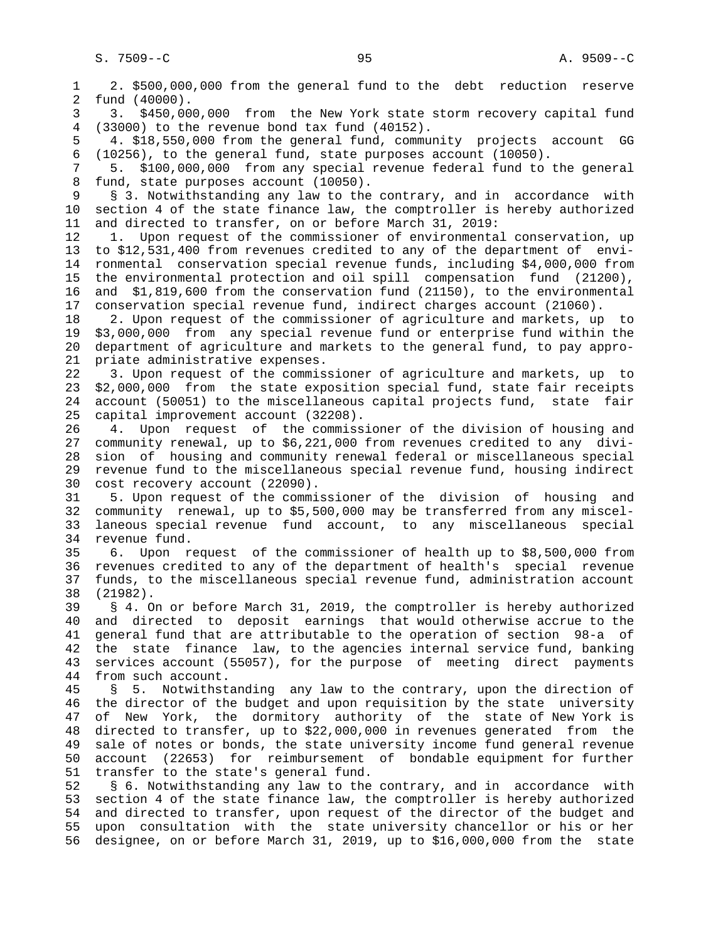1 2. \$500,000,000 from the general fund to the debt reduction reserve 2 fund (40000). 3 3. \$450,000,000 from the New York state storm recovery capital fund 4 (33000) to the revenue bond tax fund (40152). 5 4. \$18,550,000 from the general fund, community projects account GG 6 (10256), to the general fund, state purposes account (10050). 7 5. \$100,000,000 from any special revenue federal fund to the general 8 fund, state purposes account (10050).<br>9 § 3. Notwithstanding any law to the 9 § 3. Notwithstanding any law to the contrary, and in accordance with 10 section 4 of the state finance law, the comptroller is hereby authorized 11 and directed to transfer, on or before March 31, 2019: 12 1. Upon request of the commissioner of environmental conservation, up 13 to \$12,531,400 from revenues credited to any of the department of envi- 14 ronmental conservation special revenue funds, including \$4,000,000 from 15 the environmental protection and oil spill compensation fund (21200), 16 and \$1,819,600 from the conservation fund (21150), to the environmental 17 conservation special revenue fund, indirect charges account (21060). 18 2. Upon request of the commissioner of agriculture and markets, up to 19 \$3,000,000 from any special revenue fund or enterprise fund within the 20 department of agriculture and markets to the general fund, to pay appro- 21 priate administrative expenses. 22 3. Upon request of the commissioner of agriculture and markets, up to 23 \$2,000,000 from the state exposition special fund, state fair receipts 24 account (50051) to the miscellaneous capital projects fund, state fair 25 capital improvement account (32208). 26 4. Upon request of the commissioner of the division of housing and 27 community renewal, up to \$6,221,000 from revenues credited to any divi- 28 sion of housing and community renewal federal or miscellaneous special 29 revenue fund to the miscellaneous special revenue fund, housing indirect 30 cost recovery account (22090). 31 5. Upon request of the commissioner of the division of housing and 32 community renewal, up to \$5,500,000 may be transferred from any miscel- 33 laneous special revenue fund account, to any miscellaneous special 34 revenue fund. 35 6. Upon request of the commissioner of health up to \$8,500,000 from 36 revenues credited to any of the department of health's special revenue 37 funds, to the miscellaneous special revenue fund, administration account 38 (21982). 39 § 4. On or before March 31, 2019, the comptroller is hereby authorized 40 and directed to deposit earnings that would otherwise accrue to the 41 general fund that are attributable to the operation of section 98-a of 42 the state finance law, to the agencies internal service fund, banking 43 services account (55057), for the purpose of meeting direct payments 44 from such account. 45 § 5. Notwithstanding any law to the contrary, upon the direction of 46 the director of the budget and upon requisition by the state university 47 of New York, the dormitory authority of the state of New York is 48 directed to transfer, up to \$22,000,000 in revenues generated from the 49 sale of notes or bonds, the state university income fund general revenue 50 account (22653) for reimbursement of bondable equipment for further 51 transfer to the state's general fund. 52 § 6. Notwithstanding any law to the contrary, and in accordance with 53 section 4 of the state finance law, the comptroller is hereby authorized 54 and directed to transfer, upon request of the director of the budget and 55 upon consultation with the state university chancellor or his or her 56 designee, on or before March 31, 2019, up to \$16,000,000 from the state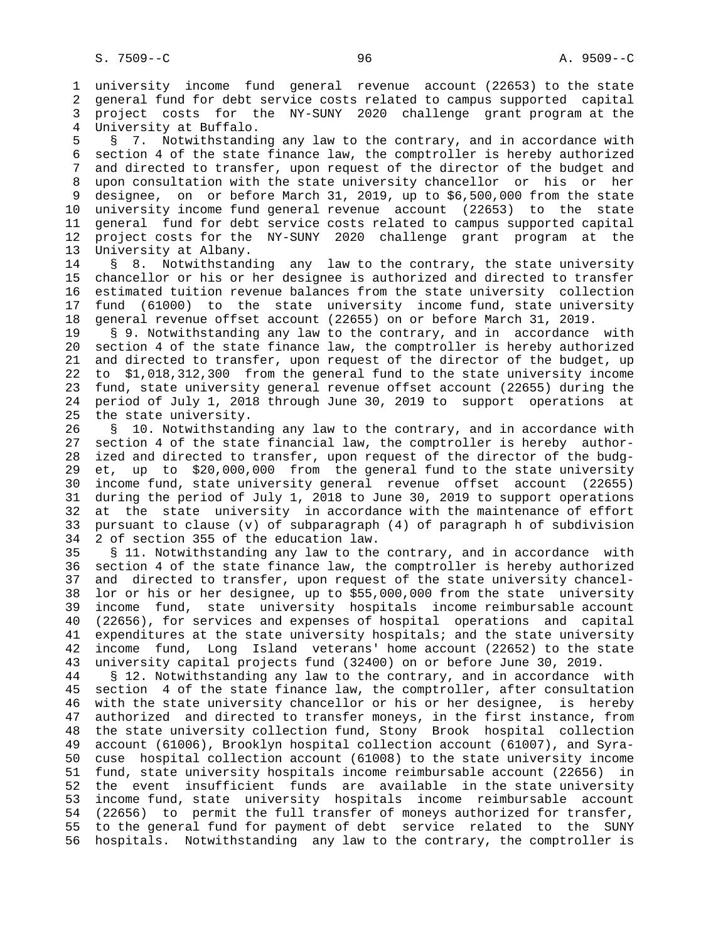1 university income fund general revenue account (22653) to the state 2 general fund for debt service costs related to campus supported capital 3 project costs for the NY-SUNY 2020 challenge grant program at the 4 University at Buffalo.

 5 § 7. Notwithstanding any law to the contrary, and in accordance with 6 section 4 of the state finance law, the comptroller is hereby authorized 7 and directed to transfer, upon request of the director of the budget and 8 upon consultation with the state university chancellor or his or her designee, on or before March 31, 2019, up to \$6,500,000 from the state 10 university income fund general revenue account (22653) to the state 11 general fund for debt service costs related to campus supported capital 12 project costs for the NY-SUNY 2020 challenge grant program at the 13 University at Albany.

14 § 8. Notwithstanding any law to the contrary, the state university 15 chancellor or his or her designee is authorized and directed to transfer 16 estimated tuition revenue balances from the state university collection 17 fund (61000) to the state university income fund, state university 18 general revenue offset account (22655) on or before March 31, 2019.

 19 § 9. Notwithstanding any law to the contrary, and in accordance with 20 section 4 of the state finance law, the comptroller is hereby authorized 21 and directed to transfer, upon request of the director of the budget, up 22 to \$1,018,312,300 from the general fund to the state university income 23 fund, state university general revenue offset account (22655) during the 24 period of July 1, 2018 through June 30, 2019 to support operations at 25 the state university.

 26 § 10. Notwithstanding any law to the contrary, and in accordance with 27 section 4 of the state financial law, the comptroller is hereby author- 28 ized and directed to transfer, upon request of the director of the budg- 29 et, up to \$20,000,000 from the general fund to the state university 30 income fund, state university general revenue offset account (22655) 31 during the period of July 1, 2018 to June 30, 2019 to support operations 32 at the state university in accordance with the maintenance of effort 33 pursuant to clause (v) of subparagraph (4) of paragraph h of subdivision 34 2 of section 355 of the education law.

 35 § 11. Notwithstanding any law to the contrary, and in accordance with 36 section 4 of the state finance law, the comptroller is hereby authorized 37 and directed to transfer, upon request of the state university chancel- 38 lor or his or her designee, up to \$55,000,000 from the state university 39 income fund, state university hospitals income reimbursable account 40 (22656), for services and expenses of hospital operations and capital 41 expenditures at the state university hospitals; and the state university 42 income fund, Long Island veterans' home account (22652) to the state 43 university capital projects fund (32400) on or before June 30, 2019.

 44 § 12. Notwithstanding any law to the contrary, and in accordance with 45 section 4 of the state finance law, the comptroller, after consultation 46 with the state university chancellor or his or her designee, is hereby 47 authorized and directed to transfer moneys, in the first instance, from 48 the state university collection fund, Stony Brook hospital collection 49 account (61006), Brooklyn hospital collection account (61007), and Syra- 50 cuse hospital collection account (61008) to the state university income 51 fund, state university hospitals income reimbursable account (22656) in 52 the event insufficient funds are available in the state university 53 income fund, state university hospitals income reimbursable account 54 (22656) to permit the full transfer of moneys authorized for transfer, 55 to the general fund for payment of debt service related to the SUNY 56 hospitals. Notwithstanding any law to the contrary, the comptroller is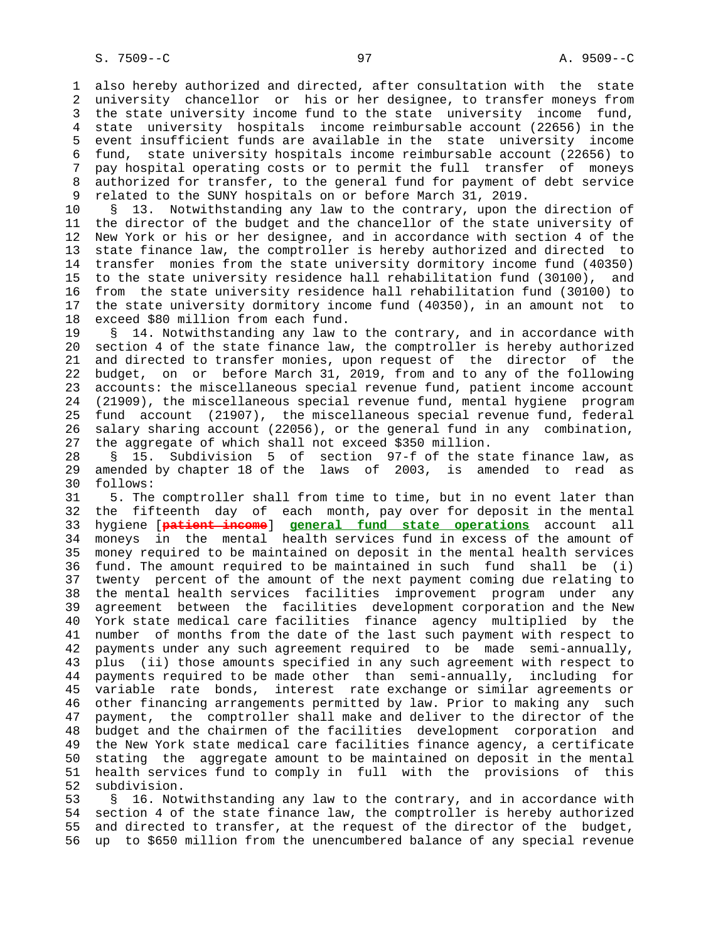1 also hereby authorized and directed, after consultation with the state 2 university chancellor or his or her designee, to transfer moneys from 3 the state university income fund to the state university income fund, 4 state university hospitals income reimbursable account (22656) in the 5 event insufficient funds are available in the state university income 6 fund, state university hospitals income reimbursable account (22656) to 7 pay hospital operating costs or to permit the full transfer of moneys 8 authorized for transfer, to the general fund for payment of debt service<br>9 related to the SUNY hospitals on or before March 31, 2019. 9 related to the SUNY hospitals on or before March 31, 2019.

 10 § 13. Notwithstanding any law to the contrary, upon the direction of 11 the director of the budget and the chancellor of the state university of 12 New York or his or her designee, and in accordance with section 4 of the 13 state finance law, the comptroller is hereby authorized and directed to 14 transfer monies from the state university dormitory income fund (40350) 15 to the state university residence hall rehabilitation fund (30100), and 16 from the state university residence hall rehabilitation fund (30100) to 17 the state university dormitory income fund (40350), in an amount not to 18 exceed \$80 million from each fund.

 19 § 14. Notwithstanding any law to the contrary, and in accordance with 20 section 4 of the state finance law, the comptroller is hereby authorized 21 and directed to transfer monies, upon request of the director of the 22 budget, on or before March 31, 2019, from and to any of the following 23 accounts: the miscellaneous special revenue fund, patient income account 24 (21909), the miscellaneous special revenue fund, mental hygiene program 25 fund account (21907), the miscellaneous special revenue fund, federal 26 salary sharing account (22056), or the general fund in any combination, 27 the aggregate of which shall not exceed \$350 million.

 28 § 15. Subdivision 5 of section 97-f of the state finance law, as 29 amended by chapter 18 of the laws of 2003, is amended to read as 30 follows:

 31 5. The comptroller shall from time to time, but in no event later than 32 the fifteenth day of each month, pay over for deposit in the mental 33 hygiene [**patient income**] **general fund state operations** account all 34 moneys in the mental health services fund in excess of the amount of 35 money required to be maintained on deposit in the mental health services 36 fund. The amount required to be maintained in such fund shall be (i) 37 twenty percent of the amount of the next payment coming due relating to 38 the mental health services facilities improvement program under any 39 agreement between the facilities development corporation and the New 40 York state medical care facilities finance agency multiplied by the 41 number of months from the date of the last such payment with respect to 42 payments under any such agreement required to be made semi-annually, 43 plus (ii) those amounts specified in any such agreement with respect to 44 payments required to be made other than semi-annually, including for 45 variable rate bonds, interest rate exchange or similar agreements or 46 other financing arrangements permitted by law. Prior to making any such 47 payment, the comptroller shall make and deliver to the director of the 48 budget and the chairmen of the facilities development corporation and 49 the New York state medical care facilities finance agency, a certificate 50 stating the aggregate amount to be maintained on deposit in the mental 51 health services fund to comply in full with the provisions of this 52 subdivision.

 53 § 16. Notwithstanding any law to the contrary, and in accordance with 54 section 4 of the state finance law, the comptroller is hereby authorized 55 and directed to transfer, at the request of the director of the budget, 56 up to \$650 million from the unencumbered balance of any special revenue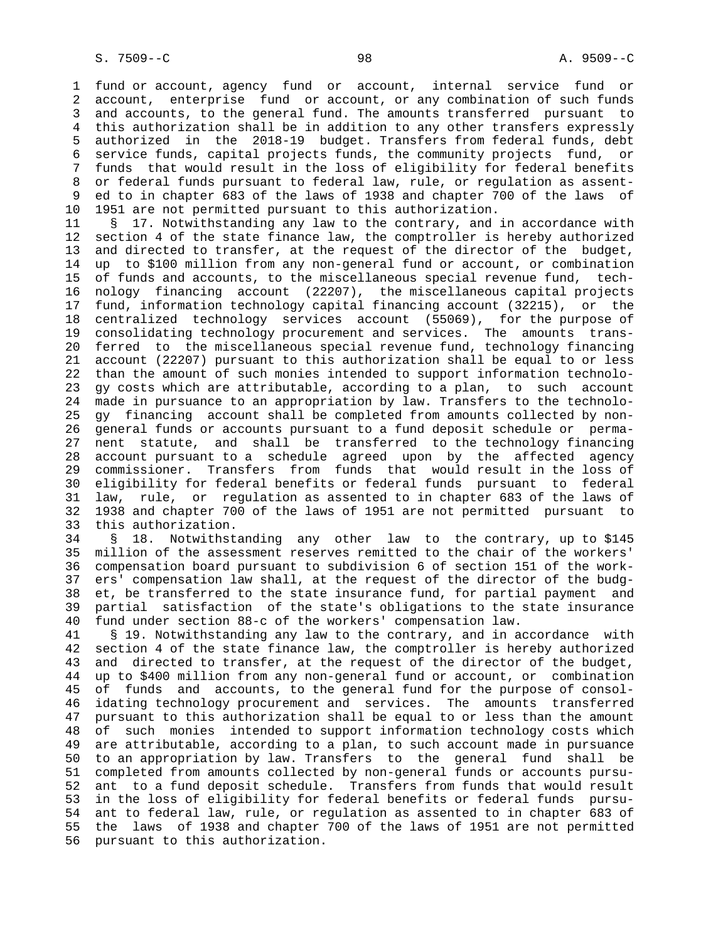1 fund or account, agency fund or account, internal service fund or 2 account, enterprise fund or account, or any combination of such funds 3 and accounts, to the general fund. The amounts transferred pursuant to 4 this authorization shall be in addition to any other transfers expressly 5 authorized in the 2018-19 budget. Transfers from federal funds, debt 6 service funds, capital projects funds, the community projects fund, or 7 funds that would result in the loss of eligibility for federal benefits 8 or federal funds pursuant to federal law, rule, or regulation as assent- 9 ed to in chapter 683 of the laws of 1938 and chapter 700 of the laws of 10 1951 are not permitted pursuant to this authorization.

 11 § 17. Notwithstanding any law to the contrary, and in accordance with 12 section 4 of the state finance law, the comptroller is hereby authorized 13 and directed to transfer, at the request of the director of the budget, 14 up to \$100 million from any non-general fund or account, or combination 15 of funds and accounts, to the miscellaneous special revenue fund, tech- 16 nology financing account (22207), the miscellaneous capital projects 17 fund, information technology capital financing account (32215), or the 18 centralized technology services account (55069), for the purpose of 19 consolidating technology procurement and services. The amounts trans- 20 ferred to the miscellaneous special revenue fund, technology financing 21 account (22207) pursuant to this authorization shall be equal to or less 22 than the amount of such monies intended to support information technolo- 23 gy costs which are attributable, according to a plan, to such account 24 made in pursuance to an appropriation by law. Transfers to the technolo- 25 gy financing account shall be completed from amounts collected by non- 26 general funds or accounts pursuant to a fund deposit schedule or perma- 27 nent statute, and shall be transferred to the technology financing 28 account pursuant to a schedule agreed upon by the affected agency 29 commissioner. Transfers from funds that would result in the loss of 30 eligibility for federal benefits or federal funds pursuant to federal 31 law, rule, or regulation as assented to in chapter 683 of the laws of 32 1938 and chapter 700 of the laws of 1951 are not permitted pursuant to 33 this authorization.

 34 § 18. Notwithstanding any other law to the contrary, up to \$145 35 million of the assessment reserves remitted to the chair of the workers' 36 compensation board pursuant to subdivision 6 of section 151 of the work- 37 ers' compensation law shall, at the request of the director of the budg- 38 et, be transferred to the state insurance fund, for partial payment and 39 partial satisfaction of the state's obligations to the state insurance 40 fund under section 88-c of the workers' compensation law.

 41 § 19. Notwithstanding any law to the contrary, and in accordance with 42 section 4 of the state finance law, the comptroller is hereby authorized 43 and directed to transfer, at the request of the director of the budget, 44 up to \$400 million from any non-general fund or account, or combination 45 of funds and accounts, to the general fund for the purpose of consol- 46 idating technology procurement and services. The amounts transferred 47 pursuant to this authorization shall be equal to or less than the amount 48 of such monies intended to support information technology costs which 49 are attributable, according to a plan, to such account made in pursuance 50 to an appropriation by law. Transfers to the general fund shall be 51 completed from amounts collected by non-general funds or accounts pursu- 52 ant to a fund deposit schedule. Transfers from funds that would result 53 in the loss of eligibility for federal benefits or federal funds pursu- 54 ant to federal law, rule, or regulation as assented to in chapter 683 of 55 the laws of 1938 and chapter 700 of the laws of 1951 are not permitted 56 pursuant to this authorization.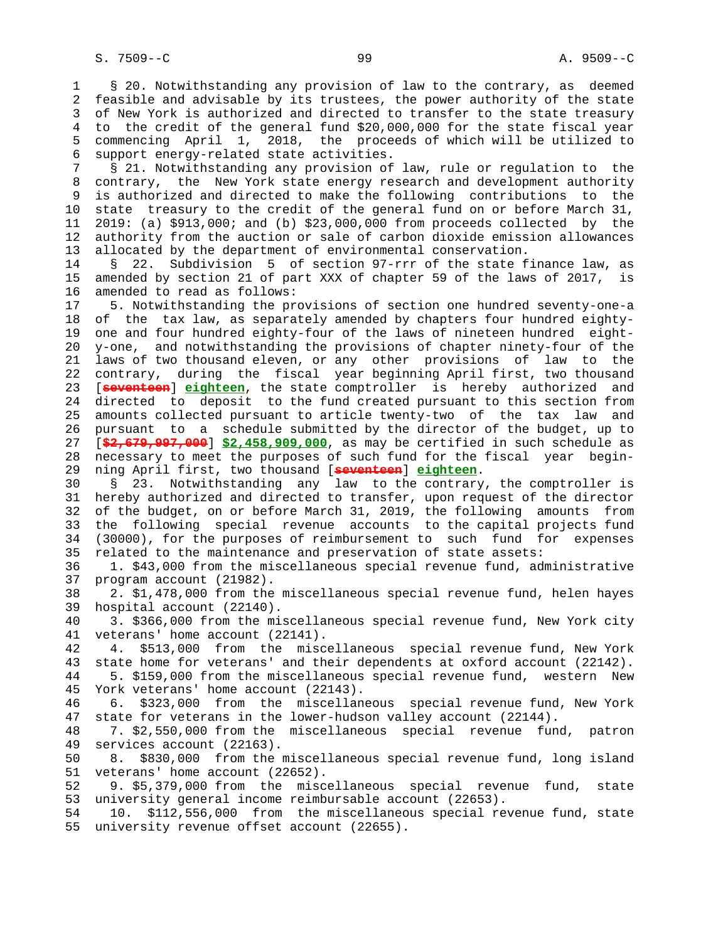1 § 20. Notwithstanding any provision of law to the contrary, as deemed 2 feasible and advisable by its trustees, the power authority of the state 3 of New York is authorized and directed to transfer to the state treasury 4 to the credit of the general fund \$20,000,000 for the state fiscal year 5 commencing April 1, 2018, the proceeds of which will be utilized to 6 support energy-related state activities.

 7 § 21. Notwithstanding any provision of law, rule or regulation to the 8 contrary, the New York state energy research and development authority 9 is authorized and directed to make the following contributions to the 10 state treasury to the credit of the general fund on or before March 31, 11 2019: (a) \$913,000; and (b) \$23,000,000 from proceeds collected by the 12 authority from the auction or sale of carbon dioxide emission allowances 13 allocated by the department of environmental conservation.

 14 § 22. Subdivision 5 of section 97-rrr of the state finance law, as 15 amended by section 21 of part XXX of chapter 59 of the laws of 2017, is 16 amended to read as follows:

 17 5. Notwithstanding the provisions of section one hundred seventy-one-a 18 of the tax law, as separately amended by chapters four hundred eighty- 19 one and four hundred eighty-four of the laws of nineteen hundred eight- 20 y-one, and notwithstanding the provisions of chapter ninety-four of the 21 laws of two thousand eleven, or any other provisions of law to the 22 contrary, during the fiscal year beginning April first, two thousand 23 [**seventeen**] **eighteen**, the state comptroller is hereby authorized and 24 directed to deposit to the fund created pursuant to this section from 25 amounts collected pursuant to article twenty-two of the tax law and 26 pursuant to a schedule submitted by the director of the budget, up to 27 [**\$2,679,997,000**] **\$2,458,909,000**, as may be certified in such schedule as 28 necessary to meet the purposes of such fund for the fiscal year begin- 29 ning April first, two thousand [**seventeen**] **eighteen**.

 30 § 23. Notwithstanding any law to the contrary, the comptroller is 31 hereby authorized and directed to transfer, upon request of the director 32 of the budget, on or before March 31, 2019, the following amounts from 33 the following special revenue accounts to the capital projects fund 34 (30000), for the purposes of reimbursement to such fund for expenses 35 related to the maintenance and preservation of state assets:

 36 1. \$43,000 from the miscellaneous special revenue fund, administrative 37 program account (21982).

 38 2. \$1,478,000 from the miscellaneous special revenue fund, helen hayes 39 hospital account (22140).

 40 3. \$366,000 from the miscellaneous special revenue fund, New York city 41 veterans' home account (22141).

 42 4. \$513,000 from the miscellaneous special revenue fund, New York 43 state home for veterans' and their dependents at oxford account (22142). 44 5. \$159,000 from the miscellaneous special revenue fund, western New 45 York veterans' home account (22143).

 46 6. \$323,000 from the miscellaneous special revenue fund, New York 47 state for veterans in the lower-hudson valley account (22144).

 48 7. \$2,550,000 from the miscellaneous special revenue fund, patron 49 services account (22163).

 50 8. \$830,000 from the miscellaneous special revenue fund, long island 51 veterans' home account (22652).

 52 9. \$5,379,000 from the miscellaneous special revenue fund, state 53 university general income reimbursable account (22653).

 54 10. \$112,556,000 from the miscellaneous special revenue fund, state 55 university revenue offset account (22655).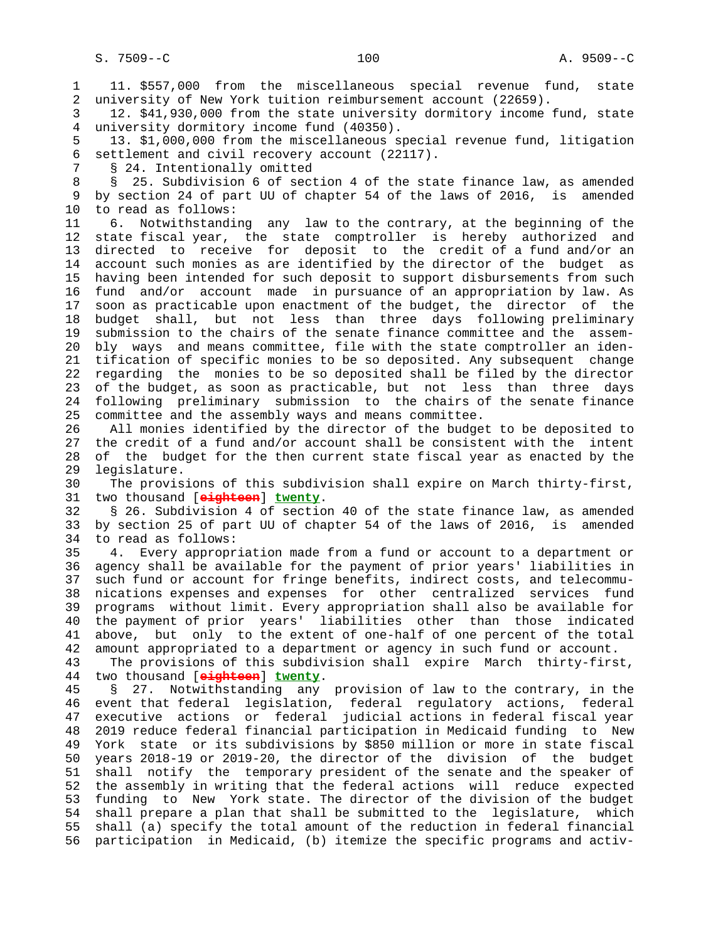1 11. \$557,000 from the miscellaneous special revenue fund, state

 2 university of New York tuition reimbursement account (22659). 3 12. \$41,930,000 from the state university dormitory income fund, state 4 university dormitory income fund (40350). 5 13. \$1,000,000 from the miscellaneous special revenue fund, litigation 6 settlement and civil recovery account (22117). 7 § 24. Intentionally omitted 8 § 25. Subdivision 6 of section 4 of the state finance law, as amended<br>9 by section 24 of part UU of chapter 54 of the laws of 2016, is amended by section 24 of part UU of chapter 54 of the laws of 2016, is amended 10 to read as follows: 11 6. Notwithstanding any law to the contrary, at the beginning of the 12 state fiscal year, the state comptroller is hereby authorized and 13 directed to receive for deposit to the credit of a fund and/or an 14 account such monies as are identified by the director of the budget as 15 having been intended for such deposit to support disbursements from such 16 fund and/or account made in pursuance of an appropriation by law. As 17 soon as practicable upon enactment of the budget, the director of the 18 budget shall, but not less than three days following preliminary 19 submission to the chairs of the senate finance committee and the assem- 20 bly ways and means committee, file with the state comptroller an iden- 21 tification of specific monies to be so deposited. Any subsequent change 22 regarding the monies to be so deposited shall be filed by the director 23 of the budget, as soon as practicable, but not less than three days 24 following preliminary submission to the chairs of the senate finance 25 committee and the assembly ways and means committee. 26 All monies identified by the director of the budget to be deposited to 27 the credit of a fund and/or account shall be consistent with the intent 28 of the budget for the then current state fiscal year as enacted by the 29 legislature. 30 The provisions of this subdivision shall expire on March thirty-first, 31 two thousand [**eighteen**] **twenty**. 32 § 26. Subdivision 4 of section 40 of the state finance law, as amended 33 by section 25 of part UU of chapter 54 of the laws of 2016, is amended 34 to read as follows: 35 4. Every appropriation made from a fund or account to a department or 36 agency shall be available for the payment of prior years' liabilities in 37 such fund or account for fringe benefits, indirect costs, and telecommu- 38 nications expenses and expenses for other centralized services fund 39 programs without limit. Every appropriation shall also be available for 40 the payment of prior years' liabilities other than those indicated 41 above, but only to the extent of one-half of one percent of the total 42 amount appropriated to a department or agency in such fund or account. 43 The provisions of this subdivision shall expire March thirty-first, 44 two thousand [**eighteen**] **twenty**. 45 § 27. Notwithstanding any provision of law to the contrary, in the 46 event that federal legislation, federal regulatory actions, federal 47 executive actions or federal judicial actions in federal fiscal year 48 2019 reduce federal financial participation in Medicaid funding to New 49 York state or its subdivisions by \$850 million or more in state fiscal 50 years 2018-19 or 2019-20, the director of the division of the budget 51 shall notify the temporary president of the senate and the speaker of 52 the assembly in writing that the federal actions will reduce expected 53 funding to New York state. The director of the division of the budget 54 shall prepare a plan that shall be submitted to the legislature, which 55 shall (a) specify the total amount of the reduction in federal financial 56 participation in Medicaid, (b) itemize the specific programs and activ-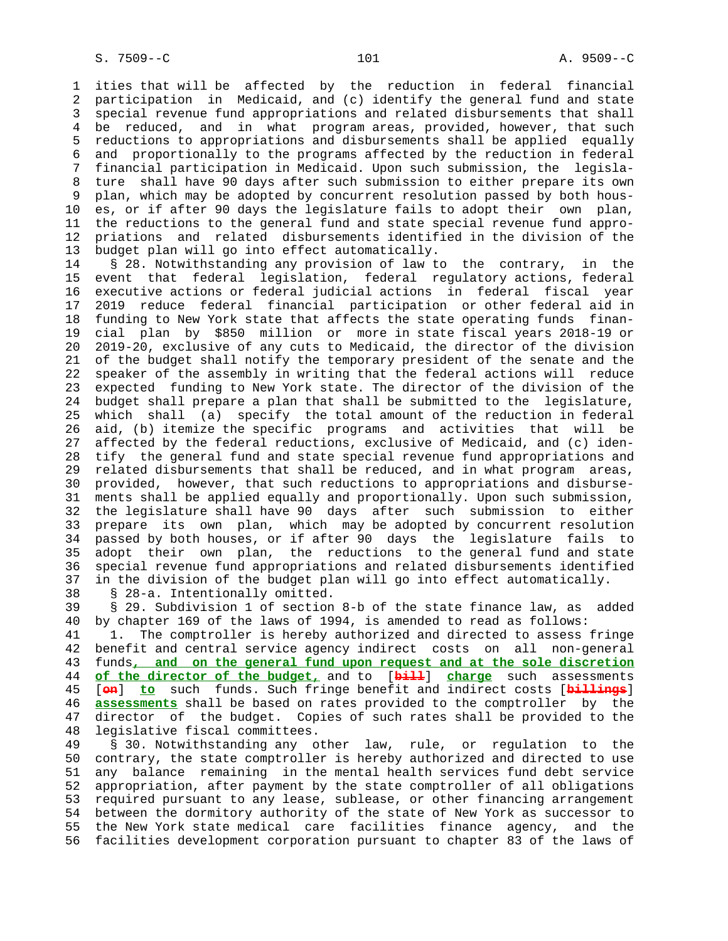1 ities that will be affected by the reduction in federal financial 2 participation in Medicaid, and (c) identify the general fund and state 3 special revenue fund appropriations and related disbursements that shall 4 be reduced, and in what program areas, provided, however, that such 5 reductions to appropriations and disbursements shall be applied equally 6 and proportionally to the programs affected by the reduction in federal 7 financial participation in Medicaid. Upon such submission, the legisla- 8 ture shall have 90 days after such submission to either prepare its own 9 plan, which may be adopted by concurrent resolution passed by both hous- 10 es, or if after 90 days the legislature fails to adopt their own plan, 11 the reductions to the general fund and state special revenue fund appro- 12 priations and related disbursements identified in the division of the 13 budget plan will go into effect automatically.

 14 § 28. Notwithstanding any provision of law to the contrary, in the 15 event that federal legislation, federal regulatory actions, federal 16 executive actions or federal judicial actions in federal fiscal year 17 2019 reduce federal financial participation or other federal aid in 18 funding to New York state that affects the state operating funds finan- 19 cial plan by \$850 million or more in state fiscal years 2018-19 or 20 2019-20, exclusive of any cuts to Medicaid, the director of the division 21 of the budget shall notify the temporary president of the senate and the 22 speaker of the assembly in writing that the federal actions will reduce 23 expected funding to New York state. The director of the division of the 24 budget shall prepare a plan that shall be submitted to the legislature, 25 which shall (a) specify the total amount of the reduction in federal 26 aid, (b) itemize the specific programs and activities that will be 27 affected by the federal reductions, exclusive of Medicaid, and (c) iden- 28 tify the general fund and state special revenue fund appropriations and 29 related disbursements that shall be reduced, and in what program areas, 30 provided, however, that such reductions to appropriations and disburse- 31 ments shall be applied equally and proportionally. Upon such submission, 32 the legislature shall have 90 days after such submission to either 33 prepare its own plan, which may be adopted by concurrent resolution 34 passed by both houses, or if after 90 days the legislature fails to 35 adopt their own plan, the reductions to the general fund and state 36 special revenue fund appropriations and related disbursements identified 37 in the division of the budget plan will go into effect automatically. 38 § 28-a. Intentionally omitted.

 39 § 29. Subdivision 1 of section 8-b of the state finance law, as added 40 by chapter 169 of the laws of 1994, is amended to read as follows:

 41 1. The comptroller is hereby authorized and directed to assess fringe 42 benefit and central service agency indirect costs on all non-general 43 funds**, and on the general fund upon request and at the sole discretion** 44 **of the director of the budget,** and to [**bill**] **charge** such assessments 45 [**on**] **to** such funds. Such fringe benefit and indirect costs [**billings**] 46 **assessments** shall be based on rates provided to the comptroller by the 47 director of the budget. Copies of such rates shall be provided to the 48 legislative fiscal committees.

 49 § 30. Notwithstanding any other law, rule, or regulation to the 50 contrary, the state comptroller is hereby authorized and directed to use 51 any balance remaining in the mental health services fund debt service 52 appropriation, after payment by the state comptroller of all obligations 53 required pursuant to any lease, sublease, or other financing arrangement 54 between the dormitory authority of the state of New York as successor to 55 the New York state medical care facilities finance agency, and the 56 facilities development corporation pursuant to chapter 83 of the laws of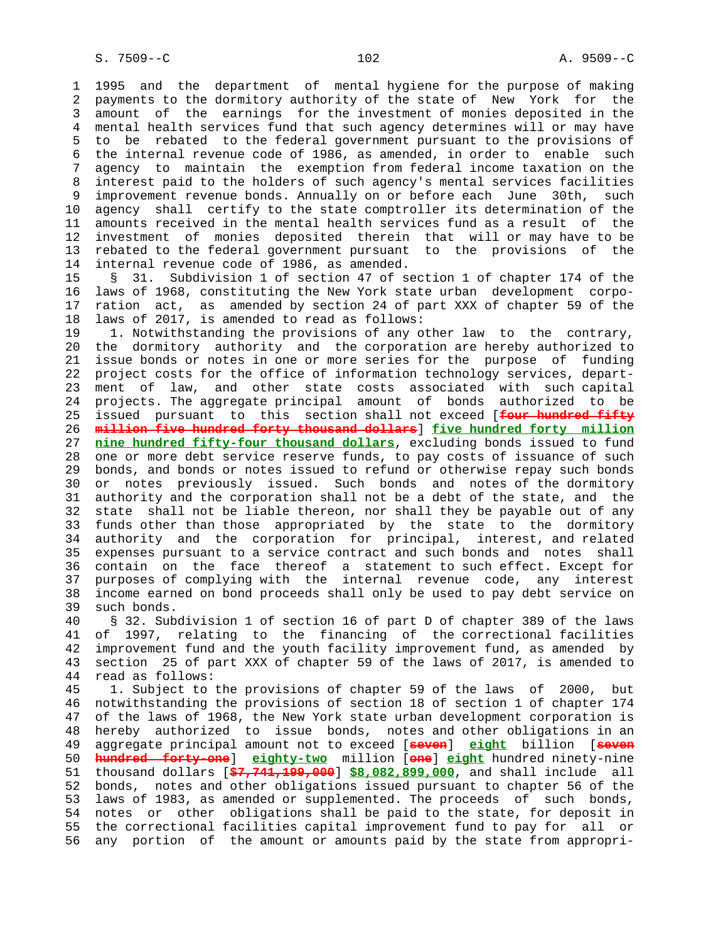1 1995 and the department of mental hygiene for the purpose of making 2 payments to the dormitory authority of the state of New York for the 3 amount of the earnings for the investment of monies deposited in the 4 mental health services fund that such agency determines will or may have 5 to be rebated to the federal government pursuant to the provisions of 6 the internal revenue code of 1986, as amended, in order to enable such 7 agency to maintain the exemption from federal income taxation on the 8 interest paid to the holders of such agency's mental services facilities 9 improvement revenue bonds. Annually on or before each June 30th, such 10 agency shall certify to the state comptroller its determination of the 11 amounts received in the mental health services fund as a result of the 12 investment of monies deposited therein that will or may have to be 13 rebated to the federal government pursuant to the provisions of the 14 internal revenue code of 1986, as amended.

 15 § 31. Subdivision 1 of section 47 of section 1 of chapter 174 of the 16 laws of 1968, constituting the New York state urban development corpo- 17 ration act, as amended by section 24 of part XXX of chapter 59 of the 18 laws of 2017, is amended to read as follows:

 19 1. Notwithstanding the provisions of any other law to the contrary, 20 the dormitory authority and the corporation are hereby authorized to 21 issue bonds or notes in one or more series for the purpose of funding 22 project costs for the office of information technology services, depart- 23 ment of law, and other state costs associated with such capital 24 projects. The aggregate principal amount of bonds authorized to be 25 issued pursuant to this section shall not exceed [**four hundred fifty** 26 **million five hundred forty thousand dollars**] **five hundred forty million** 27 **nine hundred fifty-four thousand dollars**, excluding bonds issued to fund 28 one or more debt service reserve funds, to pay costs of issuance of such 29 bonds, and bonds or notes issued to refund or otherwise repay such bonds 30 or notes previously issued. Such bonds and notes of the dormitory 31 authority and the corporation shall not be a debt of the state, and the 32 state shall not be liable thereon, nor shall they be payable out of any 33 funds other than those appropriated by the state to the dormitory 34 authority and the corporation for principal, interest, and related 35 expenses pursuant to a service contract and such bonds and notes shall 36 contain on the face thereof a statement to such effect. Except for 37 purposes of complying with the internal revenue code, any interest 38 income earned on bond proceeds shall only be used to pay debt service on 39 such bonds.

 40 § 32. Subdivision 1 of section 16 of part D of chapter 389 of the laws 41 of 1997, relating to the financing of the correctional facilities 42 improvement fund and the youth facility improvement fund, as amended by 43 section 25 of part XXX of chapter 59 of the laws of 2017, is amended to 44 read as follows:

 45 1. Subject to the provisions of chapter 59 of the laws of 2000, but 46 notwithstanding the provisions of section 18 of section 1 of chapter 174 47 of the laws of 1968, the New York state urban development corporation is 48 hereby authorized to issue bonds, notes and other obligations in an 49 aggregate principal amount not to exceed [**seven**] **eight** billion [**seven** 50 **hundred forty-one**] **eighty-two** million [**one**] **eight** hundred ninety-nine 51 thousand dollars [**\$7,741,199,000**] **\$8,082,899,000**, and shall include all 52 bonds, notes and other obligations issued pursuant to chapter 56 of the 53 laws of 1983, as amended or supplemented. The proceeds of such bonds, 54 notes or other obligations shall be paid to the state, for deposit in 55 the correctional facilities capital improvement fund to pay for all or 56 any portion of the amount or amounts paid by the state from appropri-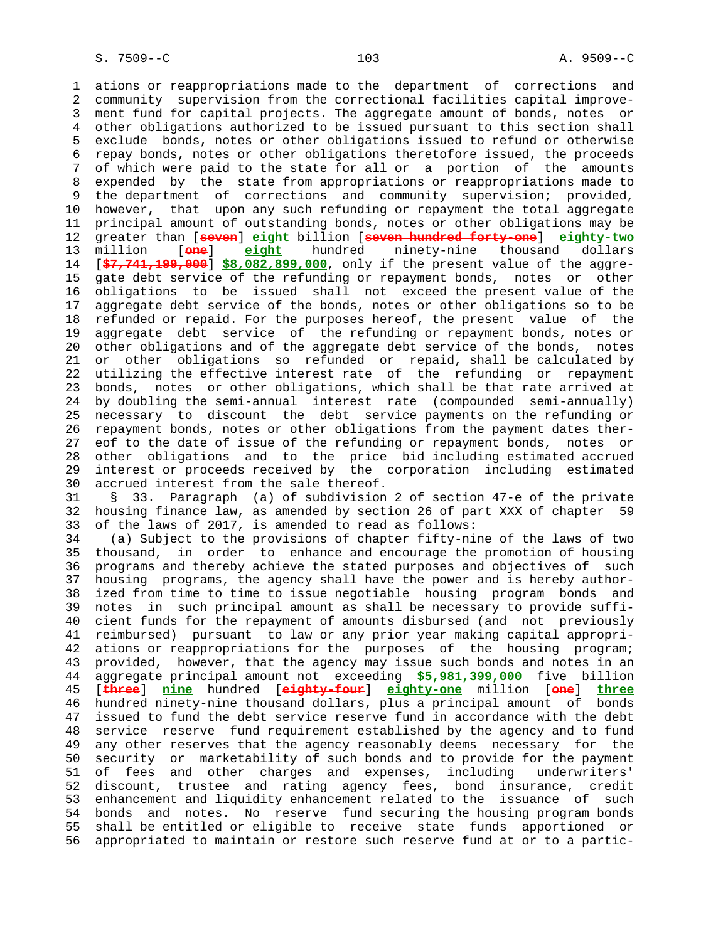1 ations or reappropriations made to the department of corrections and 2 community supervision from the correctional facilities capital improve- 3 ment fund for capital projects. The aggregate amount of bonds, notes or 4 other obligations authorized to be issued pursuant to this section shall 5 exclude bonds, notes or other obligations issued to refund or otherwise 6 repay bonds, notes or other obligations theretofore issued, the proceeds 7 of which were paid to the state for all or a portion of the amounts 8 expended by the state from appropriations or reappropriations made to<br>9 the department of corrections and community supervision; provided, the department of corrections and community supervision; provided, 10 however, that upon any such refunding or repayment the total aggregate 11 principal amount of outstanding bonds, notes or other obligations may be 12 greater than [**seven**] **eight** billion [**seven hundred forty-one**] **eighty-two** 13 million [**one**] **eight** hundred ninety-nine thousand dollars 14 [**\$7,741,199,000**] **\$8,082,899,000**, only if the present value of the aggre- 15 gate debt service of the refunding or repayment bonds, notes or other 16 obligations to be issued shall not exceed the present value of the 17 aggregate debt service of the bonds, notes or other obligations so to be 18 refunded or repaid. For the purposes hereof, the present value of the 19 aggregate debt service of the refunding or repayment bonds, notes or 20 other obligations and of the aggregate debt service of the bonds, notes 21 or other obligations so refunded or repaid, shall be calculated by 22 utilizing the effective interest rate of the refunding or repayment 23 bonds, notes or other obligations, which shall be that rate arrived at 24 by doubling the semi-annual interest rate (compounded semi-annually) 25 necessary to discount the debt service payments on the refunding or 26 repayment bonds, notes or other obligations from the payment dates ther- 27 eof to the date of issue of the refunding or repayment bonds, notes or 28 other obligations and to the price bid including estimated accrued 29 interest or proceeds received by the corporation including estimated 30 accrued interest from the sale thereof. 31 § 33. Paragraph (a) of subdivision 2 of section 47-e of the private 32 housing finance law, as amended by section 26 of part XXX of chapter 59 33 of the laws of 2017, is amended to read as follows: 34 (a) Subject to the provisions of chapter fifty-nine of the laws of two 35 thousand, in order to enhance and encourage the promotion of housing 36 programs and thereby achieve the stated purposes and objectives of such 37 housing programs, the agency shall have the power and is hereby author- 38 ized from time to time to issue negotiable housing program bonds and 39 notes in such principal amount as shall be necessary to provide suffi- 40 cient funds for the repayment of amounts disbursed (and not previously 41 reimbursed) pursuant to law or any prior year making capital appropri- 42 ations or reappropriations for the purposes of the housing program; 43 provided, however, that the agency may issue such bonds and notes in an 44 aggregate principal amount not exceeding **\$5,981,399,000** five billion 45 [**three**] **nine** hundred [**eighty-four**] **eighty-one** million [**one**] **three** 46 hundred ninety-nine thousand dollars, plus a principal amount of bonds 47 issued to fund the debt service reserve fund in accordance with the debt 48 service reserve fund requirement established by the agency and to fund 49 any other reserves that the agency reasonably deems necessary for the 50 security or marketability of such bonds and to provide for the payment 51 of fees and other charges and expenses, including underwriters' 52 discount, trustee and rating agency fees, bond insurance, credit

 53 enhancement and liquidity enhancement related to the issuance of such 54 bonds and notes. No reserve fund securing the housing program bonds 55 shall be entitled or eligible to receive state funds apportioned or 56 appropriated to maintain or restore such reserve fund at or to a partic-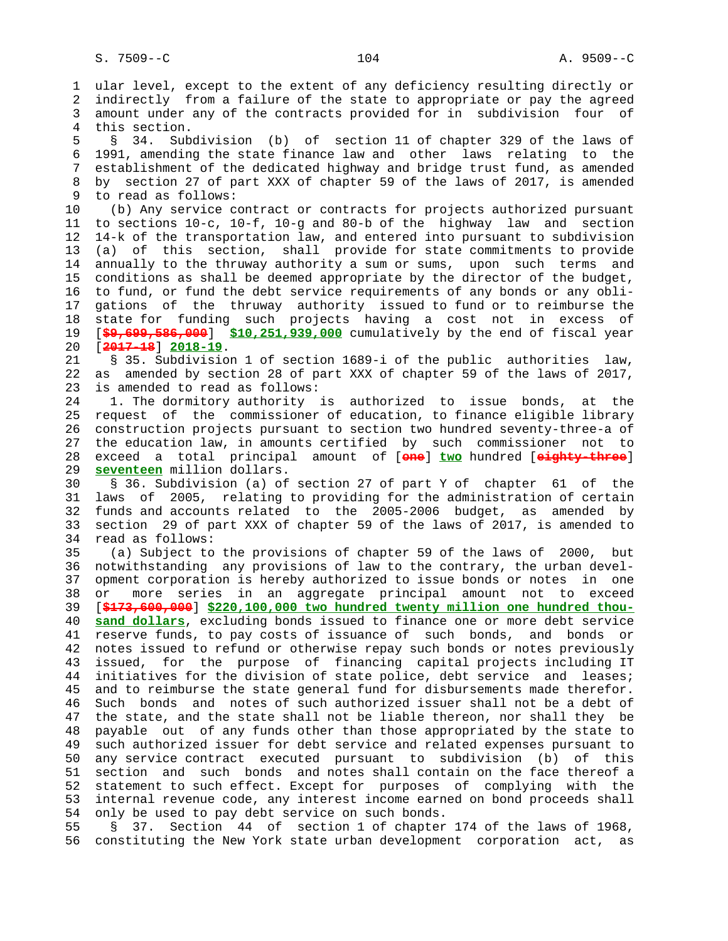1 ular level, except to the extent of any deficiency resulting directly or 2 indirectly from a failure of the state to appropriate or pay the agreed 3 amount under any of the contracts provided for in subdivision four of 4 this section. 5 § 34. Subdivision (b) of section 11 of chapter 329 of the laws of 6 1991, amending the state finance law and other laws relating to the 7 establishment of the dedicated highway and bridge trust fund, as amended 8 by section 27 of part XXX of chapter 59 of the laws of 2017, is amended to read as follows: to read as follows: 10 (b) Any service contract or contracts for projects authorized pursuant 11 to sections 10-c, 10-f, 10-g and 80-b of the highway law and section 12 14-k of the transportation law, and entered into pursuant to subdivision 13 (a) of this section, shall provide for state commitments to provide 14 annually to the thruway authority a sum or sums, upon such terms and 15 conditions as shall be deemed appropriate by the director of the budget, 16 to fund, or fund the debt service requirements of any bonds or any obli- 17 gations of the thruway authority issued to fund or to reimburse the 18 state for funding such projects having a cost not in excess of 19 [**\$9,699,586,000**] **\$10,251,939,000** cumulatively by the end of fiscal year 20 [**2017-18**] **2018-19**. 21 § 35. Subdivision 1 of section 1689-i of the public authorities law, 22 as amended by section 28 of part XXX of chapter 59 of the laws of 2017, 23 is amended to read as follows: 24 1. The dormitory authority is authorized to issue bonds, at the 25 request of the commissioner of education, to finance eligible library 26 construction projects pursuant to section two hundred seventy-three-a of 27 the education law, in amounts certified by such commissioner not to 28 exceed a total principal amount of [**one**] **two** hundred [**eighty-three**] 29 **seventeen** million dollars. 30 § 36. Subdivision (a) of section 27 of part Y of chapter 61 of the 31 laws of 2005, relating to providing for the administration of certain 32 funds and accounts related to the 2005-2006 budget, as amended by 33 section 29 of part XXX of chapter 59 of the laws of 2017, is amended to 34 read as follows: 35 (a) Subject to the provisions of chapter 59 of the laws of 2000, but 36 notwithstanding any provisions of law to the contrary, the urban devel- 37 opment corporation is hereby authorized to issue bonds or notes in one 38 or more series in an aggregate principal amount not to exceed 39 [**\$173,600,000**] **\$220,100,000 two hundred twenty million one hundred thou-** 40 **sand dollars**, excluding bonds issued to finance one or more debt service 41 reserve funds, to pay costs of issuance of such bonds, and bonds or 42 notes issued to refund or otherwise repay such bonds or notes previously 43 issued, for the purpose of financing capital projects including IT 44 initiatives for the division of state police, debt service and leases; 45 and to reimburse the state general fund for disbursements made therefor. 46 Such bonds and notes of such authorized issuer shall not be a debt of 47 the state, and the state shall not be liable thereon, nor shall they be 48 payable out of any funds other than those appropriated by the state to 49 such authorized issuer for debt service and related expenses pursuant to 50 any service contract executed pursuant to subdivision (b) of this 51 section and such bonds and notes shall contain on the face thereof a 52 statement to such effect. Except for purposes of complying with the 53 internal revenue code, any interest income earned on bond proceeds shall 54 only be used to pay debt service on such bonds.

 55 § 37. Section 44 of section 1 of chapter 174 of the laws of 1968, 56 constituting the New York state urban development corporation act, as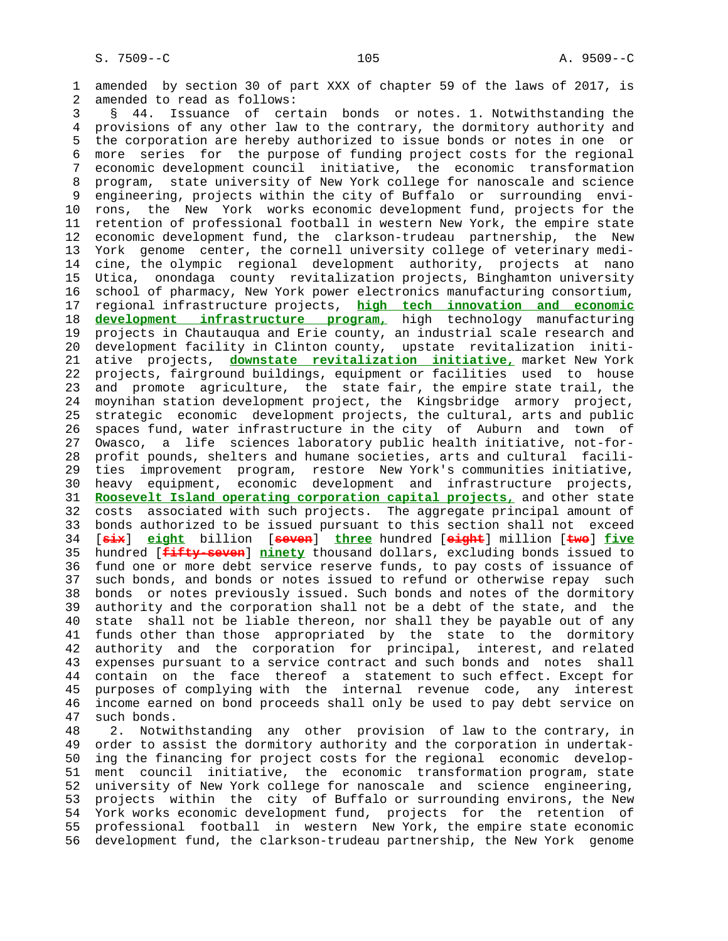1 amended by section 30 of part XXX of chapter 59 of the laws of 2017, is 2 amended to read as follows:

 3 § 44. Issuance of certain bonds or notes. 1. Notwithstanding the 4 provisions of any other law to the contrary, the dormitory authority and 5 the corporation are hereby authorized to issue bonds or notes in one or 6 more series for the purpose of funding project costs for the regional 7 economic development council initiative, the economic transformation 8 program, state university of New York college for nanoscale and science engineering, projects within the city of Buffalo or surrounding envi- 10 rons, the New York works economic development fund, projects for the 11 retention of professional football in western New York, the empire state 12 economic development fund, the clarkson-trudeau partnership, the New 13 York genome center, the cornell university college of veterinary medi- 14 cine, the olympic regional development authority, projects at nano 15 Utica, onondaga county revitalization projects, Binghamton university 16 school of pharmacy, New York power electronics manufacturing consortium, 17 regional infrastructure projects, **high tech innovation and economic** 18 **development infrastructure program,** high technology manufacturing 19 projects in Chautauqua and Erie county, an industrial scale research and 20 development facility in Clinton county, upstate revitalization initi- 21 ative projects, **downstate revitalization initiative,** market New York 22 projects, fairground buildings, equipment or facilities used to house 23 and promote agriculture, the state fair, the empire state trail, the 24 moynihan station development project, the Kingsbridge armory project, 25 strategic economic development projects, the cultural, arts and public 26 spaces fund, water infrastructure in the city of Auburn and town of 27 Owasco, a life sciences laboratory public health initiative, not-for- 28 profit pounds, shelters and humane societies, arts and cultural facili- 29 ties improvement program, restore New York's communities initiative, 30 heavy equipment, economic development and infrastructure projects, 31 **Roosevelt Island operating corporation capital projects,** and other state 32 costs associated with such projects. The aggregate principal amount of 33 bonds authorized to be issued pursuant to this section shall not exceed 34 [**six**] **eight** billion [**seven**] **three** hundred [**eight**] million [**two**] **five** 35 hundred [**fifty-seven**] **ninety** thousand dollars, excluding bonds issued to 36 fund one or more debt service reserve funds, to pay costs of issuance of 37 such bonds, and bonds or notes issued to refund or otherwise repay such 38 bonds or notes previously issued. Such bonds and notes of the dormitory 39 authority and the corporation shall not be a debt of the state, and the 40 state shall not be liable thereon, nor shall they be payable out of any 41 funds other than those appropriated by the state to the dormitory 42 authority and the corporation for principal, interest, and related 43 expenses pursuant to a service contract and such bonds and notes shall 44 contain on the face thereof a statement to such effect. Except for 45 purposes of complying with the internal revenue code, any interest 46 income earned on bond proceeds shall only be used to pay debt service on 47 such bonds.

 48 2. Notwithstanding any other provision of law to the contrary, in 49 order to assist the dormitory authority and the corporation in undertak- 50 ing the financing for project costs for the regional economic develop- 51 ment council initiative, the economic transformation program, state 52 university of New York college for nanoscale and science engineering, 53 projects within the city of Buffalo or surrounding environs, the New 54 York works economic development fund, projects for the retention of 55 professional football in western New York, the empire state economic 56 development fund, the clarkson-trudeau partnership, the New York genome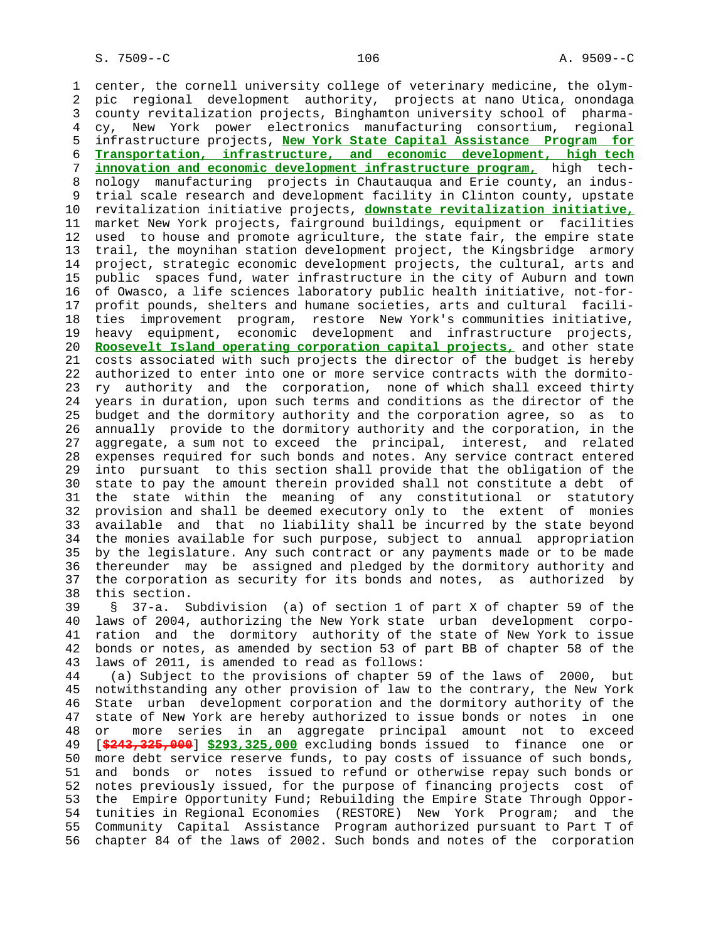1 center, the cornell university college of veterinary medicine, the olym- 2 pic regional development authority, projects at nano Utica, onondaga 3 county revitalization projects, Binghamton university school of pharma- 4 cy, New York power electronics manufacturing consortium, regional 5 infrastructure projects, **New York State Capital Assistance Program for** 6 **Transportation, infrastructure, and economic development, high tech** 7 **innovation and economic development infrastructure program,** high tech- 8 nology manufacturing projects in Chautauqua and Erie county, an indus trial scale research and development facility in Clinton county, upstate 10 revitalization initiative projects, **downstate revitalization initiative,** 11 market New York projects, fairground buildings, equipment or facilities 12 used to house and promote agriculture, the state fair, the empire state 13 trail, the moynihan station development project, the Kingsbridge armory 14 project, strategic economic development projects, the cultural, arts and 15 public spaces fund, water infrastructure in the city of Auburn and town 16 of Owasco, a life sciences laboratory public health initiative, not-for- 17 profit pounds, shelters and humane societies, arts and cultural facili- 18 ties improvement program, restore New York's communities initiative, 19 heavy equipment, economic development and infrastructure projects, 20 **Roosevelt Island operating corporation capital projects,** and other state 21 costs associated with such projects the director of the budget is hereby 22 authorized to enter into one or more service contracts with the dormito- 23 ry authority and the corporation, none of which shall exceed thirty 24 years in duration, upon such terms and conditions as the director of the 25 budget and the dormitory authority and the corporation agree, so as to 26 annually provide to the dormitory authority and the corporation, in the 27 aggregate, a sum not to exceed the principal, interest, and related 28 expenses required for such bonds and notes. Any service contract entered 29 into pursuant to this section shall provide that the obligation of the 30 state to pay the amount therein provided shall not constitute a debt of 31 the state within the meaning of any constitutional or statutory 32 provision and shall be deemed executory only to the extent of monies 33 available and that no liability shall be incurred by the state beyond 34 the monies available for such purpose, subject to annual appropriation 35 by the legislature. Any such contract or any payments made or to be made 36 thereunder may be assigned and pledged by the dormitory authority and 37 the corporation as security for its bonds and notes, as authorized by 38 this section.

 39 § 37-a. Subdivision (a) of section 1 of part X of chapter 59 of the 40 laws of 2004, authorizing the New York state urban development corpo- 41 ration and the dormitory authority of the state of New York to issue 42 bonds or notes, as amended by section 53 of part BB of chapter 58 of the 43 laws of 2011, is amended to read as follows:

 44 (a) Subject to the provisions of chapter 59 of the laws of 2000, but 45 notwithstanding any other provision of law to the contrary, the New York 46 State urban development corporation and the dormitory authority of the 47 state of New York are hereby authorized to issue bonds or notes in one 48 or more series in an aggregate principal amount not to exceed 49 [**\$243,325,000**] **\$293,325,000** excluding bonds issued to finance one or 50 more debt service reserve funds, to pay costs of issuance of such bonds, 51 and bonds or notes issued to refund or otherwise repay such bonds or 52 notes previously issued, for the purpose of financing projects cost of 53 the Empire Opportunity Fund; Rebuilding the Empire State Through Oppor- 54 tunities in Regional Economies (RESTORE) New York Program; and the 55 Community Capital Assistance Program authorized pursuant to Part T of 56 chapter 84 of the laws of 2002. Such bonds and notes of the corporation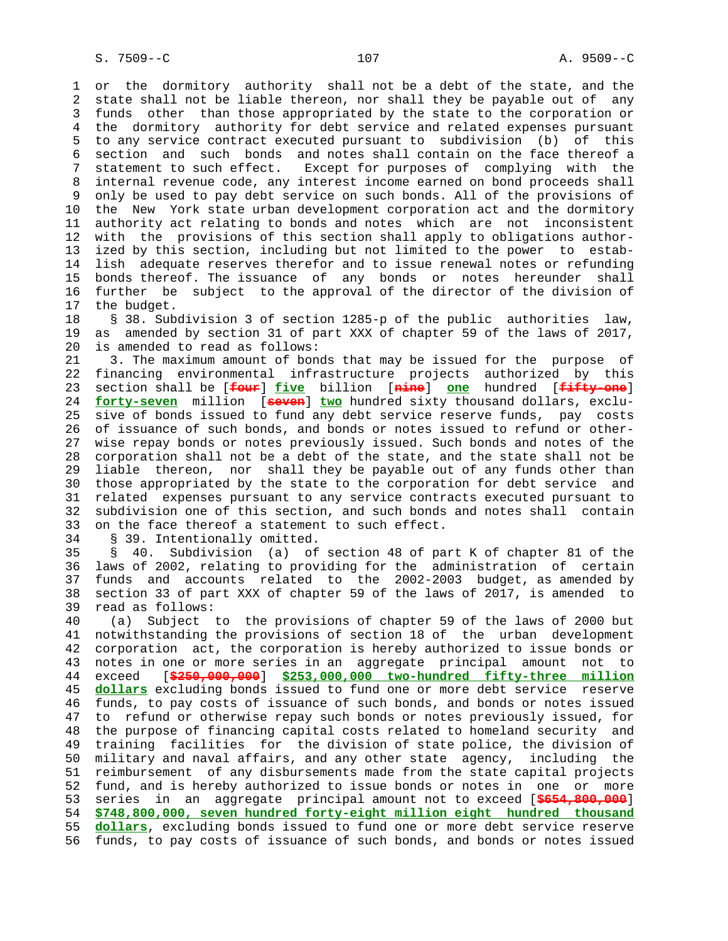1 or the dormitory authority shall not be a debt of the state, and the 2 state shall not be liable thereon, nor shall they be payable out of any 3 funds other than those appropriated by the state to the corporation or 4 the dormitory authority for debt service and related expenses pursuant 5 to any service contract executed pursuant to subdivision (b) of this 6 section and such bonds and notes shall contain on the face thereof a 7 statement to such effect. Except for purposes of complying with the 8 internal revenue code, any interest income earned on bond proceeds shall 9 only be used to pay debt service on such bonds. All of the provisions of 10 the New York state urban development corporation act and the dormitory 11 authority act relating to bonds and notes which are not inconsistent 12 with the provisions of this section shall apply to obligations author- 13 ized by this section, including but not limited to the power to estab- 14 lish adequate reserves therefor and to issue renewal notes or refunding 15 bonds thereof. The issuance of any bonds or notes hereunder shall 16 further be subject to the approval of the director of the division of 17 the budget.

 18 § 38. Subdivision 3 of section 1285-p of the public authorities law, 19 as amended by section 31 of part XXX of chapter 59 of the laws of 2017, 20 is amended to read as follows:

 21 3. The maximum amount of bonds that may be issued for the purpose of 22 financing environmental infrastructure projects authorized by this 23 section shall be [**four**] **five** billion [**nine**] **one** hundred [**fifty-one**] 24 **forty-seven** million [**seven**] **two** hundred sixty thousand dollars, exclu- 25 sive of bonds issued to fund any debt service reserve funds, pay costs 26 of issuance of such bonds, and bonds or notes issued to refund or other- 27 wise repay bonds or notes previously issued. Such bonds and notes of the 28 corporation shall not be a debt of the state, and the state shall not be 29 liable thereon, nor shall they be payable out of any funds other than 30 those appropriated by the state to the corporation for debt service and 31 related expenses pursuant to any service contracts executed pursuant to 32 subdivision one of this section, and such bonds and notes shall contain 33 on the face thereof a statement to such effect.

34 § 39. Intentionally omitted.

 35 § 40. Subdivision (a) of section 48 of part K of chapter 81 of the 36 laws of 2002, relating to providing for the administration of certain 37 funds and accounts related to the 2002-2003 budget, as amended by 38 section 33 of part XXX of chapter 59 of the laws of 2017, is amended to 39 read as follows:

 40 (a) Subject to the provisions of chapter 59 of the laws of 2000 but 41 notwithstanding the provisions of section 18 of the urban development 42 corporation act, the corporation is hereby authorized to issue bonds or 43 notes in one or more series in an aggregate principal amount not to 44 exceed [**\$250,000,000**] **\$253,000,000 two-hundred fifty-three million** 45 **dollars** excluding bonds issued to fund one or more debt service reserve 46 funds, to pay costs of issuance of such bonds, and bonds or notes issued 47 to refund or otherwise repay such bonds or notes previously issued, for 48 the purpose of financing capital costs related to homeland security and 49 training facilities for the division of state police, the division of 50 military and naval affairs, and any other state agency, including the 51 reimbursement of any disbursements made from the state capital projects 52 fund, and is hereby authorized to issue bonds or notes in one or more 53 series in an aggregate principal amount not to exceed [**\$654,800,000**] 54 **\$748,800,000, seven hundred forty-eight million eight hundred thousand** 55 **dollars**, excluding bonds issued to fund one or more debt service reserve 56 funds, to pay costs of issuance of such bonds, and bonds or notes issued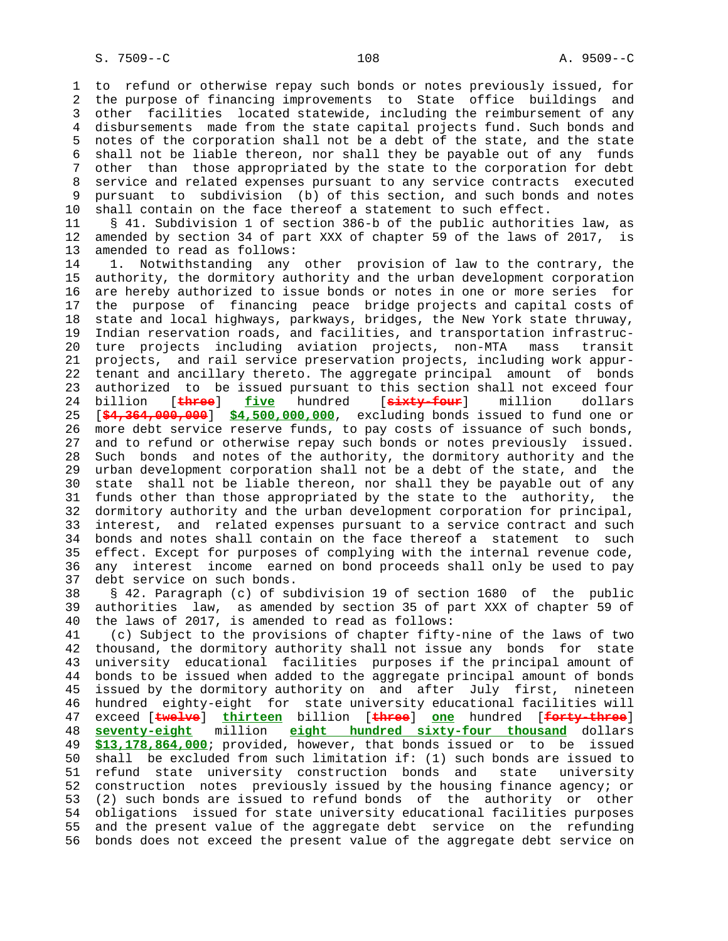1 to refund or otherwise repay such bonds or notes previously issued, for 2 the purpose of financing improvements to State office buildings and 3 other facilities located statewide, including the reimbursement of any 4 disbursements made from the state capital projects fund. Such bonds and 5 notes of the corporation shall not be a debt of the state, and the state 6 shall not be liable thereon, nor shall they be payable out of any funds 7 other than those appropriated by the state to the corporation for debt 8 service and related expenses pursuant to any service contracts executed<br>8 pursuant to subdivision (b) of this section, and such bonds and notes pursuant to subdivision (b) of this section, and such bonds and notes 10 shall contain on the face thereof a statement to such effect. 11 § 41. Subdivision 1 of section 386-b of the public authorities law, as 12 amended by section 34 of part XXX of chapter 59 of the laws of 2017, is 13 amended to read as follows: 14 1. Notwithstanding any other provision of law to the contrary, the 15 authority, the dormitory authority and the urban development corporation 16 are hereby authorized to issue bonds or notes in one or more series for 17 the purpose of financing peace bridge projects and capital costs of 18 state and local highways, parkways, bridges, the New York state thruway, 19 Indian reservation roads, and facilities, and transportation infrastruc- 20 ture projects including aviation projects, non-MTA mass transit 21 projects, and rail service preservation projects, including work appur- 22 tenant and ancillary thereto. The aggregate principal amount of bonds 23 authorized to be issued pursuant to this section shall not exceed four 24 billion [**three**] **five** hundred [**sixty-four**] million dollars 25 [**\$4,364,000,000**] **\$4,500,000,000**, excluding bonds issued to fund one or 26 more debt service reserve funds, to pay costs of issuance of such bonds, 27 and to refund or otherwise repay such bonds or notes previously issued. 28 Such bonds and notes of the authority, the dormitory authority and the 29 urban development corporation shall not be a debt of the state, and the 30 state shall not be liable thereon, nor shall they be payable out of any 31 funds other than those appropriated by the state to the authority, the 32 dormitory authority and the urban development corporation for principal, 33 interest, and related expenses pursuant to a service contract and such 34 bonds and notes shall contain on the face thereof a statement to such 35 effect. Except for purposes of complying with the internal revenue code, 36 any interest income earned on bond proceeds shall only be used to pay 37 debt service on such bonds. 38 § 42. Paragraph (c) of subdivision 19 of section 1680 of the public 39 authorities law, as amended by section 35 of part XXX of chapter 59 of 40 the laws of 2017, is amended to read as follows: 41 (c) Subject to the provisions of chapter fifty-nine of the laws of two 42 thousand, the dormitory authority shall not issue any bonds for state 43 university educational facilities purposes if the principal amount of 44 bonds to be issued when added to the aggregate principal amount of bonds 45 issued by the dormitory authority on and after July first, nineteen 46 hundred eighty-eight for state university educational facilities will 47 exceed [**twelve**] **thirteen** billion [**three**] **one** hundred [**forty-three**] 48 **seventy-eight** million **eight hundred sixty-four thousand** dollars 49 **\$13,178,864,000**; provided, however, that bonds issued or to be issued 50 shall be excluded from such limitation if: (1) such bonds are issued to 51 refund state university construction bonds and state university 52 construction notes previously issued by the housing finance agency; or 53 (2) such bonds are issued to refund bonds of the authority or other 54 obligations issued for state university educational facilities purposes 55 and the present value of the aggregate debt service on the refunding

56 bonds does not exceed the present value of the aggregate debt service on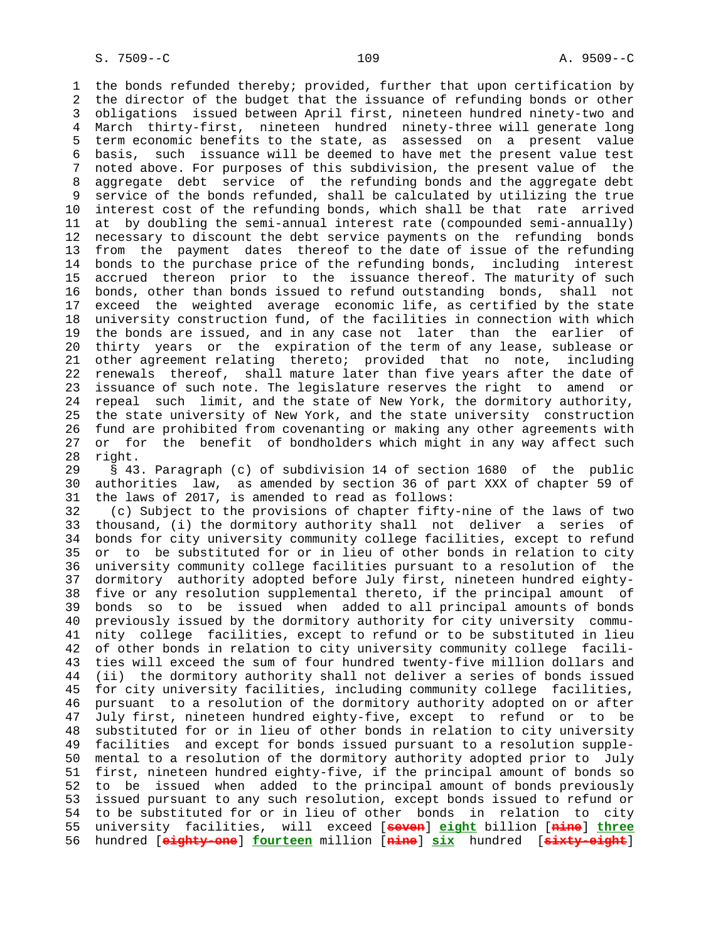1 the bonds refunded thereby; provided, further that upon certification by 2 the director of the budget that the issuance of refunding bonds or other 3 obligations issued between April first, nineteen hundred ninety-two and 4 March thirty-first, nineteen hundred ninety-three will generate long 5 term economic benefits to the state, as assessed on a present value 6 basis, such issuance will be deemed to have met the present value test 7 noted above. For purposes of this subdivision, the present value of the 8 aggregate debt service of the refunding bonds and the aggregate debt<br>9 service of the bonds refunded, shall be calculated by utilizing the true service of the bonds refunded, shall be calculated by utilizing the true 10 interest cost of the refunding bonds, which shall be that rate arrived 11 at by doubling the semi-annual interest rate (compounded semi-annually) 12 necessary to discount the debt service payments on the refunding bonds 13 from the payment dates thereof to the date of issue of the refunding 14 bonds to the purchase price of the refunding bonds, including interest 15 accrued thereon prior to the issuance thereof. The maturity of such 16 bonds, other than bonds issued to refund outstanding bonds, shall not 17 exceed the weighted average economic life, as certified by the state 18 university construction fund, of the facilities in connection with which 19 the bonds are issued, and in any case not later than the earlier of 20 thirty years or the expiration of the term of any lease, sublease or 21 other agreement relating thereto; provided that no note, including 22 renewals thereof, shall mature later than five years after the date of 23 issuance of such note. The legislature reserves the right to amend or 24 repeal such limit, and the state of New York, the dormitory authority, 25 the state university of New York, and the state university construction 26 fund are prohibited from covenanting or making any other agreements with 27 or for the benefit of bondholders which might in any way affect such 28 right.

 29 § 43. Paragraph (c) of subdivision 14 of section 1680 of the public 30 authorities law, as amended by section 36 of part XXX of chapter 59 of 31 the laws of 2017, is amended to read as follows:

 32 (c) Subject to the provisions of chapter fifty-nine of the laws of two 33 thousand, (i) the dormitory authority shall not deliver a series of 34 bonds for city university community college facilities, except to refund 35 or to be substituted for or in lieu of other bonds in relation to city 36 university community college facilities pursuant to a resolution of the 37 dormitory authority adopted before July first, nineteen hundred eighty- 38 five or any resolution supplemental thereto, if the principal amount of 39 bonds so to be issued when added to all principal amounts of bonds 40 previously issued by the dormitory authority for city university commu- 41 nity college facilities, except to refund or to be substituted in lieu 42 of other bonds in relation to city university community college facili- 43 ties will exceed the sum of four hundred twenty-five million dollars and 44 (ii) the dormitory authority shall not deliver a series of bonds issued 45 for city university facilities, including community college facilities, 46 pursuant to a resolution of the dormitory authority adopted on or after 47 July first, nineteen hundred eighty-five, except to refund or to be 48 substituted for or in lieu of other bonds in relation to city university 49 facilities and except for bonds issued pursuant to a resolution supple- 50 mental to a resolution of the dormitory authority adopted prior to July 51 first, nineteen hundred eighty-five, if the principal amount of bonds so 52 to be issued when added to the principal amount of bonds previously 53 issued pursuant to any such resolution, except bonds issued to refund or 54 to be substituted for or in lieu of other bonds in relation to city 55 university facilities, will exceed [**seven**] **eight** billion [**nine**] **three** 56 hundred [**eighty-one**] **fourteen** million [**nine**] **six** hundred [**sixty-eight**]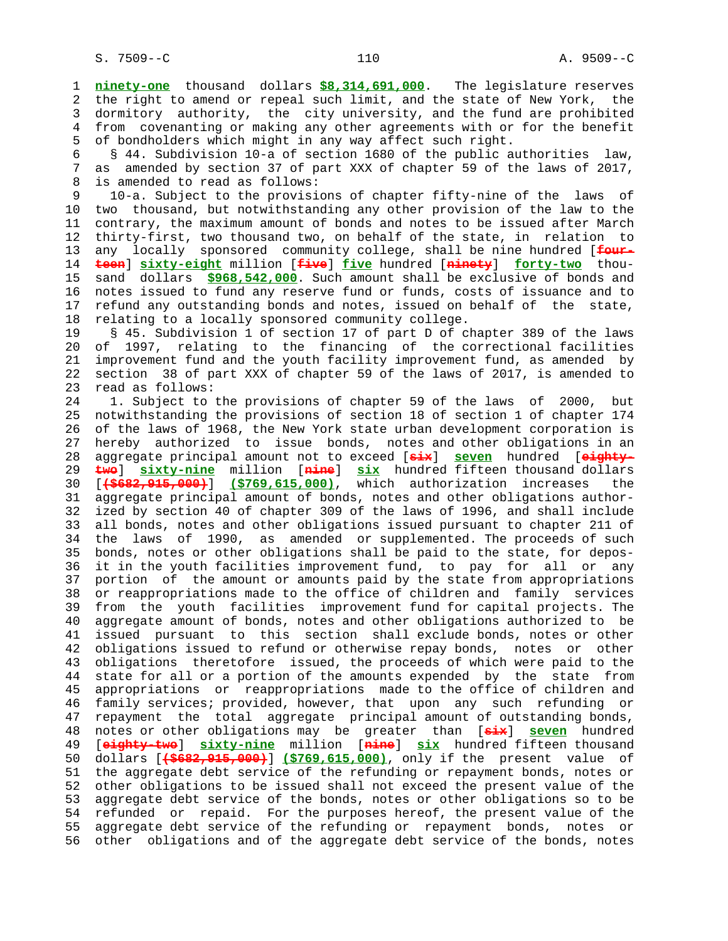1 **ninety-one** thousand dollars **\$8,314,691,000**. The legislature reserves 2 the right to amend or repeal such limit, and the state of New York, the 3 dormitory authority, the city university, and the fund are prohibited 4 from covenanting or making any other agreements with or for the benefit 5 of bondholders which might in any way affect such right.

 6 § 44. Subdivision 10-a of section 1680 of the public authorities law, 7 as amended by section 37 of part XXX of chapter 59 of the laws of 2017, 8 is amended to read as follows:

 9 10-a. Subject to the provisions of chapter fifty-nine of the laws of 10 two thousand, but notwithstanding any other provision of the law to the 11 contrary, the maximum amount of bonds and notes to be issued after March 12 thirty-first, two thousand two, on behalf of the state, in relation to 13 any locally sponsored community college, shall be nine hundred [**four-** 14 **teen**] **sixty-eight** million [**five**] **five** hundred [**ninety**] **forty-two** thou- 15 sand dollars **\$968,542,000**. Such amount shall be exclusive of bonds and 16 notes issued to fund any reserve fund or funds, costs of issuance and to 17 refund any outstanding bonds and notes, issued on behalf of the state, 18 relating to a locally sponsored community college.

 19 § 45. Subdivision 1 of section 17 of part D of chapter 389 of the laws 20 of 1997, relating to the financing of the correctional facilities 21 improvement fund and the youth facility improvement fund, as amended by 22 section 38 of part XXX of chapter 59 of the laws of 2017, is amended to 23 read as follows:

 24 1. Subject to the provisions of chapter 59 of the laws of 2000, but 25 notwithstanding the provisions of section 18 of section 1 of chapter 174 26 of the laws of 1968, the New York state urban development corporation is 27 hereby authorized to issue bonds, notes and other obligations in an 28 aggregate principal amount not to exceed [**six**] **seven** hundred [**eighty-** 29 **two**] **sixty-nine** million [**nine**] **six** hundred fifteen thousand dollars 30 [**(\$682,915,000)**] **(\$769,615,000)**, which authorization increases the 31 aggregate principal amount of bonds, notes and other obligations author- 32 ized by section 40 of chapter 309 of the laws of 1996, and shall include 33 all bonds, notes and other obligations issued pursuant to chapter 211 of 34 the laws of 1990, as amended or supplemented. The proceeds of such 35 bonds, notes or other obligations shall be paid to the state, for depos- 36 it in the youth facilities improvement fund, to pay for all or any 37 portion of the amount or amounts paid by the state from appropriations 38 or reappropriations made to the office of children and family services 39 from the youth facilities improvement fund for capital projects. The 40 aggregate amount of bonds, notes and other obligations authorized to be 41 issued pursuant to this section shall exclude bonds, notes or other 42 obligations issued to refund or otherwise repay bonds, notes or other 43 obligations theretofore issued, the proceeds of which were paid to the 44 state for all or a portion of the amounts expended by the state from 45 appropriations or reappropriations made to the office of children and 46 family services; provided, however, that upon any such refunding or 47 repayment the total aggregate principal amount of outstanding bonds, 48 notes or other obligations may be greater than [**six**] **seven** hundred 49 [**eighty-two**] **sixty-nine** million [**nine**] **six** hundred fifteen thousand 50 dollars [**(\$682,915,000)**] **(\$769,615,000)**, only if the present value of 51 the aggregate debt service of the refunding or repayment bonds, notes or 52 other obligations to be issued shall not exceed the present value of the 53 aggregate debt service of the bonds, notes or other obligations so to be 54 refunded or repaid. For the purposes hereof, the present value of the 55 aggregate debt service of the refunding or repayment bonds, notes or 56 other obligations and of the aggregate debt service of the bonds, notes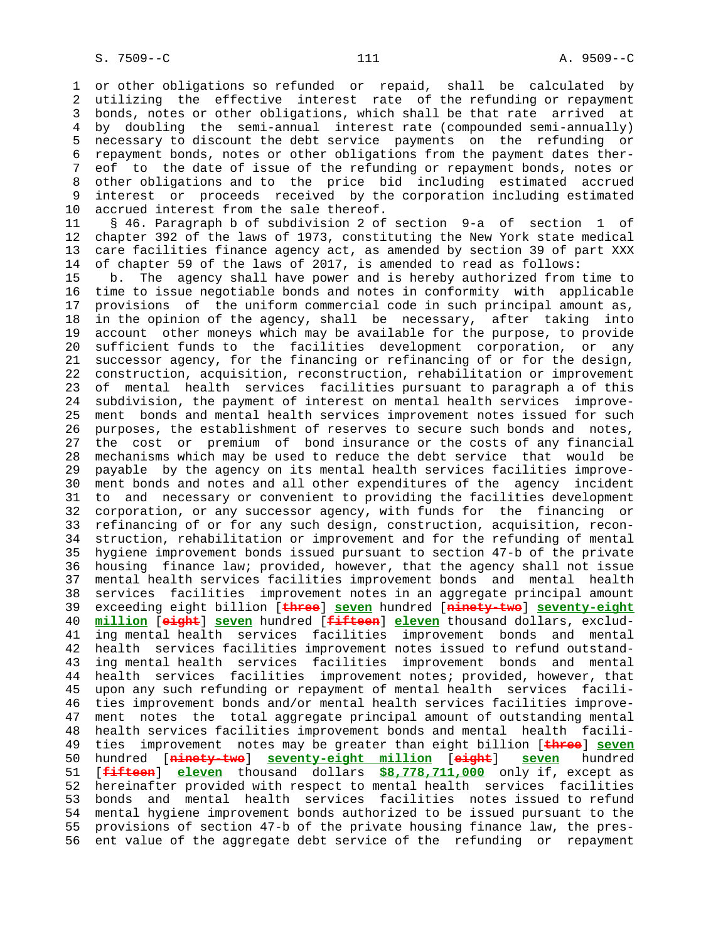1 or other obligations so refunded or repaid, shall be calculated by 2 utilizing the effective interest rate of the refunding or repayment 3 bonds, notes or other obligations, which shall be that rate arrived at 4 by doubling the semi-annual interest rate (compounded semi-annually) 5 necessary to discount the debt service payments on the refunding or 6 repayment bonds, notes or other obligations from the payment dates ther- 7 eof to the date of issue of the refunding or repayment bonds, notes or 8 other obligations and to the price bid including estimated accrued interest or proceeds received by the corporation including estimated 10 accrued interest from the sale thereof.

 11 § 46. Paragraph b of subdivision 2 of section 9-a of section 1 of 12 chapter 392 of the laws of 1973, constituting the New York state medical 13 care facilities finance agency act, as amended by section 39 of part XXX 14 of chapter 59 of the laws of 2017, is amended to read as follows:

 15 b. The agency shall have power and is hereby authorized from time to 16 time to issue negotiable bonds and notes in conformity with applicable 17 provisions of the uniform commercial code in such principal amount as, 18 in the opinion of the agency, shall be necessary, after taking into 19 account other moneys which may be available for the purpose, to provide 20 sufficient funds to the facilities development corporation, or any 21 successor agency, for the financing or refinancing of or for the design, 22 construction, acquisition, reconstruction, rehabilitation or improvement 23 of mental health services facilities pursuant to paragraph a of this 24 subdivision, the payment of interest on mental health services improve- 25 ment bonds and mental health services improvement notes issued for such 26 purposes, the establishment of reserves to secure such bonds and notes, 27 the cost or premium of bond insurance or the costs of any financial 28 mechanisms which may be used to reduce the debt service that would be 29 payable by the agency on its mental health services facilities improve- 30 ment bonds and notes and all other expenditures of the agency incident 31 to and necessary or convenient to providing the facilities development 32 corporation, or any successor agency, with funds for the financing or 33 refinancing of or for any such design, construction, acquisition, recon- 34 struction, rehabilitation or improvement and for the refunding of mental 35 hygiene improvement bonds issued pursuant to section 47-b of the private 36 housing finance law; provided, however, that the agency shall not issue 37 mental health services facilities improvement bonds and mental health 38 services facilities improvement notes in an aggregate principal amount 39 exceeding eight billion [**three**] **seven** hundred [**ninety-two**] **seventy-eight** 40 **million** [**eight**] **seven** hundred [**fifteen**] **eleven** thousand dollars, exclud- 41 ing mental health services facilities improvement bonds and mental 42 health services facilities improvement notes issued to refund outstand- 43 ing mental health services facilities improvement bonds and mental 44 health services facilities improvement notes; provided, however, that 45 upon any such refunding or repayment of mental health services facili- 46 ties improvement bonds and/or mental health services facilities improve- 47 ment notes the total aggregate principal amount of outstanding mental 48 health services facilities improvement bonds and mental health facili- 49 ties improvement notes may be greater than eight billion [**three**] **seven** 50 hundred [**ninety-two**] **seventy-eight million** [**eight**] **seven** hundred 51 [**fifteen**] **eleven** thousand dollars **\$8,778,711,000** only if, except as 52 hereinafter provided with respect to mental health services facilities 53 bonds and mental health services facilities notes issued to refund 54 mental hygiene improvement bonds authorized to be issued pursuant to the 55 provisions of section 47-b of the private housing finance law, the pres- 56 ent value of the aggregate debt service of the refunding or repayment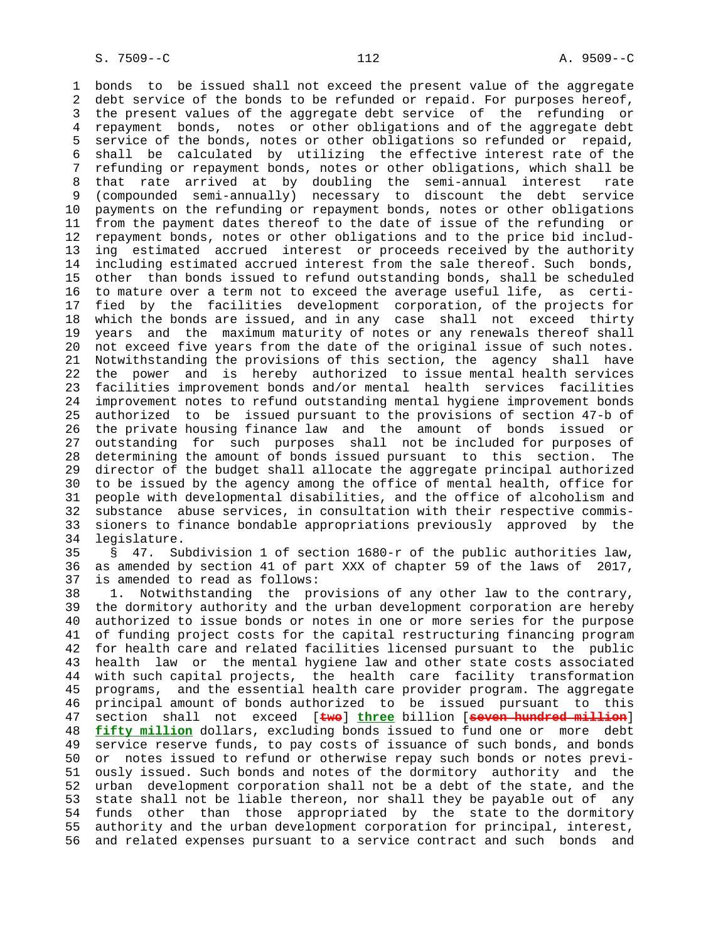1 bonds to be issued shall not exceed the present value of the aggregate 2 debt service of the bonds to be refunded or repaid. For purposes hereof, 3 the present values of the aggregate debt service of the refunding or 4 repayment bonds, notes or other obligations and of the aggregate debt 5 service of the bonds, notes or other obligations so refunded or repaid, 6 shall be calculated by utilizing the effective interest rate of the 7 refunding or repayment bonds, notes or other obligations, which shall be 8 that rate arrived at by doubling the semi-annual interest rate 9 (compounded semi-annually) necessary to discount the debt service 10 payments on the refunding or repayment bonds, notes or other obligations 11 from the payment dates thereof to the date of issue of the refunding or 12 repayment bonds, notes or other obligations and to the price bid includ- 13 ing estimated accrued interest or proceeds received by the authority 14 including estimated accrued interest from the sale thereof. Such bonds, 15 other than bonds issued to refund outstanding bonds, shall be scheduled 16 to mature over a term not to exceed the average useful life, as certi- 17 fied by the facilities development corporation, of the projects for 18 which the bonds are issued, and in any case shall not exceed thirty 19 years and the maximum maturity of notes or any renewals thereof shall 20 not exceed five years from the date of the original issue of such notes. 21 Notwithstanding the provisions of this section, the agency shall have 22 the power and is hereby authorized to issue mental health services 23 facilities improvement bonds and/or mental health services facilities 24 improvement notes to refund outstanding mental hygiene improvement bonds 25 authorized to be issued pursuant to the provisions of section 47-b of 26 the private housing finance law and the amount of bonds issued or 27 outstanding for such purposes shall not be included for purposes of 28 determining the amount of bonds issued pursuant to this section. The 29 director of the budget shall allocate the aggregate principal authorized 30 to be issued by the agency among the office of mental health, office for 31 people with developmental disabilities, and the office of alcoholism and 32 substance abuse services, in consultation with their respective commis- 33 sioners to finance bondable appropriations previously approved by the 34 legislature.

 35 § 47. Subdivision 1 of section 1680-r of the public authorities law, 36 as amended by section 41 of part XXX of chapter 59 of the laws of 2017, 37 is amended to read as follows:

 38 1. Notwithstanding the provisions of any other law to the contrary, 39 the dormitory authority and the urban development corporation are hereby 40 authorized to issue bonds or notes in one or more series for the purpose 41 of funding project costs for the capital restructuring financing program 42 for health care and related facilities licensed pursuant to the public 43 health law or the mental hygiene law and other state costs associated 44 with such capital projects, the health care facility transformation 45 programs, and the essential health care provider program. The aggregate 46 principal amount of bonds authorized to be issued pursuant to this 47 section shall not exceed [**two**] **three** billion [**seven hundred million**] 48 **fifty million** dollars, excluding bonds issued to fund one or more debt 49 service reserve funds, to pay costs of issuance of such bonds, and bonds 50 or notes issued to refund or otherwise repay such bonds or notes previ- 51 ously issued. Such bonds and notes of the dormitory authority and the 52 urban development corporation shall not be a debt of the state, and the 53 state shall not be liable thereon, nor shall they be payable out of any 54 funds other than those appropriated by the state to the dormitory 55 authority and the urban development corporation for principal, interest, 56 and related expenses pursuant to a service contract and such bonds and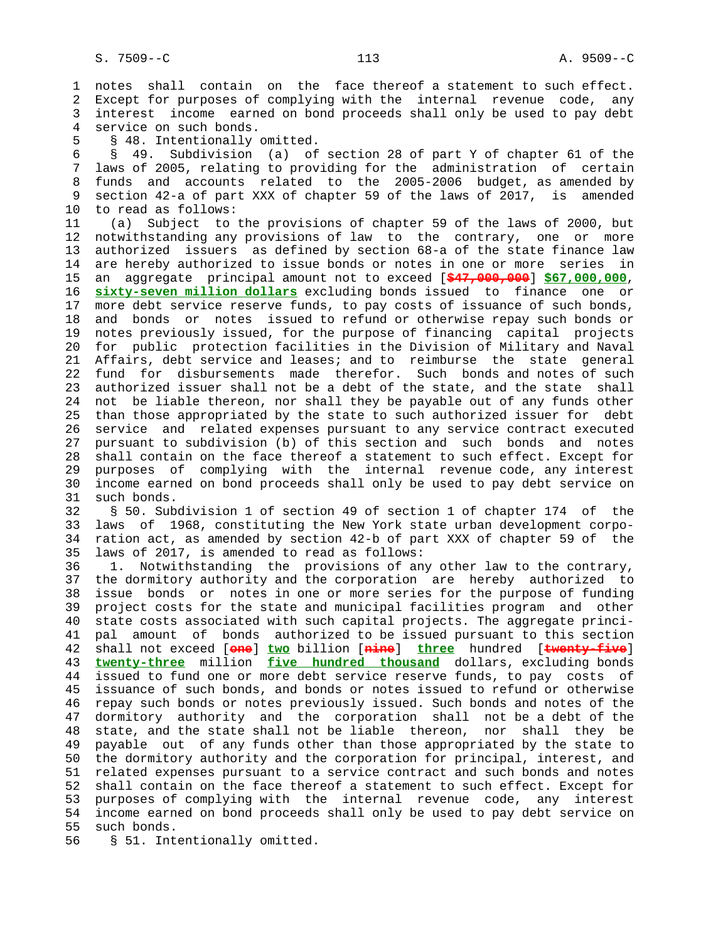1 notes shall contain on the face thereof a statement to such effect. 2 Except for purposes of complying with the internal revenue code, any 3 interest income earned on bond proceeds shall only be used to pay debt 4 service on such bonds.

5 § 48. Intentionally omitted.

 6 § 49. Subdivision (a) of section 28 of part Y of chapter 61 of the 7 laws of 2005, relating to providing for the administration of certain 8 funds and accounts related to the 2005-2006 budget, as amended by<br>9 section 42-a of part XXX of chapter 59 of the laws of 2017, is amended 9 section 42-a of part XXX of chapter 59 of the laws of 2017, is amended 10 to read as follows:

 11 (a) Subject to the provisions of chapter 59 of the laws of 2000, but 12 notwithstanding any provisions of law to the contrary, one or more 13 authorized issuers as defined by section 68-a of the state finance law 14 are hereby authorized to issue bonds or notes in one or more series in 15 an aggregate principal amount not to exceed [**\$47,000,000**] **\$67,000,000**, 16 **sixty-seven million dollars** excluding bonds issued to finance one or 17 more debt service reserve funds, to pay costs of issuance of such bonds, 18 and bonds or notes issued to refund or otherwise repay such bonds or 19 notes previously issued, for the purpose of financing capital projects 20 for public protection facilities in the Division of Military and Naval 21 Affairs, debt service and leases; and to reimburse the state general 22 fund for disbursements made therefor. Such bonds and notes of such 23 authorized issuer shall not be a debt of the state, and the state shall 24 not be liable thereon, nor shall they be payable out of any funds other 25 than those appropriated by the state to such authorized issuer for debt 26 service and related expenses pursuant to any service contract executed 27 pursuant to subdivision (b) of this section and such bonds and notes 28 shall contain on the face thereof a statement to such effect. Except for 29 purposes of complying with the internal revenue code, any interest 30 income earned on bond proceeds shall only be used to pay debt service on 31 such bonds.

 32 § 50. Subdivision 1 of section 49 of section 1 of chapter 174 of the 33 laws of 1968, constituting the New York state urban development corpo- 34 ration act, as amended by section 42-b of part XXX of chapter 59 of the 35 laws of 2017, is amended to read as follows:

 36 1. Notwithstanding the provisions of any other law to the contrary, 37 the dormitory authority and the corporation are hereby authorized to 38 issue bonds or notes in one or more series for the purpose of funding 39 project costs for the state and municipal facilities program and other 40 state costs associated with such capital projects. The aggregate princi- 41 pal amount of bonds authorized to be issued pursuant to this section 42 shall not exceed [**one**] **two** billion [**nine**] **three** hundred [**twenty-five**] 43 **twenty-three** million **five hundred thousand** dollars, excluding bonds 44 issued to fund one or more debt service reserve funds, to pay costs of 45 issuance of such bonds, and bonds or notes issued to refund or otherwise 46 repay such bonds or notes previously issued. Such bonds and notes of the 47 dormitory authority and the corporation shall not be a debt of the 48 state, and the state shall not be liable thereon, nor shall they be 49 payable out of any funds other than those appropriated by the state to 50 the dormitory authority and the corporation for principal, interest, and 51 related expenses pursuant to a service contract and such bonds and notes 52 shall contain on the face thereof a statement to such effect. Except for 53 purposes of complying with the internal revenue code, any interest 54 income earned on bond proceeds shall only be used to pay debt service on 55 such bonds.

56 § 51. Intentionally omitted.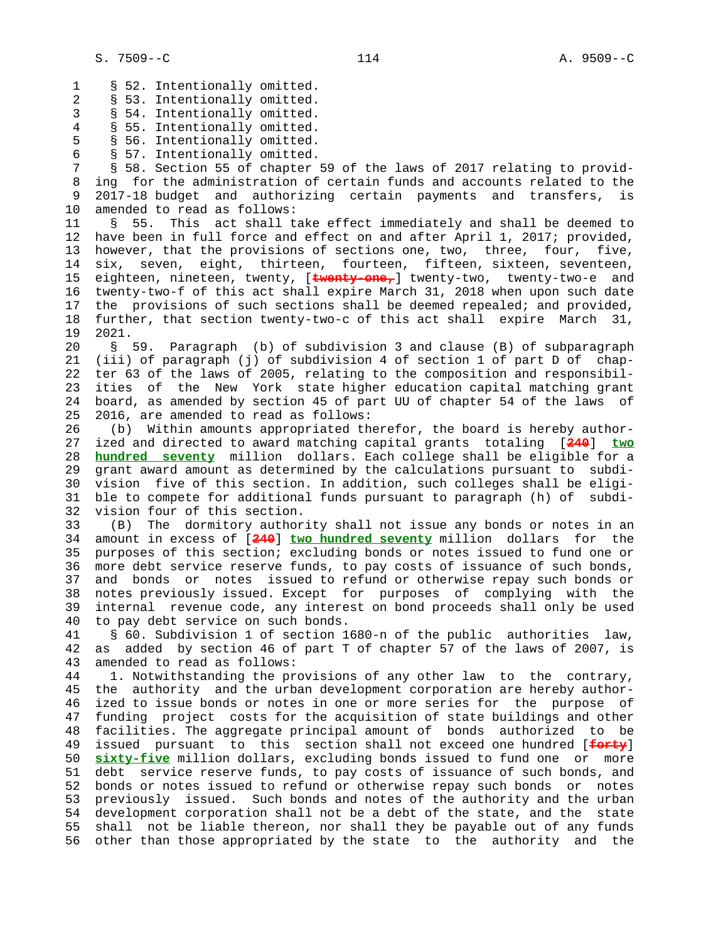1 § 52. Intentionally omitted. 2 § 53. Intentionally omitted. 3 § 54. Intentionally omitted. 4 § 55. Intentionally omitted. 5 § 56. Intentionally omitted. 6 § 57. Intentionally omitted. 7 § 58. Section 55 of chapter 59 of the laws of 2017 relating to provid- 8 ing for the administration of certain funds and accounts related to the<br>9 2017-18 budget and authorizing certain payments and transfers, is 9 2017-18 budget and authorizing certain payments and transfers, is 10 amended to read as follows: 11 § 55. This act shall take effect immediately and shall be deemed to 12 have been in full force and effect on and after April 1, 2017; provided, 13 however, that the provisions of sections one, two, three, four, five, 14 six, seven, eight, thirteen, fourteen, fifteen, sixteen, seventeen, 15 eighteen, nineteen, twenty, [**twenty-one,**] twenty-two, twenty-two-e and 16 twenty-two-f of this act shall expire March 31, 2018 when upon such date 17 the provisions of such sections shall be deemed repealed; and provided, 18 further, that section twenty-two-c of this act shall expire March 31,<br>19 2021. 19 2021. 20 § 59. Paragraph (b) of subdivision 3 and clause (B) of subparagraph 21 (iii) of paragraph (j) of subdivision 4 of section 1 of part D of chap- 22 ter 63 of the laws of 2005, relating to the composition and responsibil- 23 ities of the New York state higher education capital matching grant 24 board, as amended by section 45 of part UU of chapter 54 of the laws of 25 2016, are amended to read as follows: 26 (b) Within amounts appropriated therefor, the board is hereby author- 27 ized and directed to award matching capital grants totaling [**240**] **two** 28 **hundred seventy** million dollars. Each college shall be eligible for a 29 grant award amount as determined by the calculations pursuant to subdi- 30 vision five of this section. In addition, such colleges shall be eligi- 31 ble to compete for additional funds pursuant to paragraph (h) of subdi- 32 vision four of this section. 33 (B) The dormitory authority shall not issue any bonds or notes in an 34 amount in excess of [**240**] **two hundred seventy** million dollars for the 35 purposes of this section; excluding bonds or notes issued to fund one or 36 more debt service reserve funds, to pay costs of issuance of such bonds, 37 and bonds or notes issued to refund or otherwise repay such bonds or 38 notes previously issued. Except for purposes of complying with the 39 internal revenue code, any interest on bond proceeds shall only be used 40 to pay debt service on such bonds. 41 § 60. Subdivision 1 of section 1680-n of the public authorities law, 42 as added by section 46 of part T of chapter 57 of the laws of 2007, is 43 amended to read as follows: 44 1. Notwithstanding the provisions of any other law to the contrary, 45 the authority and the urban development corporation are hereby author- 46 ized to issue bonds or notes in one or more series for the purpose of 47 funding project costs for the acquisition of state buildings and other 48 facilities. The aggregate principal amount of bonds authorized to be 49 issued pursuant to this section shall not exceed one hundred [**forty**] 50 **sixty-five** million dollars, excluding bonds issued to fund one or more 51 debt service reserve funds, to pay costs of issuance of such bonds, and 52 bonds or notes issued to refund or otherwise repay such bonds or notes 53 previously issued. Such bonds and notes of the authority and the urban 54 development corporation shall not be a debt of the state, and the state 55 shall not be liable thereon, nor shall they be payable out of any funds

56 other than those appropriated by the state to the authority and the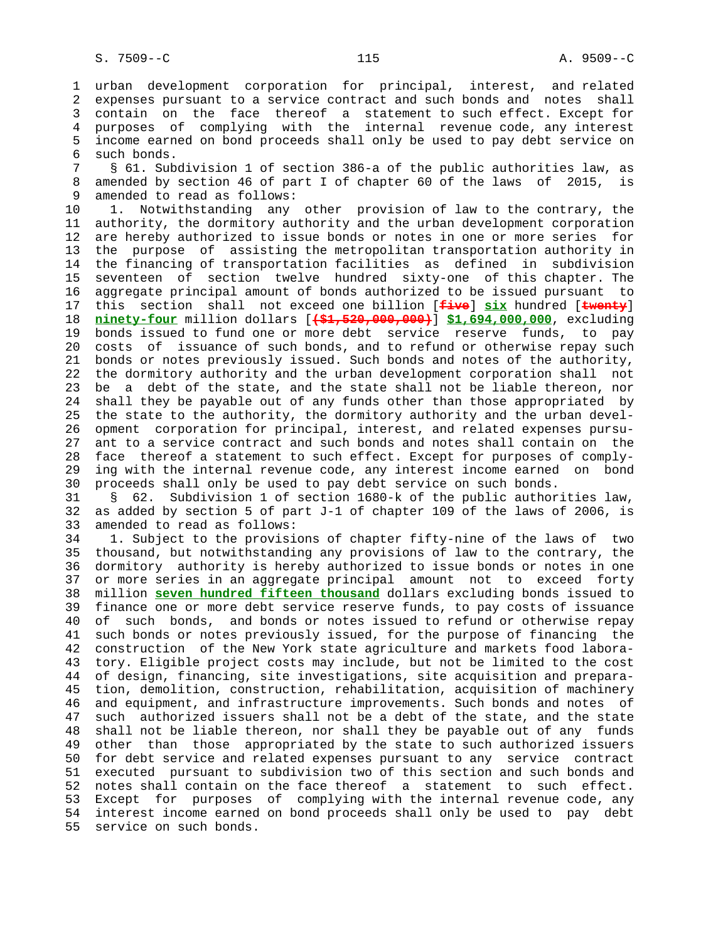1 urban development corporation for principal, interest, and related 2 expenses pursuant to a service contract and such bonds and notes shall 3 contain on the face thereof a statement to such effect. Except for 4 purposes of complying with the internal revenue code, any interest 5 income earned on bond proceeds shall only be used to pay debt service on 6 such bonds.

 7 § 61. Subdivision 1 of section 386-a of the public authorities law, as 8 amended by section 46 of part I of chapter 60 of the laws of 2015, is<br>9 amended to read as follows: amended to read as follows:

 10 1. Notwithstanding any other provision of law to the contrary, the 11 authority, the dormitory authority and the urban development corporation 12 are hereby authorized to issue bonds or notes in one or more series for 13 the purpose of assisting the metropolitan transportation authority in 14 the financing of transportation facilities as defined in subdivision 15 seventeen of section twelve hundred sixty-one of this chapter. The 16 aggregate principal amount of bonds authorized to be issued pursuant to 17 this section shall not exceed one billion [**five**] **six** hundred [**twenty**] 18 **ninety-four** million dollars [**(\$1,520,000,000)**] **\$1,694,000,000**, excluding 19 bonds issued to fund one or more debt service reserve funds, to pay 20 costs of issuance of such bonds, and to refund or otherwise repay such 21 bonds or notes previously issued. Such bonds and notes of the authority, 22 the dormitory authority and the urban development corporation shall not 23 be a debt of the state, and the state shall not be liable thereon, nor 24 shall they be payable out of any funds other than those appropriated by 25 the state to the authority, the dormitory authority and the urban devel- 26 opment corporation for principal, interest, and related expenses pursu- 27 ant to a service contract and such bonds and notes shall contain on the 28 face thereof a statement to such effect. Except for purposes of comply- 29 ing with the internal revenue code, any interest income earned on bond 30 proceeds shall only be used to pay debt service on such bonds.

 31 § 62. Subdivision 1 of section 1680-k of the public authorities law, 32 as added by section 5 of part J-1 of chapter 109 of the laws of 2006, is 33 amended to read as follows:

 34 1. Subject to the provisions of chapter fifty-nine of the laws of two 35 thousand, but notwithstanding any provisions of law to the contrary, the 36 dormitory authority is hereby authorized to issue bonds or notes in one 37 or more series in an aggregate principal amount not to exceed forty 38 million **seven hundred fifteen thousand** dollars excluding bonds issued to 39 finance one or more debt service reserve funds, to pay costs of issuance 40 of such bonds, and bonds or notes issued to refund or otherwise repay 41 such bonds or notes previously issued, for the purpose of financing the 42 construction of the New York state agriculture and markets food labora- 43 tory. Eligible project costs may include, but not be limited to the cost 44 of design, financing, site investigations, site acquisition and prepara- 45 tion, demolition, construction, rehabilitation, acquisition of machinery 46 and equipment, and infrastructure improvements. Such bonds and notes of 47 such authorized issuers shall not be a debt of the state, and the state 48 shall not be liable thereon, nor shall they be payable out of any funds 49 other than those appropriated by the state to such authorized issuers 50 for debt service and related expenses pursuant to any service contract 51 executed pursuant to subdivision two of this section and such bonds and 52 notes shall contain on the face thereof a statement to such effect. 53 Except for purposes of complying with the internal revenue code, any 54 interest income earned on bond proceeds shall only be used to pay debt 55 service on such bonds.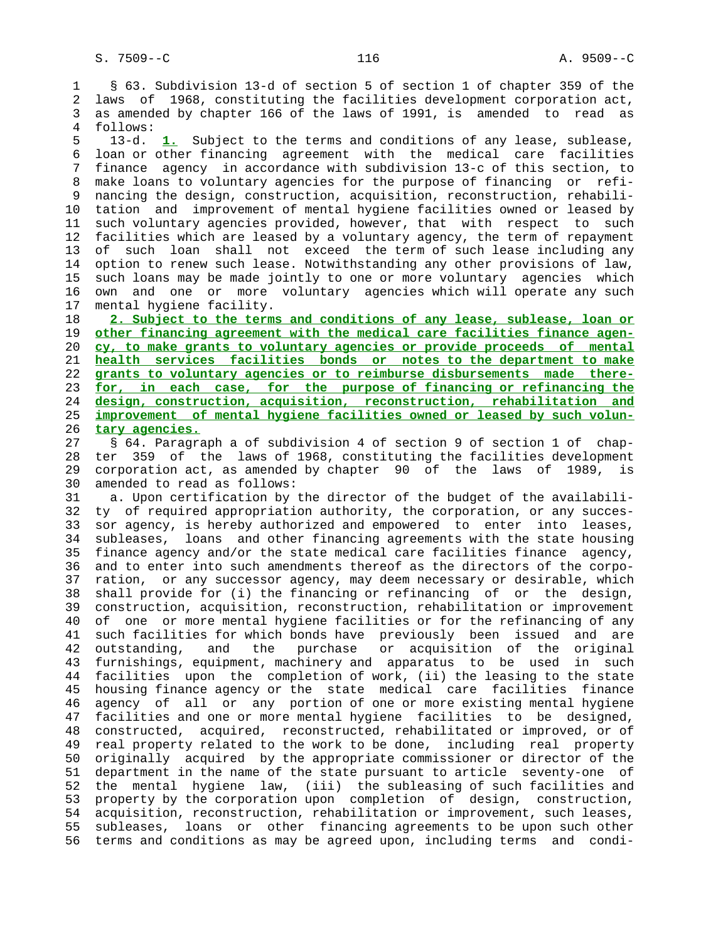1 § 63. Subdivision 13-d of section 5 of section 1 of chapter 359 of the 2 laws of 1968, constituting the facilities development corporation act, 3 as amended by chapter 166 of the laws of 1991, is amended to read as 4 follows:

 5 13-d. **1.** Subject to the terms and conditions of any lease, sublease, 6 loan or other financing agreement with the medical care facilities 7 finance agency in accordance with subdivision 13-c of this section, to 8 make loans to voluntary agencies for the purpose of financing or refi nancing the design, construction, acquisition, reconstruction, rehabili- 10 tation and improvement of mental hygiene facilities owned or leased by 11 such voluntary agencies provided, however, that with respect to such 12 facilities which are leased by a voluntary agency, the term of repayment 13 of such loan shall not exceed the term of such lease including any 14 option to renew such lease. Notwithstanding any other provisions of law, 15 such loans may be made jointly to one or more voluntary agencies which 16 own and one or more voluntary agencies which will operate any such 17 mental hygiene facility.

**2. Subject to the terms and conditions of any lease, sublease, loan or other financing agreement with the medical care facilities finance agen- cy, to make grants to voluntary agencies or provide proceeds of mental health services facilities bonds or notes to the department to make grants to voluntary agencies or to reimburse disbursements made there- for, in each case, for the purpose of financing or refinancing the design, construction, acquisition, reconstruction, rehabilitation and improvement of mental hygiene facilities owned or leased by such volun- tary agencies.**

 27 § 64. Paragraph a of subdivision 4 of section 9 of section 1 of chap- 28 ter 359 of the laws of 1968, constituting the facilities development 29 corporation act, as amended by chapter 90 of the laws of 1989, is 30 amended to read as follows:

 31 a. Upon certification by the director of the budget of the availabili- 32 ty of required appropriation authority, the corporation, or any succes- 33 sor agency, is hereby authorized and empowered to enter into leases, 34 subleases, loans and other financing agreements with the state housing 35 finance agency and/or the state medical care facilities finance agency, 36 and to enter into such amendments thereof as the directors of the corpo- 37 ration, or any successor agency, may deem necessary or desirable, which 38 shall provide for (i) the financing or refinancing of or the design, 39 construction, acquisition, reconstruction, rehabilitation or improvement 40 of one or more mental hygiene facilities or for the refinancing of any 41 such facilities for which bonds have previously been issued and are 42 outstanding, and the purchase or acquisition of the original 43 furnishings, equipment, machinery and apparatus to be used in such 44 facilities upon the completion of work, (ii) the leasing to the state 45 housing finance agency or the state medical care facilities finance 46 agency of all or any portion of one or more existing mental hygiene 47 facilities and one or more mental hygiene facilities to be designed, 48 constructed, acquired, reconstructed, rehabilitated or improved, or of 49 real property related to the work to be done, including real property 50 originally acquired by the appropriate commissioner or director of the 51 department in the name of the state pursuant to article seventy-one of 52 the mental hygiene law, (iii) the subleasing of such facilities and 53 property by the corporation upon completion of design, construction, 54 acquisition, reconstruction, rehabilitation or improvement, such leases, 55 subleases, loans or other financing agreements to be upon such other 56 terms and conditions as may be agreed upon, including terms and condi-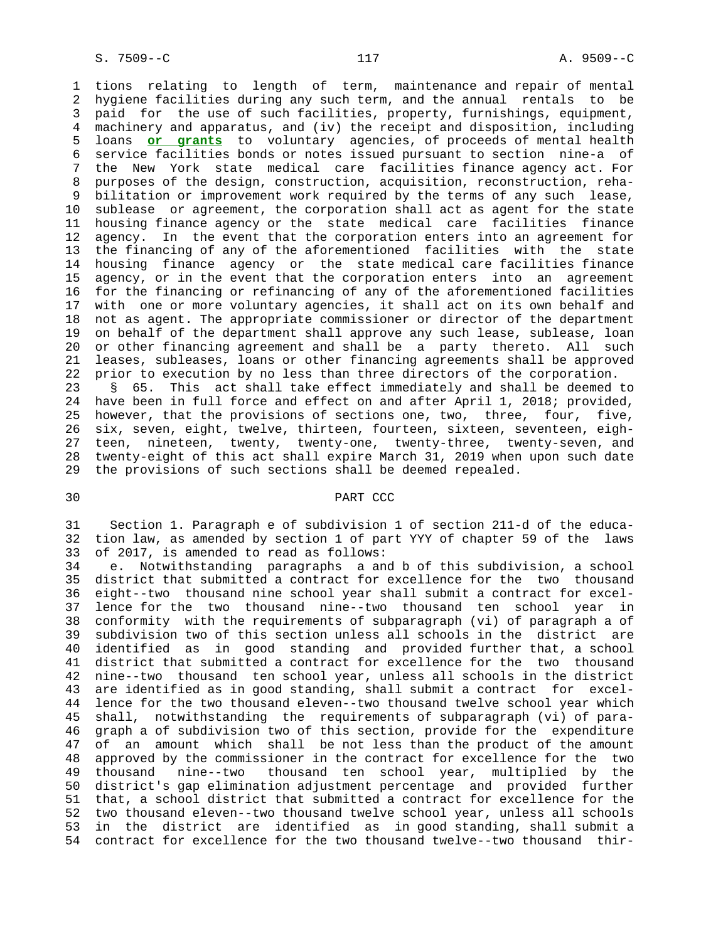1 tions relating to length of term, maintenance and repair of mental 2 hygiene facilities during any such term, and the annual rentals to be 3 paid for the use of such facilities, property, furnishings, equipment, 4 machinery and apparatus, and (iv) the receipt and disposition, including 5 loans **or grants** to voluntary agencies, of proceeds of mental health 6 service facilities bonds or notes issued pursuant to section nine-a of 7 the New York state medical care facilities finance agency act. For 8 purposes of the design, construction, acquisition, reconstruction, reha- 9 bilitation or improvement work required by the terms of any such lease, 10 sublease or agreement, the corporation shall act as agent for the state 11 housing finance agency or the state medical care facilities finance 12 agency. In the event that the corporation enters into an agreement for 13 the financing of any of the aforementioned facilities with the state 14 housing finance agency or the state medical care facilities finance 15 agency, or in the event that the corporation enters into an agreement 16 for the financing or refinancing of any of the aforementioned facilities 17 with one or more voluntary agencies, it shall act on its own behalf and 18 not as agent. The appropriate commissioner or director of the department 19 on behalf of the department shall approve any such lease, sublease, loan 20 or other financing agreement and shall be a party thereto. All such 21 leases, subleases, loans or other financing agreements shall be approved 22 prior to execution by no less than three directors of the corporation. 23 § 65. This act shall take effect immediately and shall be deemed to 24 have been in full force and effect on and after April 1, 2018; provided, 25 however, that the provisions of sections one, two, three, four, five, 26 six, seven, eight, twelve, thirteen, fourteen, sixteen, seventeen, eigh- 27 teen, nineteen, twenty, twenty-one, twenty-three, twenty-seven, and 28 twenty-eight of this act shall expire March 31, 2019 when upon such date 29 the provisions of such sections shall be deemed repealed.

## 30 PART CCC

 31 Section 1. Paragraph e of subdivision 1 of section 211-d of the educa- 32 tion law, as amended by section 1 of part YYY of chapter 59 of the laws 33 of 2017, is amended to read as follows:

 34 e. Notwithstanding paragraphs a and b of this subdivision, a school 35 district that submitted a contract for excellence for the two thousand 36 eight--two thousand nine school year shall submit a contract for excel- 37 lence for the two thousand nine--two thousand ten school year in 38 conformity with the requirements of subparagraph (vi) of paragraph a of 39 subdivision two of this section unless all schools in the district are 40 identified as in good standing and provided further that, a school 41 district that submitted a contract for excellence for the two thousand 42 nine--two thousand ten school year, unless all schools in the district 43 are identified as in good standing, shall submit a contract for excel- 44 lence for the two thousand eleven--two thousand twelve school year which 45 shall, notwithstanding the requirements of subparagraph (vi) of para- 46 graph a of subdivision two of this section, provide for the expenditure 47 of an amount which shall be not less than the product of the amount 48 approved by the commissioner in the contract for excellence for the two 49 thousand nine--two thousand ten school year, multiplied by the 50 district's gap elimination adjustment percentage and provided further 51 that, a school district that submitted a contract for excellence for the 52 two thousand eleven--two thousand twelve school year, unless all schools 53 in the district are identified as in good standing, shall submit a 54 contract for excellence for the two thousand twelve--two thousand thir-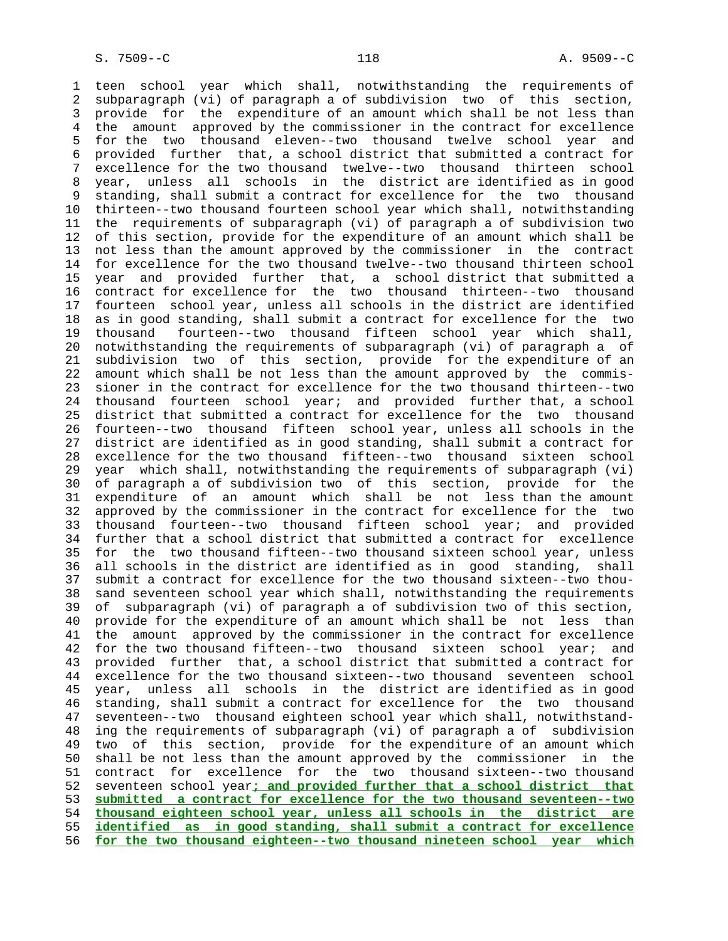1 teen school year which shall, notwithstanding the requirements of 2 subparagraph (vi) of paragraph a of subdivision two of this section, 3 provide for the expenditure of an amount which shall be not less than 4 the amount approved by the commissioner in the contract for excellence 5 for the two thousand eleven--two thousand twelve school year and 6 provided further that, a school district that submitted a contract for 7 excellence for the two thousand twelve--two thousand thirteen school 8 year, unless all schools in the district are identified as in good<br>9 standing, shall submit a contract for excellence for the two thousand standing, shall submit a contract for excellence for the two thousand 10 thirteen--two thousand fourteen school year which shall, notwithstanding 11 the requirements of subparagraph (vi) of paragraph a of subdivision two 12 of this section, provide for the expenditure of an amount which shall be 13 not less than the amount approved by the commissioner in the contract 14 for excellence for the two thousand twelve--two thousand thirteen school 15 year and provided further that, a school district that submitted a 16 contract for excellence for the two thousand thirteen--two thousand 17 fourteen school year, unless all schools in the district are identified 18 as in good standing, shall submit a contract for excellence for the two 19 thousand fourteen--two thousand fifteen school year which shall, 20 notwithstanding the requirements of subparagraph (vi) of paragraph a of 21 subdivision two of this section, provide for the expenditure of an 22 amount which shall be not less than the amount approved by the commis- 23 sioner in the contract for excellence for the two thousand thirteen--two 24 thousand fourteen school year; and provided further that, a school 25 district that submitted a contract for excellence for the two thousand 26 fourteen--two thousand fifteen school year, unless all schools in the 27 district are identified as in good standing, shall submit a contract for 28 excellence for the two thousand fifteen--two thousand sixteen school 29 year which shall, notwithstanding the requirements of subparagraph (vi) 30 of paragraph a of subdivision two of this section, provide for the 31 expenditure of an amount which shall be not less than the amount 32 approved by the commissioner in the contract for excellence for the two 33 thousand fourteen--two thousand fifteen school year; and provided 34 further that a school district that submitted a contract for excellence 35 for the two thousand fifteen--two thousand sixteen school year, unless 36 all schools in the district are identified as in good standing, shall 37 submit a contract for excellence for the two thousand sixteen--two thou- 38 sand seventeen school year which shall, notwithstanding the requirements 39 of subparagraph (vi) of paragraph a of subdivision two of this section, 40 provide for the expenditure of an amount which shall be not less than 41 the amount approved by the commissioner in the contract for excellence 42 for the two thousand fifteen--two thousand sixteen school year; and 43 provided further that, a school district that submitted a contract for 44 excellence for the two thousand sixteen--two thousand seventeen school 45 year, unless all schools in the district are identified as in good 46 standing, shall submit a contract for excellence for the two thousand 47 seventeen--two thousand eighteen school year which shall, notwithstand- 48 ing the requirements of subparagraph (vi) of paragraph a of subdivision 49 two of this section, provide for the expenditure of an amount which 50 shall be not less than the amount approved by the commissioner in the 51 contract for excellence for the two thousand sixteen--two thousand 52 seventeen school year**; and provided further that a school district that** 53 **submitted a contract for excellence for the two thousand seventeen--two** 54 **thousand eighteen school year, unless all schools in the district are** 55 **identified as in good standing, shall submit a contract for excellence** 56 **for the two thousand eighteen--two thousand nineteen school year which**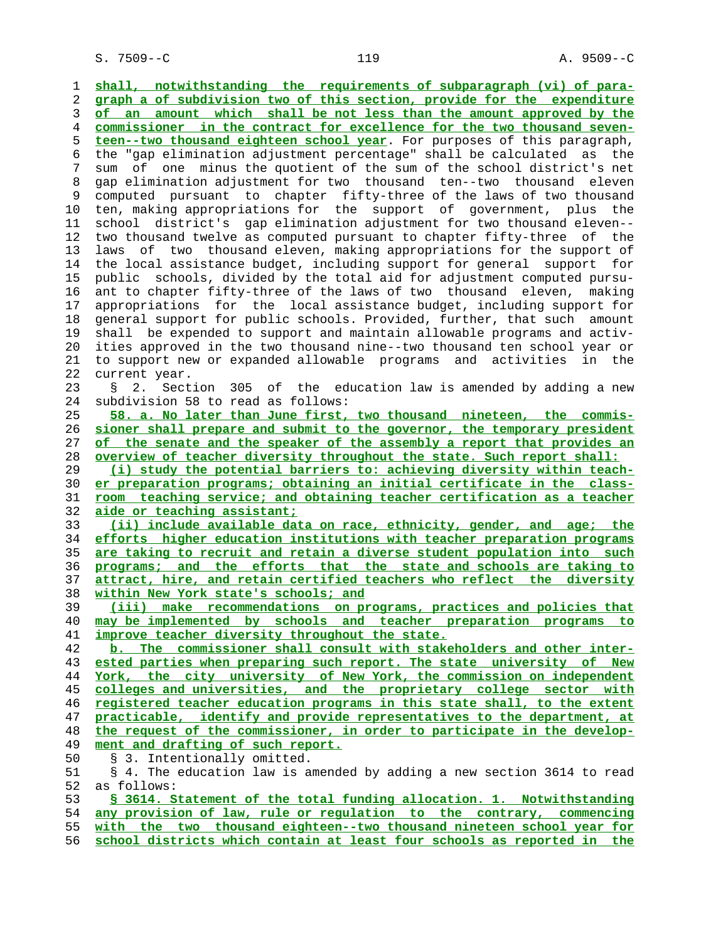1 **shall, notwithstanding the requirements of subparagraph (vi) of para-** 2 **graph a of subdivision two of this section, provide for the expenditure** 3 **of an amount which shall be not less than the amount approved by the** 4 **commissioner in the contract for excellence for the two thousand seven-** 5 **teen--two thousand eighteen school year**. For purposes of this paragraph, 6 the "gap elimination adjustment percentage" shall be calculated as the 7 sum of one minus the quotient of the sum of the school district's net 8 gap elimination adjustment for two thousand ten--two thousand eleven computed pursuant to chapter fifty-three of the laws of two thousand 10 ten, making appropriations for the support of government, plus the 11 school district's gap elimination adjustment for two thousand eleven-- 12 two thousand twelve as computed pursuant to chapter fifty-three of the 13 laws of two thousand eleven, making appropriations for the support of 14 the local assistance budget, including support for general support for 15 public schools, divided by the total aid for adjustment computed pursu- 16 ant to chapter fifty-three of the laws of two thousand eleven, making 17 appropriations for the local assistance budget, including support for 18 general support for public schools. Provided, further, that such amount 19 shall be expended to support and maintain allowable programs and activ- 20 ities approved in the two thousand nine--two thousand ten school year or 21 to support new or expanded allowable programs and activities in the 22 current year. 23 § 2. Section 305 of the education law is amended by adding a new 24 subdivision 58 to read as follows: 25 **58. a. No later than June first, two thousand nineteen, the commis-** 26 **sioner shall prepare and submit to the governor, the temporary president** 27 **of the senate and the speaker of the assembly a report that provides an** 28 **overview of teacher diversity throughout the state. Such report shall:** 29 **(i) study the potential barriers to: achieving diversity within teach-** 30 **er preparation programs; obtaining an initial certificate in the class-** 31 **room teaching service; and obtaining teacher certification as a teacher** 32 **aide or teaching assistant;** 33 **(ii) include available data on race, ethnicity, gender, and age; the** 34 **efforts higher education institutions with teacher preparation programs** 35 **are taking to recruit and retain a diverse student population into such** 36 **programs; and the efforts that the state and schools are taking to** 37 **attract, hire, and retain certified teachers who reflect the diversity** 38 **within New York state's schools; and** 39 **(iii) make recommendations on programs, practices and policies that** 40 **may be implemented by schools and teacher preparation programs to** 41 **improve teacher diversity throughout the state.** 42 **b. The commissioner shall consult with stakeholders and other inter-** 43 **ested parties when preparing such report. The state university of New** 44 **York, the city university of New York, the commission on independent** 45 **colleges and universities, and the proprietary college sector with** 46 **registered teacher education programs in this state shall, to the extent** 47 **practicable, identify and provide representatives to the department, at** 48 **the request of the commissioner, in order to participate in the develop** ment and drafting of such report. 50 § 3. Intentionally omitted. 51 § 4. The education law is amended by adding a new section 3614 to read 52 as follows: 53 **§ 3614. Statement of the total funding allocation. 1. Notwithstanding** 54 **any provision of law, rule or regulation to the contrary, commencing** 55 **with the two thousand eighteen--two thousand nineteen school year for**

56 **school districts which contain at least four schools as reported in the**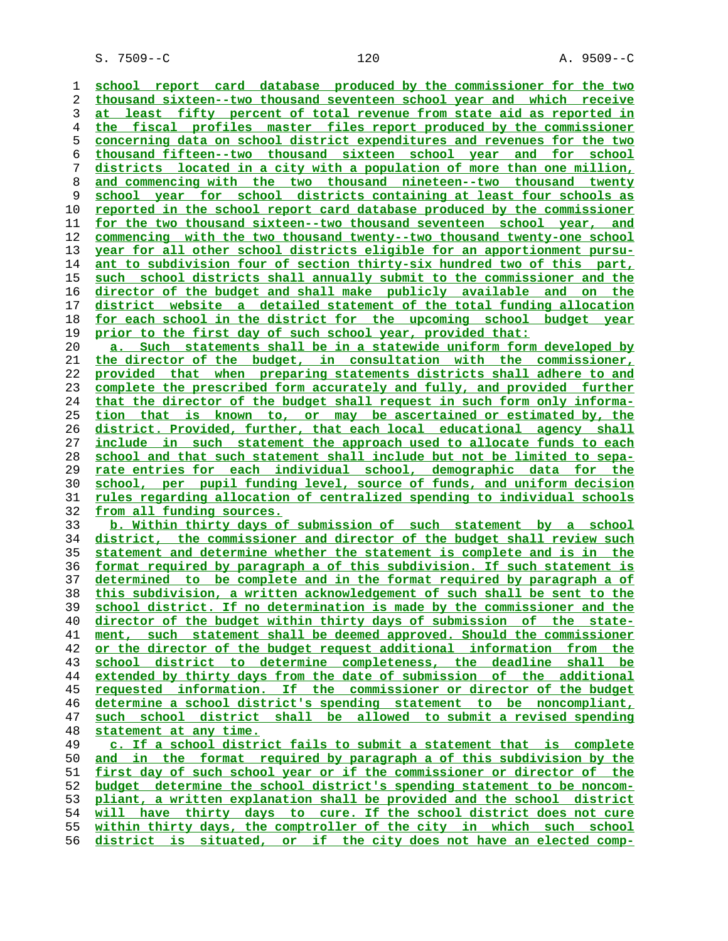S. 7509--C 120 A. 9509--C

**school report card database produced by the commissioner for the two thousand sixteen--two thousand seventeen school year and which receive at least fifty percent of total revenue from state aid as reported in the fiscal profiles master files report produced by the commissioner concerning data on school district expenditures and revenues for the two thousand fifteen--two thousand sixteen school year and for school districts located in a city with a population of more than one million, and commencing with the two thousand nineteen--two thousand twenty school year for school districts containing at least four schools as reported in the school report card database produced by the commissioner for the two thousand sixteen--two thousand seventeen school year, and commencing with the two thousand twenty--two thousand twenty-one school year for all other school districts eligible for an apportionment pursu- ant to subdivision four of section thirty-six hundred two of this part, such school districts shall annually submit to the commissioner and the director of the budget and shall make publicly available and on the district website a detailed statement of the total funding allocation for each school in the district for the upcoming school budget year prior to the first day of such school year, provided that: a. Such statements shall be in a statewide uniform form developed by the director of the budget, in consultation with the commissioner, provided that when preparing statements districts shall adhere to and complete the prescribed form accurately and fully, and provided further that the director of the budget shall request in such form only informa- tion that is known to, or may be ascertained or estimated by, the district. Provided, further, that each local educational agency shall include in such statement the approach used to allocate funds to each school and that such statement shall include but not be limited to sepa- rate entries for each individual school, demographic data for the school, per pupil funding level, source of funds, and uniform decision rules regarding allocation of centralized spending to individual schools from all funding sources. b. Within thirty days of submission of such statement by a school district, the commissioner and director of the budget shall review such statement and determine whether the statement is complete and is in the format required by paragraph a of this subdivision. If such statement is determined to be complete and in the format required by paragraph a of this subdivision, a written acknowledgement of such shall be sent to the school district. If no determination is made by the commissioner and the director of the budget within thirty days of submission of the state- ment, such statement shall be deemed approved. Should the commissioner or the director of the budget request additional information from the school district to determine completeness, the deadline shall be extended by thirty days from the date of submission of the additional requested information. If the commissioner or director of the budget determine a school district's spending statement to be noncompliant, such school district shall be allowed to submit a revised spending statement at any time. c. If a school district fails to submit a statement that is complete and in the format required by paragraph a of this subdivision by the first day of such school year or if the commissioner or director of the budget determine the school district's spending statement to be noncom- pliant, a written explanation shall be provided and the school district will have thirty days to cure. If the school district does not cure within thirty days, the comptroller of the city in which such school district is situated, or if the city does not have an elected comp-**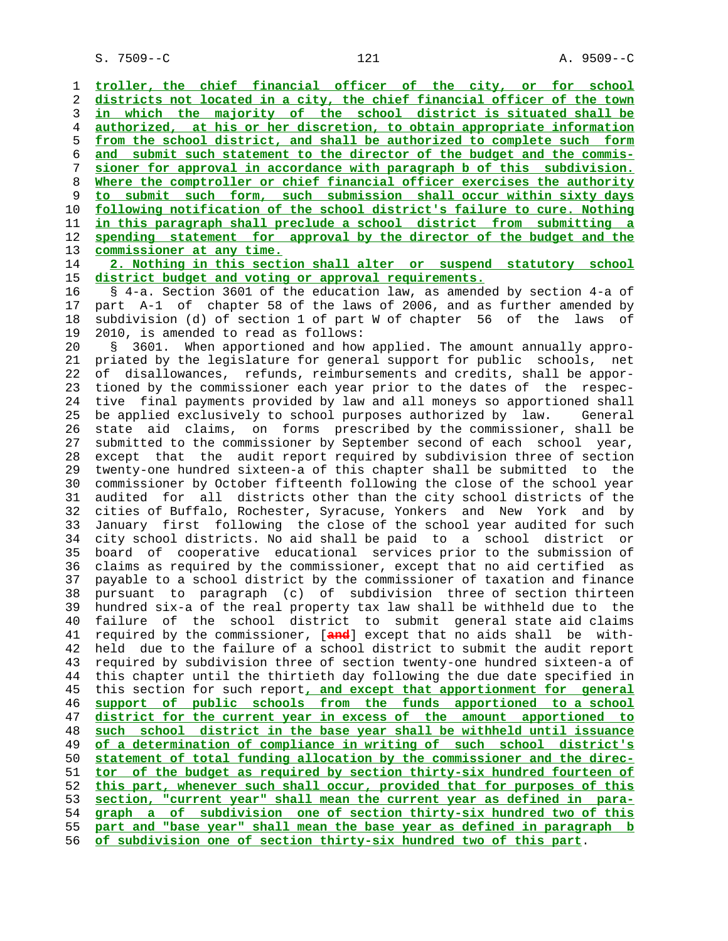**troller, the chief financial officer of the city, or for school districts not located in a city, the chief financial officer of the town in which the majority of the school district is situated shall be authorized, at his or her discretion, to obtain appropriate information from the school district, and shall be authorized to complete such form and submit such statement to the director of the budget and the commis- sioner for approval in accordance with paragraph b of this subdivision. Where the comptroller or chief financial officer exercises the authority to submit such form, such submission shall occur within sixty days following notification of the school district's failure to cure. Nothing in this paragraph shall preclude a school district from submitting a spending statement for approval by the director of the budget and the commissioner at any time.**

 14 **2. Nothing in this section shall alter or suspend statutory school** 15 **district budget and voting or approval requirements.**

 16 § 4-a. Section 3601 of the education law, as amended by section 4-a of 17 part A-1 of chapter 58 of the laws of 2006, and as further amended by 18 subdivision (d) of section 1 of part W of chapter 56 of the laws of 19 2010, is amended to read as follows:

 20 § 3601. When apportioned and how applied. The amount annually appro- 21 priated by the legislature for general support for public schools, net 22 of disallowances, refunds, reimbursements and credits, shall be appor- 23 tioned by the commissioner each year prior to the dates of the respec- 24 tive final payments provided by law and all moneys so apportioned shall 25 be applied exclusively to school purposes authorized by law. General 26 state aid claims, on forms prescribed by the commissioner, shall be 27 submitted to the commissioner by September second of each school year, 28 except that the audit report required by subdivision three of section 29 twenty-one hundred sixteen-a of this chapter shall be submitted to the 30 commissioner by October fifteenth following the close of the school year 31 audited for all districts other than the city school districts of the 32 cities of Buffalo, Rochester, Syracuse, Yonkers and New York and by 33 January first following the close of the school year audited for such 34 city school districts. No aid shall be paid to a school district or 35 board of cooperative educational services prior to the submission of 36 claims as required by the commissioner, except that no aid certified as 37 payable to a school district by the commissioner of taxation and finance 38 pursuant to paragraph (c) of subdivision three of section thirteen 39 hundred six-a of the real property tax law shall be withheld due to the 40 failure of the school district to submit general state aid claims 41 required by the commissioner, [**and**] except that no aids shall be with- 42 held due to the failure of a school district to submit the audit report 43 required by subdivision three of section twenty-one hundred sixteen-a of 44 this chapter until the thirtieth day following the due date specified in 45 this section for such report**, and except that apportionment for general** 46 **support of public schools from the funds apportioned to a school** 47 **district for the current year in excess of the amount apportioned to** 48 **such school district in the base year shall be withheld until issuance** 49 **of a determination of compliance in writing of such school district's** 50 **statement of total funding allocation by the commissioner and the direc-** 51 **tor of the budget as required by section thirty-six hundred fourteen of** 52 **this part, whenever such shall occur, provided that for purposes of this** 53 **section, "current year" shall mean the current year as defined in para-** 54 **graph a of subdivision one of section thirty-six hundred two of this** 55 **part and "base year" shall mean the base year as defined in paragraph b** 56 **of subdivision one of section thirty-six hundred two of this part**.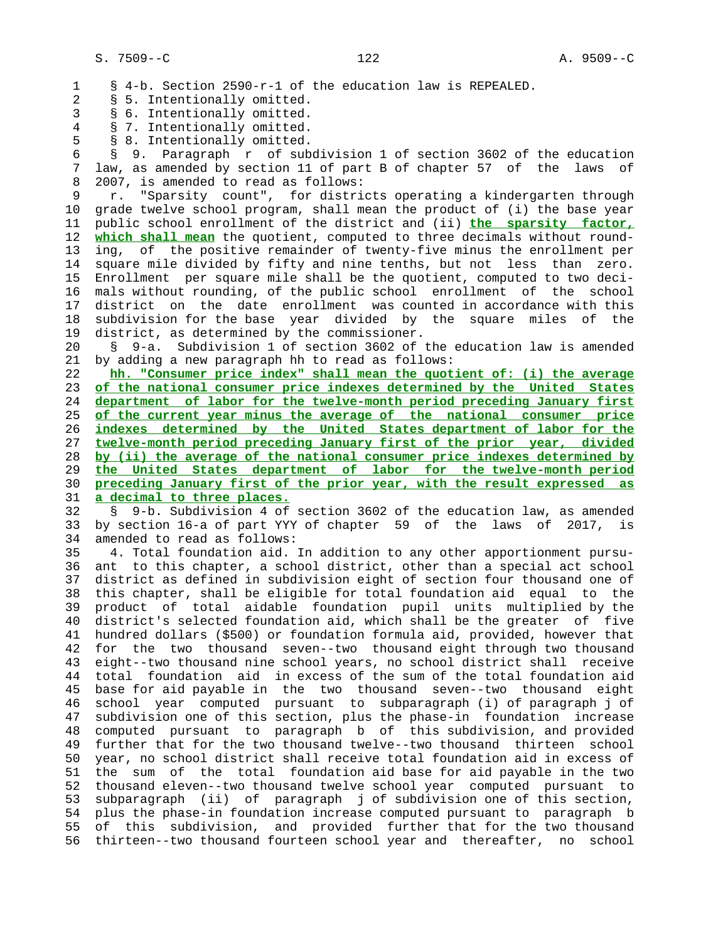1 § 4-b. Section 2590-r-1 of the education law is REPEALED. 2 § 5. Intentionally omitted. 3 § 6. Intentionally omitted. 4 § 7. Intentionally omitted. 5 § 8. Intentionally omitted. 6 § 9. Paragraph r of subdivision 1 of section 3602 of the education 7 law, as amended by section 11 of part B of chapter 57 of the laws of 8 2007, is amended to read as follows: 9 r. "Sparsity count", for districts operating a kindergarten through

 10 grade twelve school program, shall mean the product of (i) the base year 11 public school enrollment of the district and (ii) **the sparsity factor,** 12 **which shall mean** the quotient, computed to three decimals without round- 13 ing, of the positive remainder of twenty-five minus the enrollment per 14 square mile divided by fifty and nine tenths, but not less than zero. 15 Enrollment per square mile shall be the quotient, computed to two deci- 16 mals without rounding, of the public school enrollment of the school 17 district on the date enrollment was counted in accordance with this 18 subdivision for the base year divided by the square miles of the 19 district, as determined by the commissioner.

 20 § 9-a. Subdivision 1 of section 3602 of the education law is amended 21 by adding a new paragraph hh to read as follows:

**hh. "Consumer price index" shall mean the quotient of: (i) the average of the national consumer price indexes determined by the United States department of labor for the twelve-month period preceding January first of the current year minus the average of the national consumer price indexes determined by the United States department of labor for the twelve-month period preceding January first of the prior year, divided by (ii) the average of the national consumer price indexes determined by the United States department of labor for the twelve-month period preceding January first of the prior year, with the result expressed as a decimal to three places.**

 32 § 9-b. Subdivision 4 of section 3602 of the education law, as amended 33 by section 16-a of part YYY of chapter 59 of the laws of 2017, is 34 amended to read as follows:

 35 4. Total foundation aid. In addition to any other apportionment pursu- 36 ant to this chapter, a school district, other than a special act school 37 district as defined in subdivision eight of section four thousand one of 38 this chapter, shall be eligible for total foundation aid equal to the 39 product of total aidable foundation pupil units multiplied by the 40 district's selected foundation aid, which shall be the greater of five 41 hundred dollars (\$500) or foundation formula aid, provided, however that 42 for the two thousand seven--two thousand eight through two thousand 43 eight--two thousand nine school years, no school district shall receive 44 total foundation aid in excess of the sum of the total foundation aid 45 base for aid payable in the two thousand seven--two thousand eight 46 school year computed pursuant to subparagraph (i) of paragraph j of 47 subdivision one of this section, plus the phase-in foundation increase 48 computed pursuant to paragraph b of this subdivision, and provided 49 further that for the two thousand twelve--two thousand thirteen school 50 year, no school district shall receive total foundation aid in excess of 51 the sum of the total foundation aid base for aid payable in the two 52 thousand eleven--two thousand twelve school year computed pursuant to 53 subparagraph (ii) of paragraph j of subdivision one of this section, 54 plus the phase-in foundation increase computed pursuant to paragraph b 55 of this subdivision, and provided further that for the two thousand 56 thirteen--two thousand fourteen school year and thereafter, no school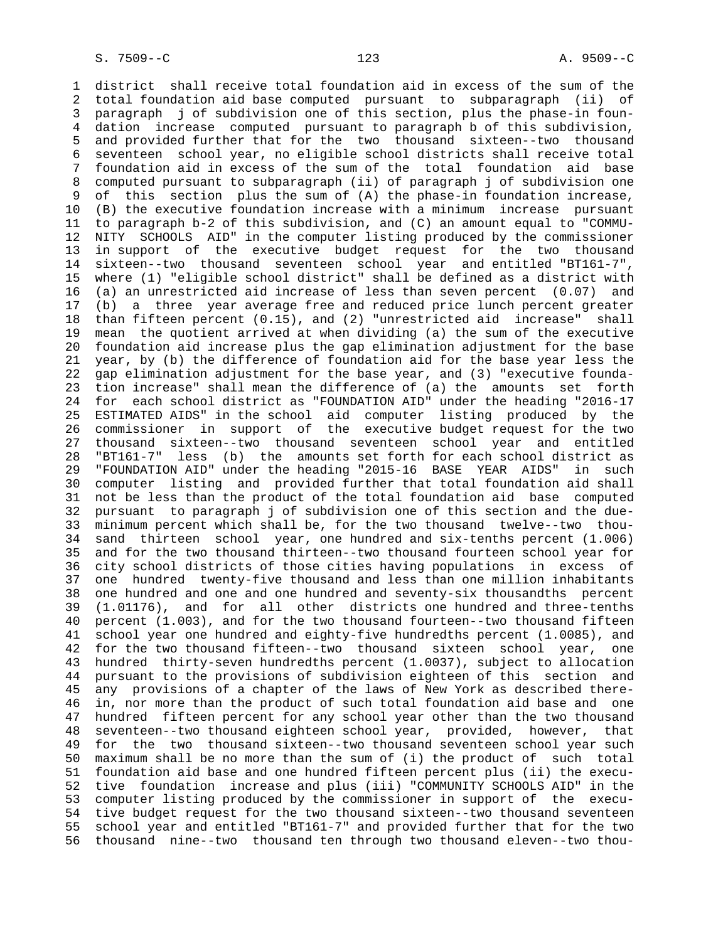1 district shall receive total foundation aid in excess of the sum of the 2 total foundation aid base computed pursuant to subparagraph (ii) of 3 paragraph j of subdivision one of this section, plus the phase-in foun- 4 dation increase computed pursuant to paragraph b of this subdivision, 5 and provided further that for the two thousand sixteen--two thousand 6 seventeen school year, no eligible school districts shall receive total 7 foundation aid in excess of the sum of the total foundation aid base 8 computed pursuant to subparagraph (ii) of paragraph j of subdivision one of this section plus the sum of  $(A)$  the phase-in foundation increase, 10 (B) the executive foundation increase with a minimum increase pursuant 11 to paragraph b-2 of this subdivision, and (C) an amount equal to "COMMU- 12 NITY SCHOOLS AID" in the computer listing produced by the commissioner 13 in support of the executive budget request for the two thousand 14 sixteen--two thousand seventeen school year and entitled "BT161-7", 15 where (1) "eligible school district" shall be defined as a district with 16 (a) an unrestricted aid increase of less than seven percent (0.07) and 17 (b) a three year average free and reduced price lunch percent greater 18 than fifteen percent (0.15), and (2) "unrestricted aid increase" shall 19 mean the quotient arrived at when dividing (a) the sum of the executive 20 foundation aid increase plus the gap elimination adjustment for the base 21 year, by (b) the difference of foundation aid for the base year less the 22 gap elimination adjustment for the base year, and (3) "executive founda- 23 tion increase" shall mean the difference of (a) the amounts set forth 24 for each school district as "FOUNDATION AID" under the heading "2016-17 25 ESTIMATED AIDS" in the school aid computer listing produced by the 26 commissioner in support of the executive budget request for the two 27 thousand sixteen--two thousand seventeen school year and entitled 28 "BT161-7" less (b) the amounts set forth for each school district as 29 "FOUNDATION AID" under the heading "2015-16 BASE YEAR AIDS" in such 30 computer listing and provided further that total foundation aid shall 31 not be less than the product of the total foundation aid base computed 32 pursuant to paragraph j of subdivision one of this section and the due- 33 minimum percent which shall be, for the two thousand twelve--two thou- 34 sand thirteen school year, one hundred and six-tenths percent (1.006) 35 and for the two thousand thirteen--two thousand fourteen school year for 36 city school districts of those cities having populations in excess of 37 one hundred twenty-five thousand and less than one million inhabitants 38 one hundred and one and one hundred and seventy-six thousandths percent 39 (1.01176), and for all other districts one hundred and three-tenths 40 percent (1.003), and for the two thousand fourteen--two thousand fifteen 41 school year one hundred and eighty-five hundredths percent (1.0085), and 42 for the two thousand fifteen--two thousand sixteen school year, one 43 hundred thirty-seven hundredths percent (1.0037), subject to allocation 44 pursuant to the provisions of subdivision eighteen of this section and 45 any provisions of a chapter of the laws of New York as described there- 46 in, nor more than the product of such total foundation aid base and one 47 hundred fifteen percent for any school year other than the two thousand 48 seventeen--two thousand eighteen school year, provided, however, that 49 for the two thousand sixteen--two thousand seventeen school year such 50 maximum shall be no more than the sum of (i) the product of such total 51 foundation aid base and one hundred fifteen percent plus (ii) the execu- 52 tive foundation increase and plus (iii) "COMMUNITY SCHOOLS AID" in the 53 computer listing produced by the commissioner in support of the execu- 54 tive budget request for the two thousand sixteen--two thousand seventeen 55 school year and entitled "BT161-7" and provided further that for the two 56 thousand nine--two thousand ten through two thousand eleven--two thou-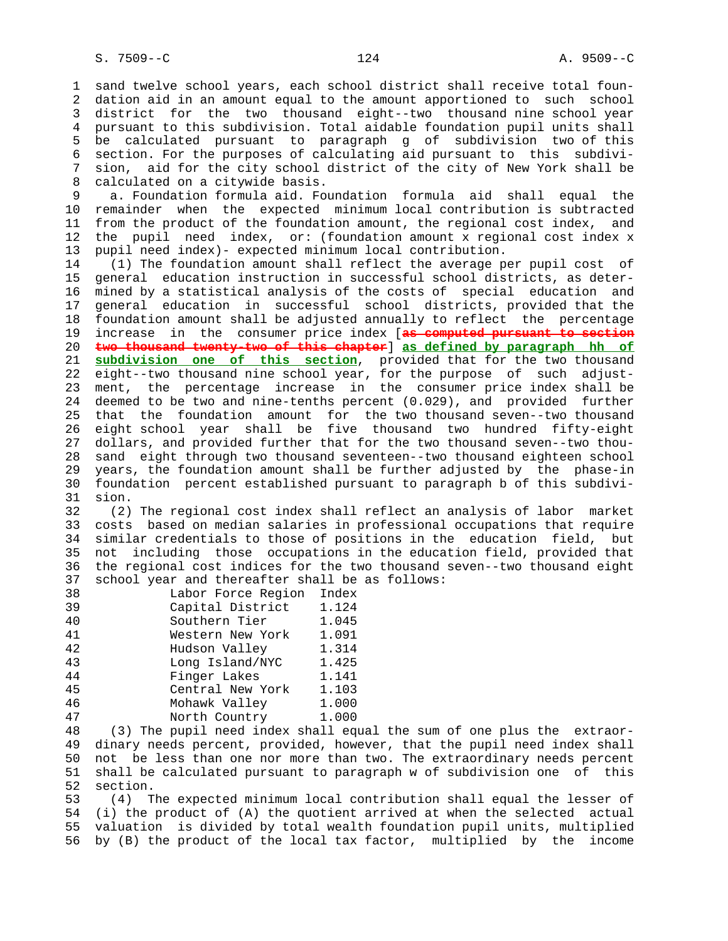1 sand twelve school years, each school district shall receive total foun- 2 dation aid in an amount equal to the amount apportioned to such school 3 district for the two thousand eight--two thousand nine school year 4 pursuant to this subdivision. Total aidable foundation pupil units shall 5 be calculated pursuant to paragraph g of subdivision two of this 6 section. For the purposes of calculating aid pursuant to this subdivi- 7 sion, aid for the city school district of the city of New York shall be 8 calculated on a citywide basis.<br>9 a. Foundation formula aid. For a. Foundation formula aid. Foundation formula aid shall equal the 10 remainder when the expected minimum local contribution is subtracted 11 from the product of the foundation amount, the regional cost index, and 12 the pupil need index, or: (foundation amount x regional cost index x 13 pupil need index)- expected minimum local contribution. 14 (1) The foundation amount shall reflect the average per pupil cost of 15 general education instruction in successful school districts, as deter- 16 mined by a statistical analysis of the costs of special education and 17 general education in successful school districts, provided that the 18 foundation amount shall be adjusted annually to reflect the percentage 19 increase in the consumer price index [**as computed pursuant to section** 20 **two thousand twenty-two of this chapter**] **as defined by paragraph hh of** 21 **subdivision one of this section**, provided that for the two thousand 22 eight--two thousand nine school year, for the purpose of such adjust- 23 ment, the percentage increase in the consumer price index shall be 24 deemed to be two and nine-tenths percent (0.029), and provided further 25 that the foundation amount for the two thousand seven--two thousand 26 eight school year shall be five thousand two hundred fifty-eight 27 dollars, and provided further that for the two thousand seven--two thou- 28 sand eight through two thousand seventeen--two thousand eighteen school 29 years, the foundation amount shall be further adjusted by the phase-in 30 foundation percent established pursuant to paragraph b of this subdivi- 31 sion. 32 (2) The regional cost index shall reflect an analysis of labor market 33 costs based on median salaries in professional occupations that require 34 similar credentials to those of positions in the education field, but 35 not including those occupations in the education field, provided that 36 the regional cost indices for the two thousand seven--two thousand eight 37 school year and thereafter shall be as follows:

| ، ر    | SCHOOL year and chereareer sharr be |       |
|--------|-------------------------------------|-------|
| 38     | Labor Force Region                  | Index |
| 39     | Capital District                    | 1.124 |
| 40     | Southern Tier                       | 1.045 |
| 41     | Western New York                    | 1.091 |
| 42     | Hudson Valley                       | 1.314 |
| 43     | Long Island/NYC                     | 1.425 |
| 44     | Finger Lakes                        | 1.141 |
| 45     | Central New York                    | 1.103 |
| 46     | Mohawk Valley                       | 1.000 |
| 47     | North Country                       | 1.000 |
| $\sim$ | $\overline{a}$                      |       |

 48 (3) The pupil need index shall equal the sum of one plus the extraor- 49 dinary needs percent, provided, however, that the pupil need index shall 50 not be less than one nor more than two. The extraordinary needs percent 51 shall be calculated pursuant to paragraph w of subdivision one of this 52 section.

 53 (4) The expected minimum local contribution shall equal the lesser of 54 (i) the product of (A) the quotient arrived at when the selected actual 55 valuation is divided by total wealth foundation pupil units, multiplied 56 by (B) the product of the local tax factor, multiplied by the income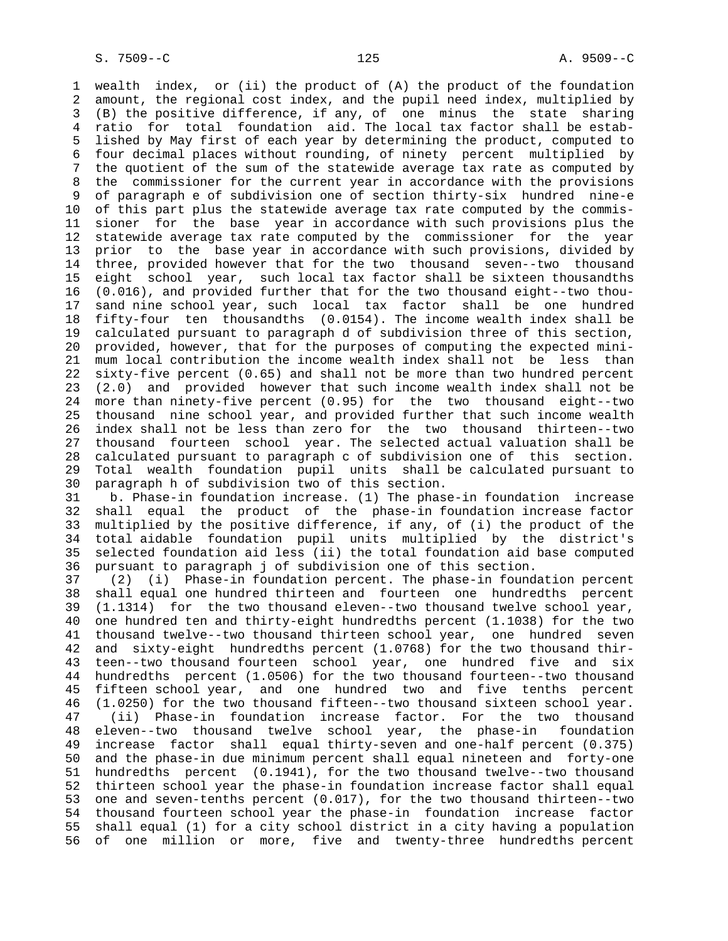1 wealth index, or (ii) the product of (A) the product of the foundation 2 amount, the regional cost index, and the pupil need index, multiplied by 3 (B) the positive difference, if any, of one minus the state sharing 4 ratio for total foundation aid. The local tax factor shall be estab- 5 lished by May first of each year by determining the product, computed to 6 four decimal places without rounding, of ninety percent multiplied by 7 the quotient of the sum of the statewide average tax rate as computed by 8 the commissioner for the current year in accordance with the provisions<br>9 of paragraph e of subdivision one of section thirty-six hundred nine-e 9 of paragraph e of subdivision one of section thirty-six hundred nine-e 10 of this part plus the statewide average tax rate computed by the commis- 11 sioner for the base year in accordance with such provisions plus the 12 statewide average tax rate computed by the commissioner for the year 13 prior to the base year in accordance with such provisions, divided by 14 three, provided however that for the two thousand seven--two thousand 15 eight school year, such local tax factor shall be sixteen thousandths 16 (0.016), and provided further that for the two thousand eight--two thou- 17 sand nine school year, such local tax factor shall be one hundred 18 fifty-four ten thousandths (0.0154). The income wealth index shall be 19 calculated pursuant to paragraph d of subdivision three of this section, 20 provided, however, that for the purposes of computing the expected mini- 21 mum local contribution the income wealth index shall not be less than 22 sixty-five percent (0.65) and shall not be more than two hundred percent 23 (2.0) and provided however that such income wealth index shall not be 24 more than ninety-five percent (0.95) for the two thousand eight--two 25 thousand nine school year, and provided further that such income wealth 26 index shall not be less than zero for the two thousand thirteen--two 27 thousand fourteen school year. The selected actual valuation shall be 28 calculated pursuant to paragraph c of subdivision one of this section. 29 Total wealth foundation pupil units shall be calculated pursuant to 30 paragraph h of subdivision two of this section.

 31 b. Phase-in foundation increase. (1) The phase-in foundation increase 32 shall equal the product of the phase-in foundation increase factor 33 multiplied by the positive difference, if any, of (i) the product of the 34 total aidable foundation pupil units multiplied by the district's 35 selected foundation aid less (ii) the total foundation aid base computed 36 pursuant to paragraph j of subdivision one of this section.

 37 (2) (i) Phase-in foundation percent. The phase-in foundation percent 38 shall equal one hundred thirteen and fourteen one hundredths percent 39 (1.1314) for the two thousand eleven--two thousand twelve school year, 40 one hundred ten and thirty-eight hundredths percent (1.1038) for the two 41 thousand twelve--two thousand thirteen school year, one hundred seven 42 and sixty-eight hundredths percent (1.0768) for the two thousand thir- 43 teen--two thousand fourteen school year, one hundred five and six 44 hundredths percent (1.0506) for the two thousand fourteen--two thousand 45 fifteen school year, and one hundred two and five tenths percent 46 (1.0250) for the two thousand fifteen--two thousand sixteen school year. 47 (ii) Phase-in foundation increase factor. For the two thousand 48 eleven--two thousand twelve school year, the phase-in foundation 49 increase factor shall equal thirty-seven and one-half percent (0.375) 50 and the phase-in due minimum percent shall equal nineteen and forty-one 51 hundredths percent (0.1941), for the two thousand twelve--two thousand 52 thirteen school year the phase-in foundation increase factor shall equal 53 one and seven-tenths percent (0.017), for the two thousand thirteen--two 54 thousand fourteen school year the phase-in foundation increase factor 55 shall equal (1) for a city school district in a city having a population 56 of one million or more, five and twenty-three hundredths percent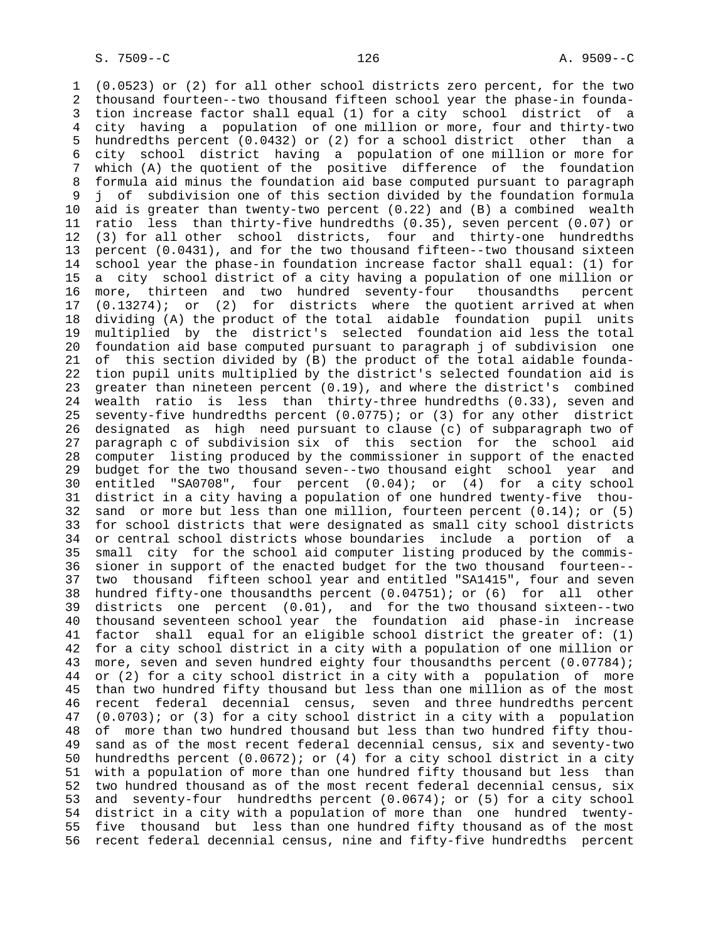1 (0.0523) or (2) for all other school districts zero percent, for the two 2 thousand fourteen--two thousand fifteen school year the phase-in founda- 3 tion increase factor shall equal (1) for a city school district of a 4 city having a population of one million or more, four and thirty-two 5 hundredths percent (0.0432) or (2) for a school district other than a 6 city school district having a population of one million or more for 7 which (A) the quotient of the positive difference of the foundation 8 formula aid minus the foundation aid base computed pursuant to paragraph<br>9 i of subdivision one of this section divided by the foundation formula 9 j of subdivision one of this section divided by the foundation formula 10 aid is greater than twenty-two percent (0.22) and (B) a combined wealth 11 ratio less than thirty-five hundredths (0.35), seven percent (0.07) or 12 (3) for all other school districts, four and thirty-one hundredths 13 percent (0.0431), and for the two thousand fifteen--two thousand sixteen 14 school year the phase-in foundation increase factor shall equal: (1) for 15 a city school district of a city having a population of one million or 16 more, thirteen and two hundred seventy-four thousandths percent 17 (0.13274); or (2) for districts where the quotient arrived at when 18 dividing (A) the product of the total aidable foundation pupil units 19 multiplied by the district's selected foundation aid less the total 20 foundation aid base computed pursuant to paragraph j of subdivision one 21 of this section divided by (B) the product of the total aidable founda- 22 tion pupil units multiplied by the district's selected foundation aid is 23 greater than nineteen percent (0.19), and where the district's combined 24 wealth ratio is less than thirty-three hundredths (0.33), seven and 25 seventy-five hundredths percent (0.0775); or (3) for any other district 26 designated as high need pursuant to clause (c) of subparagraph two of 27 paragraph c of subdivision six of this section for the school aid 28 computer listing produced by the commissioner in support of the enacted 29 budget for the two thousand seven--two thousand eight school year and 30 entitled "SA0708", four percent (0.04); or (4) for a city school 31 district in a city having a population of one hundred twenty-five thou- 32 sand or more but less than one million, fourteen percent (0.14); or (5) 33 for school districts that were designated as small city school districts 34 or central school districts whose boundaries include a portion of a 35 small city for the school aid computer listing produced by the commis- 36 sioner in support of the enacted budget for the two thousand fourteen-- 37 two thousand fifteen school year and entitled "SA1415", four and seven 38 hundred fifty-one thousandths percent (0.04751); or (6) for all other 39 districts one percent (0.01), and for the two thousand sixteen--two 40 thousand seventeen school year the foundation aid phase-in increase 41 factor shall equal for an eligible school district the greater of: (1) 42 for a city school district in a city with a population of one million or 43 more, seven and seven hundred eighty four thousandths percent (0.07784); 44 or (2) for a city school district in a city with a population of more 45 than two hundred fifty thousand but less than one million as of the most 46 recent federal decennial census, seven and three hundredths percent 47 (0.0703); or (3) for a city school district in a city with a population 48 of more than two hundred thousand but less than two hundred fifty thou- 49 sand as of the most recent federal decennial census, six and seventy-two 50 hundredths percent (0.0672); or (4) for a city school district in a city 51 with a population of more than one hundred fifty thousand but less than 52 two hundred thousand as of the most recent federal decennial census, six 53 and seventy-four hundredths percent (0.0674); or (5) for a city school 54 district in a city with a population of more than one hundred twenty- 55 five thousand but less than one hundred fifty thousand as of the most 56 recent federal decennial census, nine and fifty-five hundredths percent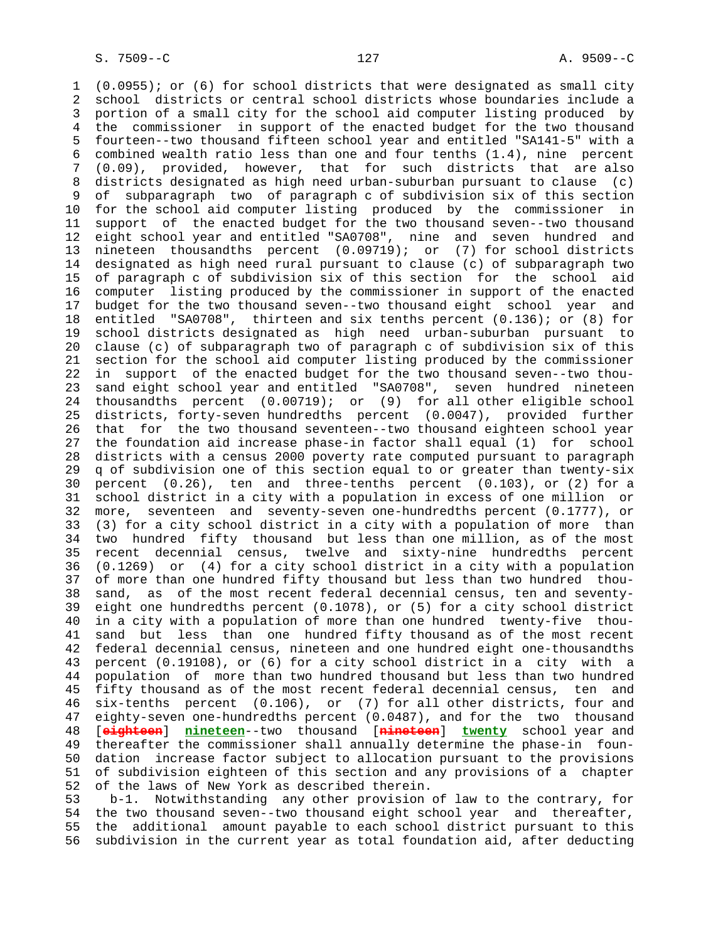1 (0.0955); or (6) for school districts that were designated as small city 2 school districts or central school districts whose boundaries include a 3 portion of a small city for the school aid computer listing produced by 4 the commissioner in support of the enacted budget for the two thousand 5 fourteen--two thousand fifteen school year and entitled "SA141-5" with a 6 combined wealth ratio less than one and four tenths (1.4), nine percent 7 (0.09), provided, however, that for such districts that are also 8 districts designated as high need urban-suburban pursuant to clause (c) 9 of subparagraph two of paragraph c of subdivision six of this section 10 for the school aid computer listing produced by the commissioner in 11 support of the enacted budget for the two thousand seven--two thousand 12 eight school year and entitled "SA0708", nine and seven hundred and 13 nineteen thousandths percent (0.09719); or (7) for school districts 14 designated as high need rural pursuant to clause (c) of subparagraph two 15 of paragraph c of subdivision six of this section for the school aid 16 computer listing produced by the commissioner in support of the enacted 17 budget for the two thousand seven--two thousand eight school year and 18 entitled "SA0708", thirteen and six tenths percent (0.136); or (8) for 19 school districts designated as high need urban-suburban pursuant to 20 clause (c) of subparagraph two of paragraph c of subdivision six of this 21 section for the school aid computer listing produced by the commissioner 22 in support of the enacted budget for the two thousand seven--two thou- 23 sand eight school year and entitled "SA0708", seven hundred nineteen 24 thousandths percent (0.00719); or (9) for all other eligible school 25 districts, forty-seven hundredths percent (0.0047), provided further 26 that for the two thousand seventeen--two thousand eighteen school year 27 the foundation aid increase phase-in factor shall equal (1) for school 28 districts with a census 2000 poverty rate computed pursuant to paragraph 29 q of subdivision one of this section equal to or greater than twenty-six 30 percent (0.26), ten and three-tenths percent (0.103), or (2) for a 31 school district in a city with a population in excess of one million or 32 more, seventeen and seventy-seven one-hundredths percent (0.1777), or 33 (3) for a city school district in a city with a population of more than 34 two hundred fifty thousand but less than one million, as of the most 35 recent decennial census, twelve and sixty-nine hundredths percent 36 (0.1269) or (4) for a city school district in a city with a population 37 of more than one hundred fifty thousand but less than two hundred thou- 38 sand, as of the most recent federal decennial census, ten and seventy- 39 eight one hundredths percent (0.1078), or (5) for a city school district 40 in a city with a population of more than one hundred twenty-five thou- 41 sand but less than one hundred fifty thousand as of the most recent 42 federal decennial census, nineteen and one hundred eight one-thousandths 43 percent (0.19108), or (6) for a city school district in a city with a 44 population of more than two hundred thousand but less than two hundred 45 fifty thousand as of the most recent federal decennial census, ten and 46 six-tenths percent (0.106), or (7) for all other districts, four and 47 eighty-seven one-hundredths percent (0.0487), and for the two thousand 48 [**eighteen**] **nineteen**--two thousand [**nineteen**] **twenty** school year and 49 thereafter the commissioner shall annually determine the phase-in foun- 50 dation increase factor subject to allocation pursuant to the provisions 51 of subdivision eighteen of this section and any provisions of a chapter 52 of the laws of New York as described therein. 53 b-1. Notwithstanding any other provision of law to the contrary, for

 54 the two thousand seven--two thousand eight school year and thereafter, 55 the additional amount payable to each school district pursuant to this 56 subdivision in the current year as total foundation aid, after deducting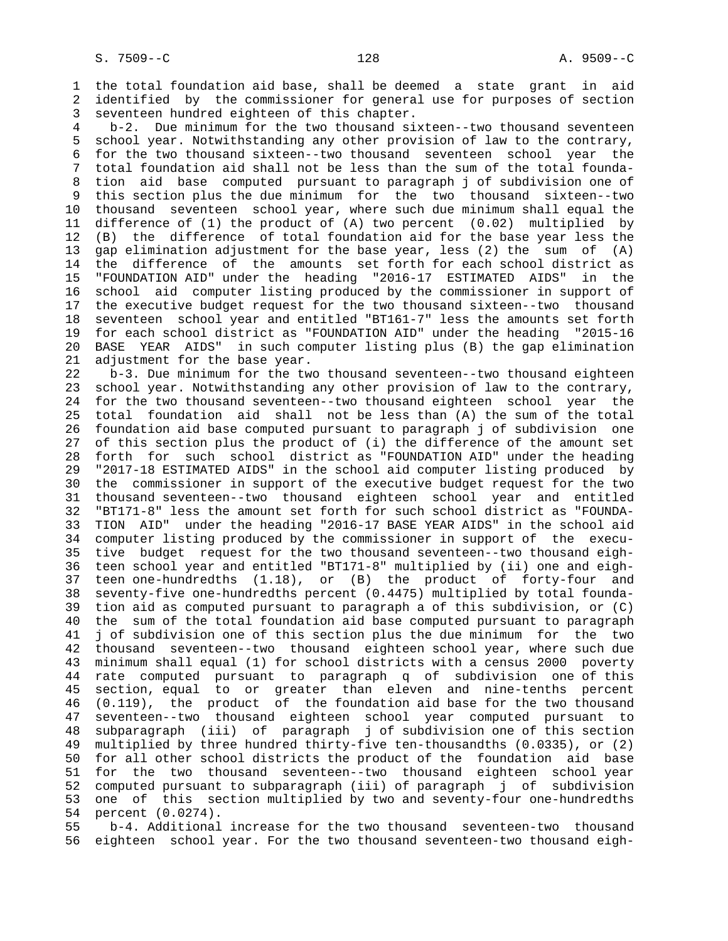1 the total foundation aid base, shall be deemed a state grant in aid 2 identified by the commissioner for general use for purposes of section 3 seventeen hundred eighteen of this chapter.

 4 b-2. Due minimum for the two thousand sixteen--two thousand seventeen 5 school year. Notwithstanding any other provision of law to the contrary, 6 for the two thousand sixteen--two thousand seventeen school year the 7 total foundation aid shall not be less than the sum of the total founda- 8 tion aid base computed pursuant to paragraph j of subdivision one of this section plus the due minimum for the two thousand sixteen--two 10 thousand seventeen school year, where such due minimum shall equal the 11 difference of (1) the product of (A) two percent (0.02) multiplied by 12 (B) the difference of total foundation aid for the base year less the 13 gap elimination adjustment for the base year, less (2) the sum of (A) 14 the difference of the amounts set forth for each school district as 15 "FOUNDATION AID" under the heading "2016-17 ESTIMATED AIDS" in the 16 school aid computer listing produced by the commissioner in support of 17 the executive budget request for the two thousand sixteen--two thousand 18 seventeen school year and entitled "BT161-7" less the amounts set forth 19 for each school district as "FOUNDATION AID" under the heading "2015-16 20 BASE YEAR AIDS" in such computer listing plus (B) the gap elimination 21 adjustment for the base year.

 22 b-3. Due minimum for the two thousand seventeen--two thousand eighteen 23 school year. Notwithstanding any other provision of law to the contrary, 24 for the two thousand seventeen--two thousand eighteen school year the 25 total foundation aid shall not be less than (A) the sum of the total 26 foundation aid base computed pursuant to paragraph j of subdivision one 27 of this section plus the product of (i) the difference of the amount set 28 forth for such school district as "FOUNDATION AID" under the heading 29 "2017-18 ESTIMATED AIDS" in the school aid computer listing produced by 30 the commissioner in support of the executive budget request for the two 31 thousand seventeen--two thousand eighteen school year and entitled 32 "BT171-8" less the amount set forth for such school district as "FOUNDA- 33 TION AID" under the heading "2016-17 BASE YEAR AIDS" in the school aid 34 computer listing produced by the commissioner in support of the execu- 35 tive budget request for the two thousand seventeen--two thousand eigh- 36 teen school year and entitled "BT171-8" multiplied by (ii) one and eigh- 37 teen one-hundredths (1.18), or (B) the product of forty-four and 38 seventy-five one-hundredths percent (0.4475) multiplied by total founda- 39 tion aid as computed pursuant to paragraph a of this subdivision, or (C) 40 the sum of the total foundation aid base computed pursuant to paragraph 41 j of subdivision one of this section plus the due minimum for the two 42 thousand seventeen--two thousand eighteen school year, where such due 43 minimum shall equal (1) for school districts with a census 2000 poverty 44 rate computed pursuant to paragraph q of subdivision one of this 45 section, equal to or greater than eleven and nine-tenths percent 46 (0.119), the product of the foundation aid base for the two thousand 47 seventeen--two thousand eighteen school year computed pursuant to 48 subparagraph (iii) of paragraph j of subdivision one of this section 49 multiplied by three hundred thirty-five ten-thousandths (0.0335), or (2) 50 for all other school districts the product of the foundation aid base 51 for the two thousand seventeen--two thousand eighteen school year 52 computed pursuant to subparagraph (iii) of paragraph j of subdivision 53 one of this section multiplied by two and seventy-four one-hundredths 54 percent (0.0274).

 55 b-4. Additional increase for the two thousand seventeen-two thousand 56 eighteen school year. For the two thousand seventeen-two thousand eigh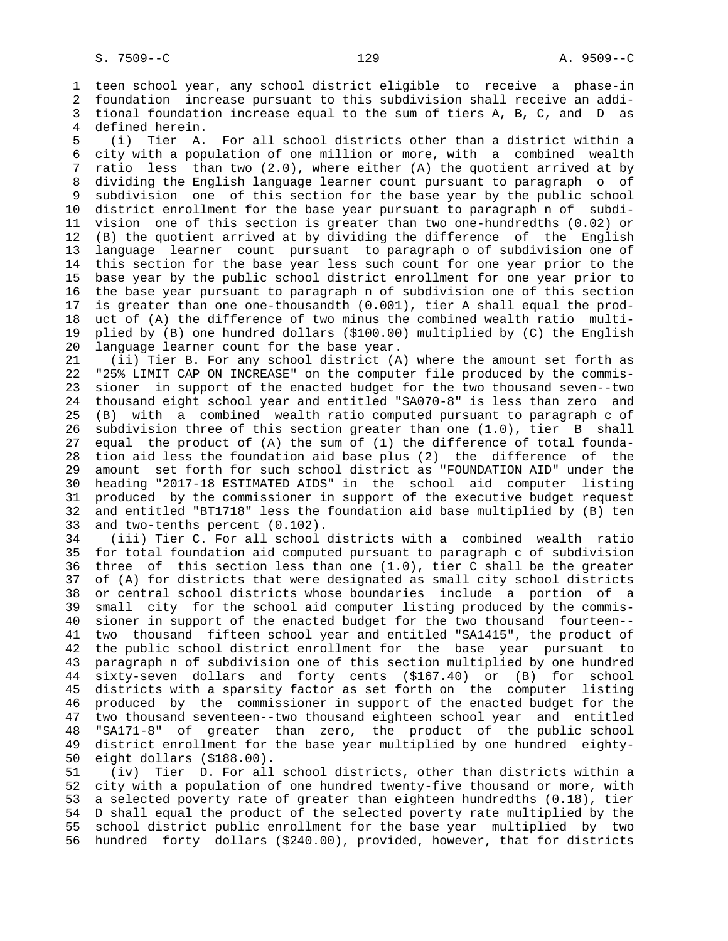1 teen school year, any school district eligible to receive a phase-in 2 foundation increase pursuant to this subdivision shall receive an addi- 3 tional foundation increase equal to the sum of tiers A, B, C, and D as 4 defined herein.

 5 (i) Tier A. For all school districts other than a district within a 6 city with a population of one million or more, with a combined wealth 7 ratio less than two (2.0), where either (A) the quotient arrived at by 8 dividing the English language learner count pursuant to paragraph o of subdivision one of this section for the base year by the public school 10 district enrollment for the base year pursuant to paragraph n of subdi- 11 vision one of this section is greater than two one-hundredths (0.02) or 12 (B) the quotient arrived at by dividing the difference of the English 13 language learner count pursuant to paragraph o of subdivision one of 14 this section for the base year less such count for one year prior to the 15 base year by the public school district enrollment for one year prior to 16 the base year pursuant to paragraph n of subdivision one of this section 17 is greater than one one-thousandth (0.001), tier A shall equal the prod- 18 uct of (A) the difference of two minus the combined wealth ratio multi- 19 plied by (B) one hundred dollars (\$100.00) multiplied by (C) the English 20 language learner count for the base year.

 21 (ii) Tier B. For any school district (A) where the amount set forth as 22 "25% LIMIT CAP ON INCREASE" on the computer file produced by the commis- 23 sioner in support of the enacted budget for the two thousand seven--two 24 thousand eight school year and entitled "SA070-8" is less than zero and 25 (B) with a combined wealth ratio computed pursuant to paragraph c of 26 subdivision three of this section greater than one (1.0), tier B shall 27 equal the product of (A) the sum of (1) the difference of total founda- 28 tion aid less the foundation aid base plus (2) the difference of the 29 amount set forth for such school district as "FOUNDATION AID" under the 30 heading "2017-18 ESTIMATED AIDS" in the school aid computer listing 31 produced by the commissioner in support of the executive budget request 32 and entitled "BT1718" less the foundation aid base multiplied by (B) ten 33 and two-tenths percent (0.102).

 34 (iii) Tier C. For all school districts with a combined wealth ratio 35 for total foundation aid computed pursuant to paragraph c of subdivision 36 three of this section less than one (1.0), tier C shall be the greater 37 of (A) for districts that were designated as small city school districts 38 or central school districts whose boundaries include a portion of a 39 small city for the school aid computer listing produced by the commis- 40 sioner in support of the enacted budget for the two thousand fourteen-- 41 two thousand fifteen school year and entitled "SA1415", the product of 42 the public school district enrollment for the base year pursuant to 43 paragraph n of subdivision one of this section multiplied by one hundred 44 sixty-seven dollars and forty cents (\$167.40) or (B) for school 45 districts with a sparsity factor as set forth on the computer listing 46 produced by the commissioner in support of the enacted budget for the 47 two thousand seventeen--two thousand eighteen school year and entitled 48 "SA171-8" of greater than zero, the product of the public school 49 district enrollment for the base year multiplied by one hundred eighty- 50 eight dollars (\$188.00).

 51 (iv) Tier D. For all school districts, other than districts within a 52 city with a population of one hundred twenty-five thousand or more, with 53 a selected poverty rate of greater than eighteen hundredths (0.18), tier 54 D shall equal the product of the selected poverty rate multiplied by the 55 school district public enrollment for the base year multiplied by two 56 hundred forty dollars (\$240.00), provided, however, that for districts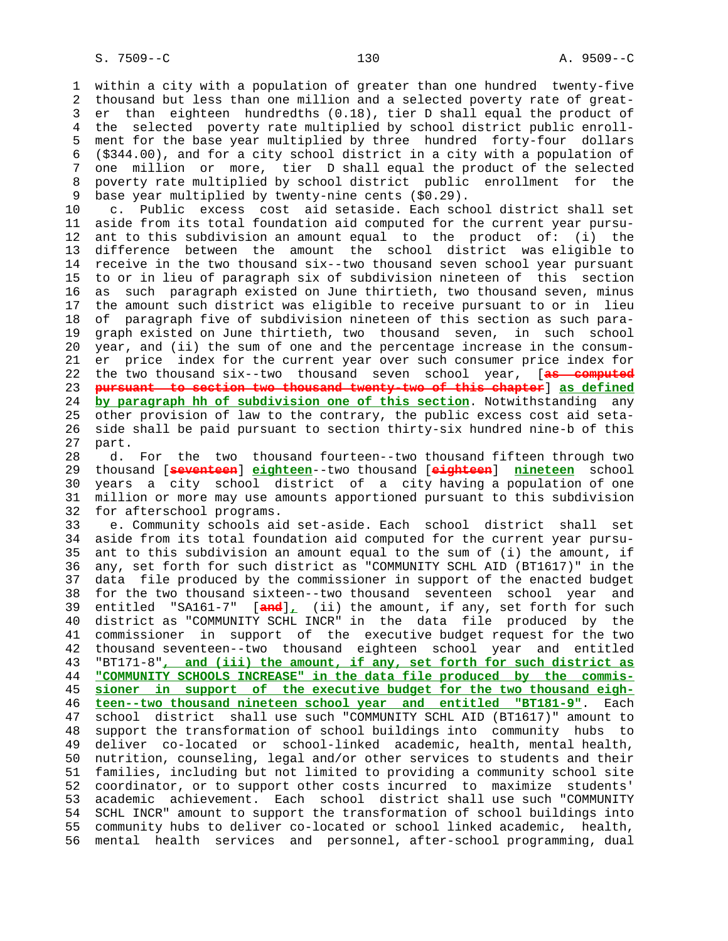1 within a city with a population of greater than one hundred twenty-five 2 thousand but less than one million and a selected poverty rate of great- 3 er than eighteen hundredths (0.18), tier D shall equal the product of 4 the selected poverty rate multiplied by school district public enroll- 5 ment for the base year multiplied by three hundred forty-four dollars 6 (\$344.00), and for a city school district in a city with a population of 7 one million or more, tier D shall equal the product of the selected 8 poverty rate multiplied by school district public enrollment for the<br>9 base year multiplied by twenty-nine cents (\$0.29). base year multiplied by twenty-nine cents (\$0.29).

 10 c. Public excess cost aid setaside. Each school district shall set 11 aside from its total foundation aid computed for the current year pursu- 12 ant to this subdivision an amount equal to the product of: (i) the 13 difference between the amount the school district was eligible to 14 receive in the two thousand six--two thousand seven school year pursuant 15 to or in lieu of paragraph six of subdivision nineteen of this section 16 as such paragraph existed on June thirtieth, two thousand seven, minus 17 the amount such district was eligible to receive pursuant to or in lieu 18 of paragraph five of subdivision nineteen of this section as such para- 19 graph existed on June thirtieth, two thousand seven, in such school 20 year, and (ii) the sum of one and the percentage increase in the consum- 21 er price index for the current year over such consumer price index for 22 the two thousand six--two thousand seven school year, [**as computed** 23 **pursuant to section two thousand twenty-two of this chapter**] **as defined** 24 **by paragraph hh of subdivision one of this section**. Notwithstanding any 25 other provision of law to the contrary, the public excess cost aid seta- 26 side shall be paid pursuant to section thirty-six hundred nine-b of this 27 part.

 28 d. For the two thousand fourteen--two thousand fifteen through two 29 thousand [**seventeen**] **eighteen**--two thousand [**eighteen**] **nineteen** school 30 years a city school district of a city having a population of one 31 million or more may use amounts apportioned pursuant to this subdivision 32 for afterschool programs.

 33 e. Community schools aid set-aside. Each school district shall set 34 aside from its total foundation aid computed for the current year pursu- 35 ant to this subdivision an amount equal to the sum of (i) the amount, if 36 any, set forth for such district as "COMMUNITY SCHL AID (BT1617)" in the 37 data file produced by the commissioner in support of the enacted budget 38 for the two thousand sixteen--two thousand seventeen school year and 39 entitled "SA161-7" [**and**]**,** (ii) the amount, if any, set forth for such 40 district as "COMMUNITY SCHL INCR" in the data file produced by the 41 commissioner in support of the executive budget request for the two 42 thousand seventeen--two thousand eighteen school year and entitled 43 "BT171-8"**, and (iii) the amount, if any, set forth for such district as** 44 **"COMMUNITY SCHOOLS INCREASE" in the data file produced by the commis-** 45 **sioner in support of the executive budget for the two thousand eigh-** 46 **teen--two thousand nineteen school year and entitled "BT181-9"**. Each 47 school district shall use such "COMMUNITY SCHL AID (BT1617)" amount to 48 support the transformation of school buildings into community hubs to 49 deliver co-located or school-linked academic, health, mental health, 50 nutrition, counseling, legal and/or other services to students and their 51 families, including but not limited to providing a community school site 52 coordinator, or to support other costs incurred to maximize students' 53 academic achievement. Each school district shall use such "COMMUNITY 54 SCHL INCR" amount to support the transformation of school buildings into 55 community hubs to deliver co-located or school linked academic, health, 56 mental health services and personnel, after-school programming, dual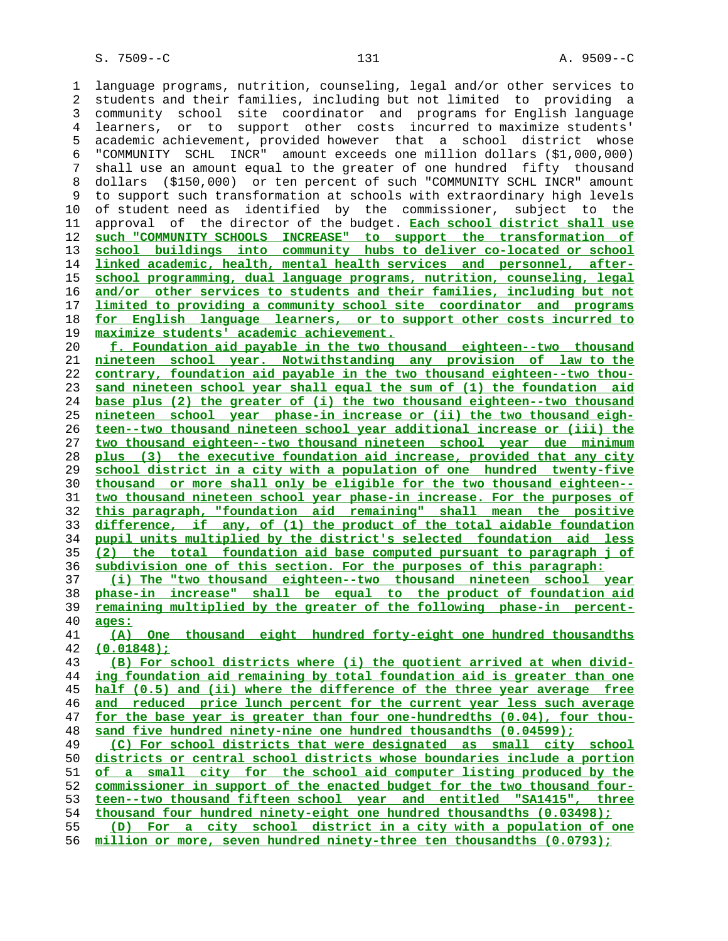1 language programs, nutrition, counseling, legal and/or other services to 2 students and their families, including but not limited to providing a 3 community school site coordinator and programs for English language 4 learners, or to support other costs incurred to maximize students' 5 academic achievement, provided however that a school district whose 6 "COMMUNITY SCHL INCR" amount exceeds one million dollars (\$1,000,000) 7 shall use an amount equal to the greater of one hundred fifty thousand 8 dollars (\$150,000) or ten percent of such "COMMUNITY SCHL INCR" amount 9 to support such transformation at schools with extraordinary high levels 10 of student need as identified by the commissioner, subject to the 11 approval of the director of the budget. **Each school district shall use such "COMMUNITY SCHOOLS INCREASE" to support the transformation of school buildings into community hubs to deliver co-located or school linked academic, health, mental health services and personnel, after- school programming, dual language programs, nutrition, counseling, legal and/or other services to students and their families, including but not limited to providing a community school site coordinator and programs for English language learners, or to support other costs incurred to maximize students' academic achievement. f. Foundation aid payable in the two thousand eighteen--two thousand nineteen school year. Notwithstanding any provision of law to the contrary, foundation aid payable in the two thousand eighteen--two thou- sand nineteen school year shall equal the sum of (1) the foundation aid base plus (2) the greater of (i) the two thousand eighteen--two thousand nineteen school year phase-in increase or (ii) the two thousand eigh- teen--two thousand nineteen school year additional increase or (iii) the two thousand eighteen--two thousand nineteen school year due minimum plus (3) the executive foundation aid increase, provided that any city school district in a city with a population of one hundred twenty-five thousand or more shall only be eligible for the two thousand eighteen-- two thousand nineteen school year phase-in increase. For the purposes of this paragraph, "foundation aid remaining" shall mean the positive difference, if any, of (1) the product of the total aidable foundation pupil units multiplied by the district's selected foundation aid less (2) the total foundation aid base computed pursuant to paragraph j of subdivision one of this section. For the purposes of this paragraph: (i) The "two thousand eighteen--two thousand nineteen school year phase-in increase" shall be equal to the product of foundation aid remaining multiplied by the greater of the following phase-in percent- ages: (A) One thousand eight hundred forty-eight one hundred thousandths (0.01848); (B) For school districts where (i) the quotient arrived at when divid- ing foundation aid remaining by total foundation aid is greater than one half (0.5) and (ii) where the difference of the three year average free and reduced price lunch percent for the current year less such average for the base year is greater than four one-hundredths (0.04), four thou- sand five hundred ninety-nine one hundred thousandths (0.04599); (C) For school districts that were designated as small city school districts or central school districts whose boundaries include a portion of a small city for the school aid computer listing produced by the commissioner in support of the enacted budget for the two thousand four- teen--two thousand fifteen school year and entitled "SA1415", three thousand four hundred ninety-eight one hundred thousandths (0.03498); (D) For a city school district in a city with a population of one million or more, seven hundred ninety-three ten thousandths (0.0793);**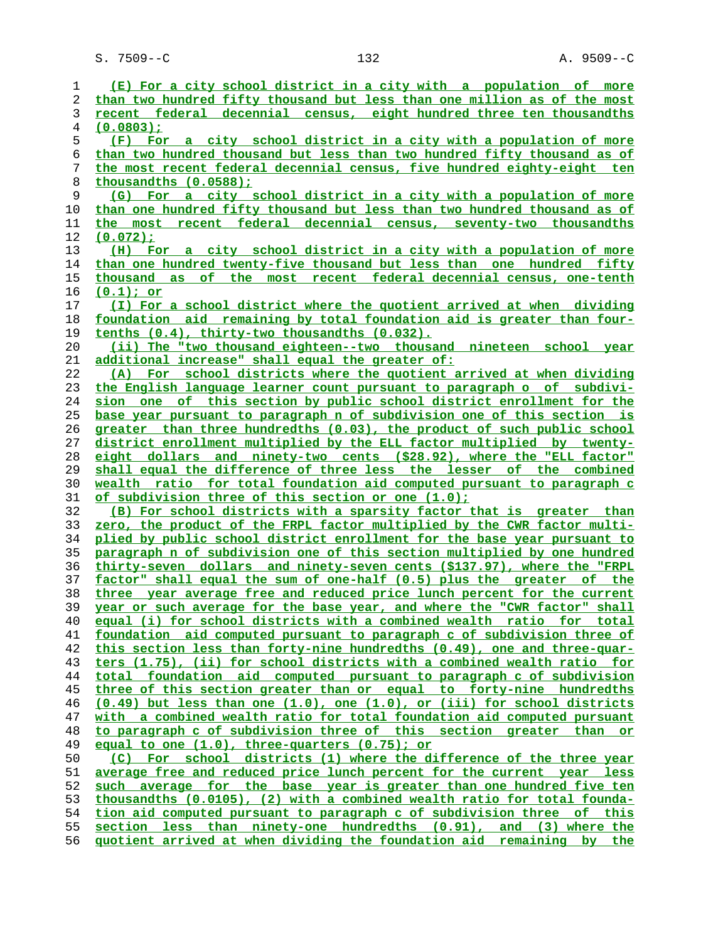S. 7509--C 132 A. 9509--C

| 1  | (E) For a city school district in a city with a population of more                         |
|----|--------------------------------------------------------------------------------------------|
| 2  | than two hundred fifty thousand but less than one million as of the most                   |
| 3  | recent federal decennial census, eight hundred three ten thousandths                       |
| 4  | $(0.0803)$ :                                                                               |
| 5  | (F) For a city school district in a city with a population of more                         |
| 6  | than two hundred thousand but less than two hundred fifty thousand as of                   |
| 7  | the most recent federal decennial census, five hundred eighty-eight ten                    |
| 8  | thousandths (0.0588);                                                                      |
| 9  | (G) For a city school district in a city with a population of more                         |
| 10 | than one hundred fifty thousand but less than two hundred thousand as of                   |
| 11 | the most recent federal decennial census, seventy-two thousandths                          |
| 12 | (0.072):                                                                                   |
| 13 | (H) For a city school district in a city with a population of more                         |
| 14 | than one hundred twenty-five thousand but less than one hundred fifty                      |
| 15 | thousand as of the most recent federal decennial census, one-tenth                         |
| 16 | $(0.1)$ ; or                                                                               |
| 17 | (I) For a school district where the quotient arrived at when dividing                      |
| 18 | foundation aid remaining by total foundation aid is greater than four-                     |
| 19 | tenths (0.4), thirty-two thousandths (0.032).                                              |
| 20 | (ii) The "two thousand eighteen--two thousand nineteen school year                         |
| 21 | additional increase" shall equal the greater of:                                           |
| 22 | (A) For school districts where the quotient arrived at when dividing                       |
| 23 | the English language learner count pursuant to paragraph o of subdivi-                     |
| 24 | sion one of this section by public school district enrollment for the                      |
| 25 | base year pursuant to paragraph n of subdivision one of this section is                    |
| 26 | greater than three hundredths (0.03), the product of such public school                    |
| 27 | district enrollment multiplied by the ELL factor multiplied by twenty-                     |
| 28 | eight dollars and ninety-two cents (\$28.92), where the "ELL factor"                       |
| 29 | shall equal the difference of three less the lesser of the combined                        |
| 30 | wealth ratio for total foundation aid computed pursuant to paragraph c                     |
| 31 | of subdivision three of this section or one (1.0);                                         |
| 32 | (B) For school districts with a sparsity factor that is greater than                       |
| 33 | zero, the product of the FRPL factor multiplied by the CWR factor multi-                   |
| 34 | plied by public school district enrollment for the base year pursuant to                   |
| 35 | paragraph n of subdivision one of this section multiplied by one hundred                   |
| 36 | thirty-seven dollars and ninety-seven cents (\$137.97), where the "FRPL                    |
| 37 | factor" shall equal the sum of one-half (0.5) plus the greater of the                      |
| 38 | three year average free and reduced price lunch percent for the current                    |
| 39 | year or such average for the base year, and where the "CWR factor" shall                   |
| 40 | equal (i) for school districts with a combined wealth ratio for total                      |
| 41 | foundation aid computed pursuant to paragraph c of subdivision three of                    |
| 42 | this section less than forty-nine hundredths (0.49), one and three-quar-                   |
| 43 | ters (1.75), (ii) for school districts with a combined wealth ratio for                    |
| 44 | total foundation aid computed pursuant to paragraph c of subdivision                       |
| 45 | three of this section greater than or equal to forty-nine hundredths                       |
| 46 | $(0.49)$ but less than one $(1.0)$ , one $(1.0)$ , or $(iii)$ for school districts         |
| 47 | with a combined wealth ratio for total foundation aid computed pursuant                    |
| 48 | to paragraph c of subdivision three of this section greater than<br>$\overline{\text{or}}$ |
| 49 | equal to one (1.0), three-quarters (0.75); or                                              |
| 50 | For school districts (1) where the difference of the three year<br>(C)                     |
| 51 | average free and reduced price lunch percent for the current year less                     |
| 52 | such average for the base year is greater than one hundred five ten                        |
| 53 | thousandths (0.0105), (2) with a combined wealth ratio for total founda-                   |
| 54 | tion aid computed pursuant to paragraph c of subdivision three of this                     |
| 55 | section less than ninety-one hundredths (0.91), and (3) where the                          |
| 56 | quotient arrived at when dividing the foundation aid remaining by the                      |
|    |                                                                                            |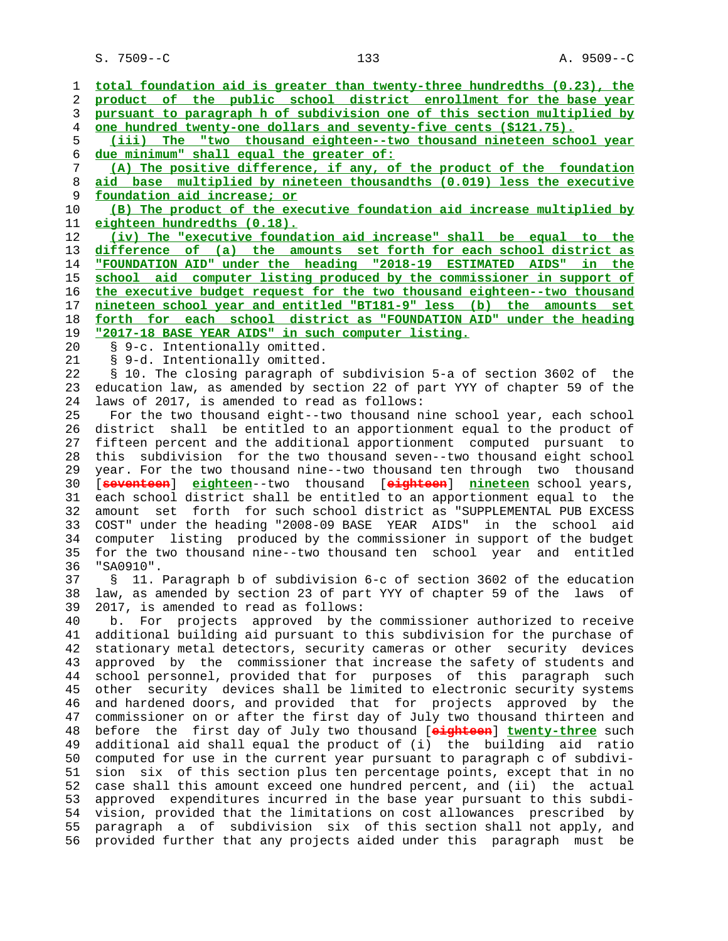S. 7509--C 133 A. 9509--C

 1 **total foundation aid is greater than twenty-three hundredths (0.23), the** 2 **product of the public school district enrollment for the base year** 3 **pursuant to paragraph h of subdivision one of this section multiplied by** 4 **one hundred twenty-one dollars and seventy-five cents (\$121.75).** 5 **(iii) The "two thousand eighteen--two thousand nineteen school year** 6 **due minimum" shall equal the greater of:** 7 **(A) The positive difference, if any, of the product of the foundation** 8 **aid base multiplied by nineteen thousandths (0.019) less the executive** 9 **foundation aid increase; or** 10 **(B) The product of the executive foundation aid increase multiplied by** 11 **eighteen hundredths (0.18).** 12 **(iv) The "executive foundation aid increase" shall be equal to the** 13 **difference of (a) the amounts set forth for each school district as** 14 **"FOUNDATION AID" under the heading "2018-19 ESTIMATED AIDS" in the** 15 **school aid computer listing produced by the commissioner in support of** 16 **the executive budget request for the two thousand eighteen--two thousand** 17 **nineteen school year and entitled "BT181-9" less (b) the amounts set** 18 **forth for each school district as "FOUNDATION AID" under the heading** 19 **"2017-18 BASE YEAR AIDS" in such computer listing.** 20 § 9-c. Intentionally omitted. 21 § 9-d. Intentionally omitted. 22 § 10. The closing paragraph of subdivision 5-a of section 3602 of the 23 education law, as amended by section 22 of part YYY of chapter 59 of the 24 laws of 2017, is amended to read as follows: 25 For the two thousand eight--two thousand nine school year, each school 26 district shall be entitled to an apportionment equal to the product of 27 fifteen percent and the additional apportionment computed pursuant to 28 this subdivision for the two thousand seven--two thousand eight school 29 year. For the two thousand nine--two thousand ten through two thousand 30 [**seventeen**] **eighteen**--two thousand [**eighteen**] **nineteen** school years, 31 each school district shall be entitled to an apportionment equal to the 32 amount set forth for such school district as "SUPPLEMENTAL PUB EXCESS 33 COST" under the heading "2008-09 BASE YEAR AIDS" in the school aid 34 computer listing produced by the commissioner in support of the budget 35 for the two thousand nine--two thousand ten school year and entitled 36 "SA0910". 37 § 11. Paragraph b of subdivision 6-c of section 3602 of the education 38 law, as amended by section 23 of part YYY of chapter 59 of the laws of 39 2017, is amended to read as follows: 40 b. For projects approved by the commissioner authorized to receive 41 additional building aid pursuant to this subdivision for the purchase of 42 stationary metal detectors, security cameras or other security devices 43 approved by the commissioner that increase the safety of students and 44 school personnel, provided that for purposes of this paragraph such 45 other security devices shall be limited to electronic security systems 46 and hardened doors, and provided that for projects approved by the 47 commissioner on or after the first day of July two thousand thirteen and 48 before the first day of July two thousand [**eighteen**] **twenty-three** such 49 additional aid shall equal the product of (i) the building aid ratio 50 computed for use in the current year pursuant to paragraph c of subdivi- 51 sion six of this section plus ten percentage points, except that in no 52 case shall this amount exceed one hundred percent, and (ii) the actual 53 approved expenditures incurred in the base year pursuant to this subdi- 54 vision, provided that the limitations on cost allowances prescribed by 55 paragraph a of subdivision six of this section shall not apply, and 56 provided further that any projects aided under this paragraph must be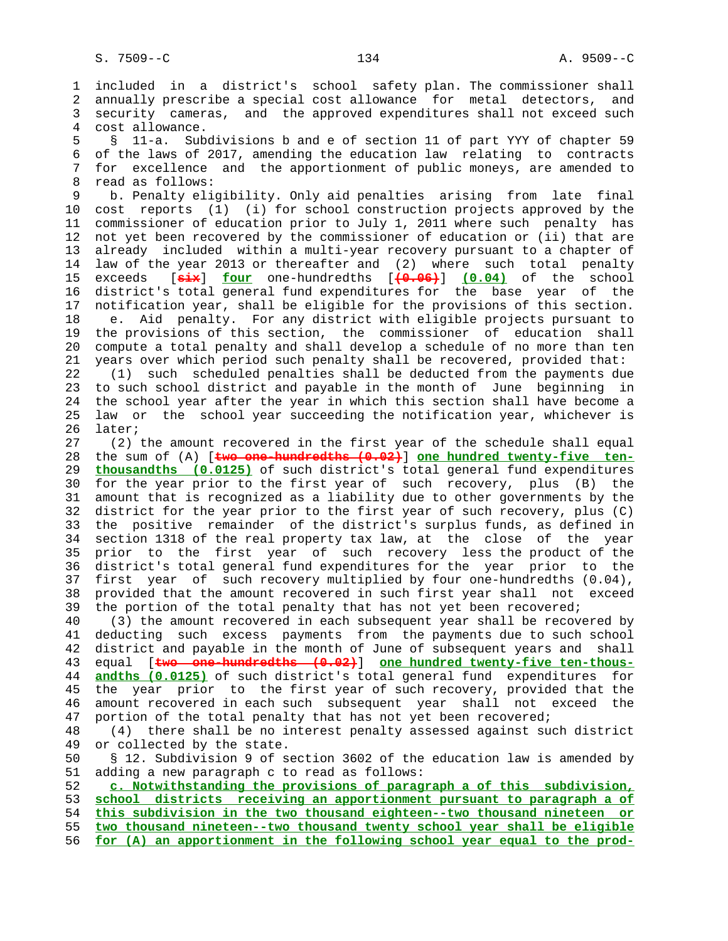1 included in a district's school safety plan. The commissioner shall 2 annually prescribe a special cost allowance for metal detectors, and 3 security cameras, and the approved expenditures shall not exceed such 4 cost allowance.

 5 § 11-a. Subdivisions b and e of section 11 of part YYY of chapter 59 6 of the laws of 2017, amending the education law relating to contracts 7 for excellence and the apportionment of public moneys, are amended to 8 read as follows:<br>9 b. Penalty eli

 9 b. Penalty eligibility. Only aid penalties arising from late final 10 cost reports (1) (i) for school construction projects approved by the 11 commissioner of education prior to July 1, 2011 where such penalty has 12 not yet been recovered by the commissioner of education or (ii) that are 13 already included within a multi-year recovery pursuant to a chapter of 14 law of the year 2013 or thereafter and (2) where such total penalty 15 exceeds [**six**] **four** one-hundredths [**(0.06)**] **(0.04)** of the school 16 district's total general fund expenditures for the base year of the 17 notification year, shall be eligible for the provisions of this section. 18 e. Aid penalty. For any district with eligible projects pursuant to 19 the provisions of this section, the commissioner of education shall 20 compute a total penalty and shall develop a schedule of no more than ten 21 years over which period such penalty shall be recovered, provided that:

 22 (1) such scheduled penalties shall be deducted from the payments due 23 to such school district and payable in the month of June beginning in 24 the school year after the year in which this section shall have become a 25 law or the school year succeeding the notification year, whichever is 26 later;

 27 (2) the amount recovered in the first year of the schedule shall equal 28 the sum of (A) [**two one-hundredths (0.02)**] **one hundred twenty-five ten-** 29 **thousandths (0.0125)** of such district's total general fund expenditures 30 for the year prior to the first year of such recovery, plus (B) the 31 amount that is recognized as a liability due to other governments by the 32 district for the year prior to the first year of such recovery, plus (C) 33 the positive remainder of the district's surplus funds, as defined in 34 section 1318 of the real property tax law, at the close of the year 35 prior to the first year of such recovery less the product of the 36 district's total general fund expenditures for the year prior to the 37 first year of such recovery multiplied by four one-hundredths (0.04), 38 provided that the amount recovered in such first year shall not exceed 39 the portion of the total penalty that has not yet been recovered;

 40 (3) the amount recovered in each subsequent year shall be recovered by 41 deducting such excess payments from the payments due to such school 42 district and payable in the month of June of subsequent years and shall 43 equal [**two one-hundredths (0.02)**] **one hundred twenty-five ten-thous-** 44 **andths (0.0125)** of such district's total general fund expenditures for 45 the year prior to the first year of such recovery, provided that the 46 amount recovered in each such subsequent year shall not exceed the 47 portion of the total penalty that has not yet been recovered;

48 (4) there shall be no interest penalty assessed against such district<br>49 or collected by the state. or collected by the state.

 50 § 12. Subdivision 9 of section 3602 of the education law is amended by 51 adding a new paragraph c to read as follows:

**c. Notwithstanding the provisions of paragraph a of this subdivision, school districts receiving an apportionment pursuant to paragraph a of this subdivision in the two thousand eighteen--two thousand nineteen or two thousand nineteen--two thousand twenty school year shall be eligible for (A) an apportionment in the following school year equal to the prod-**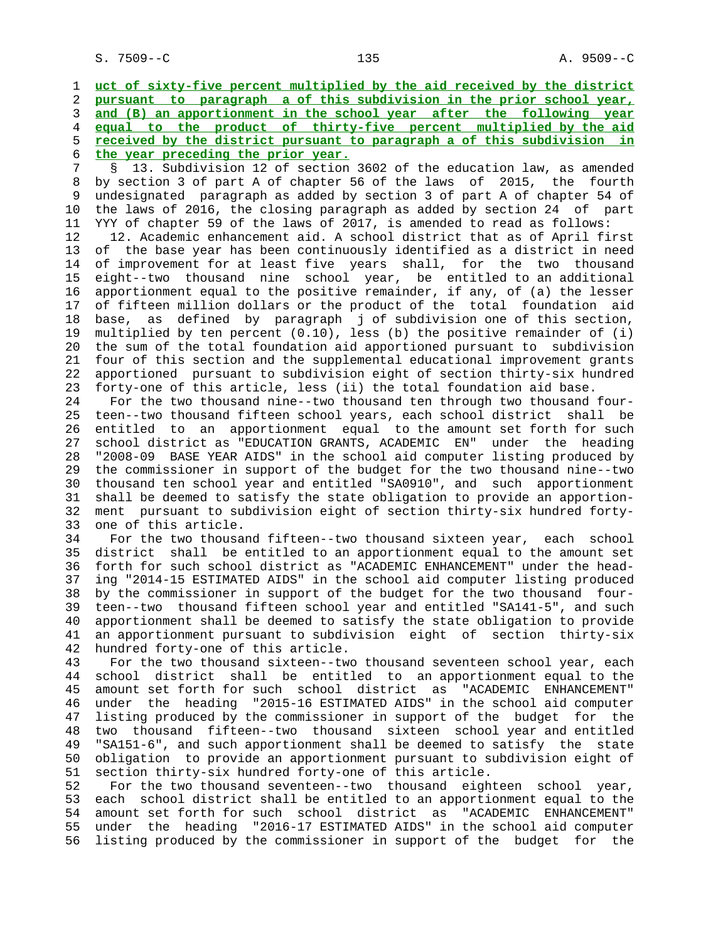**uct of sixty-five percent multiplied by the aid received by the district pursuant to paragraph a of this subdivision in the prior school year, and (B) an apportionment in the school year after the following year equal to the product of thirty-five percent multiplied by the aid received by the district pursuant to paragraph a of this subdivision in the year preceding the prior year.**

 7 § 13. Subdivision 12 of section 3602 of the education law, as amended 8 by section 3 of part A of chapter 56 of the laws of 2015, the fourth undesignated paragraph as added by section 3 of part A of chapter 54 of 10 the laws of 2016, the closing paragraph as added by section 24 of part 11 YYY of chapter 59 of the laws of 2017, is amended to read as follows:

 12 12. Academic enhancement aid. A school district that as of April first 13 of the base year has been continuously identified as a district in need 14 of improvement for at least five years shall, for the two thousand 15 eight--two thousand nine school year, be entitled to an additional 16 apportionment equal to the positive remainder, if any, of (a) the lesser 17 of fifteen million dollars or the product of the total foundation aid 18 base, as defined by paragraph j of subdivision one of this section, 19 multiplied by ten percent (0.10), less (b) the positive remainder of (i) 20 the sum of the total foundation aid apportioned pursuant to subdivision 21 four of this section and the supplemental educational improvement grants 22 apportioned pursuant to subdivision eight of section thirty-six hundred 23 forty-one of this article, less (ii) the total foundation aid base.

 24 For the two thousand nine--two thousand ten through two thousand four- 25 teen--two thousand fifteen school years, each school district shall be 26 entitled to an apportionment equal to the amount set forth for such 27 school district as "EDUCATION GRANTS, ACADEMIC EN" under the heading 28 "2008-09 BASE YEAR AIDS" in the school aid computer listing produced by 29 the commissioner in support of the budget for the two thousand nine--two 30 thousand ten school year and entitled "SA0910", and such apportionment 31 shall be deemed to satisfy the state obligation to provide an apportion- 32 ment pursuant to subdivision eight of section thirty-six hundred forty- 33 one of this article.

 34 For the two thousand fifteen--two thousand sixteen year, each school 35 district shall be entitled to an apportionment equal to the amount set 36 forth for such school district as "ACADEMIC ENHANCEMENT" under the head- 37 ing "2014-15 ESTIMATED AIDS" in the school aid computer listing produced 38 by the commissioner in support of the budget for the two thousand four- 39 teen--two thousand fifteen school year and entitled "SA141-5", and such 40 apportionment shall be deemed to satisfy the state obligation to provide 41 an apportionment pursuant to subdivision eight of section thirty-six 42 hundred forty-one of this article.

 43 For the two thousand sixteen--two thousand seventeen school year, each 44 school district shall be entitled to an apportionment equal to the 45 amount set forth for such school district as "ACADEMIC ENHANCEMENT" 46 under the heading "2015-16 ESTIMATED AIDS" in the school aid computer 47 listing produced by the commissioner in support of the budget for the 48 two thousand fifteen--two thousand sixteen school year and entitled 49 "SA151-6", and such apportionment shall be deemed to satisfy the state 50 obligation to provide an apportionment pursuant to subdivision eight of 51 section thirty-six hundred forty-one of this article.

 52 For the two thousand seventeen--two thousand eighteen school year, 53 each school district shall be entitled to an apportionment equal to the 54 amount set forth for such school district as "ACADEMIC ENHANCEMENT" 55 under the heading "2016-17 ESTIMATED AIDS" in the school aid computer 56 listing produced by the commissioner in support of the budget for the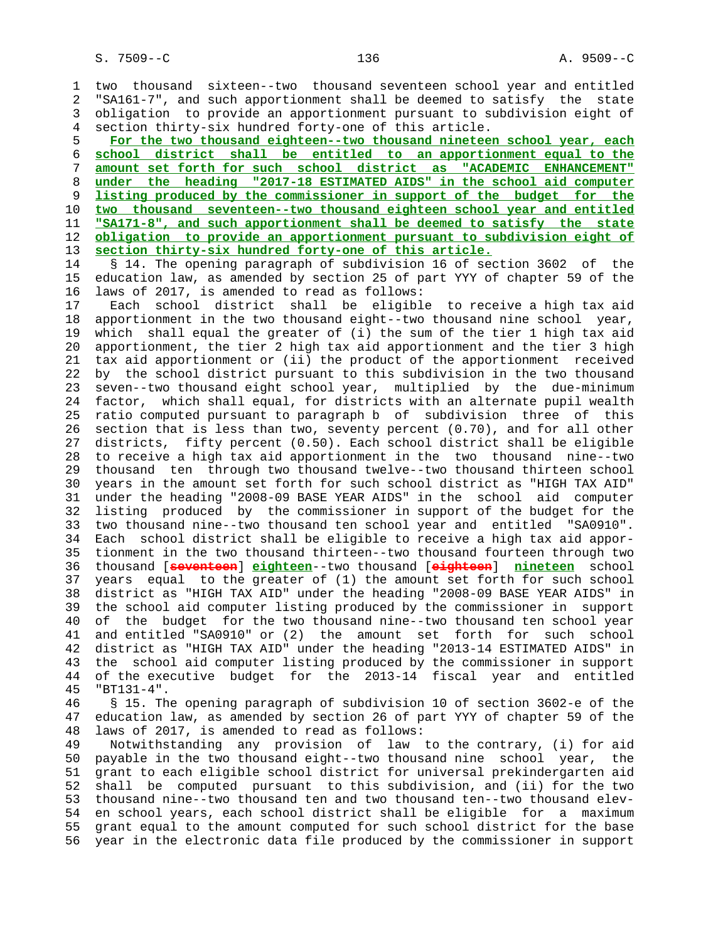1 two thousand sixteen--two thousand seventeen school year and entitled 2 "SA161-7", and such apportionment shall be deemed to satisfy the state 3 obligation to provide an apportionment pursuant to subdivision eight of 4 section thirty-six hundred forty-one of this article. **For the two thousand eighteen--two thousand nineteen school year, each school district shall be entitled to an apportionment equal to the amount set forth for such school district as "ACADEMIC ENHANCEMENT" under the heading "2017-18 ESTIMATED AIDS" in the school aid computer listing produced by the commissioner in support of the budget for the two thousand seventeen--two thousand eighteen school year and entitled "SA171-8", and such apportionment shall be deemed to satisfy the state obligation to provide an apportionment pursuant to subdivision eight of section thirty-six hundred forty-one of this article.** 14 § 14. The opening paragraph of subdivision 16 of section 3602 of the

 15 education law, as amended by section 25 of part YYY of chapter 59 of the 16 laws of 2017, is amended to read as follows:

 17 Each school district shall be eligible to receive a high tax aid 18 apportionment in the two thousand eight--two thousand nine school year, 19 which shall equal the greater of (i) the sum of the tier 1 high tax aid 20 apportionment, the tier 2 high tax aid apportionment and the tier 3 high 21 tax aid apportionment or (ii) the product of the apportionment received 22 by the school district pursuant to this subdivision in the two thousand 23 seven--two thousand eight school year, multiplied by the due-minimum 24 factor, which shall equal, for districts with an alternate pupil wealth 25 ratio computed pursuant to paragraph b of subdivision three of this 26 section that is less than two, seventy percent (0.70), and for all other 27 districts, fifty percent (0.50). Each school district shall be eligible 28 to receive a high tax aid apportionment in the two thousand nine--two 29 thousand ten through two thousand twelve--two thousand thirteen school 30 years in the amount set forth for such school district as "HIGH TAX AID" 31 under the heading "2008-09 BASE YEAR AIDS" in the school aid computer 32 listing produced by the commissioner in support of the budget for the 33 two thousand nine--two thousand ten school year and entitled "SA0910". 34 Each school district shall be eligible to receive a high tax aid appor- 35 tionment in the two thousand thirteen--two thousand fourteen through two 36 thousand [**seventeen**] **eighteen**--two thousand [**eighteen**] **nineteen** school 37 years equal to the greater of (1) the amount set forth for such school 38 district as "HIGH TAX AID" under the heading "2008-09 BASE YEAR AIDS" in 39 the school aid computer listing produced by the commissioner in support 40 of the budget for the two thousand nine--two thousand ten school year 41 and entitled "SA0910" or (2) the amount set forth for such school 42 district as "HIGH TAX AID" under the heading "2013-14 ESTIMATED AIDS" in 43 the school aid computer listing produced by the commissioner in support 44 of the executive budget for the 2013-14 fiscal year and entitled 45 "BT131-4".

 46 § 15. The opening paragraph of subdivision 10 of section 3602-e of the 47 education law, as amended by section 26 of part YYY of chapter 59 of the 48 laws of 2017, is amended to read as follows:

 49 Notwithstanding any provision of law to the contrary, (i) for aid 50 payable in the two thousand eight--two thousand nine school year, the 51 grant to each eligible school district for universal prekindergarten aid 52 shall be computed pursuant to this subdivision, and (ii) for the two 53 thousand nine--two thousand ten and two thousand ten--two thousand elev- 54 en school years, each school district shall be eligible for a maximum 55 grant equal to the amount computed for such school district for the base 56 year in the electronic data file produced by the commissioner in support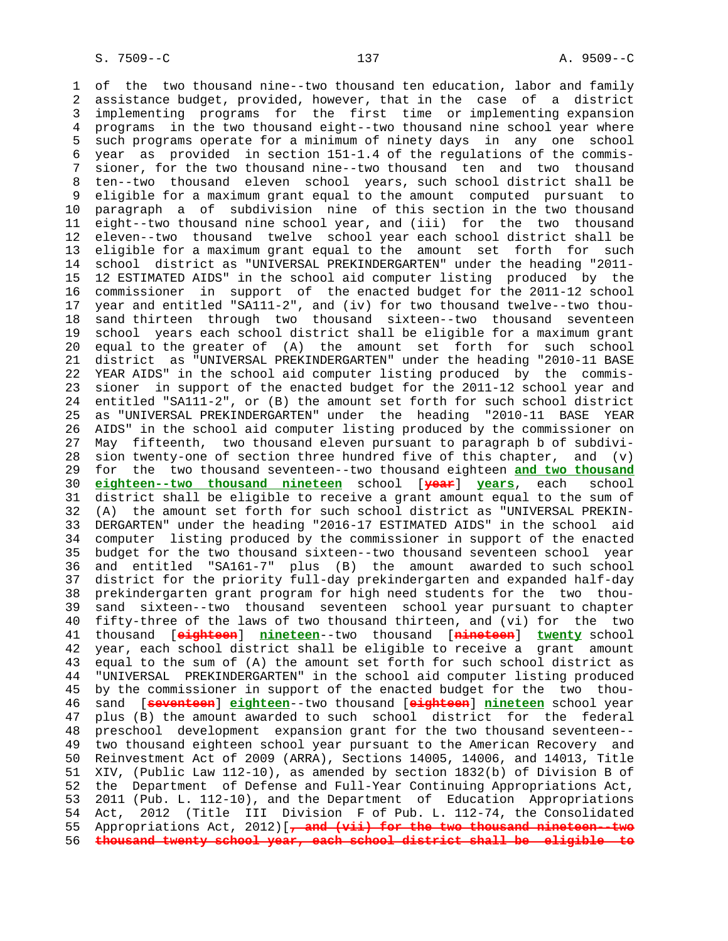1 of the two thousand nine--two thousand ten education, labor and family 2 assistance budget, provided, however, that in the case of a district 3 implementing programs for the first time or implementing expansion 4 programs in the two thousand eight--two thousand nine school year where 5 such programs operate for a minimum of ninety days in any one school 6 year as provided in section 151-1.4 of the regulations of the commis- 7 sioner, for the two thousand nine--two thousand ten and two thousand 8 ten--two thousand eleven school years, such school district shall be 9 eligible for a maximum grant equal to the amount computed pursuant to 10 paragraph a of subdivision nine of this section in the two thousand 11 eight--two thousand nine school year, and (iii) for the two thousand 12 eleven--two thousand twelve school year each school district shall be 13 eligible for a maximum grant equal to the amount set forth for such 14 school district as "UNIVERSAL PREKINDERGARTEN" under the heading "2011- 15 12 ESTIMATED AIDS" in the school aid computer listing produced by the 16 commissioner in support of the enacted budget for the 2011-12 school 17 year and entitled "SA111-2", and (iv) for two thousand twelve--two thou- 18 sand thirteen through two thousand sixteen--two thousand seventeen 19 school years each school district shall be eligible for a maximum grant 20 equal to the greater of (A) the amount set forth for such school 21 district as "UNIVERSAL PREKINDERGARTEN" under the heading "2010-11 BASE 22 YEAR AIDS" in the school aid computer listing produced by the commis- 23 sioner in support of the enacted budget for the 2011-12 school year and 24 entitled "SA111-2", or (B) the amount set forth for such school district 25 as "UNIVERSAL PREKINDERGARTEN" under the heading "2010-11 BASE YEAR 26 AIDS" in the school aid computer listing produced by the commissioner on 27 May fifteenth, two thousand eleven pursuant to paragraph b of subdivi- 28 sion twenty-one of section three hundred five of this chapter, and  $(v)$  29 for the two thousand seventeen--two thousand eighteen **and two thousand** 30 **eighteen--two thousand nineteen** school [**year**] **years**, each school 31 district shall be eligible to receive a grant amount equal to the sum of 32 (A) the amount set forth for such school district as "UNIVERSAL PREKIN- 33 DERGARTEN" under the heading "2016-17 ESTIMATED AIDS" in the school aid 34 computer listing produced by the commissioner in support of the enacted 35 budget for the two thousand sixteen--two thousand seventeen school year 36 and entitled "SA161-7" plus (B) the amount awarded to such school 37 district for the priority full-day prekindergarten and expanded half-day 38 prekindergarten grant program for high need students for the two thou- 39 sand sixteen--two thousand seventeen school year pursuant to chapter 40 fifty-three of the laws of two thousand thirteen, and (vi) for the two 41 thousand [**eighteen**] **nineteen**--two thousand [**nineteen**] **twenty** school 42 year, each school district shall be eligible to receive a grant amount 43 equal to the sum of (A) the amount set forth for such school district as 44 "UNIVERSAL PREKINDERGARTEN" in the school aid computer listing produced 45 by the commissioner in support of the enacted budget for the two thou- 46 sand [**seventeen**] **eighteen**--two thousand [**eighteen**] **nineteen** school year 47 plus (B) the amount awarded to such school district for the federal 48 preschool development expansion grant for the two thousand seventeen-- 49 two thousand eighteen school year pursuant to the American Recovery and 50 Reinvestment Act of 2009 (ARRA), Sections 14005, 14006, and 14013, Title 51 XIV, (Public Law 112-10), as amended by section 1832(b) of Division B of 52 the Department of Defense and Full-Year Continuing Appropriations Act, 53 2011 (Pub. L. 112-10), and the Department of Education Appropriations 54 Act, 2012 (Title III Division F of Pub. L. 112-74, the Consolidated 55 Appropriations Act, 2012)[**, and (vii) for the two thousand nineteen--two** 56 **thousand twenty school year, each school district shall be eligible to**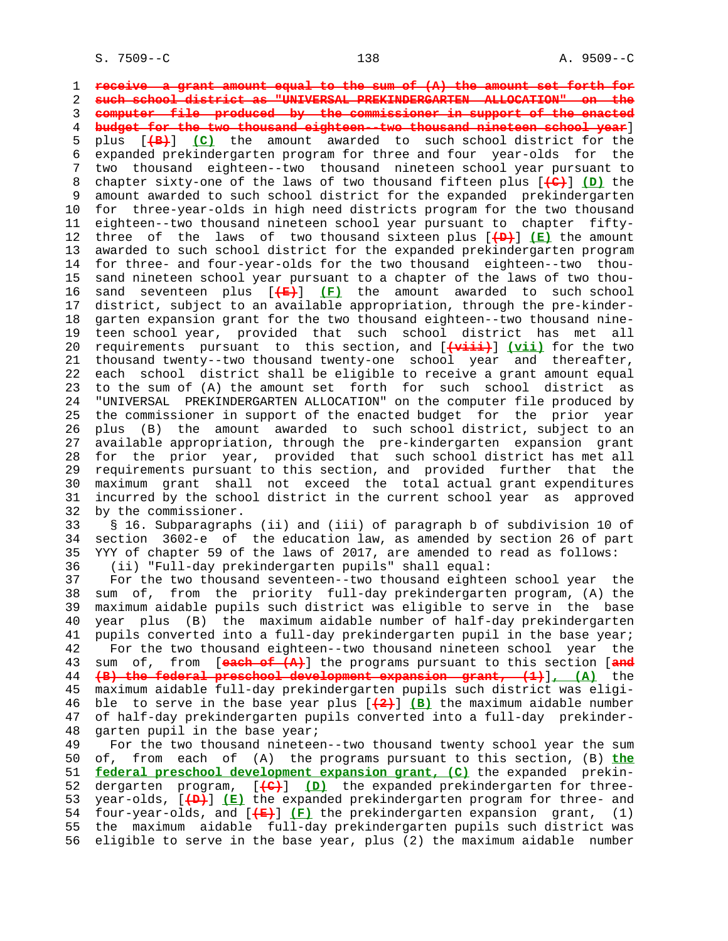1 **receive a grant amount equal to the sum of (A) the amount set forth for** 2 **such school district as "UNIVERSAL PREKINDERGARTEN ALLOCATION" on the** 3 **computer file produced by the commissioner in support of the enacted** 4 **budget for the two thousand eighteen--two thousand nineteen school year**] 5 plus [**(B)**] **(C)** the amount awarded to such school district for the 6 expanded prekindergarten program for three and four year-olds for the 7 two thousand eighteen--two thousand nineteen school year pursuant to 8 chapter sixty-one of the laws of two thousand fifteen plus [**(C)**] **(D)** the amount awarded to such school district for the expanded prekindergarten 10 for three-year-olds in high need districts program for the two thousand 11 eighteen--two thousand nineteen school year pursuant to chapter fifty- 12 three of the laws of two thousand sixteen plus [**(D)**] **(E)** the amount 13 awarded to such school district for the expanded prekindergarten program 14 for three- and four-year-olds for the two thousand eighteen--two thou- 15 sand nineteen school year pursuant to a chapter of the laws of two thou- 16 sand seventeen plus [**(E)**] **(F)** the amount awarded to such school 17 district, subject to an available appropriation, through the pre-kinder- 18 garten expansion grant for the two thousand eighteen--two thousand nine- 19 teen school year, provided that such school district has met all 20 requirements pursuant to this section, and [**(viii)**] **(vii)** for the two 21 thousand twenty--two thousand twenty-one school year and thereafter, 22 each school district shall be eligible to receive a grant amount equal 23 to the sum of (A) the amount set forth for such school district as 24 "UNIVERSAL PREKINDERGARTEN ALLOCATION" on the computer file produced by 25 the commissioner in support of the enacted budget for the prior year 26 plus (B) the amount awarded to such school district, subject to an 27 available appropriation, through the pre-kindergarten expansion grant 28 for the prior year, provided that such school district has met all 29 requirements pursuant to this section, and provided further that the 30 maximum grant shall not exceed the total actual grant expenditures 31 incurred by the school district in the current school year as approved 32 by the commissioner. 33 § 16. Subparagraphs (ii) and (iii) of paragraph b of subdivision 10 of 34 section 3602-e of the education law, as amended by section 26 of part 35 YYY of chapter 59 of the laws of 2017, are amended to read as follows: 36 (ii) "Full-day prekindergarten pupils" shall equal: 37 For the two thousand seventeen--two thousand eighteen school year the 38 sum of, from the priority full-day prekindergarten program, (A) the 39 maximum aidable pupils such district was eligible to serve in the base 40 year plus (B) the maximum aidable number of half-day prekindergarten 41 pupils converted into a full-day prekindergarten pupil in the base year; 42 For the two thousand eighteen--two thousand nineteen school year the 43 sum of, from [**each of (A)**] the programs pursuant to this section [**and** 44 **(B) the federal preschool development expansion grant, (1)**]**, (A)** the 45 maximum aidable full-day prekindergarten pupils such district was eligi- 46 ble to serve in the base year plus [**(2)**] **(B)** the maximum aidable number 47 of half-day prekindergarten pupils converted into a full-day prekinder- 48 garten pupil in the base year; 49 For the two thousand nineteen--two thousand twenty school year the sum 50 of, from each of (A) the programs pursuant to this section, (B) **the** 51 **federal preschool development expansion grant, (C)** the expanded prekin- 52 dergarten program, [**(C)**] **(D)** the expanded prekindergarten for three- 53 year-olds, [**(D)**] **(E)** the expanded prekindergarten program for three- and 54 four-year-olds, and [**(E)**] **(F)** the prekindergarten expansion grant, (1) 55 the maximum aidable full-day prekindergarten pupils such district was

56 eligible to serve in the base year, plus (2) the maximum aidable number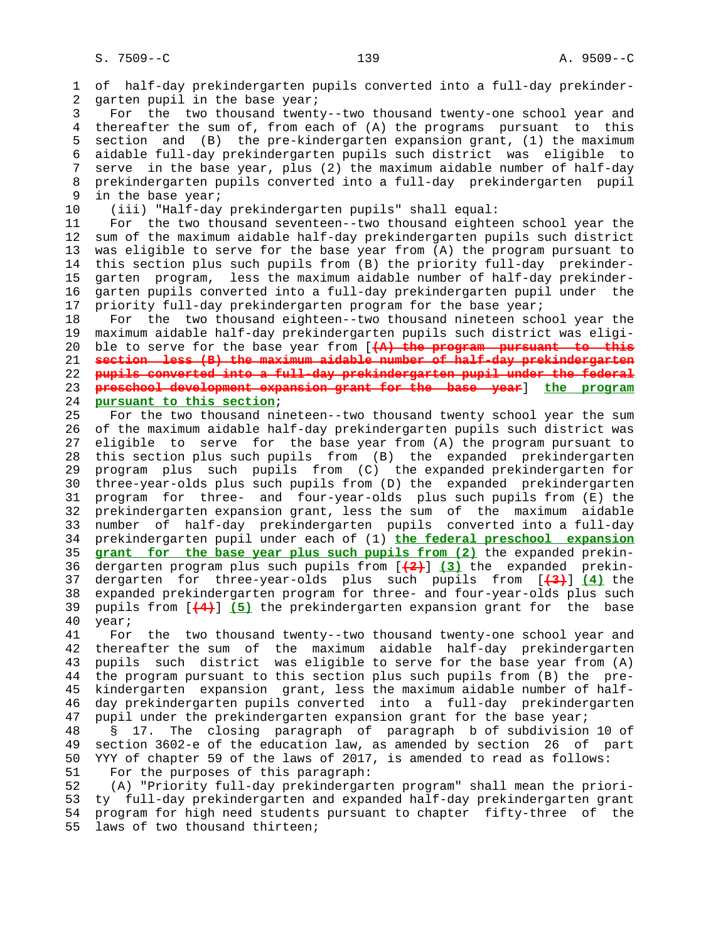1 of half-day prekindergarten pupils converted into a full-day prekinder- 2 garten pupil in the base year; 3 For the two thousand twenty--two thousand twenty-one school year and 4 thereafter the sum of, from each of (A) the programs pursuant to this 5 section and (B) the pre-kindergarten expansion grant, (1) the maximum 6 aidable full-day prekindergarten pupils such district was eligible to 7 serve in the base year, plus (2) the maximum aidable number of half-day 8 prekindergarten pupils converted into a full-day prekindergarten pupil<br>9 in the base vear; in the base year; 10 (iii) "Half-day prekindergarten pupils" shall equal: 11 For the two thousand seventeen--two thousand eighteen school year the 12 sum of the maximum aidable half-day prekindergarten pupils such district 13 was eligible to serve for the base year from (A) the program pursuant to 14 this section plus such pupils from (B) the priority full-day prekinder- 15 garten program, less the maximum aidable number of half-day prekinder- 16 garten pupils converted into a full-day prekindergarten pupil under the 17 priority full-day prekindergarten program for the base year; 18 For the two thousand eighteen--two thousand nineteen school year the 19 maximum aidable half-day prekindergarten pupils such district was eligi- 20 ble to serve for the base year from [**(A) the program pursuant to this** 21 **section less (B) the maximum aidable number of half-day prekindergarten** 22 **pupils converted into a full-day prekindergarten pupil under the federal** 23 **preschool development expansion grant for the base year**] **the program** 24 **pursuant to this section**; 25 For the two thousand nineteen--two thousand twenty school year the sum 26 of the maximum aidable half-day prekindergarten pupils such district was 27 eligible to serve for the base year from (A) the program pursuant to 28 this section plus such pupils from (B) the expanded prekindergarten 29 program plus such pupils from (C) the expanded prekindergarten for 30 three-year-olds plus such pupils from (D) the expanded prekindergarten 31 program for three- and four-year-olds plus such pupils from (E) the 32 prekindergarten expansion grant, less the sum of the maximum aidable 33 number of half-day prekindergarten pupils converted into a full-day 34 prekindergarten pupil under each of (1) **the federal preschool expansion** 35 **grant for the base year plus such pupils from (2)** the expanded prekin- 36 dergarten program plus such pupils from [**(2)**] **(3)** the expanded prekin- 37 dergarten for three-year-olds plus such pupils from [**(3)**] **(4)** the 38 expanded prekindergarten program for three- and four-year-olds plus such 39 pupils from [**(4)**] **(5)** the prekindergarten expansion grant for the base 40 year; 41 For the two thousand twenty--two thousand twenty-one school year and 42 thereafter the sum of the maximum aidable half-day prekindergarten 43 pupils such district was eligible to serve for the base year from (A) 44 the program pursuant to this section plus such pupils from (B) the pre- 45 kindergarten expansion grant, less the maximum aidable number of half- 46 day prekindergarten pupils converted into a full-day prekindergarten 47 pupil under the prekindergarten expansion grant for the base year; 48 § 17. The closing paragraph of paragraph b of subdivision 10 of 49 section 3602-e of the education law, as amended by section 26 of part 50 YYY of chapter 59 of the laws of 2017, is amended to read as follows: 51 For the purposes of this paragraph: 52 (A) "Priority full-day prekindergarten program" shall mean the priori- 53 ty full-day prekindergarten and expanded half-day prekindergarten grant 54 program for high need students pursuant to chapter fifty-three of the

55 laws of two thousand thirteen;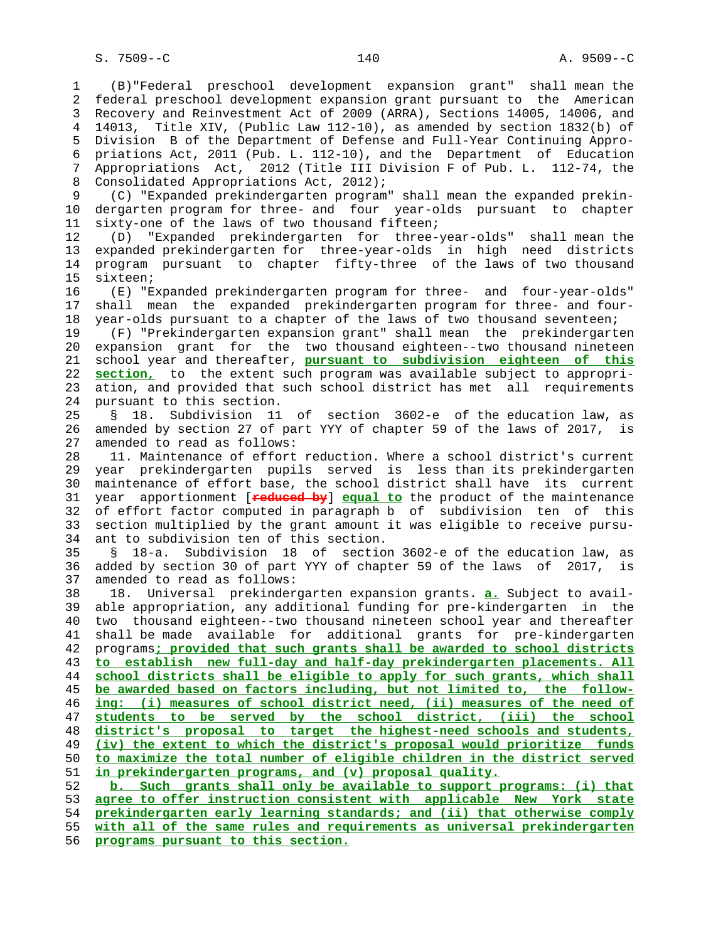1 (B)"Federal preschool development expansion grant" shall mean the 2 federal preschool development expansion grant pursuant to the American 3 Recovery and Reinvestment Act of 2009 (ARRA), Sections 14005, 14006, and 4 14013, Title XIV, (Public Law 112-10), as amended by section 1832(b) of 5 Division B of the Department of Defense and Full-Year Continuing Appro- 6 priations Act, 2011 (Pub. L. 112-10), and the Department of Education 7 Appropriations Act, 2012 (Title III Division F of Pub. L. 112-74, the 8 Consolidated Appropriations Act, 2012);<br>9 (C) "Expanded prekindergarten program 9 (C) "Expanded prekindergarten program" shall mean the expanded prekin- 10 dergarten program for three- and four year-olds pursuant to chapter 11 sixty-one of the laws of two thousand fifteen; 12 (D) "Expanded prekindergarten for three-year-olds" shall mean the 13 expanded prekindergarten for three-year-olds in high need districts 14 program pursuant to chapter fifty-three of the laws of two thousand 15 sixteen; 16 (E) "Expanded prekindergarten program for three- and four-year-olds" 17 shall mean the expanded prekindergarten program for three- and four- 18 year-olds pursuant to a chapter of the laws of two thousand seventeen; 19 (F) "Prekindergarten expansion grant" shall mean the prekindergarten 20 expansion grant for the two thousand eighteen--two thousand nineteen 21 school year and thereafter, **pursuant to subdivision eighteen of this** 22 **section,** to the extent such program was available subject to appropri- 23 ation, and provided that such school district has met all requirements 24 pursuant to this section. 25 § 18. Subdivision 11 of section 3602-e of the education law, as 26 amended by section 27 of part YYY of chapter 59 of the laws of 2017, is 27 amended to read as follows: 28 11. Maintenance of effort reduction. Where a school district's current 29 year prekindergarten pupils served is less than its prekindergarten 30 maintenance of effort base, the school district shall have its current 31 year apportionment [**reduced by**] **equal to** the product of the maintenance 32 of effort factor computed in paragraph b of subdivision ten of this 33 section multiplied by the grant amount it was eligible to receive pursu- 34 ant to subdivision ten of this section. 35 § 18-a. Subdivision 18 of section 3602-e of the education law, as 36 added by section 30 of part YYY of chapter 59 of the laws of 2017, is 37 amended to read as follows: 38 18. Universal prekindergarten expansion grants. **a.** Subject to avail- 39 able appropriation, any additional funding for pre-kindergarten in the 40 two thousand eighteen--two thousand nineteen school year and thereafter 41 shall be made available for additional grants for pre-kindergarten 42 programs**; provided that such grants shall be awarded to school districts** 43 **to establish new full-day and half-day prekindergarten placements. All** 44 **school districts shall be eligible to apply for such grants, which shall** 45 **be awarded based on factors including, but not limited to, the follow-** 46 **ing: (i) measures of school district need, (ii) measures of the need of** 47 **students to be served by the school district, (iii) the school** 48 **district's proposal to target the highest-need schools and students,** 49 **(iv) the extent to which the district's proposal would prioritize funds** 50 **to maximize the total number of eligible children in the district served** 51 **in prekindergarten programs, and (v) proposal quality.** 52 **b. Such grants shall only be available to support programs: (i) that** 53 **agree to offer instruction consistent with applicable New York state** 54 **prekindergarten early learning standards; and (ii) that otherwise comply** 55 **with all of the same rules and requirements as universal prekindergarten**

56 **programs pursuant to this section.**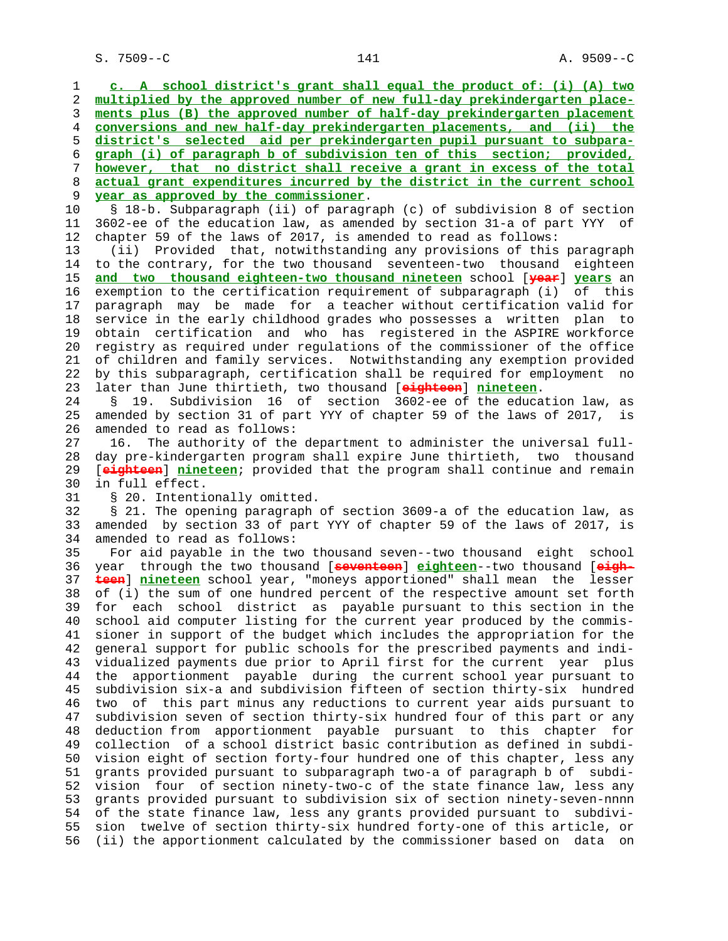S. 7509--C 141 A. 9509--C

 1 **c. A school district's grant shall equal the product of: (i) (A) two** 2 **multiplied by the approved number of new full-day prekindergarten place-** 3 **ments plus (B) the approved number of half-day prekindergarten placement** 4 **conversions and new half-day prekindergarten placements, and (ii) the** 5 **district's selected aid per prekindergarten pupil pursuant to subpara-** 6 **graph (i) of paragraph b of subdivision ten of this section; provided,** 7 **however, that no district shall receive a grant in excess of the total** 8 **actual grant expenditures incurred by the district in the current school** 9 **year as approved by the commissioner**. 10 § 18-b. Subparagraph (ii) of paragraph (c) of subdivision 8 of section 11 3602-ee of the education law, as amended by section 31-a of part YYY of 12 chapter 59 of the laws of 2017, is amended to read as follows: 13 (ii) Provided that, notwithstanding any provisions of this paragraph 14 to the contrary, for the two thousand seventeen-two thousand eighteen 15 **and two thousand eighteen-two thousand nineteen** school [**year**] **years** an 16 exemption to the certification requirement of subparagraph (i) of this 17 paragraph may be made for a teacher without certification valid for 18 service in the early childhood grades who possesses a written plan to 19 obtain certification and who has registered in the ASPIRE workforce 20 registry as required under regulations of the commissioner of the office 21 of children and family services. Notwithstanding any exemption provided 22 by this subparagraph, certification shall be required for employment no 23 later than June thirtieth, two thousand [**eighteen**] **nineteen**. 24 § 19. Subdivision 16 of section 3602-ee of the education law, as 25 amended by section 31 of part YYY of chapter 59 of the laws of 2017, is 26 amended to read as follows: 27 16. The authority of the department to administer the universal full- 28 day pre-kindergarten program shall expire June thirtieth, two thousand 29 [**eighteen**] **nineteen**; provided that the program shall continue and remain 30 in full effect. 31 § 20. Intentionally omitted. 32 § 21. The opening paragraph of section 3609-a of the education law, as 33 amended by section 33 of part YYY of chapter 59 of the laws of 2017, is 34 amended to read as follows: 35 For aid payable in the two thousand seven--two thousand eight school 36 year through the two thousand [**seventeen**] **eighteen**--two thousand [**eigh-** 37 **teen**] **nineteen** school year, "moneys apportioned" shall mean the lesser 38 of (i) the sum of one hundred percent of the respective amount set forth 39 for each school district as payable pursuant to this section in the 40 school aid computer listing for the current year produced by the commis- 41 sioner in support of the budget which includes the appropriation for the 42 general support for public schools for the prescribed payments and indi- 43 vidualized payments due prior to April first for the current year plus 44 the apportionment payable during the current school year pursuant to 45 subdivision six-a and subdivision fifteen of section thirty-six hundred 46 two of this part minus any reductions to current year aids pursuant to 47 subdivision seven of section thirty-six hundred four of this part or any 48 deduction from apportionment payable pursuant to this chapter for 49 collection of a school district basic contribution as defined in subdi- 50 vision eight of section forty-four hundred one of this chapter, less any 51 grants provided pursuant to subparagraph two-a of paragraph b of subdi- 52 vision four of section ninety-two-c of the state finance law, less any 53 grants provided pursuant to subdivision six of section ninety-seven-nnnn 54 of the state finance law, less any grants provided pursuant to subdivi- 55 sion twelve of section thirty-six hundred forty-one of this article, or 56 (ii) the apportionment calculated by the commissioner based on data on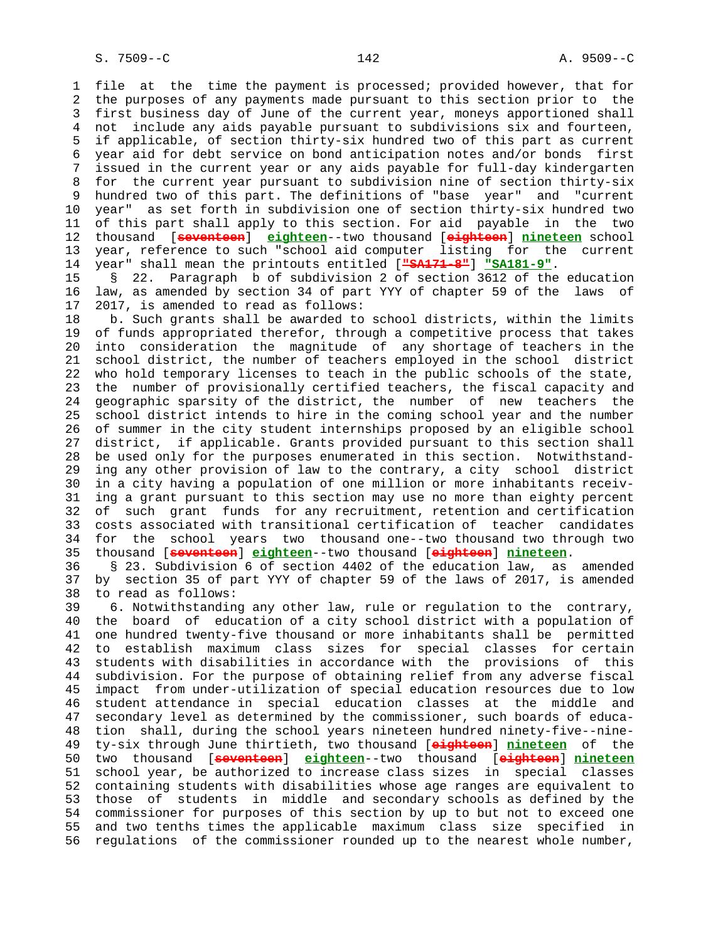1 file at the time the payment is processed; provided however, that for 2 the purposes of any payments made pursuant to this section prior to the 3 first business day of June of the current year, moneys apportioned shall 4 not include any aids payable pursuant to subdivisions six and fourteen, 5 if applicable, of section thirty-six hundred two of this part as current 6 year aid for debt service on bond anticipation notes and/or bonds first 7 issued in the current year or any aids payable for full-day kindergarten 8 for the current year pursuant to subdivision nine of section thirty-six 9 hundred two of this part. The definitions of "base year" and "current 10 year" as set forth in subdivision one of section thirty-six hundred two 11 of this part shall apply to this section. For aid payable in the two 12 thousand [**seventeen**] **eighteen**--two thousand [**eighteen**] **nineteen** school 13 year, reference to such "school aid computer listing for the current 14 year" shall mean the printouts entitled [**"SA171-8"**] **"SA181-9"**.

 15 § 22. Paragraph b of subdivision 2 of section 3612 of the education 16 law, as amended by section 34 of part YYY of chapter 59 of the laws of 17 2017, is amended to read as follows:

 18 b. Such grants shall be awarded to school districts, within the limits 19 of funds appropriated therefor, through a competitive process that takes 20 into consideration the magnitude of any shortage of teachers in the 21 school district, the number of teachers employed in the school district 22 who hold temporary licenses to teach in the public schools of the state, 23 the number of provisionally certified teachers, the fiscal capacity and 24 geographic sparsity of the district, the number of new teachers the 25 school district intends to hire in the coming school year and the number 26 of summer in the city student internships proposed by an eligible school 27 district, if applicable. Grants provided pursuant to this section shall 28 be used only for the purposes enumerated in this section. Notwithstand- 29 ing any other provision of law to the contrary, a city school district 30 in a city having a population of one million or more inhabitants receiv- 31 ing a grant pursuant to this section may use no more than eighty percent 32 of such grant funds for any recruitment, retention and certification 33 costs associated with transitional certification of teacher candidates 34 for the school years two thousand one--two thousand two through two 35 thousand [**seventeen**] **eighteen**--two thousand [**eighteen**] **nineteen**.

 36 § 23. Subdivision 6 of section 4402 of the education law, as amended 37 by section 35 of part YYY of chapter 59 of the laws of 2017, is amended 38 to read as follows:

 39 6. Notwithstanding any other law, rule or regulation to the contrary, 40 the board of education of a city school district with a population of 41 one hundred twenty-five thousand or more inhabitants shall be permitted 42 to establish maximum class sizes for special classes for certain 43 students with disabilities in accordance with the provisions of this 44 subdivision. For the purpose of obtaining relief from any adverse fiscal 45 impact from under-utilization of special education resources due to low 46 student attendance in special education classes at the middle and 47 secondary level as determined by the commissioner, such boards of educa- 48 tion shall, during the school years nineteen hundred ninety-five--nine- 49 ty-six through June thirtieth, two thousand [**eighteen**] **nineteen** of the 50 two thousand [**seventeen**] **eighteen**--two thousand [**eighteen**] **nineteen** 51 school year, be authorized to increase class sizes in special classes 52 containing students with disabilities whose age ranges are equivalent to 53 those of students in middle and secondary schools as defined by the 54 commissioner for purposes of this section by up to but not to exceed one 55 and two tenths times the applicable maximum class size specified in 56 regulations of the commissioner rounded up to the nearest whole number,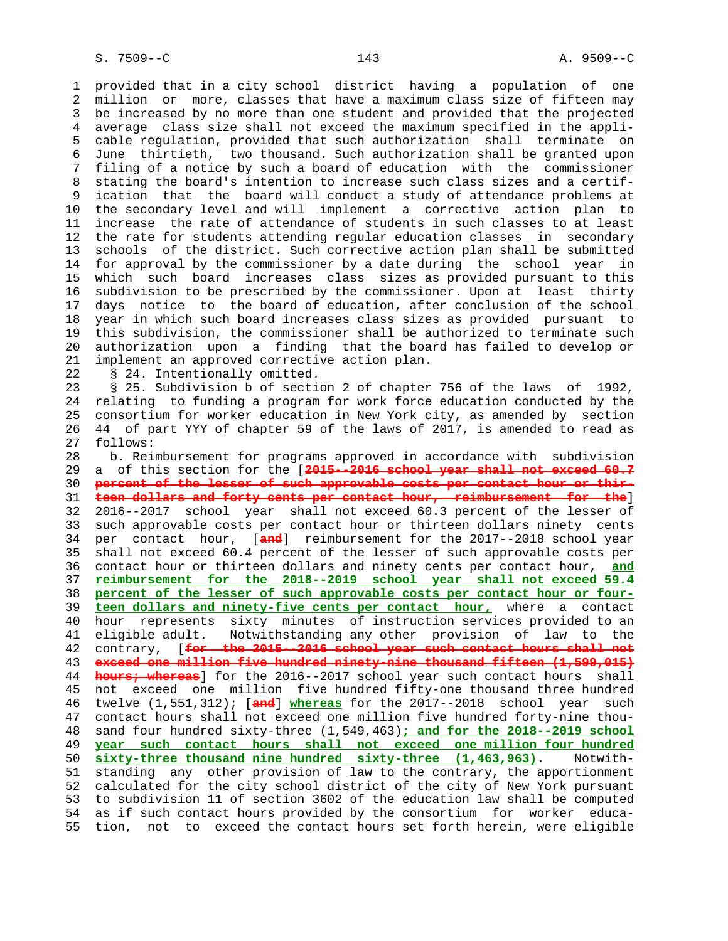1 provided that in a city school district having a population of one 2 million or more, classes that have a maximum class size of fifteen may 3 be increased by no more than one student and provided that the projected 4 average class size shall not exceed the maximum specified in the appli- 5 cable regulation, provided that such authorization shall terminate on 6 June thirtieth, two thousand. Such authorization shall be granted upon 7 filing of a notice by such a board of education with the commissioner 8 stating the board's intention to increase such class sizes and a certif- 9 ication that the board will conduct a study of attendance problems at 10 the secondary level and will implement a corrective action plan to 11 increase the rate of attendance of students in such classes to at least 12 the rate for students attending regular education classes in secondary 13 schools of the district. Such corrective action plan shall be submitted 14 for approval by the commissioner by a date during the school year in 15 which such board increases class sizes as provided pursuant to this 16 subdivision to be prescribed by the commissioner. Upon at least thirty 17 days notice to the board of education, after conclusion of the school 18 year in which such board increases class sizes as provided pursuant to 19 this subdivision, the commissioner shall be authorized to terminate such 20 authorization upon a finding that the board has failed to develop or 21 implement an approved corrective action plan.

22 § 24. Intentionally omitted.

 23 § 25. Subdivision b of section 2 of chapter 756 of the laws of 1992, 24 relating to funding a program for work force education conducted by the 25 consortium for worker education in New York city, as amended by section 26 44 of part YYY of chapter 59 of the laws of 2017, is amended to read as 27 follows:

 28 b. Reimbursement for programs approved in accordance with subdivision 29 a of this section for the [**2015--2016 school year shall not exceed 60.7** 30 **percent of the lesser of such approvable costs per contact hour or thir-** 31 **teen dollars and forty cents per contact hour, reimbursement for the**] 32 2016--2017 school year shall not exceed 60.3 percent of the lesser of 33 such approvable costs per contact hour or thirteen dollars ninety cents 34 per contact hour, [**and**] reimbursement for the 2017--2018 school year 35 shall not exceed 60.4 percent of the lesser of such approvable costs per 36 contact hour or thirteen dollars and ninety cents per contact hour, **and** 37 **reimbursement for the 2018--2019 school year shall not exceed 59.4** 38 **percent of the lesser of such approvable costs per contact hour or four-** 39 **teen dollars and ninety-five cents per contact hour,** where a contact 40 hour represents sixty minutes of instruction services provided to an 41 eligible adult. Notwithstanding any other provision of law to the 42 contrary, [**for the 2015--2016 school year such contact hours shall not** 43 **exceed one million five hundred ninety-nine thousand fifteen (1,599,015)** 44 **hours; whereas**] for the 2016--2017 school year such contact hours shall 45 not exceed one million five hundred fifty-one thousand three hundred 46 twelve (1,551,312); [**and**] **whereas** for the 2017--2018 school year such 47 contact hours shall not exceed one million five hundred forty-nine thou- 48 sand four hundred sixty-three (1,549,463)**; and for the 2018--2019 school** 49 **year such contact hours shall not exceed one million four hundred** 50 **sixty-three thousand nine hundred sixty-three (1,463,963)**. Notwith- 51 standing any other provision of law to the contrary, the apportionment 52 calculated for the city school district of the city of New York pursuant 53 to subdivision 11 of section 3602 of the education law shall be computed 54 as if such contact hours provided by the consortium for worker educa- 55 tion, not to exceed the contact hours set forth herein, were eligible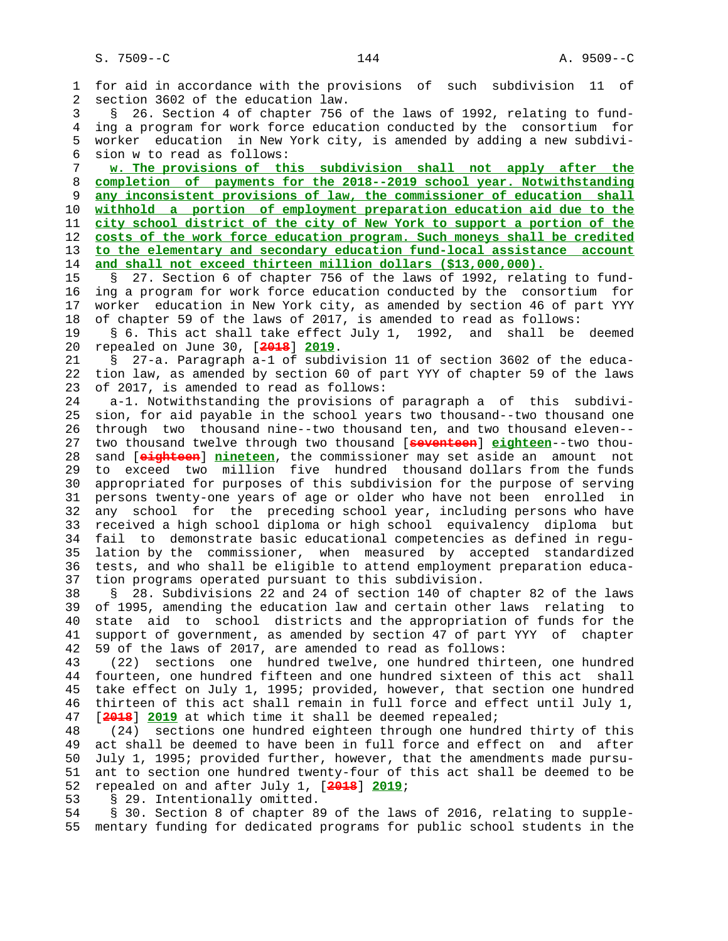1 for aid in accordance with the provisions of such subdivision 11 of 2 section 3602 of the education law. 3 § 26. Section 4 of chapter 756 of the laws of 1992, relating to fund- 4 ing a program for work force education conducted by the consortium for 5 worker education in New York city, is amended by adding a new subdivi- 6 sion w to read as follows: 7 **w. The provisions of this subdivision shall not apply after the** 8 **completion of payments for the 2018--2019 school year. Notwithstanding** 9 **any inconsistent provisions of law, the commissioner of education shall** 10 **withhold a portion of employment preparation education aid due to the** 11 **city school district of the city of New York to support a portion of the** 12 **costs of the work force education program. Such moneys shall be credited** 13 **to the elementary and secondary education fund-local assistance account** 14 **and shall not exceed thirteen million dollars (\$13,000,000).** 15 § 27. Section 6 of chapter 756 of the laws of 1992, relating to fund- 16 ing a program for work force education conducted by the consortium for 17 worker education in New York city, as amended by section 46 of part YYY 18 of chapter 59 of the laws of 2017, is amended to read as follows: 19 § 6. This act shall take effect July 1, 1992, and shall be deemed 20 repealed on June 30, [**2018**] **2019**. 21 § 27-a. Paragraph a-1 of subdivision 11 of section 3602 of the educa- 22 tion law, as amended by section 60 of part YYY of chapter 59 of the laws 23 of 2017, is amended to read as follows: 24 a-1. Notwithstanding the provisions of paragraph a of this subdivi- 25 sion, for aid payable in the school years two thousand--two thousand one 26 through two thousand nine--two thousand ten, and two thousand eleven-- 27 two thousand twelve through two thousand [**seventeen**] **eighteen**--two thou- 28 sand [**eighteen**] **nineteen**, the commissioner may set aside an amount not 29 to exceed two million five hundred thousand dollars from the funds 30 appropriated for purposes of this subdivision for the purpose of serving 31 persons twenty-one years of age or older who have not been enrolled in 32 any school for the preceding school year, including persons who have 33 received a high school diploma or high school equivalency diploma but 34 fail to demonstrate basic educational competencies as defined in regu- 35 lation by the commissioner, when measured by accepted standardized 36 tests, and who shall be eligible to attend employment preparation educa- 37 tion programs operated pursuant to this subdivision. 38 § 28. Subdivisions 22 and 24 of section 140 of chapter 82 of the laws 39 of 1995, amending the education law and certain other laws relating to 40 state aid to school districts and the appropriation of funds for the 41 support of government, as amended by section 47 of part YYY of chapter 42 59 of the laws of 2017, are amended to read as follows: 43 (22) sections one hundred twelve, one hundred thirteen, one hundred 44 fourteen, one hundred fifteen and one hundred sixteen of this act shall 45 take effect on July 1, 1995; provided, however, that section one hundred 46 thirteen of this act shall remain in full force and effect until July 1, 47 [**2018**] **2019** at which time it shall be deemed repealed; 48 (24) sections one hundred eighteen through one hundred thirty of this 49 act shall be deemed to have been in full force and effect on and after 50 July 1, 1995; provided further, however, that the amendments made pursu- 51 ant to section one hundred twenty-four of this act shall be deemed to be 52 repealed on and after July 1, [**2018**] **2019**; 53 § 29. Intentionally omitted.

 54 § 30. Section 8 of chapter 89 of the laws of 2016, relating to supple- 55 mentary funding for dedicated programs for public school students in the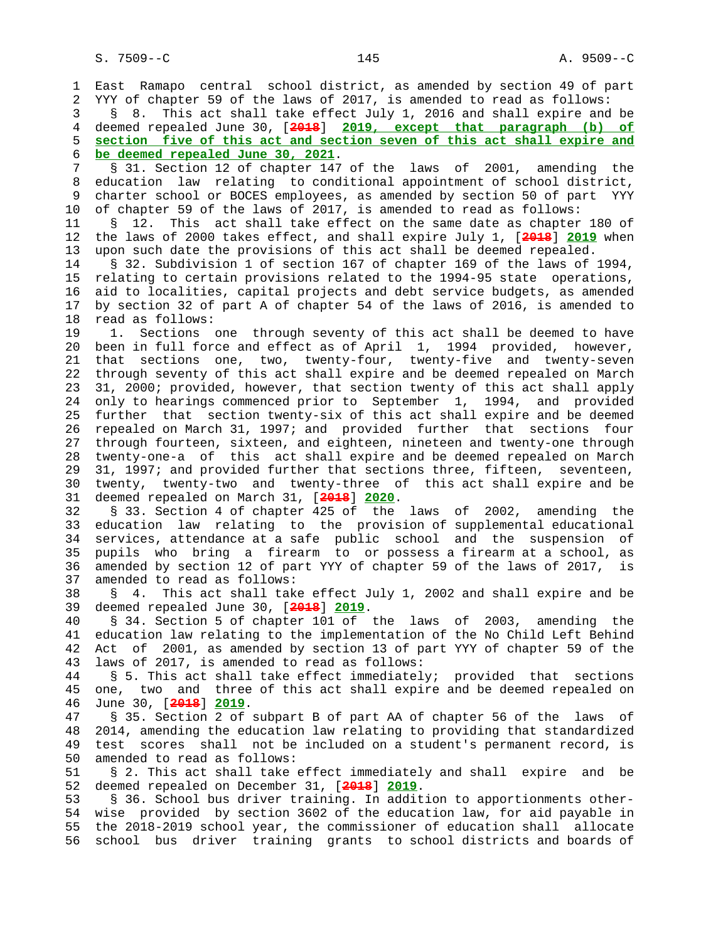1 East Ramapo central school district, as amended by section 49 of part 2 YYY of chapter 59 of the laws of 2017, is amended to read as follows: 3 § 8. This act shall take effect July 1, 2016 and shall expire and be 4 deemed repealed June 30, [**2018**] **2019, except that paragraph (b) of** 5 **section five of this act and section seven of this act shall expire and** 6 **be deemed repealed June 30, 2021**. 7 § 31. Section 12 of chapter 147 of the laws of 2001, amending the 8 education law relating to conditional appointment of school district,<br>9 charter school or BOCES emplovees, as amended by section 50 of part YYY 9 charter school or BOCES employees, as amended by section 50 of part YYY 10 of chapter 59 of the laws of 2017, is amended to read as follows: 11 § 12. This act shall take effect on the same date as chapter 180 of 12 the laws of 2000 takes effect, and shall expire July 1, [**2018**] **2019** when 13 upon such date the provisions of this act shall be deemed repealed. 14 § 32. Subdivision 1 of section 167 of chapter 169 of the laws of 1994, 15 relating to certain provisions related to the 1994-95 state operations, 16 aid to localities, capital projects and debt service budgets, as amended 17 by section 32 of part A of chapter 54 of the laws of 2016, is amended to 18 read as follows: 19 1. Sections one through seventy of this act shall be deemed to have 20 been in full force and effect as of April 1, 1994 provided, however, 21 that sections one, two, twenty-four, twenty-five and twenty-seven 22 through seventy of this act shall expire and be deemed repealed on March 23 31, 2000; provided, however, that section twenty of this act shall apply 24 only to hearings commenced prior to September 1, 1994, and provided 25 further that section twenty-six of this act shall expire and be deemed 26 repealed on March 31, 1997; and provided further that sections four 27 through fourteen, sixteen, and eighteen, nineteen and twenty-one through 28 twenty-one-a of this act shall expire and be deemed repealed on March 29 31, 1997; and provided further that sections three, fifteen, seventeen, 30 twenty, twenty-two and twenty-three of this act shall expire and be 31 deemed repealed on March 31, [**2018**] **2020**. 32 § 33. Section 4 of chapter 425 of the laws of 2002, amending the 33 education law relating to the provision of supplemental educational 34 services, attendance at a safe public school and the suspension of 35 pupils who bring a firearm to or possess a firearm at a school, as 36 amended by section 12 of part YYY of chapter 59 of the laws of 2017, is 37 amended to read as follows: 38 § 4. This act shall take effect July 1, 2002 and shall expire and be 39 deemed repealed June 30, [**2018**] **2019**. 40 § 34. Section 5 of chapter 101 of the laws of 2003, amending the 41 education law relating to the implementation of the No Child Left Behind 42 Act of 2001, as amended by section 13 of part YYY of chapter 59 of the 43 laws of 2017, is amended to read as follows: 44 § 5. This act shall take effect immediately; provided that sections 45 one, two and three of this act shall expire and be deemed repealed on 46 June 30, [**2018**] **2019**. 47 § 35. Section 2 of subpart B of part AA of chapter 56 of the laws of 48 2014, amending the education law relating to providing that standardized 49 test scores shall not be included on a student's permanent record, is 50 amended to read as follows: 51 § 2. This act shall take effect immediately and shall expire and be 52 deemed repealed on December 31, [**2018**] **2019**. 53 § 36. School bus driver training. In addition to apportionments other- 54 wise provided by section 3602 of the education law, for aid payable in 55 the 2018-2019 school year, the commissioner of education shall allocate 56 school bus driver training grants to school districts and boards of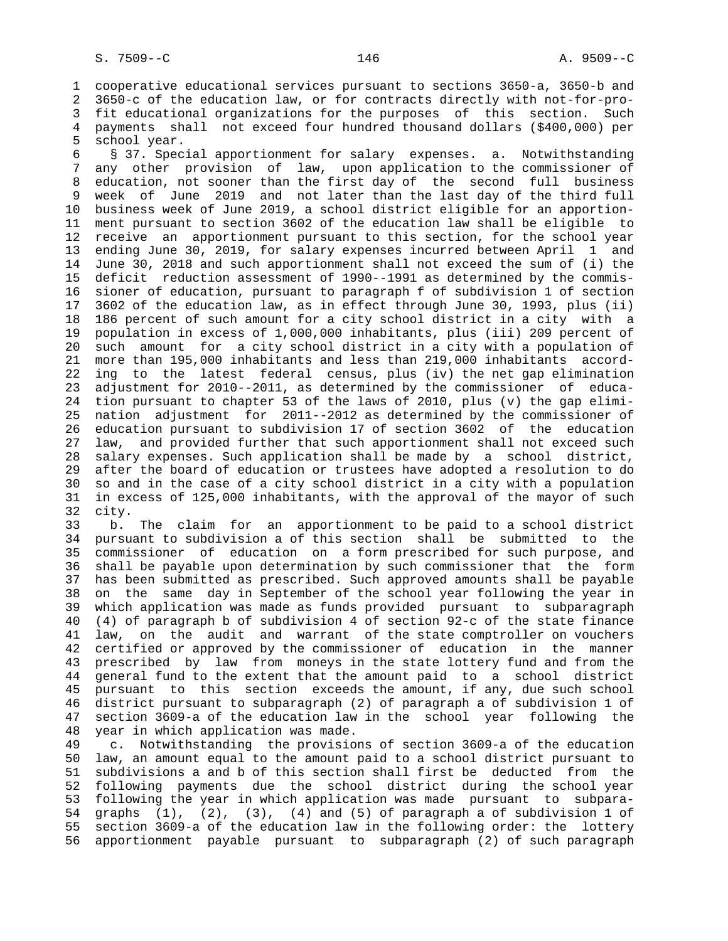1 cooperative educational services pursuant to sections 3650-a, 3650-b and 2 3650-c of the education law, or for contracts directly with not-for-pro- 3 fit educational organizations for the purposes of this section. Such 4 payments shall not exceed four hundred thousand dollars (\$400,000) per 5 school year.

 6 § 37. Special apportionment for salary expenses. a. Notwithstanding 7 any other provision of law, upon application to the commissioner of 8 education, not sooner than the first day of the second full business<br>9 week of June 2019 and not later than the last day of the third full week of June 2019 and not later than the last day of the third full 10 business week of June 2019, a school district eligible for an apportion- 11 ment pursuant to section 3602 of the education law shall be eligible to 12 receive an apportionment pursuant to this section, for the school year 13 ending June 30, 2019, for salary expenses incurred between April 1 and 14 June 30, 2018 and such apportionment shall not exceed the sum of (i) the 15 deficit reduction assessment of 1990--1991 as determined by the commis- 16 sioner of education, pursuant to paragraph f of subdivision 1 of section 17 3602 of the education law, as in effect through June 30, 1993, plus (ii) 18 186 percent of such amount for a city school district in a city with a 19 population in excess of 1,000,000 inhabitants, plus (iii) 209 percent of 20 such amount for a city school district in a city with a population of 21 more than 195,000 inhabitants and less than 219,000 inhabitants accord- 22 ing to the latest federal census, plus (iv) the net gap elimination 23 adjustment for 2010--2011, as determined by the commissioner of educa- 24 tion pursuant to chapter 53 of the laws of 2010, plus (v) the gap elimi- 25 nation adjustment for 2011--2012 as determined by the commissioner of 26 education pursuant to subdivision 17 of section 3602 of the education 27 law, and provided further that such apportionment shall not exceed such 28 salary expenses. Such application shall be made by a school district, 29 after the board of education or trustees have adopted a resolution to do 30 so and in the case of a city school district in a city with a population 31 in excess of 125,000 inhabitants, with the approval of the mayor of such 32 city.

 33 b. The claim for an apportionment to be paid to a school district 34 pursuant to subdivision a of this section shall be submitted to the 35 commissioner of education on a form prescribed for such purpose, and 36 shall be payable upon determination by such commissioner that the form 37 has been submitted as prescribed. Such approved amounts shall be payable 38 on the same day in September of the school year following the year in 39 which application was made as funds provided pursuant to subparagraph 40 (4) of paragraph b of subdivision 4 of section 92-c of the state finance 41 law, on the audit and warrant of the state comptroller on vouchers 42 certified or approved by the commissioner of education in the manner 43 prescribed by law from moneys in the state lottery fund and from the 44 general fund to the extent that the amount paid to a school district 45 pursuant to this section exceeds the amount, if any, due such school 46 district pursuant to subparagraph (2) of paragraph a of subdivision 1 of 47 section 3609-a of the education law in the school year following the 48 year in which application was made.

 49 c. Notwithstanding the provisions of section 3609-a of the education 50 law, an amount equal to the amount paid to a school district pursuant to 51 subdivisions a and b of this section shall first be deducted from the 52 following payments due the school district during the school year 53 following the year in which application was made pursuant to subpara- 54 graphs (1), (2), (3), (4) and (5) of paragraph a of subdivision 1 of 55 section 3609-a of the education law in the following order: the lottery 56 apportionment payable pursuant to subparagraph (2) of such paragraph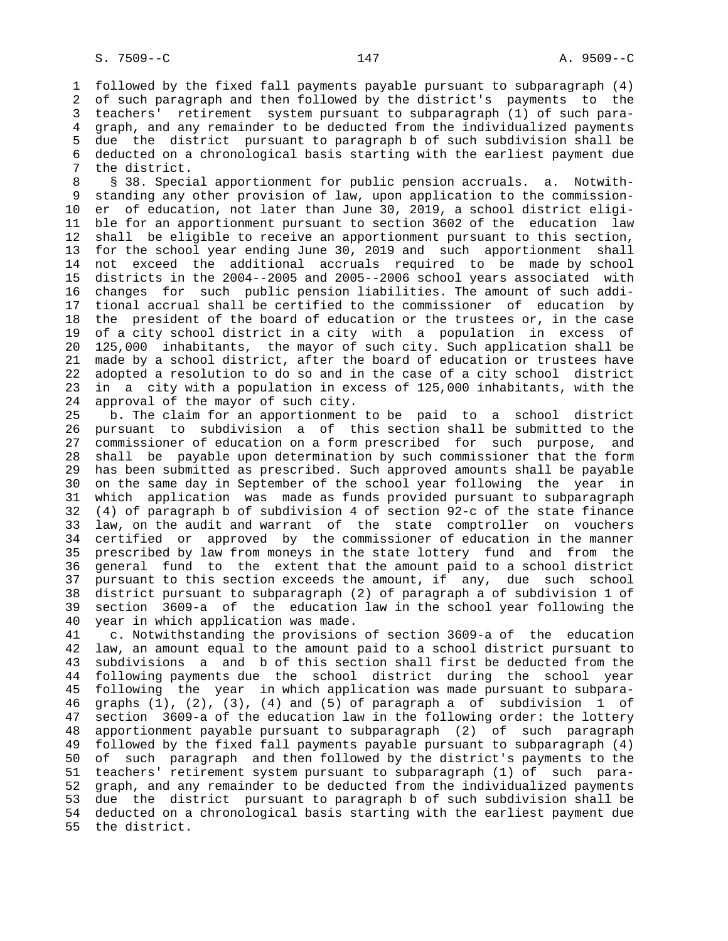1 followed by the fixed fall payments payable pursuant to subparagraph (4) 2 of such paragraph and then followed by the district's payments to the 3 teachers' retirement system pursuant to subparagraph (1) of such para- 4 graph, and any remainder to be deducted from the individualized payments 5 due the district pursuant to paragraph b of such subdivision shall be 6 deducted on a chronological basis starting with the earliest payment due 7 the district.

8 § 38. Special apportionment for public pension accruals. a. Notwith-<br>9 standing any other provision of law, upon application to the commissionstanding any other provision of law, upon application to the commission- 10 er of education, not later than June 30, 2019, a school district eligi- 11 ble for an apportionment pursuant to section 3602 of the education law 12 shall be eligible to receive an apportionment pursuant to this section, 13 for the school year ending June 30, 2019 and such apportionment shall 14 not exceed the additional accruals required to be made by school 15 districts in the 2004--2005 and 2005--2006 school years associated with 16 changes for such public pension liabilities. The amount of such addi- 17 tional accrual shall be certified to the commissioner of education by 18 the president of the board of education or the trustees or, in the case 19 of a city school district in a city with a population in excess of 20 125,000 inhabitants, the mayor of such city. Such application shall be 21 made by a school district, after the board of education or trustees have 22 adopted a resolution to do so and in the case of a city school district 23 in a city with a population in excess of 125,000 inhabitants, with the 24 approval of the mayor of such city.

 25 b. The claim for an apportionment to be paid to a school district 26 pursuant to subdivision a of this section shall be submitted to the 27 commissioner of education on a form prescribed for such purpose, and 28 shall be payable upon determination by such commissioner that the form 29 has been submitted as prescribed. Such approved amounts shall be payable 30 on the same day in September of the school year following the year in 31 which application was made as funds provided pursuant to subparagraph 32 (4) of paragraph b of subdivision 4 of section 92-c of the state finance 33 law, on the audit and warrant of the state comptroller on vouchers 34 certified or approved by the commissioner of education in the manner 35 prescribed by law from moneys in the state lottery fund and from the 36 general fund to the extent that the amount paid to a school district 37 pursuant to this section exceeds the amount, if any, due such school 38 district pursuant to subparagraph (2) of paragraph a of subdivision 1 of 39 section 3609-a of the education law in the school year following the 40 year in which application was made.

 41 c. Notwithstanding the provisions of section 3609-a of the education 42 law, an amount equal to the amount paid to a school district pursuant to 43 subdivisions a and b of this section shall first be deducted from the 44 following payments due the school district during the school year 45 following the year in which application was made pursuant to subpara- 46 graphs (1), (2), (3), (4) and (5) of paragraph a of subdivision 1 of 47 section 3609-a of the education law in the following order: the lottery 48 apportionment payable pursuant to subparagraph (2) of such paragraph 49 followed by the fixed fall payments payable pursuant to subparagraph (4) 50 of such paragraph and then followed by the district's payments to the 51 teachers' retirement system pursuant to subparagraph (1) of such para- 52 graph, and any remainder to be deducted from the individualized payments 53 due the district pursuant to paragraph b of such subdivision shall be 54 deducted on a chronological basis starting with the earliest payment due 55 the district.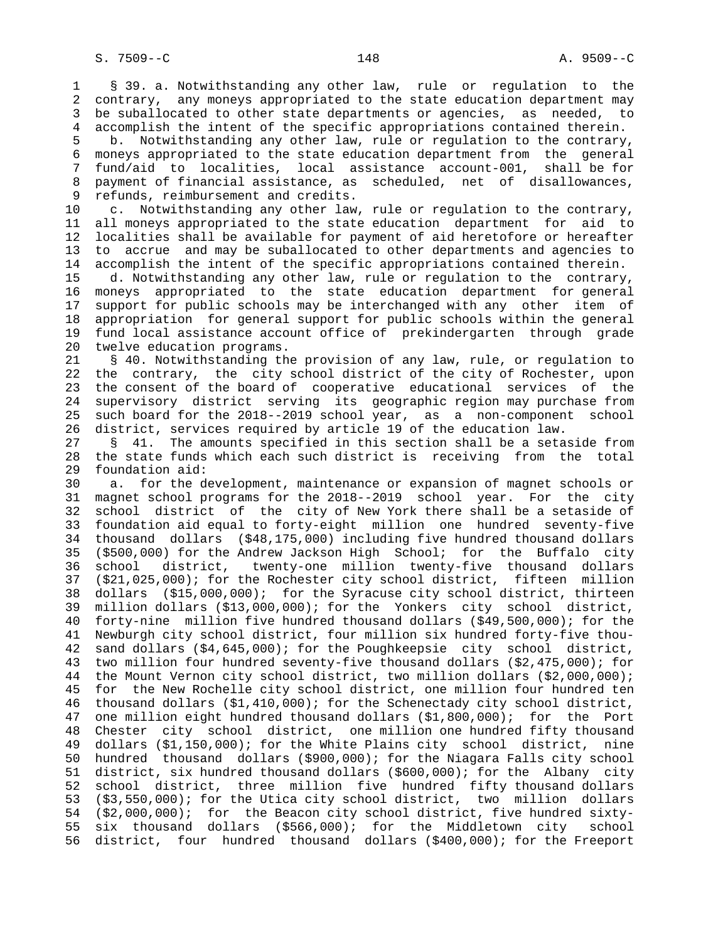1 § 39. a. Notwithstanding any other law, rule or regulation to the 2 contrary, any moneys appropriated to the state education department may 3 be suballocated to other state departments or agencies, as needed, to 4 accomplish the intent of the specific appropriations contained therein.

 5 b. Notwithstanding any other law, rule or regulation to the contrary, 6 moneys appropriated to the state education department from the general 7 fund/aid to localities, local assistance account-001, shall be for 8 payment of financial assistance, as scheduled, net of disallowances,<br>9 refunds, reimbursement and credits. refunds, reimbursement and credits.

 10 c. Notwithstanding any other law, rule or regulation to the contrary, 11 all moneys appropriated to the state education department for aid to 12 localities shall be available for payment of aid heretofore or hereafter 13 to accrue and may be suballocated to other departments and agencies to 14 accomplish the intent of the specific appropriations contained therein.

 15 d. Notwithstanding any other law, rule or regulation to the contrary, 16 moneys appropriated to the state education department for general 17 support for public schools may be interchanged with any other item of 18 appropriation for general support for public schools within the general 19 fund local assistance account office of prekindergarten through grade 20 twelve education programs.

 21 § 40. Notwithstanding the provision of any law, rule, or regulation to 22 the contrary, the city school district of the city of Rochester, upon 23 the consent of the board of cooperative educational services of the 24 supervisory district serving its geographic region may purchase from 25 such board for the 2018--2019 school year, as a non-component school 26 district, services required by article 19 of the education law.

 27 § 41. The amounts specified in this section shall be a setaside from 28 the state funds which each such district is receiving from the total 29 foundation aid:

 30 a. for the development, maintenance or expansion of magnet schools or 31 magnet school programs for the 2018--2019 school year. For the city 32 school district of the city of New York there shall be a setaside of 33 foundation aid equal to forty-eight million one hundred seventy-five 34 thousand dollars (\$48,175,000) including five hundred thousand dollars 35 (\$500,000) for the Andrew Jackson High School; for the Buffalo city 36 school district, twenty-one million twenty-five thousand dollars 37 (\$21,025,000); for the Rochester city school district, fifteen million 38 dollars (\$15,000,000); for the Syracuse city school district, thirteen 39 million dollars (\$13,000,000); for the Yonkers city school district, 40 forty-nine million five hundred thousand dollars (\$49,500,000); for the 41 Newburgh city school district, four million six hundred forty-five thou- 42 sand dollars (\$4,645,000); for the Poughkeepsie city school district, 43 two million four hundred seventy-five thousand dollars (\$2,475,000); for 44 the Mount Vernon city school district, two million dollars (\$2,000,000); 45 for the New Rochelle city school district, one million four hundred ten 46 thousand dollars (\$1,410,000); for the Schenectady city school district, 47 one million eight hundred thousand dollars (\$1,800,000); for the Port 48 Chester city school district, one million one hundred fifty thousand 49 dollars (\$1,150,000); for the White Plains city school district, nine 50 hundred thousand dollars (\$900,000); for the Niagara Falls city school 51 district, six hundred thousand dollars (\$600,000); for the Albany city 52 school district, three million five hundred fifty thousand dollars 53 (\$3,550,000); for the Utica city school district, two million dollars 54 (\$2,000,000); for the Beacon city school district, five hundred sixty- 55 six thousand dollars (\$566,000); for the Middletown city school 56 district, four hundred thousand dollars (\$400,000); for the Freeport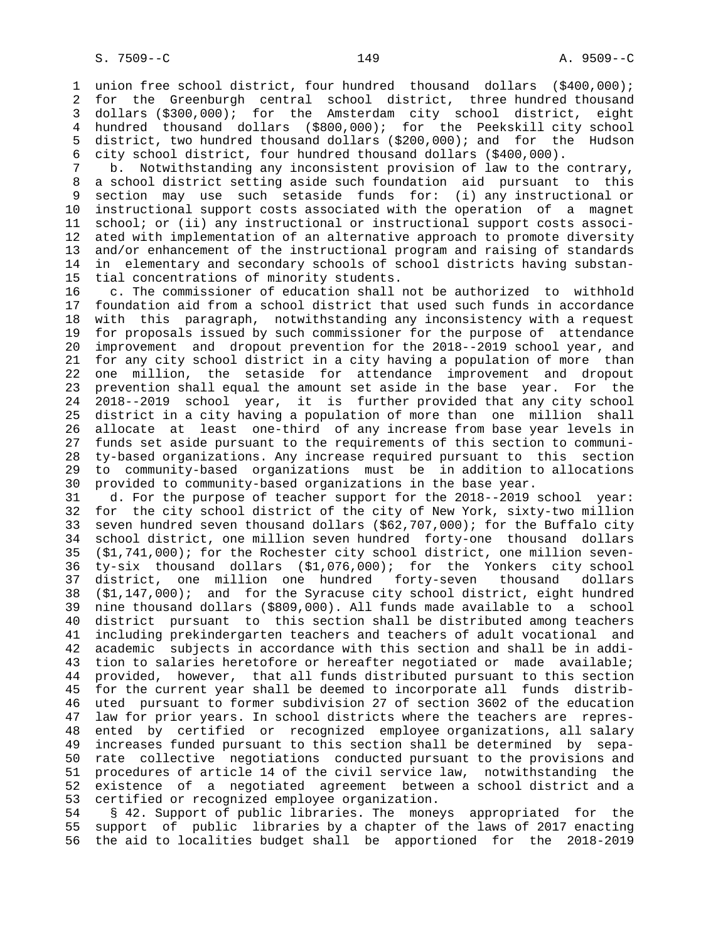1 union free school district, four hundred thousand dollars (\$400,000); 2 for the Greenburgh central school district, three hundred thousand 3 dollars (\$300,000); for the Amsterdam city school district, eight 4 hundred thousand dollars (\$800,000); for the Peekskill city school 5 district, two hundred thousand dollars (\$200,000); and for the Hudson 6 city school district, four hundred thousand dollars (\$400,000).

 7 b. Notwithstanding any inconsistent provision of law to the contrary, 8 a school district setting aside such foundation aid pursuant to this section may use such setaside funds for: (i) any instructional or 10 instructional support costs associated with the operation of a magnet 11 school; or (ii) any instructional or instructional support costs associ- 12 ated with implementation of an alternative approach to promote diversity 13 and/or enhancement of the instructional program and raising of standards 14 in elementary and secondary schools of school districts having substan- 15 tial concentrations of minority students.

 16 c. The commissioner of education shall not be authorized to withhold 17 foundation aid from a school district that used such funds in accordance 18 with this paragraph, notwithstanding any inconsistency with a request 19 for proposals issued by such commissioner for the purpose of attendance 20 improvement and dropout prevention for the 2018--2019 school year, and 21 for any city school district in a city having a population of more than 22 one million, the setaside for attendance improvement and dropout 23 prevention shall equal the amount set aside in the base year. For the 24 2018--2019 school year, it is further provided that any city school 25 district in a city having a population of more than one million shall 26 allocate at least one-third of any increase from base year levels in 27 funds set aside pursuant to the requirements of this section to communi- 28 ty-based organizations. Any increase required pursuant to this section 29 to community-based organizations must be in addition to allocations 30 provided to community-based organizations in the base year.

 31 d. For the purpose of teacher support for the 2018--2019 school year: 32 for the city school district of the city of New York, sixty-two million 33 seven hundred seven thousand dollars (\$62,707,000); for the Buffalo city 34 school district, one million seven hundred forty-one thousand dollars 35 (\$1,741,000); for the Rochester city school district, one million seven- 36 ty-six thousand dollars (\$1,076,000); for the Yonkers city school 37 district, one million one hundred forty-seven thousand dollars 38 (\$1,147,000); and for the Syracuse city school district, eight hundred 39 nine thousand dollars (\$809,000). All funds made available to a school 40 district pursuant to this section shall be distributed among teachers 41 including prekindergarten teachers and teachers of adult vocational and 42 academic subjects in accordance with this section and shall be in addi- 43 tion to salaries heretofore or hereafter negotiated or made available; 44 provided, however, that all funds distributed pursuant to this section 45 for the current year shall be deemed to incorporate all funds distrib- 46 uted pursuant to former subdivision 27 of section 3602 of the education 47 law for prior years. In school districts where the teachers are repres- 48 ented by certified or recognized employee organizations, all salary 49 increases funded pursuant to this section shall be determined by sepa- 50 rate collective negotiations conducted pursuant to the provisions and 51 procedures of article 14 of the civil service law, notwithstanding the 52 existence of a negotiated agreement between a school district and a 53 certified or recognized employee organization.

 54 § 42. Support of public libraries. The moneys appropriated for the 55 support of public libraries by a chapter of the laws of 2017 enacting 56 the aid to localities budget shall be apportioned for the 2018-2019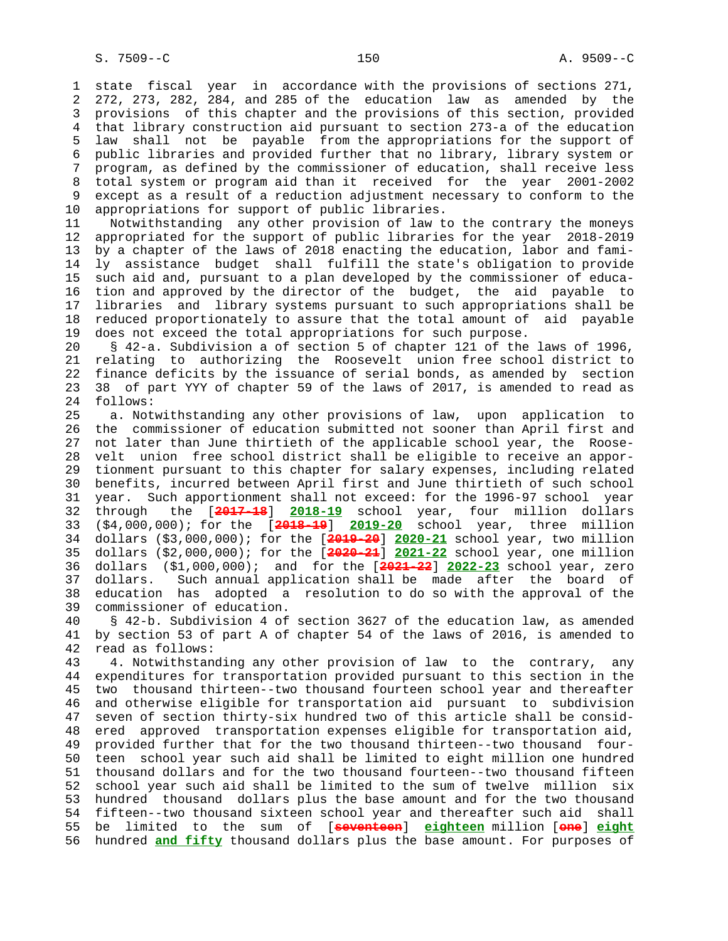1 state fiscal year in accordance with the provisions of sections 271, 2 272, 273, 282, 284, and 285 of the education law as amended by the 3 provisions of this chapter and the provisions of this section, provided 4 that library construction aid pursuant to section 273-a of the education 5 law shall not be payable from the appropriations for the support of 6 public libraries and provided further that no library, library system or 7 program, as defined by the commissioner of education, shall receive less 8 total system or program aid than it received for the year 2001-2002 except as a result of a reduction adjustment necessary to conform to the 10 appropriations for support of public libraries.

 11 Notwithstanding any other provision of law to the contrary the moneys 12 appropriated for the support of public libraries for the year 2018-2019 13 by a chapter of the laws of 2018 enacting the education, labor and fami- 14 ly assistance budget shall fulfill the state's obligation to provide 15 such aid and, pursuant to a plan developed by the commissioner of educa- 16 tion and approved by the director of the budget, the aid payable to 17 libraries and library systems pursuant to such appropriations shall be 18 reduced proportionately to assure that the total amount of aid payable 19 does not exceed the total appropriations for such purpose.

 20 § 42-a. Subdivision a of section 5 of chapter 121 of the laws of 1996, 21 relating to authorizing the Roosevelt union free school district to 22 finance deficits by the issuance of serial bonds, as amended by section 23 38 of part YYY of chapter 59 of the laws of 2017, is amended to read as 24 follows:

 25 a. Notwithstanding any other provisions of law, upon application to 26 the commissioner of education submitted not sooner than April first and 27 not later than June thirtieth of the applicable school year, the Roose- 28 velt union free school district shall be eligible to receive an appor- 29 tionment pursuant to this chapter for salary expenses, including related 30 benefits, incurred between April first and June thirtieth of such school 31 year. Such apportionment shall not exceed: for the 1996-97 school year 32 through the [**2017-18**] **2018-19** school year, four million dollars 33 (\$4,000,000); for the [**2018-19**] **2019-20** school year, three million 34 dollars (\$3,000,000); for the [**2019-20**] **2020-21** school year, two million 35 dollars (\$2,000,000); for the [**2020-21**] **2021-22** school year, one million 36 dollars (\$1,000,000); and for the [**2021-22**] **2022-23** school year, zero 37 dollars. Such annual application shall be made after the board of 38 education has adopted a resolution to do so with the approval of the 39 commissioner of education.

 40 § 42-b. Subdivision 4 of section 3627 of the education law, as amended 41 by section 53 of part A of chapter 54 of the laws of 2016, is amended to 42 read as follows:

 43 4. Notwithstanding any other provision of law to the contrary, any 44 expenditures for transportation provided pursuant to this section in the 45 two thousand thirteen--two thousand fourteen school year and thereafter 46 and otherwise eligible for transportation aid pursuant to subdivision 47 seven of section thirty-six hundred two of this article shall be consid- 48 ered approved transportation expenses eligible for transportation aid, 49 provided further that for the two thousand thirteen--two thousand four- 50 teen school year such aid shall be limited to eight million one hundred 51 thousand dollars and for the two thousand fourteen--two thousand fifteen 52 school year such aid shall be limited to the sum of twelve million six 53 hundred thousand dollars plus the base amount and for the two thousand 54 fifteen--two thousand sixteen school year and thereafter such aid shall 55 be limited to the sum of [**seventeen**] **eighteen** million [**one**] **eight** 56 hundred **and fifty** thousand dollars plus the base amount. For purposes of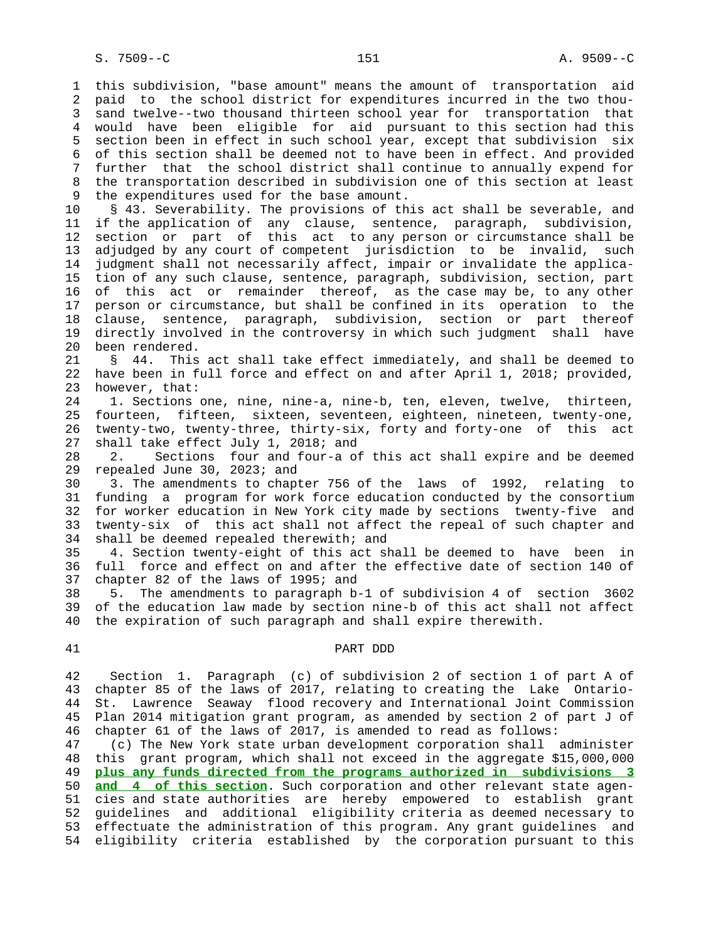1 this subdivision, "base amount" means the amount of transportation aid 2 paid to the school district for expenditures incurred in the two thou- 3 sand twelve--two thousand thirteen school year for transportation that 4 would have been eligible for aid pursuant to this section had this 5 section been in effect in such school year, except that subdivision six 6 of this section shall be deemed not to have been in effect. And provided 7 further that the school district shall continue to annually expend for 8 the transportation described in subdivision one of this section at least<br>9 the expenditures used for the base amount. the expenditures used for the base amount.

 10 § 43. Severability. The provisions of this act shall be severable, and 11 if the application of any clause, sentence, paragraph, subdivision, 12 section or part of this act to any person or circumstance shall be 13 adjudged by any court of competent jurisdiction to be invalid, such 14 judgment shall not necessarily affect, impair or invalidate the applica- 15 tion of any such clause, sentence, paragraph, subdivision, section, part 16 of this act or remainder thereof, as the case may be, to any other 17 person or circumstance, but shall be confined in its operation to the 18 clause, sentence, paragraph, subdivision, section or part thereof 19 directly involved in the controversy in which such judgment shall have 20 been rendered.

 21 § 44. This act shall take effect immediately, and shall be deemed to 22 have been in full force and effect on and after April 1, 2018; provided, 23 however, that:

 24 1. Sections one, nine, nine-a, nine-b, ten, eleven, twelve, thirteen, 25 fourteen, fifteen, sixteen, seventeen, eighteen, nineteen, twenty-one, 26 twenty-two, twenty-three, thirty-six, forty and forty-one of this act 27 shall take effect July 1, 2018; and

 28 2. Sections four and four-a of this act shall expire and be deemed 29 repealed June 30, 2023; and

 30 3. The amendments to chapter 756 of the laws of 1992, relating to 31 funding a program for work force education conducted by the consortium 32 for worker education in New York city made by sections twenty-five and 33 twenty-six of this act shall not affect the repeal of such chapter and 34 shall be deemed repealed therewith; and

 35 4. Section twenty-eight of this act shall be deemed to have been in 36 full force and effect on and after the effective date of section 140 of 37 chapter 82 of the laws of 1995; and

 38 5. The amendments to paragraph b-1 of subdivision 4 of section 3602 39 of the education law made by section nine-b of this act shall not affect 40 the expiration of such paragraph and shall expire therewith.

## 41 PART DDD

 42 Section 1. Paragraph (c) of subdivision 2 of section 1 of part A of 43 chapter 85 of the laws of 2017, relating to creating the Lake Ontario- 44 St. Lawrence Seaway flood recovery and International Joint Commission 45 Plan 2014 mitigation grant program, as amended by section 2 of part J of 46 chapter 61 of the laws of 2017, is amended to read as follows:

 47 (c) The New York state urban development corporation shall administer 48 this grant program, which shall not exceed in the aggregate \$15,000,000 49 **plus any funds directed from the programs authorized in subdivisions 3** 50 **and 4 of this section**. Such corporation and other relevant state agen- 51 cies and state authorities are hereby empowered to establish grant 52 guidelines and additional eligibility criteria as deemed necessary to 53 effectuate the administration of this program. Any grant guidelines and 54 eligibility criteria established by the corporation pursuant to this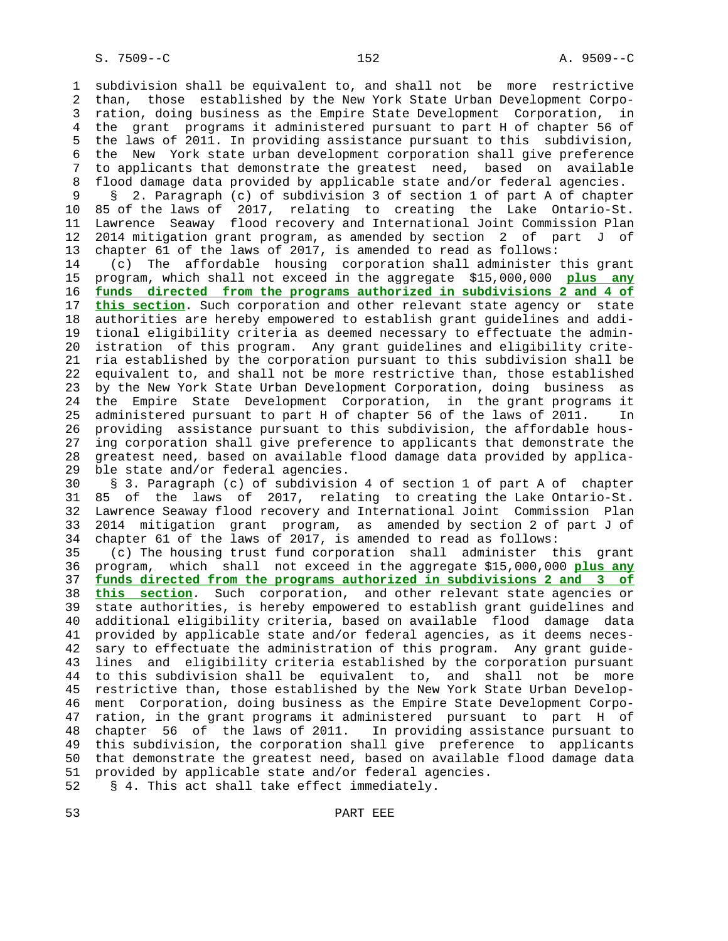1 subdivision shall be equivalent to, and shall not be more restrictive 2 than, those established by the New York State Urban Development Corpo- 3 ration, doing business as the Empire State Development Corporation, in 4 the grant programs it administered pursuant to part H of chapter 56 of 5 the laws of 2011. In providing assistance pursuant to this subdivision, 6 the New York state urban development corporation shall give preference 7 to applicants that demonstrate the greatest need, based on available 8 flood damage data provided by applicable state and/or federal agencies.<br>9 8 2. Paragraph (c) of subdivision 3 of section 1 of part A of chapte: 9 § 2. Paragraph (c) of subdivision 3 of section 1 of part A of chapter 10 85 of the laws of 2017, relating to creating the Lake Ontario-St. 11 Lawrence Seaway flood recovery and International Joint Commission Plan 12 2014 mitigation grant program, as amended by section 2 of part J of 13 chapter 61 of the laws of 2017, is amended to read as follows: 14 (c) The affordable housing corporation shall administer this grant 15 program, which shall not exceed in the aggregate \$15,000,000 **plus any** 16 **funds directed from the programs authorized in subdivisions 2 and 4 of** 17 **this section**. Such corporation and other relevant state agency or state 18 authorities are hereby empowered to establish grant guidelines and addi- 19 tional eligibility criteria as deemed necessary to effectuate the admin- 20 istration of this program. Any grant guidelines and eligibility crite- 21 ria established by the corporation pursuant to this subdivision shall be 22 equivalent to, and shall not be more restrictive than, those established 23 by the New York State Urban Development Corporation, doing business as 24 the Empire State Development Corporation, in the grant programs it 25 administered pursuant to part H of chapter 56 of the laws of 2011. In 26 providing assistance pursuant to this subdivision, the affordable hous- 27 ing corporation shall give preference to applicants that demonstrate the 28 greatest need, based on available flood damage data provided by applica- 29 ble state and/or federal agencies. 30 § 3. Paragraph (c) of subdivision 4 of section 1 of part A of chapter 31 85 of the laws of 2017, relating to creating the Lake Ontario-St. 32 Lawrence Seaway flood recovery and International Joint Commission Plan 33 2014 mitigation grant program, as amended by section 2 of part J of 34 chapter 61 of the laws of 2017, is amended to read as follows: 35 (c) The housing trust fund corporation shall administer this grant 36 program, which shall not exceed in the aggregate \$15,000,000 **plus any** 37 **funds directed from the programs authorized in subdivisions 2 and 3 of** 38 **this section**. Such corporation, and other relevant state agencies or 39 state authorities, is hereby empowered to establish grant guidelines and 40 additional eligibility criteria, based on available flood damage data 41 provided by applicable state and/or federal agencies, as it deems neces- 42 sary to effectuate the administration of this program. Any grant guide- 43 lines and eligibility criteria established by the corporation pursuant 44 to this subdivision shall be equivalent to, and shall not be more 45 restrictive than, those established by the New York State Urban Develop- 46 ment Corporation, doing business as the Empire State Development Corpo- 47 ration, in the grant programs it administered pursuant to part H of 48 chapter 56 of the laws of 2011. In providing assistance pursuant to 49 this subdivision, the corporation shall give preference to applicants 50 that demonstrate the greatest need, based on available flood damage data 51 provided by applicable state and/or federal agencies.

52 § 4. This act shall take effect immediately.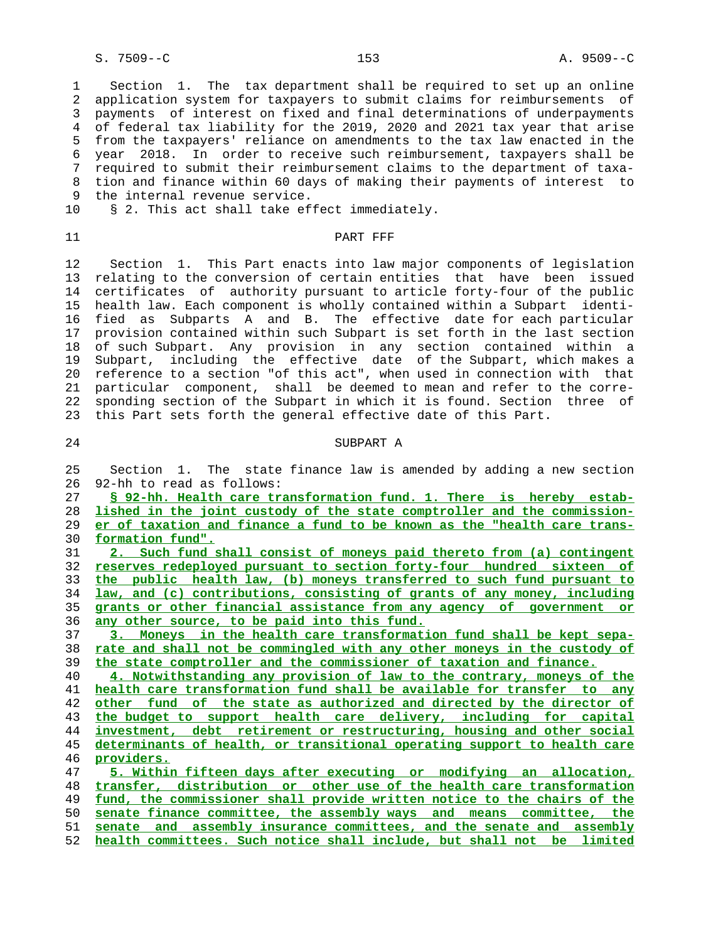S. 7509--C 153 A. 9509--C

 1 Section 1. The tax department shall be required to set up an online 2 application system for taxpayers to submit claims for reimbursements of 3 payments of interest on fixed and final determinations of underpayments 4 of federal tax liability for the 2019, 2020 and 2021 tax year that arise 5 from the taxpayers' reliance on amendments to the tax law enacted in the 6 year 2018. In order to receive such reimbursement, taxpayers shall be 7 required to submit their reimbursement claims to the department of taxa- 8 tion and finance within 60 days of making their payments of interest to 9 the internal revenue service.

10 § 2. This act shall take effect immediately.

11 PART FFF

 12 Section 1. This Part enacts into law major components of legislation 13 relating to the conversion of certain entities that have been issued 14 certificates of authority pursuant to article forty-four of the public 15 health law. Each component is wholly contained within a Subpart identi- 16 fied as Subparts A and B. The effective date for each particular 17 provision contained within such Subpart is set forth in the last section 18 of such Subpart. Any provision in any section contained within a 19 Subpart, including the effective date of the Subpart, which makes a 20 reference to a section "of this act", when used in connection with that 21 particular component, shall be deemed to mean and refer to the corre- 22 sponding section of the Subpart in which it is found. Section three of 23 this Part sets forth the general effective date of this Part.

### 24 SUBPART A

 25 Section 1. The state finance law is amended by adding a new section 26 92-hh to read as follows:

**§ 92-hh. Health care transformation fund. 1. There is hereby estab- lished in the joint custody of the state comptroller and the commission- er of taxation and finance a fund to be known as the "health care trans- formation fund". 2. Such fund shall consist of moneys paid thereto from (a) contingent reserves redeployed pursuant to section forty-four hundred sixteen of the public health law, (b) moneys transferred to such fund pursuant to law, and (c) contributions, consisting of grants of any money, including grants or other financial assistance from any agency of government or any other source, to be paid into this fund. 3. Moneys in the health care transformation fund shall be kept sepa- rate and shall not be commingled with any other moneys in the custody of the state comptroller and the commissioner of taxation and finance. 4. Notwithstanding any provision of law to the contrary, moneys of the health care transformation fund shall be available for transfer to any other fund of the state as authorized and directed by the director of the budget to support health care delivery, including for capital investment, debt retirement or restructuring, housing and other social determinants of health, or transitional operating support to health care providers. 5. Within fifteen days after executing or modifying an allocation, transfer, distribution or other use of the health care transformation fund, the commissioner shall provide written notice to the chairs of the senate finance committee, the assembly ways and means committee, the senate and assembly insurance committees, and the senate and assembly**

52 **health committees. Such notice shall include, but shall not be limited**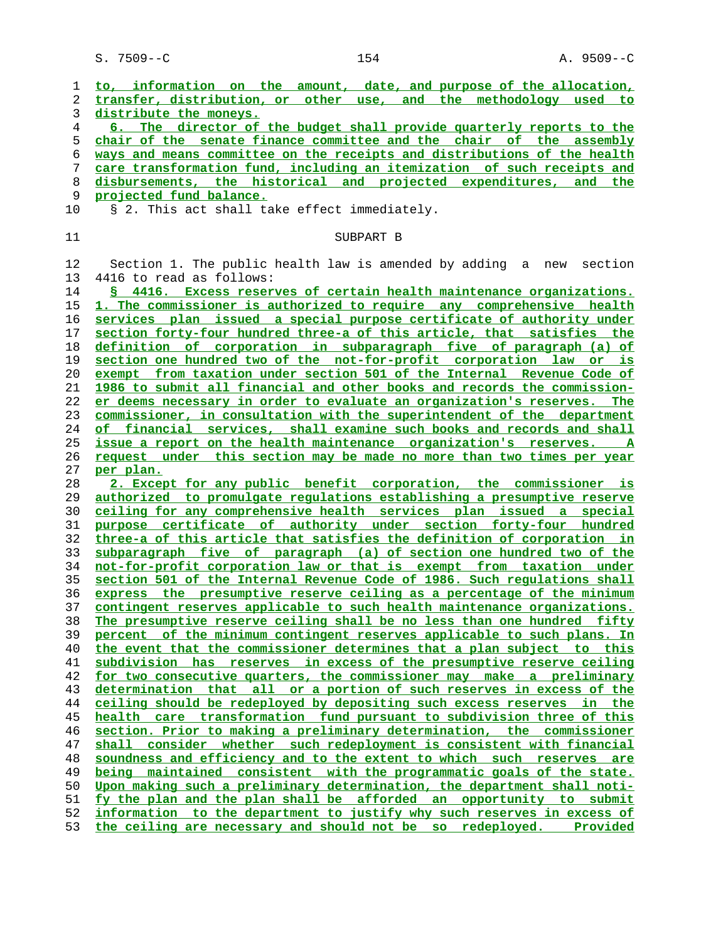S. 7509--C 154 154 A. 9509--C

| 1        | to, information on the amount, date, and purpose of the allocation,                                                                             |
|----------|-------------------------------------------------------------------------------------------------------------------------------------------------|
| 2        | transfer, distribution, or other use, and the methodology used to                                                                               |
| 3        | distribute the moneys.                                                                                                                          |
| 4        | 6. The director of the budget shall provide quarterly reports to the                                                                            |
| 5        | chair of the senate finance committee and the chair of the assembly                                                                             |
| 6        | ways and means committee on the receipts and distributions of the health                                                                        |
| 7        | care transformation fund, including an itemization of such receipts and                                                                         |
| 8        | disbursements, the historical and projected expenditures,<br>and the                                                                            |
| 9        | projected fund balance.                                                                                                                         |
| 10       | § 2. This act shall take effect immediately.                                                                                                    |
|          |                                                                                                                                                 |
| 11       | SUBPART B                                                                                                                                       |
|          |                                                                                                                                                 |
| 12       | Section 1. The public health law is amended by adding a new<br>section                                                                          |
| 13       | 4416 to read as follows:                                                                                                                        |
| 14       | § 4416. Excess reserves of certain health maintenance organizations.                                                                            |
| 15       | 1. The commissioner is authorized to require any comprehensive health                                                                           |
| 16       | services plan issued a special purpose certificate of authority under                                                                           |
| 17       | section forty-four hundred three-a of this article, that satisfies the                                                                          |
| 18       | definition of corporation in subparagraph five of paragraph (a) of                                                                              |
| 19       | section one hundred two of the not-for-profit corporation law or is                                                                             |
| 20       | exempt from taxation under section 501 of the Internal Revenue Code of                                                                          |
| 21       | 1986 to submit all financial and other books and records the commission-                                                                        |
| 22       | er deems necessary in order to evaluate an organization's reserves. The                                                                         |
| 23       | commissioner, in consultation with the superintendent of the department                                                                         |
| 24       | of financial services, shall examine such books and records and shall                                                                           |
| 25       | issue a report on the health maintenance organization's reserves. A                                                                             |
| 26       | request under this section may be made no more than two times per year                                                                          |
| 27       | per plan.                                                                                                                                       |
| 28       | 2. Except for any public benefit corporation, the commissioner is                                                                               |
| 29       | authorized to promulgate requlations establishing a presumptive reserve                                                                         |
| 30       | ceiling for any comprehensive health services plan issued a special                                                                             |
| 31       | purpose certificate of authority under section forty-four hundred                                                                               |
| 32       | three-a of this article that satisfies the definition of corporation in                                                                         |
| 33       | subparagraph five of paragraph (a) of section one hundred two of the                                                                            |
| 34       | not-for-profit corporation law or that is exempt from taxation under                                                                            |
| 35       | section 501 of the Internal Revenue Code of 1986. Such regulations shall                                                                        |
| 36       | express the presumptive reserve ceiling as a percentage of the minimum                                                                          |
| 37       | contingent reserves applicable to such health maintenance organizations.                                                                        |
| 38       | The presumptive reserve ceiling shall be no less than one hundred fifty                                                                         |
| 39       | percent of the minimum contingent reserves applicable to such plans. In                                                                         |
| 40       | the event that the commissioner determines that a plan subject to this                                                                          |
| 41       | subdivision has reserves in excess of the presumptive reserve ceiling                                                                           |
| 42       | for two consecutive quarters, the commissioner may make a preliminary                                                                           |
| 43       | determination that all or a portion of such reserves in excess of the                                                                           |
| 44       | ceiling should be redeployed by depositing such excess reserves in the                                                                          |
| 45       | health care transformation fund pursuant to subdivision three of this<br>section. Prior to making a preliminary determination, the commissioner |
| 46       | shall                                                                                                                                           |
| 47<br>48 | consider whether such redeployment is consistent with financial<br>soundness and efficiency and to the extent to which such reserves are        |
| 49       | being maintained consistent with the programmatic goals of the state.                                                                           |
| 50       | Upon making such a preliminary determination, the department shall noti-                                                                        |
| 51       | fy the plan and the plan shall be afforded an opportunity to submit                                                                             |
| 52       | information to the department to justify why such reserves in excess of                                                                         |
| 53       | the ceiling are necessary and should not be so redeployed.<br><u>Provided</u>                                                                   |
|          |                                                                                                                                                 |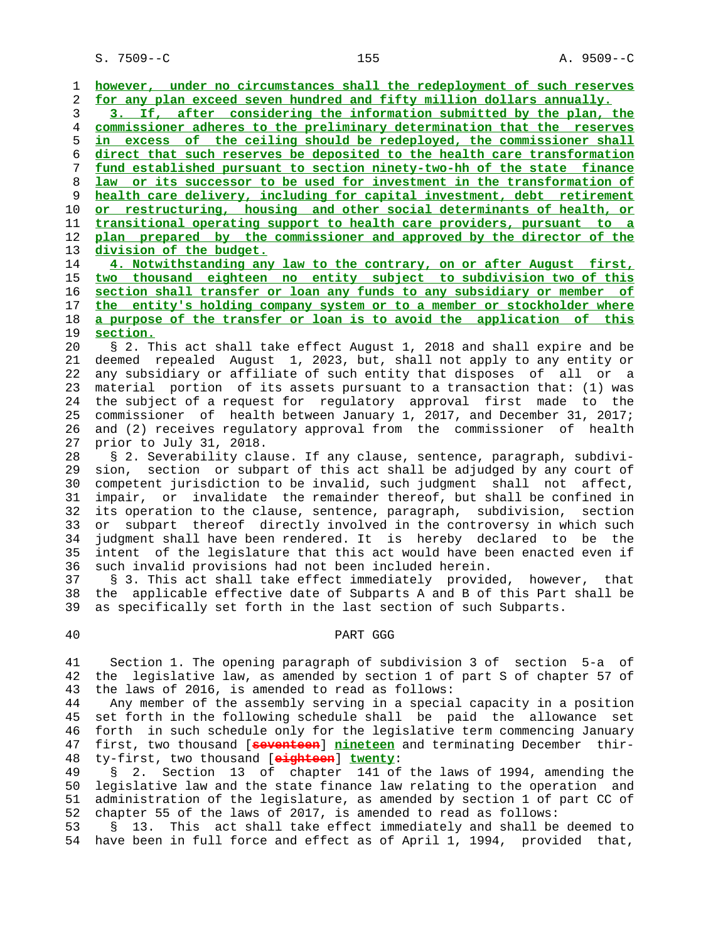S. 7509--C 155 A. 9509--C

**however, under no circumstances shall the redeployment of such reserves for any plan exceed seven hundred and fifty million dollars annually. 3. If, after considering the information submitted by the plan, the commissioner adheres to the preliminary determination that the reserves in excess of the ceiling should be redeployed, the commissioner shall direct that such reserves be deposited to the health care transformation fund established pursuant to section ninety-two-hh of the state finance law or its successor to be used for investment in the transformation of health care delivery, including for capital investment, debt retirement or restructuring, housing and other social determinants of health, or transitional operating support to health care providers, pursuant to a plan prepared by the commissioner and approved by the director of the division of the budget. 4. Notwithstanding any law to the contrary, on or after August first, two thousand eighteen no entity subject to subdivision two of this**

**section shall transfer or loan any funds to any subsidiary or member of the entity's holding company system or to a member or stockholder where a purpose of the transfer or loan is to avoid the application of this section.**

 20 § 2. This act shall take effect August 1, 2018 and shall expire and be 21 deemed repealed August 1, 2023, but, shall not apply to any entity or 22 any subsidiary or affiliate of such entity that disposes of all or a 23 material portion of its assets pursuant to a transaction that: (1) was 24 the subject of a request for regulatory approval first made to the 25 commissioner of health between January 1, 2017, and December 31, 2017; 26 and (2) receives regulatory approval from the commissioner of health 27 prior to July 31, 2018.

 28 § 2. Severability clause. If any clause, sentence, paragraph, subdivi- 29 sion, section or subpart of this act shall be adjudged by any court of 30 competent jurisdiction to be invalid, such judgment shall not affect, 31 impair, or invalidate the remainder thereof, but shall be confined in 32 its operation to the clause, sentence, paragraph, subdivision, section 33 or subpart thereof directly involved in the controversy in which such 34 judgment shall have been rendered. It is hereby declared to be the 35 intent of the legislature that this act would have been enacted even if 36 such invalid provisions had not been included herein.

 37 § 3. This act shall take effect immediately provided, however, that 38 the applicable effective date of Subparts A and B of this Part shall be 39 as specifically set forth in the last section of such Subparts.

#### 40 PART GGG

 41 Section 1. The opening paragraph of subdivision 3 of section 5-a of 42 the legislative law, as amended by section 1 of part S of chapter 57 of 43 the laws of 2016, is amended to read as follows:

 44 Any member of the assembly serving in a special capacity in a position 45 set forth in the following schedule shall be paid the allowance set 46 forth in such schedule only for the legislative term commencing January 47 first, two thousand [**seventeen**] **nineteen** and terminating December thir- 48 ty-first, two thousand [**eighteen**] **twenty**:

 49 § 2. Section 13 of chapter 141 of the laws of 1994, amending the 50 legislative law and the state finance law relating to the operation and 51 administration of the legislature, as amended by section 1 of part CC of 52 chapter 55 of the laws of 2017, is amended to read as follows:

 53 § 13. This act shall take effect immediately and shall be deemed to 54 have been in full force and effect as of April 1, 1994, provided that,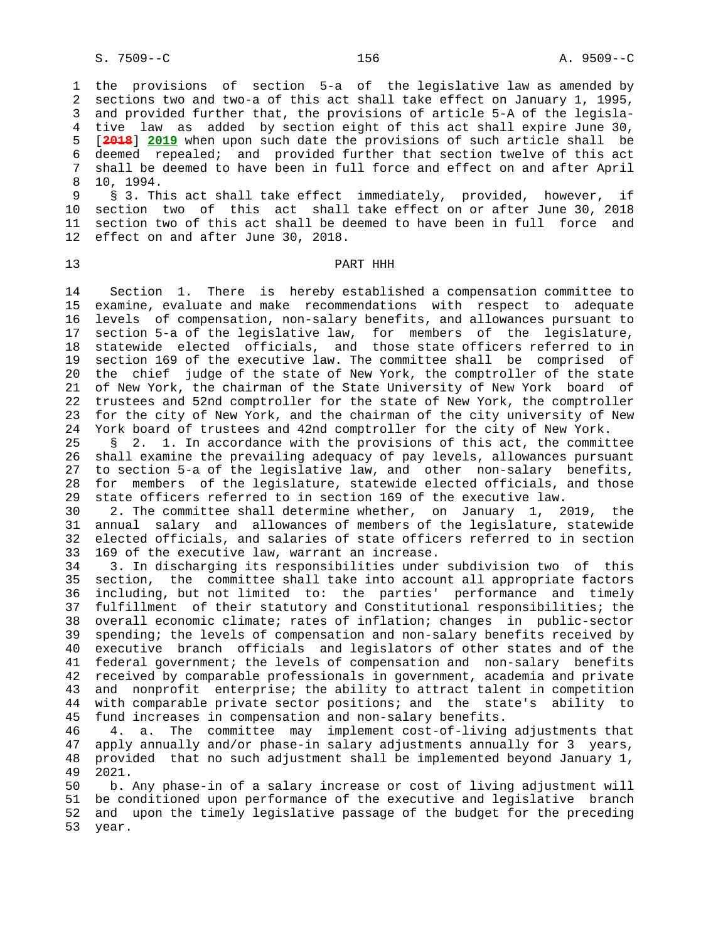1 the provisions of section 5-a of the legislative law as amended by 2 sections two and two-a of this act shall take effect on January 1, 1995, 3 and provided further that, the provisions of article 5-A of the legisla- 4 tive law as added by section eight of this act shall expire June 30, 5 [**2018**] **2019** when upon such date the provisions of such article shall be 6 deemed repealed; and provided further that section twelve of this act 7 shall be deemed to have been in full force and effect on and after April 8 10, 1994.<br>9 \$ 3. Th

§ 3. This act shall take effect immediately, provided, however, if 10 section two of this act shall take effect on or after June 30, 2018 11 section two of this act shall be deemed to have been in full force and 12 effect on and after June 30, 2018.

### 13 PART HHH

 14 Section 1. There is hereby established a compensation committee to 15 examine, evaluate and make recommendations with respect to adequate 16 levels of compensation, non-salary benefits, and allowances pursuant to 17 section 5-a of the legislative law, for members of the legislature, 18 statewide elected officials, and those state officers referred to in 19 section 169 of the executive law. The committee shall be comprised of 20 the chief judge of the state of New York, the comptroller of the state 21 of New York, the chairman of the State University of New York board of 22 trustees and 52nd comptroller for the state of New York, the comptroller 23 for the city of New York, and the chairman of the city university of New 24 York board of trustees and 42nd comptroller for the city of New York.

 25 § 2. 1. In accordance with the provisions of this act, the committee 26 shall examine the prevailing adequacy of pay levels, allowances pursuant 27 to section 5-a of the legislative law, and other non-salary benefits, 28 for members of the legislature, statewide elected officials, and those 29 state officers referred to in section 169 of the executive law.

 30 2. The committee shall determine whether, on January 1, 2019, the 31 annual salary and allowances of members of the legislature, statewide 32 elected officials, and salaries of state officers referred to in section 33 169 of the executive law, warrant an increase.

 34 3. In discharging its responsibilities under subdivision two of this 35 section, the committee shall take into account all appropriate factors 36 including, but not limited to: the parties' performance and timely 37 fulfillment of their statutory and Constitutional responsibilities; the 38 overall economic climate; rates of inflation; changes in public-sector 39 spending; the levels of compensation and non-salary benefits received by 40 executive branch officials and legislators of other states and of the 41 federal government; the levels of compensation and non-salary benefits 42 received by comparable professionals in government, academia and private 43 and nonprofit enterprise; the ability to attract talent in competition 44 with comparable private sector positions; and the state's ability to 45 fund increases in compensation and non-salary benefits.

 46 4. a. The committee may implement cost-of-living adjustments that 47 apply annually and/or phase-in salary adjustments annually for 3 years, 48 provided that no such adjustment shall be implemented beyond January 1, 49 2021.

 50 b. Any phase-in of a salary increase or cost of living adjustment will 51 be conditioned upon performance of the executive and legislative branch 52 and upon the timely legislative passage of the budget for the preceding 53 year.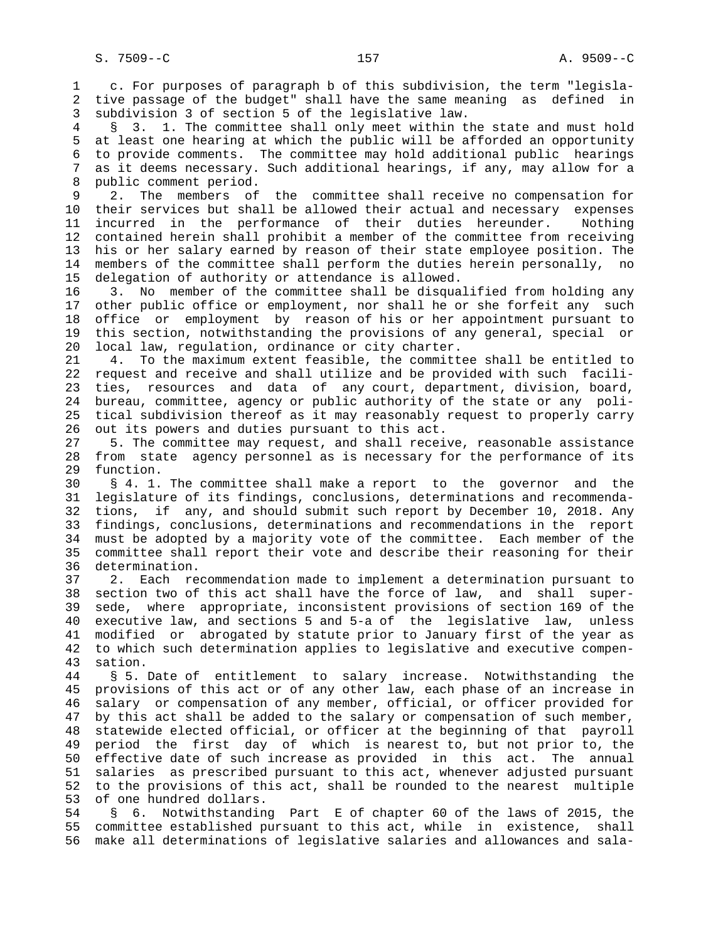1 c. For purposes of paragraph b of this subdivision, the term "legisla- 2 tive passage of the budget" shall have the same meaning as defined in 3 subdivision 3 of section 5 of the legislative law.

 4 § 3. 1. The committee shall only meet within the state and must hold 5 at least one hearing at which the public will be afforded an opportunity 6 to provide comments. The committee may hold additional public hearings 7 as it deems necessary. Such additional hearings, if any, may allow for a 8 public comment period.<br>9 2. The members of

 9 2. The members of the committee shall receive no compensation for 10 their services but shall be allowed their actual and necessary expenses 11 incurred in the performance of their duties hereunder. Nothing 12 contained herein shall prohibit a member of the committee from receiving 13 his or her salary earned by reason of their state employee position. The 14 members of the committee shall perform the duties herein personally, no 15 delegation of authority or attendance is allowed.

 16 3. No member of the committee shall be disqualified from holding any 17 other public office or employment, nor shall he or she forfeit any such 18 office or employment by reason of his or her appointment pursuant to 19 this section, notwithstanding the provisions of any general, special or 20 local law, regulation, ordinance or city charter.

 21 4. To the maximum extent feasible, the committee shall be entitled to 22 request and receive and shall utilize and be provided with such facili- 23 ties, resources and data of any court, department, division, board, 24 bureau, committee, agency or public authority of the state or any poli- 25 tical subdivision thereof as it may reasonably request to properly carry 26 out its powers and duties pursuant to this act.

 27 5. The committee may request, and shall receive, reasonable assistance 28 from state agency personnel as is necessary for the performance of its 29 function.

 30 § 4. 1. The committee shall make a report to the governor and the 31 legislature of its findings, conclusions, determinations and recommenda- 32 tions, if any, and should submit such report by December 10, 2018. Any 33 findings, conclusions, determinations and recommendations in the report 34 must be adopted by a majority vote of the committee. Each member of the 35 committee shall report their vote and describe their reasoning for their 36 determination.

 37 2. Each recommendation made to implement a determination pursuant to 38 section two of this act shall have the force of law, and shall super- 39 sede, where appropriate, inconsistent provisions of section 169 of the 40 executive law, and sections 5 and 5-a of the legislative law, unless 41 modified or abrogated by statute prior to January first of the year as 42 to which such determination applies to legislative and executive compen- 43 sation.

 44 § 5. Date of entitlement to salary increase. Notwithstanding the 45 provisions of this act or of any other law, each phase of an increase in 46 salary or compensation of any member, official, or officer provided for 47 by this act shall be added to the salary or compensation of such member, 48 statewide elected official, or officer at the beginning of that payroll 49 period the first day of which is nearest to, but not prior to, the 50 effective date of such increase as provided in this act. The annual 51 salaries as prescribed pursuant to this act, whenever adjusted pursuant 52 to the provisions of this act, shall be rounded to the nearest multiple 53 of one hundred dollars.

 54 § 6. Notwithstanding Part E of chapter 60 of the laws of 2015, the 55 committee established pursuant to this act, while in existence, shall 56 make all determinations of legislative salaries and allowances and sala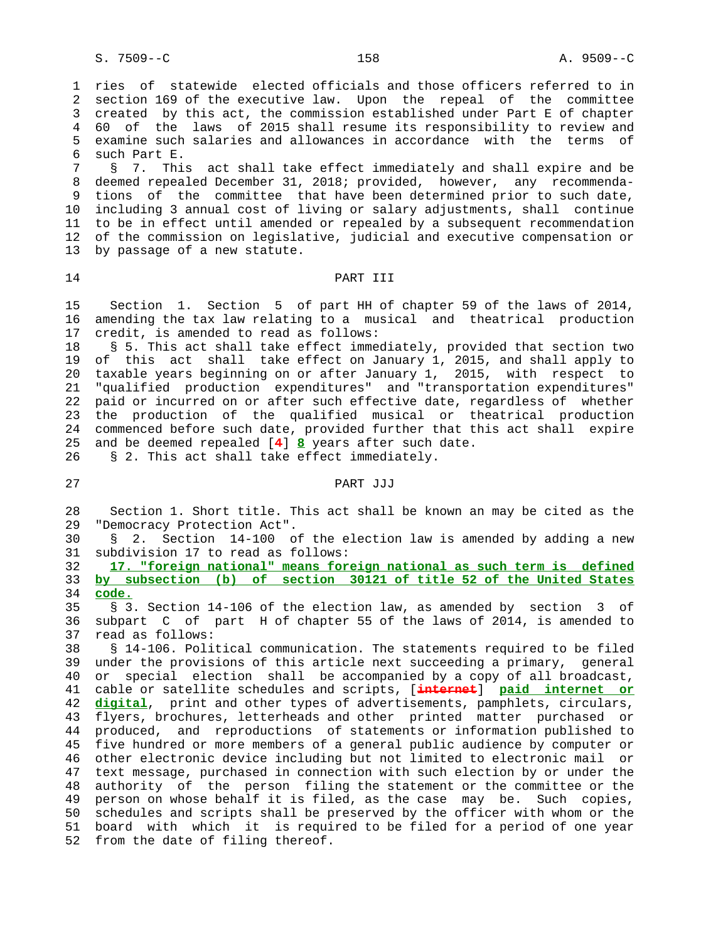1 ries of statewide elected officials and those officers referred to in 2 section 169 of the executive law. Upon the repeal of the committee 3 created by this act, the commission established under Part E of chapter 4 60 of the laws of 2015 shall resume its responsibility to review and 5 examine such salaries and allowances in accordance with the terms of 6 such Part E.

 7 § 7. This act shall take effect immediately and shall expire and be 8 deemed repealed December 31, 2018; provided, however, any recommenda- 9 tions of the committee that have been determined prior to such date, 10 including 3 annual cost of living or salary adjustments, shall continue 11 to be in effect until amended or repealed by a subsequent recommendation 12 of the commission on legislative, judicial and executive compensation or 13 by passage of a new statute.

#### 14 **PART III**

 15 Section 1. Section 5 of part HH of chapter 59 of the laws of 2014, 16 amending the tax law relating to a musical and theatrical production 17 credit, is amended to read as follows:

 18 § 5. This act shall take effect immediately, provided that section two 19 of this act shall take effect on January 1, 2015, and shall apply to 20 taxable years beginning on or after January 1, 2015, with respect to 21 "qualified production expenditures" and "transportation expenditures" 22 paid or incurred on or after such effective date, regardless of whether 23 the production of the qualified musical or theatrical production 24 commenced before such date, provided further that this act shall expire 25 and be deemed repealed [**4**] **8** years after such date.

26 § 2. This act shall take effect immediately.

# 27 PART JJJ

 28 Section 1. Short title. This act shall be known an may be cited as the 29 "Democracy Protection Act".

 30 § 2. Section 14-100 of the election law is amended by adding a new 31 subdivision 17 to read as follows:

 32 **17. "foreign national" means foreign national as such term is defined** 33 **by subsection (b) of section 30121 of title 52 of the United States** 34 **code.**

 35 § 3. Section 14-106 of the election law, as amended by section 3 of 36 subpart C of part H of chapter 55 of the laws of 2014, is amended to 37 read as follows:

 38 § 14-106. Political communication. The statements required to be filed 39 under the provisions of this article next succeeding a primary, general 40 or special election shall be accompanied by a copy of all broadcast, 41 cable or satellite schedules and scripts, [**internet**] **paid internet or** 42 **digital**, print and other types of advertisements, pamphlets, circulars, 43 flyers, brochures, letterheads and other printed matter purchased or 44 produced, and reproductions of statements or information published to 45 five hundred or more members of a general public audience by computer or 46 other electronic device including but not limited to electronic mail or 47 text message, purchased in connection with such election by or under the 48 authority of the person filing the statement or the committee or the 49 person on whose behalf it is filed, as the case may be. Such copies, 50 schedules and scripts shall be preserved by the officer with whom or the 51 board with which it is required to be filed for a period of one year 52 from the date of filing thereof.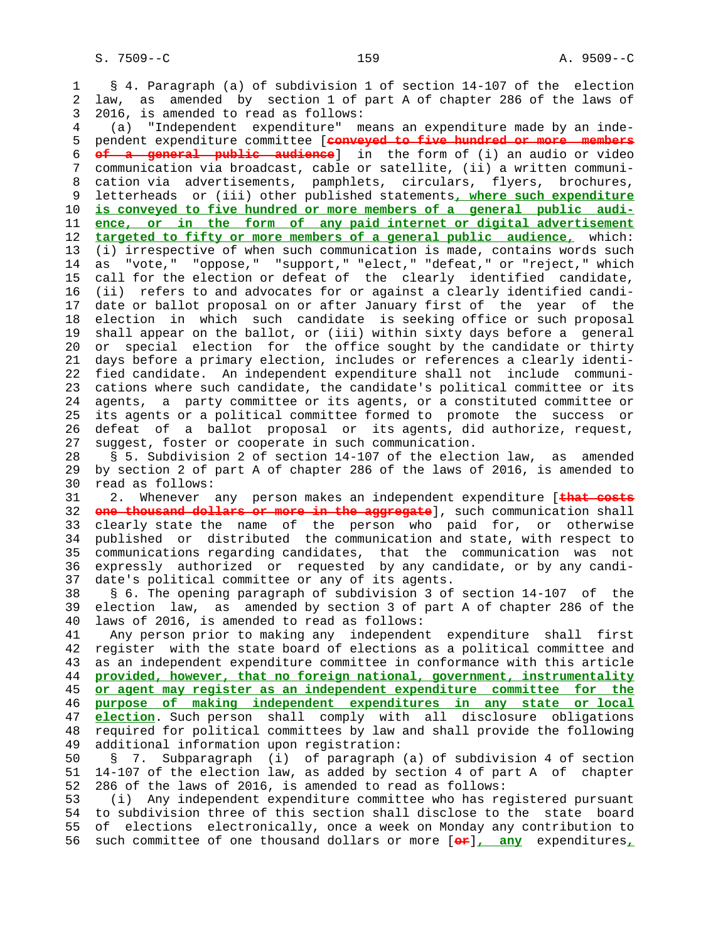1 § 4. Paragraph (a) of subdivision 1 of section 14-107 of the election 2 law, as amended by section 1 of part A of chapter 286 of the laws of 3 2016, is amended to read as follows: 4 (a) "Independent expenditure" means an expenditure made by an inde- 5 pendent expenditure committee [**conveyed to five hundred or more members** 6 **of a general public audience**] in the form of (i) an audio or video 7 communication via broadcast, cable or satellite, (ii) a written communi- 8 cation via advertisements, pamphlets, circulars, flyers, brochures,<br>9 letterheads or (iii) other published statements, where such expenditure 9 letterheads or (iii) other published statements**, where such expenditure** 10 **is conveyed to five hundred or more members of a general public audi-** 11 **ence, or in the form of any paid internet or digital advertisement** 12 **targeted to fifty or more members of a general public audience,** which: 13 (i) irrespective of when such communication is made, contains words such 14 as "vote," "oppose," "support," "elect," "defeat," or "reject," which 15 call for the election or defeat of the clearly identified candidate, 16 (ii) refers to and advocates for or against a clearly identified candi- 17 date or ballot proposal on or after January first of the year of the 18 election in which such candidate is seeking office or such proposal 19 shall appear on the ballot, or (iii) within sixty days before a general 20 or special election for the office sought by the candidate or thirty 21 days before a primary election, includes or references a clearly identi- 22 fied candidate. An independent expenditure shall not include communi- 23 cations where such candidate, the candidate's political committee or its 24 agents, a party committee or its agents, or a constituted committee or 25 its agents or a political committee formed to promote the success or 26 defeat of a ballot proposal or its agents, did authorize, request, 27 suggest, foster or cooperate in such communication. 28 § 5. Subdivision 2 of section 14-107 of the election law, as amended 29 by section 2 of part A of chapter 286 of the laws of 2016, is amended to 30 read as follows: 31 2. Whenever any person makes an independent expenditure [**that costs** 32 **one thousand dollars or more in the aggregate**], such communication shall 33 clearly state the name of the person who paid for, or otherwise 34 published or distributed the communication and state, with respect to 35 communications regarding candidates, that the communication was not 36 expressly authorized or requested by any candidate, or by any candi- 37 date's political committee or any of its agents. 38 § 6. The opening paragraph of subdivision 3 of section 14-107 of the 39 election law, as amended by section 3 of part A of chapter 286 of the 40 laws of 2016, is amended to read as follows: 41 Any person prior to making any independent expenditure shall first 42 register with the state board of elections as a political committee and 43 as an independent expenditure committee in conformance with this article 44 **provided, however, that no foreign national, government, instrumentality** 45 **or agent may register as an independent expenditure committee for the** 46 **purpose of making independent expenditures in any state or local** 47 **election**. Such person shall comply with all disclosure obligations 48 required for political committees by law and shall provide the following 49 additional information upon registration: 50 § 7. Subparagraph (i) of paragraph (a) of subdivision 4 of section 51 14-107 of the election law, as added by section 4 of part A of chapter 52 286 of the laws of 2016, is amended to read as follows: 53 (i) Any independent expenditure committee who has registered pursuant 54 to subdivision three of this section shall disclose to the state board 55 of elections electronically, once a week on Monday any contribution to 56 such committee of one thousand dollars or more [**or**]**, any** expenditures**,**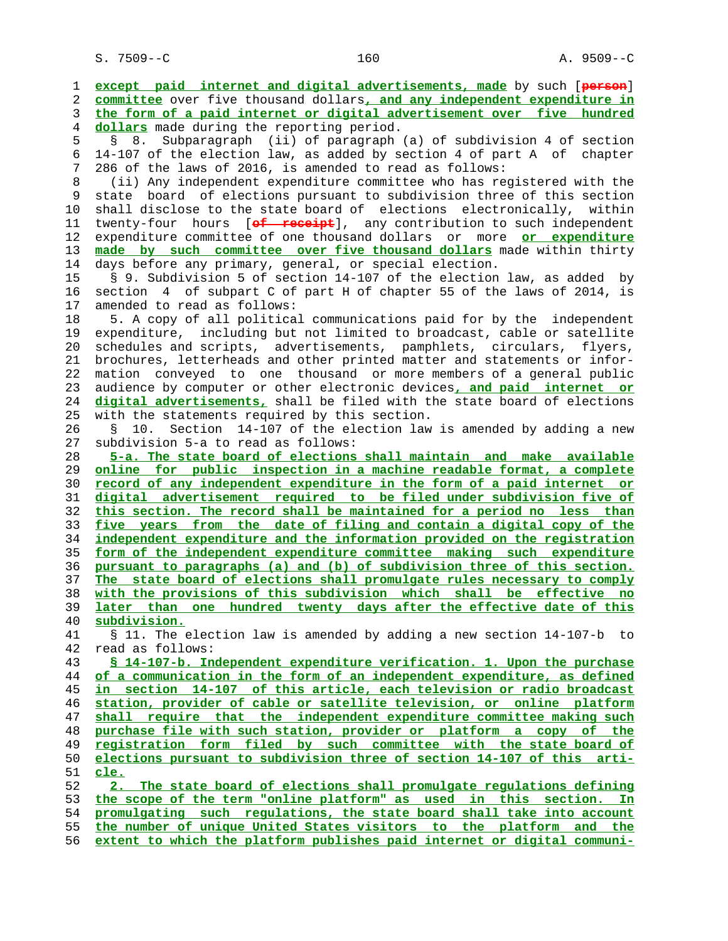S. 7509--C 160 A. 9509--C

 1 **except paid internet and digital advertisements, made** by such [**person**] 2 **committee** over five thousand dollars**, and any independent expenditure in** 3 **the form of a paid internet or digital advertisement over five hundred** 4 **dollars** made during the reporting period. 5 § 8. Subparagraph (ii) of paragraph (a) of subdivision 4 of section 6 14-107 of the election law, as added by section 4 of part A of chapter 7 286 of the laws of 2016, is amended to read as follows: 8 (ii) Any independent expenditure committee who has registered with the state board of elections pursuant to subdivision three of this section 10 shall disclose to the state board of elections electronically, within 11 twenty-four hours [**of receipt**], any contribution to such independent 12 expenditure committee of one thousand dollars or more **or expenditure** 13 **made by such committee over five thousand dollars** made within thirty 14 days before any primary, general, or special election. 15 § 9. Subdivision 5 of section 14-107 of the election law, as added by 16 section 4 of subpart C of part H of chapter 55 of the laws of 2014, is 17 amended to read as follows: 18 5. A copy of all political communications paid for by the independent 19 expenditure, including but not limited to broadcast, cable or satellite 20 schedules and scripts, advertisements, pamphlets, circulars, flyers, 21 brochures, letterheads and other printed matter and statements or infor- 22 mation conveyed to one thousand or more members of a general public 23 audience by computer or other electronic devices**, and paid internet or** 24 **digital advertisements,** shall be filed with the state board of elections 25 with the statements required by this section. 26 § 10. Section 14-107 of the election law is amended by adding a new 27 subdivision 5-a to read as follows: 28 **5-a. The state board of elections shall maintain and make available** 29 **online for public inspection in a machine readable format, a complete** 30 **record of any independent expenditure in the form of a paid internet or** 31 **digital advertisement required to be filed under subdivision five of** 32 **this section. The record shall be maintained for a period no less than** 33 **five years from the date of filing and contain a digital copy of the** 34 **independent expenditure and the information provided on the registration** 35 **form of the independent expenditure committee making such expenditure** 36 **pursuant to paragraphs (a) and (b) of subdivision three of this section.** 37 **The state board of elections shall promulgate rules necessary to comply** 38 **with the provisions of this subdivision which shall be effective no** 39 **later than one hundred twenty days after the effective date of this** 40 **subdivision.** 41 § 11. The election law is amended by adding a new section 14-107-b to 42 read as follows: 43 **§ 14-107-b. Independent expenditure verification. 1. Upon the purchase** 44 **of a communication in the form of an independent expenditure, as defined** 45 **in section 14-107 of this article, each television or radio broadcast** 46 **station, provider of cable or satellite television, or online platform** 47 **shall require that the independent expenditure committee making such** 48 **purchase file with such station, provider or platform a copy of the** 49 **registration form filed by such committee with the state board of** 50 **elections pursuant to subdivision three of section 14-107 of this arti-** 51 **cle.** 52 **2. The state board of elections shall promulgate regulations defining** 53 **the scope of the term "online platform" as used in this section. In** 54 **promulgating such regulations, the state board shall take into account** 55 **the number of unique United States visitors to the platform and the** 56 **extent to which the platform publishes paid internet or digital communi-**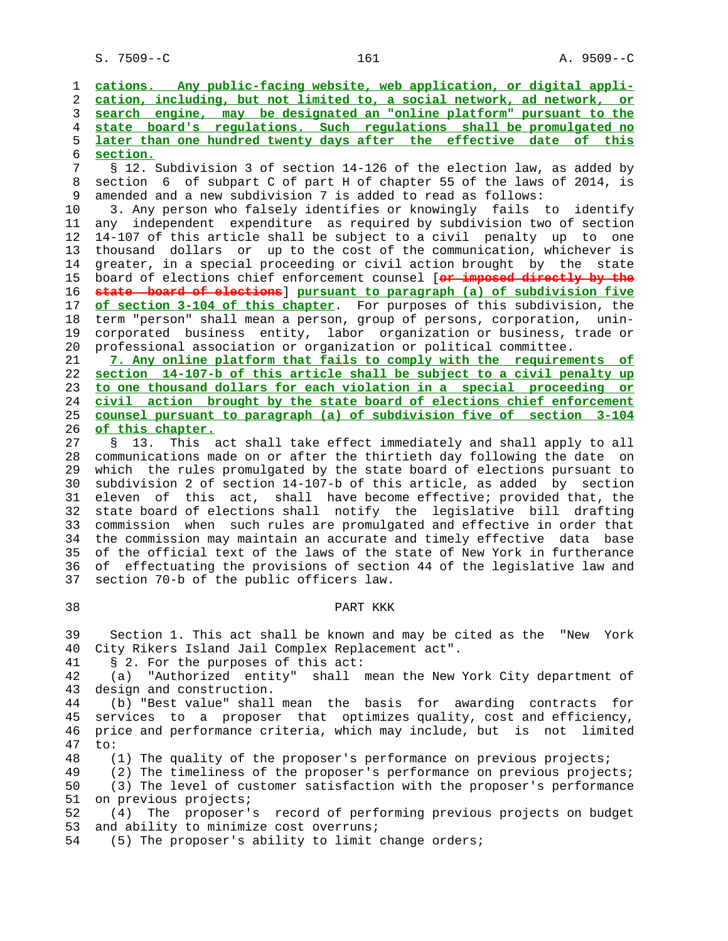S. 7509--C 161 A. 9509--C

**cations. Any public-facing website, web application, or digital appli- cation, including, but not limited to, a social network, ad network, or search engine, may be designated an "online platform" pursuant to the state board's regulations. Such regulations shall be promulgated no later than one hundred twenty days after the effective date of this section.** 7 § 12. Subdivision 3 of section 14-126 of the election law, as added by

8 section 6 of subpart C of part H of chapter 55 of the laws of 2014, is<br>9 amended and a new subdivision 7 is added to read as follows: amended and a new subdivision 7 is added to read as follows:

 10 3. Any person who falsely identifies or knowingly fails to identify 11 any independent expenditure as required by subdivision two of section 12 14-107 of this article shall be subject to a civil penalty up to one 13 thousand dollars or up to the cost of the communication, whichever is 14 greater, in a special proceeding or civil action brought by the state 15 board of elections chief enforcement counsel [**or imposed directly by the** 16 **state board of elections**] **pursuant to paragraph (a) of subdivision five** 17 **of section 3-104 of this chapter**. For purposes of this subdivision, the 18 term "person" shall mean a person, group of persons, corporation, unin- 19 corporated business entity, labor organization or business, trade or 20 professional association or organization or political committee.

**7. Any online platform that fails to comply with the requirements of section 14-107-b of this article shall be subject to a civil penalty up to one thousand dollars for each violation in a special proceeding or civil action brought by the state board of elections chief enforcement counsel pursuant to paragraph (a) of subdivision five of section 3-104 of this chapter.**

 27 § 13. This act shall take effect immediately and shall apply to all 28 communications made on or after the thirtieth day following the date on 29 which the rules promulgated by the state board of elections pursuant to 30 subdivision 2 of section 14-107-b of this article, as added by section 31 eleven of this act, shall have become effective; provided that, the 32 state board of elections shall notify the legislative bill drafting 33 commission when such rules are promulgated and effective in order that 34 the commission may maintain an accurate and timely effective data base 35 of the official text of the laws of the state of New York in furtherance 36 of effectuating the provisions of section 44 of the legislative law and 37 section 70-b of the public officers law.

### 38 PART KKK

 39 Section 1. This act shall be known and may be cited as the "New York 40 City Rikers Island Jail Complex Replacement act".

41 § 2. For the purposes of this act:

 42 (a) "Authorized entity" shall mean the New York City department of 43 design and construction.

 44 (b) "Best value" shall mean the basis for awarding contracts for 45 services to a proposer that optimizes quality, cost and efficiency, 46 price and performance criteria, which may include, but is not limited 47 to:

48 (1) The quality of the proposer's performance on previous projects;

49 (2) The timeliness of the proposer's performance on previous projects;<br>50 (3) The level of customer satisfaction with the proposer's performance

(3) The level of customer satisfaction with the proposer's performance 51 on previous projects;

 52 (4) The proposer's record of performing previous projects on budget 53 and ability to minimize cost overruns;

54 (5) The proposer's ability to limit change orders;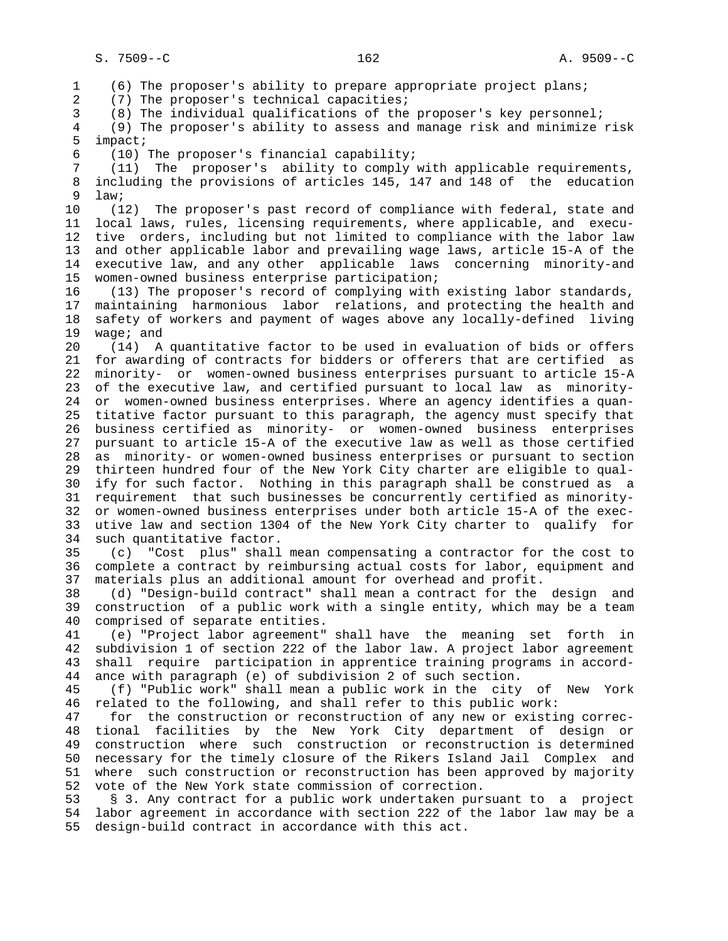1 (6) The proposer's ability to prepare appropriate project plans; 2 (7) The proposer's technical capacities; 3 (8) The individual qualifications of the proposer's key personnel; 4 (9) The proposer's ability to assess and manage risk and minimize risk 5 impact; 6 (10) The proposer's financial capability; 7 (11) The proposer's ability to comply with applicable requirements, 8 including the provisions of articles 145, 147 and 148 of the education<br>9 law; law; 10 (12) The proposer's past record of compliance with federal, state and 11 local laws, rules, licensing requirements, where applicable, and execu- 12 tive orders, including but not limited to compliance with the labor law 13 and other applicable labor and prevailing wage laws, article 15-A of the 14 executive law, and any other applicable laws concerning minority-and 15 women-owned business enterprise participation; 16 (13) The proposer's record of complying with existing labor standards, 17 maintaining harmonious labor relations, and protecting the health and 18 safety of workers and payment of wages above any locally-defined living 19 wage; and 20 (14) A quantitative factor to be used in evaluation of bids or offers 21 for awarding of contracts for bidders or offerers that are certified as 22 minority- or women-owned business enterprises pursuant to article 15-A 23 of the executive law, and certified pursuant to local law as minority- 24 or women-owned business enterprises. Where an agency identifies a quan- 25 titative factor pursuant to this paragraph, the agency must specify that 26 business certified as minority- or women-owned business enterprises 27 pursuant to article 15-A of the executive law as well as those certified 28 as minority- or women-owned business enterprises or pursuant to section 29 thirteen hundred four of the New York City charter are eligible to qual- 30 ify for such factor. Nothing in this paragraph shall be construed as a 31 requirement that such businesses be concurrently certified as minority- 32 or women-owned business enterprises under both article 15-A of the exec- 33 utive law and section 1304 of the New York City charter to qualify for 34 such quantitative factor. 35 (c) "Cost plus" shall mean compensating a contractor for the cost to 36 complete a contract by reimbursing actual costs for labor, equipment and 37 materials plus an additional amount for overhead and profit. 38 (d) "Design-build contract" shall mean a contract for the design and 39 construction of a public work with a single entity, which may be a team 40 comprised of separate entities. 41 (e) "Project labor agreement" shall have the meaning set forth in 42 subdivision 1 of section 222 of the labor law. A project labor agreement 43 shall require participation in apprentice training programs in accord- 44 ance with paragraph (e) of subdivision 2 of such section. 45 (f) "Public work" shall mean a public work in the city of New York 46 related to the following, and shall refer to this public work: 47 for the construction or reconstruction of any new or existing correc- 48 tional facilities by the New York City department of design or 49 construction where such construction or reconstruction is determined 50 necessary for the timely closure of the Rikers Island Jail Complex and 51 where such construction or reconstruction has been approved by majority 52 vote of the New York state commission of correction. 53 § 3. Any contract for a public work undertaken pursuant to a project 54 labor agreement in accordance with section 222 of the labor law may be a

55 design-build contract in accordance with this act.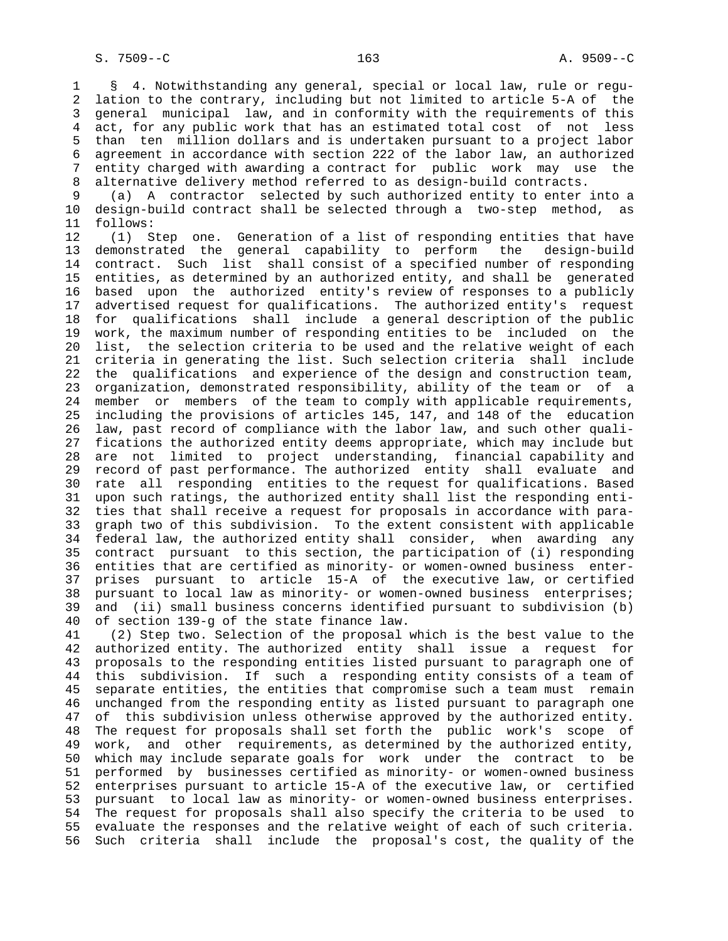1 § 4. Notwithstanding any general, special or local law, rule or regu- 2 lation to the contrary, including but not limited to article 5-A of the 3 general municipal law, and in conformity with the requirements of this 4 act, for any public work that has an estimated total cost of not less 5 than ten million dollars and is undertaken pursuant to a project labor 6 agreement in accordance with section 222 of the labor law, an authorized 7 entity charged with awarding a contract for public work may use the 8 alternative delivery method referred to as design-build contracts.<br>9 (a) A contractor selected by such authorized entity to enter

(a) A contractor selected by such authorized entity to enter into a 10 design-build contract shall be selected through a two-step method, as 11 follows:

 12 (1) Step one. Generation of a list of responding entities that have 13 demonstrated the general capability to perform the design-build 14 contract. Such list shall consist of a specified number of responding 15 entities, as determined by an authorized entity, and shall be generated 16 based upon the authorized entity's review of responses to a publicly 17 advertised request for qualifications. The authorized entity's request 18 for qualifications shall include a general description of the public 19 work, the maximum number of responding entities to be included on the 20 list, the selection criteria to be used and the relative weight of each 21 criteria in generating the list. Such selection criteria shall include 22 the qualifications and experience of the design and construction team, 23 organization, demonstrated responsibility, ability of the team or of a 24 member or members of the team to comply with applicable requirements, 25 including the provisions of articles 145, 147, and 148 of the education 26 law, past record of compliance with the labor law, and such other quali- 27 fications the authorized entity deems appropriate, which may include but 28 are not limited to project understanding, financial capability and 29 record of past performance. The authorized entity shall evaluate and 30 rate all responding entities to the request for qualifications. Based 31 upon such ratings, the authorized entity shall list the responding enti- 32 ties that shall receive a request for proposals in accordance with para- 33 graph two of this subdivision. To the extent consistent with applicable 34 federal law, the authorized entity shall consider, when awarding any 35 contract pursuant to this section, the participation of (i) responding 36 entities that are certified as minority- or women-owned business enter- 37 prises pursuant to article 15-A of the executive law, or certified 38 pursuant to local law as minority- or women-owned business enterprises; 39 and (ii) small business concerns identified pursuant to subdivision (b) 40 of section 139-g of the state finance law.

 41 (2) Step two. Selection of the proposal which is the best value to the 42 authorized entity. The authorized entity shall issue a request for 43 proposals to the responding entities listed pursuant to paragraph one of 44 this subdivision. If such a responding entity consists of a team of 45 separate entities, the entities that compromise such a team must remain 46 unchanged from the responding entity as listed pursuant to paragraph one 47 of this subdivision unless otherwise approved by the authorized entity. 48 The request for proposals shall set forth the public work's scope of 49 work, and other requirements, as determined by the authorized entity, 50 which may include separate goals for work under the contract to be 51 performed by businesses certified as minority- or women-owned business 52 enterprises pursuant to article 15-A of the executive law, or certified 53 pursuant to local law as minority- or women-owned business enterprises. 54 The request for proposals shall also specify the criteria to be used to 55 evaluate the responses and the relative weight of each of such criteria. 56 Such criteria shall include the proposal's cost, the quality of the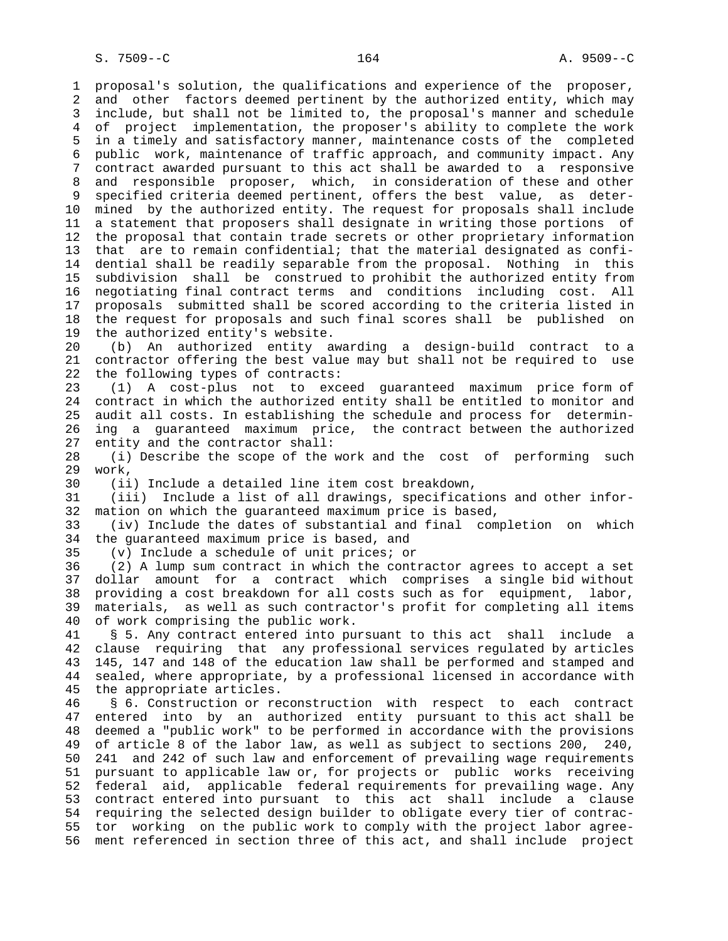1 proposal's solution, the qualifications and experience of the proposer, 2 and other factors deemed pertinent by the authorized entity, which may 3 include, but shall not be limited to, the proposal's manner and schedule 4 of project implementation, the proposer's ability to complete the work 5 in a timely and satisfactory manner, maintenance costs of the completed 6 public work, maintenance of traffic approach, and community impact. Any 7 contract awarded pursuant to this act shall be awarded to a responsive 8 and responsible proposer, which, in consideration of these and other<br>9 specified criteria deemed pertinent, offers the best value, as deterspecified criteria deemed pertinent, offers the best value, as deter- 10 mined by the authorized entity. The request for proposals shall include 11 a statement that proposers shall designate in writing those portions of 12 the proposal that contain trade secrets or other proprietary information 13 that are to remain confidential; that the material designated as confi- 14 dential shall be readily separable from the proposal. Nothing in this 15 subdivision shall be construed to prohibit the authorized entity from 16 negotiating final contract terms and conditions including cost. All 17 proposals submitted shall be scored according to the criteria listed in 18 the request for proposals and such final scores shall be published on 19 the authorized entity's website. 20 (b) An authorized entity awarding a design-build contract to a

 21 contractor offering the best value may but shall not be required to use 22 the following types of contracts:

 23 (1) A cost-plus not to exceed guaranteed maximum price form of 24 contract in which the authorized entity shall be entitled to monitor and 25 audit all costs. In establishing the schedule and process for determin- 26 ing a guaranteed maximum price, the contract between the authorized 27 entity and the contractor shall:

 28 (i) Describe the scope of the work and the cost of performing such 29 work,

30 (ii) Include a detailed line item cost breakdown,

 31 (iii) Include a list of all drawings, specifications and other infor- 32 mation on which the guaranteed maximum price is based,

 33 (iv) Include the dates of substantial and final completion on which 34 the guaranteed maximum price is based, and

35 (v) Include a schedule of unit prices; or

 36 (2) A lump sum contract in which the contractor agrees to accept a set 37 dollar amount for a contract which comprises a single bid without 38 providing a cost breakdown for all costs such as for equipment, labor, 39 materials, as well as such contractor's profit for completing all items 40 of work comprising the public work.

 41 § 5. Any contract entered into pursuant to this act shall include a 42 clause requiring that any professional services regulated by articles 43 145, 147 and 148 of the education law shall be performed and stamped and 44 sealed, where appropriate, by a professional licensed in accordance with 45 the appropriate articles.

 46 § 6. Construction or reconstruction with respect to each contract 47 entered into by an authorized entity pursuant to this act shall be 48 deemed a "public work" to be performed in accordance with the provisions 49 of article 8 of the labor law, as well as subject to sections 200, 240, 50 241 and 242 of such law and enforcement of prevailing wage requirements 51 pursuant to applicable law or, for projects or public works receiving 52 federal aid, applicable federal requirements for prevailing wage. Any 53 contract entered into pursuant to this act shall include a clause 54 requiring the selected design builder to obligate every tier of contrac- 55 tor working on the public work to comply with the project labor agree- 56 ment referenced in section three of this act, and shall include project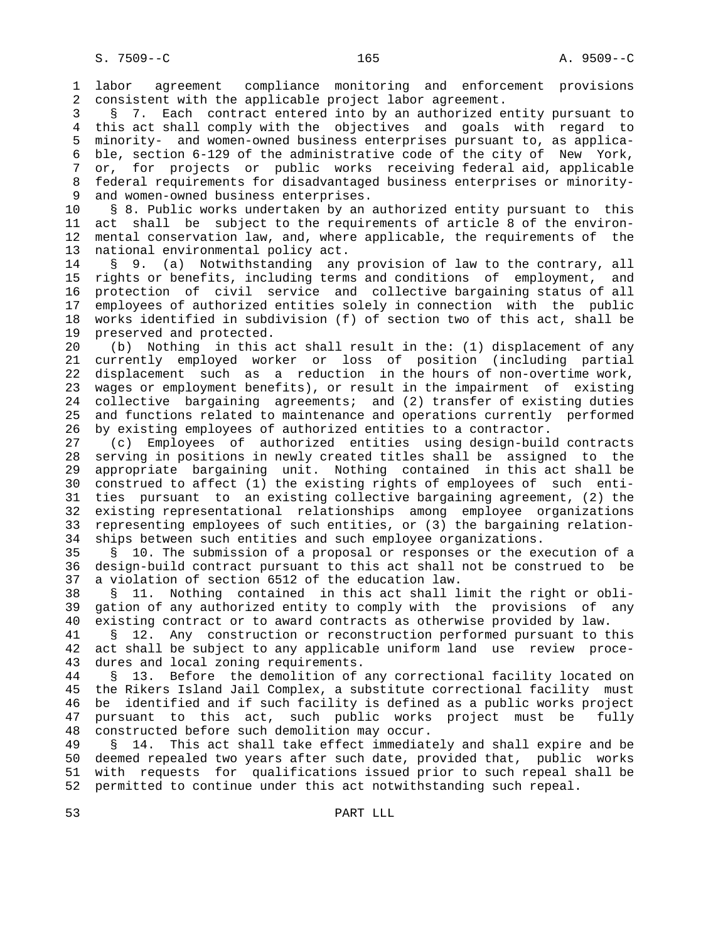1 labor agreement compliance monitoring and enforcement provisions 2 consistent with the applicable project labor agreement.

 3 § 7. Each contract entered into by an authorized entity pursuant to 4 this act shall comply with the objectives and goals with regard to 5 minority- and women-owned business enterprises pursuant to, as applica- 6 ble, section 6-129 of the administrative code of the city of New York, 7 or, for projects or public works receiving federal aid, applicable 8 federal requirements for disadvantaged business enterprises or minority-<br>9 and women-owned business enterprises. and women-owned business enterprises.

 10 § 8. Public works undertaken by an authorized entity pursuant to this 11 act shall be subject to the requirements of article 8 of the environ- 12 mental conservation law, and, where applicable, the requirements of the 13 national environmental policy act.

 14 § 9. (a) Notwithstanding any provision of law to the contrary, all 15 rights or benefits, including terms and conditions of employment, and 16 protection of civil service and collective bargaining status of all 17 employees of authorized entities solely in connection with the public 18 works identified in subdivision (f) of section two of this act, shall be 19 preserved and protected.

 20 (b) Nothing in this act shall result in the: (1) displacement of any 21 currently employed worker or loss of position (including partial 22 displacement such as a reduction in the hours of non-overtime work, 23 wages or employment benefits), or result in the impairment of existing 24 collective bargaining agreements; and (2) transfer of existing duties 25 and functions related to maintenance and operations currently performed 26 by existing employees of authorized entities to a contractor.

 27 (c) Employees of authorized entities using design-build contracts 28 serving in positions in newly created titles shall be assigned to the 29 appropriate bargaining unit. Nothing contained in this act shall be 30 construed to affect (1) the existing rights of employees of such enti- 31 ties pursuant to an existing collective bargaining agreement, (2) the 32 existing representational relationships among employee organizations 33 representing employees of such entities, or (3) the bargaining relation- 34 ships between such entities and such employee organizations.

 35 § 10. The submission of a proposal or responses or the execution of a 36 design-build contract pursuant to this act shall not be construed to be 37 a violation of section 6512 of the education law.

 38 § 11. Nothing contained in this act shall limit the right or obli- 39 gation of any authorized entity to comply with the provisions of any 40 existing contract or to award contracts as otherwise provided by law.

 41 § 12. Any construction or reconstruction performed pursuant to this 42 act shall be subject to any applicable uniform land use review proce- 43 dures and local zoning requirements.

 44 § 13. Before the demolition of any correctional facility located on 45 the Rikers Island Jail Complex, a substitute correctional facility must 46 be identified and if such facility is defined as a public works project 47 pursuant to this act, such public works project must be fully 48 constructed before such demolition may occur.

 49 § 14. This act shall take effect immediately and shall expire and be 50 deemed repealed two years after such date, provided that, public works 51 with requests for qualifications issued prior to such repeal shall be 52 permitted to continue under this act notwithstanding such repeal.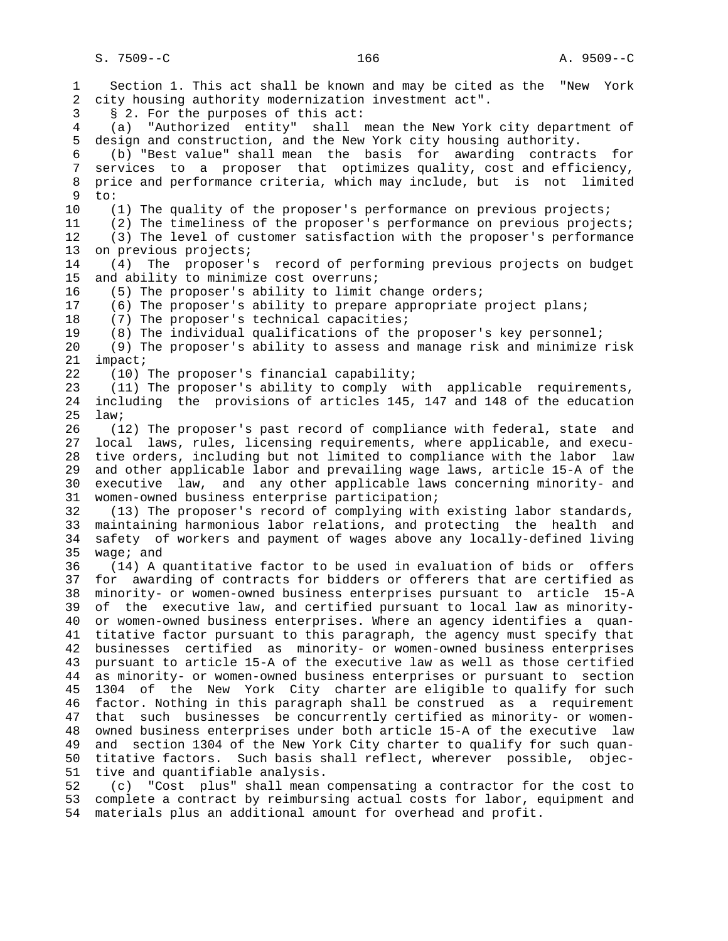1 Section 1. This act shall be known and may be cited as the "New York 2 city housing authority modernization investment act". 3 § 2. For the purposes of this act: 4 (a) "Authorized entity" shall mean the New York city department of 5 design and construction, and the New York city housing authority. 6 (b) "Best value" shall mean the basis for awarding contracts for 7 services to a proposer that optimizes quality, cost and efficiency, 8 price and performance criteria, which may include, but is not limited<br>9 to: to: 10 (1) The quality of the proposer's performance on previous projects; 11 (2) The timeliness of the proposer's performance on previous projects; 12 (3) The level of customer satisfaction with the proposer's performance 13 on previous projects; 14 (4) The proposer's record of performing previous projects on budget 15 and ability to minimize cost overruns; 16 (5) The proposer's ability to limit change orders; 17 (6) The proposer's ability to prepare appropriate project plans; 18 (7) The proposer's technical capacities; 19 (8) The individual qualifications of the proposer's key personnel; 20 (9) The proposer's ability to assess and manage risk and minimize risk 21 impact; 22 (10) The proposer's financial capability; 23 (11) The proposer's ability to comply with applicable requirements, 24 including the provisions of articles 145, 147 and 148 of the education 25 law; 26 (12) The proposer's past record of compliance with federal, state and 27 local laws, rules, licensing requirements, where applicable, and execu- 28 tive orders, including but not limited to compliance with the labor law 29 and other applicable labor and prevailing wage laws, article 15-A of the 30 executive law, and any other applicable laws concerning minority- and 31 women-owned business enterprise participation; 32 (13) The proposer's record of complying with existing labor standards, 33 maintaining harmonious labor relations, and protecting the health and 34 safety of workers and payment of wages above any locally-defined living 35 wage; and 36 (14) A quantitative factor to be used in evaluation of bids or offers 37 for awarding of contracts for bidders or offerers that are certified as 38 minority- or women-owned business enterprises pursuant to article 15-A 39 of the executive law, and certified pursuant to local law as minority- 40 or women-owned business enterprises. Where an agency identifies a quan- 41 titative factor pursuant to this paragraph, the agency must specify that 42 businesses certified as minority- or women-owned business enterprises 43 pursuant to article 15-A of the executive law as well as those certified 44 as minority- or women-owned business enterprises or pursuant to section 45 1304 of the New York City charter are eligible to qualify for such 46 factor. Nothing in this paragraph shall be construed as a requirement 47 that such businesses be concurrently certified as minority- or women- 48 owned business enterprises under both article 15-A of the executive law 49 and section 1304 of the New York City charter to qualify for such quan- 50 titative factors. Such basis shall reflect, wherever possible, objec- 51 tive and quantifiable analysis. 52 (c) "Cost plus" shall mean compensating a contractor for the cost to

 53 complete a contract by reimbursing actual costs for labor, equipment and 54 materials plus an additional amount for overhead and profit.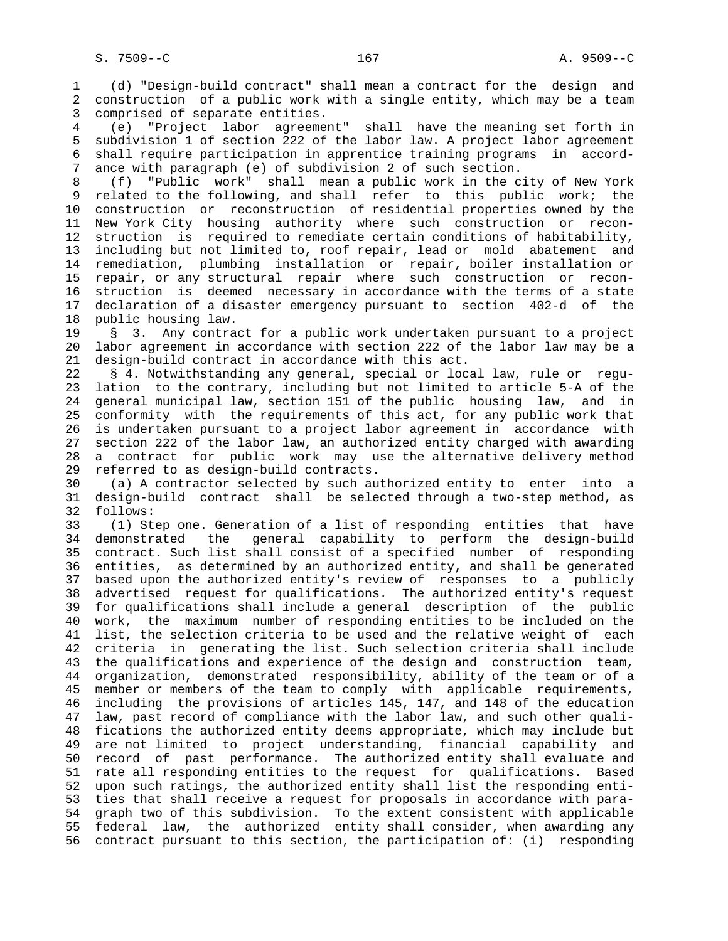1 (d) "Design-build contract" shall mean a contract for the design and 2 construction of a public work with a single entity, which may be a team 3 comprised of separate entities.

 4 (e) "Project labor agreement" shall have the meaning set forth in 5 subdivision 1 of section 222 of the labor law. A project labor agreement 6 shall require participation in apprentice training programs in accord- 7 ance with paragraph (e) of subdivision 2 of such section.

 8 (f) "Public work" shall mean a public work in the city of New York related to the following, and shall refer to this public work; the 10 construction or reconstruction of residential properties owned by the 11 New York City housing authority where such construction or recon- 12 struction is required to remediate certain conditions of habitability, 13 including but not limited to, roof repair, lead or mold abatement and 14 remediation, plumbing installation or repair, boiler installation or 15 repair, or any structural repair where such construction or recon- 16 struction is deemed necessary in accordance with the terms of a state 17 declaration of a disaster emergency pursuant to section 402-d of the 18 public housing law.

 19 § 3. Any contract for a public work undertaken pursuant to a project 20 labor agreement in accordance with section 222 of the labor law may be a 21 design-build contract in accordance with this act.

 22 § 4. Notwithstanding any general, special or local law, rule or regu- 23 lation to the contrary, including but not limited to article 5-A of the 24 general municipal law, section 151 of the public housing law, and in 25 conformity with the requirements of this act, for any public work that 26 is undertaken pursuant to a project labor agreement in accordance with 27 section 222 of the labor law, an authorized entity charged with awarding 28 a contract for public work may use the alternative delivery method 29 referred to as design-build contracts.

 30 (a) A contractor selected by such authorized entity to enter into a 31 design-build contract shall be selected through a two-step method, as 32 follows:

 33 (1) Step one. Generation of a list of responding entities that have 34 demonstrated the general capability to perform the design-build 35 contract. Such list shall consist of a specified number of responding 36 entities, as determined by an authorized entity, and shall be generated 37 based upon the authorized entity's review of responses to a publicly 38 advertised request for qualifications. The authorized entity's request 39 for qualifications shall include a general description of the public 40 work, the maximum number of responding entities to be included on the 41 list, the selection criteria to be used and the relative weight of each 42 criteria in generating the list. Such selection criteria shall include 43 the qualifications and experience of the design and construction team, 44 organization, demonstrated responsibility, ability of the team or of a 45 member or members of the team to comply with applicable requirements, 46 including the provisions of articles 145, 147, and 148 of the education 47 law, past record of compliance with the labor law, and such other quali- 48 fications the authorized entity deems appropriate, which may include but 49 are not limited to project understanding, financial capability and 50 record of past performance. The authorized entity shall evaluate and 51 rate all responding entities to the request for qualifications. Based 52 upon such ratings, the authorized entity shall list the responding enti- 53 ties that shall receive a request for proposals in accordance with para- 54 graph two of this subdivision. To the extent consistent with applicable 55 federal law, the authorized entity shall consider, when awarding any 56 contract pursuant to this section, the participation of: (i) responding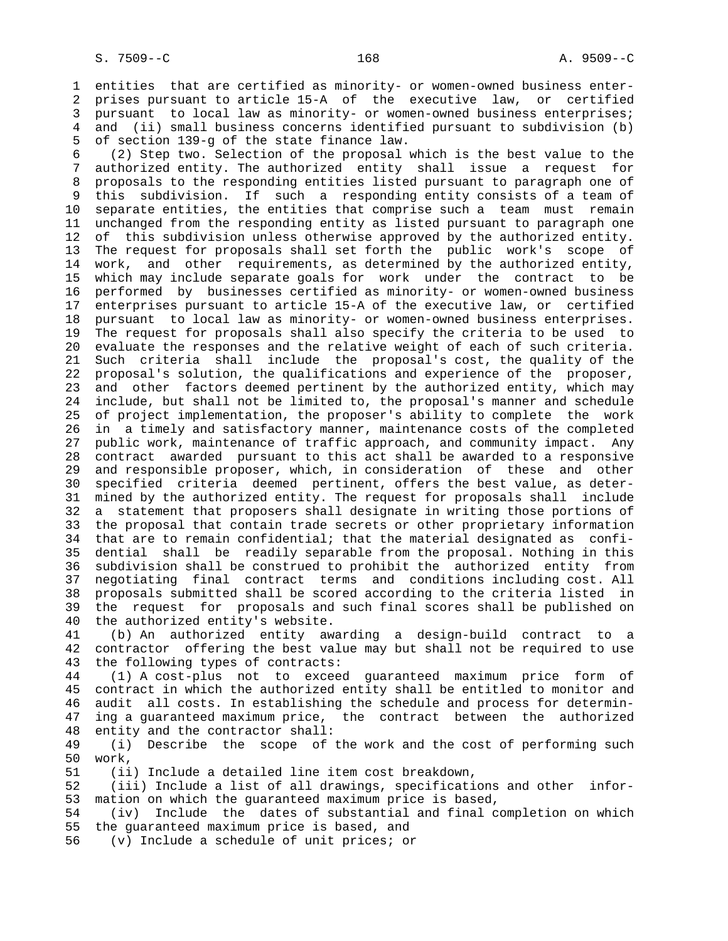1 entities that are certified as minority- or women-owned business enter- 2 prises pursuant to article 15-A of the executive law, or certified 3 pursuant to local law as minority- or women-owned business enterprises; 4 and (ii) small business concerns identified pursuant to subdivision (b) 5 of section 139-g of the state finance law.

 6 (2) Step two. Selection of the proposal which is the best value to the 7 authorized entity. The authorized entity shall issue a request for 8 proposals to the responding entities listed pursuant to paragraph one of<br>9 this subdivision. If such a responding entity consists of a team of this subdivision. If such a responding entity consists of a team of 10 separate entities, the entities that comprise such a team must remain 11 unchanged from the responding entity as listed pursuant to paragraph one 12 of this subdivision unless otherwise approved by the authorized entity. 13 The request for proposals shall set forth the public work's scope of 14 work, and other requirements, as determined by the authorized entity, 15 which may include separate goals for work under the contract to be 16 performed by businesses certified as minority- or women-owned business 17 enterprises pursuant to article 15-A of the executive law, or certified 18 pursuant to local law as minority- or women-owned business enterprises. 19 The request for proposals shall also specify the criteria to be used to 20 evaluate the responses and the relative weight of each of such criteria. 21 Such criteria shall include the proposal's cost, the quality of the 22 proposal's solution, the qualifications and experience of the proposer, 23 and other factors deemed pertinent by the authorized entity, which may 24 include, but shall not be limited to, the proposal's manner and schedule 25 of project implementation, the proposer's ability to complete the work 26 in a timely and satisfactory manner, maintenance costs of the completed 27 public work, maintenance of traffic approach, and community impact. Any 28 contract awarded pursuant to this act shall be awarded to a responsive 29 and responsible proposer, which, in consideration of these and other 30 specified criteria deemed pertinent, offers the best value, as deter- 31 mined by the authorized entity. The request for proposals shall include 32 a statement that proposers shall designate in writing those portions of 33 the proposal that contain trade secrets or other proprietary information 34 that are to remain confidential; that the material designated as confi- 35 dential shall be readily separable from the proposal. Nothing in this 36 subdivision shall be construed to prohibit the authorized entity from 37 negotiating final contract terms and conditions including cost. All 38 proposals submitted shall be scored according to the criteria listed in 39 the request for proposals and such final scores shall be published on 40 the authorized entity's website.

 41 (b) An authorized entity awarding a design-build contract to a 42 contractor offering the best value may but shall not be required to use 43 the following types of contracts:

 44 (1) A cost-plus not to exceed guaranteed maximum price form of 45 contract in which the authorized entity shall be entitled to monitor and 46 audit all costs. In establishing the schedule and process for determin- 47 ing a guaranteed maximum price, the contract between the authorized 48 entity and the contractor shall:

 49 (i) Describe the scope of the work and the cost of performing such 50 work,

51 (ii) Include a detailed line item cost breakdown,

 52 (iii) Include a list of all drawings, specifications and other infor- 53 mation on which the guaranteed maximum price is based,

 54 (iv) Include the dates of substantial and final completion on which 55 the guaranteed maximum price is based, and

56 (v) Include a schedule of unit prices; or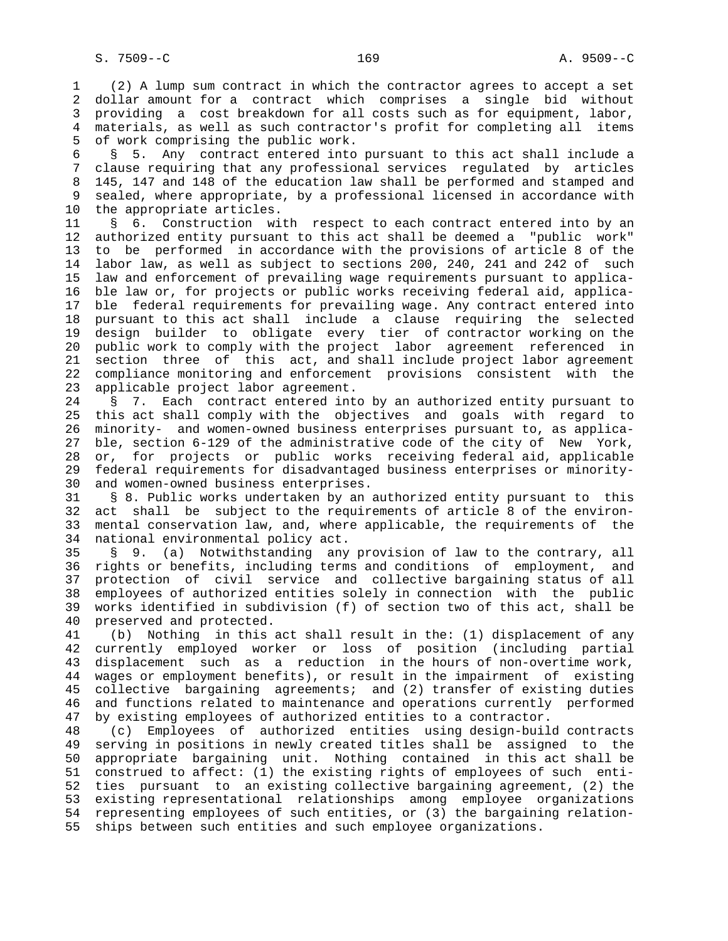1 (2) A lump sum contract in which the contractor agrees to accept a set 2 dollar amount for a contract which comprises a single bid without 3 providing a cost breakdown for all costs such as for equipment, labor, 4 materials, as well as such contractor's profit for completing all items 5 of work comprising the public work.

 6 § 5. Any contract entered into pursuant to this act shall include a 7 clause requiring that any professional services regulated by articles 8 145, 147 and 148 of the education law shall be performed and stamped and<br>9 sealed, where appropriate, by a professional licensed in accordance with sealed, where appropriate, by a professional licensed in accordance with 10 the appropriate articles.

11 § 6. Construction with respect to each contract entered into by an 12 authorized entity pursuant to this act shall be deemed a "public work" 13 to be performed in accordance with the provisions of article 8 of the 14 labor law, as well as subject to sections 200, 240, 241 and 242 of such 15 law and enforcement of prevailing wage requirements pursuant to applica- 16 ble law or, for projects or public works receiving federal aid, applica- 17 ble federal requirements for prevailing wage. Any contract entered into 18 pursuant to this act shall include a clause requiring the selected 19 design builder to obligate every tier of contractor working on the 20 public work to comply with the project labor agreement referenced in 21 section three of this act, and shall include project labor agreement 22 compliance monitoring and enforcement provisions consistent with the 23 applicable project labor agreement.

 24 § 7. Each contract entered into by an authorized entity pursuant to 25 this act shall comply with the objectives and goals with regard to 26 minority- and women-owned business enterprises pursuant to, as applica- 27 ble, section 6-129 of the administrative code of the city of New York, 28 or, for projects or public works receiving federal aid, applicable 29 federal requirements for disadvantaged business enterprises or minority- 30 and women-owned business enterprises.

 31 § 8. Public works undertaken by an authorized entity pursuant to this 32 act shall be subject to the requirements of article 8 of the environ- 33 mental conservation law, and, where applicable, the requirements of the 34 national environmental policy act.

 35 § 9. (a) Notwithstanding any provision of law to the contrary, all 36 rights or benefits, including terms and conditions of employment, and 37 protection of civil service and collective bargaining status of all 38 employees of authorized entities solely in connection with the public 39 works identified in subdivision (f) of section two of this act, shall be 40 preserved and protected.

 41 (b) Nothing in this act shall result in the: (1) displacement of any 42 currently employed worker or loss of position (including partial 43 displacement such as a reduction in the hours of non-overtime work, 44 wages or employment benefits), or result in the impairment of existing 45 collective bargaining agreements; and (2) transfer of existing duties 46 and functions related to maintenance and operations currently performed 47 by existing employees of authorized entities to a contractor.

 48 (c) Employees of authorized entities using design-build contracts 49 serving in positions in newly created titles shall be assigned to the 50 appropriate bargaining unit. Nothing contained in this act shall be 51 construed to affect: (1) the existing rights of employees of such enti- 52 ties pursuant to an existing collective bargaining agreement, (2) the 53 existing representational relationships among employee organizations 54 representing employees of such entities, or (3) the bargaining relation- 55 ships between such entities and such employee organizations.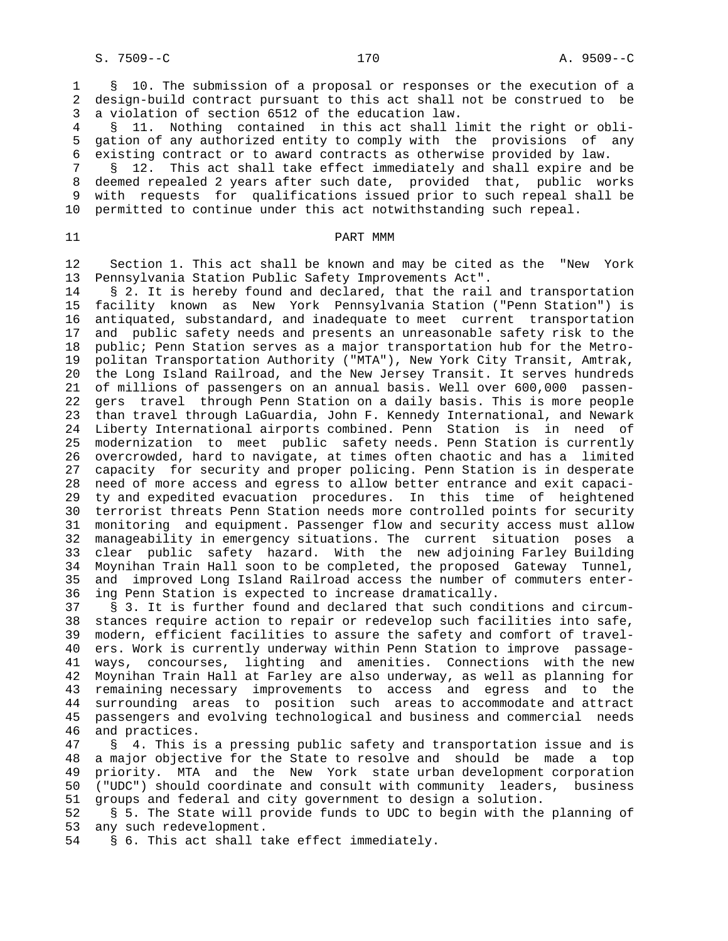1 § 10. The submission of a proposal or responses or the execution of a 2 design-build contract pursuant to this act shall not be construed to be 3 a violation of section 6512 of the education law.

 4 § 11. Nothing contained in this act shall limit the right or obli- 5 gation of any authorized entity to comply with the provisions of any 6 existing contract or to award contracts as otherwise provided by law.

 7 § 12. This act shall take effect immediately and shall expire and be 8 deemed repealed 2 years after such date, provided that, public works with requests for qualifications issued prior to such repeal shall be 10 permitted to continue under this act notwithstanding such repeal.

## 11 PART MMM

 12 Section 1. This act shall be known and may be cited as the "New York 13 Pennsylvania Station Public Safety Improvements Act".

14 § 2. It is hereby found and declared, that the rail and transportation 15 facility known as New York Pennsylvania Station ("Penn Station") is 16 antiquated, substandard, and inadequate to meet current transportation 17 and public safety needs and presents an unreasonable safety risk to the 18 public; Penn Station serves as a major transportation hub for the Metro- 19 politan Transportation Authority ("MTA"), New York City Transit, Amtrak, 20 the Long Island Railroad, and the New Jersey Transit. It serves hundreds 21 of millions of passengers on an annual basis. Well over 600,000 passen- 22 gers travel through Penn Station on a daily basis. This is more people 23 than travel through LaGuardia, John F. Kennedy International, and Newark 24 Liberty International airports combined. Penn Station is in need of 25 modernization to meet public safety needs. Penn Station is currently 26 overcrowded, hard to navigate, at times often chaotic and has a limited 27 capacity for security and proper policing. Penn Station is in desperate 28 need of more access and egress to allow better entrance and exit capaci- 29 ty and expedited evacuation procedures. In this time of heightened 30 terrorist threats Penn Station needs more controlled points for security 31 monitoring and equipment. Passenger flow and security access must allow 32 manageability in emergency situations. The current situation poses a 33 clear public safety hazard. With the new adjoining Farley Building 34 Moynihan Train Hall soon to be completed, the proposed Gateway Tunnel, 35 and improved Long Island Railroad access the number of commuters enter- 36 ing Penn Station is expected to increase dramatically.

 37 § 3. It is further found and declared that such conditions and circum- 38 stances require action to repair or redevelop such facilities into safe, 39 modern, efficient facilities to assure the safety and comfort of travel- 40 ers. Work is currently underway within Penn Station to improve passage- 41 ways, concourses, lighting and amenities. Connections with the new 42 Moynihan Train Hall at Farley are also underway, as well as planning for 43 remaining necessary improvements to access and egress and to the 44 surrounding areas to position such areas to accommodate and attract 45 passengers and evolving technological and business and commercial needs 46 and practices.<br>47 § 4. This i

§ 4. This is a pressing public safety and transportation issue and is 48 a major objective for the State to resolve and should be made a top 49 priority. MTA and the New York state urban development corporation 50 ("UDC") should coordinate and consult with community leaders, business 51 groups and federal and city government to design a solution.

 52 § 5. The State will provide funds to UDC to begin with the planning of 53 any such redevelopment.

54 § 6. This act shall take effect immediately.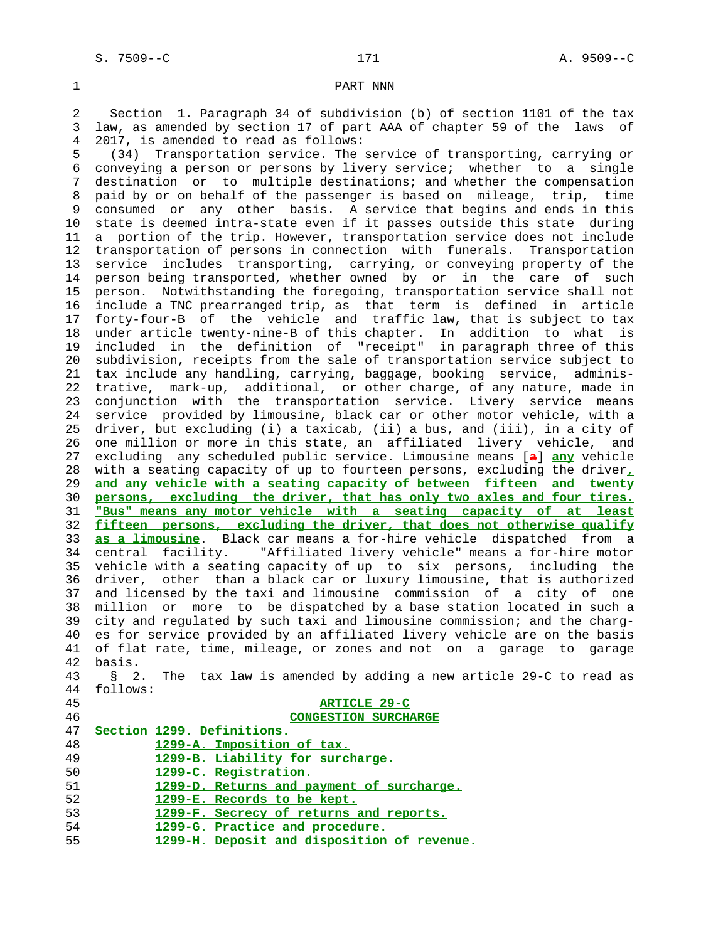# 1 PART NNN

 2 Section 1. Paragraph 34 of subdivision (b) of section 1101 of the tax 3 law, as amended by section 17 of part AAA of chapter 59 of the laws of 4 2017, is amended to read as follows:

 5 (34) Transportation service. The service of transporting, carrying or 6 conveying a person or persons by livery service; whether to a single 7 destination or to multiple destinations; and whether the compensation 8 paid by or on behalf of the passenger is based on mileage, trip, time 9 consumed or any other basis. A service that begins and ends in this 10 state is deemed intra-state even if it passes outside this state during 11 a portion of the trip. However, transportation service does not include 12 transportation of persons in connection with funerals. Transportation 13 service includes transporting, carrying, or conveying property of the 14 person being transported, whether owned by or in the care of such 15 person. Notwithstanding the foregoing, transportation service shall not 16 include a TNC prearranged trip, as that term is defined in article 17 forty-four-B of the vehicle and traffic law, that is subject to tax 18 under article twenty-nine-B of this chapter. In addition to what is 19 included in the definition of "receipt" in paragraph three of this 20 subdivision, receipts from the sale of transportation service subject to 21 tax include any handling, carrying, baggage, booking service, adminis- 22 trative, mark-up, additional, or other charge, of any nature, made in 23 conjunction with the transportation service. Livery service means 24 service provided by limousine, black car or other motor vehicle, with a 25 driver, but excluding (i) a taxicab, (ii) a bus, and (iii), in a city of 26 one million or more in this state, an affiliated livery vehicle, and 27 excluding any scheduled public service. Limousine means [**a**] **any** vehicle 28 with a seating capacity of up to fourteen persons, excluding the driver**,** 29 **and any vehicle with a seating capacity of between fifteen and twenty** 30 **persons, excluding the driver, that has only two axles and four tires.** 31 **"Bus" means any motor vehicle with a seating capacity of at least** 32 **fifteen persons, excluding the driver, that does not otherwise qualify** 33 **as a limousine**. Black car means a for-hire vehicle dispatched from a 34 central facility. "Affiliated livery vehicle" means a for-hire motor 35 vehicle with a seating capacity of up to six persons, including the 36 driver, other than a black car or luxury limousine, that is authorized 37 and licensed by the taxi and limousine commission of a city of one 38 million or more to be dispatched by a base station located in such a 39 city and regulated by such taxi and limousine commission; and the charg- 40 es for service provided by an affiliated livery vehicle are on the basis 41 of flat rate, time, mileage, or zones and not on a garage to garage 42 basis. 43 § 2. The tax law is amended by adding a new article 29-C to read as 44 follows: 45 **ARTICLE 29-C** 46 **CONGESTION SURCHARGE** 47 **Section 1299. Definitions.**

| <b>I</b> |  | BECLION 1499. DELINICIONS.                  |
|----------|--|---------------------------------------------|
| 48       |  | 1299-A. Imposition of tax.                  |
| 49       |  | 1299-B. Liability for surcharge.            |
| 50       |  | 1299-C. Registration.                       |
| 51       |  | 1299-D. Returns and payment of surcharge.   |
| 52       |  | 1299-E. Records to be kept.                 |
| 53       |  | 1299-F. Secrecy of returns and reports.     |
| 54       |  | 1299-G. Practice and procedure.             |
| 55       |  | 1299-H. Deposit and disposition of revenue. |
|          |  |                                             |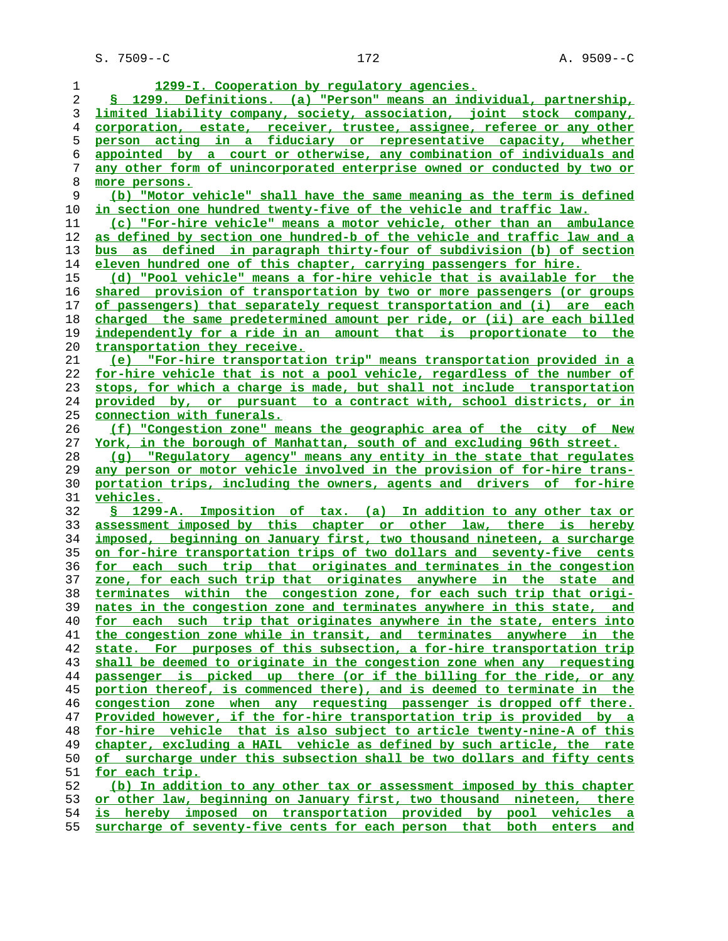| 1              | 1299-I. Cooperation by regulatory agencies.                               |
|----------------|---------------------------------------------------------------------------|
| 2              | § 1299. Definitions. (a) "Person" means an individual, partnership,       |
| 3              | limited liability company, society, association, joint stock company,     |
| $\overline{4}$ | corporation, estate, receiver, trustee, assignee, referee or any other    |
| 5              | person acting in a fiduciary or representative capacity, whether          |
| 6              | appointed by a court or otherwise, any combination of individuals and     |
| 7              | any other form of unincorporated enterprise owned or conducted by two or  |
| 8              | more persons.                                                             |
| 9              | (b) "Motor vehicle" shall have the same meaning as the term is defined    |
| 10             | <u>in section one hundred twenty-five of the vehicle and traffic law.</u> |
| 11             | (c) "For-hire vehicle" means a motor vehicle, other than an ambulance     |
| 12             | as defined by section one hundred-b of the vehicle and traffic law and a  |
| 13             | bus as defined in paragraph thirty-four of subdivision (b) of section     |
| 14             | eleven hundred one of this chapter, carrying passengers for hire.         |
| 15             | (d) "Pool vehicle" means a for-hire vehicle that is available for the     |
| 16             | shared provision of transportation by two or more passengers (or groups   |
| 17             | of passengers) that separately request transportation and (i) are each    |
| 18             | charged the same predetermined amount per ride, or (ii) are each billed   |
| 19             | independently for a ride in an amount that is proportionate to the        |
| 20             | transportation they receive.                                              |
| 21             | (e) "For-hire transportation trip" means transportation provided in a     |
| 22             | for-hire vehicle that is not a pool vehicle, regardless of the number of  |
| 23             | stops, for which a charge is made, but shall not include transportation   |
| 24             | provided by, or pursuant to a contract with, school districts, or in      |
| 25             | <u>connection with funerals.</u>                                          |
| 26             | (f) "Congestion zone" means the geographic area of the city of New        |
| 27             | York, in the borough of Manhattan, south of and excluding 96th street.    |
| 28             | (g) "Regulatory agency" means any entity in the state that regulates      |
| 29             | any person or motor vehicle involved in the provision of for-hire trans-  |
| 30             | portation trips, including the owners, agents and drivers of for-hire     |
| 31             | vehicles.                                                                 |
| 32             | § 1299-A. Imposition of tax. (a) In addition to any other tax or          |
| 33             | assessment imposed by this chapter or other law, there is hereby          |
| 34             | imposed, beginning on January first, two thousand nineteen, a surcharge   |
| 35             | on for-hire transportation trips of two dollars and seventy-five cents    |
| 36             | for each such trip that originates and terminates in the congestion       |
| 37             | zone, for each such trip that originates anywhere in the state and        |
| 38             | terminates within the congestion zone, for each such trip that origi-     |
| 39             | nates in the congestion zone and terminates anywhere in this state, and   |
| 40             | for each such trip that originates anywhere in the state, enters into     |
| 41             | the congestion zone while in transit, and terminates anywhere in the      |
| 42             | state. For purposes of this subsection, a for-hire transportation trip    |
| 43             | shall be deemed to originate in the congestion zone when any requesting   |
| 44             | passenger is picked up there (or if the billing for the ride, or any      |
| 45             | portion thereof, is commenced there), and is deemed to terminate in the   |
| 46             | congestion zone when any requesting passenger is dropped off there.       |
|                | Provided however, if the for-hire transportation trip is provided by a    |
| 47<br>48       | for-hire vehicle that is also subject to article twenty-nine-A of this    |
| 49             | chapter, excluding a HAIL vehicle as defined by such article, the rate    |
| 50             | of surcharge under this subsection shall be two dollars and fifty cents   |
| 51             | for each trip.                                                            |
| 52             | (b) In addition to any other tax or assessment imposed by this chapter    |
| 53             | or other law, beginning on January first, two thousand nineteen, there    |
| 54             | is hereby imposed on transportation provided by pool vehicles a           |
|                |                                                                           |

**surcharge of seventy-five cents for each person that both enters and**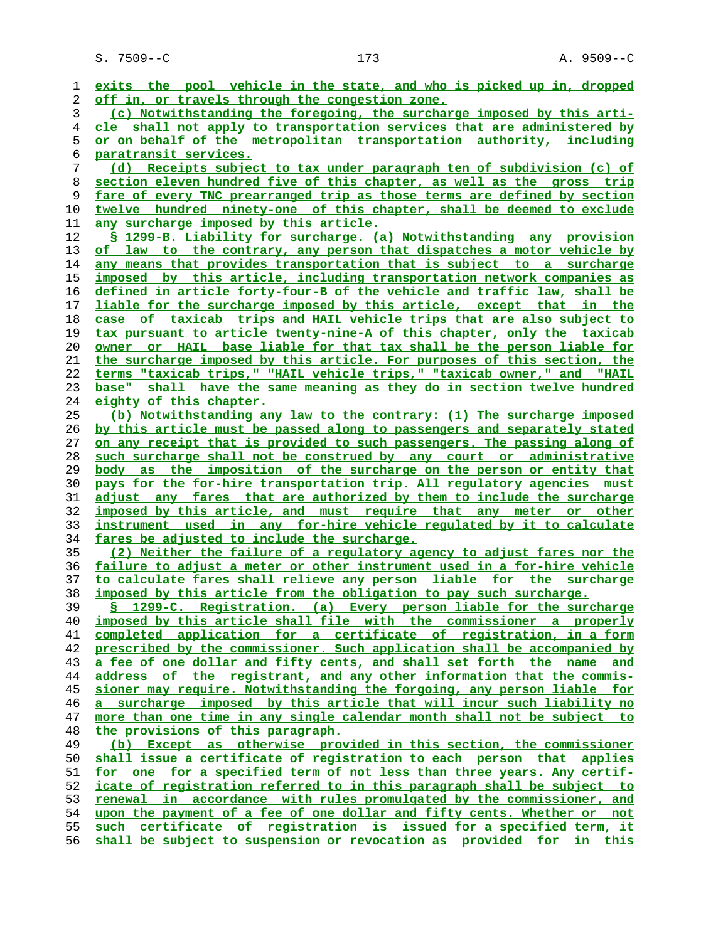S. 7509--C 173 A. 9509--C

**exits the pool vehicle in the state, and who is picked up in, dropped off in, or travels through the congestion zone. (c) Notwithstanding the foregoing, the surcharge imposed by this arti- cle shall not apply to transportation services that are administered by or on behalf of the metropolitan transportation authority, including paratransit services. (d) Receipts subject to tax under paragraph ten of subdivision (c) of section eleven hundred five of this chapter, as well as the gross trip fare of every TNC prearranged trip as those terms are defined by section twelve hundred ninety-one of this chapter, shall be deemed to exclude any surcharge imposed by this article. § 1299-B. Liability for surcharge. (a) Notwithstanding any provision of law to the contrary, any person that dispatches a motor vehicle by any means that provides transportation that is subject to a surcharge imposed by this article, including transportation network companies as defined in article forty-four-B of the vehicle and traffic law, shall be liable for the surcharge imposed by this article, except that in the case of taxicab trips and HAIL vehicle trips that are also subject to tax pursuant to article twenty-nine-A of this chapter, only the taxicab owner or HAIL base liable for that tax shall be the person liable for the surcharge imposed by this article. For purposes of this section, the terms "taxicab trips," "HAIL vehicle trips," "taxicab owner," and "HAIL base" shall have the same meaning as they do in section twelve hundred eighty of this chapter. (b) Notwithstanding any law to the contrary: (1) The surcharge imposed by this article must be passed along to passengers and separately stated on any receipt that is provided to such passengers. The passing along of such surcharge shall not be construed by any court or administrative body as the imposition of the surcharge on the person or entity that pays for the for-hire transportation trip. All regulatory agencies must adjust any fares that are authorized by them to include the surcharge imposed by this article, and must require that any meter or other instrument used in any for-hire vehicle regulated by it to calculate fares be adjusted to include the surcharge. (2) Neither the failure of a regulatory agency to adjust fares nor the failure to adjust a meter or other instrument used in a for-hire vehicle to calculate fares shall relieve any person liable for the surcharge imposed by this article from the obligation to pay such surcharge. § 1299-C. Registration. (a) Every person liable for the surcharge imposed by this article shall file with the commissioner a properly completed application for a certificate of registration, in a form prescribed by the commissioner. Such application shall be accompanied by a fee of one dollar and fifty cents, and shall set forth the name and address of the registrant, and any other information that the commis- sioner may require. Notwithstanding the forgoing, any person liable for a surcharge imposed by this article that will incur such liability no more than one time in any single calendar month shall not be subject to the provisions of this paragraph. (b) Except as otherwise provided in this section, the commissioner shall issue a certificate of registration to each person that applies for one for a specified term of not less than three years. Any certif- icate of registration referred to in this paragraph shall be subject to renewal in accordance with rules promulgated by the commissioner, and upon the payment of a fee of one dollar and fifty cents. Whether or not such certificate of registration is issued for a specified term, it shall be subject to suspension or revocation as provided for in this**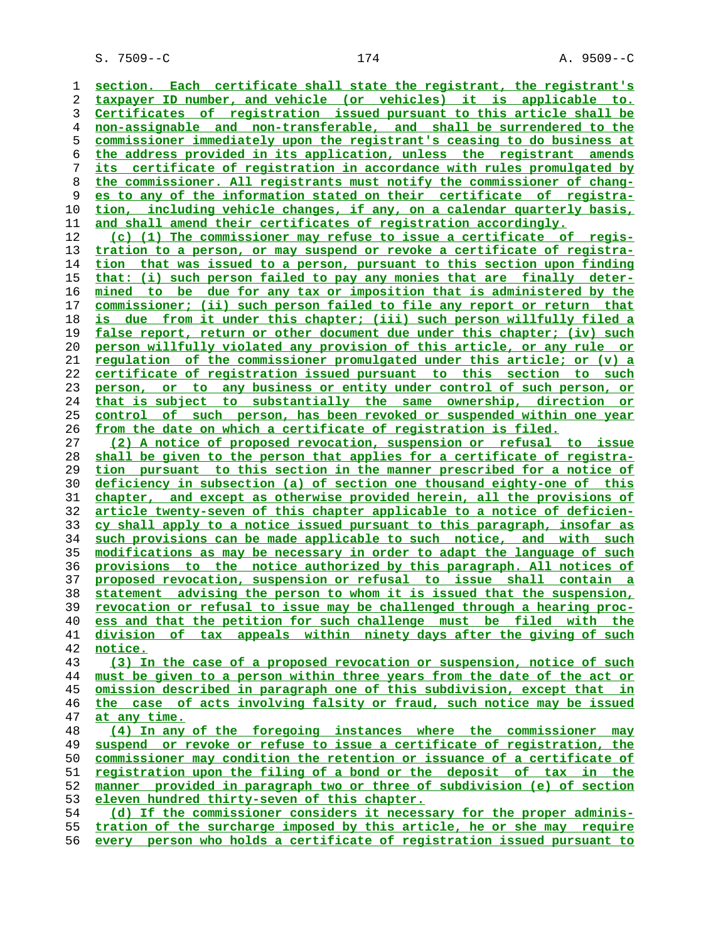S. 7509--C 174 A. 9509--C

**section. Each certificate shall state the registrant, the registrant's taxpayer ID number, and vehicle (or vehicles) it is applicable to. Certificates of registration issued pursuant to this article shall be non-assignable and non-transferable, and shall be surrendered to the commissioner immediately upon the registrant's ceasing to do business at the address provided in its application, unless the registrant amends its certificate of registration in accordance with rules promulgated by the commissioner. All registrants must notify the commissioner of chang- es to any of the information stated on their certificate of registra- tion, including vehicle changes, if any, on a calendar quarterly basis, and shall amend their certificates of registration accordingly. (c) (1) The commissioner may refuse to issue a certificate of regis- tration to a person, or may suspend or revoke a certificate of registra- tion that was issued to a person, pursuant to this section upon finding that: (i) such person failed to pay any monies that are finally deter- mined to be due for any tax or imposition that is administered by the commissioner; (ii) such person failed to file any report or return that is due from it under this chapter; (iii) such person willfully filed a false report, return or other document due under this chapter; (iv) such person willfully violated any provision of this article, or any rule or regulation of the commissioner promulgated under this article; or (v) a certificate of registration issued pursuant to this section to such person, or to any business or entity under control of such person, or that is subject to substantially the same ownership, direction or control of such person, has been revoked or suspended within one year from the date on which a certificate of registration is filed. (2) A notice of proposed revocation, suspension or refusal to issue shall be given to the person that applies for a certificate of registra- tion pursuant to this section in the manner prescribed for a notice of deficiency in subsection (a) of section one thousand eighty-one of this chapter, and except as otherwise provided herein, all the provisions of article twenty-seven of this chapter applicable to a notice of deficien- cy shall apply to a notice issued pursuant to this paragraph, insofar as such provisions can be made applicable to such notice, and with such modifications as may be necessary in order to adapt the language of such provisions to the notice authorized by this paragraph. All notices of proposed revocation, suspension or refusal to issue shall contain a statement advising the person to whom it is issued that the suspension, revocation or refusal to issue may be challenged through a hearing proc- ess and that the petition for such challenge must be filed with the division of tax appeals within ninety days after the giving of such notice. (3) In the case of a proposed revocation or suspension, notice of such must be given to a person within three years from the date of the act or omission described in paragraph one of this subdivision, except that in the case of acts involving falsity or fraud, such notice may be issued at any time. (4) In any of the foregoing instances where the commissioner may suspend or revoke or refuse to issue a certificate of registration, the commissioner may condition the retention or issuance of a certificate of registration upon the filing of a bond or the deposit of tax in the manner provided in paragraph two or three of subdivision (e) of section eleven hundred thirty-seven of this chapter. (d) If the commissioner considers it necessary for the proper adminis- tration of the surcharge imposed by this article, he or she may require**

**every person who holds a certificate of registration issued pursuant to**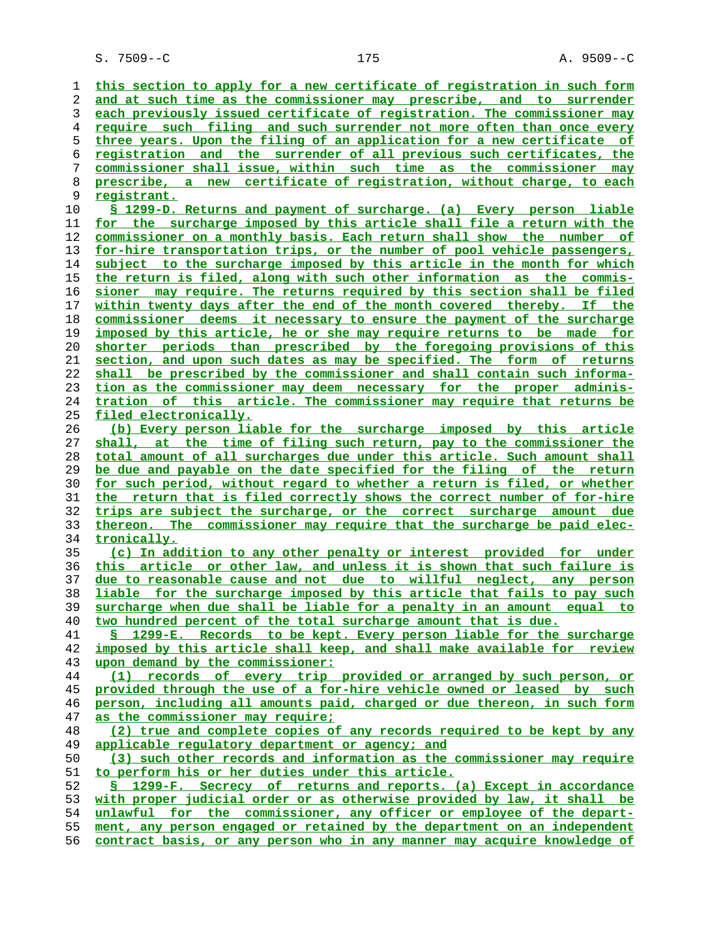S. 7509--C 175 A. 9509--C

**this section to apply for a new certificate of registration in such form and at such time as the commissioner may prescribe, and to surrender each previously issued certificate of registration. The commissioner may require such filing and such surrender not more often than once every three years. Upon the filing of an application for a new certificate of registration and the surrender of all previous such certificates, the commissioner shall issue, within such time as the commissioner may prescribe, a new certificate of registration, without charge, to each registrant. § 1299-D. Returns and payment of surcharge. (a) Every person liable for the surcharge imposed by this article shall file a return with the commissioner on a monthly basis. Each return shall show the number of for-hire transportation trips, or the number of pool vehicle passengers, subject to the surcharge imposed by this article in the month for which the return is filed, along with such other information as the commis- sioner may require. The returns required by this section shall be filed within twenty days after the end of the month covered thereby. If the commissioner deems it necessary to ensure the payment of the surcharge imposed by this article, he or she may require returns to be made for shorter periods than prescribed by the foregoing provisions of this section, and upon such dates as may be specified. The form of returns shall be prescribed by the commissioner and shall contain such informa- tion as the commissioner may deem necessary for the proper adminis- tration of this article. The commissioner may require that returns be filed electronically. (b) Every person liable for the surcharge imposed by this article shall, at the time of filing such return, pay to the commissioner the total amount of all surcharges due under this article. Such amount shall be due and payable on the date specified for the filing of the return for such period, without regard to whether a return is filed, or whether the return that is filed correctly shows the correct number of for-hire trips are subject the surcharge, or the correct surcharge amount due thereon. The commissioner may require that the surcharge be paid elec- tronically. (c) In addition to any other penalty or interest provided for under this article or other law, and unless it is shown that such failure is due to reasonable cause and not due to willful neglect, any person liable for the surcharge imposed by this article that fails to pay such surcharge when due shall be liable for a penalty in an amount equal to two hundred percent of the total surcharge amount that is due. § 1299-E. Records to be kept. Every person liable for the surcharge imposed by this article shall keep, and shall make available for review upon demand by the commissioner: (1) records of every trip provided or arranged by such person, or provided through the use of a for-hire vehicle owned or leased by such person, including all amounts paid, charged or due thereon, in such form as the commissioner may require; (2) true and complete copies of any records required to be kept by any applicable regulatory department or agency; and (3) such other records and information as the commissioner may require to perform his or her duties under this article. § 1299-F. Secrecy of returns and reports. (a) Except in accordance with proper judicial order or as otherwise provided by law, it shall be unlawful for the commissioner, any officer or employee of the depart- ment, any person engaged or retained by the department on an independent contract basis, or any person who in any manner may acquire knowledge of**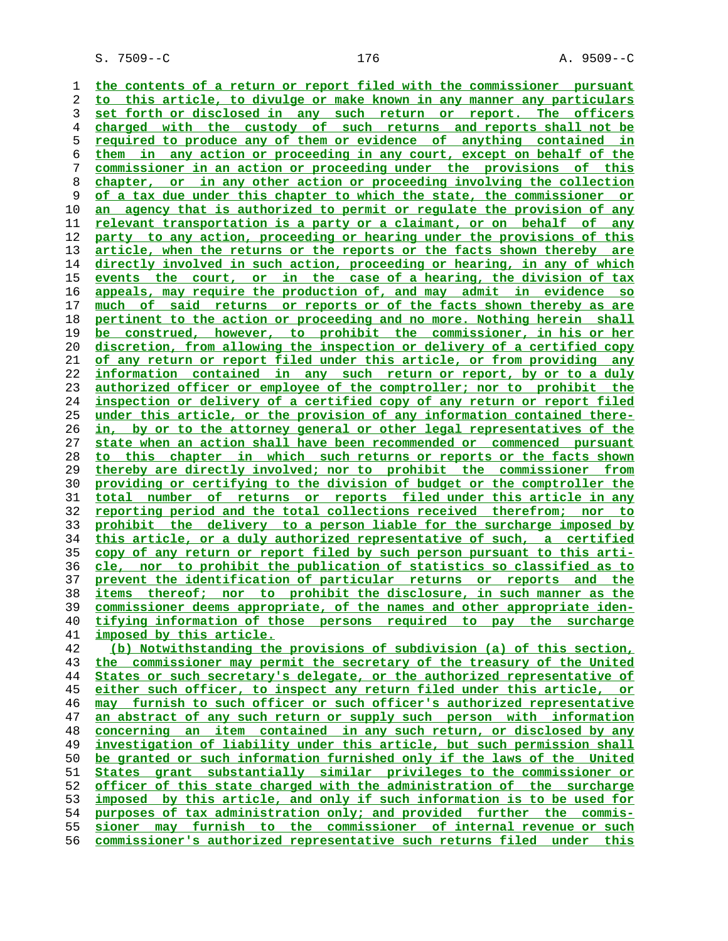**the contents of a return or report filed with the commissioner pursuant to this article, to divulge or make known in any manner any particulars set forth or disclosed in any such return or report. The officers charged with the custody of such returns and reports shall not be required to produce any of them or evidence of anything contained in them in any action or proceeding in any court, except on behalf of the commissioner in an action or proceeding under the provisions of this chapter, or in any other action or proceeding involving the collection of a tax due under this chapter to which the state, the commissioner or an agency that is authorized to permit or regulate the provision of any relevant transportation is a party or a claimant, or on behalf of any party to any action, proceeding or hearing under the provisions of this article, when the returns or the reports or the facts shown thereby are directly involved in such action, proceeding or hearing, in any of which events the court, or in the case of a hearing, the division of tax appeals, may require the production of, and may admit in evidence so much of said returns or reports or of the facts shown thereby as are pertinent to the action or proceeding and no more. Nothing herein shall be construed, however, to prohibit the commissioner, in his or her discretion, from allowing the inspection or delivery of a certified copy of any return or report filed under this article, or from providing any information contained in any such return or report, by or to a duly authorized officer or employee of the comptroller; nor to prohibit the inspection or delivery of a certified copy of any return or report filed under this article, or the provision of any information contained there- in, by or to the attorney general or other legal representatives of the state when an action shall have been recommended or commenced pursuant to this chapter in which such returns or reports or the facts shown thereby are directly involved; nor to prohibit the commissioner from providing or certifying to the division of budget or the comptroller the total number of returns or reports filed under this article in any reporting period and the total collections received therefrom; nor to prohibit the delivery to a person liable for the surcharge imposed by this article, or a duly authorized representative of such, a certified copy of any return or report filed by such person pursuant to this arti- cle, nor to prohibit the publication of statistics so classified as to prevent the identification of particular returns or reports and the items thereof; nor to prohibit the disclosure, in such manner as the commissioner deems appropriate, of the names and other appropriate iden- tifying information of those persons required to pay the surcharge imposed by this article. (b) Notwithstanding the provisions of subdivision (a) of this section, the commissioner may permit the secretary of the treasury of the United States or such secretary's delegate, or the authorized representative of either such officer, to inspect any return filed under this article, or may furnish to such officer or such officer's authorized representative an abstract of any such return or supply such person with information concerning an item contained in any such return, or disclosed by any investigation of liability under this article, but such permission shall be granted or such information furnished only if the laws of the United States grant substantially similar privileges to the commissioner or officer of this state charged with the administration of the surcharge imposed by this article, and only if such information is to be used for purposes of tax administration only; and provided further the commis-**

**sioner may furnish to the commissioner of internal revenue or such commissioner's authorized representative such returns filed under this**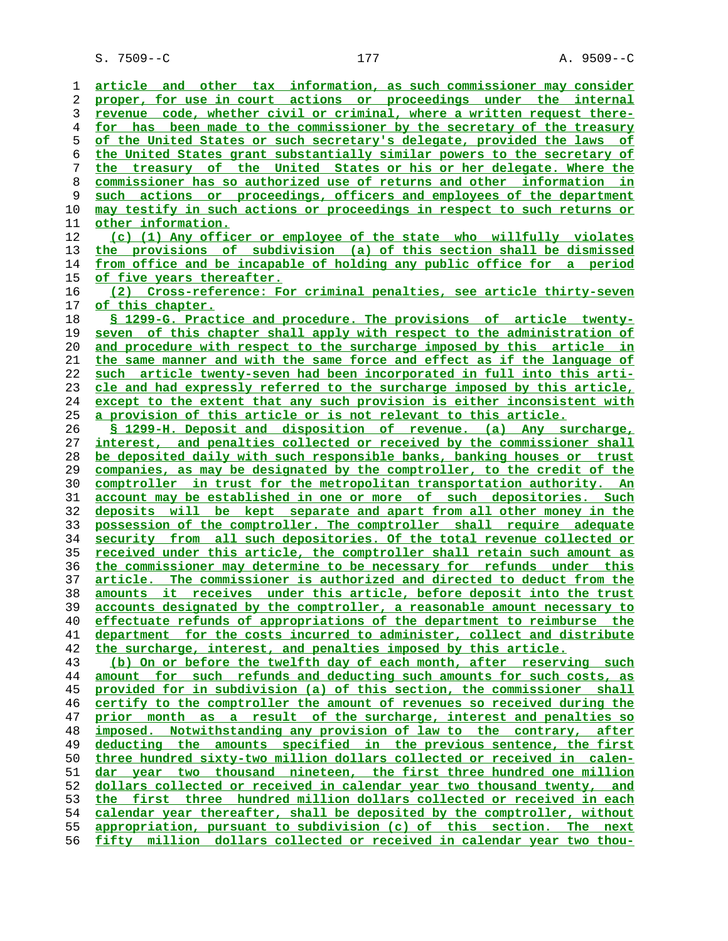**article and other tax information, as such commissioner may consider proper, for use in court actions or proceedings under the internal revenue code, whether civil or criminal, where a written request there- for has been made to the commissioner by the secretary of the treasury of the United States or such secretary's delegate, provided the laws of the United States grant substantially similar powers to the secretary of the treasury of the United States or his or her delegate. Where the commissioner has so authorized use of returns and other information in such actions or proceedings, officers and employees of the department may testify in such actions or proceedings in respect to such returns or other information. (c) (1) Any officer or employee of the state who willfully violates the provisions of subdivision (a) of this section shall be dismissed from office and be incapable of holding any public office for a period of five years thereafter. (2) Cross-reference: For criminal penalties, see article thirty-seven of this chapter. § 1299-G. Practice and procedure. The provisions of article twenty- seven of this chapter shall apply with respect to the administration of and procedure with respect to the surcharge imposed by this article in the same manner and with the same force and effect as if the language of such article twenty-seven had been incorporated in full into this arti- cle and had expressly referred to the surcharge imposed by this article, except to the extent that any such provision is either inconsistent with a provision of this article or is not relevant to this article. § 1299-H. Deposit and disposition of revenue. (a) Any surcharge, interest, and penalties collected or received by the commissioner shall be deposited daily with such responsible banks, banking houses or trust companies, as may be designated by the comptroller, to the credit of the comptroller in trust for the metropolitan transportation authority. An account may be established in one or more of such depositories. Such deposits will be kept separate and apart from all other money in the possession of the comptroller. The comptroller shall require adequate security from all such depositories. Of the total revenue collected or received under this article, the comptroller shall retain such amount as the commissioner may determine to be necessary for refunds under this article. The commissioner is authorized and directed to deduct from the amounts it receives under this article, before deposit into the trust accounts designated by the comptroller, a reasonable amount necessary to effectuate refunds of appropriations of the department to reimburse the department for the costs incurred to administer, collect and distribute the surcharge, interest, and penalties imposed by this article. (b) On or before the twelfth day of each month, after reserving such amount for such refunds and deducting such amounts for such costs, as provided for in subdivision (a) of this section, the commissioner shall certify to the comptroller the amount of revenues so received during the prior month as a result of the surcharge, interest and penalties so imposed. Notwithstanding any provision of law to the contrary, after deducting the amounts specified in the previous sentence, the first three hundred sixty-two million dollars collected or received in calen- dar year two thousand nineteen, the first three hundred one million dollars collected or received in calendar year two thousand twenty, and the first three hundred million dollars collected or received in each calendar year thereafter, shall be deposited by the comptroller, without appropriation, pursuant to subdivision (c) of this section. The next fifty million dollars collected or received in calendar year two thou-**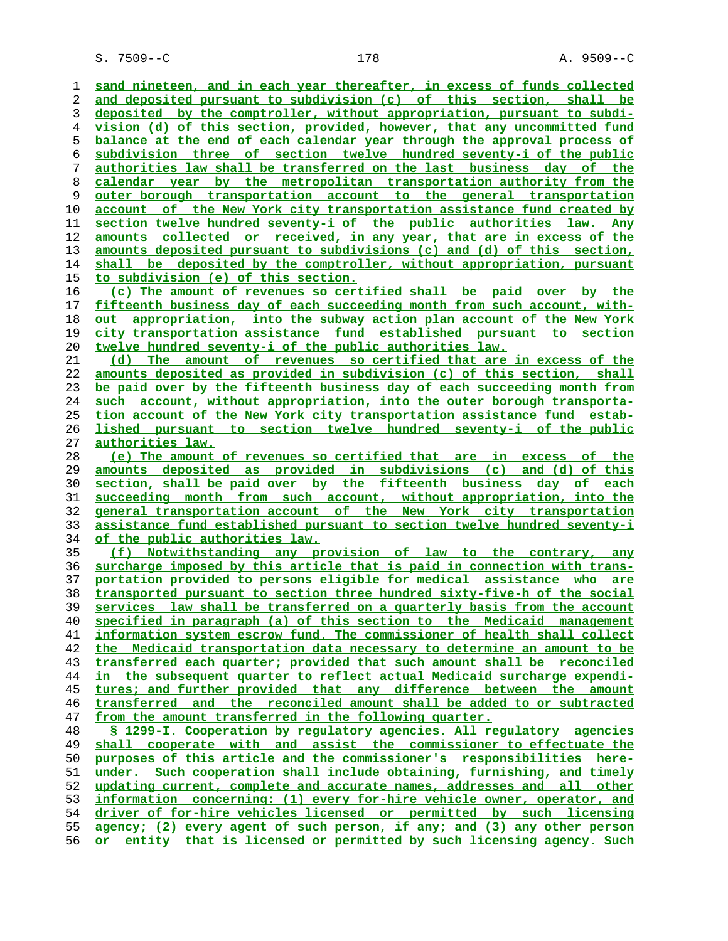S. 7509--C 178 A. 9509--C

**sand nineteen, and in each year thereafter, in excess of funds collected and deposited pursuant to subdivision (c) of this section, shall be deposited by the comptroller, without appropriation, pursuant to subdi- vision (d) of this section, provided, however, that any uncommitted fund balance at the end of each calendar year through the approval process of subdivision three of section twelve hundred seventy-i of the public authorities law shall be transferred on the last business day of the calendar year by the metropolitan transportation authority from the outer borough transportation account to the general transportation account of the New York city transportation assistance fund created by section twelve hundred seventy-i of the public authorities law. Any amounts collected or received, in any year, that are in excess of the amounts deposited pursuant to subdivisions (c) and (d) of this section, shall be deposited by the comptroller, without appropriation, pursuant to subdivision (e) of this section. (c) The amount of revenues so certified shall be paid over by the fifteenth business day of each succeeding month from such account, with- out appropriation, into the subway action plan account of the New York city transportation assistance fund established pursuant to section twelve hundred seventy-i of the public authorities law. (d) The amount of revenues so certified that are in excess of the amounts deposited as provided in subdivision (c) of this section, shall be paid over by the fifteenth business day of each succeeding month from such account, without appropriation, into the outer borough transporta- tion account of the New York city transportation assistance fund estab- lished pursuant to section twelve hundred seventy-i of the public authorities law. (e) The amount of revenues so certified that are in excess of the amounts deposited as provided in subdivisions (c) and (d) of this section, shall be paid over by the fifteenth business day of each succeeding month from such account, without appropriation, into the general transportation account of the New York city transportation assistance fund established pursuant to section twelve hundred seventy-i of the public authorities law. (f) Notwithstanding any provision of law to the contrary, any surcharge imposed by this article that is paid in connection with trans- portation provided to persons eligible for medical assistance who are transported pursuant to section three hundred sixty-five-h of the social services law shall be transferred on a quarterly basis from the account specified in paragraph (a) of this section to the Medicaid management information system escrow fund. The commissioner of health shall collect the Medicaid transportation data necessary to determine an amount to be transferred each quarter; provided that such amount shall be reconciled in the subsequent quarter to reflect actual Medicaid surcharge expendi- tures; and further provided that any difference between the amount transferred and the reconciled amount shall be added to or subtracted from the amount transferred in the following quarter. § 1299-I. Cooperation by regulatory agencies. All regulatory agencies** shall cooperate with and assist the commissioner to effectuate the **purposes of this article and the commissioner's responsibilities here- under. Such cooperation shall include obtaining, furnishing, and timely updating current, complete and accurate names, addresses and all other information concerning: (1) every for-hire vehicle owner, operator, and driver of for-hire vehicles licensed or permitted by such licensing agency; (2) every agent of such person, if any; and (3) any other person or entity that is licensed or permitted by such licensing agency. Such**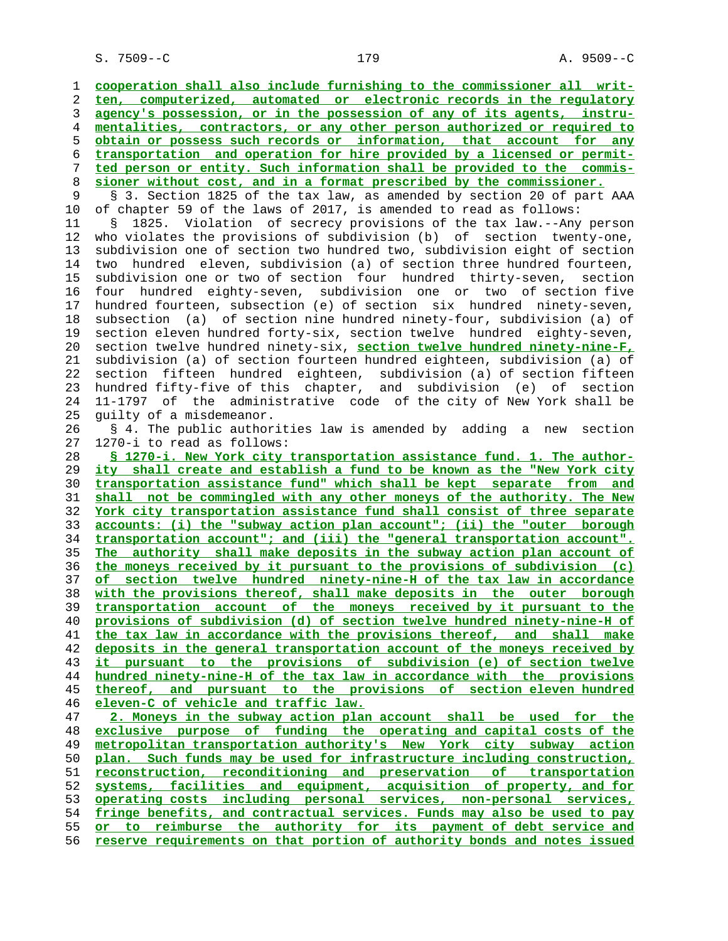**cooperation shall also include furnishing to the commissioner all writ- ten, computerized, automated or electronic records in the regulatory agency's possession, or in the possession of any of its agents, instru- mentalities, contractors, or any other person authorized or required to obtain or possess such records or information, that account for any transportation and operation for hire provided by a licensed or permit- ted person or entity. Such information shall be provided to the commis- sioner without cost, and in a format prescribed by the commissioner.** § 3. Section 1825 of the tax law, as amended by section 20 of part AAA 10 of chapter 59 of the laws of 2017, is amended to read as follows: 11 § 1825. Violation of secrecy provisions of the tax law.--Any person 12 who violates the provisions of subdivision (b) of section twenty-one, 13 subdivision one of section two hundred two, subdivision eight of section 14 two hundred eleven, subdivision (a) of section three hundred fourteen, 15 subdivision one or two of section four hundred thirty-seven, section 16 four hundred eighty-seven, subdivision one or two of section five 17 hundred fourteen, subsection (e) of section six hundred ninety-seven, 18 subsection (a) of section nine hundred ninety-four, subdivision (a) of 19 section eleven hundred forty-six, section twelve hundred eighty-seven, 20 section twelve hundred ninety-six, **section twelve hundred ninety-nine-F,** 21 subdivision (a) of section fourteen hundred eighteen, subdivision (a) of 22 section fifteen hundred eighteen, subdivision (a) of section fifteen 23 hundred fifty-five of this chapter, and subdivision (e) of section 24 11-1797 of the administrative code of the city of New York shall be 25 guilty of a misdemeanor. 26 § 4. The public authorities law is amended by adding a new section 27 1270-i to read as follows: **§ 1270-i. New York city transportation assistance fund. 1. The author- ity shall create and establish a fund to be known as the "New York city transportation assistance fund" which shall be kept separate from and shall not be commingled with any other moneys of the authority. The New York city transportation assistance fund shall consist of three separate accounts: (i) the "subway action plan account"; (ii) the "outer borough transportation account"; and (iii) the "general transportation account". The authority shall make deposits in the subway action plan account of the moneys received by it pursuant to the provisions of subdivision (c) of section twelve hundred ninety-nine-H of the tax law in accordance with the provisions thereof, shall make deposits in the outer borough transportation account of the moneys received by it pursuant to the provisions of subdivision (d) of section twelve hundred ninety-nine-H of the tax law in accordance with the provisions thereof, and shall make deposits in the general transportation account of the moneys received by it pursuant to the provisions of subdivision (e) of section twelve hundred ninety-nine-H of the tax law in accordance with the provisions thereof, and pursuant to the provisions of section eleven hundred eleven-C of vehicle and traffic law. 2. Moneys in the subway action plan account shall be used for the exclusive purpose of funding the operating and capital costs of the metropolitan transportation authority's New York city subway action plan. Such funds may be used for infrastructure including construction, reconstruction, reconditioning and preservation of transportation systems, facilities and equipment, acquisition of property, and for operating costs including personal services, non-personal services, fringe benefits, and contractual services. Funds may also be used to pay or to reimburse the authority for its payment of debt service and reserve requirements on that portion of authority bonds and notes issued**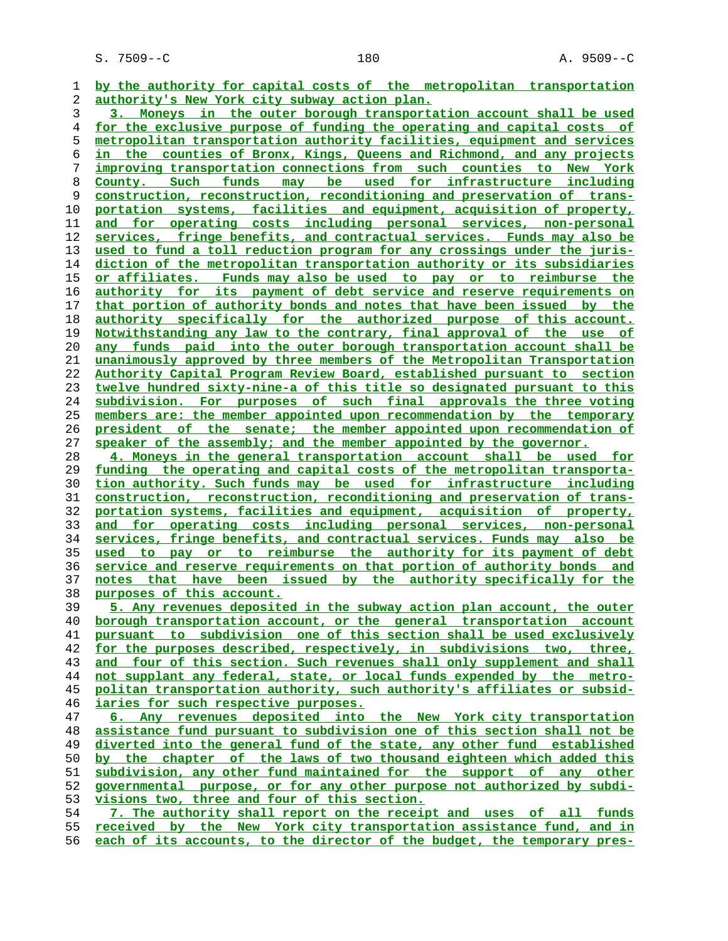S. 7509--C 180 A. 9509--C

**by the authority for capital costs of the metropolitan transportation authority's New York city subway action plan.**

**3. Moneys in the outer borough transportation account shall be used for the exclusive purpose of funding the operating and capital costs of metropolitan transportation authority facilities, equipment and services in the counties of Bronx, Kings, Queens and Richmond, and any projects improving transportation connections from such counties to New York County. Such funds may be used for infrastructure including construction, reconstruction, reconditioning and preservation of trans- portation systems, facilities and equipment, acquisition of property, and for operating costs including personal services, non-personal services, fringe benefits, and contractual services. Funds may also be used to fund a toll reduction program for any crossings under the juris- diction of the metropolitan transportation authority or its subsidiaries or affiliates. Funds may also be used to pay or to reimburse the authority for its payment of debt service and reserve requirements on that portion of authority bonds and notes that have been issued by the authority specifically for the authorized purpose of this account. Notwithstanding any law to the contrary, final approval of the use of any funds paid into the outer borough transportation account shall be unanimously approved by three members of the Metropolitan Transportation Authority Capital Program Review Board, established pursuant to section twelve hundred sixty-nine-a of this title so designated pursuant to this subdivision. For purposes of such final approvals the three voting members are: the member appointed upon recommendation by the temporary president of the senate; the member appointed upon recommendation of speaker of the assembly; and the member appointed by the governor.**

**4. Moneys in the general transportation account shall be used for funding the operating and capital costs of the metropolitan transporta- tion authority. Such funds may be used for infrastructure including construction, reconstruction, reconditioning and preservation of trans- portation systems, facilities and equipment, acquisition of property, and for operating costs including personal services, non-personal services, fringe benefits, and contractual services. Funds may also be used to pay or to reimburse the authority for its payment of debt service and reserve requirements on that portion of authority bonds and notes that have been issued by the authority specifically for the purposes of this account.**

**5. Any revenues deposited in the subway action plan account, the outer borough transportation account, or the general transportation account pursuant to subdivision one of this section shall be used exclusively for the purposes described, respectively, in subdivisions two, three, and four of this section. Such revenues shall only supplement and shall not supplant any federal, state, or local funds expended by the metro- politan transportation authority, such authority's affiliates or subsid- iaries for such respective purposes.**

**6. Any revenues deposited into the New York city transportation assistance fund pursuant to subdivision one of this section shall not be diverted into the general fund of the state, any other fund established by the chapter of the laws of two thousand eighteen which added this subdivision, any other fund maintained for the support of any other governmental purpose, or for any other purpose not authorized by subdi- visions two, three and four of this section.**

**7. The authority shall report on the receipt and uses of all funds received by the New York city transportation assistance fund, and in each of its accounts, to the director of the budget, the temporary pres-**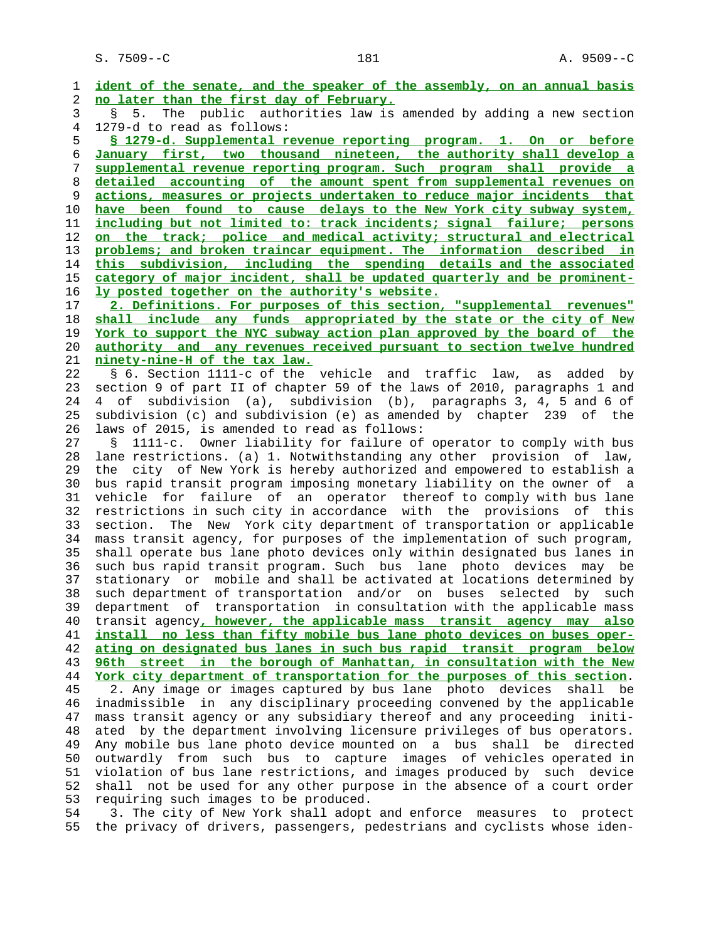S. 7509--C 181 A. 9509--C

 1 **ident of the senate, and the speaker of the assembly, on an annual basis** 2 **no later than the first day of February.** 3 § 5. The public authorities law is amended by adding a new section 4 1279-d to read as follows: 5 **§ 1279-d. Supplemental revenue reporting program. 1. On or before** 6 **January first, two thousand nineteen, the authority shall develop a** 7 **supplemental revenue reporting program. Such program shall provide a** 8 **detailed accounting of the amount spent from supplemental revenues on** 9 **actions, measures or projects undertaken to reduce major incidents that** 10 **have been found to cause delays to the New York city subway system,** 11 **including but not limited to: track incidents; signal failure; persons** 12 **on the track; police and medical activity; structural and electrical** 13 **problems; and broken traincar equipment. The information described in** 14 **this subdivision, including the spending details and the associated** 15 **category of major incident, shall be updated quarterly and be prominent-** 16 **ly posted together on the authority's website.** 17 **2. Definitions. For purposes of this section, "supplemental revenues"** 18 **shall include any funds appropriated by the state or the city of New** 19 **York to support the NYC subway action plan approved by the board of the** 20 **authority and any revenues received pursuant to section twelve hundred** 21 **ninety-nine-H of the tax law.** 22 § 6. Section 1111-c of the vehicle and traffic law, as added by 23 section 9 of part II of chapter 59 of the laws of 2010, paragraphs 1 and 24 4 of subdivision (a), subdivision (b), paragraphs 3, 4, 5 and 6 of 25 subdivision (c) and subdivision (e) as amended by chapter 239 of the 26 laws of 2015, is amended to read as follows: 27 § 1111-c. Owner liability for failure of operator to comply with bus 28 lane restrictions. (a) 1. Notwithstanding any other provision of law, 29 the city of New York is hereby authorized and empowered to establish a 30 bus rapid transit program imposing monetary liability on the owner of a 31 vehicle for failure of an operator thereof to comply with bus lane 32 restrictions in such city in accordance with the provisions of this 33 section. The New York city department of transportation or applicable 34 mass transit agency, for purposes of the implementation of such program, 35 shall operate bus lane photo devices only within designated bus lanes in 36 such bus rapid transit program. Such bus lane photo devices may be 37 stationary or mobile and shall be activated at locations determined by 38 such department of transportation and/or on buses selected by such 39 department of transportation in consultation with the applicable mass 40 transit agency**, however, the applicable mass transit agency may also** 41 **install no less than fifty mobile bus lane photo devices on buses oper-** 42 **ating on designated bus lanes in such bus rapid transit program below** 43 **96th street in the borough of Manhattan, in consultation with the New** 44 **York city department of transportation for the purposes of this section**. 45 2. Any image or images captured by bus lane photo devices shall be 46 inadmissible in any disciplinary proceeding convened by the applicable 47 mass transit agency or any subsidiary thereof and any proceeding initi- 48 ated by the department involving licensure privileges of bus operators. 49 Any mobile bus lane photo device mounted on a bus shall be directed 50 outwardly from such bus to capture images of vehicles operated in 51 violation of bus lane restrictions, and images produced by such device 52 shall not be used for any other purpose in the absence of a court order 53 requiring such images to be produced. 54 3. The city of New York shall adopt and enforce measures to protect

55 the privacy of drivers, passengers, pedestrians and cyclists whose iden-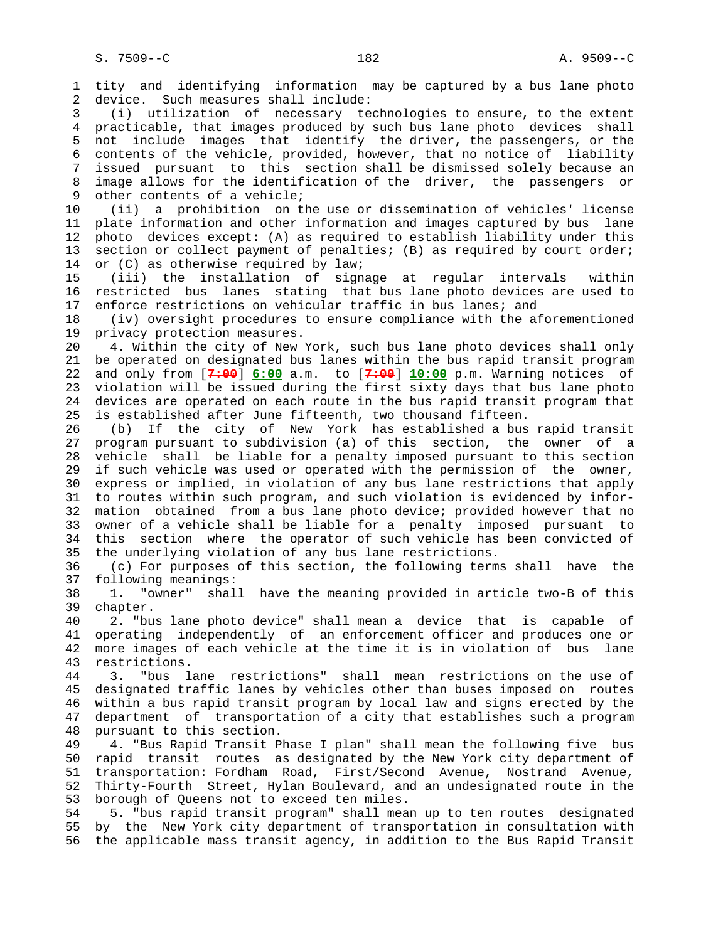1 tity and identifying information may be captured by a bus lane photo 2 device. Such measures shall include: 3 (i) utilization of necessary technologies to ensure, to the extent 4 practicable, that images produced by such bus lane photo devices shall 5 not include images that identify the driver, the passengers, or the 6 contents of the vehicle, provided, however, that no notice of liability 7 issued pursuant to this section shall be dismissed solely because an 8 image allows for the identification of the driver, the passengers or<br>9 other contents of a vehicle; other contents of a vehicle; 10 (ii) a prohibition on the use or dissemination of vehicles' license 11 plate information and other information and images captured by bus lane 12 photo devices except: (A) as required to establish liability under this 13 section or collect payment of penalties; (B) as required by court order; 14 or (C) as otherwise required by law; 15 (iii) the installation of signage at regular intervals within 16 restricted bus lanes stating that bus lane photo devices are used to 17 enforce restrictions on vehicular traffic in bus lanes; and 18 (iv) oversight procedures to ensure compliance with the aforementioned 19 privacy protection measures. 20 4. Within the city of New York, such bus lane photo devices shall only 21 be operated on designated bus lanes within the bus rapid transit program 22 and only from [**7:00**] **6:00** a.m. to [**7:00**] **10:00** p.m. Warning notices of 23 violation will be issued during the first sixty days that bus lane photo 24 devices are operated on each route in the bus rapid transit program that 25 is established after June fifteenth, two thousand fifteen. 26 (b) If the city of New York has established a bus rapid transit 27 program pursuant to subdivision (a) of this section, the owner of a 28 vehicle shall be liable for a penalty imposed pursuant to this section 29 if such vehicle was used or operated with the permission of the owner, 30 express or implied, in violation of any bus lane restrictions that apply 31 to routes within such program, and such violation is evidenced by infor- 32 mation obtained from a bus lane photo device; provided however that no 33 owner of a vehicle shall be liable for a penalty imposed pursuant to 34 this section where the operator of such vehicle has been convicted of 35 the underlying violation of any bus lane restrictions. 36 (c) For purposes of this section, the following terms shall have the 37 following meanings: 38 1. "owner" shall have the meaning provided in article two-B of this 39 chapter. 40 2. "bus lane photo device" shall mean a device that is capable of 41 operating independently of an enforcement officer and produces one or 42 more images of each vehicle at the time it is in violation of bus lane 43 restrictions. 44 3. "bus lane restrictions" shall mean restrictions on the use of 45 designated traffic lanes by vehicles other than buses imposed on routes 46 within a bus rapid transit program by local law and signs erected by the 47 department of transportation of a city that establishes such a program 48 pursuant to this section. 49 4. "Bus Rapid Transit Phase I plan" shall mean the following five bus 50 rapid transit routes as designated by the New York city department of 51 transportation: Fordham Road, First/Second Avenue, Nostrand Avenue, 52 Thirty-Fourth Street, Hylan Boulevard, and an undesignated route in the 53 borough of Queens not to exceed ten miles. 54 5. "bus rapid transit program" shall mean up to ten routes designated 55 by the New York city department of transportation in consultation with 56 the applicable mass transit agency, in addition to the Bus Rapid Transit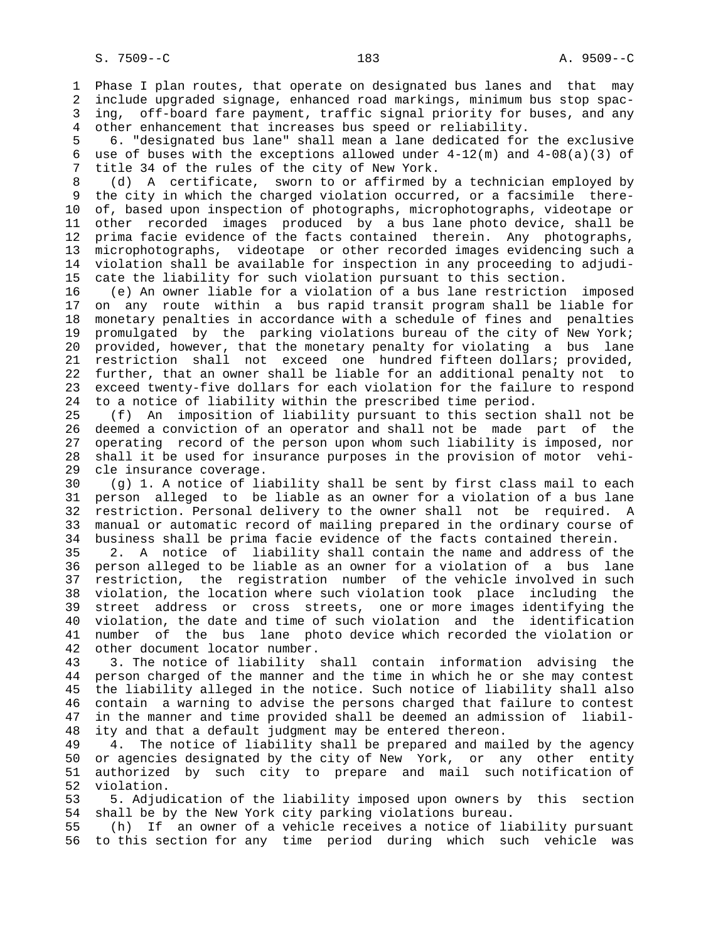1 Phase I plan routes, that operate on designated bus lanes and that may 2 include upgraded signage, enhanced road markings, minimum bus stop spac- 3 ing, off-board fare payment, traffic signal priority for buses, and any 4 other enhancement that increases bus speed or reliability.

 5 6. "designated bus lane" shall mean a lane dedicated for the exclusive 6 use of buses with the exceptions allowed under  $4-12(m)$  and  $4-08(a)(3)$  of 7 title 34 of the rules of the city of New York.

8 (d) A certificate, sworn to or affirmed by a technician employed by<br>9 the city in which the charged violation occurred, or a facsimile therethe city in which the charged violation occurred, or a facsimile there- 10 of, based upon inspection of photographs, microphotographs, videotape or 11 other recorded images produced by a bus lane photo device, shall be 12 prima facie evidence of the facts contained therein. Any photographs, 13 microphotographs, videotape or other recorded images evidencing such a 14 violation shall be available for inspection in any proceeding to adjudi- 15 cate the liability for such violation pursuant to this section.

 16 (e) An owner liable for a violation of a bus lane restriction imposed 17 on any route within a bus rapid transit program shall be liable for 18 monetary penalties in accordance with a schedule of fines and penalties 19 promulgated by the parking violations bureau of the city of New York; 20 provided, however, that the monetary penalty for violating a bus lane 21 restriction shall not exceed one hundred fifteen dollars; provided, 22 further, that an owner shall be liable for an additional penalty not to 23 exceed twenty-five dollars for each violation for the failure to respond 24 to a notice of liability within the prescribed time period.

 25 (f) An imposition of liability pursuant to this section shall not be 26 deemed a conviction of an operator and shall not be made part of the 27 operating record of the person upon whom such liability is imposed, nor 28 shall it be used for insurance purposes in the provision of motor vehi- 29 cle insurance coverage.

 30 (g) 1. A notice of liability shall be sent by first class mail to each 31 person alleged to be liable as an owner for a violation of a bus lane 32 restriction. Personal delivery to the owner shall not be required. A 33 manual or automatic record of mailing prepared in the ordinary course of 34 business shall be prima facie evidence of the facts contained therein.

 35 2. A notice of liability shall contain the name and address of the 36 person alleged to be liable as an owner for a violation of a bus lane 37 restriction, the registration number of the vehicle involved in such 38 violation, the location where such violation took place including the 39 street address or cross streets, one or more images identifying the 40 violation, the date and time of such violation and the identification 41 number of the bus lane photo device which recorded the violation or 42 other document locator number.

 43 3. The notice of liability shall contain information advising the 44 person charged of the manner and the time in which he or she may contest 45 the liability alleged in the notice. Such notice of liability shall also 46 contain a warning to advise the persons charged that failure to contest 47 in the manner and time provided shall be deemed an admission of liabil- 48 ity and that a default judgment may be entered thereon.

 49 4. The notice of liability shall be prepared and mailed by the agency 50 or agencies designated by the city of New York, or any other entity 51 authorized by such city to prepare and mail such notification of 52 violation.

 53 5. Adjudication of the liability imposed upon owners by this section 54 shall be by the New York city parking violations bureau.

 55 (h) If an owner of a vehicle receives a notice of liability pursuant 56 to this section for any time period during which such vehicle was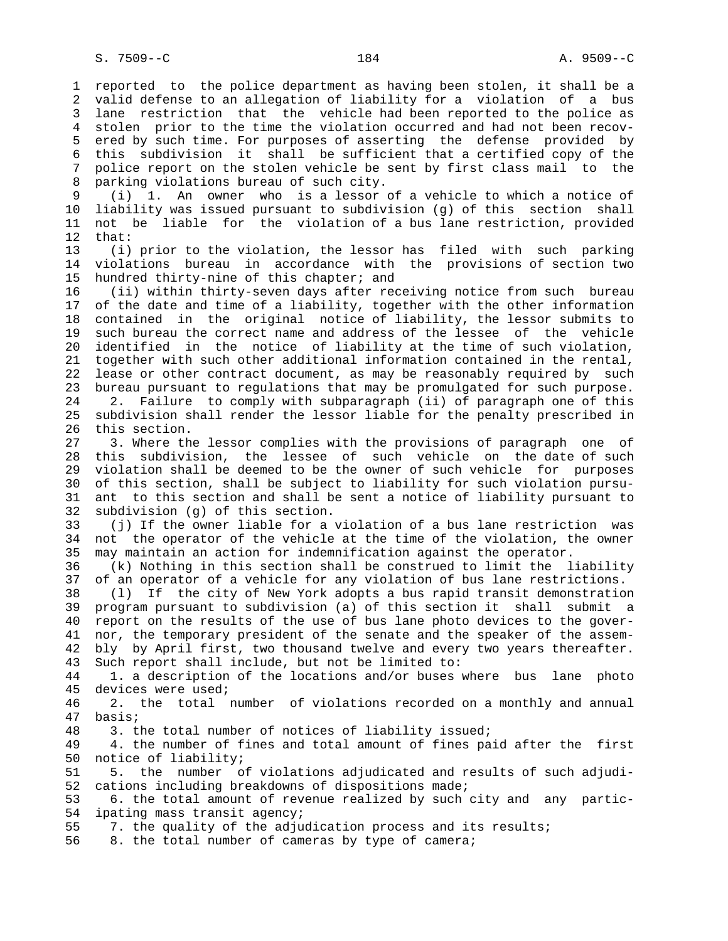1 reported to the police department as having been stolen, it shall be a 2 valid defense to an allegation of liability for a violation of a bus 3 lane restriction that the vehicle had been reported to the police as 4 stolen prior to the time the violation occurred and had not been recov- 5 ered by such time. For purposes of asserting the defense provided by 6 this subdivision it shall be sufficient that a certified copy of the 7 police report on the stolen vehicle be sent by first class mail to the 8 parking violations bureau of such city.<br>9 (i) 1. An owner who is a lessor 9 (i) 1. An owner who is a lessor of a vehicle to which a notice of 10 liability was issued pursuant to subdivision (g) of this section shall 11 not be liable for the violation of a bus lane restriction, provided 12 that: 13 (i) prior to the violation, the lessor has filed with such parking 14 violations bureau in accordance with the provisions of section two 15 hundred thirty-nine of this chapter; and 16 (ii) within thirty-seven days after receiving notice from such bureau 17 of the date and time of a liability, together with the other information 18 contained in the original notice of liability, the lessor submits to 19 such bureau the correct name and address of the lessee of the vehicle 20 identified in the notice of liability at the time of such violation, 21 together with such other additional information contained in the rental, 22 lease or other contract document, as may be reasonably required by such 23 bureau pursuant to regulations that may be promulgated for such purpose. 24 2. Failure to comply with subparagraph (ii) of paragraph one of this 25 subdivision shall render the lessor liable for the penalty prescribed in 26 this section. 27 3. Where the lessor complies with the provisions of paragraph one of 28 this subdivision, the lessee of such vehicle on the date of such 29 violation shall be deemed to be the owner of such vehicle for purposes 30 of this section, shall be subject to liability for such violation pursu- 31 ant to this section and shall be sent a notice of liability pursuant to 32 subdivision (g) of this section. 33 (j) If the owner liable for a violation of a bus lane restriction was 34 not the operator of the vehicle at the time of the violation, the owner 35 may maintain an action for indemnification against the operator. 36 (k) Nothing in this section shall be construed to limit the liability 37 of an operator of a vehicle for any violation of bus lane restrictions. 38 (l) If the city of New York adopts a bus rapid transit demonstration 39 program pursuant to subdivision (a) of this section it shall submit a 40 report on the results of the use of bus lane photo devices to the gover- 41 nor, the temporary president of the senate and the speaker of the assem- 42 bly by April first, two thousand twelve and every two years thereafter. 43 Such report shall include, but not be limited to: 44 1. a description of the locations and/or buses where bus lane photo 45 devices were used; 46 2. the total number of violations recorded on a monthly and annual 47 basis; 48 3. the total number of notices of liability issued; 49 4. the number of fines and total amount of fines paid after the first 50 notice of liability; 51 5. the number of violations adjudicated and results of such adjudi- 52 cations including breakdowns of dispositions made; 53 6. the total amount of revenue realized by such city and any partic- 54 ipating mass transit agency; 55 7. the quality of the adjudication process and its results; 56 8. the total number of cameras by type of camera;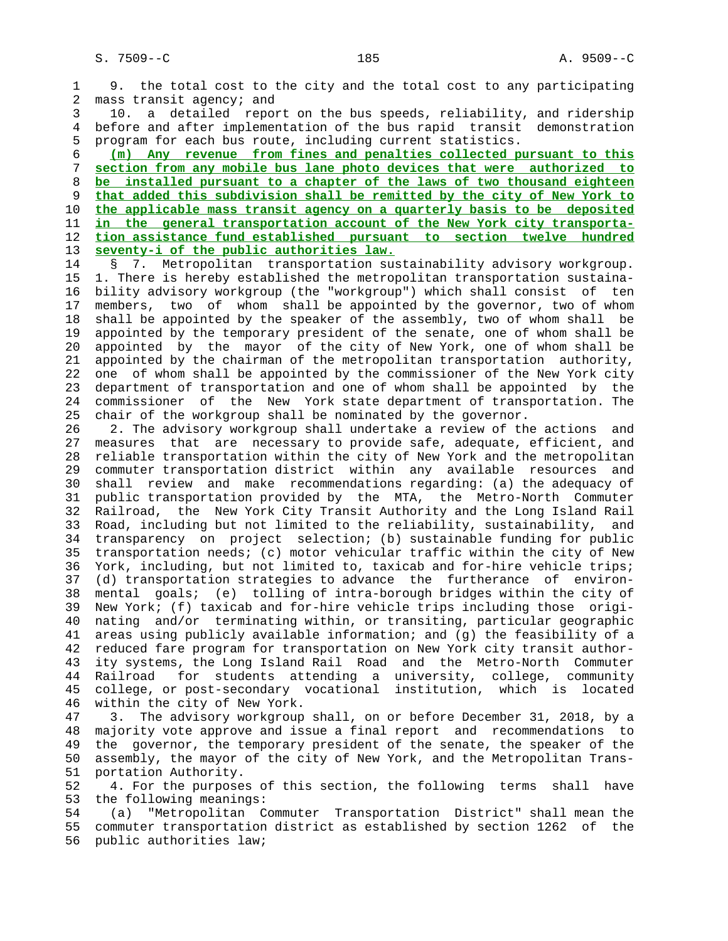1 9. the total cost to the city and the total cost to any participating 2 mass transit agency; and 3 10. a detailed report on the bus speeds, reliability, and ridership 4 before and after implementation of the bus rapid transit demonstration 5 program for each bus route, including current statistics. 6 **(m) Any revenue from fines and penalties collected pursuant to this** 7 **section from any mobile bus lane photo devices that were authorized to** 8 **be installed pursuant to a chapter of the laws of two thousand eighteen** 9 **that added this subdivision shall be remitted by the city of New York to** 10 **the applicable mass transit agency on a quarterly basis to be deposited** 11 **in the general transportation account of the New York city transporta-** 12 **tion assistance fund established pursuant to section twelve hundred** 13 **seventy-i of the public authorities law.** 14 § 7. Metropolitan transportation sustainability advisory workgroup. 15 1. There is hereby established the metropolitan transportation sustaina- 16 bility advisory workgroup (the "workgroup") which shall consist of ten 17 members, two of whom shall be appointed by the governor, two of whom 18 shall be appointed by the speaker of the assembly, two of whom shall be 19 appointed by the temporary president of the senate, one of whom shall be 20 appointed by the mayor of the city of New York, one of whom shall be 21 appointed by the chairman of the metropolitan transportation authority, 22 one of whom shall be appointed by the commissioner of the New York city 23 department of transportation and one of whom shall be appointed by the 24 commissioner of the New York state department of transportation. The 25 chair of the workgroup shall be nominated by the governor. 26 2. The advisory workgroup shall undertake a review of the actions and 27 measures that are necessary to provide safe, adequate, efficient, and 28 reliable transportation within the city of New York and the metropolitan 29 commuter transportation district within any available resources and 30 shall review and make recommendations regarding: (a) the adequacy of 31 public transportation provided by the MTA, the Metro-North Commuter 32 Railroad, the New York City Transit Authority and the Long Island Rail 33 Road, including but not limited to the reliability, sustainability, and 34 transparency on project selection; (b) sustainable funding for public 35 transportation needs; (c) motor vehicular traffic within the city of New 36 York, including, but not limited to, taxicab and for-hire vehicle trips; 37 (d) transportation strategies to advance the furtherance of environ- 38 mental goals; (e) tolling of intra-borough bridges within the city of 39 New York; (f) taxicab and for-hire vehicle trips including those origi- 40 nating and/or terminating within, or transiting, particular geographic 41 areas using publicly available information; and (g) the feasibility of a

 42 reduced fare program for transportation on New York city transit author- 43 ity systems, the Long Island Rail Road and the Metro-North Commuter 44 Railroad for students attending a university, college, community 45 college, or post-secondary vocational institution, which is located 46 within the city of New York.

 47 3. The advisory workgroup shall, on or before December 31, 2018, by a 48 majority vote approve and issue a final report and recommendations to 49 the governor, the temporary president of the senate, the speaker of the 50 assembly, the mayor of the city of New York, and the Metropolitan Trans- 51 portation Authority.

 52 4. For the purposes of this section, the following terms shall have 53 the following meanings:

 54 (a) "Metropolitan Commuter Transportation District" shall mean the 55 commuter transportation district as established by section 1262 of the 56 public authorities law;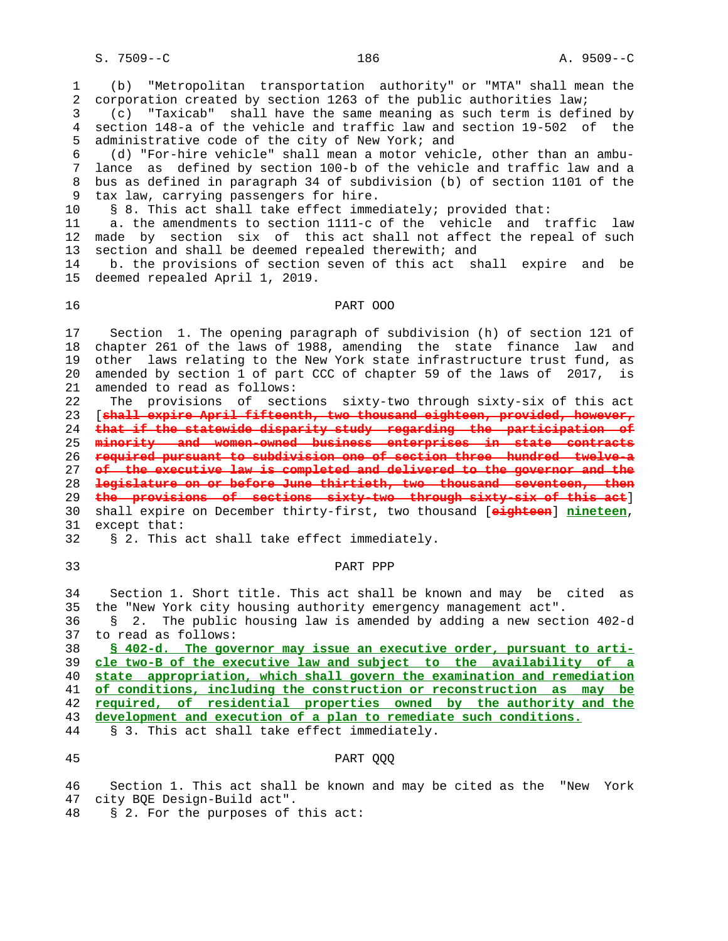1 (b) "Metropolitan transportation authority" or "MTA" shall mean the 2 corporation created by section 1263 of the public authorities law;

 3 (c) "Taxicab" shall have the same meaning as such term is defined by 4 section 148-a of the vehicle and traffic law and section 19-502 of the 5 administrative code of the city of New York; and

 6 (d) "For-hire vehicle" shall mean a motor vehicle, other than an ambu- 7 lance as defined by section 100-b of the vehicle and traffic law and a 8 bus as defined in paragraph 34 of subdivision (b) of section 1101 of the 9 tax law, carrying passengers for hire.

10 § 8. This act shall take effect immediately; provided that:

 11 a. the amendments to section 1111-c of the vehicle and traffic law 12 made by section six of this act shall not affect the repeal of such 13 section and shall be deemed repealed therewith; and

 14 b. the provisions of section seven of this act shall expire and be 15 deemed repealed April 1, 2019.

## 16 PART OOO

 17 Section 1. The opening paragraph of subdivision (h) of section 121 of 18 chapter 261 of the laws of 1988, amending the state finance law and 19 other laws relating to the New York state infrastructure trust fund, as 20 amended by section 1 of part CCC of chapter 59 of the laws of 2017, is 21 amended to read as follows:

 22 The provisions of sections sixty-two through sixty-six of this act 23 [**shall expire April fifteenth, two thousand eighteen, provided, however,** 24 **that if the statewide disparity study regarding the participation of** 25 **minority and women-owned business enterprises in state contracts** 26 **required pursuant to subdivision one of section three hundred twelve-a** 27 **of the executive law is completed and delivered to the governor and the** 28 **legislature on or before June thirtieth, two thousand seventeen, then** 29 **the provisions of sections sixty-two through sixty-six of this act**] 30 shall expire on December thirty-first, two thousand [**eighteen**] **nineteen**, 31 except that:

32 § 2. This act shall take effect immediately.

### 33 PART PPP

 34 Section 1. Short title. This act shall be known and may be cited as 35 the "New York city housing authority emergency management act".

 36 § 2. The public housing law is amended by adding a new section 402-d 37 to read as follows:

**§ 402-d. The governor may issue an executive order, pursuant to arti- cle two-B of the executive law and subject to the availability of a state appropriation, which shall govern the examination and remediation of conditions, including the construction or reconstruction as may be required, of residential properties owned by the authority and the development and execution of a plan to remediate such conditions.**

44 § 3. This act shall take effect immediately.

# 45 PART QQQ

 46 Section 1. This act shall be known and may be cited as the "New York 47 city BQE Design-Build act".

48 § 2. For the purposes of this act: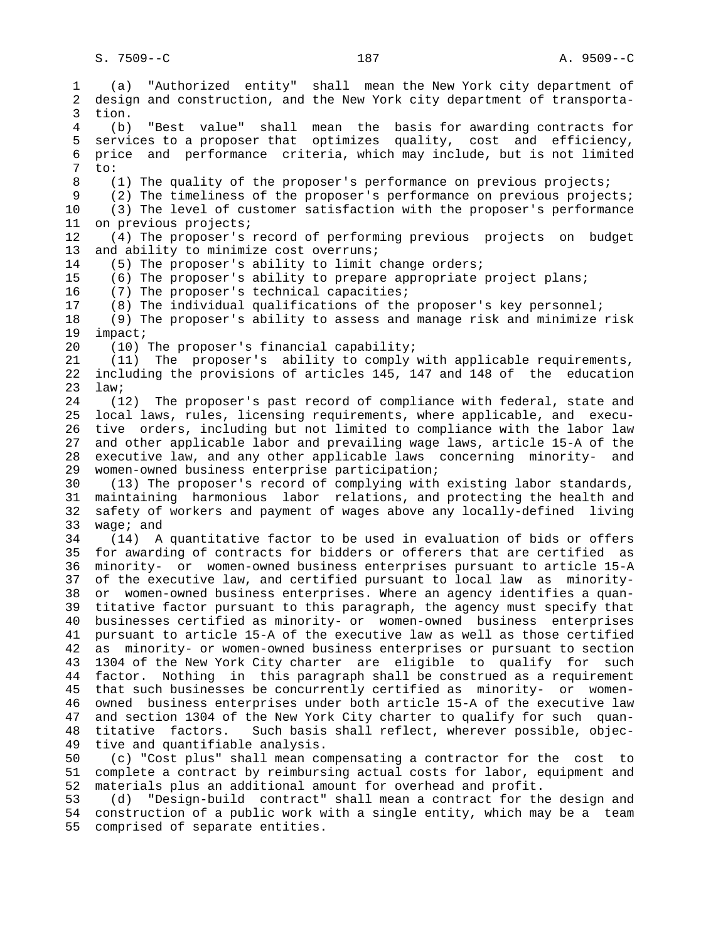1 (a) "Authorized entity" shall mean the New York city department of 2 design and construction, and the New York city department of transporta- 3 tion. 4 (b) "Best value" shall mean the basis for awarding contracts for 5 services to a proposer that optimizes quality, cost and efficiency, 6 price and performance criteria, which may include, but is not limited 7 to: 8 (1) The quality of the proposer's performance on previous projects;<br>9 (2) The timeliness of the proposer's performance on previous projec (2) The timeliness of the proposer's performance on previous projects; 10 (3) The level of customer satisfaction with the proposer's performance 11 on previous projects; 12 (4) The proposer's record of performing previous projects on budget 13 and ability to minimize cost overruns; 14 (5) The proposer's ability to limit change orders; 15 (6) The proposer's ability to prepare appropriate project plans; 16 (7) The proposer's technical capacities; 17 (8) The individual qualifications of the proposer's key personnel; 18 (9) The proposer's ability to assess and manage risk and minimize risk 19 impact; 20 (10) The proposer's financial capability; 21 (11) The proposer's ability to comply with applicable requirements, 22 including the provisions of articles 145, 147 and 148 of the education 23 law; 24 (12) The proposer's past record of compliance with federal, state and 25 local laws, rules, licensing requirements, where applicable, and execu- 26 tive orders, including but not limited to compliance with the labor law 27 and other applicable labor and prevailing wage laws, article 15-A of the 28 executive law, and any other applicable laws concerning minority- and 29 women-owned business enterprise participation; 30 (13) The proposer's record of complying with existing labor standards, 31 maintaining harmonious labor relations, and protecting the health and 32 safety of workers and payment of wages above any locally-defined living 33 wage; and 34 (14) A quantitative factor to be used in evaluation of bids or offers 35 for awarding of contracts for bidders or offerers that are certified as 36 minority- or women-owned business enterprises pursuant to article 15-A 37 of the executive law, and certified pursuant to local law as minority- 38 or women-owned business enterprises. Where an agency identifies a quan- 39 titative factor pursuant to this paragraph, the agency must specify that 40 businesses certified as minority- or women-owned business enterprises 41 pursuant to article 15-A of the executive law as well as those certified 42 as minority- or women-owned business enterprises or pursuant to section 43 1304 of the New York City charter are eligible to qualify for such 44 factor. Nothing in this paragraph shall be construed as a requirement 45 that such businesses be concurrently certified as minority- or women- 46 owned business enterprises under both article 15-A of the executive law 47 and section 1304 of the New York City charter to qualify for such quan- 48 titative factors. Such basis shall reflect, wherever possible, objec- 49 tive and quantifiable analysis. 50 (c) "Cost plus" shall mean compensating a contractor for the cost to 51 complete a contract by reimbursing actual costs for labor, equipment and 52 materials plus an additional amount for overhead and profit.

 53 (d) "Design-build contract" shall mean a contract for the design and 54 construction of a public work with a single entity, which may be a team 55 comprised of separate entities.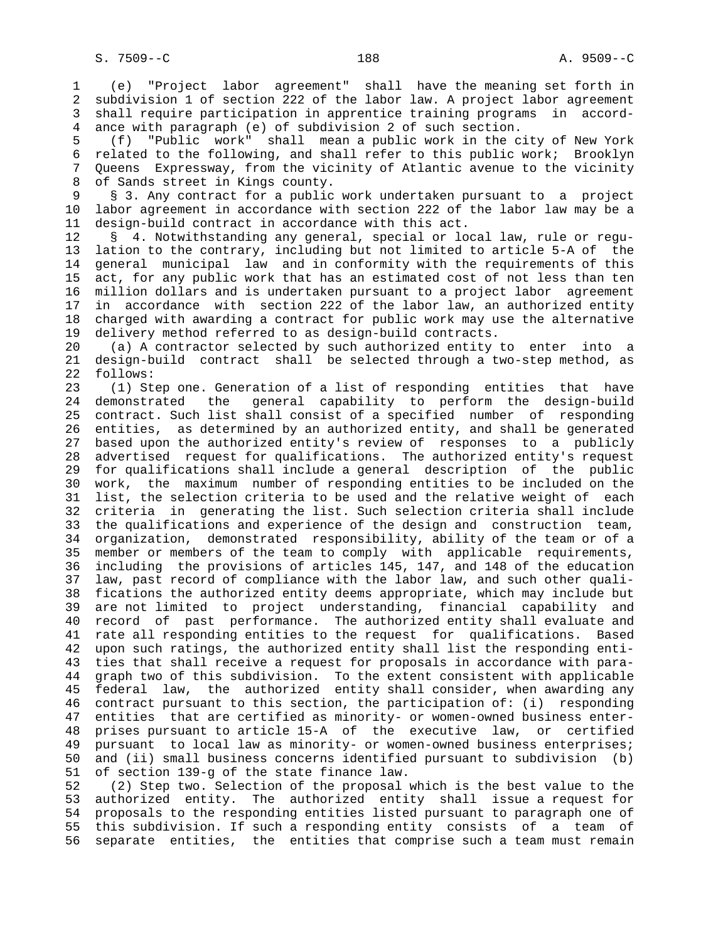1 (e) "Project labor agreement" shall have the meaning set forth in 2 subdivision 1 of section 222 of the labor law. A project labor agreement 3 shall require participation in apprentice training programs in accord- 4 ance with paragraph (e) of subdivision 2 of such section.

 5 (f) "Public work" shall mean a public work in the city of New York 6 related to the following, and shall refer to this public work; Brooklyn 7 Queens Expressway, from the vicinity of Atlantic avenue to the vicinity 8 of Sands street in Kings county.<br>9 § 3. Any contract for a public

§ 3. Any contract for a public work undertaken pursuant to a project 10 labor agreement in accordance with section 222 of the labor law may be a 11 design-build contract in accordance with this act.

 12 § 4. Notwithstanding any general, special or local law, rule or regu- 13 lation to the contrary, including but not limited to article 5-A of the 14 general municipal law and in conformity with the requirements of this 15 act, for any public work that has an estimated cost of not less than ten 16 million dollars and is undertaken pursuant to a project labor agreement 17 in accordance with section 222 of the labor law, an authorized entity 18 charged with awarding a contract for public work may use the alternative 19 delivery method referred to as design-build contracts.

 20 (a) A contractor selected by such authorized entity to enter into a 21 design-build contract shall be selected through a two-step method, as 22 follows:

 23 (1) Step one. Generation of a list of responding entities that have 24 demonstrated the general capability to perform the design-build 25 contract. Such list shall consist of a specified number of responding 26 entities, as determined by an authorized entity, and shall be generated 27 based upon the authorized entity's review of responses to a publicly 28 advertised request for qualifications. The authorized entity's request 29 for qualifications shall include a general description of the public 30 work, the maximum number of responding entities to be included on the 31 list, the selection criteria to be used and the relative weight of each 32 criteria in generating the list. Such selection criteria shall include 33 the qualifications and experience of the design and construction team, 34 organization, demonstrated responsibility, ability of the team or of a 35 member or members of the team to comply with applicable requirements, 36 including the provisions of articles 145, 147, and 148 of the education 37 law, past record of compliance with the labor law, and such other quali- 38 fications the authorized entity deems appropriate, which may include but 39 are not limited to project understanding, financial capability and 40 record of past performance. The authorized entity shall evaluate and 41 rate all responding entities to the request for qualifications. Based 42 upon such ratings, the authorized entity shall list the responding enti- 43 ties that shall receive a request for proposals in accordance with para- 44 graph two of this subdivision. To the extent consistent with applicable 45 federal law, the authorized entity shall consider, when awarding any 46 contract pursuant to this section, the participation of: (i) responding 47 entities that are certified as minority- or women-owned business enter- 48 prises pursuant to article 15-A of the executive law, or certified 49 pursuant to local law as minority- or women-owned business enterprises; 50 and (ii) small business concerns identified pursuant to subdivision (b) 51 of section 139-g of the state finance law.

 52 (2) Step two. Selection of the proposal which is the best value to the 53 authorized entity. The authorized entity shall issue a request for 54 proposals to the responding entities listed pursuant to paragraph one of 55 this subdivision. If such a responding entity consists of a team of 56 separate entities, the entities that comprise such a team must remain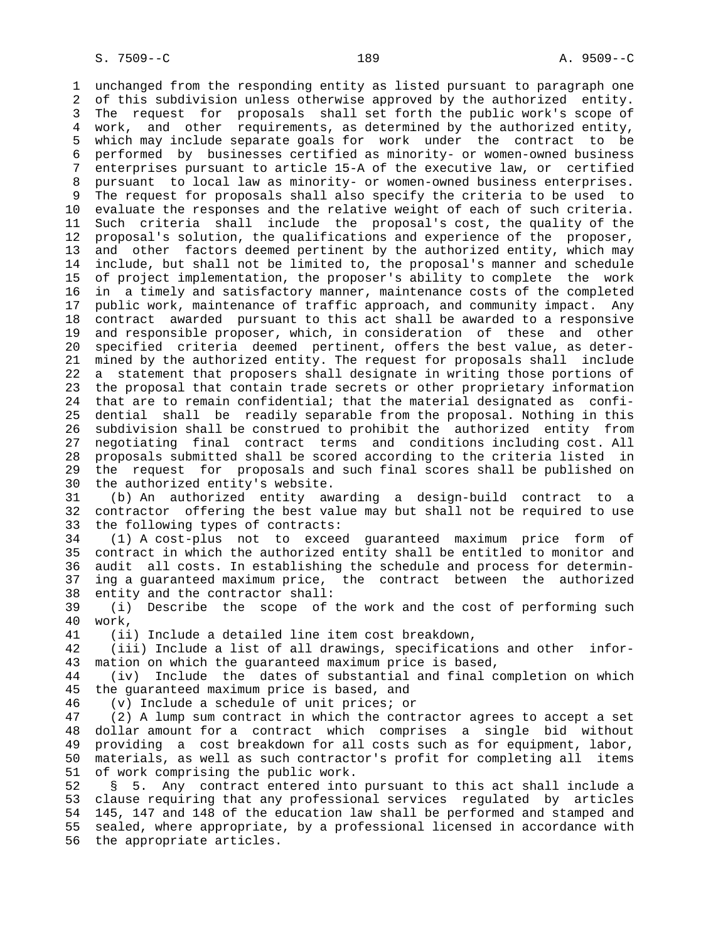1 unchanged from the responding entity as listed pursuant to paragraph one 2 of this subdivision unless otherwise approved by the authorized entity. 3 The request for proposals shall set forth the public work's scope of 4 work, and other requirements, as determined by the authorized entity, 5 which may include separate goals for work under the contract to be 6 performed by businesses certified as minority- or women-owned business 7 enterprises pursuant to article 15-A of the executive law, or certified 8 pursuant to local law as minority- or women-owned business enterprises.<br>9 The request for proposals shall also specify the criteria to be used to The request for proposals shall also specify the criteria to be used to 10 evaluate the responses and the relative weight of each of such criteria. 11 Such criteria shall include the proposal's cost, the quality of the 12 proposal's solution, the qualifications and experience of the proposer, 13 and other factors deemed pertinent by the authorized entity, which may 14 include, but shall not be limited to, the proposal's manner and schedule 15 of project implementation, the proposer's ability to complete the work 16 in a timely and satisfactory manner, maintenance costs of the completed 17 public work, maintenance of traffic approach, and community impact. Any 18 contract awarded pursuant to this act shall be awarded to a responsive 19 and responsible proposer, which, in consideration of these and other 20 specified criteria deemed pertinent, offers the best value, as deter- 21 mined by the authorized entity. The request for proposals shall include 22 a statement that proposers shall designate in writing those portions of 23 the proposal that contain trade secrets or other proprietary information 24 that are to remain confidential; that the material designated as confi- 25 dential shall be readily separable from the proposal. Nothing in this 26 subdivision shall be construed to prohibit the authorized entity from 27 negotiating final contract terms and conditions including cost. All 28 proposals submitted shall be scored according to the criteria listed in 29 the request for proposals and such final scores shall be published on 30 the authorized entity's website. 31 (b) An authorized entity awarding a design-build contract to a

 32 contractor offering the best value may but shall not be required to use 33 the following types of contracts:

 34 (1) A cost-plus not to exceed guaranteed maximum price form of 35 contract in which the authorized entity shall be entitled to monitor and 36 audit all costs. In establishing the schedule and process for determin- 37 ing a guaranteed maximum price, the contract between the authorized 38 entity and the contractor shall:

 39 (i) Describe the scope of the work and the cost of performing such 40 work,

41 (ii) Include a detailed line item cost breakdown,

 42 (iii) Include a list of all drawings, specifications and other infor- 43 mation on which the guaranteed maximum price is based,

 44 (iv) Include the dates of substantial and final completion on which 45 the guaranteed maximum price is based, and

46 (v) Include a schedule of unit prices; or

 47 (2) A lump sum contract in which the contractor agrees to accept a set 48 dollar amount for a contract which comprises a single bid without 49 providing a cost breakdown for all costs such as for equipment, labor, 50 materials, as well as such contractor's profit for completing all items 51 of work comprising the public work.

 52 § 5. Any contract entered into pursuant to this act shall include a 53 clause requiring that any professional services regulated by articles 54 145, 147 and 148 of the education law shall be performed and stamped and 55 sealed, where appropriate, by a professional licensed in accordance with 56 the appropriate articles.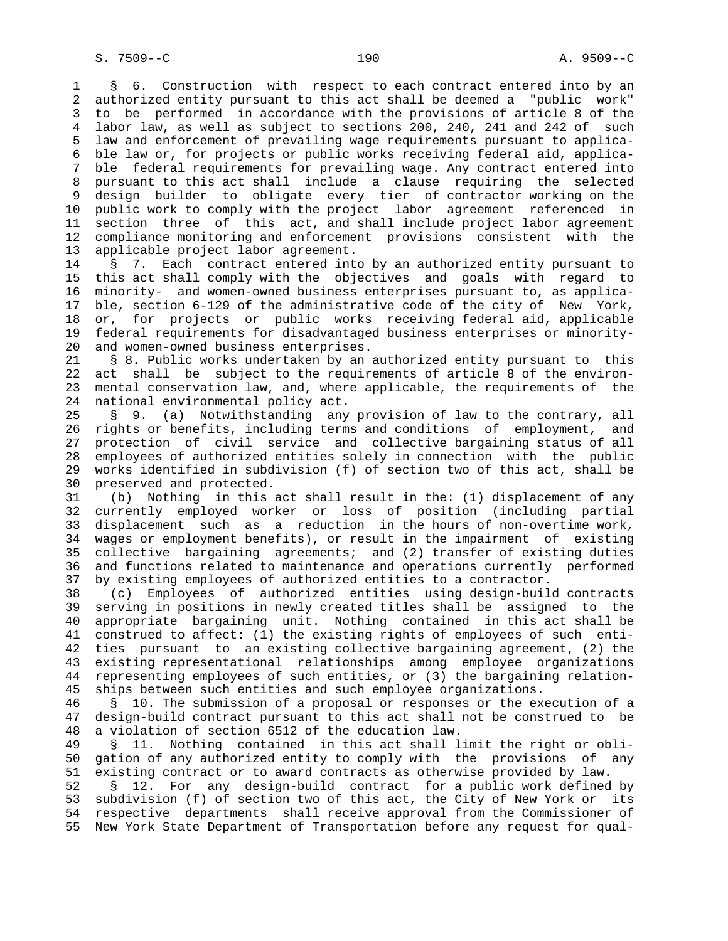1 § 6. Construction with respect to each contract entered into by an 2 authorized entity pursuant to this act shall be deemed a "public work" 3 to be performed in accordance with the provisions of article 8 of the 4 labor law, as well as subject to sections 200, 240, 241 and 242 of such 5 law and enforcement of prevailing wage requirements pursuant to applica- 6 ble law or, for projects or public works receiving federal aid, applica- 7 ble federal requirements for prevailing wage. Any contract entered into 8 pursuant to this act shall include a clause requiring the selected design builder to obligate every tier of contractor working on the 10 public work to comply with the project labor agreement referenced in 11 section three of this act, and shall include project labor agreement 12 compliance monitoring and enforcement provisions consistent with the 13 applicable project labor agreement.

 14 § 7. Each contract entered into by an authorized entity pursuant to 15 this act shall comply with the objectives and goals with regard to 16 minority- and women-owned business enterprises pursuant to, as applica- 17 ble, section 6-129 of the administrative code of the city of New York, 18 or, for projects or public works receiving federal aid, applicable 19 federal requirements for disadvantaged business enterprises or minority- 20 and women-owned business enterprises.

 21 § 8. Public works undertaken by an authorized entity pursuant to this 22 act shall be subject to the requirements of article 8 of the environ- 23 mental conservation law, and, where applicable, the requirements of the 24 national environmental policy act.

 25 § 9. (a) Notwithstanding any provision of law to the contrary, all 26 rights or benefits, including terms and conditions of employment, and 27 protection of civil service and collective bargaining status of all 28 employees of authorized entities solely in connection with the public 29 works identified in subdivision (f) of section two of this act, shall be 30 preserved and protected.

 31 (b) Nothing in this act shall result in the: (1) displacement of any 32 currently employed worker or loss of position (including partial 33 displacement such as a reduction in the hours of non-overtime work, 34 wages or employment benefits), or result in the impairment of existing 35 collective bargaining agreements; and (2) transfer of existing duties 36 and functions related to maintenance and operations currently performed 37 by existing employees of authorized entities to a contractor.

 38 (c) Employees of authorized entities using design-build contracts 39 serving in positions in newly created titles shall be assigned to the 40 appropriate bargaining unit. Nothing contained in this act shall be 41 construed to affect: (1) the existing rights of employees of such enti- 42 ties pursuant to an existing collective bargaining agreement, (2) the 43 existing representational relationships among employee organizations 44 representing employees of such entities, or (3) the bargaining relation- 45 ships between such entities and such employee organizations.

 46 § 10. The submission of a proposal or responses or the execution of a 47 design-build contract pursuant to this act shall not be construed to be 48 a violation of section 6512 of the education law.

 49 § 11. Nothing contained in this act shall limit the right or obli- 50 gation of any authorized entity to comply with the provisions of any 51 existing contract or to award contracts as otherwise provided by law.

 52 § 12. For any design-build contract for a public work defined by 53 subdivision (f) of section two of this act, the City of New York or its 54 respective departments shall receive approval from the Commissioner of 55 New York State Department of Transportation before any request for qual-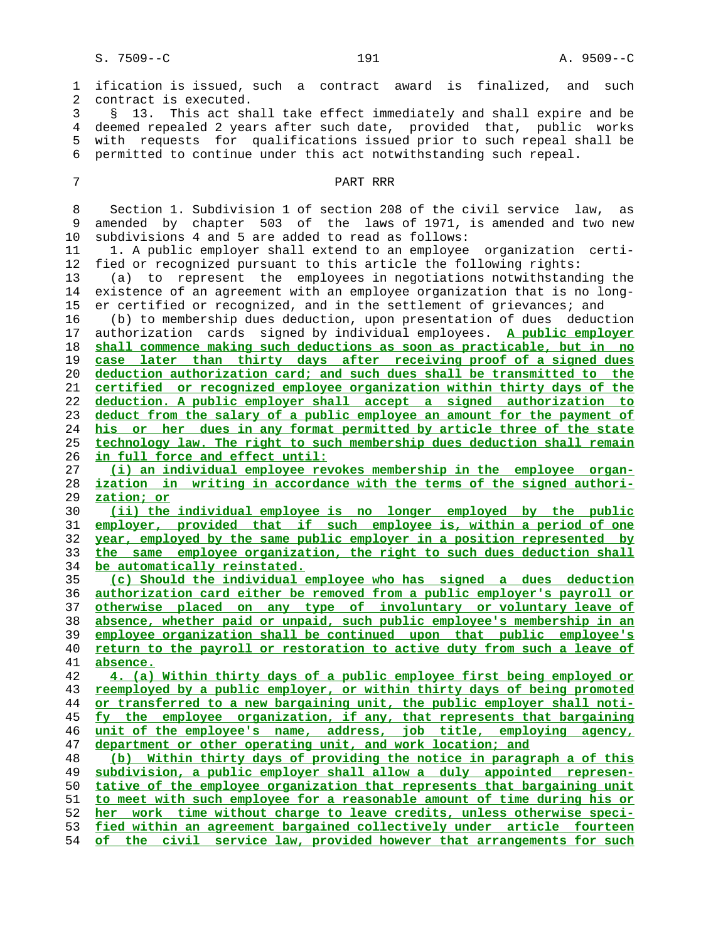1 ification is issued, such a contract award is finalized, and such 2 contract is executed. 3 § 13. This act shall take effect immediately and shall expire and be 4 deemed repealed 2 years after such date, provided that, public works 5 with requests for qualifications issued prior to such repeal shall be 6 permitted to continue under this act notwithstanding such repeal. 7 PART RRR 8 Section 1. Subdivision 1 of section 208 of the civil service law, as 9 amended by chapter 503 of the laws of 1971, is amended and two new 10 subdivisions 4 and 5 are added to read as follows: 11 1. A public employer shall extend to an employee organization certi- 12 fied or recognized pursuant to this article the following rights: 13 (a) to represent the employees in negotiations notwithstanding the 14 existence of an agreement with an employee organization that is no long- 15 er certified or recognized, and in the settlement of grievances; and 16 (b) to membership dues deduction, upon presentation of dues deduction 17 authorization cards signed by individual employees. **A public employer shall commence making such deductions as soon as practicable, but in no case later than thirty days after receiving proof of a signed dues deduction authorization card; and such dues shall be transmitted to the certified or recognized employee organization within thirty days of the deduction. A public employer shall accept a signed authorization to deduct from the salary of a public employee an amount for the payment of his or her dues in any format permitted by article three of the state technology law. The right to such membership dues deduction shall remain in full force and effect until: (i) an individual employee revokes membership in the employee organ- ization in writing in accordance with the terms of the signed authori- zation; or (ii) the individual employee is no longer employed by the public employer, provided that if such employee is, within a period of one year, employed by the same public employer in a position represented by the same employee organization, the right to such dues deduction shall be automatically reinstated. (c) Should the individual employee who has signed a dues deduction authorization card either be removed from a public employer's payroll or otherwise placed on any type of involuntary or voluntary leave of absence, whether paid or unpaid, such public employee's membership in an employee organization shall be continued upon that public employee's return to the payroll or restoration to active duty from such a leave of absence. 4. (a) Within thirty days of a public employee first being employed or reemployed by a public employer, or within thirty days of being promoted or transferred to a new bargaining unit, the public employer shall noti- fy the employee organization, if any, that represents that bargaining unit of the employee's name, address, job title, employing agency, department or other operating unit, and work location; and (b) Within thirty days of providing the notice in paragraph a of this subdivision, a public employer shall allow a duly appointed represen- tative of the employee organization that represents that bargaining unit to meet with such employee for a reasonable amount of time during his or her work time without charge to leave credits, unless otherwise speci- fied within an agreement bargained collectively under article fourteen of the civil service law, provided however that arrangements for such**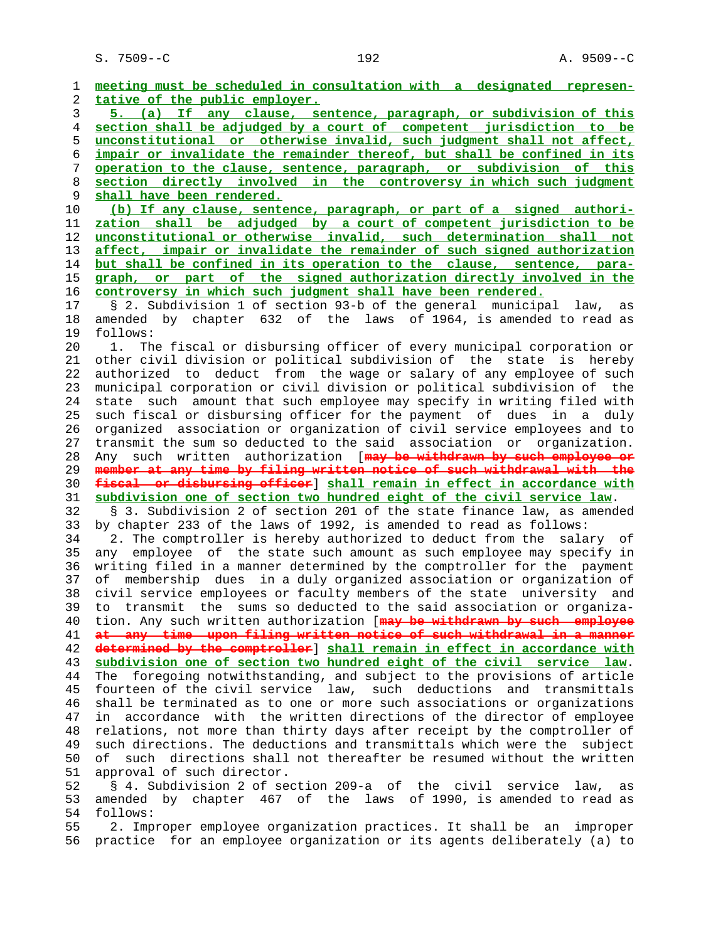1 **meeting must be scheduled in consultation with a designated represen-** 2 **tative of the public employer.** 3 **5. (a) If any clause, sentence, paragraph, or subdivision of this** 4 **section shall be adjudged by a court of competent jurisdiction to be** 5 **unconstitutional or otherwise invalid, such judgment shall not affect,** 6 **impair or invalidate the remainder thereof, but shall be confined in its** 7 **operation to the clause, sentence, paragraph, or subdivision of this** 8 **section directly involved in the controversy in which such judgment** shall have been rendered. 10 **(b) If any clause, sentence, paragraph, or part of a signed authori-** 11 **zation shall be adjudged by a court of competent jurisdiction to be** 12 **unconstitutional or otherwise invalid, such determination shall not** 13 **affect, impair or invalidate the remainder of such signed authorization** 14 **but shall be confined in its operation to the clause, sentence, para-** 15 **graph, or part of the signed authorization directly involved in the** 16 **controversy in which such judgment shall have been rendered.** 17 § 2. Subdivision 1 of section 93-b of the general municipal law, as 18 amended by chapter 632 of the laws of 1964, is amended to read as 19 follows: 20 1. The fiscal or disbursing officer of every municipal corporation or 21 other civil division or political subdivision of the state is hereby 22 authorized to deduct from the wage or salary of any employee of such 23 municipal corporation or civil division or political subdivision of the 24 state such amount that such employee may specify in writing filed with 25 such fiscal or disbursing officer for the payment of dues in a duly 26 organized association or organization of civil service employees and to 27 transmit the sum so deducted to the said association or organization. 28 Any such written authorization [**may be withdrawn by such employee or** 29 **member at any time by filing written notice of such withdrawal with the** 30 **fiscal or disbursing officer**] **shall remain in effect in accordance with** 31 **subdivision one of section two hundred eight of the civil service law**. 32 § 3. Subdivision 2 of section 201 of the state finance law, as amended 33 by chapter 233 of the laws of 1992, is amended to read as follows: 34 2. The comptroller is hereby authorized to deduct from the salary of 35 any employee of the state such amount as such employee may specify in 36 writing filed in a manner determined by the comptroller for the payment 37 of membership dues in a duly organized association or organization of 38 civil service employees or faculty members of the state university and 39 to transmit the sums so deducted to the said association or organiza- 40 tion. Any such written authorization [**may be withdrawn by such employee** 41 **at any time upon filing written notice of such withdrawal in a manner** 42 **determined by the comptroller**] **shall remain in effect in accordance with** 43 **subdivision one of section two hundred eight of the civil service law**. 44 The foregoing notwithstanding, and subject to the provisions of article 45 fourteen of the civil service law, such deductions and transmittals 46 shall be terminated as to one or more such associations or organizations 47 in accordance with the written directions of the director of employee 48 relations, not more than thirty days after receipt by the comptroller of 49 such directions. The deductions and transmittals which were the subject 50 of such directions shall not thereafter be resumed without the written 51 approval of such director. 52 § 4. Subdivision 2 of section 209-a of the civil service law, as 53 amended by chapter 467 of the laws of 1990, is amended to read as 54 follows: 55 2. Improper employee organization practices. It shall be an improper 56 practice for an employee organization or its agents deliberately (a) to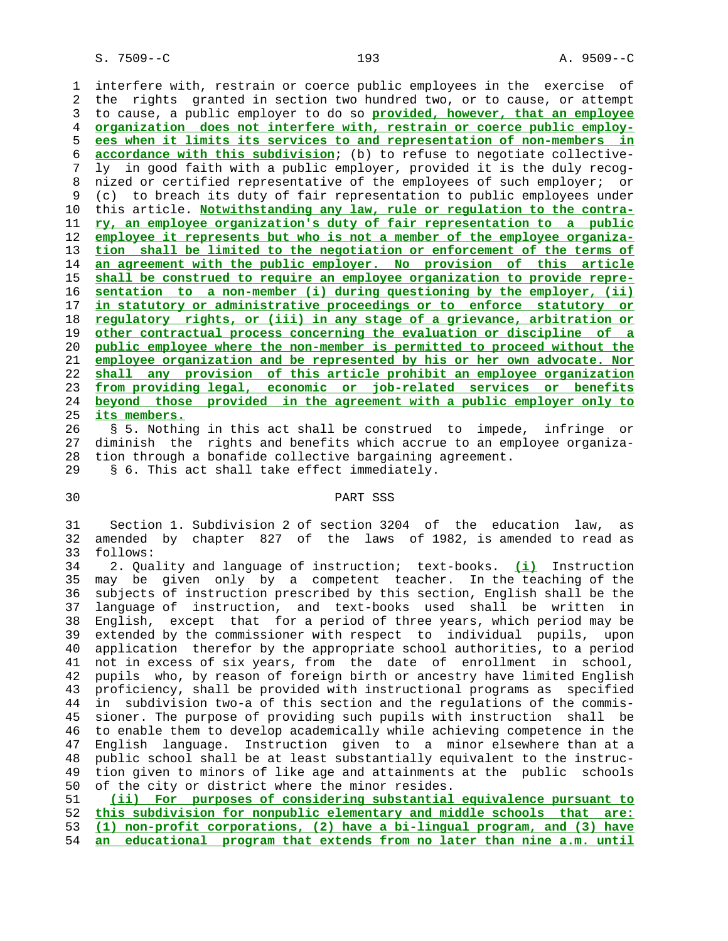1 interfere with, restrain or coerce public employees in the exercise of 2 the rights granted in section two hundred two, or to cause, or attempt 3 to cause, a public employer to do so **provided, however, that an employee organization does not interfere with, restrain or coerce public employ- ees when it limits its services to and representation of non-members in accordance with this subdivision**; (b) to refuse to negotiate collective- 7 ly in good faith with a public employer, provided it is the duly recog- 8 nized or certified representative of the employees of such employer; or<br>9 (c) to breach its duty of fair representation to public employees under 9 (c) to breach its duty of fair representation to public employees under 10 this article. **Notwithstanding any law, rule or regulation to the contra- ry, an employee organization's duty of fair representation to a public employee it represents but who is not a member of the employee organiza- tion shall be limited to the negotiation or enforcement of the terms of an agreement with the public employer. No provision of this article shall be construed to require an employee organization to provide repre- sentation to a non-member (i) during questioning by the employer, (ii) in statutory or administrative proceedings or to enforce statutory or regulatory rights, or (iii) in any stage of a grievance, arbitration or other contractual process concerning the evaluation or discipline of a public employee where the non-member is permitted to proceed without the employee organization and be represented by his or her own advocate. Nor shall any provision of this article prohibit an employee organization from providing legal, economic or job-related services or benefits beyond those provided in the agreement with a public employer only to its members.**

 26 § 5. Nothing in this act shall be construed to impede, infringe or 27 diminish the rights and benefits which accrue to an employee organiza- 28 tion through a bonafide collective bargaining agreement.

29 § 6. This act shall take effect immediately.

# 30 PART SSS

 31 Section 1. Subdivision 2 of section 3204 of the education law, as 32 amended by chapter 827 of the laws of 1982, is amended to read as 33 follows:

 34 2. Quality and language of instruction; text-books. **(i)** Instruction 35 may be given only by a competent teacher. In the teaching of the 36 subjects of instruction prescribed by this section, English shall be the 37 language of instruction, and text-books used shall be written in 38 English, except that for a period of three years, which period may be 39 extended by the commissioner with respect to individual pupils, upon 40 application therefor by the appropriate school authorities, to a period 41 not in excess of six years, from the date of enrollment in school, 42 pupils who, by reason of foreign birth or ancestry have limited English 43 proficiency, shall be provided with instructional programs as specified 44 in subdivision two-a of this section and the regulations of the commis- 45 sioner. The purpose of providing such pupils with instruction shall be 46 to enable them to develop academically while achieving competence in the 47 English language. Instruction given to a minor elsewhere than at a 48 public school shall be at least substantially equivalent to the instruc- 49 tion given to minors of like age and attainments at the public schools 50 of the city or district where the minor resides.

**(ii) For purposes of considering substantial equivalence pursuant to this subdivision for nonpublic elementary and middle schools that are: (1) non-profit corporations, (2) have a bi-lingual program, and (3) have an educational program that extends from no later than nine a.m. until**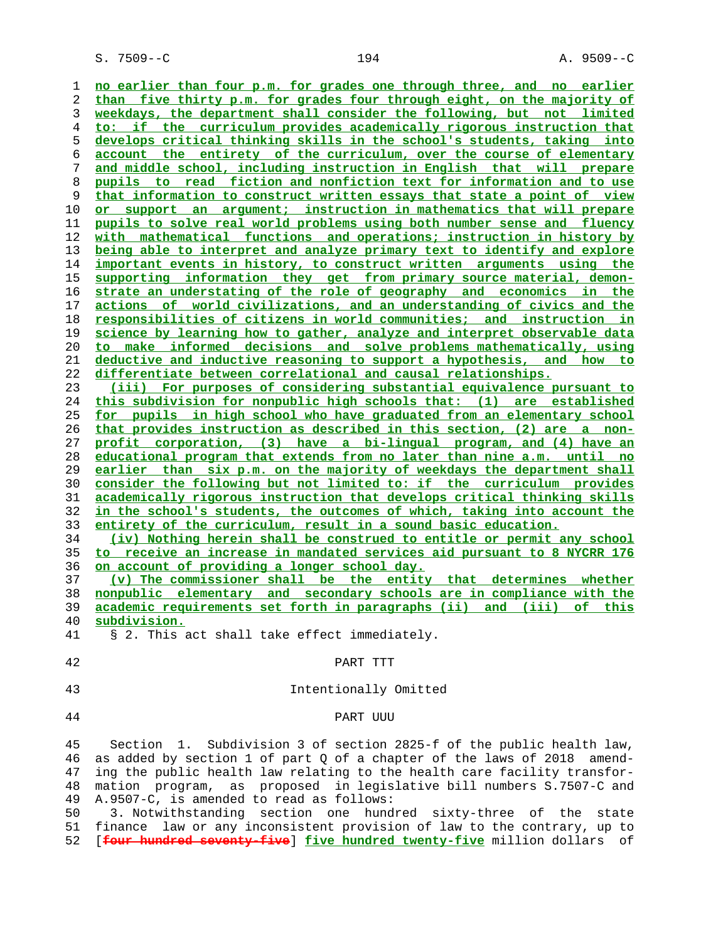S. 7509--C 194 A. 9509--C

**no earlier than four p.m. for grades one through three, and no earlier than five thirty p.m. for grades four through eight, on the majority of weekdays, the department shall consider the following, but not limited to: if the curriculum provides academically rigorous instruction that develops critical thinking skills in the school's students, taking into account the entirety of the curriculum, over the course of elementary and middle school, including instruction in English that will prepare pupils to read fiction and nonfiction text for information and to use that information to construct written essays that state a point of view or support an argument; instruction in mathematics that will prepare pupils to solve real world problems using both number sense and fluency with mathematical functions and operations; instruction in history by being able to interpret and analyze primary text to identify and explore important events in history, to construct written arguments using the supporting information they get from primary source material, demon- strate an understating of the role of geography and economics in the actions of world civilizations, and an understanding of civics and the responsibilities of citizens in world communities; and instruction in science by learning how to gather, analyze and interpret observable data to make informed decisions and solve problems mathematically, using deductive and inductive reasoning to support a hypothesis, and how to differentiate between correlational and causal relationships. (iii) For purposes of considering substantial equivalence pursuant to this subdivision for nonpublic high schools that: (1) are established for pupils in high school who have graduated from an elementary school that provides instruction as described in this section, (2) are a non- profit corporation, (3) have a bi-lingual program, and (4) have an educational program that extends from no later than nine a.m. until no earlier than six p.m. on the majority of weekdays the department shall consider the following but not limited to: if the curriculum provides academically rigorous instruction that develops critical thinking skills in the school's students, the outcomes of which, taking into account the entirety of the curriculum, result in a sound basic education. (iv) Nothing herein shall be construed to entitle or permit any school to receive an increase in mandated services aid pursuant to 8 NYCRR 176 on account of providing a longer school day. (v) The commissioner shall be the entity that determines whether nonpublic elementary and secondary schools are in compliance with the academic requirements set forth in paragraphs (ii) and (iii) of this**

**subdivision.**

41 § 2. This act shall take effect immediately.

42 PART TTT

- 
- 43 Intentionally Omitted
- 

### 44 PART UUU

 45 Section 1. Subdivision 3 of section 2825-f of the public health law, 46 as added by section 1 of part Q of a chapter of the laws of 2018 amend- 47 ing the public health law relating to the health care facility transfor- 48 mation program, as proposed in legislative bill numbers S.7507-C and 49 A.9507-C, is amended to read as follows:

 50 3. Notwithstanding section one hundred sixty-three of the state 51 finance law or any inconsistent provision of law to the contrary, up to 52 [**four hundred seventy-five**] **five hundred twenty-five** million dollars of